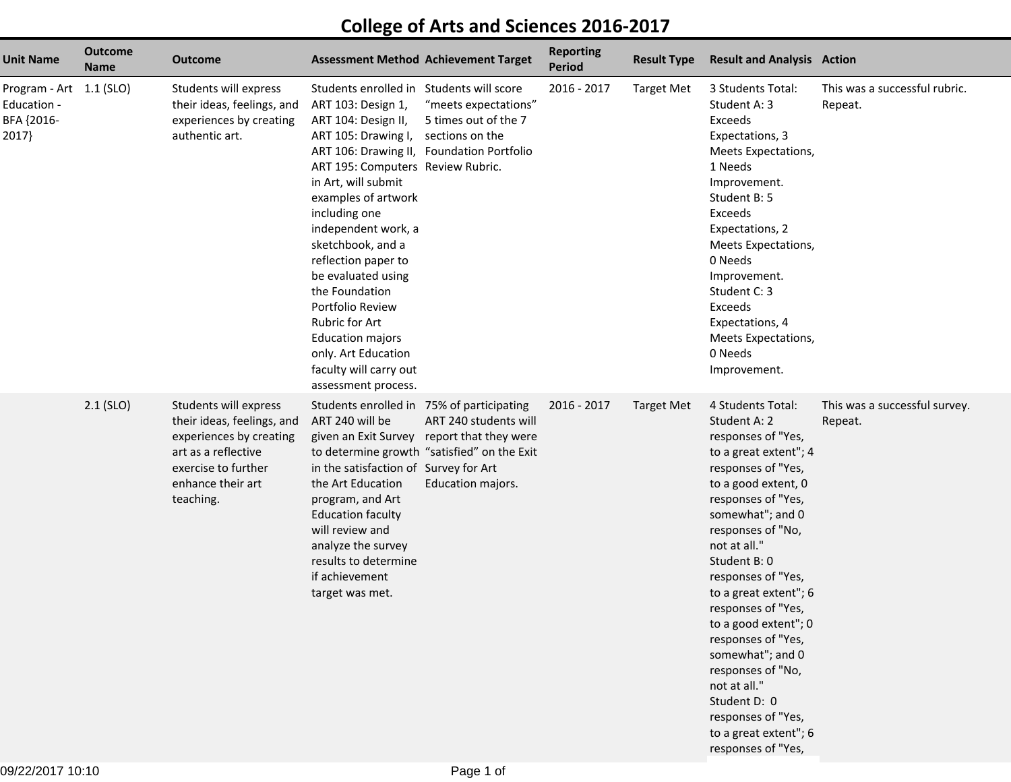## **College of Arts and Sciences 2016-2017**

| <b>Unit Name</b>                                              | <b>Outcome</b><br><b>Name</b> | Outcome                                                                                                                                                        | <b>Assessment Method Achievement Target</b>                                                                                                                                                                                                                                                                                                                                                                                                                                                                       |                                                                                                                                         | <b>Reporting</b><br><b>Period</b> | <b>Result Type</b> | <b>Result and Analysis Action</b>                                                                                                                                                                                                                                                                                                                                                                                                                                                             |                                          |
|---------------------------------------------------------------|-------------------------------|----------------------------------------------------------------------------------------------------------------------------------------------------------------|-------------------------------------------------------------------------------------------------------------------------------------------------------------------------------------------------------------------------------------------------------------------------------------------------------------------------------------------------------------------------------------------------------------------------------------------------------------------------------------------------------------------|-----------------------------------------------------------------------------------------------------------------------------------------|-----------------------------------|--------------------|-----------------------------------------------------------------------------------------------------------------------------------------------------------------------------------------------------------------------------------------------------------------------------------------------------------------------------------------------------------------------------------------------------------------------------------------------------------------------------------------------|------------------------------------------|
| Program - Art 1.1 (SLO)<br>Education -<br>BFA {2016-<br>2017} |                               | Students will express<br>their ideas, feelings, and<br>experiences by creating<br>authentic art.                                                               | Students enrolled in Students will score<br>ART 103: Design 1,<br>ART 104: Design II,<br>ART 105: Drawing I,<br>ART 106: Drawing II, Foundation Portfolio<br>ART 195: Computers Review Rubric.<br>in Art, will submit<br>examples of artwork<br>including one<br>independent work, a<br>sketchbook, and a<br>reflection paper to<br>be evaluated using<br>the Foundation<br>Portfolio Review<br>Rubric for Art<br><b>Education majors</b><br>only. Art Education<br>faculty will carry out<br>assessment process. | "meets expectations"<br>5 times out of the 7<br>sections on the                                                                         | 2016 - 2017                       | <b>Target Met</b>  | 3 Students Total:<br>Student A: 3<br>Exceeds<br>Expectations, 3<br>Meets Expectations,<br>1 Needs<br>Improvement.<br>Student B: 5<br>Exceeds<br>Expectations, 2<br>Meets Expectations,<br>0 Needs<br>Improvement.<br>Student C: 3<br>Exceeds<br>Expectations, 4<br>Meets Expectations,<br>0 Needs<br>Improvement.                                                                                                                                                                             | This was a successful rubric.<br>Repeat. |
|                                                               | $2.1$ (SLO)                   | Students will express<br>their ideas, feelings, and<br>experiences by creating<br>art as a reflective<br>exercise to further<br>enhance their art<br>teaching. | Students enrolled in 75% of participating<br>ART 240 will be<br>in the satisfaction of Survey for Art<br>the Art Education<br>program, and Art<br><b>Education faculty</b><br>will review and<br>analyze the survey<br>results to determine<br>if achievement<br>target was met.                                                                                                                                                                                                                                  | ART 240 students will<br>given an Exit Survey report that they were<br>to determine growth "satisfied" on the Exit<br>Education majors. | 2016 - 2017                       | <b>Target Met</b>  | 4 Students Total:<br>Student A: 2<br>responses of "Yes,<br>to a great extent"; 4<br>responses of "Yes,<br>to a good extent, 0<br>responses of "Yes,<br>somewhat"; and 0<br>responses of "No,<br>not at all."<br>Student B: 0<br>responses of "Yes,<br>to a great extent"; 6<br>responses of "Yes,<br>to a good extent"; 0<br>responses of "Yes,<br>somewhat"; and 0<br>responses of "No,<br>not at all."<br>Student D: 0<br>responses of "Yes,<br>to a great extent"; 6<br>responses of "Yes, | This was a successful survey.<br>Repeat. |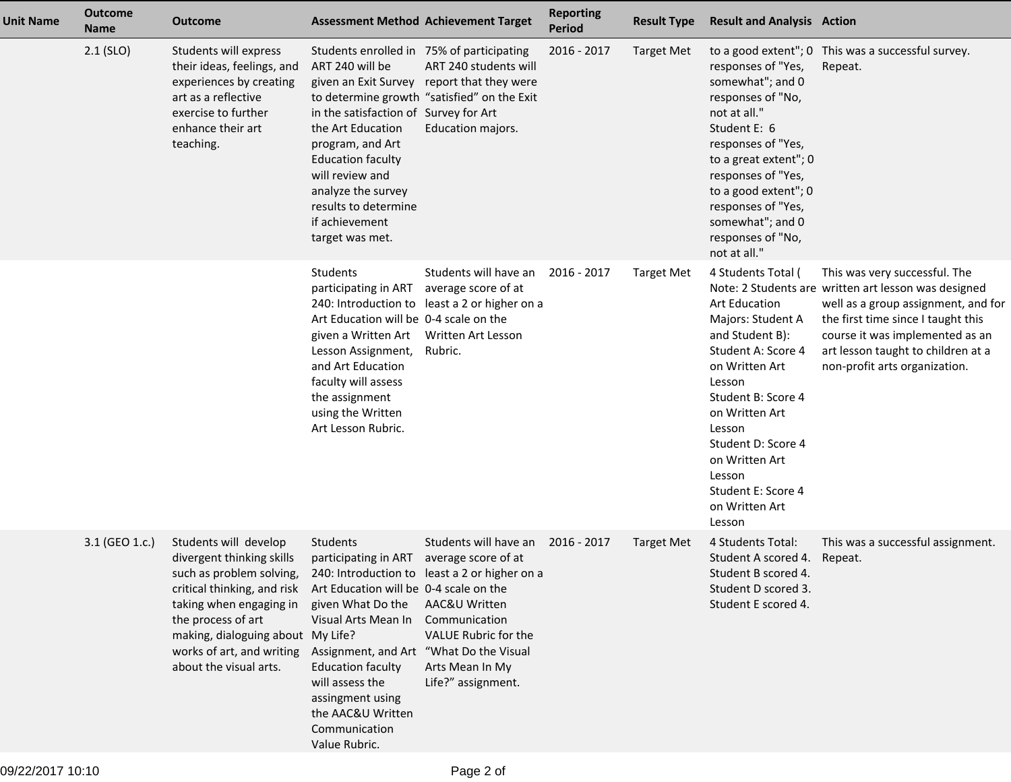| <b>Unit Name</b> | <b>Outcome</b><br><b>Name</b> | <b>Outcome</b>                                                                                                                                                                                                                                             | <b>Assessment Method Achievement Target</b>                                                                                                                                                                                                                                                 |                                                                                                                                                                                                  | <b>Reporting</b><br><b>Period</b> | <b>Result Type</b> | <b>Result and Analysis Action</b>                                                                                                                                                                                                                                                          |                                                                                                                                                                                                                                                                              |
|------------------|-------------------------------|------------------------------------------------------------------------------------------------------------------------------------------------------------------------------------------------------------------------------------------------------------|---------------------------------------------------------------------------------------------------------------------------------------------------------------------------------------------------------------------------------------------------------------------------------------------|--------------------------------------------------------------------------------------------------------------------------------------------------------------------------------------------------|-----------------------------------|--------------------|--------------------------------------------------------------------------------------------------------------------------------------------------------------------------------------------------------------------------------------------------------------------------------------------|------------------------------------------------------------------------------------------------------------------------------------------------------------------------------------------------------------------------------------------------------------------------------|
|                  | $2.1$ (SLO)                   | Students will express<br>their ideas, feelings, and<br>experiences by creating<br>art as a reflective<br>exercise to further<br>enhance their art<br>teaching.                                                                                             | Students enrolled in 75% of participating<br>ART 240 will be<br>in the satisfaction of Survey for Art<br>the Art Education<br>program, and Art<br><b>Education faculty</b><br>will review and<br>analyze the survey<br>results to determine<br>if achievement<br>target was met.            | ART 240 students will<br>given an Exit Survey report that they were<br>to determine growth "satisfied" on the Exit<br>Education majors.                                                          | 2016 - 2017                       | <b>Target Met</b>  | responses of "Yes,<br>somewhat"; and 0<br>responses of "No,<br>not at all."<br>Student E: 6<br>responses of "Yes,<br>to a great extent"; 0<br>responses of "Yes,<br>to a good extent"; 0<br>responses of "Yes,<br>somewhat"; and 0<br>responses of "No,<br>not at all."                    | to a good extent"; 0 This was a successful survey.<br>Repeat.                                                                                                                                                                                                                |
|                  |                               |                                                                                                                                                                                                                                                            | Students<br>participating in ART<br>Art Education will be 0-4 scale on the<br>given a Written Art<br>Lesson Assignment,<br>and Art Education<br>faculty will assess<br>the assignment<br>using the Written<br>Art Lesson Rubric.                                                            | Students will have an<br>average score of at<br>240: Introduction to least a 2 or higher on a<br>Written Art Lesson<br>Rubric.                                                                   | 2016 - 2017                       | <b>Target Met</b>  | 4 Students Total (<br><b>Art Education</b><br>Majors: Student A<br>and Student B):<br>Student A: Score 4<br>on Written Art<br>Lesson<br>Student B: Score 4<br>on Written Art<br>Lesson<br>Student D: Score 4<br>on Written Art<br>Lesson<br>Student E: Score 4<br>on Written Art<br>Lesson | This was very successful. The<br>Note: 2 Students are written art lesson was designed<br>well as a group assignment, and for<br>the first time since I taught this<br>course it was implemented as an<br>art lesson taught to children at a<br>non-profit arts organization. |
|                  | 3.1 (GEO 1.c.)                | Students will develop<br>divergent thinking skills<br>such as problem solving,<br>critical thinking, and risk<br>taking when engaging in<br>the process of art<br>making, dialoguing about My Life?<br>works of art, and writing<br>about the visual arts. | Students<br>participating in ART<br>Art Education will be 0-4 scale on the<br>given What Do the<br>Visual Arts Mean In<br>Assignment, and Art "What Do the Visual<br><b>Education faculty</b><br>will assess the<br>assingment using<br>the AAC&U Written<br>Communication<br>Value Rubric. | Students will have an<br>average score of at<br>240: Introduction to least a 2 or higher on a<br>AAC&U Written<br>Communication<br>VALUE Rubric for the<br>Arts Mean In My<br>Life?" assignment. | 2016 - 2017                       | <b>Target Met</b>  | 4 Students Total:<br>Student A scored 4.<br>Student B scored 4.<br>Student D scored 3.<br>Student E scored 4.                                                                                                                                                                              | This was a successful assignment.<br>Repeat.                                                                                                                                                                                                                                 |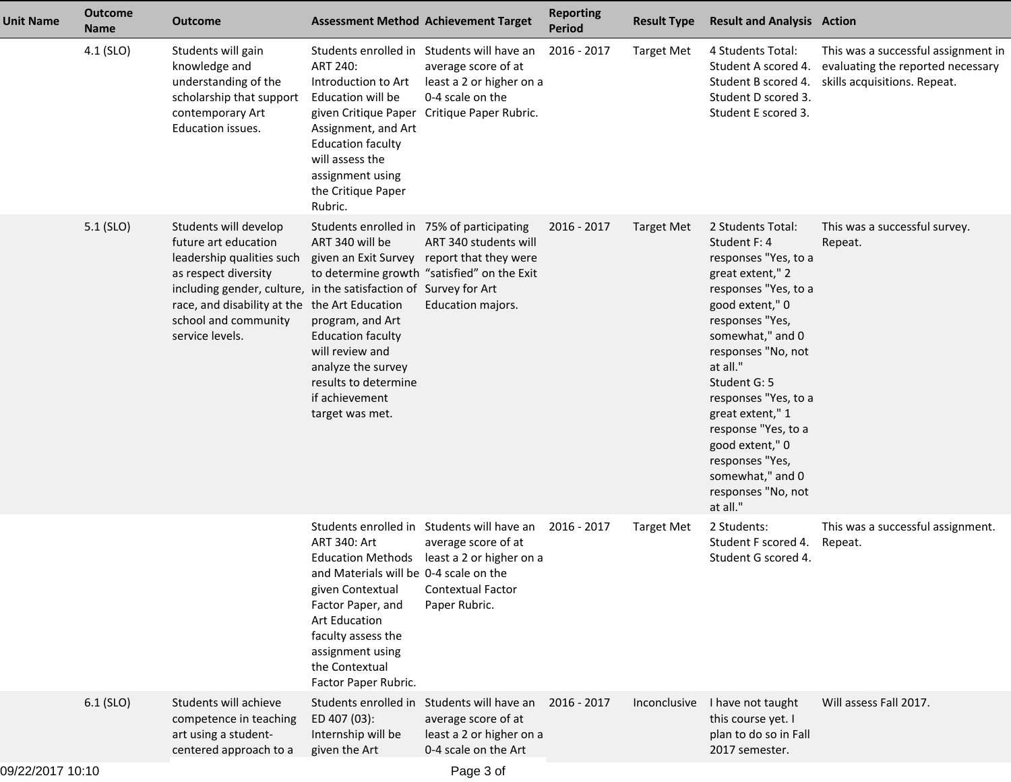| <b>Unit Name</b> | <b>Outcome</b><br><b>Name</b> | <b>Outcome</b>                                                                                                                                                                                                                                                     |                                                                                                                                                                                                                                            | <b>Assessment Method Achievement Target</b>                                                                                                                  | <b>Reporting</b><br><b>Period</b> | <b>Result Type</b> | <b>Result and Analysis Action</b>                                                                                                                                                                                                                                                                                                                                                |                                                                                                          |
|------------------|-------------------------------|--------------------------------------------------------------------------------------------------------------------------------------------------------------------------------------------------------------------------------------------------------------------|--------------------------------------------------------------------------------------------------------------------------------------------------------------------------------------------------------------------------------------------|--------------------------------------------------------------------------------------------------------------------------------------------------------------|-----------------------------------|--------------------|----------------------------------------------------------------------------------------------------------------------------------------------------------------------------------------------------------------------------------------------------------------------------------------------------------------------------------------------------------------------------------|----------------------------------------------------------------------------------------------------------|
|                  | 4.1 (SLO)                     | Students will gain<br>knowledge and<br>understanding of the<br>scholarship that support<br>contemporary Art<br>Education issues.                                                                                                                                   | ART 240:<br>Introduction to Art<br>Education will be<br>given Critique Paper<br>Assignment, and Art<br><b>Education faculty</b><br>will assess the<br>assignment using<br>the Critique Paper<br>Rubric.                                    | Students enrolled in Students will have an<br>average score of at<br>least a 2 or higher on a<br>0-4 scale on the<br>Critique Paper Rubric.                  | 2016 - 2017                       | <b>Target Met</b>  | 4 Students Total:<br>Student A scored 4.<br>Student B scored 4.<br>Student D scored 3.<br>Student E scored 3.                                                                                                                                                                                                                                                                    | This was a successful assignment in<br>evaluating the reported necessary<br>skills acquisitions. Repeat. |
|                  | 5.1 (SLO)                     | Students will develop<br>future art education<br>leadership qualities such<br>as respect diversity<br>including gender, culture, in the satisfaction of Survey for Art<br>race, and disability at the the Art Education<br>school and community<br>service levels. | Students enrolled in 75% of participating<br>ART 340 will be<br>given an Exit Survey<br>program, and Art<br><b>Education faculty</b><br>will review and<br>analyze the survey<br>results to determine<br>if achievement<br>target was met. | ART 340 students will<br>report that they were<br>to determine growth "satisfied" on the Exit<br>Education majors.                                           | 2016 - 2017                       | Target Met         | 2 Students Total:<br>Student F: 4<br>responses "Yes, to a<br>great extent," 2<br>responses "Yes, to a<br>good extent," 0<br>responses "Yes,<br>somewhat," and 0<br>responses "No, not<br>at all."<br>Student G: 5<br>responses "Yes, to a<br>great extent," 1<br>response "Yes, to a<br>good extent," 0<br>responses "Yes,<br>somewhat," and 0<br>responses "No, not<br>at all." | This was a successful survey.<br>Repeat.                                                                 |
|                  |                               |                                                                                                                                                                                                                                                                    | ART 340: Art<br>and Materials will be 0-4 scale on the<br>given Contextual<br>Factor Paper, and<br><b>Art Education</b><br>faculty assess the<br>assignment using<br>the Contextual<br>Factor Paper Rubric.                                | Students enrolled in Students will have an<br>average score of at<br>Education Methods least a 2 or higher on a<br><b>Contextual Factor</b><br>Paper Rubric. | 2016 - 2017                       | <b>Target Met</b>  | 2 Students:<br>Student F scored 4.<br>Student G scored 4.                                                                                                                                                                                                                                                                                                                        | This was a successful assignment.<br>Repeat.                                                             |
|                  | 6.1 (SLO)                     | Students will achieve<br>competence in teaching<br>art using a student-<br>centered approach to a                                                                                                                                                                  | Students enrolled in<br>ED 407 (03):<br>Internship will be<br>given the Art                                                                                                                                                                | Students will have an<br>average score of at<br>least a 2 or higher on a<br>0-4 scale on the Art                                                             | 2016 - 2017                       | Inconclusive       | I have not taught<br>this course yet. I<br>plan to do so in Fall<br>2017 semester.                                                                                                                                                                                                                                                                                               | Will assess Fall 2017.                                                                                   |
|                  |                               |                                                                                                                                                                                                                                                                    |                                                                                                                                                                                                                                            |                                                                                                                                                              |                                   |                    |                                                                                                                                                                                                                                                                                                                                                                                  |                                                                                                          |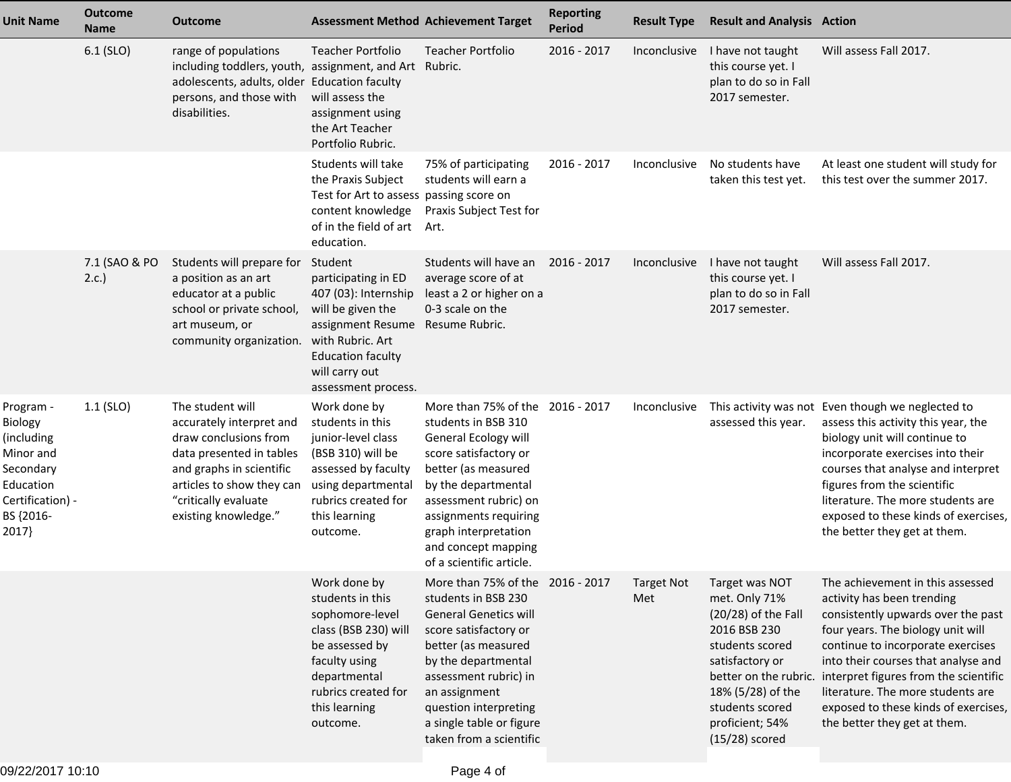| <b>Unit Name</b>                                                                                                    | <b>Outcome</b><br><b>Name</b> | <b>Outcome</b>                                                                                                                                                                                             |                                                                                                                                                                                                          | <b>Assessment Method Achievement Target</b>                                                                                                                                                                                                                                              | <b>Reporting</b><br><b>Period</b> | <b>Result Type</b>       | <b>Result and Analysis Action</b>                                                                                                                                                             |                                                                                                                                                                                                                                                                                                                                                                                                   |
|---------------------------------------------------------------------------------------------------------------------|-------------------------------|------------------------------------------------------------------------------------------------------------------------------------------------------------------------------------------------------------|----------------------------------------------------------------------------------------------------------------------------------------------------------------------------------------------------------|------------------------------------------------------------------------------------------------------------------------------------------------------------------------------------------------------------------------------------------------------------------------------------------|-----------------------------------|--------------------------|-----------------------------------------------------------------------------------------------------------------------------------------------------------------------------------------------|---------------------------------------------------------------------------------------------------------------------------------------------------------------------------------------------------------------------------------------------------------------------------------------------------------------------------------------------------------------------------------------------------|
|                                                                                                                     | 6.1 (SLO)                     | range of populations<br>including toddlers, youth, assignment, and Art Rubric.<br>adolescents, adults, older<br>persons, and those with<br>disabilities.                                                   | <b>Teacher Portfolio</b><br><b>Education faculty</b><br>will assess the<br>assignment using<br>the Art Teacher<br>Portfolio Rubric.                                                                      | <b>Teacher Portfolio</b>                                                                                                                                                                                                                                                                 | 2016 - 2017                       | Inconclusive             | I have not taught<br>this course yet. I<br>plan to do so in Fall<br>2017 semester.                                                                                                            | Will assess Fall 2017.                                                                                                                                                                                                                                                                                                                                                                            |
|                                                                                                                     |                               |                                                                                                                                                                                                            | Students will take<br>the Praxis Subject<br>Test for Art to assess passing score on<br>content knowledge<br>of in the field of art<br>education.                                                         | 75% of participating<br>students will earn a<br>Praxis Subject Test for<br>Art.                                                                                                                                                                                                          | 2016 - 2017                       | Inconclusive             | No students have<br>taken this test yet.                                                                                                                                                      | At least one student will study for<br>this test over the summer 2017.                                                                                                                                                                                                                                                                                                                            |
|                                                                                                                     | 7.1 (SAO & PO<br>2.c.         | Students will prepare for<br>a position as an art<br>educator at a public<br>school or private school,<br>art museum, or<br>community organization.                                                        | Student<br>participating in ED<br>407 (03): Internship<br>will be given the<br>assignment Resume Resume Rubric.<br>with Rubric. Art<br><b>Education faculty</b><br>will carry out<br>assessment process. | Students will have an<br>average score of at<br>least a 2 or higher on a<br>0-3 scale on the                                                                                                                                                                                             | $2016 - 2017$                     | Inconclusive             | I have not taught<br>this course yet. I<br>plan to do so in Fall<br>2017 semester.                                                                                                            | Will assess Fall 2017.                                                                                                                                                                                                                                                                                                                                                                            |
| Program -<br>Biology<br>(including<br>Minor and<br>Secondary<br>Education<br>Certification) -<br>BS {2016-<br>2017} | $1.1$ (SLO)                   | The student will<br>accurately interpret and<br>draw conclusions from<br>data presented in tables<br>and graphs in scientific<br>articles to show they can<br>"critically evaluate<br>existing knowledge." | Work done by<br>students in this<br>junior-level class<br>(BSB 310) will be<br>assessed by faculty<br>using departmental<br>rubrics created for<br>this learning<br>outcome.                             | More than 75% of the 2016 - 2017<br>students in BSB 310<br>General Ecology will<br>score satisfactory or<br>better (as measured<br>by the departmental<br>assessment rubric) on<br>assignments requiring<br>graph interpretation<br>and concept mapping<br>of a scientific article.      |                                   | Inconclusive             | assessed this year.                                                                                                                                                                           | This activity was not Even though we neglected to<br>assess this activity this year, the<br>biology unit will continue to<br>incorporate exercises into their<br>courses that analyse and interpret<br>figures from the scientific<br>literature. The more students are<br>exposed to these kinds of exercises,<br>the better they get at them.                                                   |
|                                                                                                                     |                               |                                                                                                                                                                                                            | Work done by<br>students in this<br>sophomore-level<br>class (BSB 230) will<br>be assessed by<br>faculty using<br>departmental<br>rubrics created for<br>this learning<br>outcome.                       | More than 75% of the 2016 - 2017<br>students in BSB 230<br><b>General Genetics will</b><br>score satisfactory or<br>better (as measured<br>by the departmental<br>assessment rubric) in<br>an assignment<br>question interpreting<br>a single table or figure<br>taken from a scientific |                                   | <b>Target Not</b><br>Met | Target was NOT<br>met. Only 71%<br>$(20/28)$ of the Fall<br>2016 BSB 230<br>students scored<br>satisfactory or<br>18% (5/28) of the<br>students scored<br>proficient; 54%<br>$(15/28)$ scored | The achievement in this assessed<br>activity has been trending<br>consistently upwards over the past<br>four years. The biology unit will<br>continue to incorporate exercises<br>into their courses that analyse and<br>better on the rubric. interpret figures from the scientific<br>literature. The more students are<br>exposed to these kinds of exercises,<br>the better they get at them. |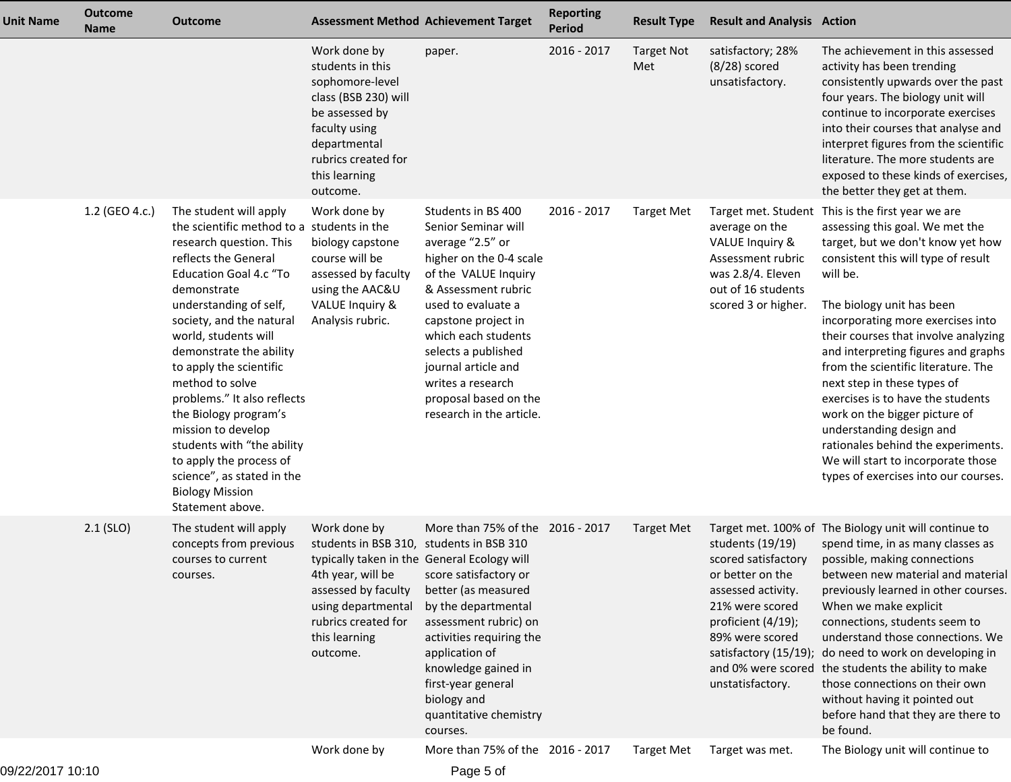| <b>Unit Name</b> | <b>Outcome</b><br><b>Name</b> | <b>Outcome</b>                                                                                                                                                                                                                                                                                                                                                                                                                                                                                                                                    |                                                                                                                                                                                                                                                     | <b>Assessment Method Achievement Target</b>                                                                                                                                                                                                                                                                                         | <b>Reporting</b><br><b>Period</b> | <b>Result Type</b> | <b>Result and Analysis Action</b>                                                                                                                                 |                                                                                                                                                                                                                                                                                                                                                                                                                                                                                                                                                                                                                           |
|------------------|-------------------------------|---------------------------------------------------------------------------------------------------------------------------------------------------------------------------------------------------------------------------------------------------------------------------------------------------------------------------------------------------------------------------------------------------------------------------------------------------------------------------------------------------------------------------------------------------|-----------------------------------------------------------------------------------------------------------------------------------------------------------------------------------------------------------------------------------------------------|-------------------------------------------------------------------------------------------------------------------------------------------------------------------------------------------------------------------------------------------------------------------------------------------------------------------------------------|-----------------------------------|--------------------|-------------------------------------------------------------------------------------------------------------------------------------------------------------------|---------------------------------------------------------------------------------------------------------------------------------------------------------------------------------------------------------------------------------------------------------------------------------------------------------------------------------------------------------------------------------------------------------------------------------------------------------------------------------------------------------------------------------------------------------------------------------------------------------------------------|
|                  |                               |                                                                                                                                                                                                                                                                                                                                                                                                                                                                                                                                                   | Work done by<br>students in this<br>sophomore-level<br>class (BSB 230) will<br>be assessed by<br>faculty using<br>departmental<br>rubrics created for<br>this learning<br>outcome.                                                                  | paper.                                                                                                                                                                                                                                                                                                                              | 2016 - 2017                       | Target Not<br>Met  | satisfactory; 28%<br>$(8/28)$ scored<br>unsatisfactory.                                                                                                           | The achievement in this assessed<br>activity has been trending<br>consistently upwards over the past<br>four years. The biology unit will<br>continue to incorporate exercises<br>into their courses that analyse and<br>interpret figures from the scientific<br>literature. The more students are<br>exposed to these kinds of exercises,<br>the better they get at them.                                                                                                                                                                                                                                               |
|                  | 1.2 (GEO 4.c.)                | The student will apply<br>the scientific method to a students in the<br>research question. This<br>reflects the General<br><b>Education Goal 4.c "To</b><br>demonstrate<br>understanding of self,<br>society, and the natural<br>world, students will<br>demonstrate the ability<br>to apply the scientific<br>method to solve<br>problems." It also reflects<br>the Biology program's<br>mission to develop<br>students with "the ability<br>to apply the process of<br>science", as stated in the<br><b>Biology Mission</b><br>Statement above. | Work done by<br>biology capstone<br>course will be<br>assessed by faculty<br>using the AAC&U<br>VALUE Inquiry &<br>Analysis rubric.                                                                                                                 | Students in BS 400<br>Senior Seminar will<br>average "2.5" or<br>higher on the 0-4 scale<br>of the VALUE Inquiry<br>& Assessment rubric<br>used to evaluate a<br>capstone project in<br>which each students<br>selects a published<br>journal article and<br>writes a research<br>proposal based on the<br>research in the article. | 2016 - 2017                       | <b>Target Met</b>  | average on the<br><b>VALUE Inquiry &amp;</b><br>Assessment rubric<br>was 2.8/4. Eleven<br>out of 16 students<br>scored 3 or higher.                               | Target met. Student This is the first year we are<br>assessing this goal. We met the<br>target, but we don't know yet how<br>consistent this will type of result<br>will be.<br>The biology unit has been<br>incorporating more exercises into<br>their courses that involve analyzing<br>and interpreting figures and graphs<br>from the scientific literature. The<br>next step in these types of<br>exercises is to have the students<br>work on the bigger picture of<br>understanding design and<br>rationales behind the experiments.<br>We will start to incorporate those<br>types of exercises into our courses. |
|                  | $2.1$ (SLO)                   | The student will apply<br>concepts from previous<br>courses to current<br>courses.                                                                                                                                                                                                                                                                                                                                                                                                                                                                | Work done by<br>students in BSB 310, students in BSB 310<br>typically taken in the General Ecology will<br>4th year, will be score satisfactory or<br>assessed by faculty<br>using departmental<br>rubrics created for<br>this learning<br>outcome. | More than 75% of the 2016 - 2017<br>better (as measured<br>by the departmental<br>assessment rubric) on<br>activities requiring the<br>application of<br>knowledge gained in<br>first-year general<br>biology and<br>quantitative chemistry<br>courses.                                                                             |                                   | <b>Target Met</b>  | students (19/19)<br>scored satisfactory<br>or better on the<br>assessed activity.<br>21% were scored<br>proficient (4/19);<br>89% were scored<br>unstatisfactory. | Target met. 100% of The Biology unit will continue to<br>spend time, in as many classes as<br>possible, making connections<br>between new material and material<br>previously learned in other courses.<br>When we make explicit<br>connections, students seem to<br>understand those connections. We<br>satisfactory (15/19); do need to work on developing in<br>and 0% were scored the students the ability to make<br>those connections on their own<br>without having it pointed out<br>before hand that they are there to<br>be found.                                                                              |
|                  |                               |                                                                                                                                                                                                                                                                                                                                                                                                                                                                                                                                                   | Work done by                                                                                                                                                                                                                                        | More than 75% of the 2016 - 2017                                                                                                                                                                                                                                                                                                    |                                   | <b>Target Met</b>  | Target was met.                                                                                                                                                   | The Biology unit will continue to                                                                                                                                                                                                                                                                                                                                                                                                                                                                                                                                                                                         |

Page 5 of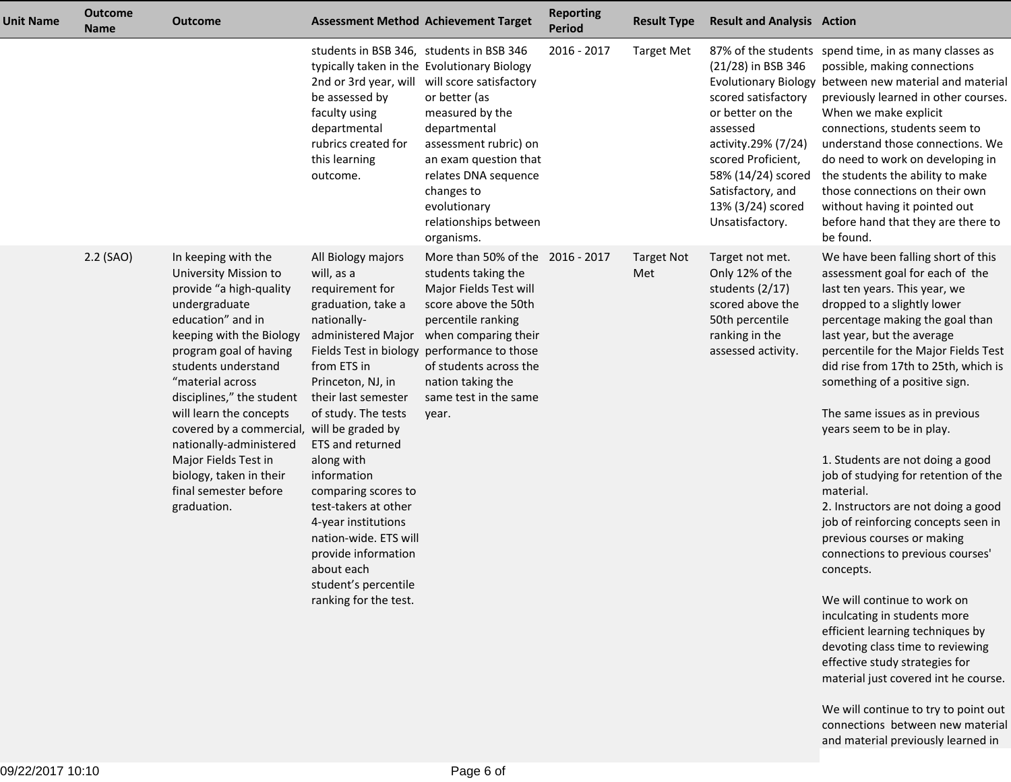| <b>Unit Name</b> | <b>Outcome</b><br><b>Name</b> | <b>Outcome</b>                                                                                                                                                                                                                                                                                                                                                                                                                             |                                                                                                                                                                                                                                                                                                                                                                                                                  | <b>Assessment Method Achievement Target</b>                                                                                                                                                                                                                                                                | <b>Reporting</b><br><b>Period</b> | <b>Result Type</b>       | <b>Result and Analysis Action</b>                                                                                                                                                                           |                                                                                                                                                                                                                                                                                                                                                                                                                                                                                                                                                                                                                                                                                                                                                                                                                                                               |
|------------------|-------------------------------|--------------------------------------------------------------------------------------------------------------------------------------------------------------------------------------------------------------------------------------------------------------------------------------------------------------------------------------------------------------------------------------------------------------------------------------------|------------------------------------------------------------------------------------------------------------------------------------------------------------------------------------------------------------------------------------------------------------------------------------------------------------------------------------------------------------------------------------------------------------------|------------------------------------------------------------------------------------------------------------------------------------------------------------------------------------------------------------------------------------------------------------------------------------------------------------|-----------------------------------|--------------------------|-------------------------------------------------------------------------------------------------------------------------------------------------------------------------------------------------------------|---------------------------------------------------------------------------------------------------------------------------------------------------------------------------------------------------------------------------------------------------------------------------------------------------------------------------------------------------------------------------------------------------------------------------------------------------------------------------------------------------------------------------------------------------------------------------------------------------------------------------------------------------------------------------------------------------------------------------------------------------------------------------------------------------------------------------------------------------------------|
|                  |                               |                                                                                                                                                                                                                                                                                                                                                                                                                                            | students in BSB 346, students in BSB 346<br>typically taken in the Evolutionary Biology<br>be assessed by<br>faculty using<br>departmental<br>rubrics created for<br>this learning<br>outcome.                                                                                                                                                                                                                   | 2nd or 3rd year, will will score satisfactory<br>or better (as<br>measured by the<br>departmental<br>assessment rubric) on<br>an exam question that<br>relates DNA sequence<br>changes to<br>evolutionary<br>relationships between<br>organisms.                                                           | 2016 - 2017                       | <b>Target Met</b>        | $(21/28)$ in BSB 346<br>scored satisfactory<br>or better on the<br>assessed<br>activity.29% (7/24)<br>scored Proficient,<br>58% (14/24) scored<br>Satisfactory, and<br>13% (3/24) scored<br>Unsatisfactory. | 87% of the students spend time, in as many classes as<br>possible, making connections<br>Evolutionary Biology between new material and material<br>previously learned in other courses.<br>When we make explicit<br>connections, students seem to<br>understand those connections. We<br>do need to work on developing in<br>the students the ability to make<br>those connections on their own<br>without having it pointed out<br>before hand that they are there to<br>be found.                                                                                                                                                                                                                                                                                                                                                                           |
|                  | 2.2 (SAO)                     | In keeping with the<br>University Mission to<br>provide "a high-quality<br>undergraduate<br>education" and in<br>keeping with the Biology<br>program goal of having<br>students understand<br>"material across<br>disciplines," the student<br>will learn the concepts<br>covered by a commercial, will be graded by<br>nationally-administered<br>Major Fields Test in<br>biology, taken in their<br>final semester before<br>graduation. | All Biology majors<br>will, as a<br>requirement for<br>graduation, take a<br>nationally-<br>from ETS in<br>Princeton, NJ, in<br>their last semester<br>of study. The tests<br>ETS and returned<br>along with<br>information<br>comparing scores to<br>test-takers at other<br>4-year institutions<br>nation-wide. ETS will<br>provide information<br>about each<br>student's percentile<br>ranking for the test. | More than 50% of the 2016 - 2017<br>students taking the<br>Major Fields Test will<br>score above the 50th<br>percentile ranking<br>administered Major when comparing their<br>Fields Test in biology performance to those<br>of students across the<br>nation taking the<br>same test in the same<br>year. |                                   | <b>Target Not</b><br>Met | Target not met.<br>Only 12% of the<br>students (2/17)<br>scored above the<br>50th percentile<br>ranking in the<br>assessed activity.                                                                        | We have been falling short of this<br>assessment goal for each of the<br>last ten years. This year, we<br>dropped to a slightly lower<br>percentage making the goal than<br>last year, but the average<br>percentile for the Major Fields Test<br>did rise from 17th to 25th, which is<br>something of a positive sign.<br>The same issues as in previous<br>years seem to be in play.<br>1. Students are not doing a good<br>job of studying for retention of the<br>material.<br>2. Instructors are not doing a good<br>job of reinforcing concepts seen in<br>previous courses or making<br>connections to previous courses'<br>concepts.<br>We will continue to work on<br>inculcating in students more<br>efficient learning techniques by<br>devoting class time to reviewing<br>effective study strategies for<br>material just covered int he course. |

We will continue to try to point out connections between new materialand material previously learned in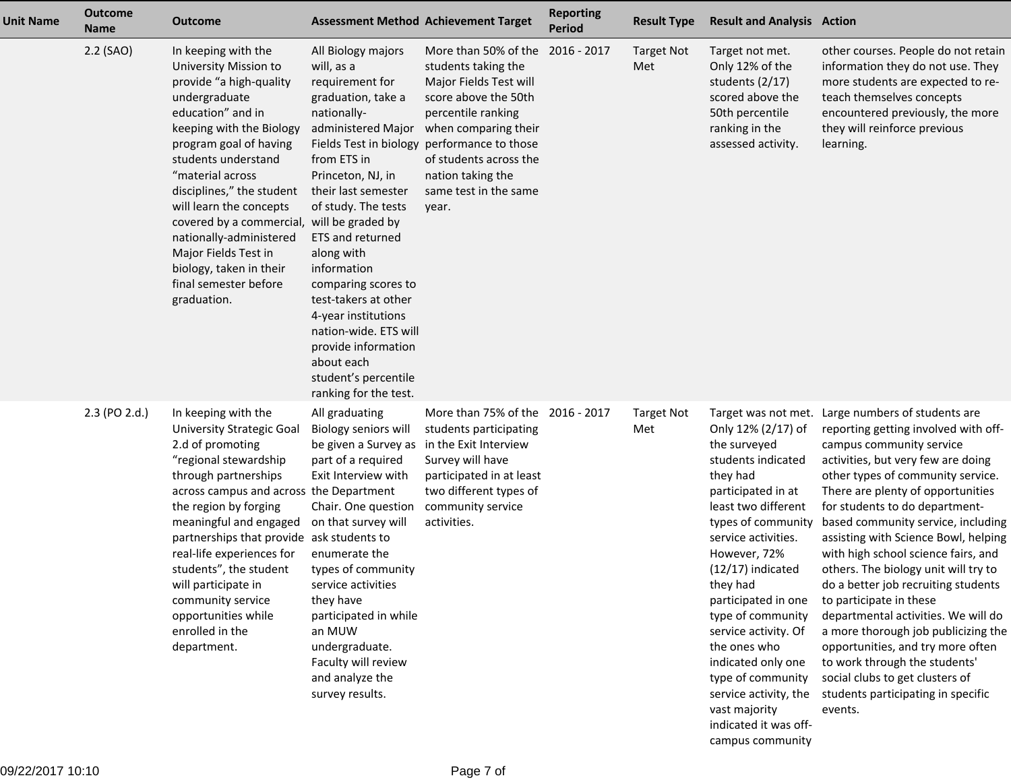| <b>Unit Name</b> | <b>Outcome</b><br><b>Name</b> | <b>Outcome</b>                                                                                                                                                                                                                                                                                                                                                                                                                             | <b>Assessment Method Achievement Target</b>                                                                                                                                                                                                                                                                                                                                                                      |                                                                                                                                                                                                                                                                                                            | <b>Reporting</b><br><b>Period</b> | <b>Result Type</b>       | <b>Result and Analysis Action</b>                                                                                                                                                                                                                                                                                                                                                                                                                              |                                                                                                                                                                                                                                                                                                                                                                                                                                                                                                                                                                                                                                                                                                                            |
|------------------|-------------------------------|--------------------------------------------------------------------------------------------------------------------------------------------------------------------------------------------------------------------------------------------------------------------------------------------------------------------------------------------------------------------------------------------------------------------------------------------|------------------------------------------------------------------------------------------------------------------------------------------------------------------------------------------------------------------------------------------------------------------------------------------------------------------------------------------------------------------------------------------------------------------|------------------------------------------------------------------------------------------------------------------------------------------------------------------------------------------------------------------------------------------------------------------------------------------------------------|-----------------------------------|--------------------------|----------------------------------------------------------------------------------------------------------------------------------------------------------------------------------------------------------------------------------------------------------------------------------------------------------------------------------------------------------------------------------------------------------------------------------------------------------------|----------------------------------------------------------------------------------------------------------------------------------------------------------------------------------------------------------------------------------------------------------------------------------------------------------------------------------------------------------------------------------------------------------------------------------------------------------------------------------------------------------------------------------------------------------------------------------------------------------------------------------------------------------------------------------------------------------------------------|
|                  | 2.2 (SAO)                     | In keeping with the<br>University Mission to<br>provide "a high-quality<br>undergraduate<br>education" and in<br>keeping with the Biology<br>program goal of having<br>students understand<br>"material across<br>disciplines," the student<br>will learn the concepts<br>covered by a commercial, will be graded by<br>nationally-administered<br>Major Fields Test in<br>biology, taken in their<br>final semester before<br>graduation. | All Biology majors<br>will, as a<br>requirement for<br>graduation, take a<br>nationally-<br>from ETS in<br>Princeton, NJ, in<br>their last semester<br>of study. The tests<br>ETS and returned<br>along with<br>information<br>comparing scores to<br>test-takers at other<br>4-year institutions<br>nation-wide. ETS will<br>provide information<br>about each<br>student's percentile<br>ranking for the test. | More than 50% of the 2016 - 2017<br>students taking the<br>Major Fields Test will<br>score above the 50th<br>percentile ranking<br>administered Major when comparing their<br>Fields Test in biology performance to those<br>of students across the<br>nation taking the<br>same test in the same<br>year. |                                   | <b>Target Not</b><br>Met | Target not met.<br>Only 12% of the<br>students (2/17)<br>scored above the<br>50th percentile<br>ranking in the<br>assessed activity.                                                                                                                                                                                                                                                                                                                           | other courses. People do not retain<br>information they do not use. They<br>more students are expected to re-<br>teach themselves concepts<br>encountered previously, the more<br>they will reinforce previous<br>learning.                                                                                                                                                                                                                                                                                                                                                                                                                                                                                                |
|                  | 2.3 (PO 2.d.)                 | In keeping with the<br><b>University Strategic Goal</b><br>2.d of promoting<br>"regional stewardship<br>through partnerships<br>across campus and across the Department<br>the region by forging<br>meaningful and engaged<br>partnerships that provide ask students to<br>real-life experiences for<br>students", the student<br>will participate in<br>community service<br>opportunities while<br>enrolled in the<br>department.        | All graduating<br>Biology seniors will<br>be given a Survey as in the Exit Interview<br>part of a required<br>Exit Interview with<br>Chair. One question<br>on that survey will<br>enumerate the<br>types of community<br>service activities<br>they have<br>participated in while<br>an MUW<br>undergraduate.<br>Faculty will review<br>and analyze the<br>survey results.                                      | More than 75% of the 2016 - 2017<br>students participating<br>Survey will have<br>participated in at least<br>two different types of<br>community service<br>activities.                                                                                                                                   |                                   | <b>Target Not</b><br>Met | Target was not met.<br>Only 12% (2/17) of<br>the surveyed<br>students indicated<br>they had<br>participated in at<br>least two different<br>types of community<br>service activities.<br>However, 72%<br>$(12/17)$ indicated<br>they had<br>participated in one<br>type of community<br>service activity. Of<br>the ones who<br>indicated only one<br>type of community<br>service activity, the<br>vast majority<br>indicated it was off-<br>campus community | Large numbers of students are<br>reporting getting involved with off-<br>campus community service<br>activities, but very few are doing<br>other types of community service.<br>There are plenty of opportunities<br>for students to do department-<br>based community service, including<br>assisting with Science Bowl, helping<br>with high school science fairs, and<br>others. The biology unit will try to<br>do a better job recruiting students<br>to participate in these<br>departmental activities. We will do<br>a more thorough job publicizing the<br>opportunities, and try more often<br>to work through the students'<br>social clubs to get clusters of<br>students participating in specific<br>events. |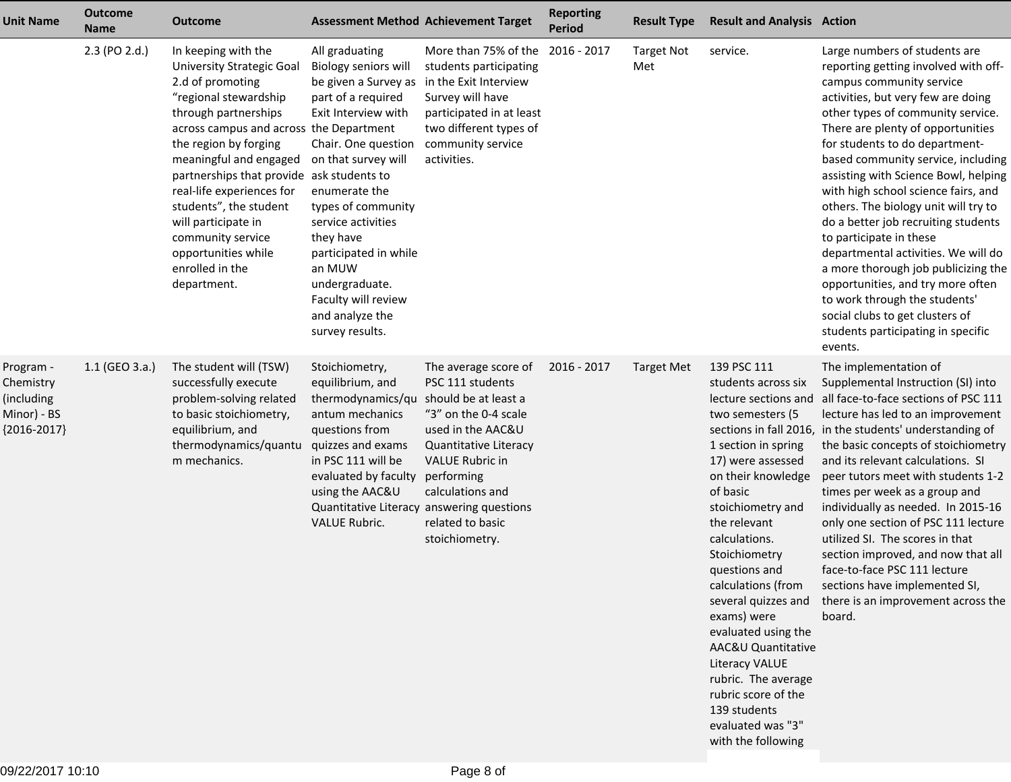| <b>Unit Name</b>                                                     | <b>Outcome</b><br><b>Name</b> | <b>Outcome</b>                                                                                                                                                                                                                                                                                                                                                                                                                      | <b>Assessment Method Achievement Target</b>                                                                                                                                                                                                                                                                                                           |                                                                                                                                                                                                                                          | <b>Reporting</b><br><b>Period</b> | <b>Result Type</b>       | <b>Result and Analysis Action</b>                                                                                                                                                                                                                                                                                                                                                                                                                                                               |                                                                                                                                                                                                                                                                                                                                                                                                                                                                                                                                                                                                                                                                                                                            |
|----------------------------------------------------------------------|-------------------------------|-------------------------------------------------------------------------------------------------------------------------------------------------------------------------------------------------------------------------------------------------------------------------------------------------------------------------------------------------------------------------------------------------------------------------------------|-------------------------------------------------------------------------------------------------------------------------------------------------------------------------------------------------------------------------------------------------------------------------------------------------------------------------------------------------------|------------------------------------------------------------------------------------------------------------------------------------------------------------------------------------------------------------------------------------------|-----------------------------------|--------------------------|-------------------------------------------------------------------------------------------------------------------------------------------------------------------------------------------------------------------------------------------------------------------------------------------------------------------------------------------------------------------------------------------------------------------------------------------------------------------------------------------------|----------------------------------------------------------------------------------------------------------------------------------------------------------------------------------------------------------------------------------------------------------------------------------------------------------------------------------------------------------------------------------------------------------------------------------------------------------------------------------------------------------------------------------------------------------------------------------------------------------------------------------------------------------------------------------------------------------------------------|
|                                                                      | 2.3 (PO 2.d.)                 | In keeping with the<br><b>University Strategic Goal</b><br>2.d of promoting<br>"regional stewardship<br>through partnerships<br>across campus and across the Department<br>the region by forging<br>meaningful and engaged<br>partnerships that provide ask students to<br>real-life experiences for<br>students", the student<br>will participate in<br>community service<br>opportunities while<br>enrolled in the<br>department. | All graduating<br>Biology seniors will<br>be given a Survey as<br>part of a required<br>Exit Interview with<br>Chair. One question<br>on that survey will<br>enumerate the<br>types of community<br>service activities<br>they have<br>participated in while<br>an MUW<br>undergraduate.<br>Faculty will review<br>and analyze the<br>survey results. | More than 75% of the<br>students participating<br>in the Exit Interview<br>Survey will have<br>participated in at least<br>two different types of<br>community service<br>activities.                                                    | 2016 - 2017                       | <b>Target Not</b><br>Met | service.                                                                                                                                                                                                                                                                                                                                                                                                                                                                                        | Large numbers of students are<br>reporting getting involved with off-<br>campus community service<br>activities, but very few are doing<br>other types of community service.<br>There are plenty of opportunities<br>for students to do department-<br>based community service, including<br>assisting with Science Bowl, helping<br>with high school science fairs, and<br>others. The biology unit will try to<br>do a better job recruiting students<br>to participate in these<br>departmental activities. We will do<br>a more thorough job publicizing the<br>opportunities, and try more often<br>to work through the students'<br>social clubs to get clusters of<br>students participating in specific<br>events. |
| Program -<br>Chemistry<br>(including<br>Minor) - BS<br>${2016-2017}$ | $1.1$ (GEO 3.a.)              | The student will (TSW)<br>successfully execute<br>problem-solving related<br>to basic stoichiometry,<br>equilibrium, and<br>thermodynamics/quantu<br>m mechanics.                                                                                                                                                                                                                                                                   | Stoichiometry,<br>equilibrium, and<br>thermodynamics/qu<br>antum mechanics<br>questions from<br>quizzes and exams<br>in PSC 111 will be<br>evaluated by faculty<br>using the AAC&U<br>Quantitative Literacy answering questions<br><b>VALUE Rubric.</b>                                                                                               | The average score of<br>PSC 111 students<br>should be at least a<br>"3" on the 0-4 scale<br>used in the AAC&U<br>Quantitative Literacy<br><b>VALUE Rubric in</b><br>performing<br>calculations and<br>related to basic<br>stoichiometry. | 2016 - 2017                       | <b>Target Met</b>        | 139 PSC 111<br>students across six<br>lecture sections and<br>two semesters (5<br>1 section in spring<br>17) were assessed<br>on their knowledge<br>of basic<br>stoichiometry and<br>the relevant<br>calculations.<br>Stoichiometry<br>questions and<br>calculations (from<br>several quizzes and<br>exams) were<br>evaluated using the<br>AAC&U Quantitative<br><b>Literacy VALUE</b><br>rubric. The average<br>rubric score of the<br>139 students<br>evaluated was "3"<br>with the following | The implementation of<br>Supplemental Instruction (SI) into<br>all face-to-face sections of PSC 111<br>lecture has led to an improvement<br>sections in fall 2016, in the students' understanding of<br>the basic concepts of stoichiometry<br>and its relevant calculations. SI<br>peer tutors meet with students 1-2<br>times per week as a group and<br>individually as needed. In 2015-16<br>only one section of PSC 111 lecture<br>utilized SI. The scores in that<br>section improved, and now that all<br>face-to-face PSC 111 lecture<br>sections have implemented SI,<br>there is an improvement across the<br>board.                                                                                             |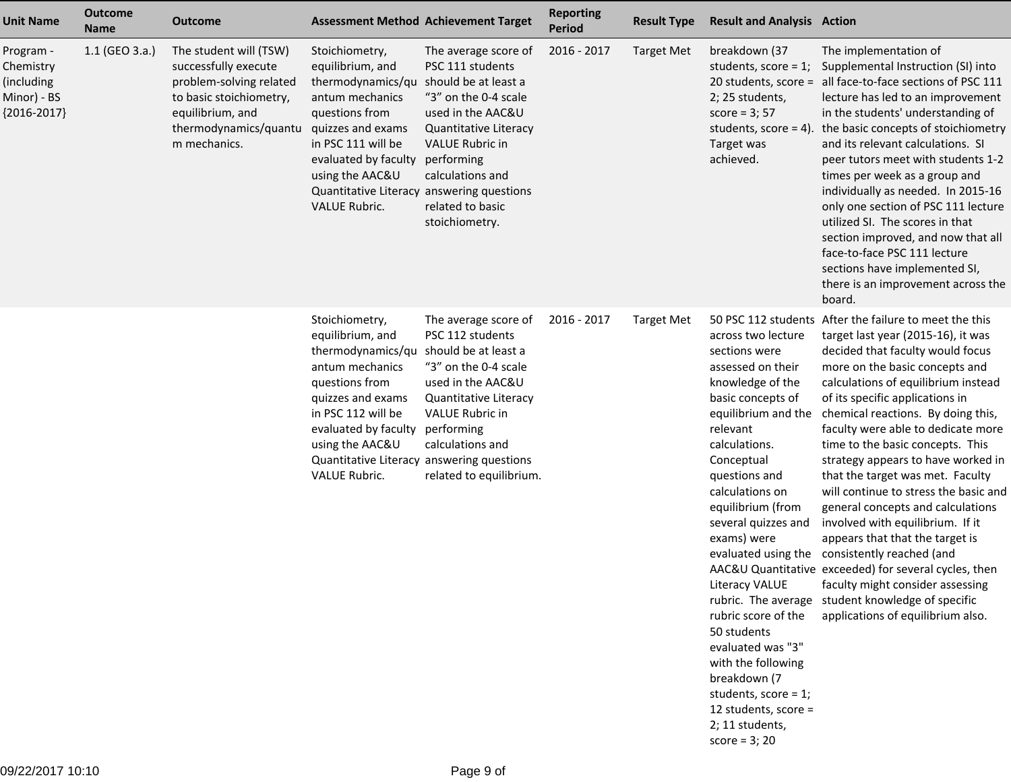| <b>Unit Name</b>                                                     | <b>Outcome</b><br><b>Name</b> | <b>Outcome</b>                                                                                                                                                    | <b>Assessment Method Achievement Target</b>                                                                                                                                                                                                             |                                                                                                                                                                                                                                          | <b>Reporting</b><br><b>Period</b> | <b>Result Type</b> | <b>Result and Analysis Action</b>                                                                                                                                                                                                                                                                                                                                                                                                                                              |                                                                                                                                                                                                                                                                                                                                                                                                                                                                                                                                                                                                                                                                                                                                                                                                                                     |
|----------------------------------------------------------------------|-------------------------------|-------------------------------------------------------------------------------------------------------------------------------------------------------------------|---------------------------------------------------------------------------------------------------------------------------------------------------------------------------------------------------------------------------------------------------------|------------------------------------------------------------------------------------------------------------------------------------------------------------------------------------------------------------------------------------------|-----------------------------------|--------------------|--------------------------------------------------------------------------------------------------------------------------------------------------------------------------------------------------------------------------------------------------------------------------------------------------------------------------------------------------------------------------------------------------------------------------------------------------------------------------------|-------------------------------------------------------------------------------------------------------------------------------------------------------------------------------------------------------------------------------------------------------------------------------------------------------------------------------------------------------------------------------------------------------------------------------------------------------------------------------------------------------------------------------------------------------------------------------------------------------------------------------------------------------------------------------------------------------------------------------------------------------------------------------------------------------------------------------------|
| Program -<br>Chemistry<br>(including<br>Minor) - BS<br>${2016-2017}$ | $1.1$ (GEO 3.a.)              | The student will (TSW)<br>successfully execute<br>problem-solving related<br>to basic stoichiometry,<br>equilibrium, and<br>thermodynamics/quantu<br>m mechanics. | Stoichiometry,<br>equilibrium, and<br>thermodynamics/qu<br>antum mechanics<br>questions from<br>quizzes and exams<br>in PSC 111 will be<br>evaluated by faculty<br>using the AAC&U<br>Quantitative Literacy answering questions<br><b>VALUE Rubric.</b> | The average score of<br>PSC 111 students<br>should be at least a<br>"3" on the 0-4 scale<br>used in the AAC&U<br>Quantitative Literacy<br><b>VALUE Rubric in</b><br>performing<br>calculations and<br>related to basic<br>stoichiometry. | 2016 - 2017                       | <b>Target Met</b>  | breakdown (37<br>students, score = $1$ ;<br>2; 25 students,<br>score = $3;57$<br>students, score = $4$ )<br>Target was<br>achieved.                                                                                                                                                                                                                                                                                                                                            | The implementation of<br>Supplemental Instruction (SI) into<br>20 students, score = all face-to-face sections of PSC 111<br>lecture has led to an improvement<br>in the students' understanding of<br>the basic concepts of stoichiometry<br>and its relevant calculations. SI<br>peer tutors meet with students 1-2<br>times per week as a group and<br>individually as needed. In 2015-16<br>only one section of PSC 111 lecture<br>utilized SI. The scores in that<br>section improved, and now that all<br>face-to-face PSC 111 lecture<br>sections have implemented SI,<br>there is an improvement across the<br>board.                                                                                                                                                                                                        |
|                                                                      |                               |                                                                                                                                                                   | Stoichiometry,<br>equilibrium, and<br>thermodynamics/qu<br>antum mechanics<br>questions from<br>quizzes and exams<br>in PSC 112 will be<br>evaluated by faculty<br>using the AAC&U<br>Quantitative Literacy answering questions<br>VALUE Rubric.        | The average score of<br>PSC 112 students<br>should be at least a<br>"3" on the 0-4 scale<br>used in the AAC&U<br>Quantitative Literacy<br><b>VALUE Rubric in</b><br>performing<br>calculations and<br>related to equilibrium.            | 2016 - 2017                       | <b>Target Met</b>  | across two lecture<br>sections were<br>assessed on their<br>knowledge of the<br>basic concepts of<br>equilibrium and the<br>relevant<br>calculations.<br>Conceptual<br>questions and<br>calculations on<br>equilibrium (from<br>several quizzes and<br>exams) were<br>Literacy VALUE<br>rubric score of the<br>50 students<br>evaluated was "3"<br>with the following<br>breakdown (7<br>students, score = $1$ ;<br>12 students, score =<br>2; 11 students,<br>score = $3; 20$ | 50 PSC 112 students After the failure to meet the this<br>target last year (2015-16), it was<br>decided that faculty would focus<br>more on the basic concepts and<br>calculations of equilibrium instead<br>of its specific applications in<br>chemical reactions. By doing this,<br>faculty were able to dedicate more<br>time to the basic concepts. This<br>strategy appears to have worked in<br>that the target was met. Faculty<br>will continue to stress the basic and<br>general concepts and calculations<br>involved with equilibrium. If it<br>appears that that the target is<br>evaluated using the consistently reached (and<br>AAC&U Quantitative exceeded) for several cycles, then<br>faculty might consider assessing<br>rubric. The average student knowledge of specific<br>applications of equilibrium also. |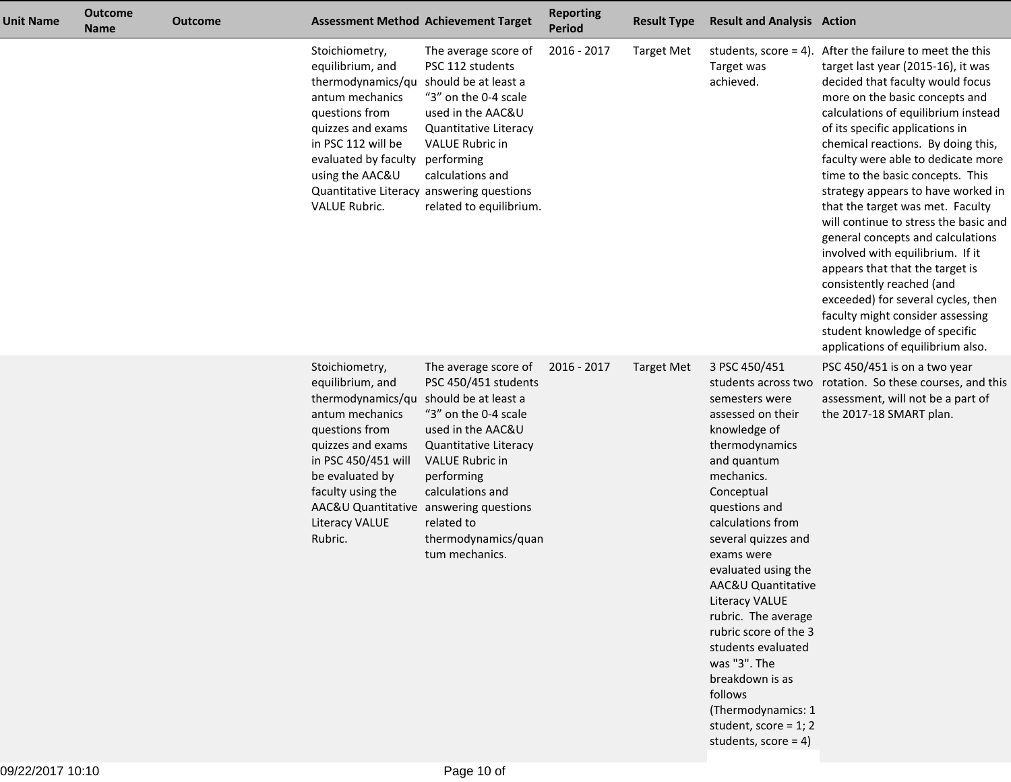| <b>Unit Name</b> | <b>Outcome</b><br><b>Name</b> | <b>Outcome</b> |                                                                                                                                                                                                                                                                              | <b>Assessment Method Achievement Target</b>                                                                                                                                                                                           | <b>Reporting</b><br><b>Period</b> | <b>Result Type</b> | <b>Result and Analysis Action</b>                                                                                                                                                                                                                                                                                                                                                                                                                                                                         |                                                                                                                                                                                                                                                                                                                                                                                                                                                                                                                                                                                                                                                                                                                                                                            |
|------------------|-------------------------------|----------------|------------------------------------------------------------------------------------------------------------------------------------------------------------------------------------------------------------------------------------------------------------------------------|---------------------------------------------------------------------------------------------------------------------------------------------------------------------------------------------------------------------------------------|-----------------------------------|--------------------|-----------------------------------------------------------------------------------------------------------------------------------------------------------------------------------------------------------------------------------------------------------------------------------------------------------------------------------------------------------------------------------------------------------------------------------------------------------------------------------------------------------|----------------------------------------------------------------------------------------------------------------------------------------------------------------------------------------------------------------------------------------------------------------------------------------------------------------------------------------------------------------------------------------------------------------------------------------------------------------------------------------------------------------------------------------------------------------------------------------------------------------------------------------------------------------------------------------------------------------------------------------------------------------------------|
|                  |                               |                | Stoichiometry,<br>equilibrium, and<br>thermodynamics/qu should be at least a<br>antum mechanics<br>questions from<br>quizzes and exams<br>in PSC 112 will be<br>evaluated by faculty performing<br>using the AAC&U<br>VALUE Rubric.                                          | The average score of<br>PSC 112 students<br>"3" on the 0-4 scale<br>used in the AAC&U<br>Quantitative Literacy<br>VALUE Rubric in<br>calculations and<br>Quantitative Literacy answering questions<br>related to equilibrium.         | 2016 - 2017                       | <b>Target Met</b>  | Target was<br>achieved.                                                                                                                                                                                                                                                                                                                                                                                                                                                                                   | students, score = 4). After the failure to meet the this<br>target last year (2015-16), it was<br>decided that faculty would focus<br>more on the basic concepts and<br>calculations of equilibrium instead<br>of its specific applications in<br>chemical reactions. By doing this,<br>faculty were able to dedicate more<br>time to the basic concepts. This<br>strategy appears to have worked in<br>that the target was met. Faculty<br>will continue to stress the basic and<br>general concepts and calculations<br>involved with equilibrium. If it<br>appears that that the target is<br>consistently reached (and<br>exceeded) for several cycles, then<br>faculty might consider assessing<br>student knowledge of specific<br>applications of equilibrium also. |
|                  |                               |                | Stoichiometry,<br>equilibrium, and<br>thermodynamics/qu should be at least a<br>antum mechanics<br>questions from<br>quizzes and exams<br>in PSC 450/451 will<br>be evaluated by<br>faculty using the<br>AAC&U Quantitative answering questions<br>Literacy VALUE<br>Rubric. | The average score of<br>PSC 450/451 students<br>"3" on the 0-4 scale<br>used in the AAC&U<br>Quantitative Literacy<br><b>VALUE Rubric in</b><br>performing<br>calculations and<br>related to<br>thermodynamics/quan<br>tum mechanics. | 2016 - 2017                       | <b>Target Met</b>  | 3 PSC 450/451<br>students across two<br>semesters were<br>assessed on their<br>knowledge of<br>thermodynamics<br>and quantum<br>mechanics.<br>Conceptual<br>questions and<br>calculations from<br>several quizzes and<br>exams were<br>evaluated using the<br>AAC&U Quantitative<br><b>Literacy VALUE</b><br>rubric. The average<br>rubric score of the 3<br>students evaluated<br>was "3". The<br>breakdown is as<br>follows<br>(Thermodynamics: 1<br>student, score = $1; 2$<br>students, score = $4$ ) | PSC 450/451 is on a two year<br>rotation. So these courses, and this<br>assessment, will not be a part of<br>the 2017-18 SMART plan.                                                                                                                                                                                                                                                                                                                                                                                                                                                                                                                                                                                                                                       |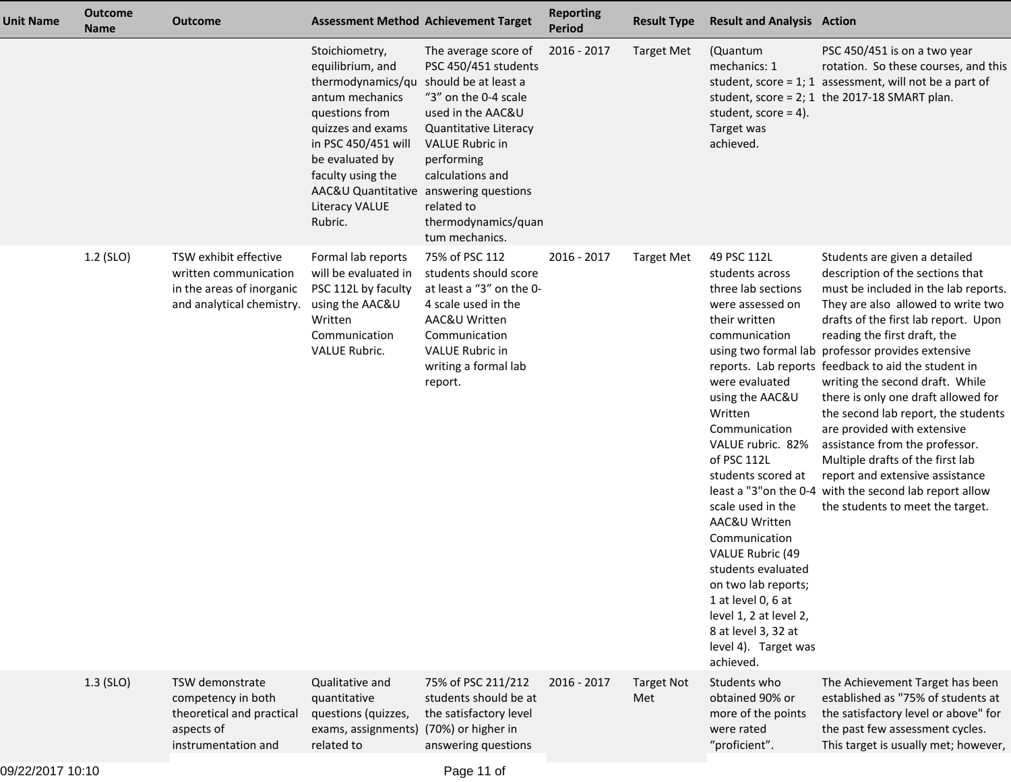| <b>Unit Name</b> | <b>Outcome</b><br><b>Name</b> | <b>Outcome</b>                                                                                           | <b>Assessment Method Achievement Target</b>                                                                                                                                                                                                                                  |                                                                                                                                                                                                                                       | <b>Reporting</b><br><b>Period</b> | <b>Result Type</b>       | <b>Result and Analysis Action</b>                                                                                                                                                                                                                                                                                                                                                                                                                                         |                                                                                                                                                                                                                                                                                                                                                                                                                                                                                                                                                                                                                                                                                             |
|------------------|-------------------------------|----------------------------------------------------------------------------------------------------------|------------------------------------------------------------------------------------------------------------------------------------------------------------------------------------------------------------------------------------------------------------------------------|---------------------------------------------------------------------------------------------------------------------------------------------------------------------------------------------------------------------------------------|-----------------------------------|--------------------------|---------------------------------------------------------------------------------------------------------------------------------------------------------------------------------------------------------------------------------------------------------------------------------------------------------------------------------------------------------------------------------------------------------------------------------------------------------------------------|---------------------------------------------------------------------------------------------------------------------------------------------------------------------------------------------------------------------------------------------------------------------------------------------------------------------------------------------------------------------------------------------------------------------------------------------------------------------------------------------------------------------------------------------------------------------------------------------------------------------------------------------------------------------------------------------|
|                  |                               |                                                                                                          | Stoichiometry,<br>equilibrium, and<br>thermodynamics/qu should be at least a<br>antum mechanics<br>questions from<br>quizzes and exams<br>in PSC 450/451 will<br>be evaluated by<br>faculty using the<br>AAC&U Quantitative answering questions<br>Literacy VALUE<br>Rubric. | The average score of<br>PSC 450/451 students<br>"3" on the 0-4 scale<br>used in the AAC&U<br>Quantitative Literacy<br><b>VALUE Rubric in</b><br>performing<br>calculations and<br>related to<br>thermodynamics/quan<br>tum mechanics. | 2016 - 2017                       | <b>Target Met</b>        | (Quantum<br>mechanics: 1<br>student, $score = 4$ ).<br>Target was<br>achieved.                                                                                                                                                                                                                                                                                                                                                                                            | PSC 450/451 is on a two year<br>rotation. So these courses, and this<br>student, score = $1$ ; 1 assessment, will not be a part of<br>student, score = $2$ ; 1 the 2017-18 SMART plan.                                                                                                                                                                                                                                                                                                                                                                                                                                                                                                      |
|                  | 1.2 (SLO)                     | TSW exhibit effective<br>written communication<br>in the areas of inorganic<br>and analytical chemistry. | Formal lab reports<br>will be evaluated in<br>PSC 112L by faculty<br>using the AAC&U<br>Written<br>Communication<br><b>VALUE Rubric.</b>                                                                                                                                     | 75% of PSC 112<br>students should score<br>at least a "3" on the 0-<br>4 scale used in the<br>AAC&U Written<br>Communication<br><b>VALUE Rubric in</b><br>writing a formal lab<br>report.                                             | 2016 - 2017                       | <b>Target Met</b>        | 49 PSC 112L<br>students across<br>three lab sections<br>were assessed on<br>their written<br>communication<br>were evaluated<br>using the AAC&U<br>Written<br>Communication<br>VALUE rubric. 82%<br>of PSC 112L<br>students scored at<br>scale used in the<br>AAC&U Written<br>Communication<br>VALUE Rubric (49<br>students evaluated<br>on two lab reports;<br>1 at level 0, 6 at<br>level 1, 2 at level 2,<br>8 at level 3, 32 at<br>level 4). Target was<br>achieved. | Students are given a detailed<br>description of the sections that<br>must be included in the lab reports.<br>They are also allowed to write two<br>drafts of the first lab report. Upon<br>reading the first draft, the<br>using two formal lab professor provides extensive<br>reports. Lab reports feedback to aid the student in<br>writing the second draft. While<br>there is only one draft allowed for<br>the second lab report, the students<br>are provided with extensive<br>assistance from the professor.<br>Multiple drafts of the first lab<br>report and extensive assistance<br>least a "3" on the 0-4 with the second lab report allow<br>the students to meet the target. |
|                  | $1.3$ (SLO)                   | TSW demonstrate<br>competency in both<br>theoretical and practical<br>aspects of<br>instrumentation and  | Qualitative and<br>quantitative<br>questions (quizzes,<br>exams, assignments) (70%) or higher in<br>related to                                                                                                                                                               | 75% of PSC 211/212<br>students should be at<br>the satisfactory level<br>answering questions                                                                                                                                          | 2016 - 2017                       | <b>Target Not</b><br>Met | Students who<br>obtained 90% or<br>more of the points<br>were rated<br>"proficient".                                                                                                                                                                                                                                                                                                                                                                                      | The Achievement Target has been<br>established as "75% of students at<br>the satisfactory level or above" for<br>the past few assessment cycles.<br>This target is usually met; however,                                                                                                                                                                                                                                                                                                                                                                                                                                                                                                    |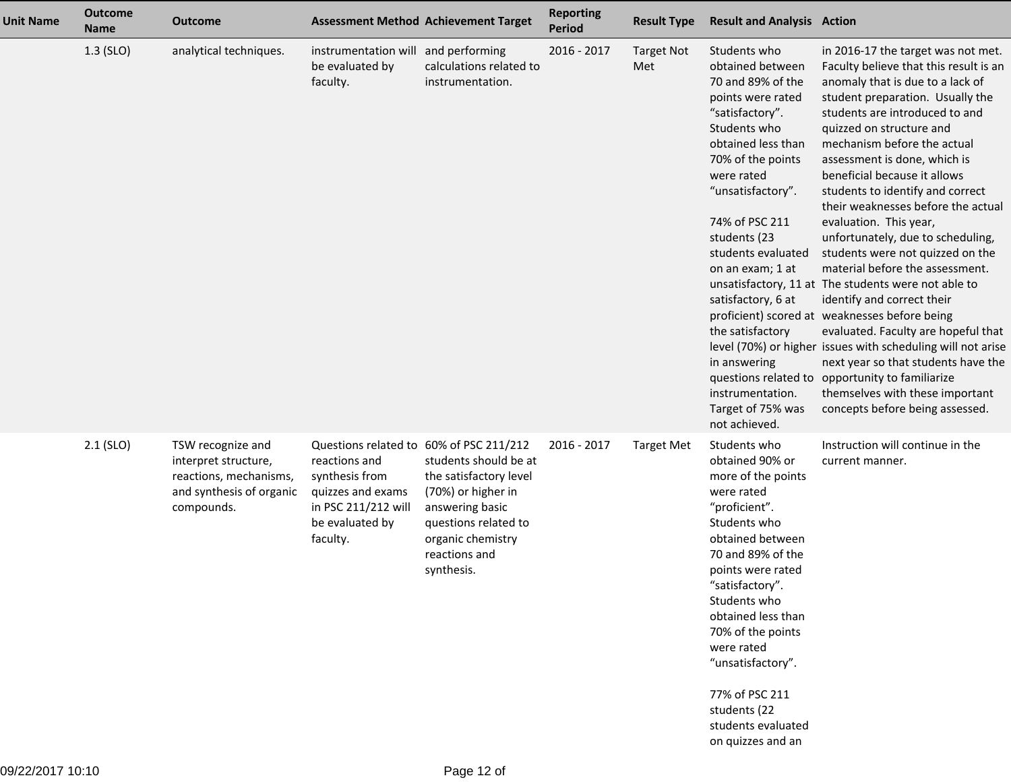| <b>Unit Name</b> | <b>Outcome</b><br><b>Name</b> | <b>Outcome</b>                                                                                                |                                                                                                                                                       | <b>Assessment Method Achievement Target</b>                                                                                                                          | <b>Reporting</b><br><b>Period</b> | <b>Result Type</b>       | <b>Result and Analysis Action</b>                                                                                                                                                                                                                                                                                                                                                           |                                                                                                                                                                                                                                                                                                                                                                                                                                                                                                                                                                                                                                                                                                                                                                                                                                                                                                                                               |
|------------------|-------------------------------|---------------------------------------------------------------------------------------------------------------|-------------------------------------------------------------------------------------------------------------------------------------------------------|----------------------------------------------------------------------------------------------------------------------------------------------------------------------|-----------------------------------|--------------------------|---------------------------------------------------------------------------------------------------------------------------------------------------------------------------------------------------------------------------------------------------------------------------------------------------------------------------------------------------------------------------------------------|-----------------------------------------------------------------------------------------------------------------------------------------------------------------------------------------------------------------------------------------------------------------------------------------------------------------------------------------------------------------------------------------------------------------------------------------------------------------------------------------------------------------------------------------------------------------------------------------------------------------------------------------------------------------------------------------------------------------------------------------------------------------------------------------------------------------------------------------------------------------------------------------------------------------------------------------------|
|                  | 1.3 (SLO)                     | analytical techniques.                                                                                        | instrumentation will and performing<br>be evaluated by<br>faculty.                                                                                    | calculations related to<br>instrumentation.                                                                                                                          | 2016 - 2017                       | <b>Target Not</b><br>Met | Students who<br>obtained between<br>70 and 89% of the<br>points were rated<br>"satisfactory".<br>Students who<br>obtained less than<br>70% of the points<br>were rated<br>"unsatisfactory".<br>74% of PSC 211<br>students (23<br>students evaluated<br>on an exam; 1 at<br>satisfactory, 6 at<br>the satisfactory<br>in answering<br>instrumentation.<br>Target of 75% was<br>not achieved. | in 2016-17 the target was not met.<br>Faculty believe that this result is an<br>anomaly that is due to a lack of<br>student preparation. Usually the<br>students are introduced to and<br>quizzed on structure and<br>mechanism before the actual<br>assessment is done, which is<br>beneficial because it allows<br>students to identify and correct<br>their weaknesses before the actual<br>evaluation. This year,<br>unfortunately, due to scheduling,<br>students were not quizzed on the<br>material before the assessment.<br>unsatisfactory, 11 at The students were not able to<br>identify and correct their<br>proficient) scored at weaknesses before being<br>evaluated. Faculty are hopeful that<br>level (70%) or higher issues with scheduling will not arise<br>next year so that students have the<br>questions related to opportunity to familiarize<br>themselves with these important<br>concepts before being assessed. |
|                  | $2.1$ (SLO)                   | TSW recognize and<br>interpret structure,<br>reactions, mechanisms,<br>and synthesis of organic<br>compounds. | Questions related to 60% of PSC 211/212<br>reactions and<br>synthesis from<br>quizzes and exams<br>in PSC 211/212 will<br>be evaluated by<br>faculty. | students should be at<br>the satisfactory level<br>(70%) or higher in<br>answering basic<br>questions related to<br>organic chemistry<br>reactions and<br>synthesis. | 2016 - 2017                       | <b>Target Met</b>        | Students who<br>obtained 90% or<br>more of the points<br>were rated<br>"proficient".<br>Students who<br>obtained between<br>70 and 89% of the<br>points were rated<br>"satisfactory".<br>Students who<br>obtained less than<br>70% of the points<br>were rated<br>"unsatisfactory".<br>77% of PSC 211<br>students (22<br>students evaluated<br>on quizzes and an                            | Instruction will continue in the<br>current manner.                                                                                                                                                                                                                                                                                                                                                                                                                                                                                                                                                                                                                                                                                                                                                                                                                                                                                           |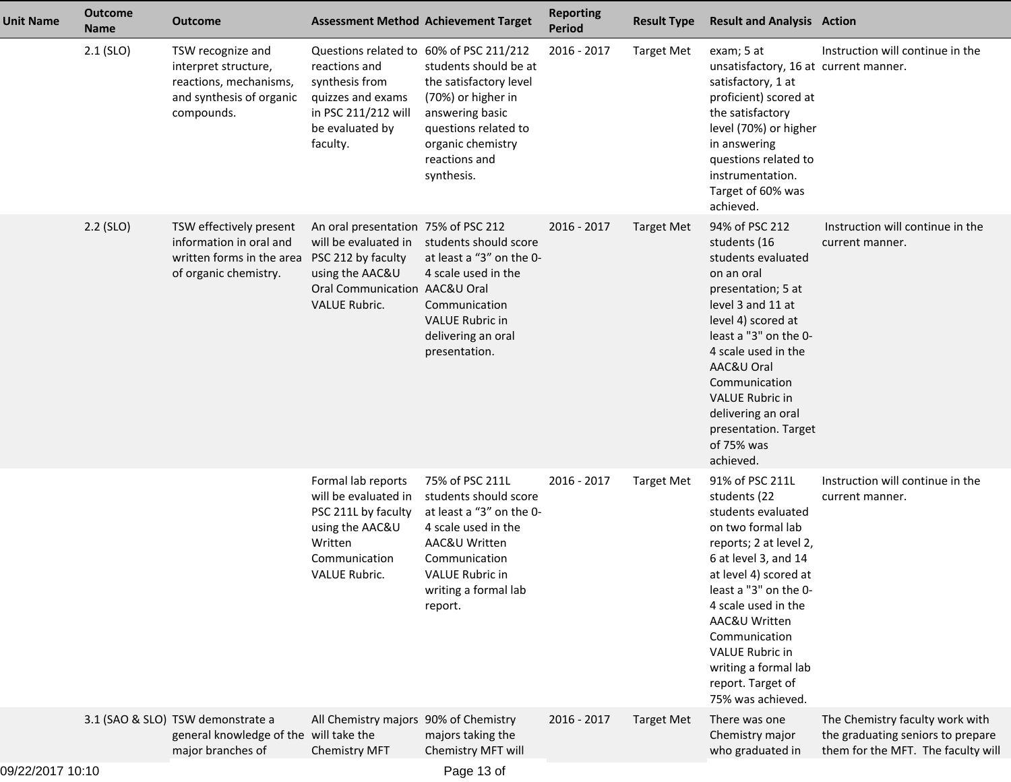| <b>Unit Name</b> | <b>Outcome</b><br><b>Name</b> | Outcome                                                                                                       |                                                                                                                                                               | <b>Assessment Method Achievement Target</b>                                                                                                                                                                     | <b>Reporting</b><br><b>Period</b> | <b>Result Type</b> | <b>Result and Analysis Action</b>                                                                                                                                                                                                                                                                                                   |                                                                                                            |
|------------------|-------------------------------|---------------------------------------------------------------------------------------------------------------|---------------------------------------------------------------------------------------------------------------------------------------------------------------|-----------------------------------------------------------------------------------------------------------------------------------------------------------------------------------------------------------------|-----------------------------------|--------------------|-------------------------------------------------------------------------------------------------------------------------------------------------------------------------------------------------------------------------------------------------------------------------------------------------------------------------------------|------------------------------------------------------------------------------------------------------------|
|                  | $2.1$ (SLO)                   | TSW recognize and<br>interpret structure,<br>reactions, mechanisms,<br>and synthesis of organic<br>compounds. | reactions and<br>synthesis from<br>quizzes and exams<br>in PSC 211/212 will<br>be evaluated by<br>faculty.                                                    | Questions related to 60% of PSC 211/212<br>students should be at<br>the satisfactory level<br>(70%) or higher in<br>answering basic<br>questions related to<br>organic chemistry<br>reactions and<br>synthesis. | 2016 - 2017                       | <b>Target Met</b>  | exam; 5 at<br>unsatisfactory, 16 at current manner.<br>satisfactory, 1 at<br>proficient) scored at<br>the satisfactory<br>level (70%) or higher<br>in answering<br>questions related to<br>instrumentation.<br>Target of 60% was<br>achieved.                                                                                       | Instruction will continue in the                                                                           |
|                  | $2.2$ (SLO)                   | TSW effectively present<br>information in oral and<br>written forms in the area<br>of organic chemistry.      | An oral presentation 75% of PSC 212<br>will be evaluated in<br>PSC 212 by faculty<br>using the AAC&U<br>Oral Communication AAC&U Oral<br><b>VALUE Rubric.</b> | students should score<br>at least a "3" on the 0-<br>4 scale used in the<br>Communication<br><b>VALUE Rubric in</b><br>delivering an oral<br>presentation.                                                      | 2016 - 2017                       | <b>Target Met</b>  | 94% of PSC 212<br>students (16<br>students evaluated<br>on an oral<br>presentation; 5 at<br>level 3 and 11 at<br>level 4) scored at<br>least a "3" on the 0-<br>4 scale used in the<br>AAC&U Oral<br>Communication<br><b>VALUE Rubric in</b><br>delivering an oral<br>presentation. Target<br>of 75% was<br>achieved.               | Instruction will continue in the<br>current manner.                                                        |
|                  |                               |                                                                                                               | Formal lab reports<br>will be evaluated in<br>PSC 211L by faculty<br>using the AAC&U<br>Written<br>Communication<br>VALUE Rubric.                             | 75% of PSC 211L<br>students should score<br>at least a "3" on the 0-<br>4 scale used in the<br>AAC&U Written<br>Communication<br>VALUE Rubric in<br>writing a formal lab<br>report.                             | 2016 - 2017                       | <b>Target Met</b>  | 91% of PSC 211L<br>students (22<br>students evaluated<br>on two formal lab<br>reports; 2 at level 2,<br>6 at level 3, and 14<br>at level 4) scored at<br>least a "3" on the 0-<br>4 scale used in the<br>AAC&U Written<br>Communication<br><b>VALUE Rubric in</b><br>writing a formal lab<br>report. Target of<br>75% was achieved. | Instruction will continue in the<br>current manner.                                                        |
|                  |                               | 3.1 (SAO & SLO) TSW demonstrate a<br>general knowledge of the will take the<br>major branches of              | All Chemistry majors 90% of Chemistry<br><b>Chemistry MFT</b>                                                                                                 | majors taking the<br>Chemistry MFT will                                                                                                                                                                         | 2016 - 2017                       | <b>Target Met</b>  | There was one<br>Chemistry major<br>who graduated in                                                                                                                                                                                                                                                                                | The Chemistry faculty work with<br>the graduating seniors to prepare<br>them for the MFT. The faculty will |
|                  |                               |                                                                                                               |                                                                                                                                                               |                                                                                                                                                                                                                 |                                   |                    |                                                                                                                                                                                                                                                                                                                                     |                                                                                                            |

09/22/2017 10:10

Page 13 of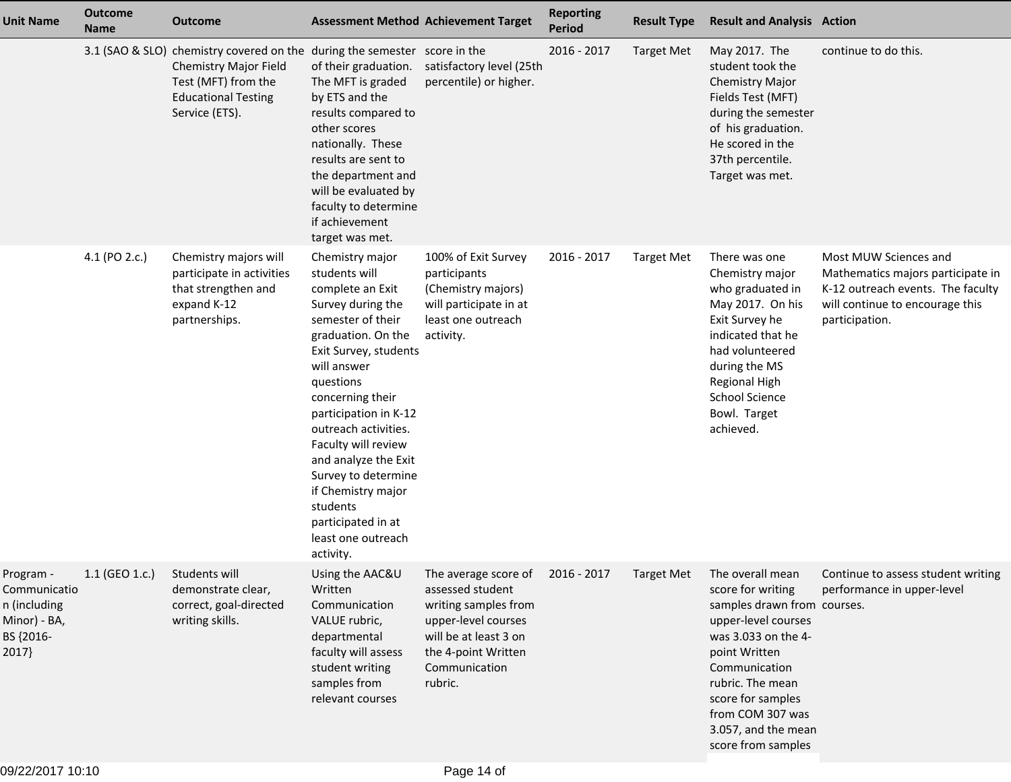| <b>Unit Name</b>                                                                | <b>Outcome</b><br><b>Name</b> | <b>Outcome</b>                                                                                                                                                            |                                                                                                                                                                                                                                                                                                                                                                                                                 | <b>Assessment Method Achievement Target</b>                                                                                                                                     | <b>Reporting</b><br><b>Period</b> | <b>Result Type</b> | <b>Result and Analysis Action</b>                                                                                                                                                                                                                                         |                                                                                                                                                      |
|---------------------------------------------------------------------------------|-------------------------------|---------------------------------------------------------------------------------------------------------------------------------------------------------------------------|-----------------------------------------------------------------------------------------------------------------------------------------------------------------------------------------------------------------------------------------------------------------------------------------------------------------------------------------------------------------------------------------------------------------|---------------------------------------------------------------------------------------------------------------------------------------------------------------------------------|-----------------------------------|--------------------|---------------------------------------------------------------------------------------------------------------------------------------------------------------------------------------------------------------------------------------------------------------------------|------------------------------------------------------------------------------------------------------------------------------------------------------|
|                                                                                 |                               | 3.1 (SAO & SLO) chemistry covered on the during the semester score in the<br>Chemistry Major Field<br>Test (MFT) from the<br><b>Educational Testing</b><br>Service (ETS). | of their graduation.<br>The MFT is graded<br>by ETS and the<br>results compared to<br>other scores<br>nationally. These<br>results are sent to<br>the department and<br>will be evaluated by<br>faculty to determine<br>if achievement<br>target was met.                                                                                                                                                       | satisfactory level (25th<br>percentile) or higher.                                                                                                                              | 2016 - 2017                       | <b>Target Met</b>  | May 2017. The<br>student took the<br>Chemistry Major<br>Fields Test (MFT)<br>during the semester<br>of his graduation.<br>He scored in the<br>37th percentile.<br>Target was met.                                                                                         | continue to do this.                                                                                                                                 |
|                                                                                 | 4.1 (PO 2.c.)                 | Chemistry majors will<br>participate in activities<br>that strengthen and<br>expand K-12<br>partnerships.                                                                 | Chemistry major<br>students will<br>complete an Exit<br>Survey during the<br>semester of their<br>graduation. On the<br>Exit Survey, students<br>will answer<br>questions<br>concerning their<br>participation in K-12<br>outreach activities.<br>Faculty will review<br>and analyze the Exit<br>Survey to determine<br>if Chemistry major<br>students<br>participated in at<br>least one outreach<br>activity. | 100% of Exit Survey<br>participants<br>(Chemistry majors)<br>will participate in at<br>least one outreach<br>activity.                                                          | 2016 - 2017                       | <b>Target Met</b>  | There was one<br>Chemistry major<br>who graduated in<br>May 2017. On his<br>Exit Survey he<br>indicated that he<br>had volunteered<br>during the MS<br><b>Regional High</b><br><b>School Science</b><br>Bowl. Target<br>achieved.                                         | Most MUW Sciences and<br>Mathematics majors participate in<br>K-12 outreach events. The faculty<br>will continue to encourage this<br>participation. |
| Program -<br>Communicatio<br>n (including<br>Minor) - BA,<br>BS {2016-<br>2017} | 1.1 (GEO 1.c.) Students will  | demonstrate clear,<br>correct, goal-directed<br>writing skills.                                                                                                           | Using the AAC&U<br>Written<br>Communication<br>VALUE rubric,<br>departmental<br>faculty will assess<br>student writing<br>samples from<br>relevant courses                                                                                                                                                                                                                                                      | The average score of 2016 - 2017<br>assessed student<br>writing samples from<br>upper-level courses<br>will be at least 3 on<br>the 4-point Written<br>Communication<br>rubric. |                                   |                    | Target Met The overall mean<br>score for writing<br>samples drawn from courses.<br>upper-level courses<br>was 3.033 on the 4-<br>point Written<br>Communication<br>rubric. The mean<br>score for samples<br>from COM 307 was<br>3.057, and the mean<br>score from samples | Continue to assess student writing<br>performance in upper-level                                                                                     |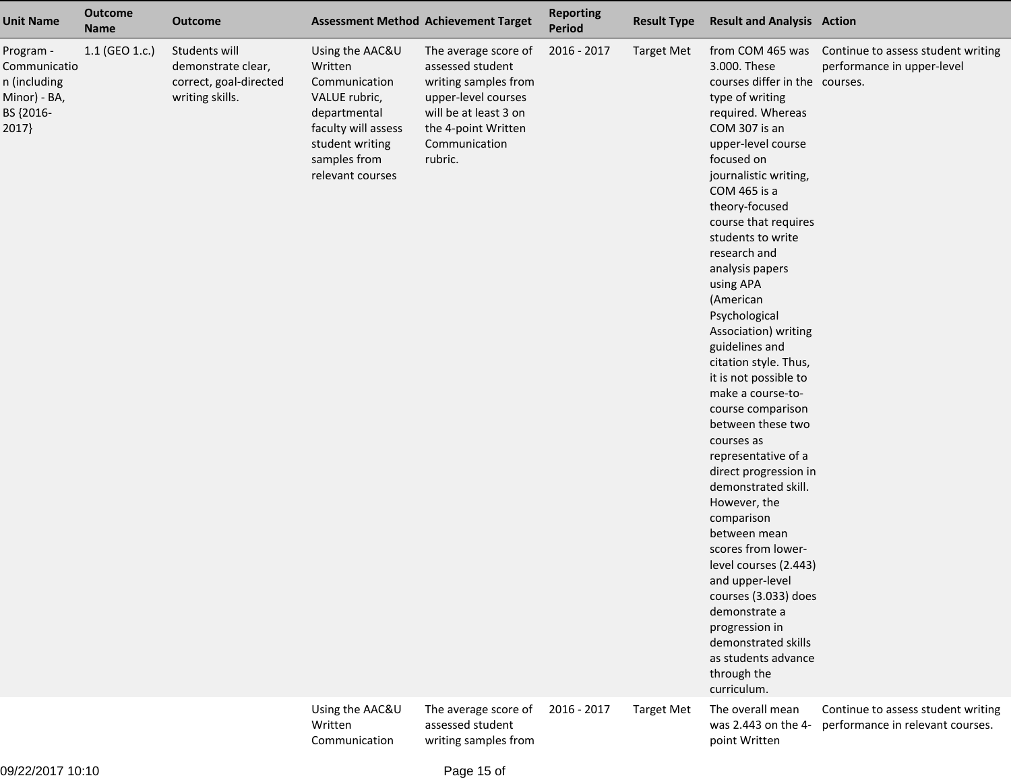| <b>Unit Name</b>                                                                | <b>Outcome</b><br><b>Name</b> | <b>Outcome</b>                                                                   |                                                                                                                                                            | <b>Assessment Method Achievement Target</b>                                                                                                                         | <b>Reporting</b><br><b>Period</b> | <b>Result Type</b> | <b>Result and Analysis Action</b>                                                                                                                                                                                                                                                                                                                                                                                                                                                                                                                                                                                                                                                                                                                                                                                                        |                                                                                   |
|---------------------------------------------------------------------------------|-------------------------------|----------------------------------------------------------------------------------|------------------------------------------------------------------------------------------------------------------------------------------------------------|---------------------------------------------------------------------------------------------------------------------------------------------------------------------|-----------------------------------|--------------------|------------------------------------------------------------------------------------------------------------------------------------------------------------------------------------------------------------------------------------------------------------------------------------------------------------------------------------------------------------------------------------------------------------------------------------------------------------------------------------------------------------------------------------------------------------------------------------------------------------------------------------------------------------------------------------------------------------------------------------------------------------------------------------------------------------------------------------------|-----------------------------------------------------------------------------------|
| Program -<br>Communicatio<br>n (including<br>Minor) - BA,<br>BS {2016-<br>2017} | 1.1 (GEO 1.c.)                | Students will<br>demonstrate clear,<br>correct, goal-directed<br>writing skills. | Using the AAC&U<br>Written<br>Communication<br>VALUE rubric,<br>departmental<br>faculty will assess<br>student writing<br>samples from<br>relevant courses | The average score of<br>assessed student<br>writing samples from<br>upper-level courses<br>will be at least 3 on<br>the 4-point Written<br>Communication<br>rubric. | 2016 - 2017                       | <b>Target Met</b>  | 3.000. These<br>courses differ in the courses.<br>type of writing<br>required. Whereas<br>COM 307 is an<br>upper-level course<br>focused on<br>journalistic writing,<br>COM 465 is a<br>theory-focused<br>course that requires<br>students to write<br>research and<br>analysis papers<br>using APA<br>(American<br>Psychological<br>Association) writing<br>guidelines and<br>citation style. Thus,<br>it is not possible to<br>make a course-to-<br>course comparison<br>between these two<br>courses as<br>representative of a<br>direct progression in<br>demonstrated skill.<br>However, the<br>comparison<br>between mean<br>scores from lower-<br>level courses (2.443)<br>and upper-level<br>courses (3.033) does<br>demonstrate a<br>progression in<br>demonstrated skills<br>as students advance<br>through the<br>curriculum. | from COM 465 was Continue to assess student writing<br>performance in upper-level |
|                                                                                 |                               |                                                                                  | Using the AAC&U<br>Written<br>Communication                                                                                                                | The average score of<br>assessed student<br>writing samples from                                                                                                    | 2016 - 2017                       | <b>Target Met</b>  | The overall mean<br>was 2.443 on the 4-<br>point Written                                                                                                                                                                                                                                                                                                                                                                                                                                                                                                                                                                                                                                                                                                                                                                                 | Continue to assess student writing<br>performance in relevant courses.            |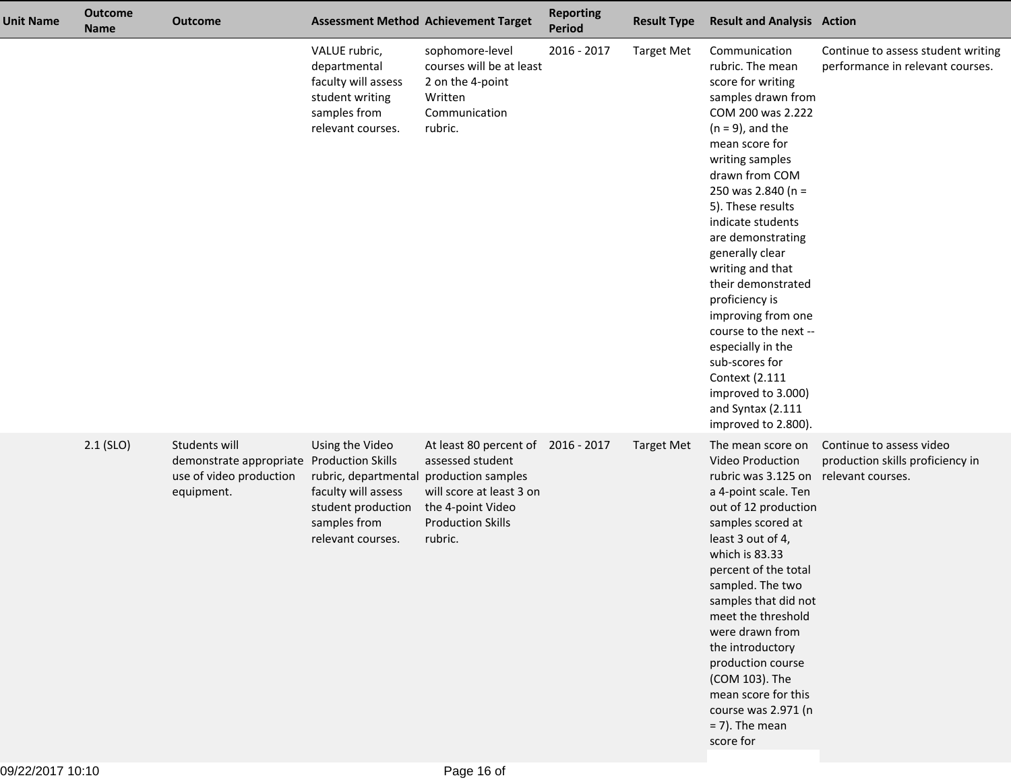| <b>Unit Name</b> | <b>Outcome</b><br><b>Name</b> | <b>Outcome</b>                                                                                      |                                                                                                                           | <b>Assessment Method Achievement Target</b>                                                                                                                          | <b>Reporting</b><br>Period | <b>Result Type</b> | <b>Result and Analysis Action</b>                                                                                                                                                                                                                                                                                                                                                                                                                                                                                             |                                                                                   |
|------------------|-------------------------------|-----------------------------------------------------------------------------------------------------|---------------------------------------------------------------------------------------------------------------------------|----------------------------------------------------------------------------------------------------------------------------------------------------------------------|----------------------------|--------------------|-------------------------------------------------------------------------------------------------------------------------------------------------------------------------------------------------------------------------------------------------------------------------------------------------------------------------------------------------------------------------------------------------------------------------------------------------------------------------------------------------------------------------------|-----------------------------------------------------------------------------------|
|                  |                               |                                                                                                     | VALUE rubric,<br>departmental<br>faculty will assess<br>student writing<br>samples from<br>relevant courses.              | sophomore-level<br>courses will be at least<br>2 on the 4-point<br>Written<br>Communication<br>rubric.                                                               | 2016 - 2017                | <b>Target Met</b>  | Communication<br>rubric. The mean<br>score for writing<br>samples drawn from<br>COM 200 was 2.222<br>$(n = 9)$ , and the<br>mean score for<br>writing samples<br>drawn from COM<br>250 was 2.840 (n =<br>5). These results<br>indicate students<br>are demonstrating<br>generally clear<br>writing and that<br>their demonstrated<br>proficiency is<br>improving from one<br>course to the next --<br>especially in the<br>sub-scores for<br>Context (2.111<br>improved to 3.000)<br>and Syntax (2.111<br>improved to 2.800). | Continue to assess student writing<br>performance in relevant courses.            |
|                  | $2.1$ (SLO)                   | Students will<br>demonstrate appropriate Production Skills<br>use of video production<br>equipment. | Using the Video<br>rubric, departmental<br>faculty will assess<br>student production<br>samples from<br>relevant courses. | At least 80 percent of 2016 - 2017<br>assessed student<br>production samples<br>will score at least 3 on<br>the 4-point Video<br><b>Production Skills</b><br>rubric. |                            | <b>Target Met</b>  | The mean score on<br>Video Production<br>rubric was 3.125 on<br>a 4-point scale. Ten<br>out of 12 production<br>samples scored at<br>least 3 out of 4,<br>which is 83.33<br>percent of the total<br>sampled. The two<br>samples that did not<br>meet the threshold<br>were drawn from<br>the introductory<br>production course<br>(COM 103). The<br>mean score for this<br>course was 2.971 (n<br>$= 7$ ). The mean<br>score for                                                                                              | Continue to assess video<br>production skills proficiency in<br>relevant courses. |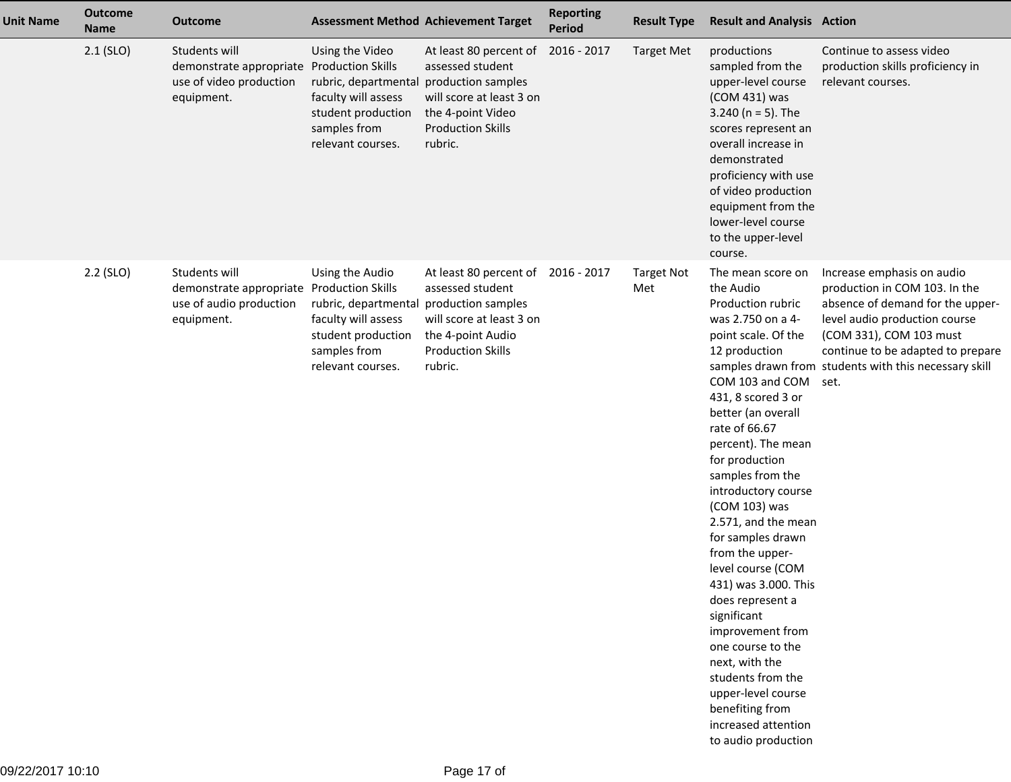| <b>Unit Name</b> | <b>Outcome</b><br><b>Name</b> | <b>Outcome</b>                                                                                      |                                                                                                                           | <b>Assessment Method Achievement Target</b>                                                                                                                          | <b>Reporting</b><br><b>Period</b> | <b>Result Type</b>       | <b>Result and Analysis Action</b>                                                                                                                                                                                                                                                                                                                                                                                                                                                                                                                                                                                          |                                                                                                                                                                                                                                                                   |
|------------------|-------------------------------|-----------------------------------------------------------------------------------------------------|---------------------------------------------------------------------------------------------------------------------------|----------------------------------------------------------------------------------------------------------------------------------------------------------------------|-----------------------------------|--------------------------|----------------------------------------------------------------------------------------------------------------------------------------------------------------------------------------------------------------------------------------------------------------------------------------------------------------------------------------------------------------------------------------------------------------------------------------------------------------------------------------------------------------------------------------------------------------------------------------------------------------------------|-------------------------------------------------------------------------------------------------------------------------------------------------------------------------------------------------------------------------------------------------------------------|
|                  | $2.1$ (SLO)                   | Students will<br>demonstrate appropriate Production Skills<br>use of video production<br>equipment. | Using the Video<br>rubric, departmental<br>faculty will assess<br>student production<br>samples from<br>relevant courses. | At least 80 percent of 2016 - 2017<br>assessed student<br>production samples<br>will score at least 3 on<br>the 4-point Video<br><b>Production Skills</b><br>rubric. |                                   | <b>Target Met</b>        | productions<br>sampled from the<br>upper-level course<br>(COM 431) was<br>3.240 ( $n = 5$ ). The<br>scores represent an<br>overall increase in<br>demonstrated<br>proficiency with use<br>of video production<br>equipment from the<br>lower-level course<br>to the upper-level<br>course.                                                                                                                                                                                                                                                                                                                                 | Continue to assess video<br>production skills proficiency in<br>relevant courses.                                                                                                                                                                                 |
|                  | $2.2$ (SLO)                   | Students will<br>demonstrate appropriate Production Skills<br>use of audio production<br>equipment. | Using the Audio<br>rubric, departmental<br>faculty will assess<br>student production<br>samples from<br>relevant courses. | At least 80 percent of 2016 - 2017<br>assessed student<br>production samples<br>will score at least 3 on<br>the 4-point Audio<br><b>Production Skills</b><br>rubric. |                                   | <b>Target Not</b><br>Met | The mean score on<br>the Audio<br>Production rubric<br>was 2.750 on a 4-<br>point scale. Of the<br>12 production<br>COM 103 and COM<br>431, 8 scored 3 or<br>better (an overall<br>rate of 66.67<br>percent). The mean<br>for production<br>samples from the<br>introductory course<br>(COM 103) was<br>2.571, and the mean<br>for samples drawn<br>from the upper-<br>level course (COM<br>431) was 3.000. This<br>does represent a<br>significant<br>improvement from<br>one course to the<br>next, with the<br>students from the<br>upper-level course<br>benefiting from<br>increased attention<br>to audio production | Increase emphasis on audio<br>production in COM 103. In the<br>absence of demand for the upper-<br>level audio production course<br>(COM 331), COM 103 must<br>continue to be adapted to prepare<br>samples drawn from students with this necessary skill<br>set. |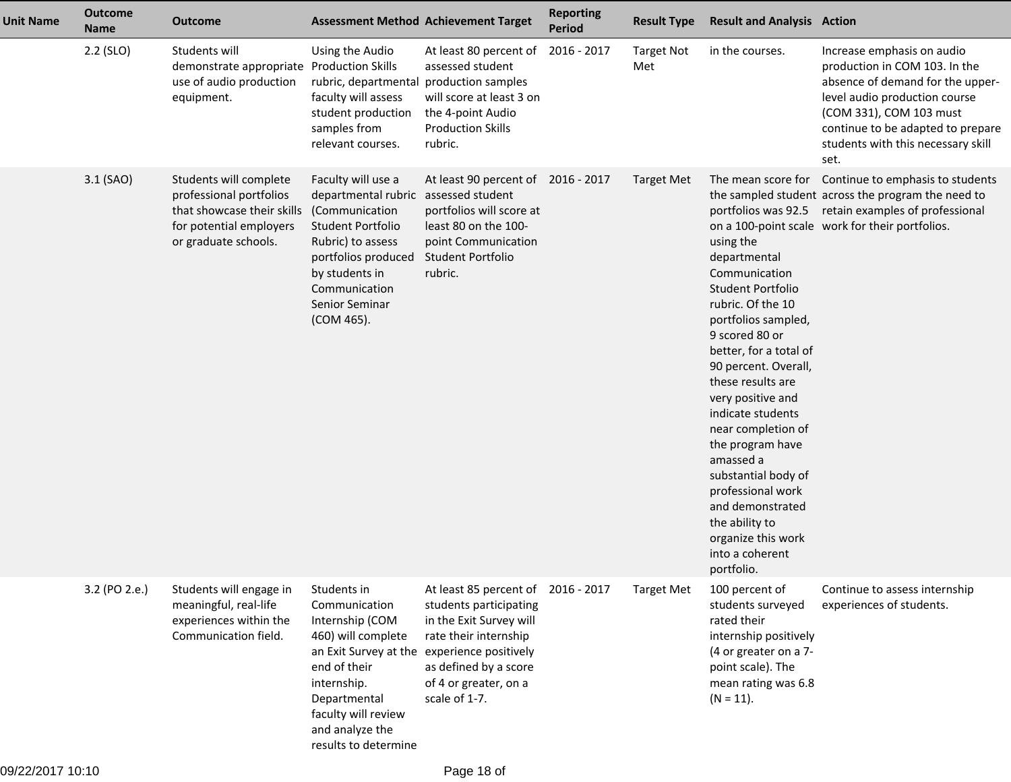| <b>Unit Name</b> | <b>Outcome</b><br><b>Name</b> | <b>Outcome</b>                                                                                                                     |                                                                                                                                                                                                                 | <b>Assessment Method Achievement Target</b>                                                                                                                                                      | <b>Reporting</b><br>Period | <b>Result Type</b>       | <b>Result and Analysis Action</b>                                                                                                                                                                                                                                                                                                                                                                                                              |                                                                                                                                                                                                                                                |
|------------------|-------------------------------|------------------------------------------------------------------------------------------------------------------------------------|-----------------------------------------------------------------------------------------------------------------------------------------------------------------------------------------------------------------|--------------------------------------------------------------------------------------------------------------------------------------------------------------------------------------------------|----------------------------|--------------------------|------------------------------------------------------------------------------------------------------------------------------------------------------------------------------------------------------------------------------------------------------------------------------------------------------------------------------------------------------------------------------------------------------------------------------------------------|------------------------------------------------------------------------------------------------------------------------------------------------------------------------------------------------------------------------------------------------|
|                  | $2.2$ (SLO)                   | Students will<br>demonstrate appropriate Production Skills<br>use of audio production<br>equipment.                                | Using the Audio<br>rubric, departmental production samples<br>faculty will assess<br>student production<br>samples from<br>relevant courses.                                                                    | At least 80 percent of<br>assessed student<br>will score at least 3 on<br>the 4-point Audio<br><b>Production Skills</b><br>rubric.                                                               | 2016 - 2017                | <b>Target Not</b><br>Met | in the courses.                                                                                                                                                                                                                                                                                                                                                                                                                                | Increase emphasis on audio<br>production in COM 103. In the<br>absence of demand for the upper-<br>level audio production course<br>(COM 331), COM 103 must<br>continue to be adapted to prepare<br>students with this necessary skill<br>set. |
|                  | 3.1 (SAO)                     | Students will complete<br>professional portfolios<br>that showcase their skills<br>for potential employers<br>or graduate schools. | Faculty will use a<br>departmental rubric<br>(Communication<br>Student Portfolio<br>Rubric) to assess<br>portfolios produced<br>by students in<br>Communication<br>Senior Seminar<br>(COM 465).                 | At least 90 percent of 2016 - 2017<br>assessed student<br>portfolios will score at<br>least 80 on the 100-<br>point Communication<br>Student Portfolio<br>rubric.                                |                            | <b>Target Met</b>        | using the<br>departmental<br>Communication<br>Student Portfolio<br>rubric. Of the 10<br>portfolios sampled,<br>9 scored 80 or<br>better, for a total of<br>90 percent. Overall,<br>these results are<br>very positive and<br>indicate students<br>near completion of<br>the program have<br>amassed a<br>substantial body of<br>professional work<br>and demonstrated<br>the ability to<br>organize this work<br>into a coherent<br>portfolio. | The mean score for Continue to emphasis to students<br>the sampled student across the program the need to<br>portfolios was 92.5 retain examples of professional<br>on a 100-point scale work for their portfolios.                            |
|                  | 3.2 (PO 2.e.)                 | Students will engage in<br>meaningful, real-life<br>experiences within the<br>Communication field.                                 | Students in<br>Communication<br>Internship (COM<br>460) will complete<br>an Exit Survey at the<br>end of their<br>internship.<br>Departmental<br>faculty will review<br>and analyze the<br>results to determine | At least 85 percent of<br>students participating<br>in the Exit Survey will<br>rate their internship<br>experience positively<br>as defined by a score<br>of 4 or greater, on a<br>scale of 1-7. | 2016 - 2017                | <b>Target Met</b>        | 100 percent of<br>students surveyed<br>rated their<br>internship positively<br>(4 or greater on a 7-<br>point scale). The<br>mean rating was 6.8<br>$(N = 11).$                                                                                                                                                                                                                                                                                | Continue to assess internship<br>experiences of students.                                                                                                                                                                                      |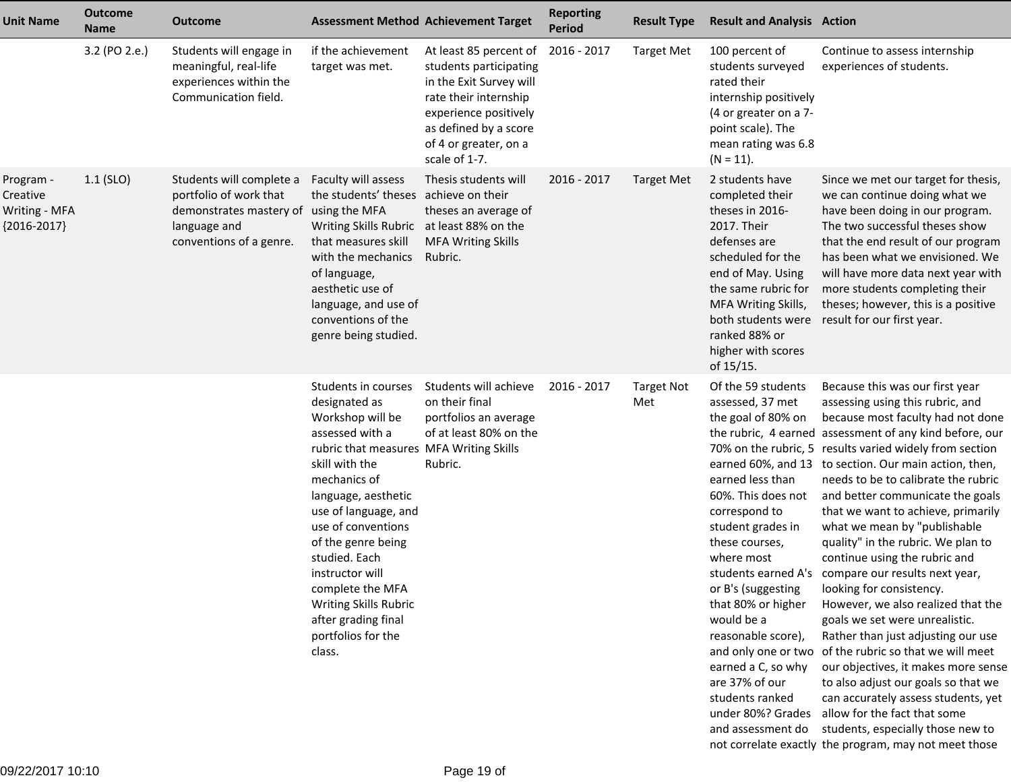| <b>Unit Name</b>                                        | <b>Outcome</b><br><b>Name</b> | <b>Outcome</b>                                                                                                                         | <b>Assessment Method Achievement Target</b>                                                                                                                                                                                                                                                                                                                                                 |                                                                                                                                                                                                  | <b>Reporting</b><br><b>Period</b> | <b>Result Type</b>       | <b>Result and Analysis Action</b>                                                                                                                                                                                                                                                                                                            |                                                                                                                                                                                                                                                                                                                                                                                                                                                                                                                                                                                                                                                                                                                                                                                                                                                                                                                                                                                       |
|---------------------------------------------------------|-------------------------------|----------------------------------------------------------------------------------------------------------------------------------------|---------------------------------------------------------------------------------------------------------------------------------------------------------------------------------------------------------------------------------------------------------------------------------------------------------------------------------------------------------------------------------------------|--------------------------------------------------------------------------------------------------------------------------------------------------------------------------------------------------|-----------------------------------|--------------------------|----------------------------------------------------------------------------------------------------------------------------------------------------------------------------------------------------------------------------------------------------------------------------------------------------------------------------------------------|---------------------------------------------------------------------------------------------------------------------------------------------------------------------------------------------------------------------------------------------------------------------------------------------------------------------------------------------------------------------------------------------------------------------------------------------------------------------------------------------------------------------------------------------------------------------------------------------------------------------------------------------------------------------------------------------------------------------------------------------------------------------------------------------------------------------------------------------------------------------------------------------------------------------------------------------------------------------------------------|
|                                                         | 3.2 (PO 2.e.)                 | Students will engage in<br>meaningful, real-life<br>experiences within the<br>Communication field.                                     | if the achievement<br>target was met.                                                                                                                                                                                                                                                                                                                                                       | At least 85 percent of<br>students participating<br>in the Exit Survey will<br>rate their internship<br>experience positively<br>as defined by a score<br>of 4 or greater, on a<br>scale of 1-7. | 2016 - 2017                       | <b>Target Met</b>        | 100 percent of<br>students surveyed<br>rated their<br>internship positively<br>(4 or greater on a 7-<br>point scale). The<br>mean rating was 6.8<br>$(N = 11)$ .                                                                                                                                                                             | Continue to assess internship<br>experiences of students.                                                                                                                                                                                                                                                                                                                                                                                                                                                                                                                                                                                                                                                                                                                                                                                                                                                                                                                             |
| Program -<br>Creative<br>Writing - MFA<br>${2016-2017}$ | $1.1$ (SLO)                   | Students will complete a<br>portfolio of work that<br>demonstrates mastery of using the MFA<br>language and<br>conventions of a genre. | Faculty will assess<br>the students' theses achieve on their<br>Writing Skills Rubric at least 88% on the<br>that measures skill<br>with the mechanics<br>of language,<br>aesthetic use of<br>language, and use of<br>conventions of the<br>genre being studied.                                                                                                                            | Thesis students will<br>theses an average of<br><b>MFA Writing Skills</b><br>Rubric.                                                                                                             | 2016 - 2017                       | <b>Target Met</b>        | 2 students have<br>completed their<br>theses in 2016-<br>2017. Their<br>defenses are<br>scheduled for the<br>end of May. Using<br>the same rubric for<br>MFA Writing Skills,<br>both students were<br>ranked 88% or<br>higher with scores<br>of 15/15.                                                                                       | Since we met our target for thesis,<br>we can continue doing what we<br>have been doing in our program.<br>The two successful theses show<br>that the end result of our program<br>has been what we envisioned. We<br>will have more data next year with<br>more students completing their<br>theses; however, this is a positive<br>result for our first year.                                                                                                                                                                                                                                                                                                                                                                                                                                                                                                                                                                                                                       |
|                                                         |                               |                                                                                                                                        | Students in courses<br>designated as<br>Workshop will be<br>assessed with a<br>rubric that measures MFA Writing Skills<br>skill with the<br>mechanics of<br>language, aesthetic<br>use of language, and<br>use of conventions<br>of the genre being<br>studied. Each<br>instructor will<br>complete the MFA<br>Writing Skills Rubric<br>after grading final<br>portfolios for the<br>class. | Students will achieve<br>on their final<br>portfolios an average<br>of at least 80% on the<br>Rubric.                                                                                            | 2016 - 2017                       | <b>Target Not</b><br>Met | Of the 59 students<br>assessed, 37 met<br>the goal of 80% on<br>earned less than<br>60%. This does not<br>correspond to<br>student grades in<br>these courses,<br>where most<br>or B's (suggesting<br>that 80% or higher<br>would be a<br>reasonable score),<br>earned a C, so why<br>are 37% of our<br>students ranked<br>under 80%? Grades | Because this was our first year<br>assessing using this rubric, and<br>because most faculty had not done<br>the rubric, 4 earned assessment of any kind before, our<br>70% on the rubric, 5 results varied widely from section<br>earned 60%, and 13 to section. Our main action, then,<br>needs to be to calibrate the rubric<br>and better communicate the goals<br>that we want to achieve, primarily<br>what we mean by "publishable<br>quality" in the rubric. We plan to<br>continue using the rubric and<br>students earned A's compare our results next year,<br>looking for consistency.<br>However, we also realized that the<br>goals we set were unrealistic.<br>Rather than just adjusting our use<br>and only one or two of the rubric so that we will meet<br>our objectives, it makes more sense<br>to also adjust our goals so that we<br>can accurately assess students, yet<br>allow for the fact that some<br>and assessment do students, especially those new to |

not correlate exactly the program, may not meet those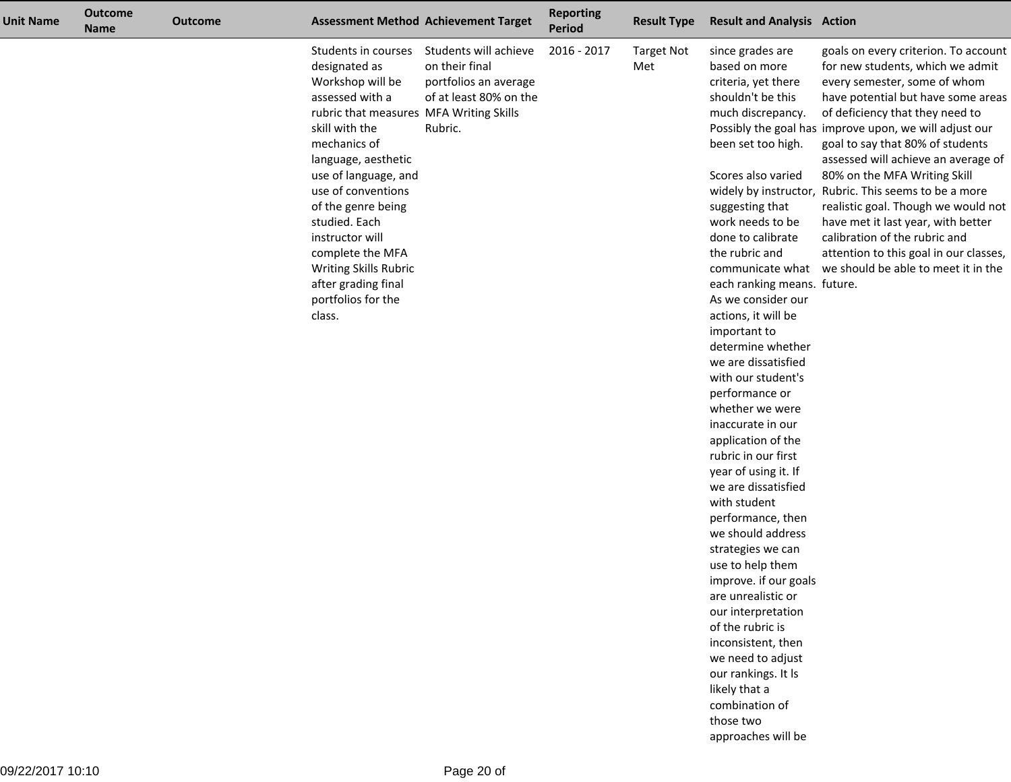| <b>Unit Name</b> | <b>Outcome</b><br><b>Name</b> | <b>Outcome</b> |                                                                                                                                                                                                                                                                                                                                                                                             | <b>Assessment Method Achievement Target</b>                                                           | <b>Reporting</b><br><b>Period</b> | <b>Result Type</b>       | <b>Result and Analysis Action</b>                                                                                                                                                                                                                                                                                                                                                                                                                                                                                                                                                                                                                                                                                                                                                                                                                                                    |                                                                                                                                                                                                                                                                                                                                                                                                                                                                                                                                                                                                                                 |
|------------------|-------------------------------|----------------|---------------------------------------------------------------------------------------------------------------------------------------------------------------------------------------------------------------------------------------------------------------------------------------------------------------------------------------------------------------------------------------------|-------------------------------------------------------------------------------------------------------|-----------------------------------|--------------------------|--------------------------------------------------------------------------------------------------------------------------------------------------------------------------------------------------------------------------------------------------------------------------------------------------------------------------------------------------------------------------------------------------------------------------------------------------------------------------------------------------------------------------------------------------------------------------------------------------------------------------------------------------------------------------------------------------------------------------------------------------------------------------------------------------------------------------------------------------------------------------------------|---------------------------------------------------------------------------------------------------------------------------------------------------------------------------------------------------------------------------------------------------------------------------------------------------------------------------------------------------------------------------------------------------------------------------------------------------------------------------------------------------------------------------------------------------------------------------------------------------------------------------------|
|                  |                               |                | Students in courses<br>designated as<br>Workshop will be<br>assessed with a<br>rubric that measures MFA Writing Skills<br>skill with the<br>mechanics of<br>language, aesthetic<br>use of language, and<br>use of conventions<br>of the genre being<br>studied. Each<br>instructor will<br>complete the MFA<br>Writing Skills Rubric<br>after grading final<br>portfolios for the<br>class. | Students will achieve<br>on their final<br>portfolios an average<br>of at least 80% on the<br>Rubric. | 2016 - 2017                       | <b>Target Not</b><br>Met | since grades are<br>based on more<br>criteria, yet there<br>shouldn't be this<br>much discrepancy.<br>been set too high.<br>Scores also varied<br>suggesting that<br>work needs to be<br>done to calibrate<br>the rubric and<br>each ranking means. future.<br>As we consider our<br>actions, it will be<br>important to<br>determine whether<br>we are dissatisfied<br>with our student's<br>performance or<br>whether we were<br>inaccurate in our<br>application of the<br>rubric in our first<br>year of using it. If<br>we are dissatisfied<br>with student<br>performance, then<br>we should address<br>strategies we can<br>use to help them<br>improve. if our goals<br>are unrealistic or<br>our interpretation<br>of the rubric is<br>inconsistent, then<br>we need to adjust<br>our rankings. It Is<br>likely that a<br>combination of<br>those two<br>approaches will be | goals on every criterion. To account<br>for new students, which we admit<br>every semester, some of whom<br>have potential but have some areas<br>of deficiency that they need to<br>Possibly the goal has improve upon, we will adjust our<br>goal to say that 80% of students<br>assessed will achieve an average of<br>80% on the MFA Writing Skill<br>widely by instructor, Rubric. This seems to be a more<br>realistic goal. Though we would not<br>have met it last year, with better<br>calibration of the rubric and<br>attention to this goal in our classes,<br>communicate what we should be able to meet it in the |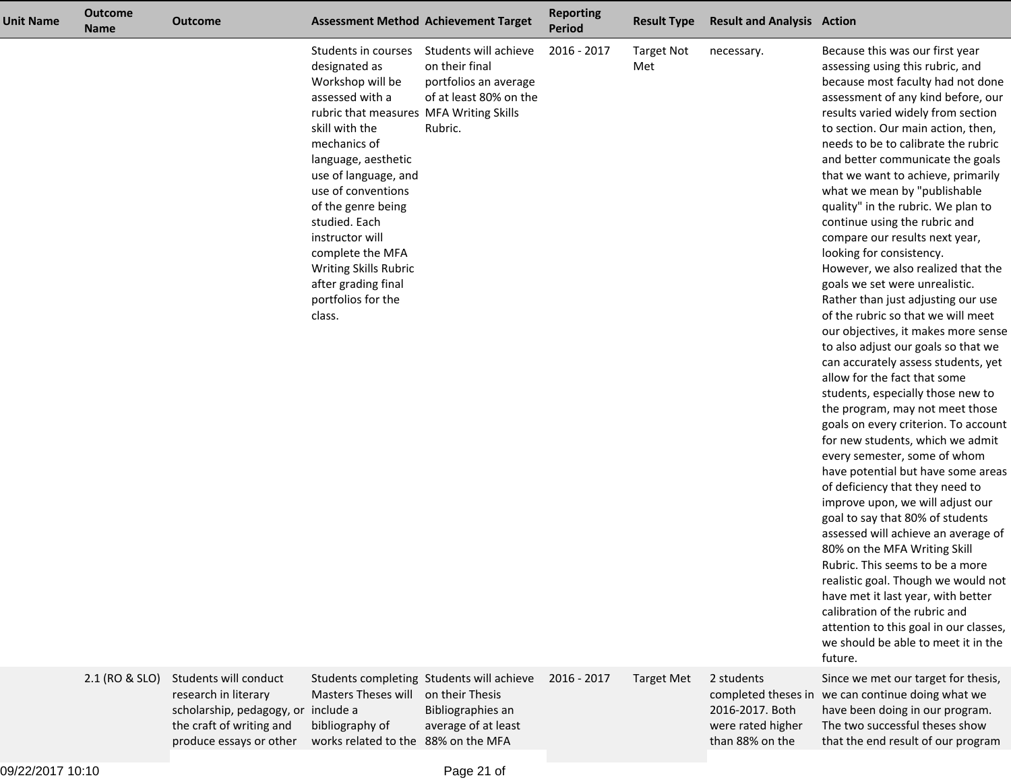| <b>Unit Name</b> | <b>Outcome</b><br><b>Name</b> | <b>Outcome</b>                                                                                                   |                                                                                                                                                                                                                                                                                                                                                                                             | <b>Assessment Method Achievement Target</b>                                                              | <b>Reporting</b><br><b>Period</b> | <b>Result Type</b>       | <b>Result and Analysis Action</b>                  |                                                                                                                                                                                                                                                                                                                                                                                                                                                                                                                                                                                                                                                                                                                                                                                                                                                                                                                                                                                                                                                                                                                                                                                                                                                                                                                                                                                                                                                                                    |
|------------------|-------------------------------|------------------------------------------------------------------------------------------------------------------|---------------------------------------------------------------------------------------------------------------------------------------------------------------------------------------------------------------------------------------------------------------------------------------------------------------------------------------------------------------------------------------------|----------------------------------------------------------------------------------------------------------|-----------------------------------|--------------------------|----------------------------------------------------|------------------------------------------------------------------------------------------------------------------------------------------------------------------------------------------------------------------------------------------------------------------------------------------------------------------------------------------------------------------------------------------------------------------------------------------------------------------------------------------------------------------------------------------------------------------------------------------------------------------------------------------------------------------------------------------------------------------------------------------------------------------------------------------------------------------------------------------------------------------------------------------------------------------------------------------------------------------------------------------------------------------------------------------------------------------------------------------------------------------------------------------------------------------------------------------------------------------------------------------------------------------------------------------------------------------------------------------------------------------------------------------------------------------------------------------------------------------------------------|
|                  |                               |                                                                                                                  | Students in courses<br>designated as<br>Workshop will be<br>assessed with a<br>rubric that measures MFA Writing Skills<br>skill with the<br>mechanics of<br>language, aesthetic<br>use of language, and<br>use of conventions<br>of the genre being<br>studied. Each<br>instructor will<br>complete the MFA<br>Writing Skills Rubric<br>after grading final<br>portfolios for the<br>class. | Students will achieve<br>on their final<br>portfolios an average<br>of at least 80% on the<br>Rubric.    | 2016 - 2017                       | <b>Target Not</b><br>Met | necessary.                                         | Because this was our first year<br>assessing using this rubric, and<br>because most faculty had not done<br>assessment of any kind before, our<br>results varied widely from section<br>to section. Our main action, then,<br>needs to be to calibrate the rubric<br>and better communicate the goals<br>that we want to achieve, primarily<br>what we mean by "publishable<br>quality" in the rubric. We plan to<br>continue using the rubric and<br>compare our results next year,<br>looking for consistency.<br>However, we also realized that the<br>goals we set were unrealistic.<br>Rather than just adjusting our use<br>of the rubric so that we will meet<br>our objectives, it makes more sense<br>to also adjust our goals so that we<br>can accurately assess students, yet<br>allow for the fact that some<br>students, especially those new to<br>the program, may not meet those<br>goals on every criterion. To account<br>for new students, which we admit<br>every semester, some of whom<br>have potential but have some areas<br>of deficiency that they need to<br>improve upon, we will adjust our<br>goal to say that 80% of students<br>assessed will achieve an average of<br>80% on the MFA Writing Skill<br>Rubric. This seems to be a more<br>realistic goal. Though we would not<br>have met it last year, with better<br>calibration of the rubric and<br>attention to this goal in our classes,<br>we should be able to meet it in the<br>future. |
|                  | 2.1 (RO & SLO)                | Students will conduct<br>research in literary<br>scholarship, pedagogy, or include a<br>the craft of writing and | Masters Theses will<br>bibliography of                                                                                                                                                                                                                                                                                                                                                      | Students completing Students will achieve<br>on their Thesis<br>Bibliographies an<br>average of at least | 2016 - 2017                       | <b>Target Met</b>        | 2 students<br>2016-2017. Both<br>were rated higher | Since we met our target for thesis,<br>completed theses in we can continue doing what we<br>have been doing in our program.<br>The two successful theses show                                                                                                                                                                                                                                                                                                                                                                                                                                                                                                                                                                                                                                                                                                                                                                                                                                                                                                                                                                                                                                                                                                                                                                                                                                                                                                                      |

than 88% on the

that the end result of our program

produce essays or other works related to the 88% on the MFA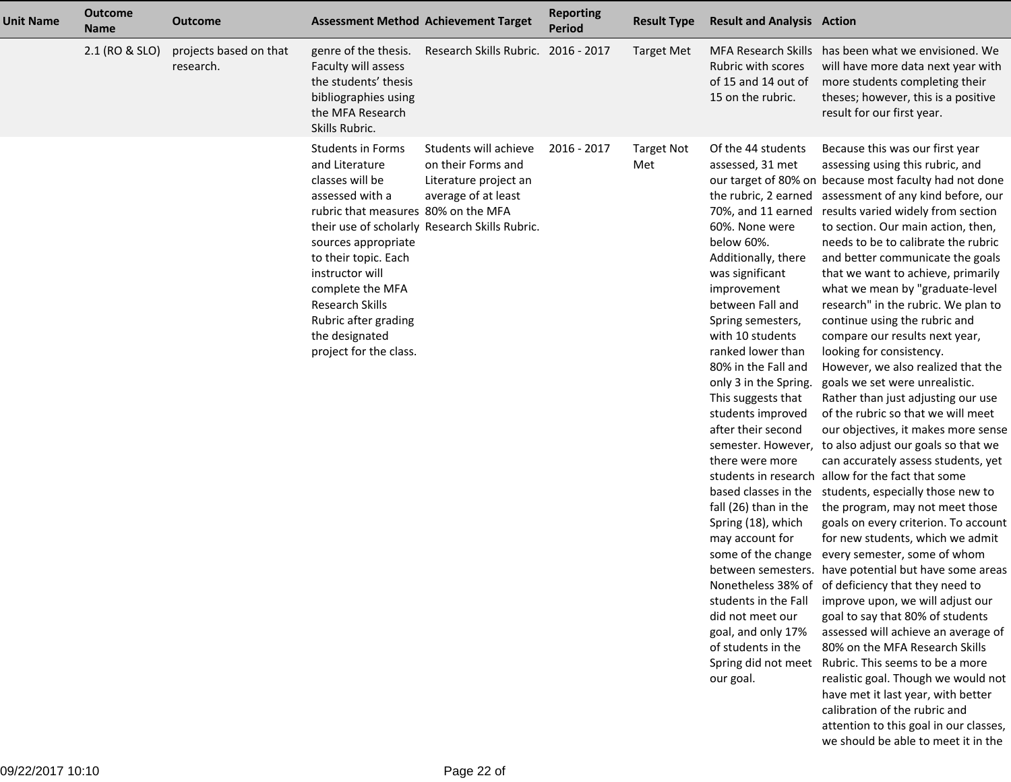| <b>Unit Name</b> | <b>Outcome</b><br><b>Name</b> | Outcome                             |                                                                                                                                                                                                                                                                                                             | <b>Assessment Method Achievement Target</b>                                                                                                   | <b>Reporting</b><br><b>Period</b> | <b>Result Type</b>       | <b>Result and Analysis Action</b>                                                                                                                                                                                                                                                                                                                                                                                                                                                                                                                                         |                                                                                                                                                                                                                                                                                                                                                                                                                                                                                                                                                                                                                                                                                                                                                                                                                                                                                                                                                                                                                                                                                                                                                                                                                                                                                                                                                                                                                                                                                                                                                                                                                                               |
|------------------|-------------------------------|-------------------------------------|-------------------------------------------------------------------------------------------------------------------------------------------------------------------------------------------------------------------------------------------------------------------------------------------------------------|-----------------------------------------------------------------------------------------------------------------------------------------------|-----------------------------------|--------------------------|---------------------------------------------------------------------------------------------------------------------------------------------------------------------------------------------------------------------------------------------------------------------------------------------------------------------------------------------------------------------------------------------------------------------------------------------------------------------------------------------------------------------------------------------------------------------------|-----------------------------------------------------------------------------------------------------------------------------------------------------------------------------------------------------------------------------------------------------------------------------------------------------------------------------------------------------------------------------------------------------------------------------------------------------------------------------------------------------------------------------------------------------------------------------------------------------------------------------------------------------------------------------------------------------------------------------------------------------------------------------------------------------------------------------------------------------------------------------------------------------------------------------------------------------------------------------------------------------------------------------------------------------------------------------------------------------------------------------------------------------------------------------------------------------------------------------------------------------------------------------------------------------------------------------------------------------------------------------------------------------------------------------------------------------------------------------------------------------------------------------------------------------------------------------------------------------------------------------------------------|
|                  | 2.1 (RO & SLO)                | projects based on that<br>research. | genre of the thesis.<br>Faculty will assess<br>the students' thesis<br>bibliographies using<br>the MFA Research<br>Skills Rubric.                                                                                                                                                                           | Research Skills Rubric.                                                                                                                       | 2016 - 2017                       | <b>Target Met</b>        | Rubric with scores<br>of 15 and 14 out of<br>15 on the rubric.                                                                                                                                                                                                                                                                                                                                                                                                                                                                                                            | MFA Research Skills has been what we envisioned. We<br>will have more data next year with<br>more students completing their<br>theses; however, this is a positive<br>result for our first year.                                                                                                                                                                                                                                                                                                                                                                                                                                                                                                                                                                                                                                                                                                                                                                                                                                                                                                                                                                                                                                                                                                                                                                                                                                                                                                                                                                                                                                              |
|                  |                               |                                     | <b>Students in Forms</b><br>and Literature<br>classes will be<br>assessed with a<br>rubric that measures 80% on the MFA<br>sources appropriate<br>to their topic. Each<br>instructor will<br>complete the MFA<br><b>Research Skills</b><br>Rubric after grading<br>the designated<br>project for the class. | Students will achieve<br>on their Forms and<br>Literature project an<br>average of at least<br>their use of scholarly Research Skills Rubric. | 2016 - 2017                       | <b>Target Not</b><br>Met | Of the 44 students<br>assessed, 31 met<br>70%, and 11 earned<br>60%. None were<br>below 60%.<br>Additionally, there<br>was significant<br>improvement<br>between Fall and<br>Spring semesters,<br>with 10 students<br>ranked lower than<br>80% in the Fall and<br>only 3 in the Spring.<br>This suggests that<br>students improved<br>after their second<br>there were more<br>fall (26) than in the<br>Spring (18), which<br>may account for<br>students in the Fall<br>did not meet our<br>goal, and only 17%<br>of students in the<br>Spring did not meet<br>our goal. | Because this was our first year<br>assessing using this rubric, and<br>our target of 80% on because most faculty had not done<br>the rubric, 2 earned assessment of any kind before, our<br>results varied widely from section<br>to section. Our main action, then,<br>needs to be to calibrate the rubric<br>and better communicate the goals<br>that we want to achieve, primarily<br>what we mean by "graduate-level<br>research" in the rubric. We plan to<br>continue using the rubric and<br>compare our results next year,<br>looking for consistency.<br>However, we also realized that the<br>goals we set were unrealistic.<br>Rather than just adjusting our use<br>of the rubric so that we will meet<br>our objectives, it makes more sense<br>semester. However, to also adjust our goals so that we<br>can accurately assess students, yet<br>students in research allow for the fact that some<br>based classes in the students, especially those new to<br>the program, may not meet those<br>goals on every criterion. To account<br>for new students, which we admit<br>some of the change every semester, some of whom<br>between semesters. have potential but have some areas<br>Nonetheless 38% of of deficiency that they need to<br>improve upon, we will adjust our<br>goal to say that 80% of students<br>assessed will achieve an average of<br>80% on the MFA Research Skills<br>Rubric. This seems to be a more<br>realistic goal. Though we would not<br>have met it last year, with better<br>calibration of the rubric and<br>attention to this goal in our classes,<br>we should be able to meet it in the |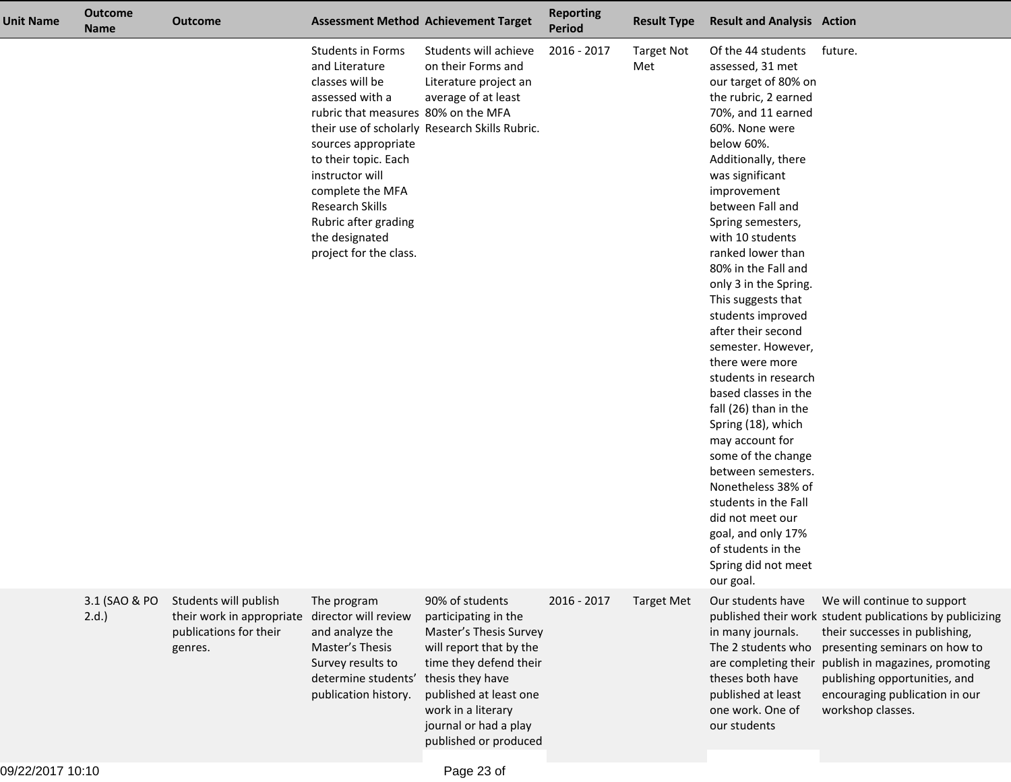| Unit Name | <b>Outcome</b><br><b>Name</b> | <b>Outcome</b>                                                                          |                                                                                                                                                                                                                                                                                                      | <b>Assessment Method Achievement Target</b>                                                                                                                                                                                                  | <b>Reporting</b><br><b>Period</b> | <b>Result Type</b>       | <b>Result and Analysis Action</b>                                                                                                                                                                                                                                                                                                                                                                                                                                                                                                                                                                                                                                                                                                                                 |                                                                                                                                                                                                                                                                                       |
|-----------|-------------------------------|-----------------------------------------------------------------------------------------|------------------------------------------------------------------------------------------------------------------------------------------------------------------------------------------------------------------------------------------------------------------------------------------------------|----------------------------------------------------------------------------------------------------------------------------------------------------------------------------------------------------------------------------------------------|-----------------------------------|--------------------------|-------------------------------------------------------------------------------------------------------------------------------------------------------------------------------------------------------------------------------------------------------------------------------------------------------------------------------------------------------------------------------------------------------------------------------------------------------------------------------------------------------------------------------------------------------------------------------------------------------------------------------------------------------------------------------------------------------------------------------------------------------------------|---------------------------------------------------------------------------------------------------------------------------------------------------------------------------------------------------------------------------------------------------------------------------------------|
|           |                               |                                                                                         | <b>Students in Forms</b><br>and Literature<br>classes will be<br>assessed with a<br>rubric that measures 80% on the MFA<br>sources appropriate<br>to their topic. Each<br>instructor will<br>complete the MFA<br>Research Skills<br>Rubric after grading<br>the designated<br>project for the class. | Students will achieve<br>on their Forms and<br>Literature project an<br>average of at least<br>their use of scholarly Research Skills Rubric.                                                                                                | 2016 - 2017                       | <b>Target Not</b><br>Met | Of the 44 students<br>assessed, 31 met<br>our target of 80% on<br>the rubric, 2 earned<br>70%, and 11 earned<br>60%. None were<br>below 60%.<br>Additionally, there<br>was significant<br>improvement<br>between Fall and<br>Spring semesters,<br>with 10 students<br>ranked lower than<br>80% in the Fall and<br>only 3 in the Spring.<br>This suggests that<br>students improved<br>after their second<br>semester. However,<br>there were more<br>students in research<br>based classes in the<br>fall (26) than in the<br>Spring (18), which<br>may account for<br>some of the change<br>between semesters.<br>Nonetheless 38% of<br>students in the Fall<br>did not meet our<br>goal, and only 17%<br>of students in the<br>Spring did not meet<br>our goal. | future.                                                                                                                                                                                                                                                                               |
|           | 3.1 (SAO & PO<br>2.d.         | Students will publish<br>their work in appropriate<br>publications for their<br>genres. | The program<br>director will review<br>and analyze the<br>Master's Thesis<br>Survey results to<br>determine students'<br>publication history.                                                                                                                                                        | 90% of students<br>participating in the<br>Master's Thesis Survey<br>will report that by the<br>time they defend their<br>thesis they have<br>published at least one<br>work in a literary<br>journal or had a play<br>published or produced | 2016 - 2017                       | <b>Target Met</b>        | Our students have<br>in many journals.<br>The 2 students who<br>are completing their<br>theses both have<br>published at least<br>one work. One of<br>our students                                                                                                                                                                                                                                                                                                                                                                                                                                                                                                                                                                                                | We will continue to support<br>published their work student publications by publicizing<br>their successes in publishing,<br>presenting seminars on how to<br>publish in magazines, promoting<br>publishing opportunities, and<br>encouraging publication in our<br>workshop classes. |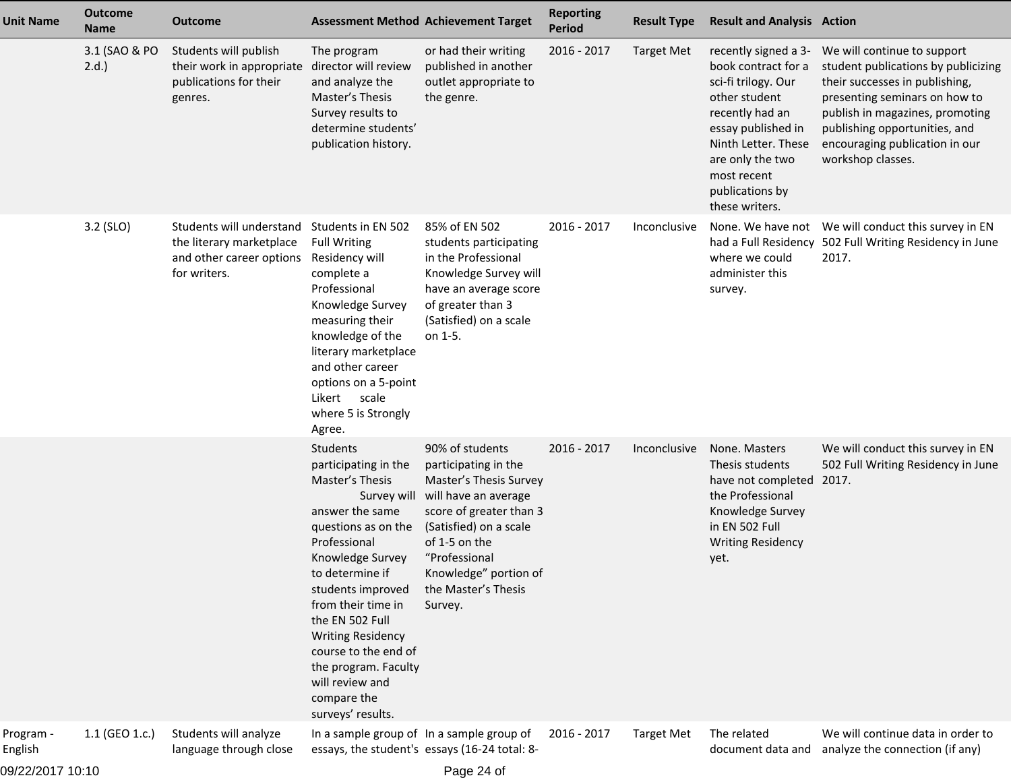| <b>Unit Name</b>     | <b>Outcome</b><br><b>Name</b> | <b>Outcome</b>                                                                                                  |                                                                                                                                                                                                                                                                                                                                                       | <b>Assessment Method Achievement Target</b>                                                                                                                                                                                                             | <b>Reporting</b><br><b>Period</b> | <b>Result Type</b> | <b>Result and Analysis Action</b>                                                                                                                                                                                           |                                                                                                                                                                                                                                                                  |
|----------------------|-------------------------------|-----------------------------------------------------------------------------------------------------------------|-------------------------------------------------------------------------------------------------------------------------------------------------------------------------------------------------------------------------------------------------------------------------------------------------------------------------------------------------------|---------------------------------------------------------------------------------------------------------------------------------------------------------------------------------------------------------------------------------------------------------|-----------------------------------|--------------------|-----------------------------------------------------------------------------------------------------------------------------------------------------------------------------------------------------------------------------|------------------------------------------------------------------------------------------------------------------------------------------------------------------------------------------------------------------------------------------------------------------|
|                      | 3.1 (SAO & PO<br>2.d.         | Students will publish<br>their work in appropriate director will review<br>publications for their<br>genres.    | The program<br>and analyze the<br>Master's Thesis<br>Survey results to<br>determine students'<br>publication history.                                                                                                                                                                                                                                 | or had their writing<br>published in another<br>outlet appropriate to<br>the genre.                                                                                                                                                                     | 2016 - 2017                       | <b>Target Met</b>  | recently signed a 3-<br>book contract for a<br>sci-fi trilogy. Our<br>other student<br>recently had an<br>essay published in<br>Ninth Letter. These<br>are only the two<br>most recent<br>publications by<br>these writers. | We will continue to support<br>student publications by publicizing<br>their successes in publishing,<br>presenting seminars on how to<br>publish in magazines, promoting<br>publishing opportunities, and<br>encouraging publication in our<br>workshop classes. |
|                      | 3.2 (SLO)                     | Students will understand<br>the literary marketplace<br>and other career options Residency will<br>for writers. | Students in EN 502<br><b>Full Writing</b><br>complete a<br>Professional<br>Knowledge Survey<br>measuring their<br>knowledge of the<br>literary marketplace<br>and other career<br>options on a 5-point<br>Likert<br>scale<br>where 5 is Strongly<br>Agree.                                                                                            | 85% of EN 502<br>students participating<br>in the Professional<br>Knowledge Survey will<br>have an average score<br>of greater than 3<br>(Satisfied) on a scale<br>on 1-5.                                                                              | 2016 - 2017                       | Inconclusive       | where we could<br>administer this<br>survey.                                                                                                                                                                                | None. We have not We will conduct this survey in EN<br>had a Full Residency 502 Full Writing Residency in June<br>2017.                                                                                                                                          |
|                      |                               |                                                                                                                 | Students<br>participating in the<br>Master's Thesis<br>answer the same<br>questions as on the<br>Professional<br>Knowledge Survey<br>to determine if<br>students improved<br>from their time in<br>the EN 502 Full<br><b>Writing Residency</b><br>course to the end of<br>the program. Faculty<br>will review and<br>compare the<br>surveys' results. | 90% of students<br>participating in the<br>Master's Thesis Survey<br>Survey will will have an average<br>score of greater than 3<br>(Satisfied) on a scale<br>of 1-5 on the<br>"Professional<br>Knowledge" portion of<br>the Master's Thesis<br>Survey. | 2016 - 2017                       | Inconclusive       | None. Masters<br>Thesis students<br>have not completed 2017.<br>the Professional<br>Knowledge Survey<br>in EN 502 Full<br><b>Writing Residency</b><br>yet.                                                                  | We will conduct this survey in EN<br>502 Full Writing Residency in June                                                                                                                                                                                          |
| Program -<br>English | 1.1 (GEO 1.c.)                | Students will analyze<br>language through close                                                                 |                                                                                                                                                                                                                                                                                                                                                       | In a sample group of In a sample group of<br>essays, the student's essays (16-24 total: 8-                                                                                                                                                              | 2016 - 2017                       | <b>Target Met</b>  | The related<br>document data and                                                                                                                                                                                            | We will continue data in order to<br>analyze the connection (if any)                                                                                                                                                                                             |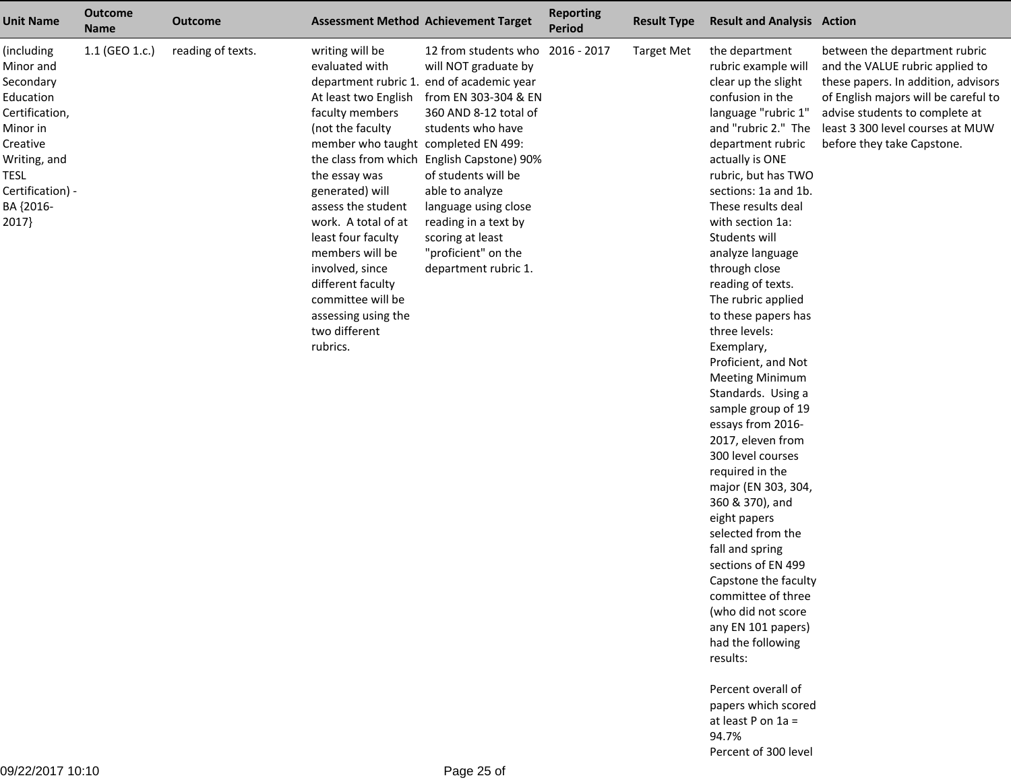| <b>Unit Name</b>                                                                                                                                                     | <b>Outcome</b><br><b>Name</b> | <b>Outcome</b>    |                                                                                                                                                                                                                                                                                                                                                                                                            | <b>Assessment Method Achievement Target</b>                                                                                                                                                                                                                                                                                                                       | <b>Reporting</b><br><b>Period</b> | <b>Result Type</b> | <b>Result and Analysis Action</b>                                                                                                                                                                                                                                                                                                                                                                                                                                                                                                                                                                                                                                                                                                                                                                                                                                                                     |                                                                                                                                                                                                                                                     |
|----------------------------------------------------------------------------------------------------------------------------------------------------------------------|-------------------------------|-------------------|------------------------------------------------------------------------------------------------------------------------------------------------------------------------------------------------------------------------------------------------------------------------------------------------------------------------------------------------------------------------------------------------------------|-------------------------------------------------------------------------------------------------------------------------------------------------------------------------------------------------------------------------------------------------------------------------------------------------------------------------------------------------------------------|-----------------------------------|--------------------|-------------------------------------------------------------------------------------------------------------------------------------------------------------------------------------------------------------------------------------------------------------------------------------------------------------------------------------------------------------------------------------------------------------------------------------------------------------------------------------------------------------------------------------------------------------------------------------------------------------------------------------------------------------------------------------------------------------------------------------------------------------------------------------------------------------------------------------------------------------------------------------------------------|-----------------------------------------------------------------------------------------------------------------------------------------------------------------------------------------------------------------------------------------------------|
| (including<br>Minor and<br>Secondary<br>Education<br>Certification,<br>Minor in<br>Creative<br>Writing, and<br><b>TESL</b><br>Certification) -<br>BA {2016-<br>2017} | 1.1 (GEO 1.c.)                | reading of texts. | writing will be<br>evaluated with<br>department rubric 1.<br>At least two English<br>faculty members<br>(not the faculty<br>member who taught completed EN 499:<br>the essay was<br>generated) will<br>assess the student<br>work. A total of at<br>least four faculty<br>members will be<br>involved, since<br>different faculty<br>committee will be<br>assessing using the<br>two different<br>rubrics. | 12 from students who 2016 - 2017<br>will NOT graduate by<br>end of academic year<br>from EN 303-304 & EN<br>360 AND 8-12 total of<br>students who have<br>the class from which English Capstone) 90%<br>of students will be<br>able to analyze<br>language using close<br>reading in a text by<br>scoring at least<br>"proficient" on the<br>department rubric 1. |                                   | <b>Target Met</b>  | the department<br>rubric example will<br>clear up the slight<br>confusion in the<br>language "rubric 1"<br>and "rubric 2." The<br>department rubric<br>actually is ONE<br>rubric, but has TWO<br>sections: 1a and 1b.<br>These results deal<br>with section 1a:<br>Students will<br>analyze language<br>through close<br>reading of texts.<br>The rubric applied<br>to these papers has<br>three levels:<br>Exemplary,<br>Proficient, and Not<br><b>Meeting Minimum</b><br>Standards. Using a<br>sample group of 19<br>essays from 2016-<br>2017, eleven from<br>300 level courses<br>required in the<br>major (EN 303, 304,<br>360 & 370), and<br>eight papers<br>selected from the<br>fall and spring<br>sections of EN 499<br>Capstone the faculty<br>committee of three<br>(who did not score<br>any EN 101 papers)<br>had the following<br>results:<br>Percent overall of<br>papers which scored | between the department rubric<br>and the VALUE rubric applied to<br>these papers. In addition, advisors<br>of English majors will be careful to<br>advise students to complete at<br>least 3 300 level courses at MUW<br>before they take Capstone. |
|                                                                                                                                                                      |                               |                   |                                                                                                                                                                                                                                                                                                                                                                                                            |                                                                                                                                                                                                                                                                                                                                                                   |                                   |                    | at least P on 1a =                                                                                                                                                                                                                                                                                                                                                                                                                                                                                                                                                                                                                                                                                                                                                                                                                                                                                    |                                                                                                                                                                                                                                                     |

94.7%

Percent of 300 level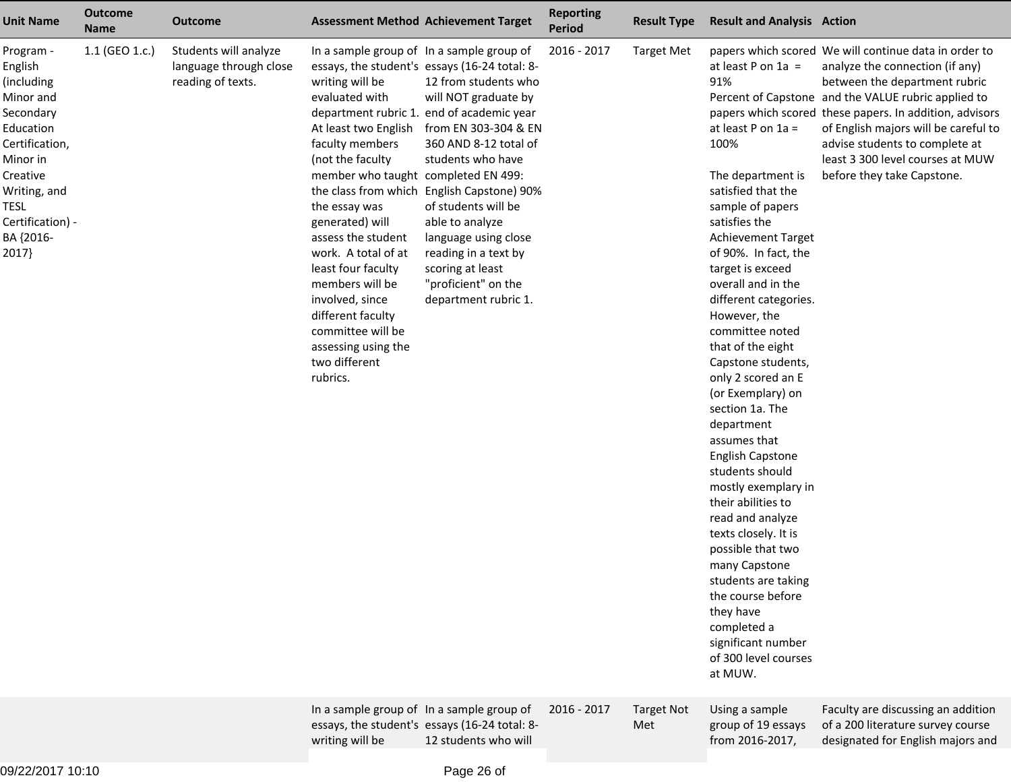| <b>Unit Name</b>                                                                                                                                                                      | <b>Outcome</b><br><b>Name</b> | <b>Outcome</b>                                                       |                                                                                                                                                                                                                                                                                                                                                                                    | <b>Assessment Method Achievement Target</b>                                                                                                                                                                                                                                                                                                                                                                                                                              | <b>Reporting</b><br><b>Period</b> | <b>Result Type</b>       | <b>Result and Analysis Action</b>                                                                                                                                                                                                                                                                                                                                                                                                                                                                                                                                                                                                                                                                                                                         |                                                                                                                                                                                                                                                                                                                                                                                         |
|---------------------------------------------------------------------------------------------------------------------------------------------------------------------------------------|-------------------------------|----------------------------------------------------------------------|------------------------------------------------------------------------------------------------------------------------------------------------------------------------------------------------------------------------------------------------------------------------------------------------------------------------------------------------------------------------------------|--------------------------------------------------------------------------------------------------------------------------------------------------------------------------------------------------------------------------------------------------------------------------------------------------------------------------------------------------------------------------------------------------------------------------------------------------------------------------|-----------------------------------|--------------------------|-----------------------------------------------------------------------------------------------------------------------------------------------------------------------------------------------------------------------------------------------------------------------------------------------------------------------------------------------------------------------------------------------------------------------------------------------------------------------------------------------------------------------------------------------------------------------------------------------------------------------------------------------------------------------------------------------------------------------------------------------------------|-----------------------------------------------------------------------------------------------------------------------------------------------------------------------------------------------------------------------------------------------------------------------------------------------------------------------------------------------------------------------------------------|
| Program -<br>English<br>(including<br>Minor and<br>Secondary<br>Education<br>Certification,<br>Minor in<br>Creative<br>Writing, and<br>TESL<br>Certification) -<br>BA {2016-<br>2017} | 1.1 (GEO 1.c.)                | Students will analyze<br>language through close<br>reading of texts. | writing will be<br>evaluated with<br>At least two English<br>faculty members<br>(not the faculty<br>member who taught completed EN 499:<br>the essay was<br>generated) will<br>assess the student<br>work. A total of at<br>least four faculty<br>members will be<br>involved, since<br>different faculty<br>committee will be<br>assessing using the<br>two different<br>rubrics. | In a sample group of In a sample group of<br>essays, the student's essays (16-24 total: 8-<br>12 from students who<br>will NOT graduate by<br>department rubric 1. end of academic year<br>from EN 303-304 & EN<br>360 AND 8-12 total of<br>students who have<br>the class from which English Capstone) 90%<br>of students will be<br>able to analyze<br>language using close<br>reading in a text by<br>scoring at least<br>"proficient" on the<br>department rubric 1. | 2016 - 2017                       | <b>Target Met</b>        | at least P on $1a =$<br>91%<br>at least P on 1a =<br>100%<br>The department is<br>satisfied that the<br>sample of papers<br>satisfies the<br><b>Achievement Target</b><br>of 90%. In fact, the<br>target is exceed<br>overall and in the<br>different categories.<br>However, the<br>committee noted<br>that of the eight<br>Capstone students,<br>only 2 scored an E<br>(or Exemplary) on<br>section 1a. The<br>department<br>assumes that<br><b>English Capstone</b><br>students should<br>mostly exemplary in<br>their abilities to<br>read and analyze<br>texts closely. It is<br>possible that two<br>many Capstone<br>students are taking<br>the course before<br>they have<br>completed a<br>significant number<br>of 300 level courses<br>at MUW. | papers which scored We will continue data in order to<br>analyze the connection (if any)<br>between the department rubric<br>Percent of Capstone and the VALUE rubric applied to<br>papers which scored these papers. In addition, advisors<br>of English majors will be careful to<br>advise students to complete at<br>least 3 300 level courses at MUW<br>before they take Capstone. |
|                                                                                                                                                                                       |                               |                                                                      | writing will be                                                                                                                                                                                                                                                                                                                                                                    | In a sample group of In a sample group of<br>essays, the student's essays (16-24 total: 8-<br>12 students who will                                                                                                                                                                                                                                                                                                                                                       | 2016 - 2017                       | <b>Target Not</b><br>Met | Using a sample<br>group of 19 essays<br>from 2016-2017,                                                                                                                                                                                                                                                                                                                                                                                                                                                                                                                                                                                                                                                                                                   | Faculty are discussing an addition<br>of a 200 literature survey course<br>designated for English majors and                                                                                                                                                                                                                                                                            |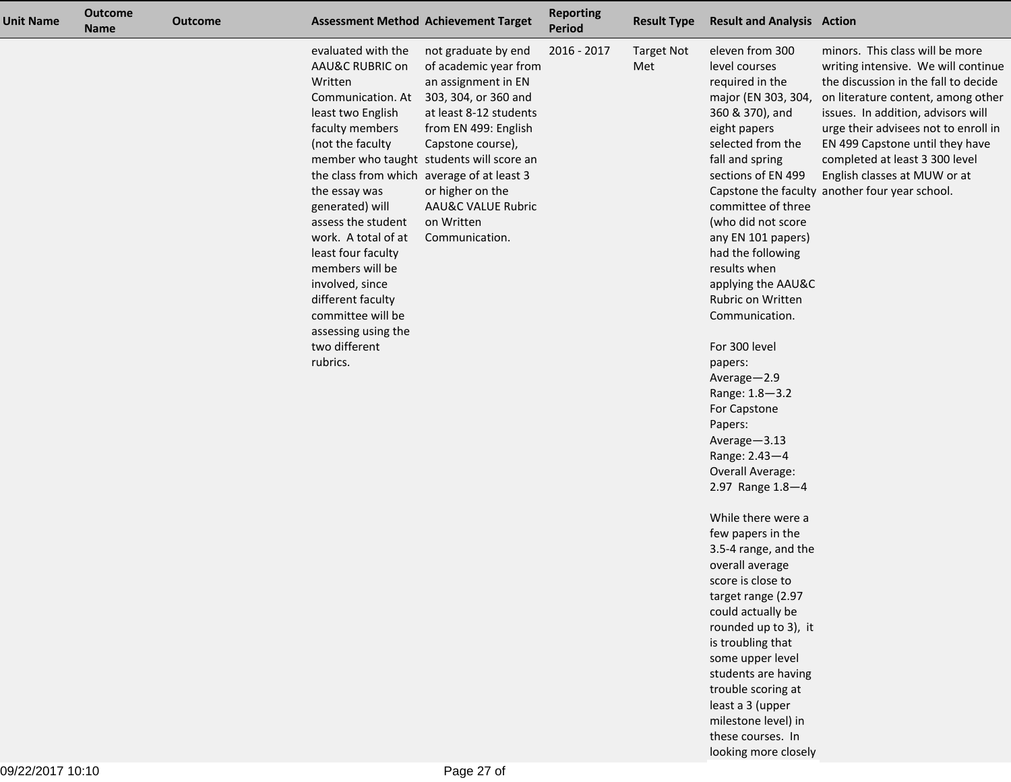| <b>Unit Name</b> | <b>Outcome</b><br><b>Name</b> | <b>Outcome</b> |                                                                                                                                                                                                                                                                                                                                                                                                                            | <b>Assessment Method Achievement Target</b>                                                                                                                                                                                                                                                         | <b>Reporting</b><br>Period | <b>Result Type</b>       | <b>Result and Analysis Action</b>                                                                                                                                                                                                                                                                                                                                                                                                                                                                                                                                                                                                                                                                                                                                                                                                                    |                                                                                                                                                                                                                                                                                                                                                                                           |
|------------------|-------------------------------|----------------|----------------------------------------------------------------------------------------------------------------------------------------------------------------------------------------------------------------------------------------------------------------------------------------------------------------------------------------------------------------------------------------------------------------------------|-----------------------------------------------------------------------------------------------------------------------------------------------------------------------------------------------------------------------------------------------------------------------------------------------------|----------------------------|--------------------------|------------------------------------------------------------------------------------------------------------------------------------------------------------------------------------------------------------------------------------------------------------------------------------------------------------------------------------------------------------------------------------------------------------------------------------------------------------------------------------------------------------------------------------------------------------------------------------------------------------------------------------------------------------------------------------------------------------------------------------------------------------------------------------------------------------------------------------------------------|-------------------------------------------------------------------------------------------------------------------------------------------------------------------------------------------------------------------------------------------------------------------------------------------------------------------------------------------------------------------------------------------|
|                  |                               |                | evaluated with the<br>AAU&C RUBRIC on<br>Written<br>Communication. At<br>least two English<br>faculty members<br>(not the faculty<br>the class from which average of at least 3<br>the essay was<br>generated) will<br>assess the student<br>work. A total of at<br>least four faculty<br>members will be<br>involved, since<br>different faculty<br>committee will be<br>assessing using the<br>two different<br>rubrics. | not graduate by end<br>of academic year from<br>an assignment in EN<br>303, 304, or 360 and<br>at least 8-12 students<br>from EN 499: English<br>Capstone course),<br>member who taught students will score an<br>or higher on the<br><b>AAU&amp;C VALUE Rubric</b><br>on Written<br>Communication. | 2016 - 2017                | <b>Target Not</b><br>Met | eleven from 300<br>level courses<br>required in the<br>major (EN 303, 304,<br>360 & 370), and<br>eight papers<br>selected from the<br>fall and spring<br>sections of EN 499<br>committee of three<br>(who did not score<br>any EN 101 papers)<br>had the following<br>results when<br>applying the AAU&C<br>Rubric on Written<br>Communication.<br>For 300 level<br>papers:<br>Average-2.9<br>Range: 1.8-3.2<br>For Capstone<br>Papers:<br>Average-3.13<br>Range: 2.43-4<br>Overall Average:<br>2.97 Range 1.8-4<br>While there were a<br>few papers in the<br>3.5-4 range, and the<br>overall average<br>score is close to<br>target range (2.97<br>could actually be<br>rounded up to 3), it<br>is troubling that<br>some upper level<br>students are having<br>trouble scoring at<br>least a 3 (upper<br>milestone level) in<br>these courses. In | minors. This class will be more<br>writing intensive. We will continue<br>the discussion in the fall to decide<br>on literature content, among other<br>issues. In addition, advisors will<br>urge their advisees not to enroll in<br>EN 499 Capstone until they have<br>completed at least 3 300 level<br>English classes at MUW or at<br>Capstone the faculty another four year school. |

looking more closely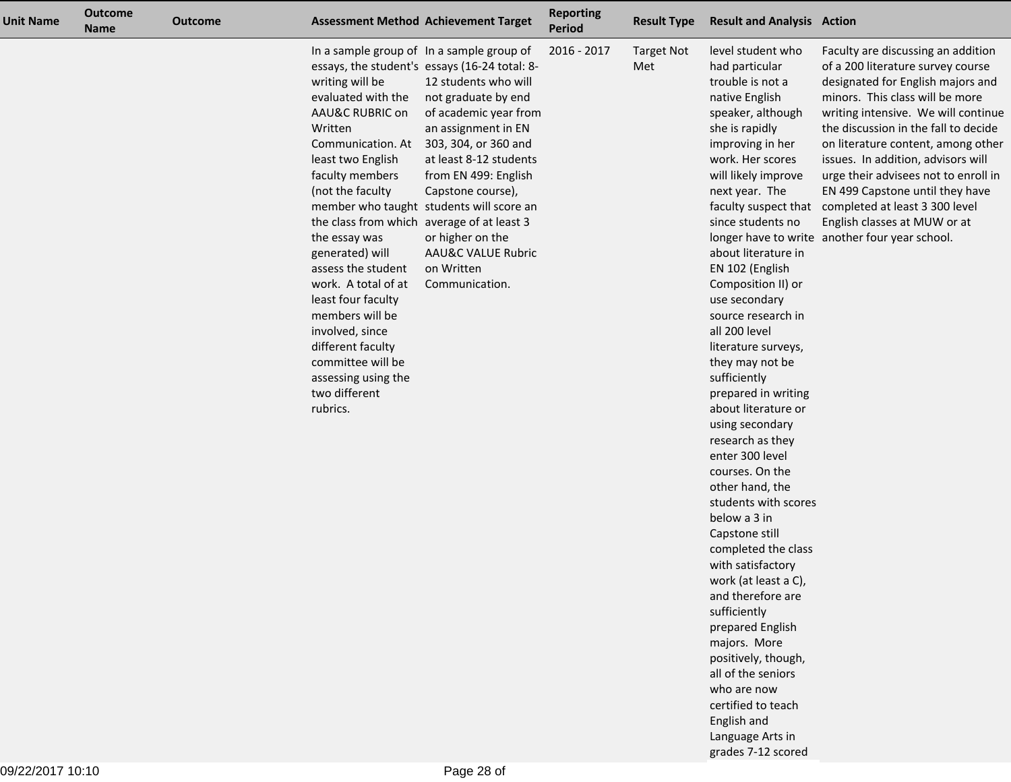| <b>Unit Name</b> | <b>Outcome</b><br><b>Name</b> | <b>Outcome</b> |                                                                                                                                                                                                                                                                                                                                                                                                                                               | <b>Assessment Method Achievement Target</b>                                                                                                                                                                                                                                                                                                                                                                               | <b>Reporting</b><br><b>Period</b> | <b>Result Type</b>       | <b>Result and Analysis Action</b>                                                                                                                                                                                                                                                                                                                                                                                                                                                                                                                                                                                                                                                                                                                                                                                                                                                  |                                                                                                                                                                                                                                                                                                                                                                                                                                                                                                                                |
|------------------|-------------------------------|----------------|-----------------------------------------------------------------------------------------------------------------------------------------------------------------------------------------------------------------------------------------------------------------------------------------------------------------------------------------------------------------------------------------------------------------------------------------------|---------------------------------------------------------------------------------------------------------------------------------------------------------------------------------------------------------------------------------------------------------------------------------------------------------------------------------------------------------------------------------------------------------------------------|-----------------------------------|--------------------------|------------------------------------------------------------------------------------------------------------------------------------------------------------------------------------------------------------------------------------------------------------------------------------------------------------------------------------------------------------------------------------------------------------------------------------------------------------------------------------------------------------------------------------------------------------------------------------------------------------------------------------------------------------------------------------------------------------------------------------------------------------------------------------------------------------------------------------------------------------------------------------|--------------------------------------------------------------------------------------------------------------------------------------------------------------------------------------------------------------------------------------------------------------------------------------------------------------------------------------------------------------------------------------------------------------------------------------------------------------------------------------------------------------------------------|
|                  |                               |                | writing will be<br>evaluated with the<br>AAU&C RUBRIC on<br>Written<br>Communication. At<br>least two English<br>faculty members<br>(not the faculty<br>the class from which average of at least 3<br>the essay was<br>generated) will<br>assess the student<br>work. A total of at<br>least four faculty<br>members will be<br>involved, since<br>different faculty<br>committee will be<br>assessing using the<br>two different<br>rubrics. | In a sample group of In a sample group of<br>essays, the student's essays (16-24 total: 8-<br>12 students who will<br>not graduate by end<br>of academic year from<br>an assignment in EN<br>303, 304, or 360 and<br>at least 8-12 students<br>from EN 499: English<br>Capstone course),<br>member who taught students will score an<br>or higher on the<br><b>AAU&amp;C VALUE Rubric</b><br>on Written<br>Communication. | 2016 - 2017                       | <b>Target Not</b><br>Met | level student who<br>had particular<br>trouble is not a<br>native English<br>speaker, although<br>she is rapidly<br>improving in her<br>work. Her scores<br>will likely improve<br>next year. The<br>since students no<br>about literature in<br>EN 102 (English<br>Composition II) or<br>use secondary<br>source research in<br>all 200 level<br>literature surveys,<br>they may not be<br>sufficiently<br>prepared in writing<br>about literature or<br>using secondary<br>research as they<br>enter 300 level<br>courses. On the<br>other hand, the<br>students with scores<br>below a 3 in<br>Capstone still<br>completed the class<br>with satisfactory<br>work (at least a C),<br>and therefore are<br>sufficiently<br>prepared English<br>majors. More<br>positively, though,<br>all of the seniors<br>who are now<br>certified to teach<br>English and<br>Language Arts in | Faculty are discussing an addition<br>of a 200 literature survey course<br>designated for English majors and<br>minors. This class will be more<br>writing intensive. We will continue<br>the discussion in the fall to decide<br>on literature content, among other<br>issues. In addition, advisors will<br>urge their advisees not to enroll in<br>EN 499 Capstone until they have<br>faculty suspect that completed at least 3 300 level<br>English classes at MUW or at<br>longer have to write another four year school. |

grades 7-12 scored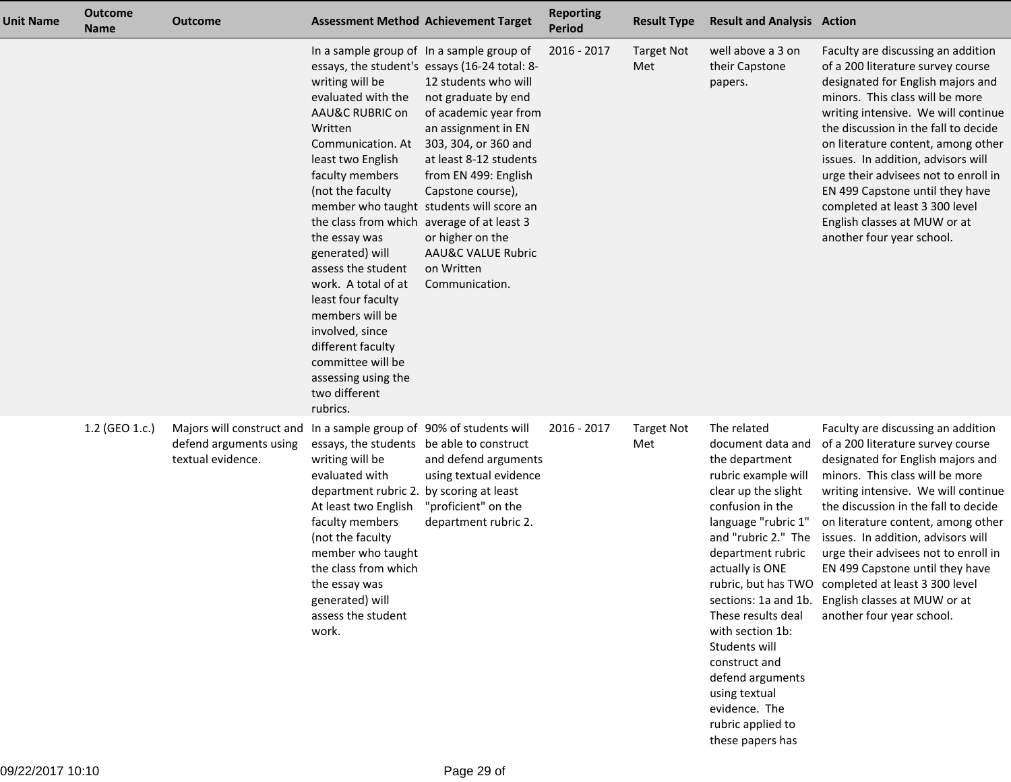| <b>Unit Name</b> | <b>Outcome</b><br><b>Name</b> | <b>Outcome</b>                                                                                                     |                                                                                                                                                                                                                                                                                                                                                                                                                                               | <b>Assessment Method Achievement Target</b>                                                                                                                                                                                                                                                                                                                                                                    | <b>Reporting</b><br><b>Period</b> | <b>Result Type</b>       | <b>Result and Analysis Action</b>                                                                                                                                                                                                                                                                                                                                                     |                                                                                                                                                                                                                                                                                                                                                                                                                                                                                                                               |
|------------------|-------------------------------|--------------------------------------------------------------------------------------------------------------------|-----------------------------------------------------------------------------------------------------------------------------------------------------------------------------------------------------------------------------------------------------------------------------------------------------------------------------------------------------------------------------------------------------------------------------------------------|----------------------------------------------------------------------------------------------------------------------------------------------------------------------------------------------------------------------------------------------------------------------------------------------------------------------------------------------------------------------------------------------------------------|-----------------------------------|--------------------------|---------------------------------------------------------------------------------------------------------------------------------------------------------------------------------------------------------------------------------------------------------------------------------------------------------------------------------------------------------------------------------------|-------------------------------------------------------------------------------------------------------------------------------------------------------------------------------------------------------------------------------------------------------------------------------------------------------------------------------------------------------------------------------------------------------------------------------------------------------------------------------------------------------------------------------|
|                  |                               |                                                                                                                    | writing will be<br>evaluated with the<br>AAU&C RUBRIC on<br>Written<br>Communication. At<br>least two English<br>faculty members<br>(not the faculty<br>the class from which average of at least 3<br>the essay was<br>generated) will<br>assess the student<br>work. A total of at<br>least four faculty<br>members will be<br>involved, since<br>different faculty<br>committee will be<br>assessing using the<br>two different<br>rubrics. | In a sample group of In a sample group of<br>essays, the student's essays (16-24 total: 8-<br>12 students who will<br>not graduate by end<br>of academic year from<br>an assignment in EN<br>303, 304, or 360 and<br>at least 8-12 students<br>from EN 499: English<br>Capstone course),<br>member who taught students will score an<br>or higher on the<br>AAU&C VALUE Rubric<br>on Written<br>Communication. | 2016 - 2017                       | <b>Target Not</b><br>Met | well above a 3 on<br>their Capstone<br>papers.                                                                                                                                                                                                                                                                                                                                        | Faculty are discussing an addition<br>of a 200 literature survey course<br>designated for English majors and<br>minors. This class will be more<br>writing intensive. We will continue<br>the discussion in the fall to decide<br>on literature content, among other<br>issues. In addition, advisors will<br>urge their advisees not to enroll in<br>EN 499 Capstone until they have<br>completed at least 3 300 level<br>English classes at MUW or at<br>another four year school.                                          |
|                  | 1.2 (GEO 1.c.)                | Majors will construct and In a sample group of 90% of students will<br>defend arguments using<br>textual evidence. | essays, the students be able to construct<br>writing will be<br>evaluated with<br>department rubric 2. by scoring at least<br>At least two English<br>faculty members<br>(not the faculty<br>member who taught<br>the class from which<br>the essay was<br>generated) will<br>assess the student<br>work.                                                                                                                                     | and defend arguments<br>using textual evidence<br>"proficient" on the<br>department rubric 2.                                                                                                                                                                                                                                                                                                                  | 2016 - 2017                       | <b>Target Not</b><br>Met | The related<br>document data and<br>the department<br>rubric example will<br>clear up the slight<br>confusion in the<br>language "rubric 1"<br>and "rubric 2." The<br>department rubric<br>actually is ONE<br>These results deal<br>with section 1b:<br>Students will<br>construct and<br>defend arguments<br>using textual<br>evidence. The<br>rubric applied to<br>these papers has | Faculty are discussing an addition<br>of a 200 literature survey course<br>designated for English majors and<br>minors. This class will be more<br>writing intensive. We will continue<br>the discussion in the fall to decide<br>on literature content, among other<br>issues. In addition, advisors will<br>urge their advisees not to enroll in<br>EN 499 Capstone until they have<br>rubric, but has TWO completed at least 3 300 level<br>sections: 1a and 1b. English classes at MUW or at<br>another four year school. |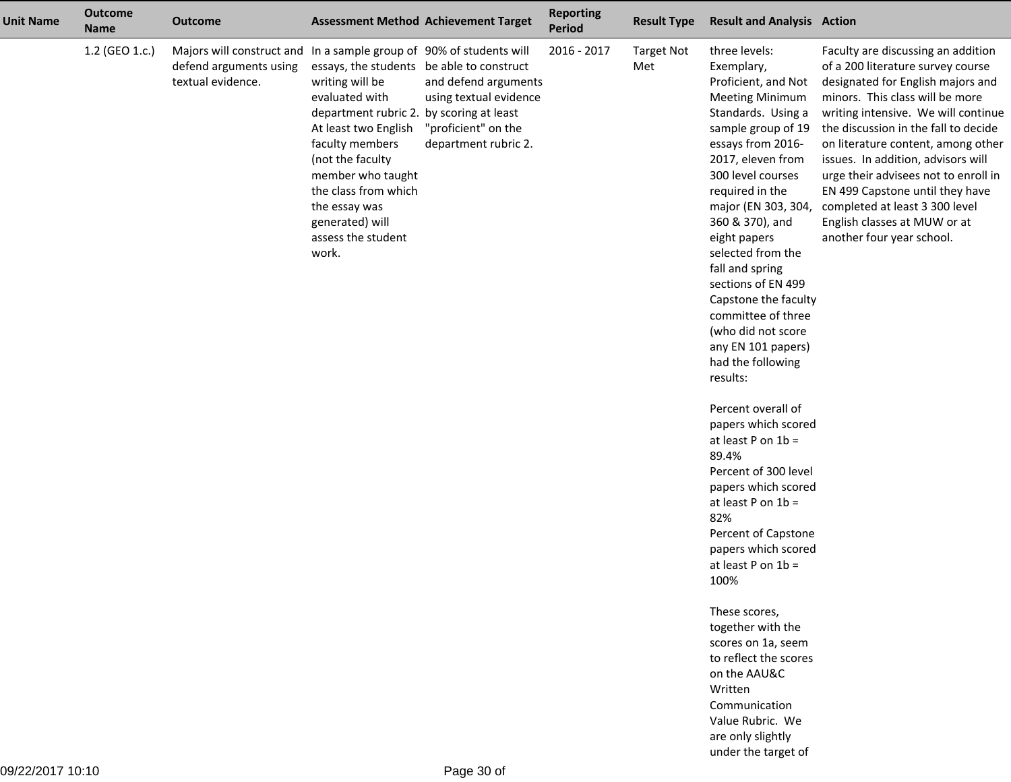| <b>Unit Name</b> | <b>Outcome</b><br><b>Name</b> | <b>Outcome</b>                                                                                                     |                                                                                                                                                                                                                                                                                                           | <b>Assessment Method Achievement Target</b>                                                   | <b>Reporting</b><br>Period | <b>Result Type</b>       | <b>Result and Analysis Action</b>                                                                                                                                                                                                                                                                                                                                                                                                                                                                                                                                                                                                                                                                                                                                                                                                                                                                              |                                                                                                                                                                                                                                                                                                                                                                                                                                                                                      |
|------------------|-------------------------------|--------------------------------------------------------------------------------------------------------------------|-----------------------------------------------------------------------------------------------------------------------------------------------------------------------------------------------------------------------------------------------------------------------------------------------------------|-----------------------------------------------------------------------------------------------|----------------------------|--------------------------|----------------------------------------------------------------------------------------------------------------------------------------------------------------------------------------------------------------------------------------------------------------------------------------------------------------------------------------------------------------------------------------------------------------------------------------------------------------------------------------------------------------------------------------------------------------------------------------------------------------------------------------------------------------------------------------------------------------------------------------------------------------------------------------------------------------------------------------------------------------------------------------------------------------|--------------------------------------------------------------------------------------------------------------------------------------------------------------------------------------------------------------------------------------------------------------------------------------------------------------------------------------------------------------------------------------------------------------------------------------------------------------------------------------|
|                  | 1.2 (GEO 1.c.)                | Majors will construct and In a sample group of 90% of students will<br>defend arguments using<br>textual evidence. | essays, the students be able to construct<br>writing will be<br>evaluated with<br>department rubric 2. by scoring at least<br>At least two English<br>faculty members<br>(not the faculty<br>member who taught<br>the class from which<br>the essay was<br>generated) will<br>assess the student<br>work. | and defend arguments<br>using textual evidence<br>"proficient" on the<br>department rubric 2. | 2016 - 2017                | <b>Target Not</b><br>Met | three levels:<br>Exemplary,<br>Proficient, and Not<br><b>Meeting Minimum</b><br>Standards. Using a<br>sample group of 19<br>essays from 2016-<br>2017, eleven from<br>300 level courses<br>required in the<br>major (EN 303, 304,<br>360 & 370), and<br>eight papers<br>selected from the<br>fall and spring<br>sections of EN 499<br>Capstone the faculty<br>committee of three<br>(who did not score<br>any EN 101 papers)<br>had the following<br>results:<br>Percent overall of<br>papers which scored<br>at least $P$ on $1b =$<br>89.4%<br>Percent of 300 level<br>papers which scored<br>at least $P$ on $1b =$<br>82%<br>Percent of Capstone<br>papers which scored<br>at least $P$ on $1b =$<br>100%<br>These scores,<br>together with the<br>scores on 1a, seem<br>to reflect the scores<br>on the AAU&C<br>Written<br>Communication<br>Value Rubric. We<br>are only slightly<br>under the target of | Faculty are discussing an addition<br>of a 200 literature survey course<br>designated for English majors and<br>minors. This class will be more<br>writing intensive. We will continue<br>the discussion in the fall to decide<br>on literature content, among other<br>issues. In addition, advisors will<br>urge their advisees not to enroll in<br>EN 499 Capstone until they have<br>completed at least 3 300 level<br>English classes at MUW or at<br>another four year school. |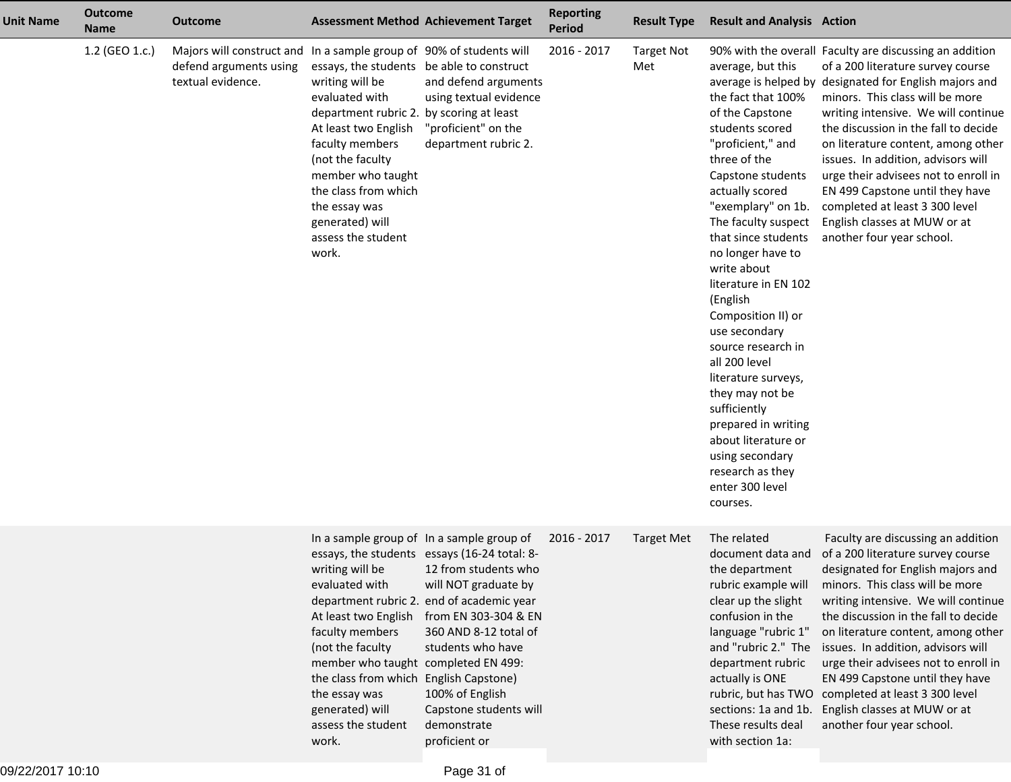| <b>Unit Name</b> | <b>Outcome</b><br><b>Name</b> | <b>Outcome</b>                                                                                                     |                                                                                                                                                                                                                                                                                                           | <b>Assessment Method Achievement Target</b>                                                                                                                                                                                                                                                                                               | <b>Reporting</b><br><b>Period</b> | <b>Result Type</b>       | <b>Result and Analysis Action</b>                                                                                                                                                                                                                                                                                                                                                                                                                                                                                                                                  |                                                                                                                                                                                                                                                                                                                                                                                                                                                                                                                                |
|------------------|-------------------------------|--------------------------------------------------------------------------------------------------------------------|-----------------------------------------------------------------------------------------------------------------------------------------------------------------------------------------------------------------------------------------------------------------------------------------------------------|-------------------------------------------------------------------------------------------------------------------------------------------------------------------------------------------------------------------------------------------------------------------------------------------------------------------------------------------|-----------------------------------|--------------------------|--------------------------------------------------------------------------------------------------------------------------------------------------------------------------------------------------------------------------------------------------------------------------------------------------------------------------------------------------------------------------------------------------------------------------------------------------------------------------------------------------------------------------------------------------------------------|--------------------------------------------------------------------------------------------------------------------------------------------------------------------------------------------------------------------------------------------------------------------------------------------------------------------------------------------------------------------------------------------------------------------------------------------------------------------------------------------------------------------------------|
|                  | 1.2 (GEO 1.c.)                | Majors will construct and In a sample group of 90% of students will<br>defend arguments using<br>textual evidence. | essays, the students be able to construct<br>writing will be<br>evaluated with<br>department rubric 2. by scoring at least<br>At least two English<br>faculty members<br>(not the faculty<br>member who taught<br>the class from which<br>the essay was<br>generated) will<br>assess the student<br>work. | and defend arguments<br>using textual evidence<br>"proficient" on the<br>department rubric 2.                                                                                                                                                                                                                                             | 2016 - 2017                       | <b>Target Not</b><br>Met | average, but this<br>the fact that 100%<br>of the Capstone<br>students scored<br>"proficient," and<br>three of the<br>Capstone students<br>actually scored<br>"exemplary" on 1b.<br>The faculty suspect<br>that since students<br>no longer have to<br>write about<br>literature in EN 102<br>(English<br>Composition II) or<br>use secondary<br>source research in<br>all 200 level<br>literature surveys,<br>they may not be<br>sufficiently<br>prepared in writing<br>about literature or<br>using secondary<br>research as they<br>enter 300 level<br>courses. | 90% with the overall Faculty are discussing an addition<br>of a 200 literature survey course<br>average is helped by designated for English majors and<br>minors. This class will be more<br>writing intensive. We will continue<br>the discussion in the fall to decide<br>on literature content, among other<br>issues. In addition, advisors will<br>urge their advisees not to enroll in<br>EN 499 Capstone until they have<br>completed at least 3 300 level<br>English classes at MUW or at<br>another four year school. |
|                  |                               |                                                                                                                    | writing will be<br>evaluated with<br>At least two English<br>faculty members<br>(not the faculty<br>member who taught completed EN 499:<br>the class from which English Capstone)<br>the essay was<br>generated) will<br>assess the student<br>work.                                                      | In a sample group of In a sample group of<br>essays, the students essays (16-24 total: 8-<br>12 from students who<br>will NOT graduate by<br>department rubric 2. end of academic year<br>from EN 303-304 & EN<br>360 AND 8-12 total of<br>students who have<br>100% of English<br>Capstone students will<br>demonstrate<br>proficient or | 2016 - 2017                       | <b>Target Met</b>        | The related<br>document data and<br>the department<br>rubric example will<br>clear up the slight<br>confusion in the<br>language "rubric 1"<br>and "rubric 2." The<br>department rubric<br>actually is ONE<br>sections: 1a and 1b.<br>These results deal<br>with section 1a:                                                                                                                                                                                                                                                                                       | Faculty are discussing an addition<br>of a 200 literature survey course<br>designated for English majors and<br>minors. This class will be more<br>writing intensive. We will continue<br>the discussion in the fall to decide<br>on literature content, among other<br>issues. In addition, advisors will<br>urge their advisees not to enroll in<br>EN 499 Capstone until they have<br>rubric, but has TWO completed at least 3 300 level<br>English classes at MUW or at<br>another four year school.                       |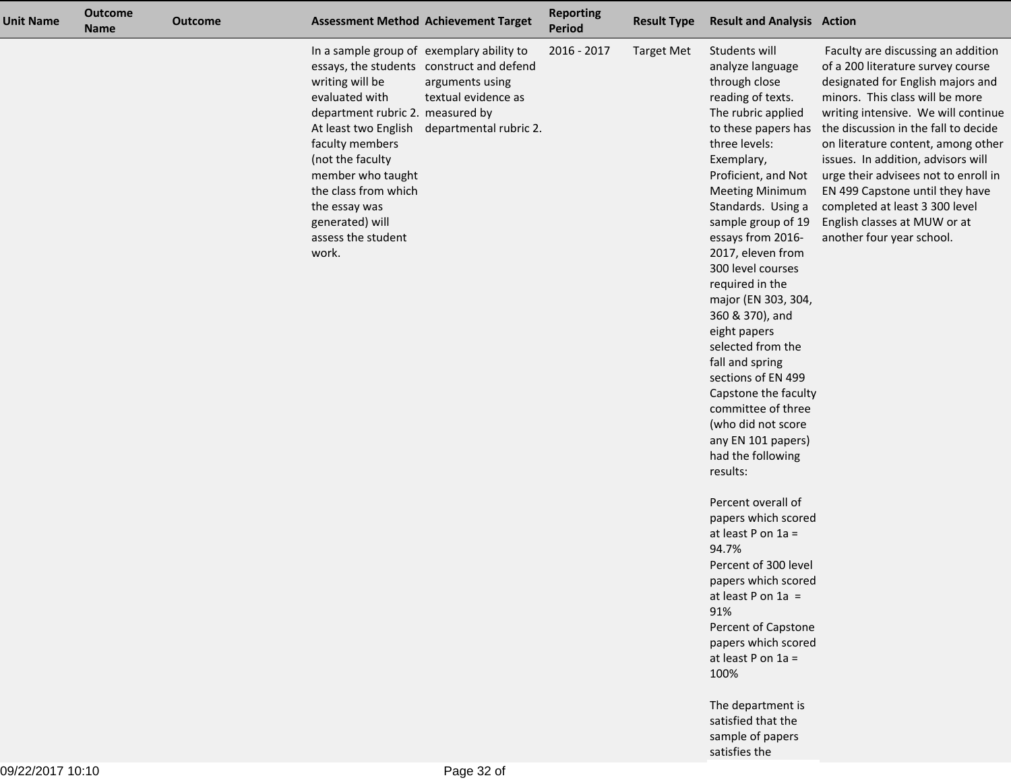| <b>Unit Name</b> | <b>Outcome</b><br><b>Name</b> | <b>Outcome</b> |                                                                                                                                                                                                                                                                                                   | <b>Assessment Method Achievement Target</b>                                                                   | <b>Reporting</b><br>Period | <b>Result Type</b> | <b>Result and Analysis Action</b>                                                                                                                                                                                                                                                                                                                                                                                                                                                                                                                                                                                                                                                                                                                                                                                                                                                              |                                                                                                                                                                                                                                                                                                                                                                                                                                                                                      |
|------------------|-------------------------------|----------------|---------------------------------------------------------------------------------------------------------------------------------------------------------------------------------------------------------------------------------------------------------------------------------------------------|---------------------------------------------------------------------------------------------------------------|----------------------------|--------------------|------------------------------------------------------------------------------------------------------------------------------------------------------------------------------------------------------------------------------------------------------------------------------------------------------------------------------------------------------------------------------------------------------------------------------------------------------------------------------------------------------------------------------------------------------------------------------------------------------------------------------------------------------------------------------------------------------------------------------------------------------------------------------------------------------------------------------------------------------------------------------------------------|--------------------------------------------------------------------------------------------------------------------------------------------------------------------------------------------------------------------------------------------------------------------------------------------------------------------------------------------------------------------------------------------------------------------------------------------------------------------------------------|
|                  |                               |                | In a sample group of exemplary ability to<br>writing will be<br>evaluated with<br>department rubric 2. measured by<br>At least two English<br>faculty members<br>(not the faculty<br>member who taught<br>the class from which<br>the essay was<br>generated) will<br>assess the student<br>work. | essays, the students construct and defend<br>arguments using<br>textual evidence as<br>departmental rubric 2. | 2016 - 2017                | <b>Target Met</b>  | Students will<br>analyze language<br>through close<br>reading of texts.<br>The rubric applied<br>to these papers has<br>three levels:<br>Exemplary,<br>Proficient, and Not<br><b>Meeting Minimum</b><br>Standards. Using a<br>sample group of 19<br>essays from 2016-<br>2017, eleven from<br>300 level courses<br>required in the<br>major (EN 303, 304,<br>360 & 370), and<br>eight papers<br>selected from the<br>fall and spring<br>sections of EN 499<br>Capstone the faculty<br>committee of three<br>(who did not score<br>any EN 101 papers)<br>had the following<br>results:<br>Percent overall of<br>papers which scored<br>at least P on 1a =<br>94.7%<br>Percent of 300 level<br>papers which scored<br>at least P on $1a =$<br>91%<br>Percent of Capstone<br>papers which scored<br>at least $P$ on $1a =$<br>100%<br>The department is<br>satisfied that the<br>sample of papers | Faculty are discussing an addition<br>of a 200 literature survey course<br>designated for English majors and<br>minors. This class will be more<br>writing intensive. We will continue<br>the discussion in the fall to decide<br>on literature content, among other<br>issues. In addition, advisors will<br>urge their advisees not to enroll in<br>EN 499 Capstone until they have<br>completed at least 3 300 level<br>English classes at MUW or at<br>another four year school. |
|                  |                               |                |                                                                                                                                                                                                                                                                                                   |                                                                                                               |                            |                    | satisfies the                                                                                                                                                                                                                                                                                                                                                                                                                                                                                                                                                                                                                                                                                                                                                                                                                                                                                  |                                                                                                                                                                                                                                                                                                                                                                                                                                                                                      |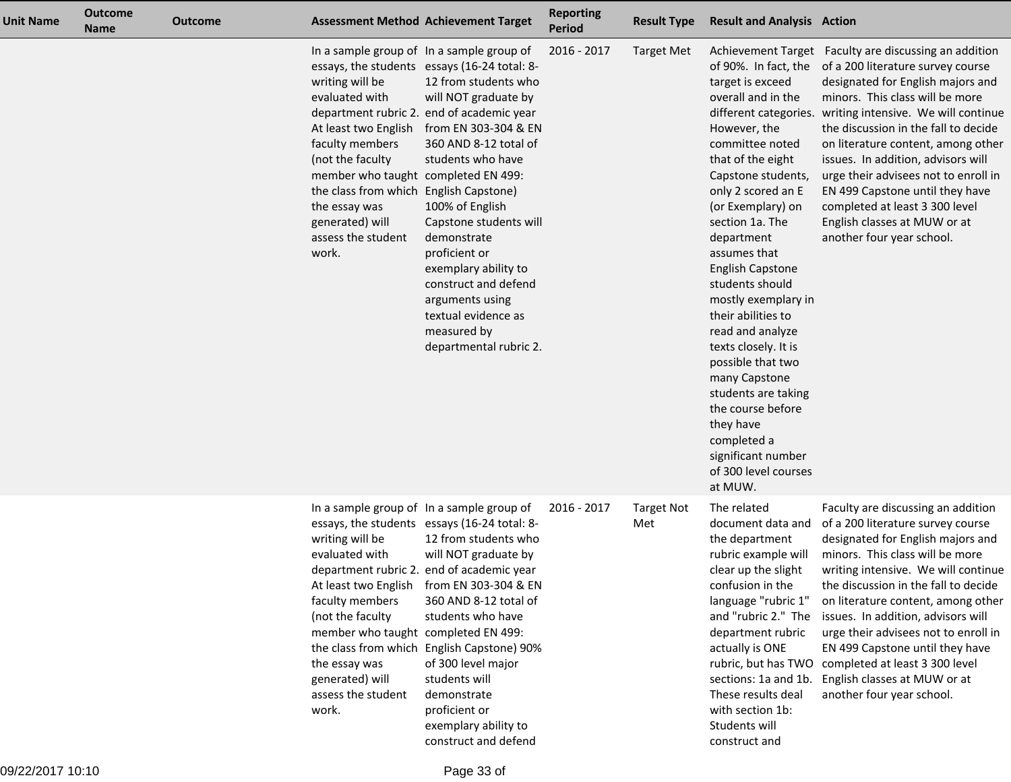| <b>Unit Name</b> | <b>Outcome</b><br><b>Name</b> | Outcome |                                                                                                                                                                                                                                                         | <b>Assessment Method Achievement Target</b>                                                                                                                                                                                                                                                                                                                                                                                                                                                       | <b>Reporting</b><br><b>Period</b> | <b>Result Type</b>       | <b>Result and Analysis Action</b>                                                                                                                                                                                                                                                                                                                                                                                                                                                                                              |                                                                                                                                                                                                                                                                                                                                                                                                                                                                                                                                                    |
|------------------|-------------------------------|---------|---------------------------------------------------------------------------------------------------------------------------------------------------------------------------------------------------------------------------------------------------------|---------------------------------------------------------------------------------------------------------------------------------------------------------------------------------------------------------------------------------------------------------------------------------------------------------------------------------------------------------------------------------------------------------------------------------------------------------------------------------------------------|-----------------------------------|--------------------------|--------------------------------------------------------------------------------------------------------------------------------------------------------------------------------------------------------------------------------------------------------------------------------------------------------------------------------------------------------------------------------------------------------------------------------------------------------------------------------------------------------------------------------|----------------------------------------------------------------------------------------------------------------------------------------------------------------------------------------------------------------------------------------------------------------------------------------------------------------------------------------------------------------------------------------------------------------------------------------------------------------------------------------------------------------------------------------------------|
|                  |                               |         | writing will be<br>evaluated with<br>At least two English<br>faculty members<br>(not the faculty<br>member who taught completed EN 499:<br>the class from which<br>the essay was<br>generated) will<br>assess the student<br>work.                      | In a sample group of In a sample group of<br>essays, the students essays (16-24 total: 8-<br>12 from students who<br>will NOT graduate by<br>department rubric 2. end of academic year<br>from EN 303-304 & EN<br>360 AND 8-12 total of<br>students who have<br>English Capstone)<br>100% of English<br>Capstone students will<br>demonstrate<br>proficient or<br>exemplary ability to<br>construct and defend<br>arguments using<br>textual evidence as<br>measured by<br>departmental rubric 2. | 2016 - 2017                       | <b>Target Met</b>        | target is exceed<br>overall and in the<br>However, the<br>committee noted<br>that of the eight<br>Capstone students,<br>only 2 scored an E<br>(or Exemplary) on<br>section 1a. The<br>department<br>assumes that<br><b>English Capstone</b><br>students should<br>mostly exemplary in<br>their abilities to<br>read and analyze<br>texts closely. It is<br>possible that two<br>many Capstone<br>students are taking<br>the course before<br>they have<br>completed a<br>significant number<br>of 300 level courses<br>at MUW. | Achievement Target Faculty are discussing an addition<br>of 90%. In fact, the of a 200 literature survey course<br>designated for English majors and<br>minors. This class will be more<br>different categories. writing intensive. We will continue<br>the discussion in the fall to decide<br>on literature content, among other<br>issues. In addition, advisors will<br>urge their advisees not to enroll in<br>EN 499 Capstone until they have<br>completed at least 3 300 level<br>English classes at MUW or at<br>another four year school. |
|                  |                               |         | In a sample group of In a sample group of<br>writing will be<br>evaluated with<br>At least two English<br>faculty members<br>(not the faculty<br>member who taught completed EN 499:<br>the essay was<br>generated) will<br>assess the student<br>work. | essays, the students essays (16-24 total: 8-<br>12 from students who<br>will NOT graduate by<br>department rubric 2. end of academic year<br>from EN 303-304 & EN<br>360 AND 8-12 total of<br>students who have<br>the class from which English Capstone) 90%<br>of 300 level major<br>students will<br>demonstrate<br>proficient or<br>exemplary ability to<br>construct and defend                                                                                                              | 2016 - 2017                       | <b>Target Not</b><br>Met | The related<br>document data and<br>the department<br>rubric example will<br>clear up the slight<br>confusion in the<br>language "rubric 1"<br>and "rubric 2." The<br>department rubric<br>actually is ONE<br>sections: 1a and 1b.<br>These results deal<br>with section 1b:<br>Students will<br>construct and                                                                                                                                                                                                                 | Faculty are discussing an addition<br>of a 200 literature survey course<br>designated for English majors and<br>minors. This class will be more<br>writing intensive. We will continue<br>the discussion in the fall to decide<br>on literature content, among other<br>issues. In addition, advisors will<br>urge their advisees not to enroll in<br>EN 499 Capstone until they have<br>rubric, but has TWO completed at least 3 300 level<br>English classes at MUW or at<br>another four year school.                                           |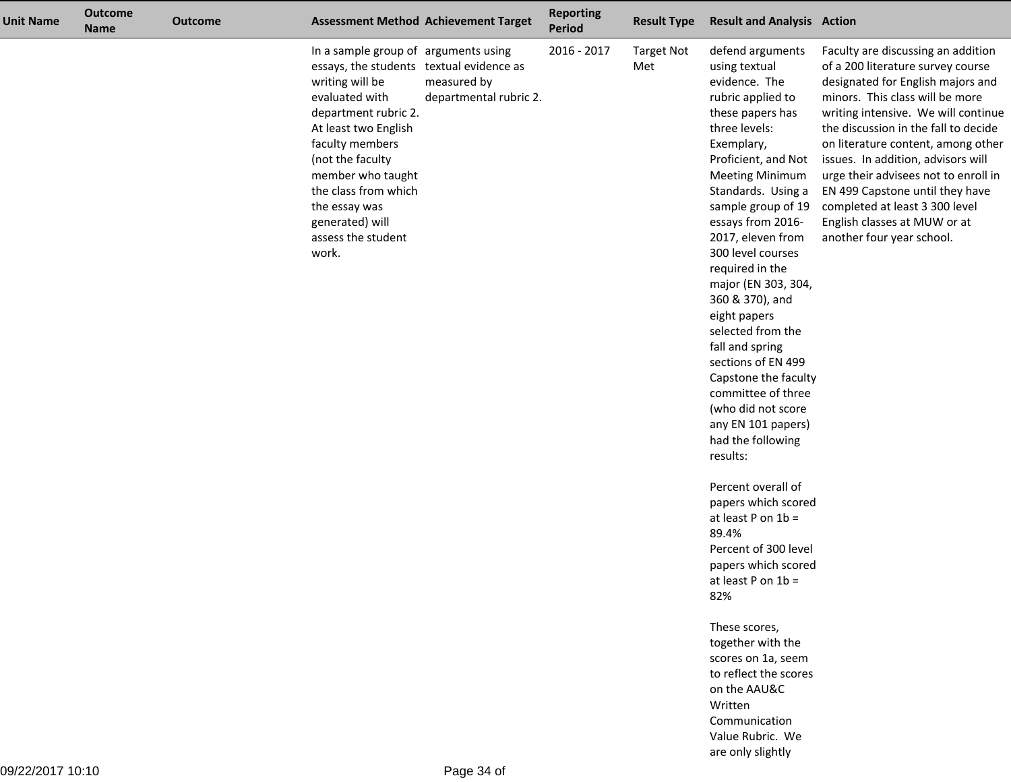| <b>Unit Name</b> | <b>Outcome</b><br><b>Name</b> | <b>Outcome</b> |                                                                                                                                                                                                                                                                                                                              | <b>Assessment Method Achievement Target</b> | <b>Reporting</b><br>Period | <b>Result Type</b>       | <b>Result and Analysis Action</b>                                                                                                                                                                                                                                                                                                                                                                                                                                                                                                                                                                                                                                                                                                                                                                                                                                                                      |                                                                                                                                                                                                                                                                                                                                                                                                                                                                                      |
|------------------|-------------------------------|----------------|------------------------------------------------------------------------------------------------------------------------------------------------------------------------------------------------------------------------------------------------------------------------------------------------------------------------------|---------------------------------------------|----------------------------|--------------------------|--------------------------------------------------------------------------------------------------------------------------------------------------------------------------------------------------------------------------------------------------------------------------------------------------------------------------------------------------------------------------------------------------------------------------------------------------------------------------------------------------------------------------------------------------------------------------------------------------------------------------------------------------------------------------------------------------------------------------------------------------------------------------------------------------------------------------------------------------------------------------------------------------------|--------------------------------------------------------------------------------------------------------------------------------------------------------------------------------------------------------------------------------------------------------------------------------------------------------------------------------------------------------------------------------------------------------------------------------------------------------------------------------------|
|                  |                               |                | In a sample group of arguments using<br>essays, the students textual evidence as<br>writing will be<br>evaluated with<br>department rubric 2.<br>At least two English<br>faculty members<br>(not the faculty<br>member who taught<br>the class from which<br>the essay was<br>generated) will<br>assess the student<br>work. | measured by<br>departmental rubric 2.       | 2016 - 2017                | <b>Target Not</b><br>Met | defend arguments<br>using textual<br>evidence. The<br>rubric applied to<br>these papers has<br>three levels:<br>Exemplary,<br>Proficient, and Not<br><b>Meeting Minimum</b><br>Standards. Using a<br>sample group of 19<br>essays from 2016-<br>2017, eleven from<br>300 level courses<br>required in the<br>major (EN 303, 304,<br>360 & 370), and<br>eight papers<br>selected from the<br>fall and spring<br>sections of EN 499<br>Capstone the faculty<br>committee of three<br>(who did not score<br>any EN 101 papers)<br>had the following<br>results:<br>Percent overall of<br>papers which scored<br>at least $P$ on $1b =$<br>89.4%<br>Percent of 300 level<br>papers which scored<br>at least $P$ on $1b =$<br>82%<br>These scores,<br>together with the<br>scores on 1a, seem<br>to reflect the scores<br>on the AAU&C<br>Written<br>Communication<br>Value Rubric. We<br>are only slightly | Faculty are discussing an addition<br>of a 200 literature survey course<br>designated for English majors and<br>minors. This class will be more<br>writing intensive. We will continue<br>the discussion in the fall to decide<br>on literature content, among other<br>issues. In addition, advisors will<br>urge their advisees not to enroll in<br>EN 499 Capstone until they have<br>completed at least 3 300 level<br>English classes at MUW or at<br>another four year school. |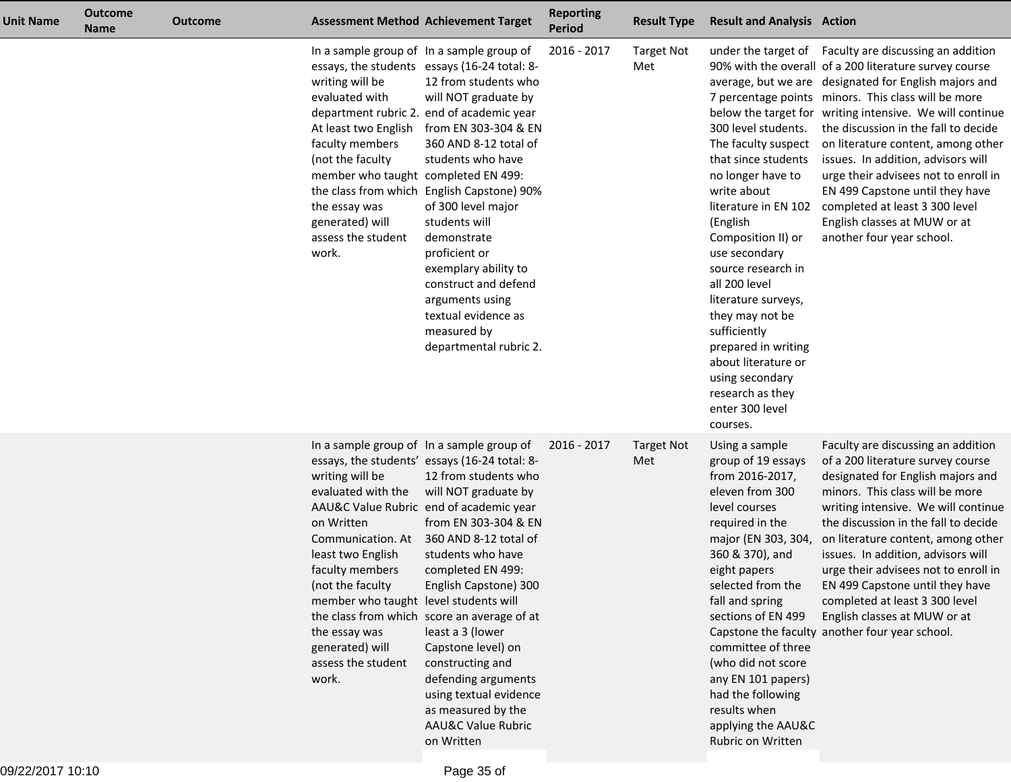| Unit Name | <b>Outcome</b><br><b>Name</b> | <b>Outcome</b> |                                                                                                                                                                                                                                                  | <b>Assessment Method Achievement Target</b>                                                                                                                                                                                                                                                                                                                                                                                                                                                                                       | <b>Reporting</b><br><b>Period</b> | <b>Result Type</b>       | <b>Result and Analysis Action</b>                                                                                                                                                                                                                                                                                                                                                                     |                                                                                                                                                                                                                                                                                                                                                                                                                                                                                                                                                                                            |
|-----------|-------------------------------|----------------|--------------------------------------------------------------------------------------------------------------------------------------------------------------------------------------------------------------------------------------------------|-----------------------------------------------------------------------------------------------------------------------------------------------------------------------------------------------------------------------------------------------------------------------------------------------------------------------------------------------------------------------------------------------------------------------------------------------------------------------------------------------------------------------------------|-----------------------------------|--------------------------|-------------------------------------------------------------------------------------------------------------------------------------------------------------------------------------------------------------------------------------------------------------------------------------------------------------------------------------------------------------------------------------------------------|--------------------------------------------------------------------------------------------------------------------------------------------------------------------------------------------------------------------------------------------------------------------------------------------------------------------------------------------------------------------------------------------------------------------------------------------------------------------------------------------------------------------------------------------------------------------------------------------|
|           |                               |                | writing will be<br>evaluated with<br>At least two English<br>faculty members<br>(not the faculty)<br>member who taught completed EN 499:<br>the essay was<br>generated) will<br>assess the student<br>work.                                      | In a sample group of In a sample group of<br>essays, the students essays (16-24 total: 8-<br>12 from students who<br>will NOT graduate by<br>department rubric 2. end of academic year<br>from EN 303-304 & EN<br>360 AND 8-12 total of<br>students who have<br>the class from which English Capstone) 90%<br>of 300 level major<br>students will<br>demonstrate<br>proficient or<br>exemplary ability to<br>construct and defend<br>arguments using<br>textual evidence as<br>measured by<br>departmental rubric 2.              | 2016 - 2017                       | <b>Target Not</b><br>Met | 300 level students.<br>The faculty suspect<br>that since students<br>no longer have to<br>write about<br>literature in EN 102<br>(English<br>Composition II) or<br>use secondary<br>source research in<br>all 200 level<br>literature surveys,<br>they may not be<br>sufficiently<br>prepared in writing<br>about literature or<br>using secondary<br>research as they<br>enter 300 level<br>courses. | under the target of Faculty are discussing an addition<br>90% with the overall of a 200 literature survey course<br>average, but we are designated for English majors and<br>7 percentage points minors. This class will be more<br>below the target for writing intensive. We will continue<br>the discussion in the fall to decide<br>on literature content, among other<br>issues. In addition, advisors will<br>urge their advisees not to enroll in<br>EN 499 Capstone until they have<br>completed at least 3 300 level<br>English classes at MUW or at<br>another four year school. |
|           |                               |                | writing will be<br>evaluated with the<br>on Written<br>Communication. At<br>least two English<br>faculty members<br>(not the faculty<br>member who taught level students will<br>the essay was<br>generated) will<br>assess the student<br>work. | In a sample group of In a sample group of<br>essays, the students' essays (16-24 total: 8-<br>12 from students who<br>will NOT graduate by<br>AAU&C Value Rubric end of academic year<br>from EN 303-304 & EN<br>360 AND 8-12 total of<br>students who have<br>completed EN 499:<br>English Capstone) 300<br>the class from which score an average of at<br>least a 3 (lower<br>Capstone level) on<br>constructing and<br>defending arguments<br>using textual evidence<br>as measured by the<br>AAU&C Value Rubric<br>on Written | 2016 - 2017                       | <b>Target Not</b><br>Met | Using a sample<br>group of 19 essays<br>from 2016-2017,<br>eleven from 300<br>level courses<br>required in the<br>major (EN 303, 304,<br>360 & 370), and<br>eight papers<br>selected from the<br>fall and spring<br>sections of EN 499<br>committee of three<br>(who did not score<br>any EN 101 papers)<br>had the following<br>results when<br>applying the AAU&C<br>Rubric on Written              | Faculty are discussing an addition<br>of a 200 literature survey course<br>designated for English majors and<br>minors. This class will be more<br>writing intensive. We will continue<br>the discussion in the fall to decide<br>on literature content, among other<br>issues. In addition, advisors will<br>urge their advisees not to enroll in<br>EN 499 Capstone until they have<br>completed at least 3 300 level<br>English classes at MUW or at<br>Capstone the faculty another four year school.                                                                                  |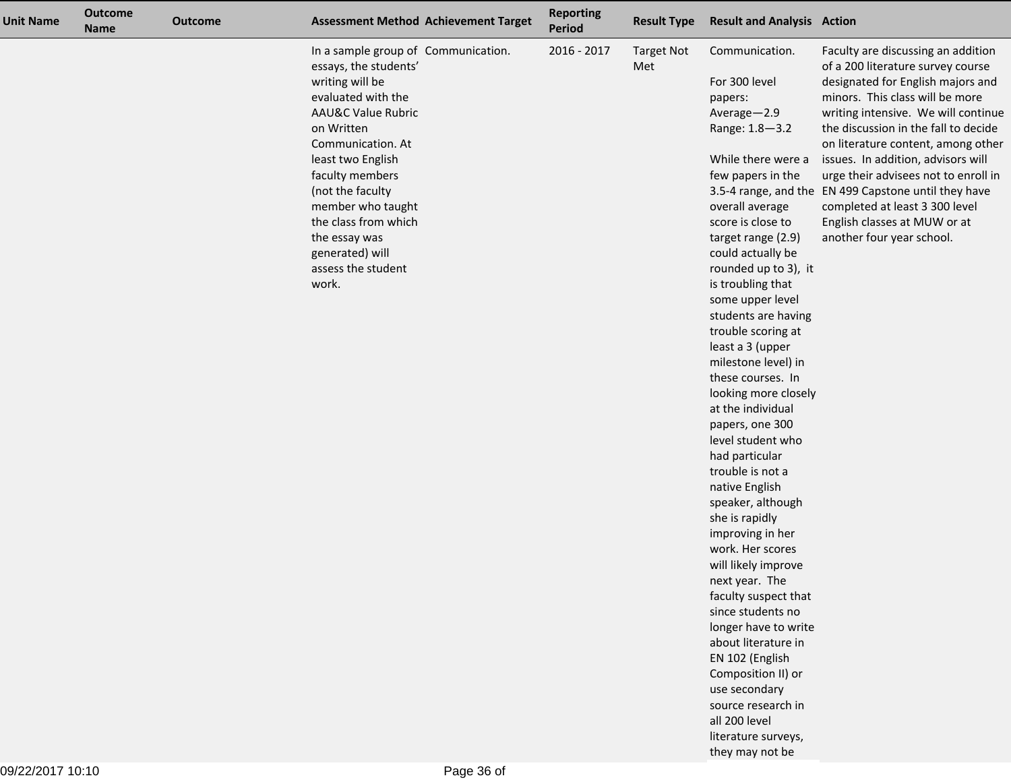| <b>Unit Name</b> | <b>Outcome</b><br><b>Name</b> | <b>Outcome</b> | <b>Assessment Method Achievement Target</b>                                                                                                                                                                                                                                                                                                           | <b>Reporting</b><br><b>Period</b> | <b>Result Type</b>       | <b>Result and Analysis Action</b>                                                                                                                                                                                                                                                                                                                                                                                                                                                                                                                                                                                                                                                                                                                                                                                                                                                                   |                                                                                                                                                                                                                                                                                                                                                                                                                                                                                                           |
|------------------|-------------------------------|----------------|-------------------------------------------------------------------------------------------------------------------------------------------------------------------------------------------------------------------------------------------------------------------------------------------------------------------------------------------------------|-----------------------------------|--------------------------|-----------------------------------------------------------------------------------------------------------------------------------------------------------------------------------------------------------------------------------------------------------------------------------------------------------------------------------------------------------------------------------------------------------------------------------------------------------------------------------------------------------------------------------------------------------------------------------------------------------------------------------------------------------------------------------------------------------------------------------------------------------------------------------------------------------------------------------------------------------------------------------------------------|-----------------------------------------------------------------------------------------------------------------------------------------------------------------------------------------------------------------------------------------------------------------------------------------------------------------------------------------------------------------------------------------------------------------------------------------------------------------------------------------------------------|
|                  |                               |                | In a sample group of Communication.<br>essays, the students'<br>writing will be<br>evaluated with the<br><b>AAU&amp;C Value Rubric</b><br>on Written<br>Communication. At<br>least two English<br>faculty members<br>(not the faculty<br>member who taught<br>the class from which<br>the essay was<br>generated) will<br>assess the student<br>work. | 2016 - 2017                       | <b>Target Not</b><br>Met | Communication.<br>For 300 level<br>papers:<br>Average-2.9<br>Range: 1.8-3.2<br>While there were a<br>few papers in the<br>overall average<br>score is close to<br>target range (2.9)<br>could actually be<br>rounded up to 3), it<br>is troubling that<br>some upper level<br>students are having<br>trouble scoring at<br>least a 3 (upper<br>milestone level) in<br>these courses. In<br>looking more closely<br>at the individual<br>papers, one 300<br>level student who<br>had particular<br>trouble is not a<br>native English<br>speaker, although<br>she is rapidly<br>improving in her<br>work. Her scores<br>will likely improve<br>next year. The<br>faculty suspect that<br>since students no<br>longer have to write<br>about literature in<br>EN 102 (English<br>Composition II) or<br>use secondary<br>source research in<br>all 200 level<br>literature surveys,<br>they may not be | Faculty are discussing an addition<br>of a 200 literature survey course<br>designated for English majors and<br>minors. This class will be more<br>writing intensive. We will continue<br>the discussion in the fall to decide<br>on literature content, among other<br>issues. In addition, advisors will<br>urge their advisees not to enroll in<br>3.5-4 range, and the EN 499 Capstone until they have<br>completed at least 3 300 level<br>English classes at MUW or at<br>another four year school. |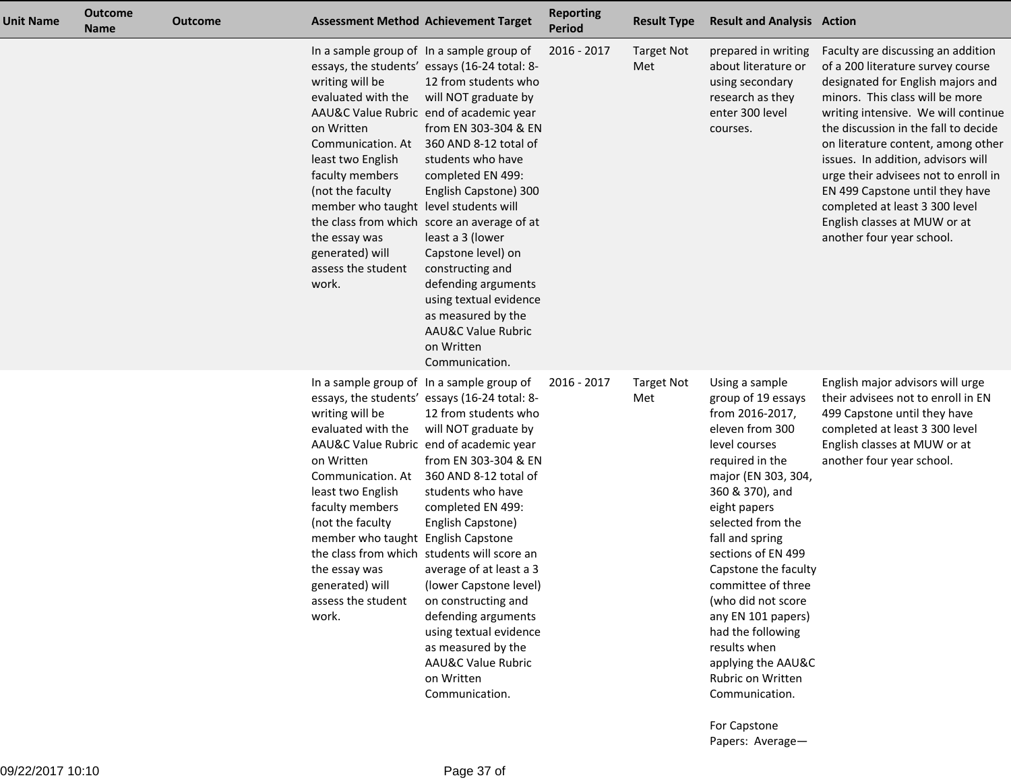| <b>Unit Name</b> | <b>Outcome</b><br><b>Name</b> | <b>Outcome</b> |                                                                                                                                                                                                                                                  | <b>Assessment Method Achievement Target</b>                                                                                                                                                                                                                                                                                                                                                                                                                                                                                                                              | <b>Reporting</b><br>Period | <b>Result Type</b>       | <b>Result and Analysis Action</b>                                                                                                                                                                                                                                                                                                                                                                                                                  |                                                                                                                                                                                                                                                                                                                                                                                                                                                                                      |
|------------------|-------------------------------|----------------|--------------------------------------------------------------------------------------------------------------------------------------------------------------------------------------------------------------------------------------------------|--------------------------------------------------------------------------------------------------------------------------------------------------------------------------------------------------------------------------------------------------------------------------------------------------------------------------------------------------------------------------------------------------------------------------------------------------------------------------------------------------------------------------------------------------------------------------|----------------------------|--------------------------|----------------------------------------------------------------------------------------------------------------------------------------------------------------------------------------------------------------------------------------------------------------------------------------------------------------------------------------------------------------------------------------------------------------------------------------------------|--------------------------------------------------------------------------------------------------------------------------------------------------------------------------------------------------------------------------------------------------------------------------------------------------------------------------------------------------------------------------------------------------------------------------------------------------------------------------------------|
|                  |                               |                | writing will be<br>evaluated with the<br>on Written<br>Communication. At<br>least two English<br>faculty members<br>(not the faculty<br>member who taught level students will<br>the essay was<br>generated) will<br>assess the student<br>work. | In a sample group of In a sample group of<br>essays, the students' essays (16-24 total: 8-<br>12 from students who<br>will NOT graduate by<br>AAU&C Value Rubric end of academic year<br>from EN 303-304 & EN<br>360 AND 8-12 total of<br>students who have<br>completed EN 499:<br>English Capstone) 300<br>the class from which score an average of at<br>least a 3 (lower<br>Capstone level) on<br>constructing and<br>defending arguments<br>using textual evidence<br>as measured by the<br><b>AAU&amp;C Value Rubric</b><br>on Written<br>Communication.           | 2016 - 2017                | <b>Target Not</b><br>Met | prepared in writing<br>about literature or<br>using secondary<br>research as they<br>enter 300 level<br>courses.                                                                                                                                                                                                                                                                                                                                   | Faculty are discussing an addition<br>of a 200 literature survey course<br>designated for English majors and<br>minors. This class will be more<br>writing intensive. We will continue<br>the discussion in the fall to decide<br>on literature content, among other<br>issues. In addition, advisors will<br>urge their advisees not to enroll in<br>EN 499 Capstone until they have<br>completed at least 3 300 level<br>English classes at MUW or at<br>another four year school. |
|                  |                               |                | writing will be<br>evaluated with the<br>on Written<br>Communication. At<br>least two English<br>faculty members<br>(not the faculty<br>member who taught English Capstone<br>the essay was<br>generated) will<br>assess the student<br>work.    | In a sample group of In a sample group of<br>essays, the students' essays (16-24 total: 8-<br>12 from students who<br>will NOT graduate by<br>AAU&C Value Rubric end of academic year<br>from EN 303-304 & EN<br>360 AND 8-12 total of<br>students who have<br>completed EN 499:<br>English Capstone)<br>the class from which students will score an<br>average of at least a 3<br>(lower Capstone level)<br>on constructing and<br>defending arguments<br>using textual evidence<br>as measured by the<br><b>AAU&amp;C Value Rubric</b><br>on Written<br>Communication. | 2016 - 2017                | <b>Target Not</b><br>Met | Using a sample<br>group of 19 essays<br>from 2016-2017,<br>eleven from 300<br>level courses<br>required in the<br>major (EN 303, 304,<br>360 & 370), and<br>eight papers<br>selected from the<br>fall and spring<br>sections of EN 499<br>Capstone the faculty<br>committee of three<br>(who did not score<br>any EN 101 papers)<br>had the following<br>results when<br>applying the AAU&C<br>Rubric on Written<br>Communication.<br>For Capstone | English major advisors will urge<br>their advisees not to enroll in EN<br>499 Capstone until they have<br>completed at least 3 300 level<br>English classes at MUW or at<br>another four year school.                                                                                                                                                                                                                                                                                |

Papers: Average—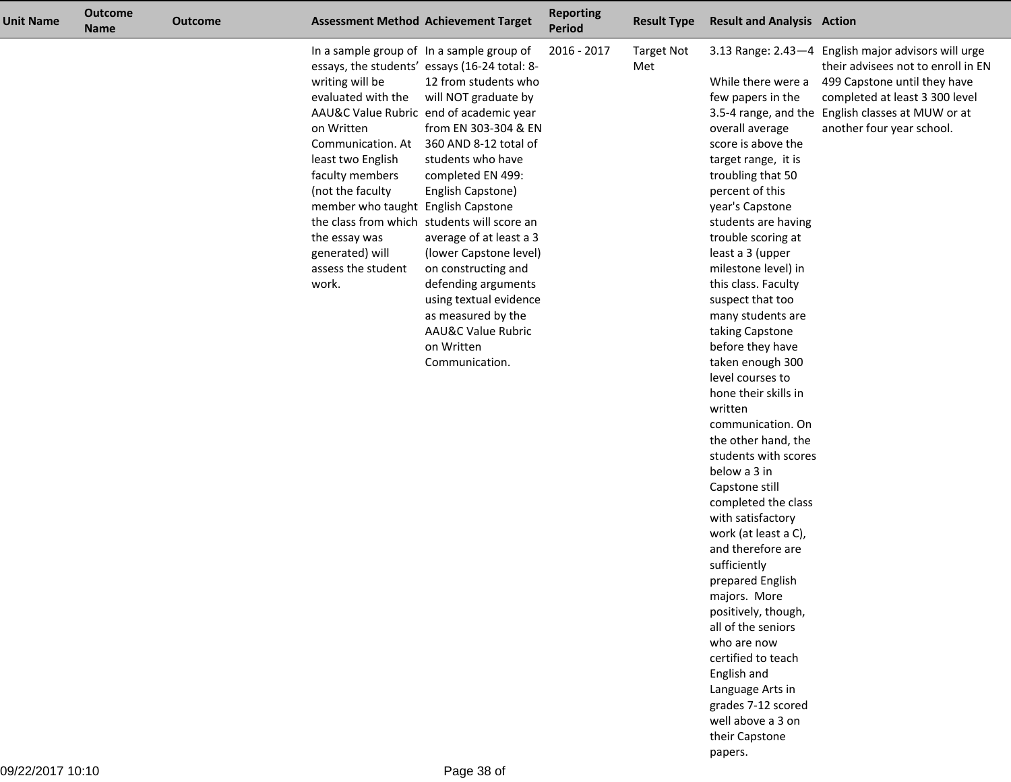| <b>Unit Name</b> | <b>Outcome</b><br><b>Name</b> | <b>Outcome</b> |                                                                                                                                                                                                                                                                                            | <b>Assessment Method Achievement Target</b>                                                                                                                                                                                                                                                                                                                                                                                                                                                                                 | <b>Reporting</b><br><b>Period</b> | <b>Result Type</b>       | <b>Result and Analysis Action</b>                                                                                                                                                                                                                                                                                                                                                                                                                                                                                                                                                                                                                                                                                                                                                                                                                                                                         |                                                                                                                                                                                                                          |
|------------------|-------------------------------|----------------|--------------------------------------------------------------------------------------------------------------------------------------------------------------------------------------------------------------------------------------------------------------------------------------------|-----------------------------------------------------------------------------------------------------------------------------------------------------------------------------------------------------------------------------------------------------------------------------------------------------------------------------------------------------------------------------------------------------------------------------------------------------------------------------------------------------------------------------|-----------------------------------|--------------------------|-----------------------------------------------------------------------------------------------------------------------------------------------------------------------------------------------------------------------------------------------------------------------------------------------------------------------------------------------------------------------------------------------------------------------------------------------------------------------------------------------------------------------------------------------------------------------------------------------------------------------------------------------------------------------------------------------------------------------------------------------------------------------------------------------------------------------------------------------------------------------------------------------------------|--------------------------------------------------------------------------------------------------------------------------------------------------------------------------------------------------------------------------|
|                  |                               |                | In a sample group of In a sample group of<br>writing will be<br>evaluated with the<br>on Written<br>Communication. At<br>least two English<br>faculty members<br>(not the faculty<br>member who taught English Capstone<br>the essay was<br>generated) will<br>assess the student<br>work. | essays, the students' essays (16-24 total: 8-<br>12 from students who<br>will NOT graduate by<br>AAU&C Value Rubric end of academic year<br>from EN 303-304 & EN<br>360 AND 8-12 total of<br>students who have<br>completed EN 499:<br>English Capstone)<br>the class from which students will score an<br>average of at least a 3<br>(lower Capstone level)<br>on constructing and<br>defending arguments<br>using textual evidence<br>as measured by the<br><b>AAU&amp;C Value Rubric</b><br>on Written<br>Communication. | 2016 - 2017                       | <b>Target Not</b><br>Met | While there were a<br>few papers in the<br>3.5-4 range, and the<br>overall average<br>score is above the<br>target range, it is<br>troubling that 50<br>percent of this<br>year's Capstone<br>students are having<br>trouble scoring at<br>least a 3 (upper<br>milestone level) in<br>this class. Faculty<br>suspect that too<br>many students are<br>taking Capstone<br>before they have<br>taken enough 300<br>level courses to<br>hone their skills in<br>written<br>communication. On<br>the other hand, the<br>students with scores<br>below a 3 in<br>Capstone still<br>completed the class<br>with satisfactory<br>work (at least a C),<br>and therefore are<br>sufficiently<br>prepared English<br>majors. More<br>positively, though,<br>all of the seniors<br>who are now<br>certified to teach<br>English and<br>Language Arts in<br>grades 7-12 scored<br>well above a 3 on<br>their Capstone | 3.13 Range: 2.43-4 English major advisors will urge<br>their advisees not to enroll in EN<br>499 Capstone until they have<br>completed at least 3 300 level<br>English classes at MUW or at<br>another four year school. |

papers.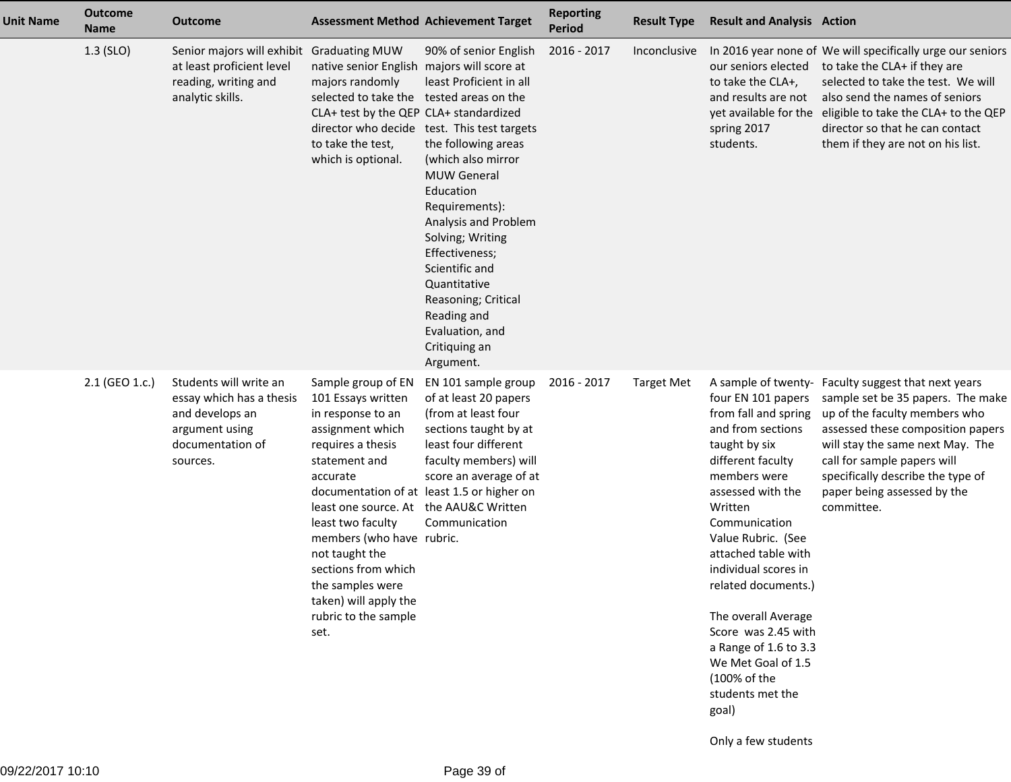| <b>Unit Name</b> | <b>Outcome</b><br><b>Name</b> | <b>Outcome</b>                                                                                                          |                                                                                                                                                                                                                                                                                                                                                       | <b>Assessment Method Achievement Target</b>                                                                                                                                                                                                                                                                                                                                              | <b>Reporting</b><br><b>Period</b> | <b>Result Type</b> | <b>Result and Analysis Action</b>                                                                                                                                                                                                                                                                                                                                                                                                                          |                                                                                                                                                                                                                                                                                                          |
|------------------|-------------------------------|-------------------------------------------------------------------------------------------------------------------------|-------------------------------------------------------------------------------------------------------------------------------------------------------------------------------------------------------------------------------------------------------------------------------------------------------------------------------------------------------|------------------------------------------------------------------------------------------------------------------------------------------------------------------------------------------------------------------------------------------------------------------------------------------------------------------------------------------------------------------------------------------|-----------------------------------|--------------------|------------------------------------------------------------------------------------------------------------------------------------------------------------------------------------------------------------------------------------------------------------------------------------------------------------------------------------------------------------------------------------------------------------------------------------------------------------|----------------------------------------------------------------------------------------------------------------------------------------------------------------------------------------------------------------------------------------------------------------------------------------------------------|
|                  | $1.3$ (SLO)                   | Senior majors will exhibit Graduating MUW<br>at least proficient level<br>reading, writing and<br>analytic skills.      | native senior English majors will score at<br>majors randomly<br>selected to take the tested areas on the<br>CLA+ test by the QEP CLA+ standardized<br>to take the test,<br>which is optional.                                                                                                                                                        | 90% of senior English<br>least Proficient in all<br>director who decide test. This test targets<br>the following areas<br>(which also mirror<br><b>MUW General</b><br>Education<br>Requirements):<br>Analysis and Problem<br>Solving; Writing<br>Effectiveness;<br>Scientific and<br>Quantitative<br>Reasoning; Critical<br>Reading and<br>Evaluation, and<br>Critiquing an<br>Argument. | 2016 - 2017                       | Inconclusive       | our seniors elected<br>to take the CLA+,<br>and results are not<br>spring 2017<br>students.                                                                                                                                                                                                                                                                                                                                                                | In 2016 year none of We will specifically urge our seniors<br>to take the CLA+ if they are<br>selected to take the test. We will<br>also send the names of seniors<br>yet available for the eligible to take the CLA+ to the QEP<br>director so that he can contact<br>them if they are not on his list. |
|                  | 2.1 (GEO 1.c.)                | Students will write an<br>essay which has a thesis<br>and develops an<br>argument using<br>documentation of<br>sources. | Sample group of EN<br>101 Essays written<br>in response to an<br>assignment which<br>requires a thesis<br>statement and<br>accurate<br>least one source. At the AAU&C Written<br>least two faculty<br>members (who have rubric.<br>not taught the<br>sections from which<br>the samples were<br>taken) will apply the<br>rubric to the sample<br>set. | EN 101 sample group<br>of at least 20 papers<br>(from at least four<br>sections taught by at<br>least four different<br>faculty members) will<br>score an average of at<br>documentation of at least 1.5 or higher on<br>Communication                                                                                                                                                   | 2016 - 2017                       | <b>Target Met</b>  | A sample of twenty-<br>four EN 101 papers<br>from fall and spring<br>and from sections<br>taught by six<br>different faculty<br>members were<br>assessed with the<br>Written<br>Communication<br>Value Rubric. (See<br>attached table with<br>individual scores in<br>related documents.)<br>The overall Average<br>Score was 2.45 with<br>a Range of 1.6 to 3.3<br>We Met Goal of 1.5<br>(100% of the<br>students met the<br>goal)<br>Only a few students | Faculty suggest that next years<br>sample set be 35 papers. The make<br>up of the faculty members who<br>assessed these composition papers<br>will stay the same next May. The<br>call for sample papers will<br>specifically describe the type of<br>paper being assessed by the<br>committee.          |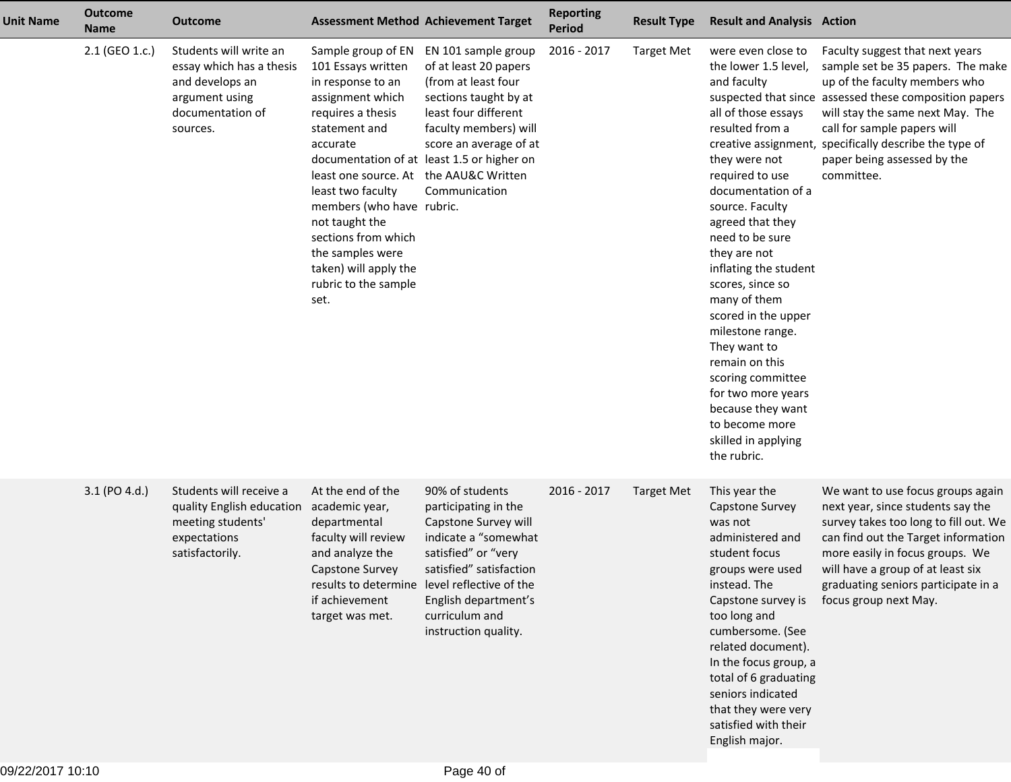| <b>Unit Name</b> | <b>Outcome</b><br><b>Name</b> | <b>Outcome</b>                                                                                                          |                                                                                                                                                                                                                                                                                                                                     | <b>Assessment Method Achievement Target</b>                                                                                                                                                                                                                 | <b>Reporting</b><br><b>Period</b> | <b>Result Type</b> | <b>Result and Analysis Action</b>                                                                                                                                                                                                                                                                                                                                                                                                                                                                         |                                                                                                                                                                                                                                                                                                                                           |
|------------------|-------------------------------|-------------------------------------------------------------------------------------------------------------------------|-------------------------------------------------------------------------------------------------------------------------------------------------------------------------------------------------------------------------------------------------------------------------------------------------------------------------------------|-------------------------------------------------------------------------------------------------------------------------------------------------------------------------------------------------------------------------------------------------------------|-----------------------------------|--------------------|-----------------------------------------------------------------------------------------------------------------------------------------------------------------------------------------------------------------------------------------------------------------------------------------------------------------------------------------------------------------------------------------------------------------------------------------------------------------------------------------------------------|-------------------------------------------------------------------------------------------------------------------------------------------------------------------------------------------------------------------------------------------------------------------------------------------------------------------------------------------|
|                  | 2.1 (GEO 1.c.)                | Students will write an<br>essay which has a thesis<br>and develops an<br>argument using<br>documentation of<br>sources. | Sample group of EN<br>101 Essays written<br>in response to an<br>assignment which<br>requires a thesis<br>statement and<br>accurate<br>least one source. At<br>least two faculty<br>members (who have rubric.<br>not taught the<br>sections from which<br>the samples were<br>taken) will apply the<br>rubric to the sample<br>set. | EN 101 sample group<br>of at least 20 papers<br>(from at least four<br>sections taught by at<br>least four different<br>faculty members) will<br>score an average of at<br>documentation of at least 1.5 or higher on<br>the AAU&C Written<br>Communication | 2016 - 2017                       | <b>Target Met</b>  | were even close to<br>the lower 1.5 level,<br>and faculty<br>all of those essays<br>resulted from a<br>they were not<br>required to use<br>documentation of a<br>source. Faculty<br>agreed that they<br>need to be sure<br>they are not<br>inflating the student<br>scores, since so<br>many of them<br>scored in the upper<br>milestone range.<br>They want to<br>remain on this<br>scoring committee<br>for two more years<br>because they want<br>to become more<br>skilled in applying<br>the rubric. | Faculty suggest that next years<br>sample set be 35 papers. The make<br>up of the faculty members who<br>suspected that since assessed these composition papers<br>will stay the same next May. The<br>call for sample papers will<br>creative assignment, specifically describe the type of<br>paper being assessed by the<br>committee. |
|                  | 3.1 (PO 4.d.)                 | Students will receive a<br>quality English education<br>meeting students'<br>expectations<br>satisfactorily.            | At the end of the<br>academic year,<br>departmental<br>faculty will review<br>and analyze the<br>Capstone Survey<br>if achievement<br>target was met.                                                                                                                                                                               | 90% of students<br>participating in the<br>Capstone Survey will<br>indicate a "somewhat<br>satisfied" or "very<br>satisfied" satisfaction<br>results to determine level reflective of the<br>English department's<br>curriculum and<br>instruction quality. | 2016 - 2017                       | <b>Target Met</b>  | This year the<br>Capstone Survey<br>was not<br>administered and<br>student focus<br>groups were used<br>instead. The<br>Capstone survey is<br>too long and<br>cumbersome. (See<br>related document).<br>In the focus group, a<br>total of 6 graduating<br>seniors indicated<br>that they were very<br>satisfied with their<br>English major.                                                                                                                                                              | We want to use focus groups again<br>next year, since students say the<br>survey takes too long to fill out. We<br>can find out the Target information<br>more easily in focus groups. We<br>will have a group of at least six<br>graduating seniors participate in a<br>focus group next May.                                            |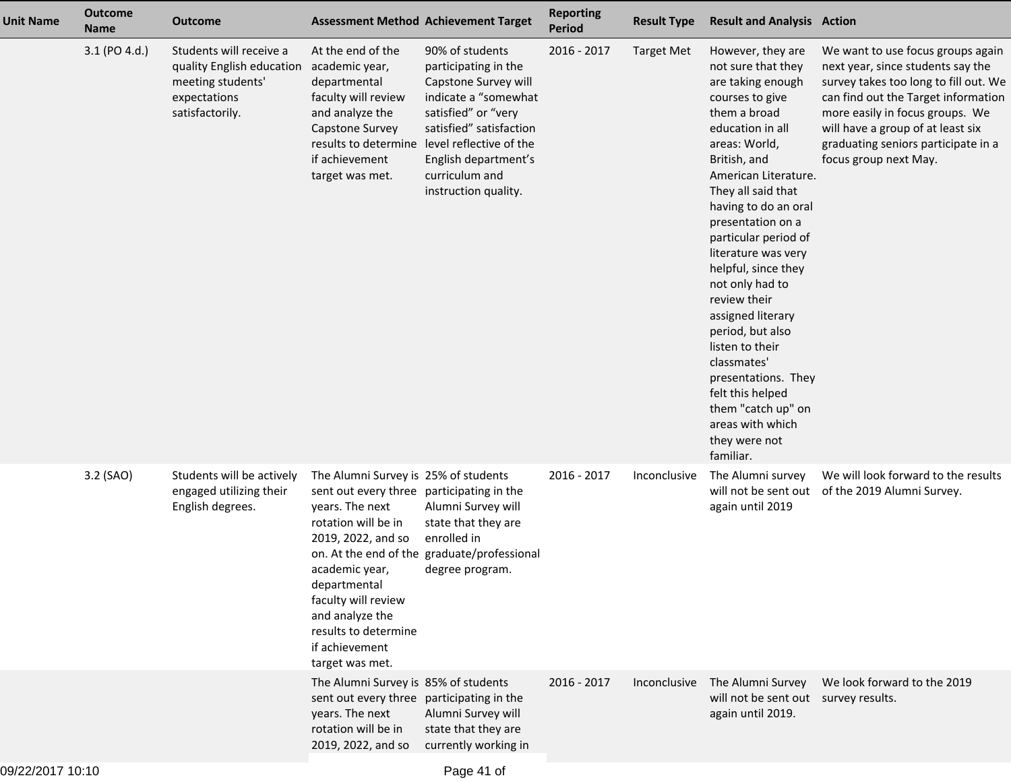| <b>Unit Name</b> | <b>Outcome</b><br><b>Name</b> | <b>Outcome</b>                                                                                               |                                                                                                                                                                                                                                                                                            | <b>Assessment Method Achievement Target</b>                                                                                                                                                                                                                 | <b>Reporting</b><br><b>Period</b> | <b>Result Type</b> | <b>Result and Analysis Action</b>                                                                                                                                                                                                                                                                                                                                                                                                                                                                                                                      |                                                                                                                                                                                                                                                                                                |
|------------------|-------------------------------|--------------------------------------------------------------------------------------------------------------|--------------------------------------------------------------------------------------------------------------------------------------------------------------------------------------------------------------------------------------------------------------------------------------------|-------------------------------------------------------------------------------------------------------------------------------------------------------------------------------------------------------------------------------------------------------------|-----------------------------------|--------------------|--------------------------------------------------------------------------------------------------------------------------------------------------------------------------------------------------------------------------------------------------------------------------------------------------------------------------------------------------------------------------------------------------------------------------------------------------------------------------------------------------------------------------------------------------------|------------------------------------------------------------------------------------------------------------------------------------------------------------------------------------------------------------------------------------------------------------------------------------------------|
|                  | 3.1 (PO 4.d.)                 | Students will receive a<br>quality English education<br>meeting students'<br>expectations<br>satisfactorily. | At the end of the<br>academic year,<br>departmental<br>faculty will review<br>and analyze the<br>Capstone Survey<br>if achievement<br>target was met.                                                                                                                                      | 90% of students<br>participating in the<br>Capstone Survey will<br>indicate a "somewhat<br>satisfied" or "very<br>satisfied" satisfaction<br>results to determine level reflective of the<br>English department's<br>curriculum and<br>instruction quality. | 2016 - 2017                       | <b>Target Met</b>  | However, they are<br>not sure that they<br>are taking enough<br>courses to give<br>them a broad<br>education in all<br>areas: World,<br>British, and<br>American Literature.<br>They all said that<br>having to do an oral<br>presentation on a<br>particular period of<br>literature was very<br>helpful, since they<br>not only had to<br>review their<br>assigned literary<br>period, but also<br>listen to their<br>classmates'<br>presentations. They<br>felt this helped<br>them "catch up" on<br>areas with which<br>they were not<br>familiar. | We want to use focus groups again<br>next year, since students say the<br>survey takes too long to fill out. We<br>can find out the Target information<br>more easily in focus groups. We<br>will have a group of at least six<br>graduating seniors participate in a<br>focus group next May. |
|                  | 3.2 (SAO)                     | Students will be actively<br>engaged utilizing their<br>English degrees.                                     | The Alumni Survey is 25% of students<br>sent out every three participating in the<br>years. The next<br>rotation will be in<br>2019, 2022, and so<br>academic year,<br>departmental<br>faculty will review<br>and analyze the<br>results to determine<br>if achievement<br>target was met. | Alumni Survey will<br>state that they are<br>enrolled in<br>on. At the end of the graduate/professional<br>degree program.                                                                                                                                  | 2016 - 2017                       | Inconclusive       | The Alumni survey<br>again until 2019                                                                                                                                                                                                                                                                                                                                                                                                                                                                                                                  | We will look forward to the results<br>will not be sent out of the 2019 Alumni Survey.                                                                                                                                                                                                         |
|                  |                               |                                                                                                              | The Alumni Survey is 85% of students<br>sent out every three participating in the<br>years. The next<br>rotation will be in<br>2019, 2022, and so                                                                                                                                          | Alumni Survey will<br>state that they are<br>currently working in                                                                                                                                                                                           | $2016 - 2017$                     | Inconclusive       | The Alumni Survey<br>will not be sent out survey results.<br>again until 2019.                                                                                                                                                                                                                                                                                                                                                                                                                                                                         | We look forward to the 2019                                                                                                                                                                                                                                                                    |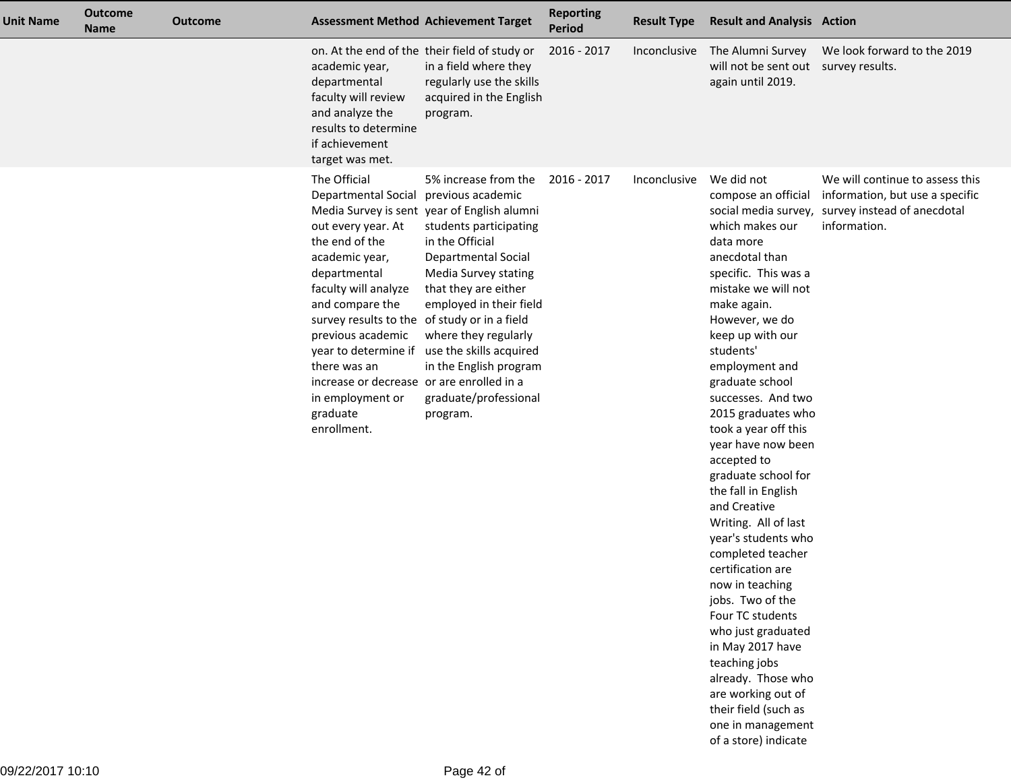| <b>Unit Name</b> | <b>Outcome</b><br><b>Name</b> | <b>Outcome</b> | <b>Assessment Method Achievement Target</b>                                                                                                                                                                                                                                                                                                                                         |                                                                                                                                                                                                                                                                                                                                             | <b>Reporting</b><br><b>Period</b> | <b>Result Type</b> | <b>Result and Analysis Action</b>                                                                                                                                                                                                                                                                                                                                                                                                                                                                                                                                                                                                                                                                                                                                        |                                                                                                                   |
|------------------|-------------------------------|----------------|-------------------------------------------------------------------------------------------------------------------------------------------------------------------------------------------------------------------------------------------------------------------------------------------------------------------------------------------------------------------------------------|---------------------------------------------------------------------------------------------------------------------------------------------------------------------------------------------------------------------------------------------------------------------------------------------------------------------------------------------|-----------------------------------|--------------------|--------------------------------------------------------------------------------------------------------------------------------------------------------------------------------------------------------------------------------------------------------------------------------------------------------------------------------------------------------------------------------------------------------------------------------------------------------------------------------------------------------------------------------------------------------------------------------------------------------------------------------------------------------------------------------------------------------------------------------------------------------------------------|-------------------------------------------------------------------------------------------------------------------|
|                  |                               |                | academic year,<br>departmental<br>faculty will review<br>and analyze the<br>results to determine<br>if achievement<br>target was met.                                                                                                                                                                                                                                               | on. At the end of the their field of study or<br>in a field where they<br>regularly use the skills<br>acquired in the English<br>program.                                                                                                                                                                                                   | 2016 - 2017                       | Inconclusive       | The Alumni Survey<br>will not be sent out survey results.<br>again until 2019.                                                                                                                                                                                                                                                                                                                                                                                                                                                                                                                                                                                                                                                                                           | We look forward to the 2019                                                                                       |
|                  |                               |                | The Official<br>Departmental Social previous academic<br>out every year. At<br>the end of the<br>academic year,<br>departmental<br>faculty will analyze<br>and compare the<br>survey results to the of study or in a field<br>previous academic<br>year to determine if<br>there was an<br>increase or decrease or are enrolled in a<br>in employment or<br>graduate<br>enrollment. | 5% increase from the<br>Media Survey is sent year of English alumni<br>students participating<br>in the Official<br><b>Departmental Social</b><br>Media Survey stating<br>that they are either<br>employed in their field<br>where they regularly<br>use the skills acquired<br>in the English program<br>graduate/professional<br>program. | 2016 - 2017                       | Inconclusive       | We did not<br>compose an official<br>social media survey,<br>which makes our<br>data more<br>anecdotal than<br>specific. This was a<br>mistake we will not<br>make again.<br>However, we do<br>keep up with our<br>students'<br>employment and<br>graduate school<br>successes. And two<br>2015 graduates who<br>took a year off this<br>year have now been<br>accepted to<br>graduate school for<br>the fall in English<br>and Creative<br>Writing. All of last<br>year's students who<br>completed teacher<br>certification are<br>now in teaching<br>jobs. Two of the<br>Four TC students<br>who just graduated<br>in May 2017 have<br>teaching jobs<br>already. Those who<br>are working out of<br>their field (such as<br>one in management<br>of a store) indicate | We will continue to assess this<br>information, but use a specific<br>survey instead of anecdotal<br>information. |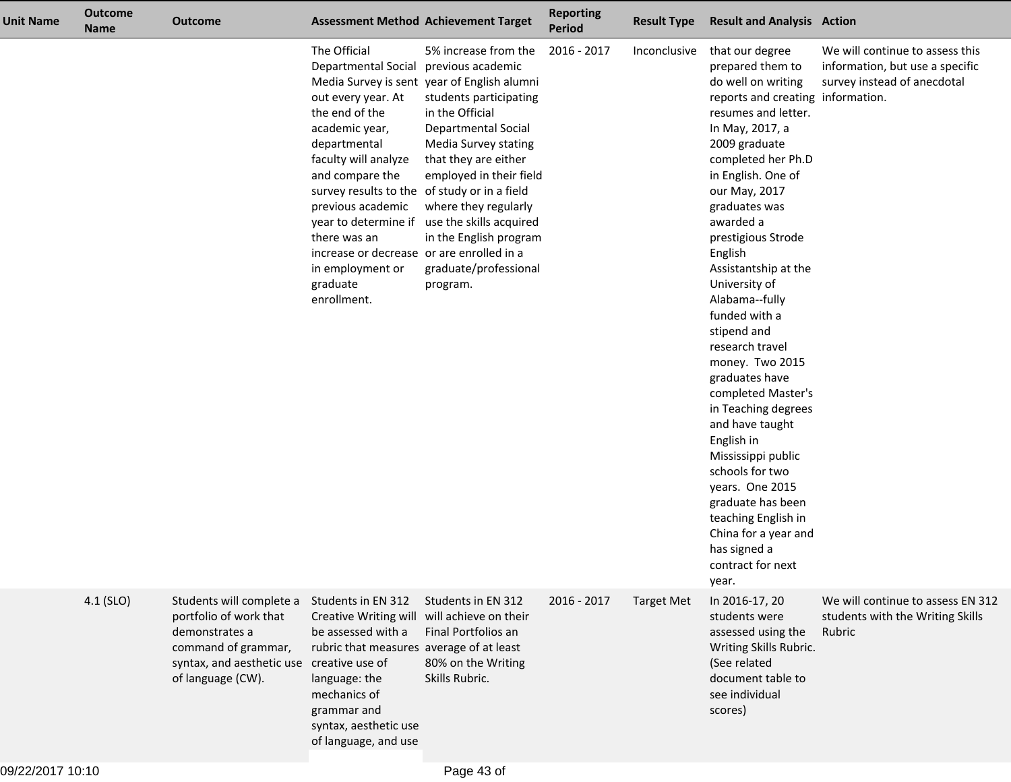| <b>Unit Name</b> | <b>Outcome</b><br><b>Name</b> | <b>Outcome</b>                                                                                                                                                | <b>Assessment Method Achievement Target</b>                                                                                                                                                                                                                                                                                               |                                                                                                                                                                                                                                                                                                                                                                                | <b>Reporting</b><br><b>Period</b> | <b>Result Type</b> | <b>Result and Analysis Action</b>                                                                                                                                                                                                                                                                                                                                                                                                                                                                                                                                                                                                                                                                    |                                                                                                   |
|------------------|-------------------------------|---------------------------------------------------------------------------------------------------------------------------------------------------------------|-------------------------------------------------------------------------------------------------------------------------------------------------------------------------------------------------------------------------------------------------------------------------------------------------------------------------------------------|--------------------------------------------------------------------------------------------------------------------------------------------------------------------------------------------------------------------------------------------------------------------------------------------------------------------------------------------------------------------------------|-----------------------------------|--------------------|------------------------------------------------------------------------------------------------------------------------------------------------------------------------------------------------------------------------------------------------------------------------------------------------------------------------------------------------------------------------------------------------------------------------------------------------------------------------------------------------------------------------------------------------------------------------------------------------------------------------------------------------------------------------------------------------------|---------------------------------------------------------------------------------------------------|
|                  |                               |                                                                                                                                                               | The Official<br>Departmental Social<br>out every year. At<br>the end of the<br>academic year,<br>departmental<br>faculty will analyze<br>and compare the<br>survey results to the of study or in a field<br>previous academic<br>there was an<br>increase or decrease or are enrolled in a<br>in employment or<br>graduate<br>enrollment. | 5% increase from the<br>previous academic<br>Media Survey is sent year of English alumni<br>students participating<br>in the Official<br>Departmental Social<br>Media Survey stating<br>that they are either<br>employed in their field<br>where they regularly<br>year to determine if use the skills acquired<br>in the English program<br>graduate/professional<br>program. | 2016 - 2017                       | Inconclusive       | that our degree<br>prepared them to<br>do well on writing<br>reports and creating information.<br>resumes and letter.<br>In May, 2017, a<br>2009 graduate<br>completed her Ph.D<br>in English. One of<br>our May, 2017<br>graduates was<br>awarded a<br>prestigious Strode<br>English<br>Assistantship at the<br>University of<br>Alabama--fully<br>funded with a<br>stipend and<br>research travel<br>money. Two 2015<br>graduates have<br>completed Master's<br>in Teaching degrees<br>and have taught<br>English in<br>Mississippi public<br>schools for two<br>years. One 2015<br>graduate has been<br>teaching English in<br>China for a year and<br>has signed a<br>contract for next<br>year. | We will continue to assess this<br>information, but use a specific<br>survey instead of anecdotal |
|                  | $4.1$ (SLO)                   | Students will complete a<br>portfolio of work that<br>demonstrates a<br>command of grammar,<br>syntax, and aesthetic use creative use of<br>of language (CW). | Students in EN 312<br>Creative Writing will will achieve on their<br>be assessed with a<br>rubric that measures average of at least<br>language: the<br>mechanics of<br>grammar and<br>syntax, aesthetic use<br>of language, and use                                                                                                      | Students in EN 312<br>Final Portfolios an<br>80% on the Writing<br>Skills Rubric.                                                                                                                                                                                                                                                                                              | 2016 - 2017                       | <b>Target Met</b>  | In 2016-17, 20<br>students were<br>assessed using the<br>Writing Skills Rubric.<br>(See related<br>document table to<br>see individual<br>scores)                                                                                                                                                                                                                                                                                                                                                                                                                                                                                                                                                    | We will continue to assess EN 312<br>students with the Writing Skills<br>Rubric                   |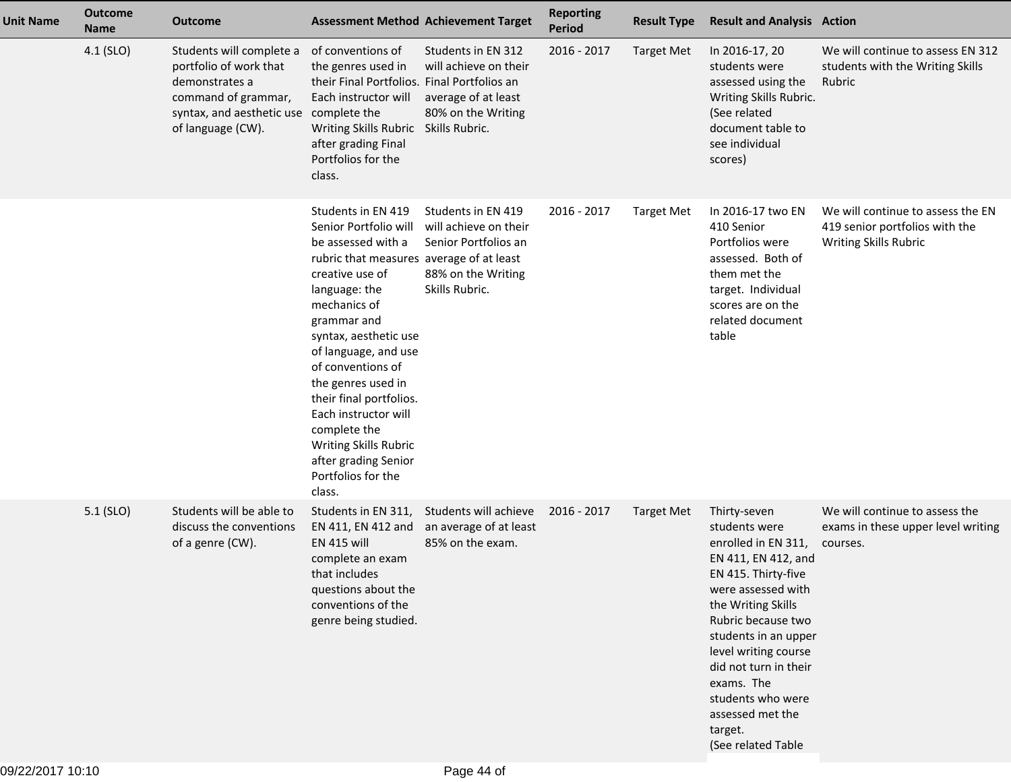| <b>Unit Name</b> | <b>Outcome</b><br><b>Name</b> | <b>Outcome</b>                                                                                                                                             | <b>Assessment Method Achievement Target</b>                                                                                                                                                                                                                                                                                                                                                                                      |                                                                                                             | <b>Reporting</b><br><b>Period</b> | <b>Result Type</b> | <b>Result and Analysis Action</b>                                                                                                                                                                                                                                                                                                     |                                                                                              |
|------------------|-------------------------------|------------------------------------------------------------------------------------------------------------------------------------------------------------|----------------------------------------------------------------------------------------------------------------------------------------------------------------------------------------------------------------------------------------------------------------------------------------------------------------------------------------------------------------------------------------------------------------------------------|-------------------------------------------------------------------------------------------------------------|-----------------------------------|--------------------|---------------------------------------------------------------------------------------------------------------------------------------------------------------------------------------------------------------------------------------------------------------------------------------------------------------------------------------|----------------------------------------------------------------------------------------------|
|                  | 4.1 (SLO)                     | Students will complete a<br>portfolio of work that<br>demonstrates a<br>command of grammar,<br>syntax, and aesthetic use complete the<br>of language (CW). | of conventions of<br>the genres used in<br>their Final Portfolios. Final Portfolios an<br>Each instructor will<br>Writing Skills Rubric<br>after grading Final<br>Portfolios for the<br>class.                                                                                                                                                                                                                                   | Students in EN 312<br>will achieve on their<br>average of at least<br>80% on the Writing<br>Skills Rubric.  | 2016 - 2017                       | <b>Target Met</b>  | In 2016-17, 20<br>students were<br>assessed using the<br>Writing Skills Rubric.<br>(See related<br>document table to<br>see individual<br>scores)                                                                                                                                                                                     | We will continue to assess EN 312<br>students with the Writing Skills<br>Rubric              |
|                  |                               |                                                                                                                                                            | Students in EN 419<br>Senior Portfolio will<br>be assessed with a<br>rubric that measures average of at least<br>creative use of<br>language: the<br>mechanics of<br>grammar and<br>syntax, aesthetic use<br>of language, and use<br>of conventions of<br>the genres used in<br>their final portfolios.<br>Each instructor will<br>complete the<br>Writing Skills Rubric<br>after grading Senior<br>Portfolios for the<br>class. | Students in EN 419<br>will achieve on their<br>Senior Portfolios an<br>88% on the Writing<br>Skills Rubric. | 2016 - 2017                       | <b>Target Met</b>  | In 2016-17 two EN<br>410 Senior<br>Portfolios were<br>assessed. Both of<br>them met the<br>target. Individual<br>scores are on the<br>related document<br>table                                                                                                                                                                       | We will continue to assess the EN<br>419 senior portfolios with the<br>Writing Skills Rubric |
|                  | 5.1 (SLO)                     | Students will be able to<br>discuss the conventions<br>of a genre (CW).                                                                                    | Students in EN 311,<br>EN 411, EN 412 and<br><b>EN 415 will</b><br>complete an exam<br>that includes<br>questions about the<br>conventions of the<br>genre being studied.                                                                                                                                                                                                                                                        | Students will achieve<br>an average of at least<br>85% on the exam.                                         | 2016 - 2017                       | <b>Target Met</b>  | Thirty-seven<br>students were<br>enrolled in EN 311,<br>EN 411, EN 412, and<br>EN 415. Thirty-five<br>were assessed with<br>the Writing Skills<br>Rubric because two<br>students in an upper<br>level writing course<br>did not turn in their<br>exams. The<br>students who were<br>assessed met the<br>target.<br>(See related Table | We will continue to assess the<br>exams in these upper level writing<br>courses.             |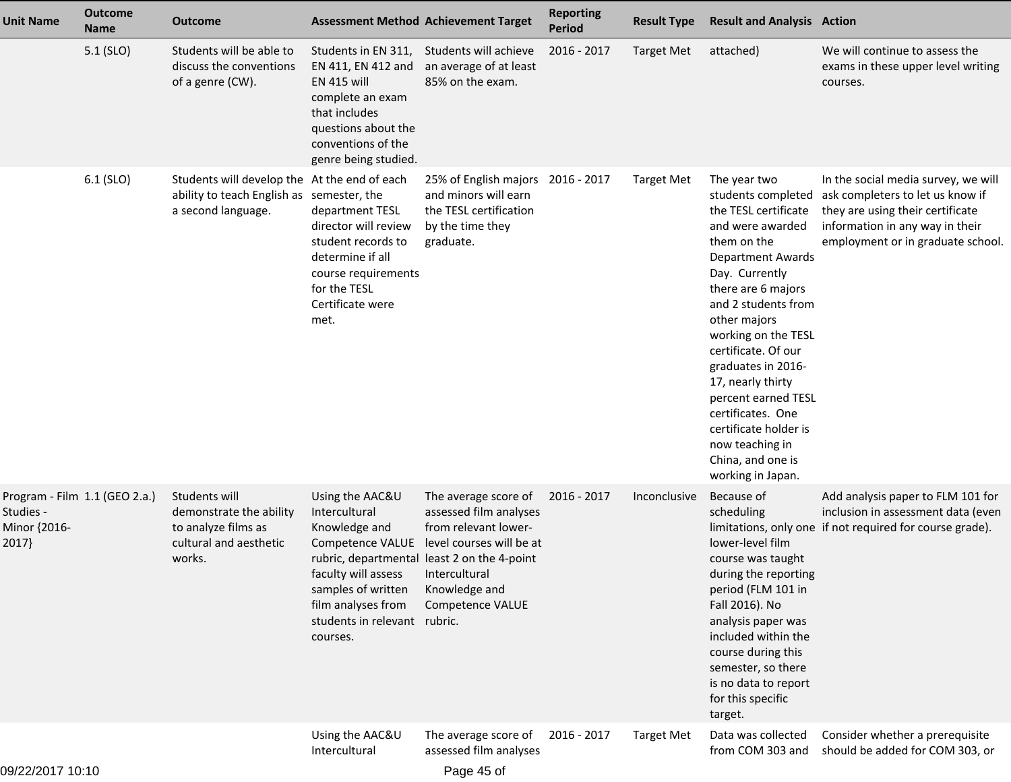| <b>Unit Name</b>                   | <b>Outcome</b><br><b>Name</b> | <b>Outcome</b>                                                                                                  | <b>Assessment Method Achievement Target</b>                                                                                                                                          |                                                                                                                                                                                                         | <b>Reporting</b><br><b>Period</b> | <b>Result Type</b> | <b>Result and Analysis Action</b>                                                                                                                                                                                                                                                                                                                                                                                                   |                                                                                                                                                                                     |
|------------------------------------|-------------------------------|-----------------------------------------------------------------------------------------------------------------|--------------------------------------------------------------------------------------------------------------------------------------------------------------------------------------|---------------------------------------------------------------------------------------------------------------------------------------------------------------------------------------------------------|-----------------------------------|--------------------|-------------------------------------------------------------------------------------------------------------------------------------------------------------------------------------------------------------------------------------------------------------------------------------------------------------------------------------------------------------------------------------------------------------------------------------|-------------------------------------------------------------------------------------------------------------------------------------------------------------------------------------|
|                                    | $5.1$ (SLO)                   | Students will be able to<br>discuss the conventions<br>of a genre (CW).                                         | Students in EN 311,<br>EN 411, EN 412 and<br><b>EN 415 will</b><br>complete an exam<br>that includes<br>questions about the<br>conventions of the<br>genre being studied.            | Students will achieve<br>an average of at least<br>85% on the exam.                                                                                                                                     | 2016 - 2017                       | <b>Target Met</b>  | attached)                                                                                                                                                                                                                                                                                                                                                                                                                           | We will continue to assess the<br>exams in these upper level writing<br>courses.                                                                                                    |
|                                    | $6.1$ (SLO)                   | Students will develop the At the end of each<br>ability to teach English as semester, the<br>a second language. | department TESL<br>director will review<br>student records to<br>determine if all<br>course requirements<br>for the TESL<br>Certificate were<br>met.                                 | 25% of English majors 2016 - 2017<br>and minors will earn<br>the TESL certification<br>by the time they<br>graduate.                                                                                    |                                   | <b>Target Met</b>  | The year two<br>students completed<br>the TESL certificate<br>and were awarded<br>them on the<br><b>Department Awards</b><br>Day. Currently<br>there are 6 majors<br>and 2 students from<br>other majors<br>working on the TESL<br>certificate. Of our<br>graduates in 2016-<br>17, nearly thirty<br>percent earned TESL<br>certificates. One<br>certificate holder is<br>now teaching in<br>China, and one is<br>working in Japan. | In the social media survey, we will<br>ask completers to let us know if<br>they are using their certificate<br>information in any way in their<br>employment or in graduate school. |
| Studies -<br>Minor {2016-<br>2017} | Program - Film 1.1 (GEO 2.a.) | Students will<br>demonstrate the ability<br>to analyze films as<br>cultural and aesthetic<br>works.             | Using the AAC&U<br>Intercultural<br>Knowledge and<br>Competence VALUE<br>faculty will assess<br>samples of written<br>film analyses from<br>students in relevant rubric.<br>courses. | The average score of<br>assessed film analyses<br>from relevant lower-<br>level courses will be at<br>rubric, departmental least 2 on the 4-point<br>Intercultural<br>Knowledge and<br>Competence VALUE | 2016 - 2017                       | Inconclusive       | Because of<br>scheduling<br>lower-level film<br>course was taught<br>during the reporting<br>period (FLM 101 in<br>Fall 2016). No<br>analysis paper was<br>included within the<br>course during this<br>semester, so there<br>is no data to report<br>for this specific<br>target.                                                                                                                                                  | Add analysis paper to FLM 101 for<br>inclusion in assessment data (even<br>limitations, only one if not required for course grade).                                                 |
|                                    |                               |                                                                                                                 | Using the AAC&U<br>Intercultural                                                                                                                                                     | The average score of<br>assessed film analyses                                                                                                                                                          | 2016 - 2017                       | <b>Target Met</b>  | Data was collected<br>from COM 303 and                                                                                                                                                                                                                                                                                                                                                                                              | Consider whether a prerequisite<br>should be added for COM 303, or                                                                                                                  |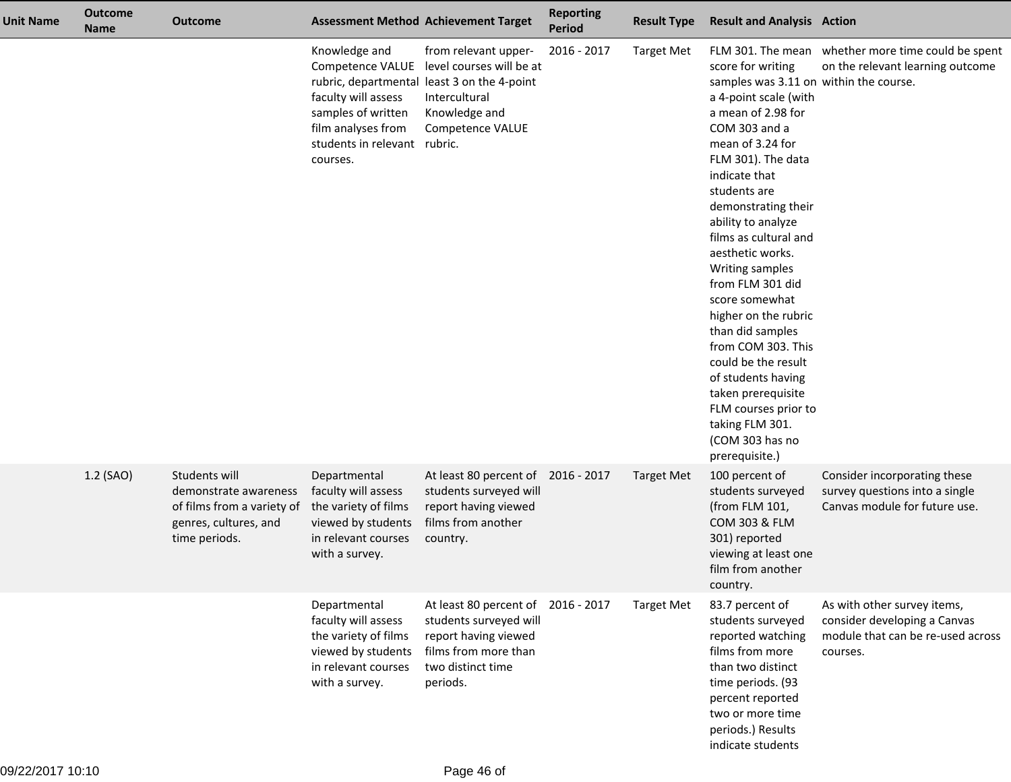| <b>Unit Name</b> | <b>Outcome</b><br><b>Name</b> | <b>Outcome</b>                                                                                                 |                                                                                                                              | <b>Assessment Method Achievement Target</b>                                                                                                                            | <b>Reporting</b><br>Period | <b>Result Type</b> | <b>Result and Analysis Action</b>                                                                                                                                                                                                                                                                                                                                                                                                                                                                                                                                              |                                                                                                              |
|------------------|-------------------------------|----------------------------------------------------------------------------------------------------------------|------------------------------------------------------------------------------------------------------------------------------|------------------------------------------------------------------------------------------------------------------------------------------------------------------------|----------------------------|--------------------|--------------------------------------------------------------------------------------------------------------------------------------------------------------------------------------------------------------------------------------------------------------------------------------------------------------------------------------------------------------------------------------------------------------------------------------------------------------------------------------------------------------------------------------------------------------------------------|--------------------------------------------------------------------------------------------------------------|
|                  |                               |                                                                                                                | Knowledge and<br>faculty will assess<br>samples of written<br>film analyses from<br>students in relevant rubric.<br>courses. | from relevant upper-<br>Competence VALUE level courses will be at<br>rubric, departmental least 3 on the 4-point<br>Intercultural<br>Knowledge and<br>Competence VALUE | 2016 - 2017                | <b>Target Met</b>  | score for writing<br>samples was 3.11 on within the course.<br>a 4-point scale (with<br>a mean of 2.98 for<br>COM 303 and a<br>mean of 3.24 for<br>FLM 301). The data<br>indicate that<br>students are<br>demonstrating their<br>ability to analyze<br>films as cultural and<br>aesthetic works.<br>Writing samples<br>from FLM 301 did<br>score somewhat<br>higher on the rubric<br>than did samples<br>from COM 303. This<br>could be the result<br>of students having<br>taken prerequisite<br>FLM courses prior to<br>taking FLM 301.<br>(COM 303 has no<br>prerequisite.) | FLM 301. The mean whether more time could be spent<br>on the relevant learning outcome                       |
|                  | 1.2 (SAO)                     | Students will<br>demonstrate awareness<br>of films from a variety of<br>genres, cultures, and<br>time periods. | Departmental<br>faculty will assess<br>the variety of films<br>viewed by students<br>in relevant courses<br>with a survey.   | At least 80 percent of<br>students surveyed will<br>report having viewed<br>films from another<br>country.                                                             | 2016 - 2017                | <b>Target Met</b>  | 100 percent of<br>students surveyed<br>(from FLM 101,<br>COM 303 & FLM<br>301) reported<br>viewing at least one<br>film from another<br>country.                                                                                                                                                                                                                                                                                                                                                                                                                               | Consider incorporating these<br>survey questions into a single<br>Canvas module for future use.              |
|                  |                               |                                                                                                                | Departmental<br>faculty will assess<br>the variety of films<br>viewed by students<br>in relevant courses<br>with a survey.   | At least 80 percent of<br>students surveyed will<br>report having viewed<br>films from more than<br>two distinct time<br>periods.                                      | 2016 - 2017                | <b>Target Met</b>  | 83.7 percent of<br>students surveyed<br>reported watching<br>films from more<br>than two distinct<br>time periods. (93<br>percent reported<br>two or more time<br>periods.) Results<br>indicate students                                                                                                                                                                                                                                                                                                                                                                       | As with other survey items,<br>consider developing a Canvas<br>module that can be re-used across<br>courses. |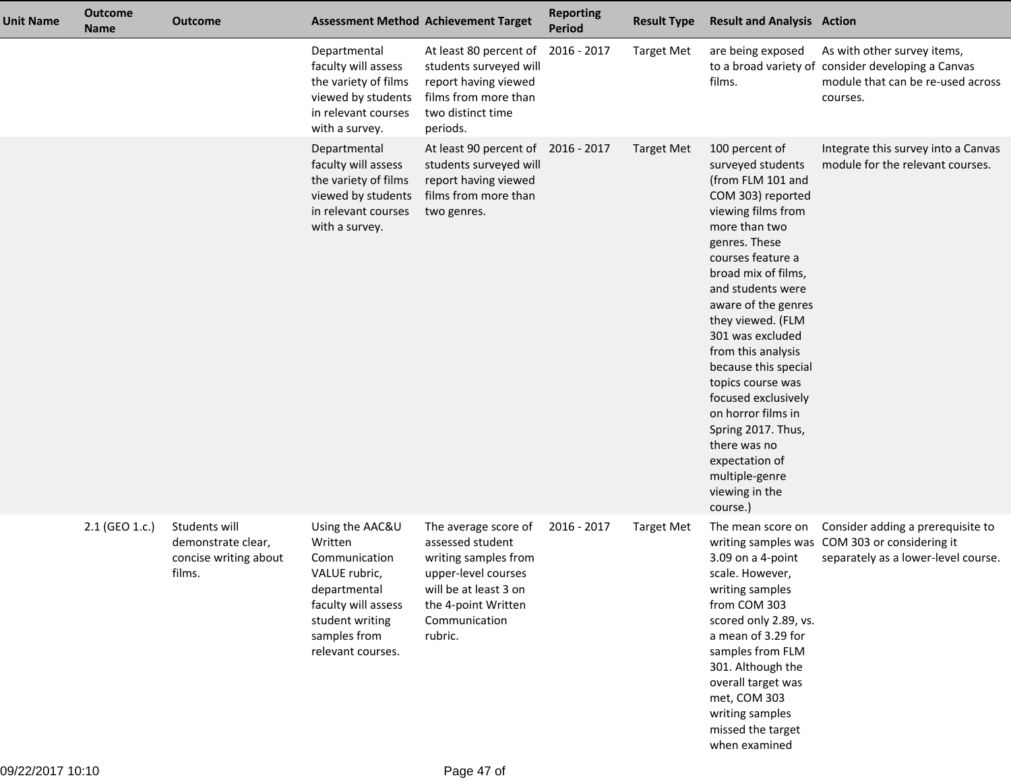| <b>Unit Name</b> | <b>Outcome</b><br><b>Name</b> | <b>Outcome</b>                                                         |                                                                                                                                                             | <b>Assessment Method Achievement Target</b>                                                                                                                         | <b>Reporting</b><br><b>Period</b> | <b>Result Type</b> | <b>Result and Analysis Action</b>                                                                                                                                                                                                                                                                                                                                                                                                                                                              |                                                                                                                                    |
|------------------|-------------------------------|------------------------------------------------------------------------|-------------------------------------------------------------------------------------------------------------------------------------------------------------|---------------------------------------------------------------------------------------------------------------------------------------------------------------------|-----------------------------------|--------------------|------------------------------------------------------------------------------------------------------------------------------------------------------------------------------------------------------------------------------------------------------------------------------------------------------------------------------------------------------------------------------------------------------------------------------------------------------------------------------------------------|------------------------------------------------------------------------------------------------------------------------------------|
|                  |                               |                                                                        | Departmental<br>faculty will assess<br>the variety of films<br>viewed by students<br>in relevant courses<br>with a survey.                                  | At least 80 percent of<br>students surveyed will<br>report having viewed<br>films from more than<br>two distinct time<br>periods.                                   | 2016 - 2017                       | <b>Target Met</b>  | are being exposed<br>films.                                                                                                                                                                                                                                                                                                                                                                                                                                                                    | As with other survey items,<br>to a broad variety of consider developing a Canvas<br>module that can be re-used across<br>courses. |
|                  |                               |                                                                        | Departmental<br>faculty will assess<br>the variety of films<br>viewed by students<br>in relevant courses<br>with a survey.                                  | At least 90 percent of<br>students surveyed will<br>report having viewed<br>films from more than<br>two genres.                                                     | 2016 - 2017                       | <b>Target Met</b>  | 100 percent of<br>surveyed students<br>(from FLM 101 and<br>COM 303) reported<br>viewing films from<br>more than two<br>genres. These<br>courses feature a<br>broad mix of films,<br>and students were<br>aware of the genres<br>they viewed. (FLM<br>301 was excluded<br>from this analysis<br>because this special<br>topics course was<br>focused exclusively<br>on horror films in<br>Spring 2017. Thus,<br>there was no<br>expectation of<br>multiple-genre<br>viewing in the<br>course.) | Integrate this survey into a Canvas<br>module for the relevant courses.                                                            |
|                  | 2.1 (GEO 1.c.)                | Students will<br>demonstrate clear,<br>concise writing about<br>films. | Using the AAC&U<br>Written<br>Communication<br>VALUE rubric,<br>departmental<br>faculty will assess<br>student writing<br>samples from<br>relevant courses. | The average score of<br>assessed student<br>writing samples from<br>upper-level courses<br>will be at least 3 on<br>the 4-point Written<br>Communication<br>rubric. | 2016 - 2017                       | <b>Target Met</b>  | The mean score on<br>3.09 on a 4-point<br>scale. However,<br>writing samples<br>from COM 303<br>scored only 2.89, vs.<br>a mean of 3.29 for<br>samples from FLM<br>301. Although the<br>overall target was<br>met, COM 303<br>writing samples<br>missed the target<br>when examined                                                                                                                                                                                                            | Consider adding a prerequisite to<br>writing samples was COM 303 or considering it<br>separately as a lower-level course.          |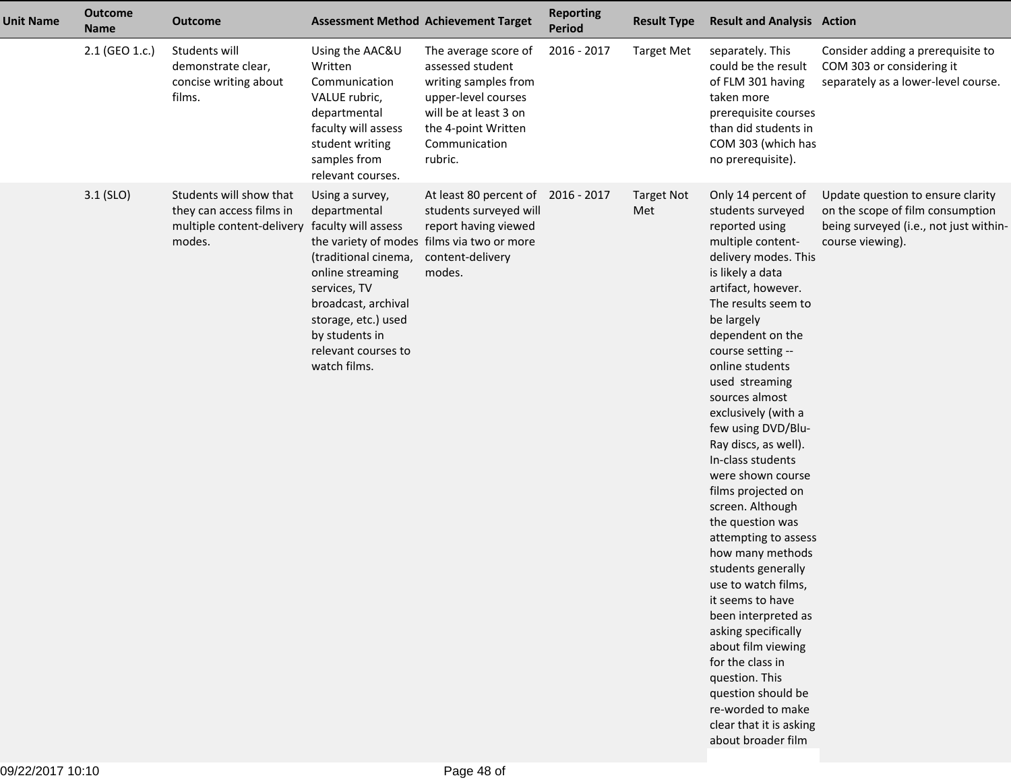| <b>Unit Name</b> | <b>Outcome</b><br><b>Name</b> | <b>Outcome</b>                                                                             | <b>Assessment Method Achievement Target</b>                                                                                                                                                                               |                                                                                                                                                                     | <b>Reporting</b><br>Period | <b>Result Type</b>       | <b>Result and Analysis Action</b>                                                                                                                                                                                                                                                                                                                                                                                                                                                                                                                                                                                                                                                                                                                                                     |                                                                                                                                     |
|------------------|-------------------------------|--------------------------------------------------------------------------------------------|---------------------------------------------------------------------------------------------------------------------------------------------------------------------------------------------------------------------------|---------------------------------------------------------------------------------------------------------------------------------------------------------------------|----------------------------|--------------------------|---------------------------------------------------------------------------------------------------------------------------------------------------------------------------------------------------------------------------------------------------------------------------------------------------------------------------------------------------------------------------------------------------------------------------------------------------------------------------------------------------------------------------------------------------------------------------------------------------------------------------------------------------------------------------------------------------------------------------------------------------------------------------------------|-------------------------------------------------------------------------------------------------------------------------------------|
|                  | 2.1 (GEO 1.c.)                | Students will<br>demonstrate clear,<br>concise writing about<br>films.                     | Using the AAC&U<br>Written<br>Communication<br>VALUE rubric,<br>departmental<br>faculty will assess<br>student writing<br>samples from<br>relevant courses.                                                               | The average score of<br>assessed student<br>writing samples from<br>upper-level courses<br>will be at least 3 on<br>the 4-point Written<br>Communication<br>rubric. | 2016 - 2017                | <b>Target Met</b>        | separately. This<br>could be the result<br>of FLM 301 having<br>taken more<br>prerequisite courses<br>than did students in<br>COM 303 (which has<br>no prerequisite).                                                                                                                                                                                                                                                                                                                                                                                                                                                                                                                                                                                                                 | Consider adding a prerequisite to<br>COM 303 or considering it<br>separately as a lower-level course.                               |
|                  | $3.1$ (SLO)                   | Students will show that<br>they can access films in<br>multiple content-delivery<br>modes. | Using a survey,<br>departmental<br>faculty will assess<br>(traditional cinema,<br>online streaming<br>services, TV<br>broadcast, archival<br>storage, etc.) used<br>by students in<br>relevant courses to<br>watch films. | At least 80 percent of 2016 - 2017<br>students surveyed will<br>report having viewed<br>the variety of modes films via two or more<br>content-delivery<br>modes.    |                            | <b>Target Not</b><br>Met | Only 14 percent of<br>students surveyed<br>reported using<br>multiple content-<br>delivery modes. This<br>is likely a data<br>artifact, however.<br>The results seem to<br>be largely<br>dependent on the<br>course setting --<br>online students<br>used streaming<br>sources almost<br>exclusively (with a<br>few using DVD/Blu-<br>Ray discs, as well).<br>In-class students<br>were shown course<br>films projected on<br>screen. Although<br>the question was<br>attempting to assess<br>how many methods<br>students generally<br>use to watch films,<br>it seems to have<br>been interpreted as<br>asking specifically<br>about film viewing<br>for the class in<br>question. This<br>question should be<br>re-worded to make<br>clear that it is asking<br>about broader film | Update question to ensure clarity<br>on the scope of film consumption<br>being surveyed (i.e., not just within-<br>course viewing). |
|                  |                               |                                                                                            |                                                                                                                                                                                                                           |                                                                                                                                                                     |                            |                          |                                                                                                                                                                                                                                                                                                                                                                                                                                                                                                                                                                                                                                                                                                                                                                                       |                                                                                                                                     |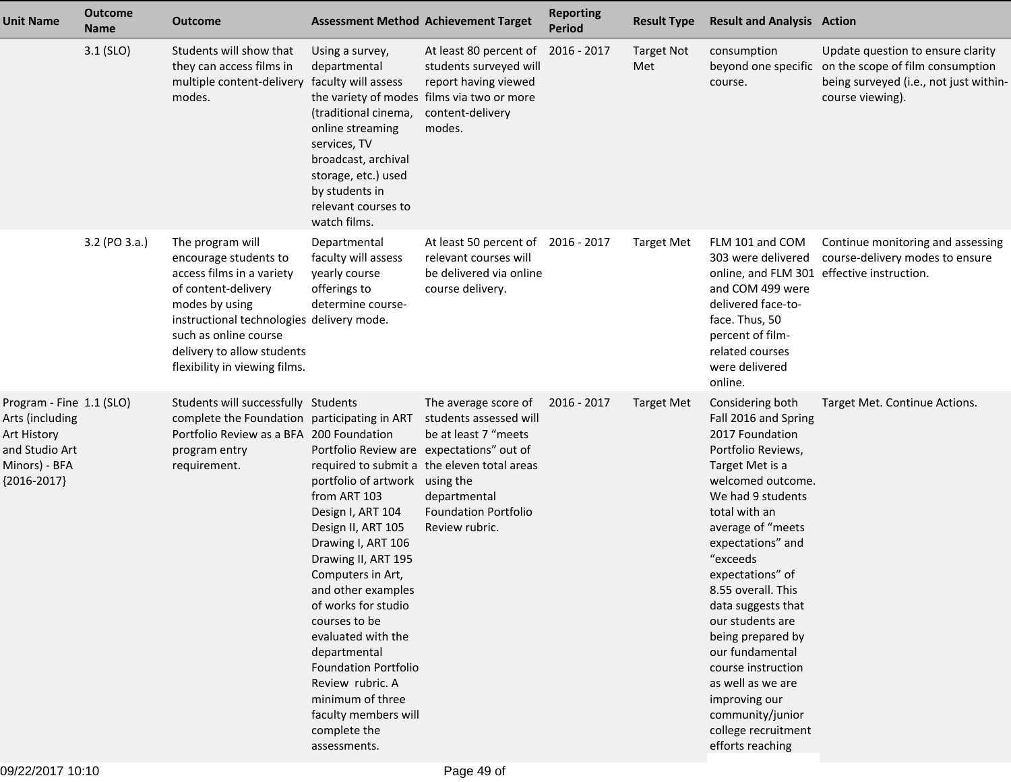| <b>Unit Name</b>                                                                                               | <b>Outcome</b><br><b>Name</b> | Outcome                                                                                                                                                                                                                                              | <b>Assessment Method Achievement Target</b>                                                                                                                                                                                                                                                                                                                                                                                                 |                                                                                                                                                              | <b>Reporting</b><br><b>Period</b> | <b>Result Type</b>       | <b>Result and Analysis Action</b>                                                                                                                                                                                                                                                                                                                                                                                                                                            |                                                                                                                                                         |
|----------------------------------------------------------------------------------------------------------------|-------------------------------|------------------------------------------------------------------------------------------------------------------------------------------------------------------------------------------------------------------------------------------------------|---------------------------------------------------------------------------------------------------------------------------------------------------------------------------------------------------------------------------------------------------------------------------------------------------------------------------------------------------------------------------------------------------------------------------------------------|--------------------------------------------------------------------------------------------------------------------------------------------------------------|-----------------------------------|--------------------------|------------------------------------------------------------------------------------------------------------------------------------------------------------------------------------------------------------------------------------------------------------------------------------------------------------------------------------------------------------------------------------------------------------------------------------------------------------------------------|---------------------------------------------------------------------------------------------------------------------------------------------------------|
|                                                                                                                | $3.1$ (SLO)                   | Students will show that<br>they can access films in<br>multiple content-delivery<br>modes.                                                                                                                                                           | Using a survey,<br>departmental<br>faculty will assess<br>(traditional cinema,<br>online streaming<br>services, TV<br>broadcast, archival<br>storage, etc.) used<br>by students in<br>relevant courses to<br>watch films.                                                                                                                                                                                                                   | At least 80 percent of<br>students surveyed will<br>report having viewed<br>the variety of modes films via two or more<br>content-delivery<br>modes.         | 2016 - 2017                       | <b>Target Not</b><br>Met | consumption<br>course.                                                                                                                                                                                                                                                                                                                                                                                                                                                       | Update question to ensure clarity<br>beyond one specific on the scope of film consumption<br>being surveyed (i.e., not just within-<br>course viewing). |
|                                                                                                                | 3.2 (PO 3.a.)                 | The program will<br>encourage students to<br>access films in a variety<br>of content-delivery<br>modes by using<br>instructional technologies delivery mode.<br>such as online course<br>delivery to allow students<br>flexibility in viewing films. | Departmental<br>faculty will assess<br>yearly course<br>offerings to<br>determine course-                                                                                                                                                                                                                                                                                                                                                   | At least 50 percent of 2016 - 2017<br>relevant courses will<br>be delivered via online<br>course delivery.                                                   |                                   | <b>Target Met</b>        | FLM 101 and COM<br>303 were delivered<br>and COM 499 were<br>delivered face-to-<br>face. Thus, 50<br>percent of film-<br>related courses<br>were delivered<br>online.                                                                                                                                                                                                                                                                                                        | Continue monitoring and assessing<br>course-delivery modes to ensure<br>online, and FLM 301 effective instruction.                                      |
| Program - Fine 1.1 (SLO)<br>Arts (including<br>Art History<br>and Studio Art<br>Minors) - BFA<br>${2016-2017}$ |                               | Students will successfully Students<br>complete the Foundation participating in ART students assessed will<br>Portfolio Review as a BFA 200 Foundation<br>program entry<br>requirement.                                                              | Portfolio Review are expectations" out of<br>portfolio of artwork using the<br>from ART 103<br>Design I, ART 104<br>Design II, ART 105<br>Drawing I, ART 106<br>Drawing II, ART 195<br>Computers in Art,<br>and other examples<br>of works for studio<br>courses to be<br>evaluated with the<br>departmental<br><b>Foundation Portfolio</b><br>Review rubric. A<br>minimum of three<br>faculty members will<br>complete the<br>assessments. | The average score of<br>be at least 7 "meets<br>required to submit a the eleven total areas<br>departmental<br><b>Foundation Portfolio</b><br>Review rubric. | 2016 - 2017                       | <b>Target Met</b>        | Considering both<br>Fall 2016 and Spring<br>2017 Foundation<br>Portfolio Reviews,<br>Target Met is a<br>welcomed outcome.<br>We had 9 students<br>total with an<br>average of "meets<br>expectations" and<br>"exceeds<br>expectations" of<br>8.55 overall. This<br>data suggests that<br>our students are<br>being prepared by<br>our fundamental<br>course instruction<br>as well as we are<br>improving our<br>community/junior<br>college recruitment<br>efforts reaching | Target Met. Continue Actions.                                                                                                                           |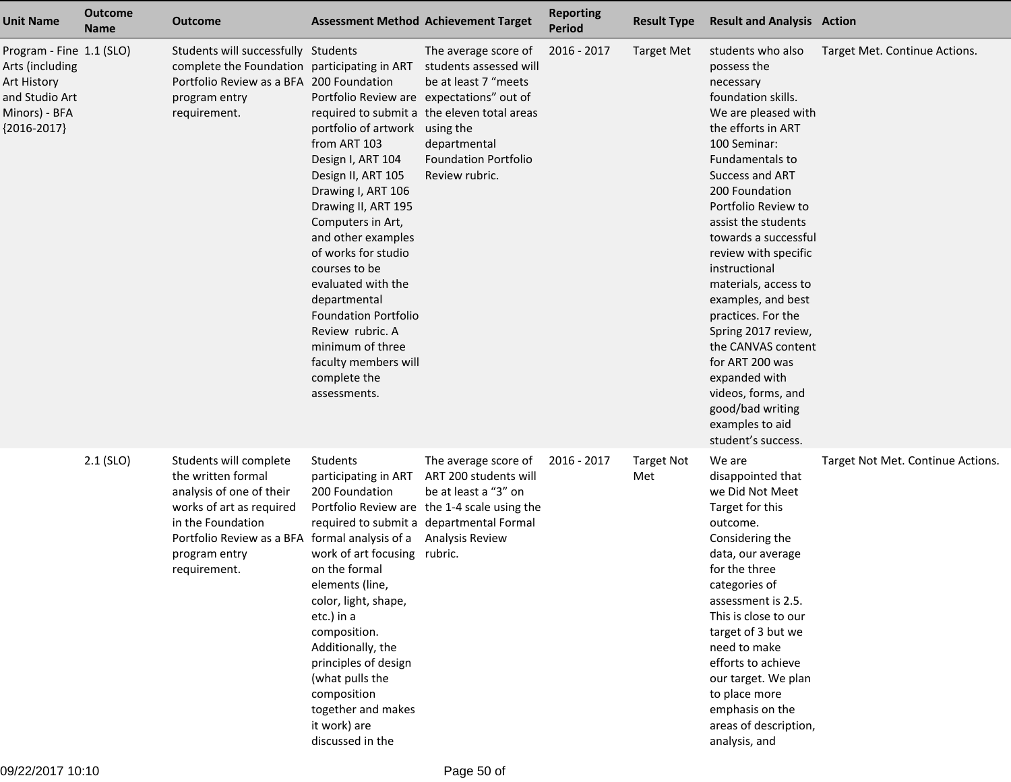| <b>Unit Name</b>                                                                                               | <b>Outcome</b><br><b>Name</b> | <b>Outcome</b>                                                                                                                                                                                               |                                                                                                                                                                                                                                                                                                                                                                                                                                             | <b>Assessment Method Achievement Target</b>                                                                                                                                                     | <b>Reporting</b><br><b>Period</b> | <b>Result Type</b>       | <b>Result and Analysis Action</b>                                                                                                                                                                                                                                                                                                                                                                                                                                                                                                               |                                   |
|----------------------------------------------------------------------------------------------------------------|-------------------------------|--------------------------------------------------------------------------------------------------------------------------------------------------------------------------------------------------------------|---------------------------------------------------------------------------------------------------------------------------------------------------------------------------------------------------------------------------------------------------------------------------------------------------------------------------------------------------------------------------------------------------------------------------------------------|-------------------------------------------------------------------------------------------------------------------------------------------------------------------------------------------------|-----------------------------------|--------------------------|-------------------------------------------------------------------------------------------------------------------------------------------------------------------------------------------------------------------------------------------------------------------------------------------------------------------------------------------------------------------------------------------------------------------------------------------------------------------------------------------------------------------------------------------------|-----------------------------------|
| Program - Fine 1.1 (SLO)<br>Arts (including<br>Art History<br>and Studio Art<br>Minors) - BFA<br>${2016-2017}$ |                               | Students will successfully Students<br>complete the Foundation participating in ART<br>Portfolio Review as a BFA 200 Foundation<br>program entry<br>requirement.                                             | Portfolio Review are expectations" out of<br>portfolio of artwork using the<br>from ART 103<br>Design I, ART 104<br>Design II, ART 105<br>Drawing I, ART 106<br>Drawing II, ART 195<br>Computers in Art,<br>and other examples<br>of works for studio<br>courses to be<br>evaluated with the<br>departmental<br><b>Foundation Portfolio</b><br>Review rubric. A<br>minimum of three<br>faculty members will<br>complete the<br>assessments. | The average score of<br>students assessed will<br>be at least 7 "meets<br>required to submit a the eleven total areas<br>departmental<br><b>Foundation Portfolio</b><br>Review rubric.          | 2016 - 2017                       | <b>Target Met</b>        | students who also<br>possess the<br>necessary<br>foundation skills.<br>We are pleased with<br>the efforts in ART<br>100 Seminar:<br>Fundamentals to<br>Success and ART<br>200 Foundation<br>Portfolio Review to<br>assist the students<br>towards a successful<br>review with specific<br>instructional<br>materials, access to<br>examples, and best<br>practices. For the<br>Spring 2017 review,<br>the CANVAS content<br>for ART 200 was<br>expanded with<br>videos, forms, and<br>good/bad writing<br>examples to aid<br>student's success. | Target Met. Continue Actions.     |
|                                                                                                                | $2.1$ (SLO)                   | Students will complete<br>the written formal<br>analysis of one of their<br>works of art as required<br>in the Foundation<br>Portfolio Review as a BFA formal analysis of a<br>program entry<br>requirement. | Students<br>participating in ART<br>200 Foundation<br>work of art focusing<br>on the formal<br>elements (line,<br>color, light, shape,<br>etc.) in a<br>composition.<br>Additionally, the<br>principles of design<br>(what pulls the<br>composition<br>together and makes<br>it work) are<br>discussed in the                                                                                                                               | The average score of<br>ART 200 students will<br>be at least a "3" on<br>Portfolio Review are the 1-4 scale using the<br>required to submit a departmental Formal<br>Analysis Review<br>rubric. | 2016 - 2017                       | <b>Target Not</b><br>Met | We are<br>disappointed that<br>we Did Not Meet<br>Target for this<br>outcome.<br>Considering the<br>data, our average<br>for the three<br>categories of<br>assessment is 2.5.<br>This is close to our<br>target of 3 but we<br>need to make<br>efforts to achieve<br>our target. We plan<br>to place more<br>emphasis on the<br>areas of description,<br>analysis, and                                                                                                                                                                          | Target Not Met. Continue Actions. |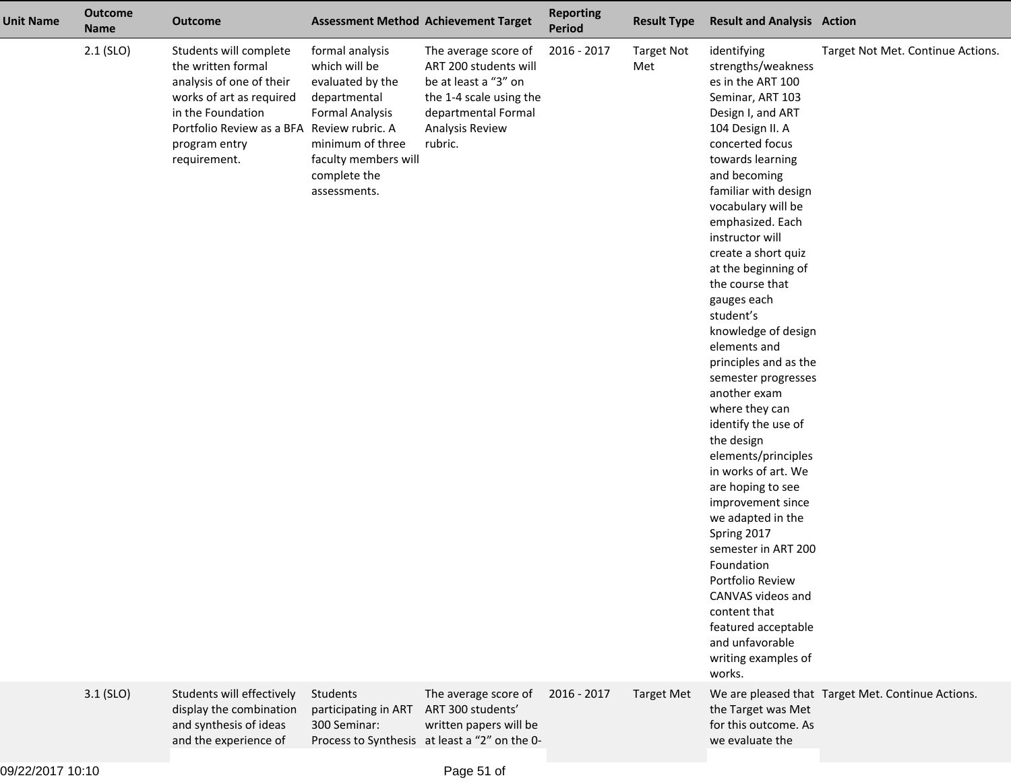| <b>Unit Name</b> | <b>Outcome</b><br><b>Name</b> | <b>Outcome</b>                                                                                                                                                                                           |                                                                                                                                                                            | <b>Assessment Method Achievement Target</b>                                                                                                           | <b>Reporting</b><br><b>Period</b> | <b>Result Type</b>       | <b>Result and Analysis Action</b>                                                                                                                                                                                                                                                                                                                                                                                                                                                                                                                                                                                                                                                                                                                                                                                               |                                                   |
|------------------|-------------------------------|----------------------------------------------------------------------------------------------------------------------------------------------------------------------------------------------------------|----------------------------------------------------------------------------------------------------------------------------------------------------------------------------|-------------------------------------------------------------------------------------------------------------------------------------------------------|-----------------------------------|--------------------------|---------------------------------------------------------------------------------------------------------------------------------------------------------------------------------------------------------------------------------------------------------------------------------------------------------------------------------------------------------------------------------------------------------------------------------------------------------------------------------------------------------------------------------------------------------------------------------------------------------------------------------------------------------------------------------------------------------------------------------------------------------------------------------------------------------------------------------|---------------------------------------------------|
|                  | $2.1$ (SLO)                   | Students will complete<br>the written formal<br>analysis of one of their<br>works of art as required<br>in the Foundation<br>Portfolio Review as a BFA Review rubric. A<br>program entry<br>requirement. | formal analysis<br>which will be<br>evaluated by the<br>departmental<br><b>Formal Analysis</b><br>minimum of three<br>faculty members will<br>complete the<br>assessments. | The average score of<br>ART 200 students will<br>be at least a "3" on<br>the 1-4 scale using the<br>departmental Formal<br>Analysis Review<br>rubric. | 2016 - 2017                       | <b>Target Not</b><br>Met | identifying<br>strengths/weakness<br>es in the ART 100<br>Seminar, ART 103<br>Design I, and ART<br>104 Design II. A<br>concerted focus<br>towards learning<br>and becoming<br>familiar with design<br>vocabulary will be<br>emphasized. Each<br>instructor will<br>create a short quiz<br>at the beginning of<br>the course that<br>gauges each<br>student's<br>knowledge of design<br>elements and<br>principles and as the<br>semester progresses<br>another exam<br>where they can<br>identify the use of<br>the design<br>elements/principles<br>in works of art. We<br>are hoping to see<br>improvement since<br>we adapted in the<br>Spring 2017<br>semester in ART 200<br>Foundation<br>Portfolio Review<br>CANVAS videos and<br>content that<br>featured acceptable<br>and unfavorable<br>writing examples of<br>works. | Target Not Met. Continue Actions.                 |
|                  | $3.1$ (SLO)                   | Students will effectively<br>display the combination<br>and synthesis of ideas<br>and the experience of                                                                                                  | Students<br>participating in ART<br>300 Seminar:                                                                                                                           | The average score of<br>ART 300 students'<br>written papers will be<br>Process to Synthesis at least a "2" on the 0-                                  | 2016 - 2017                       | <b>Target Met</b>        | the Target was Met<br>for this outcome. As<br>we evaluate the                                                                                                                                                                                                                                                                                                                                                                                                                                                                                                                                                                                                                                                                                                                                                                   | We are pleased that Target Met. Continue Actions. |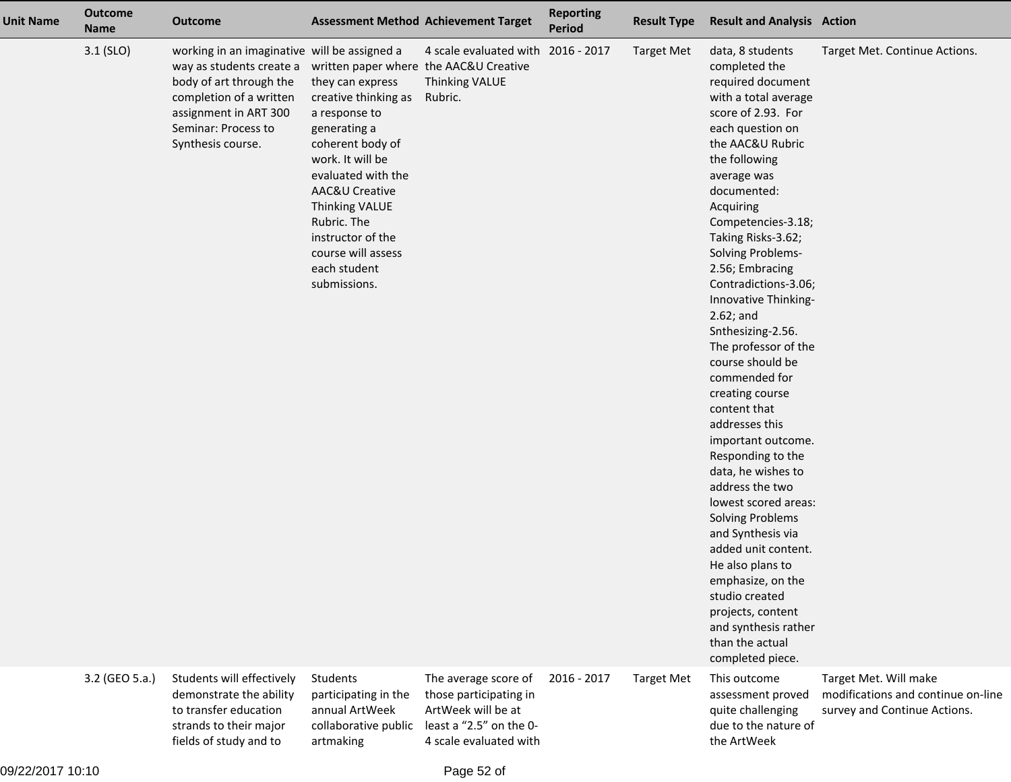| <b>Unit Name</b> | <b>Outcome</b><br><b>Name</b> | <b>Outcome</b>                                                                                                                                                                                                                             |                                                                                                                                                                                                                                                                              | <b>Assessment Method Achievement Target</b>                                                                               | <b>Reporting</b><br><b>Period</b> | <b>Result Type</b> | <b>Result and Analysis Action</b>                                                                                                                                                                                                                                                                                                                                                                                                                                                                                                                                                                                                                                                                                                                                                                                                     |                                                                                             |
|------------------|-------------------------------|--------------------------------------------------------------------------------------------------------------------------------------------------------------------------------------------------------------------------------------------|------------------------------------------------------------------------------------------------------------------------------------------------------------------------------------------------------------------------------------------------------------------------------|---------------------------------------------------------------------------------------------------------------------------|-----------------------------------|--------------------|---------------------------------------------------------------------------------------------------------------------------------------------------------------------------------------------------------------------------------------------------------------------------------------------------------------------------------------------------------------------------------------------------------------------------------------------------------------------------------------------------------------------------------------------------------------------------------------------------------------------------------------------------------------------------------------------------------------------------------------------------------------------------------------------------------------------------------------|---------------------------------------------------------------------------------------------|
|                  | $3.1$ (SLO)                   | working in an imaginative will be assigned a<br>way as students create a written paper where the AAC&U Creative<br>body of art through the<br>completion of a written<br>assignment in ART 300<br>Seminar: Process to<br>Synthesis course. | they can express<br>creative thinking as<br>a response to<br>generating a<br>coherent body of<br>work. It will be<br>evaluated with the<br>AAC&U Creative<br><b>Thinking VALUE</b><br>Rubric. The<br>instructor of the<br>course will assess<br>each student<br>submissions. | 4 scale evaluated with 2016 - 2017<br><b>Thinking VALUE</b><br>Rubric.                                                    |                                   | <b>Target Met</b>  | data, 8 students<br>completed the<br>required document<br>with a total average<br>score of 2.93. For<br>each question on<br>the AAC&U Rubric<br>the following<br>average was<br>documented:<br>Acquiring<br>Competencies-3.18;<br>Taking Risks-3.62;<br>Solving Problems-<br>2.56; Embracing<br>Contradictions-3.06;<br>Innovative Thinking-<br>$2.62$ ; and<br>Snthesizing-2.56.<br>The professor of the<br>course should be<br>commended for<br>creating course<br>content that<br>addresses this<br>important outcome.<br>Responding to the<br>data, he wishes to<br>address the two<br>lowest scored areas:<br><b>Solving Problems</b><br>and Synthesis via<br>added unit content.<br>He also plans to<br>emphasize, on the<br>studio created<br>projects, content<br>and synthesis rather<br>than the actual<br>completed piece. | Target Met. Continue Actions.                                                               |
|                  | 3.2 (GEO 5.a.)                | Students will effectively<br>demonstrate the ability<br>to transfer education<br>strands to their major<br>fields of study and to                                                                                                          | Students<br>participating in the<br>annual ArtWeek<br>collaborative public<br>artmaking                                                                                                                                                                                      | The average score of<br>those participating in<br>ArtWeek will be at<br>least a "2.5" on the 0-<br>4 scale evaluated with | 2016 - 2017                       | <b>Target Met</b>  | This outcome<br>assessment proved<br>quite challenging<br>due to the nature of<br>the ArtWeek                                                                                                                                                                                                                                                                                                                                                                                                                                                                                                                                                                                                                                                                                                                                         | Target Met. Will make<br>modifications and continue on-line<br>survey and Continue Actions. |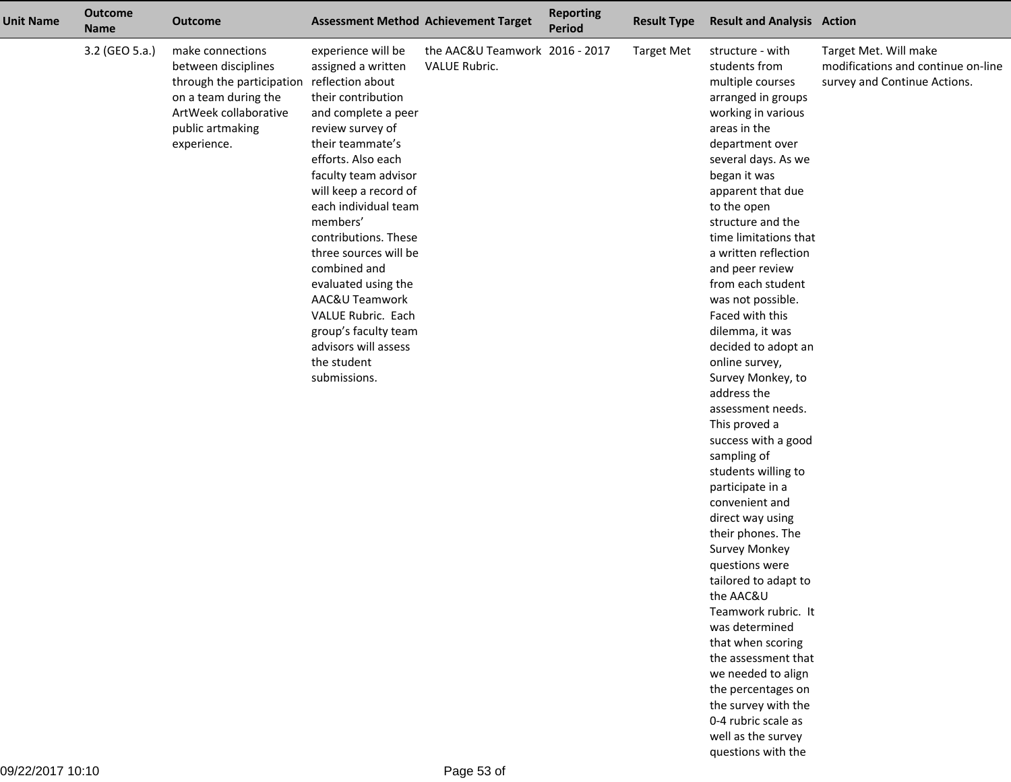| <b>Unit Name</b> | <b>Outcome</b><br><b>Name</b> | <b>Outcome</b>                                                                                                                                                            |                                                                                                                                                                                                                                                                                                                                                                                                                                                         | <b>Assessment Method Achievement Target</b>     | <b>Reporting</b><br><b>Period</b> | <b>Result Type</b> | <b>Result and Analysis Action</b>                                                                                                                                                                                                                                                                                                                                                                                                                                                                                                                                                                                                                                                                                                                                                                                                                                                                                                                                 |                                                                                             |
|------------------|-------------------------------|---------------------------------------------------------------------------------------------------------------------------------------------------------------------------|---------------------------------------------------------------------------------------------------------------------------------------------------------------------------------------------------------------------------------------------------------------------------------------------------------------------------------------------------------------------------------------------------------------------------------------------------------|-------------------------------------------------|-----------------------------------|--------------------|-------------------------------------------------------------------------------------------------------------------------------------------------------------------------------------------------------------------------------------------------------------------------------------------------------------------------------------------------------------------------------------------------------------------------------------------------------------------------------------------------------------------------------------------------------------------------------------------------------------------------------------------------------------------------------------------------------------------------------------------------------------------------------------------------------------------------------------------------------------------------------------------------------------------------------------------------------------------|---------------------------------------------------------------------------------------------|
|                  | 3.2 (GEO 5.a.)                | make connections<br>between disciplines<br>through the participation reflection about<br>on a team during the<br>ArtWeek collaborative<br>public artmaking<br>experience. | experience will be<br>assigned a written<br>their contribution<br>and complete a peer<br>review survey of<br>their teammate's<br>efforts. Also each<br>faculty team advisor<br>will keep a record of<br>each individual team<br>members'<br>contributions. These<br>three sources will be<br>combined and<br>evaluated using the<br>AAC&U Teamwork<br>VALUE Rubric. Each<br>group's faculty team<br>advisors will assess<br>the student<br>submissions. | the AAC&U Teamwork 2016 - 2017<br>VALUE Rubric. |                                   | <b>Target Met</b>  | structure - with<br>students from<br>multiple courses<br>arranged in groups<br>working in various<br>areas in the<br>department over<br>several days. As we<br>began it was<br>apparent that due<br>to the open<br>structure and the<br>time limitations that<br>a written reflection<br>and peer review<br>from each student<br>was not possible.<br>Faced with this<br>dilemma, it was<br>decided to adopt an<br>online survey,<br>Survey Monkey, to<br>address the<br>assessment needs.<br>This proved a<br>success with a good<br>sampling of<br>students willing to<br>participate in a<br>convenient and<br>direct way using<br>their phones. The<br><b>Survey Monkey</b><br>questions were<br>tailored to adapt to<br>the AAC&U<br>Teamwork rubric. It<br>was determined<br>that when scoring<br>the assessment that<br>we needed to align<br>the percentages on<br>the survey with the<br>0-4 rubric scale as<br>well as the survey<br>questions with the | Target Met. Will make<br>modifications and continue on-line<br>survey and Continue Actions. |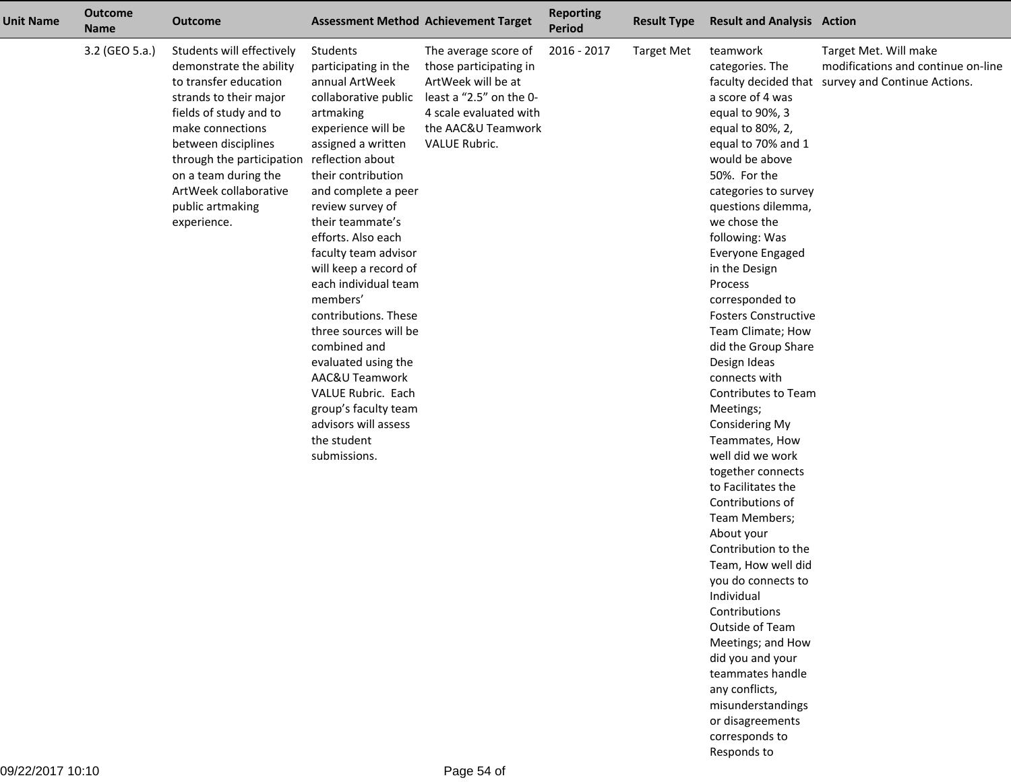| <b>Unit Name</b> | <b>Outcome</b><br><b>Name</b> | <b>Outcome</b>                                                                                                                                                                                                                                                                                |                                                                                                                                                                                                                                                                                                                                                                                                                                                                                                                                                                        | <b>Assessment Method Achievement Target</b>                                                                                                                      | <b>Reporting</b><br><b>Period</b> | <b>Result Type</b> | <b>Result and Analysis Action</b>                                                                                                                                                                                                                                                                                                                                                                                                                                                                                                                                                                                                                                                                                                                                                                                                                                                     |                                                                                                                  |
|------------------|-------------------------------|-----------------------------------------------------------------------------------------------------------------------------------------------------------------------------------------------------------------------------------------------------------------------------------------------|------------------------------------------------------------------------------------------------------------------------------------------------------------------------------------------------------------------------------------------------------------------------------------------------------------------------------------------------------------------------------------------------------------------------------------------------------------------------------------------------------------------------------------------------------------------------|------------------------------------------------------------------------------------------------------------------------------------------------------------------|-----------------------------------|--------------------|---------------------------------------------------------------------------------------------------------------------------------------------------------------------------------------------------------------------------------------------------------------------------------------------------------------------------------------------------------------------------------------------------------------------------------------------------------------------------------------------------------------------------------------------------------------------------------------------------------------------------------------------------------------------------------------------------------------------------------------------------------------------------------------------------------------------------------------------------------------------------------------|------------------------------------------------------------------------------------------------------------------|
|                  | 3.2 (GEO 5.a.)                | Students will effectively<br>demonstrate the ability<br>to transfer education<br>strands to their major<br>fields of study and to<br>make connections<br>between disciplines<br>through the participation<br>on a team during the<br>ArtWeek collaborative<br>public artmaking<br>experience. | Students<br>participating in the<br>annual ArtWeek<br>collaborative public<br>artmaking<br>experience will be<br>assigned a written<br>reflection about<br>their contribution<br>and complete a peer<br>review survey of<br>their teammate's<br>efforts. Also each<br>faculty team advisor<br>will keep a record of<br>each individual team<br>members'<br>contributions. These<br>three sources will be<br>combined and<br>evaluated using the<br>AAC&U Teamwork<br>VALUE Rubric. Each<br>group's faculty team<br>advisors will assess<br>the student<br>submissions. | The average score of<br>those participating in<br>ArtWeek will be at<br>least a "2.5" on the 0-<br>4 scale evaluated with<br>the AAC&U Teamwork<br>VALUE Rubric. | 2016 - 2017                       | <b>Target Met</b>  | teamwork<br>categories. The<br>a score of 4 was<br>equal to 90%, 3<br>equal to 80%, 2,<br>equal to 70% and 1<br>would be above<br>50%. For the<br>categories to survey<br>questions dilemma,<br>we chose the<br>following: Was<br>Everyone Engaged<br>in the Design<br>Process<br>corresponded to<br><b>Fosters Constructive</b><br>Team Climate; How<br>did the Group Share<br>Design Ideas<br>connects with<br>Contributes to Team<br>Meetings;<br>Considering My<br>Teammates, How<br>well did we work<br>together connects<br>to Facilitates the<br>Contributions of<br>Team Members;<br>About your<br>Contribution to the<br>Team, How well did<br>you do connects to<br>Individual<br>Contributions<br>Outside of Team<br>Meetings; and How<br>did you and your<br>teammates handle<br>any conflicts,<br>misunderstandings<br>or disagreements<br>corresponds to<br>Responds to | Target Met. Will make<br>modifications and continue on-line<br>faculty decided that survey and Continue Actions. |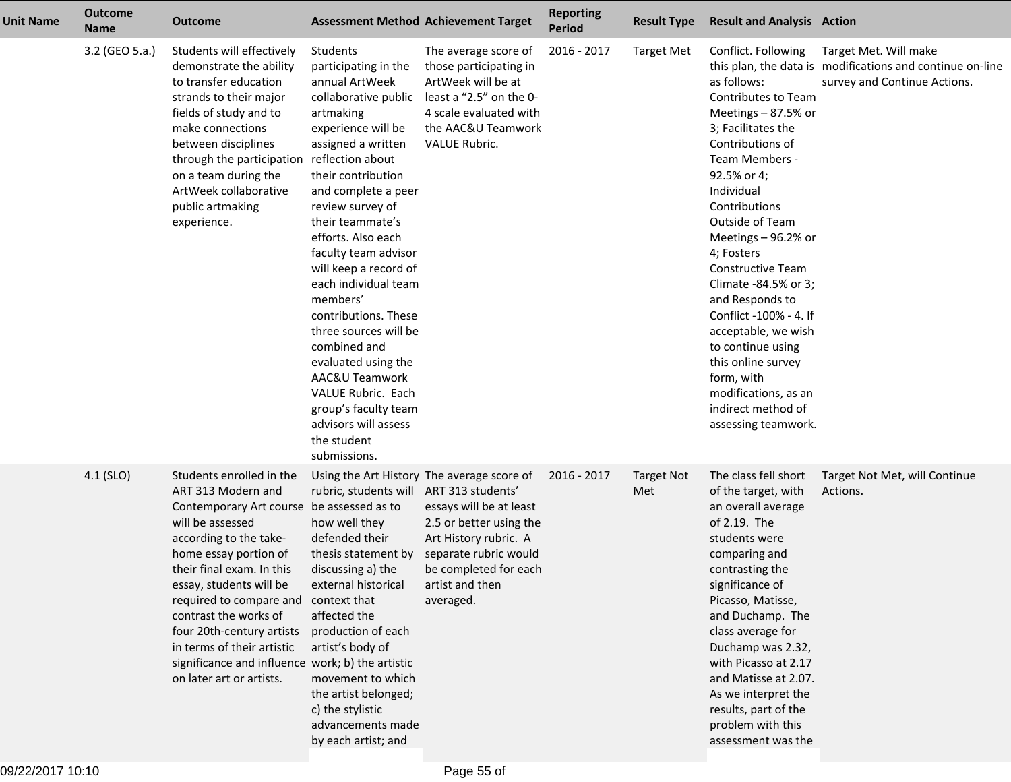| <b>Unit Name</b> | <b>Outcome</b><br><b>Name</b> | Outcome                                                                                                                                                                                                                                                                                                                                                                                                                   |                                                                                                                                                                                                                                                                                                                                                                                                                                                                                                                                                                        | <b>Assessment Method Achievement Target</b>                                                                                                                                                                 | <b>Reporting</b><br><b>Period</b> | <b>Result Type</b>       | <b>Result and Analysis Action</b>                                                                                                                                                                                                                                                                                                                                                                                                                                                                        |                                                                                                                    |
|------------------|-------------------------------|---------------------------------------------------------------------------------------------------------------------------------------------------------------------------------------------------------------------------------------------------------------------------------------------------------------------------------------------------------------------------------------------------------------------------|------------------------------------------------------------------------------------------------------------------------------------------------------------------------------------------------------------------------------------------------------------------------------------------------------------------------------------------------------------------------------------------------------------------------------------------------------------------------------------------------------------------------------------------------------------------------|-------------------------------------------------------------------------------------------------------------------------------------------------------------------------------------------------------------|-----------------------------------|--------------------------|----------------------------------------------------------------------------------------------------------------------------------------------------------------------------------------------------------------------------------------------------------------------------------------------------------------------------------------------------------------------------------------------------------------------------------------------------------------------------------------------------------|--------------------------------------------------------------------------------------------------------------------|
|                  | 3.2 (GEO 5.a.)                | Students will effectively<br>demonstrate the ability<br>to transfer education<br>strands to their major<br>fields of study and to<br>make connections<br>between disciplines<br>through the participation<br>on a team during the<br>ArtWeek collaborative<br>public artmaking<br>experience.                                                                                                                             | Students<br>participating in the<br>annual ArtWeek<br>collaborative public<br>artmaking<br>experience will be<br>assigned a written<br>reflection about<br>their contribution<br>and complete a peer<br>review survey of<br>their teammate's<br>efforts. Also each<br>faculty team advisor<br>will keep a record of<br>each individual team<br>members'<br>contributions. These<br>three sources will be<br>combined and<br>evaluated using the<br>AAC&U Teamwork<br>VALUE Rubric. Each<br>group's faculty team<br>advisors will assess<br>the student<br>submissions. | The average score of<br>those participating in<br>ArtWeek will be at<br>least a "2.5" on the 0-<br>4 scale evaluated with<br>the AAC&U Teamwork<br>VALUE Rubric.                                            | 2016 - 2017                       | <b>Target Met</b>        | Conflict. Following<br>as follows:<br>Contributes to Team<br>Meetings - 87.5% or<br>3; Facilitates the<br>Contributions of<br>Team Members -<br>92.5% or 4;<br>Individual<br>Contributions<br>Outside of Team<br>Meetings - 96.2% or<br>4; Fosters<br><b>Constructive Team</b><br>Climate -84.5% or 3;<br>and Responds to<br>Conflict -100% - 4. If<br>acceptable, we wish<br>to continue using<br>this online survey<br>form, with<br>modifications, as an<br>indirect method of<br>assessing teamwork. | Target Met. Will make<br>this plan, the data is modifications and continue on-line<br>survey and Continue Actions. |
|                  | 4.1 (SLO)                     | Students enrolled in the<br>ART 313 Modern and<br>Contemporary Art course be assessed as to<br>will be assessed<br>according to the take-<br>home essay portion of<br>their final exam. In this<br>essay, students will be<br>required to compare and<br>contrast the works of<br>four 20th-century artists<br>in terms of their artistic<br>significance and influence work; b) the artistic<br>on later art or artists. | rubric, students will ART 313 students'<br>how well they<br>defended their<br>thesis statement by<br>discussing a) the<br>external historical<br>context that<br>affected the<br>production of each<br>artist's body of<br>movement to which<br>the artist belonged;<br>c) the stylistic<br>advancements made<br>by each artist; and                                                                                                                                                                                                                                   | Using the Art History The average score of<br>essays will be at least<br>2.5 or better using the<br>Art History rubric. A<br>separate rubric would<br>be completed for each<br>artist and then<br>averaged. | 2016 - 2017                       | <b>Target Not</b><br>Met | The class fell short<br>of the target, with<br>an overall average<br>of 2.19. The<br>students were<br>comparing and<br>contrasting the<br>significance of<br>Picasso, Matisse,<br>and Duchamp. The<br>class average for<br>Duchamp was 2.32,<br>with Picasso at 2.17<br>and Matisse at 2.07.<br>As we interpret the<br>results, part of the<br>problem with this<br>assessment was the                                                                                                                   | Target Not Met, will Continue<br>Actions.                                                                          |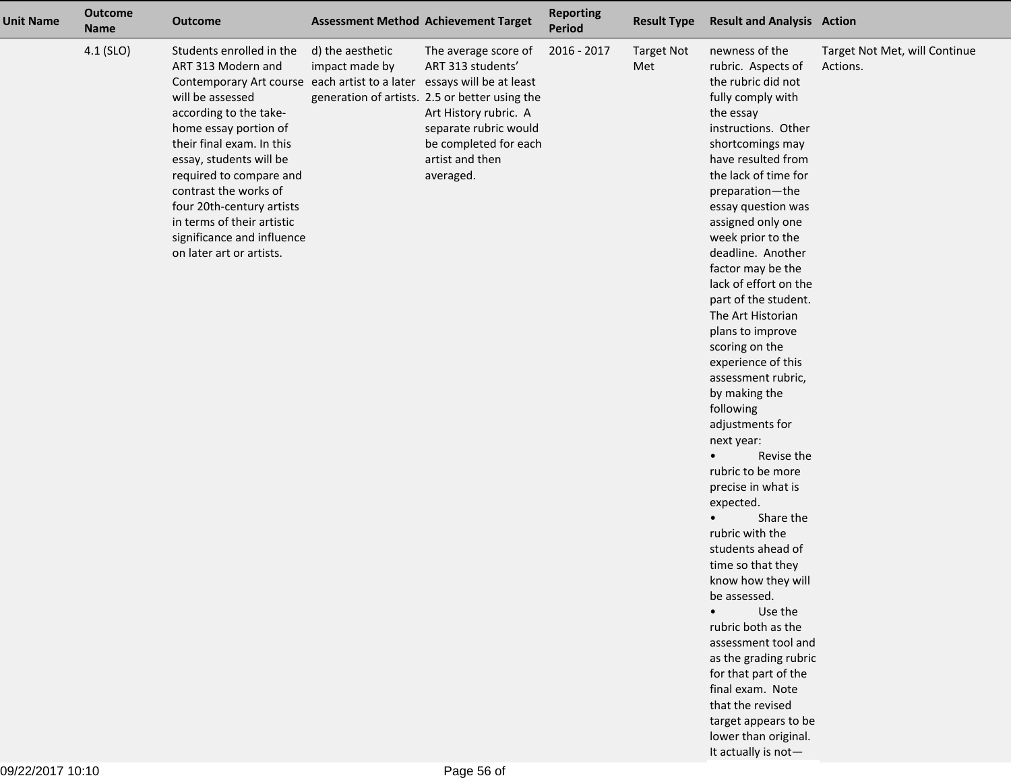| <b>Unit Name</b> | <b>Outcome</b><br><b>Name</b> | <b>Outcome</b>                                                                                                                                                                                                                                                                                                                                                                                                                   |                                    | <b>Assessment Method Achievement Target</b>                                                                                                                                                            | <b>Reporting</b><br>Period | <b>Result Type</b>       | <b>Result and Analysis Action</b>                                                                                                                                                                                                                                                                                                                                                                                                                                                                                                                                                                                                                                                                                                                                                                                                                                                                                                                                                 |                                           |
|------------------|-------------------------------|----------------------------------------------------------------------------------------------------------------------------------------------------------------------------------------------------------------------------------------------------------------------------------------------------------------------------------------------------------------------------------------------------------------------------------|------------------------------------|--------------------------------------------------------------------------------------------------------------------------------------------------------------------------------------------------------|----------------------------|--------------------------|-----------------------------------------------------------------------------------------------------------------------------------------------------------------------------------------------------------------------------------------------------------------------------------------------------------------------------------------------------------------------------------------------------------------------------------------------------------------------------------------------------------------------------------------------------------------------------------------------------------------------------------------------------------------------------------------------------------------------------------------------------------------------------------------------------------------------------------------------------------------------------------------------------------------------------------------------------------------------------------|-------------------------------------------|
|                  | 4.1 (SLO)                     | Students enrolled in the<br>ART 313 Modern and<br>Contemporary Art course each artist to a later essays will be at least<br>will be assessed<br>according to the take-<br>home essay portion of<br>their final exam. In this<br>essay, students will be<br>required to compare and<br>contrast the works of<br>four 20th-century artists<br>in terms of their artistic<br>significance and influence<br>on later art or artists. | d) the aesthetic<br>impact made by | The average score of<br>ART 313 students'<br>generation of artists. 2.5 or better using the<br>Art History rubric. A<br>separate rubric would<br>be completed for each<br>artist and then<br>averaged. | 2016 - 2017                | <b>Target Not</b><br>Met | newness of the<br>rubric. Aspects of<br>the rubric did not<br>fully comply with<br>the essay<br>instructions. Other<br>shortcomings may<br>have resulted from<br>the lack of time for<br>preparation-the<br>essay question was<br>assigned only one<br>week prior to the<br>deadline. Another<br>factor may be the<br>lack of effort on the<br>part of the student.<br>The Art Historian<br>plans to improve<br>scoring on the<br>experience of this<br>assessment rubric,<br>by making the<br>following<br>adjustments for<br>next year:<br>Revise the<br>rubric to be more<br>precise in what is<br>expected.<br>Share the<br>$\bullet$<br>rubric with the<br>students ahead of<br>time so that they<br>know how they will<br>be assessed.<br>Use the<br>$\bullet$<br>rubric both as the<br>assessment tool and<br>as the grading rubric<br>for that part of the<br>final exam. Note<br>that the revised<br>target appears to be<br>lower than original.<br>It actually is not- | Target Not Met, will Continue<br>Actions. |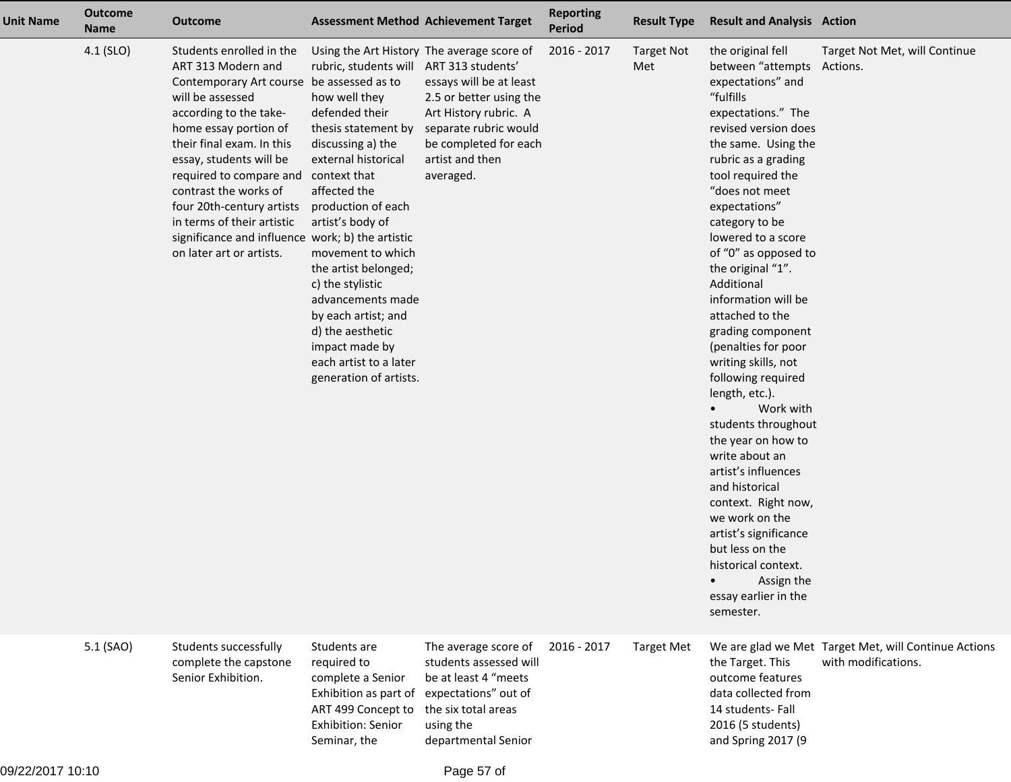| <b>Unit Name</b> | <b>Outcome</b><br><b>Name</b> | <b>Outcome</b>                                                                                                                                                                                                                                                                                                                                                                                                            |                                                                                                                                                                                                                                                                                                                                                                                                              | <b>Assessment Method Achievement Target</b>                                                                                                                                                                                      | <b>Reporting</b><br><b>Period</b> | <b>Result Type</b>       | <b>Result and Analysis Action</b>                                                                                                                                                                                                                                                                                                                                                                                                                                                                                                                                                                                                                                                                                                                                                     |                                                                             |
|------------------|-------------------------------|---------------------------------------------------------------------------------------------------------------------------------------------------------------------------------------------------------------------------------------------------------------------------------------------------------------------------------------------------------------------------------------------------------------------------|--------------------------------------------------------------------------------------------------------------------------------------------------------------------------------------------------------------------------------------------------------------------------------------------------------------------------------------------------------------------------------------------------------------|----------------------------------------------------------------------------------------------------------------------------------------------------------------------------------------------------------------------------------|-----------------------------------|--------------------------|---------------------------------------------------------------------------------------------------------------------------------------------------------------------------------------------------------------------------------------------------------------------------------------------------------------------------------------------------------------------------------------------------------------------------------------------------------------------------------------------------------------------------------------------------------------------------------------------------------------------------------------------------------------------------------------------------------------------------------------------------------------------------------------|-----------------------------------------------------------------------------|
|                  | 4.1 (SLO)                     | Students enrolled in the<br>ART 313 Modern and<br>Contemporary Art course be assessed as to<br>will be assessed<br>according to the take-<br>home essay portion of<br>their final exam. In this<br>essay, students will be<br>required to compare and<br>contrast the works of<br>four 20th-century artists<br>in terms of their artistic<br>significance and influence work; b) the artistic<br>on later art or artists. | rubric, students will<br>how well they<br>defended their<br>thesis statement by<br>discussing a) the<br>external historical<br>context that<br>affected the<br>production of each<br>artist's body of<br>movement to which<br>the artist belonged;<br>c) the stylistic<br>advancements made<br>by each artist; and<br>d) the aesthetic<br>impact made by<br>each artist to a later<br>generation of artists. | Using the Art History The average score of<br>ART 313 students'<br>essays will be at least<br>2.5 or better using the<br>Art History rubric. A<br>separate rubric would<br>be completed for each<br>artist and then<br>averaged. | 2016 - 2017                       | <b>Target Not</b><br>Met | the original fell<br>between "attempts<br>expectations" and<br>"fulfills<br>expectations." The<br>revised version does<br>the same. Using the<br>rubric as a grading<br>tool required the<br>"does not meet<br>expectations"<br>category to be<br>lowered to a score<br>of "0" as opposed to<br>the original "1".<br>Additional<br>information will be<br>attached to the<br>grading component<br>(penalties for poor<br>writing skills, not<br>following required<br>length, etc.).<br>Work with<br>students throughout<br>the year on how to<br>write about an<br>artist's influences<br>and historical<br>context. Right now,<br>we work on the<br>artist's significance<br>but less on the<br>historical context.<br>Assign the<br>$\bullet$<br>essay earlier in the<br>semester. | Target Not Met, will Continue<br>Actions.                                   |
|                  | 5.1 (SAO)                     | Students successfully<br>complete the capstone<br>Senior Exhibition.                                                                                                                                                                                                                                                                                                                                                      | Students are<br>required to<br>complete a Senior<br>Exhibition as part of<br>ART 499 Concept to<br><b>Exhibition: Senior</b><br>Seminar, the                                                                                                                                                                                                                                                                 | The average score of<br>students assessed will<br>be at least 4 "meets<br>expectations" out of<br>the six total areas<br>using the<br>departmental Senior                                                                        | 2016 - 2017                       | <b>Target Met</b>        | the Target. This<br>outcome features<br>data collected from<br>14 students- Fall<br>2016 (5 students)<br>and Spring 2017 (9                                                                                                                                                                                                                                                                                                                                                                                                                                                                                                                                                                                                                                                           | We are glad we Met Target Met, will Continue Actions<br>with modifications. |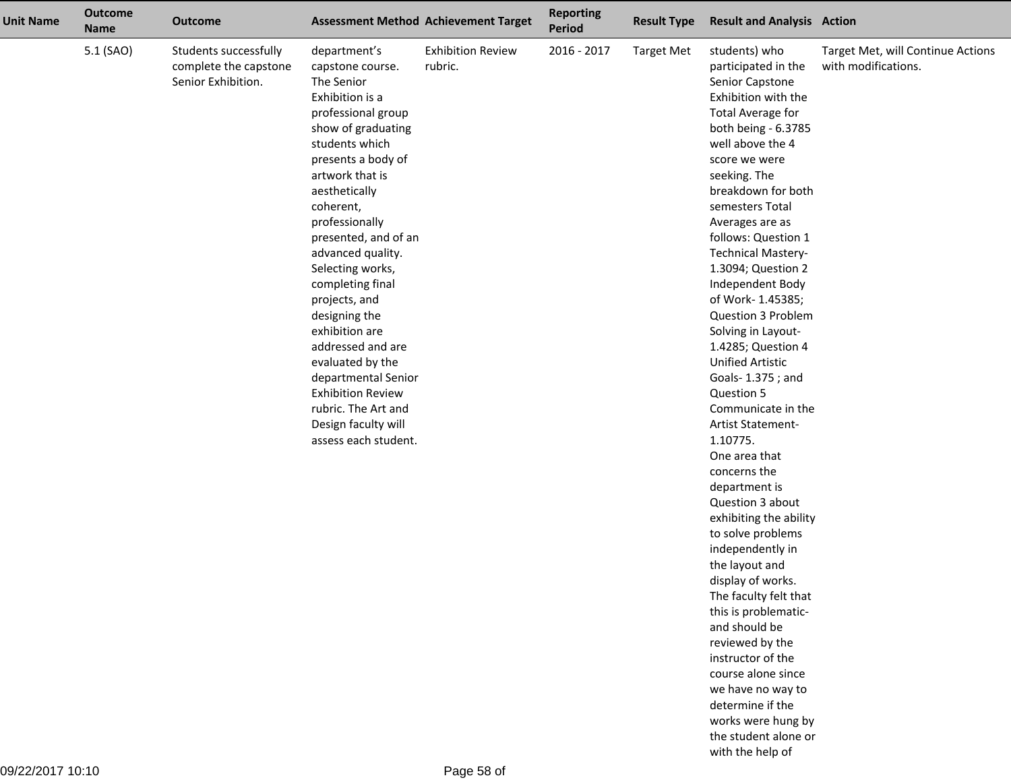| <b>Unit Name</b> | <b>Outcome</b><br><b>Name</b> | <b>Outcome</b>                                                       |                                                                                                                                                                                                                                                                                                                                                                                                                                                                                                                                     | <b>Assessment Method Achievement Target</b> | <b>Reporting</b><br>Period | <b>Result Type</b> | <b>Result and Analysis Action</b>                                                                                                                                                                                                                                                                                                                                                                                                                                                                                                                                                                                                                                                                                                                                                                                                                                                                                                                                                      |                                                          |
|------------------|-------------------------------|----------------------------------------------------------------------|-------------------------------------------------------------------------------------------------------------------------------------------------------------------------------------------------------------------------------------------------------------------------------------------------------------------------------------------------------------------------------------------------------------------------------------------------------------------------------------------------------------------------------------|---------------------------------------------|----------------------------|--------------------|----------------------------------------------------------------------------------------------------------------------------------------------------------------------------------------------------------------------------------------------------------------------------------------------------------------------------------------------------------------------------------------------------------------------------------------------------------------------------------------------------------------------------------------------------------------------------------------------------------------------------------------------------------------------------------------------------------------------------------------------------------------------------------------------------------------------------------------------------------------------------------------------------------------------------------------------------------------------------------------|----------------------------------------------------------|
|                  | 5.1 (SAO)                     | Students successfully<br>complete the capstone<br>Senior Exhibition. | department's<br>capstone course.<br>The Senior<br>Exhibition is a<br>professional group<br>show of graduating<br>students which<br>presents a body of<br>artwork that is<br>aesthetically<br>coherent,<br>professionally<br>presented, and of an<br>advanced quality.<br>Selecting works,<br>completing final<br>projects, and<br>designing the<br>exhibition are<br>addressed and are<br>evaluated by the<br>departmental Senior<br><b>Exhibition Review</b><br>rubric. The Art and<br>Design faculty will<br>assess each student. | <b>Exhibition Review</b><br>rubric.         | 2016 - 2017                | <b>Target Met</b>  | students) who<br>participated in the<br>Senior Capstone<br>Exhibition with the<br><b>Total Average for</b><br>both being - 6.3785<br>well above the 4<br>score we were<br>seeking. The<br>breakdown for both<br>semesters Total<br>Averages are as<br>follows: Question 1<br><b>Technical Mastery-</b><br>1.3094; Question 2<br>Independent Body<br>of Work-1.45385;<br>Question 3 Problem<br>Solving in Layout-<br>1.4285; Question 4<br><b>Unified Artistic</b><br>Goals- 1.375; and<br>Question 5<br>Communicate in the<br>Artist Statement-<br>1.10775.<br>One area that<br>concerns the<br>department is<br>Question 3 about<br>exhibiting the ability<br>to solve problems<br>independently in<br>the layout and<br>display of works.<br>The faculty felt that<br>this is problematic-<br>and should be<br>reviewed by the<br>instructor of the<br>course alone since<br>we have no way to<br>determine if the<br>works were hung by<br>the student alone or<br>with the help of | Target Met, will Continue Actions<br>with modifications. |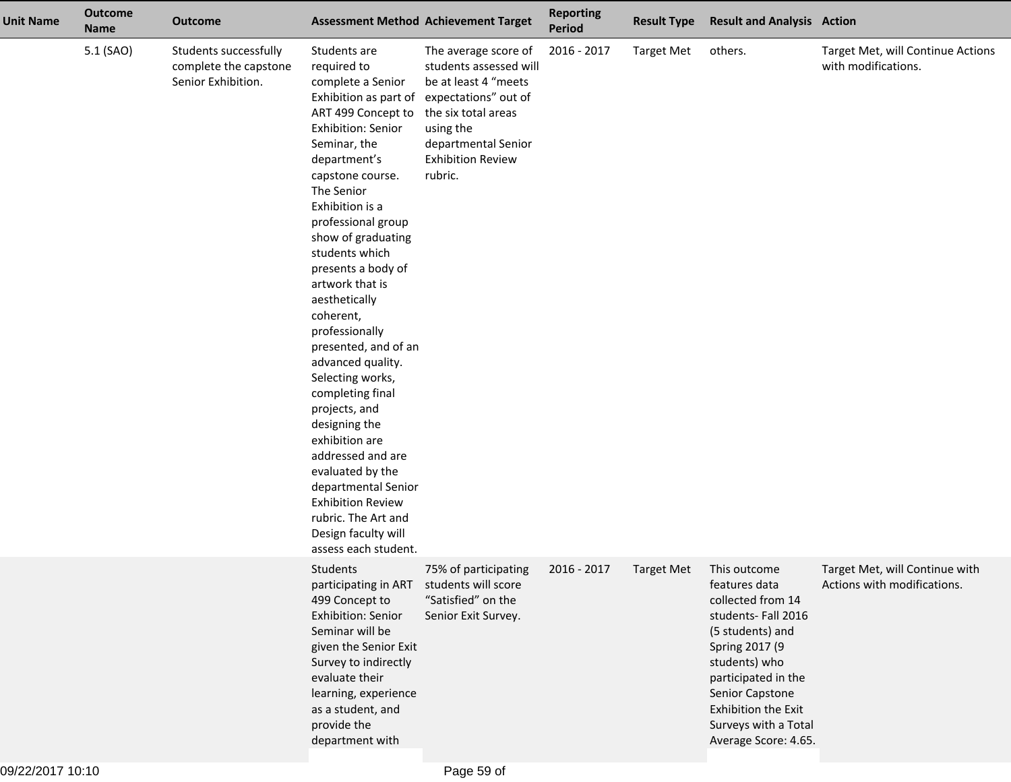| <b>Unit Name</b> | <b>Outcome</b><br><b>Name</b> | <b>Outcome</b>                                                       |                                                                                                                                                                                                                                                                                                                                                                                                                                                                                                                                                                                                                                                                                     | <b>Assessment Method Achievement Target</b>                                                                                                                                                      | <b>Reporting</b><br><b>Period</b> | <b>Result Type</b> | <b>Result and Analysis Action</b>                                                                                                                                                                                                                |                                                               |
|------------------|-------------------------------|----------------------------------------------------------------------|-------------------------------------------------------------------------------------------------------------------------------------------------------------------------------------------------------------------------------------------------------------------------------------------------------------------------------------------------------------------------------------------------------------------------------------------------------------------------------------------------------------------------------------------------------------------------------------------------------------------------------------------------------------------------------------|--------------------------------------------------------------------------------------------------------------------------------------------------------------------------------------------------|-----------------------------------|--------------------|--------------------------------------------------------------------------------------------------------------------------------------------------------------------------------------------------------------------------------------------------|---------------------------------------------------------------|
|                  | 5.1 (SAO)                     | Students successfully<br>complete the capstone<br>Senior Exhibition. | Students are<br>required to<br>complete a Senior<br>Exhibition as part of<br>ART 499 Concept to<br><b>Exhibition: Senior</b><br>Seminar, the<br>department's<br>capstone course.<br>The Senior<br>Exhibition is a<br>professional group<br>show of graduating<br>students which<br>presents a body of<br>artwork that is<br>aesthetically<br>coherent,<br>professionally<br>presented, and of an<br>advanced quality.<br>Selecting works,<br>completing final<br>projects, and<br>designing the<br>exhibition are<br>addressed and are<br>evaluated by the<br>departmental Senior<br><b>Exhibition Review</b><br>rubric. The Art and<br>Design faculty will<br>assess each student. | The average score of<br>students assessed will<br>be at least 4 "meets<br>expectations" out of<br>the six total areas<br>using the<br>departmental Senior<br><b>Exhibition Review</b><br>rubric. | 2016 - 2017                       | <b>Target Met</b>  | others.                                                                                                                                                                                                                                          | Target Met, will Continue Actions<br>with modifications.      |
|                  |                               |                                                                      | Students<br>participating in ART<br>499 Concept to<br>Exhibition: Senior<br>Seminar will be<br>given the Senior Exit<br>Survey to indirectly<br>evaluate their<br>learning, experience<br>as a student, and<br>provide the<br>department with                                                                                                                                                                                                                                                                                                                                                                                                                                       | 75% of participating<br>students will score<br>"Satisfied" on the<br>Senior Exit Survey.                                                                                                         | 2016 - 2017                       | <b>Target Met</b>  | This outcome<br>features data<br>collected from 14<br>students-Fall 2016<br>(5 students) and<br>Spring 2017 (9<br>students) who<br>participated in the<br>Senior Capstone<br>Exhibition the Exit<br>Surveys with a Total<br>Average Score: 4.65. | Target Met, will Continue with<br>Actions with modifications. |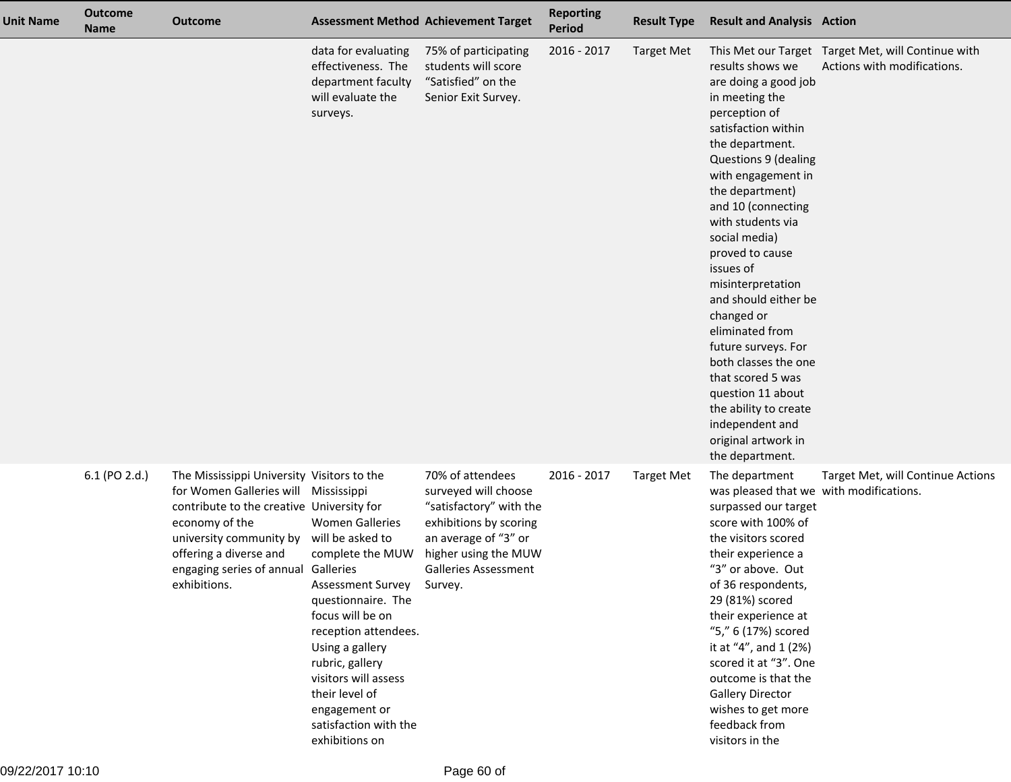| <b>Unit Name</b> | <b>Outcome</b><br><b>Name</b> | <b>Outcome</b>                                                                                                                                                                                                                                                                 | <b>Assessment Method Achievement Target</b>                                                                                                                                                                                                                                           |                                                                                                                                                                              | <b>Reporting</b><br><b>Period</b> | <b>Result Type</b> | <b>Result and Analysis Action</b>                                                                                                                                                                                                                                                                                                                                                                                                                                                                                                               |                                                                                   |
|------------------|-------------------------------|--------------------------------------------------------------------------------------------------------------------------------------------------------------------------------------------------------------------------------------------------------------------------------|---------------------------------------------------------------------------------------------------------------------------------------------------------------------------------------------------------------------------------------------------------------------------------------|------------------------------------------------------------------------------------------------------------------------------------------------------------------------------|-----------------------------------|--------------------|-------------------------------------------------------------------------------------------------------------------------------------------------------------------------------------------------------------------------------------------------------------------------------------------------------------------------------------------------------------------------------------------------------------------------------------------------------------------------------------------------------------------------------------------------|-----------------------------------------------------------------------------------|
|                  |                               |                                                                                                                                                                                                                                                                                | data for evaluating<br>effectiveness. The<br>department faculty<br>will evaluate the<br>surveys.                                                                                                                                                                                      | 75% of participating<br>students will score<br>"Satisfied" on the<br>Senior Exit Survey.                                                                                     | 2016 - 2017                       | <b>Target Met</b>  | results shows we<br>are doing a good job<br>in meeting the<br>perception of<br>satisfaction within<br>the department.<br>Questions 9 (dealing<br>with engagement in<br>the department)<br>and 10 (connecting<br>with students via<br>social media)<br>proved to cause<br>issues of<br>misinterpretation<br>and should either be<br>changed or<br>eliminated from<br>future surveys. For<br>both classes the one<br>that scored 5 was<br>question 11 about<br>the ability to create<br>independent and<br>original artwork in<br>the department. | This Met our Target Target Met, will Continue with<br>Actions with modifications. |
|                  | 6.1 (PO 2.d.)                 | The Mississippi University Visitors to the<br>for Women Galleries will Mississippi<br>contribute to the creative University for<br>economy of the<br>university community by will be asked to<br>offering a diverse and<br>engaging series of annual Galleries<br>exhibitions. | <b>Women Galleries</b><br>complete the MUW<br>Assessment Survey Survey.<br>questionnaire. The<br>focus will be on<br>reception attendees.<br>Using a gallery<br>rubric, gallery<br>visitors will assess<br>their level of<br>engagement or<br>satisfaction with the<br>exhibitions on | 70% of attendees<br>surveyed will choose<br>"satisfactory" with the<br>exhibitions by scoring<br>an average of "3" or<br>higher using the MUW<br><b>Galleries Assessment</b> | 2016 - 2017                       | <b>Target Met</b>  | The department<br>was pleased that we with modifications.<br>surpassed our target<br>score with 100% of<br>the visitors scored<br>their experience a<br>"3" or above. Out<br>of 36 respondents,<br>29 (81%) scored<br>their experience at<br>"5," 6 (17%) scored<br>it at "4", and 1 (2%)<br>scored it at "3". One<br>outcome is that the<br><b>Gallery Director</b><br>wishes to get more<br>feedback from<br>visitors in the                                                                                                                  | Target Met, will Continue Actions                                                 |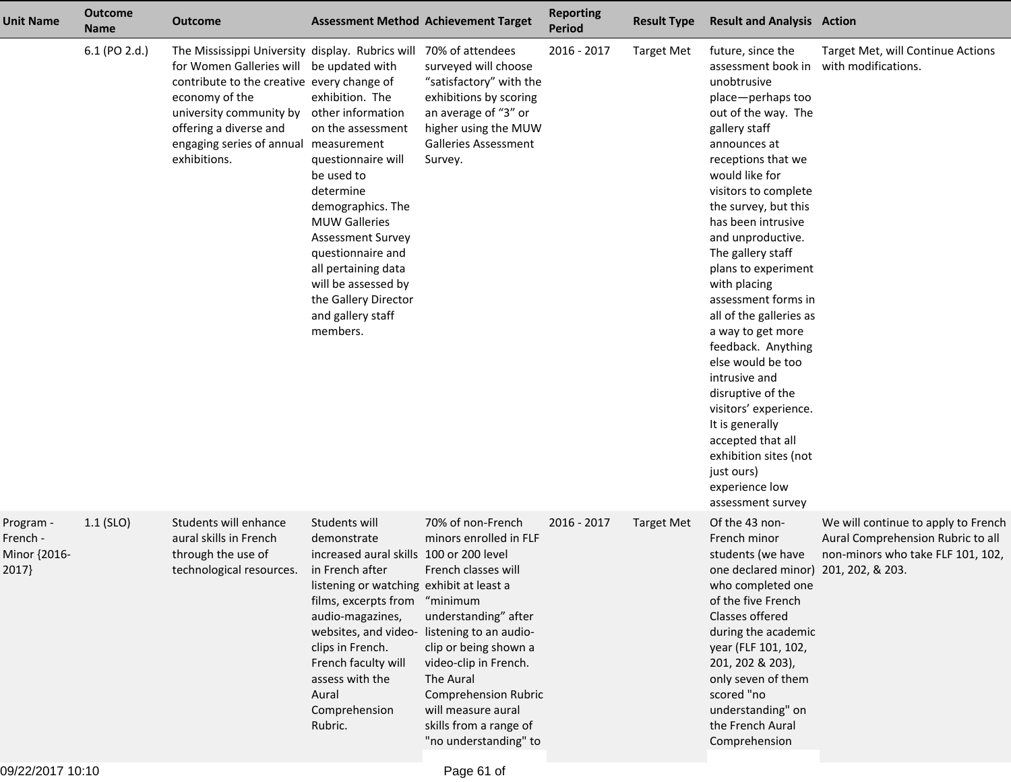| <b>Unit Name</b>                               | <b>Outcome</b><br><b>Name</b> | Outcome                                                                                                                                                                                                                                                                                     |                                                                                                                                                                                                                                                                                                                 | <b>Assessment Method Achievement Target</b>                                                                                                                                                                                                                                                                     | <b>Reporting</b><br><b>Period</b> | <b>Result Type</b> | <b>Result and Analysis Action</b>                                                                                                                                                                                                                                                                                                                                                                                                                                                                                                                                                                                                         |                                                                                                                                   |
|------------------------------------------------|-------------------------------|---------------------------------------------------------------------------------------------------------------------------------------------------------------------------------------------------------------------------------------------------------------------------------------------|-----------------------------------------------------------------------------------------------------------------------------------------------------------------------------------------------------------------------------------------------------------------------------------------------------------------|-----------------------------------------------------------------------------------------------------------------------------------------------------------------------------------------------------------------------------------------------------------------------------------------------------------------|-----------------------------------|--------------------|-------------------------------------------------------------------------------------------------------------------------------------------------------------------------------------------------------------------------------------------------------------------------------------------------------------------------------------------------------------------------------------------------------------------------------------------------------------------------------------------------------------------------------------------------------------------------------------------------------------------------------------------|-----------------------------------------------------------------------------------------------------------------------------------|
|                                                | 6.1 (PO 2.d.)                 | The Mississippi University display. Rubrics will 70% of attendees<br>for Women Galleries will be updated with<br>contribute to the creative every change of<br>economy of the<br>university community by<br>offering a diverse and<br>engaging series of annual measurement<br>exhibitions. | exhibition. The<br>other information<br>on the assessment<br>questionnaire will<br>be used to<br>determine<br>demographics. The<br><b>MUW Galleries</b><br><b>Assessment Survey</b><br>questionnaire and<br>all pertaining data<br>will be assessed by<br>the Gallery Director<br>and gallery staff<br>members. | surveyed will choose<br>"satisfactory" with the<br>exhibitions by scoring<br>an average of "3" or<br>higher using the MUW<br><b>Galleries Assessment</b><br>Survey.                                                                                                                                             | 2016 - 2017                       | <b>Target Met</b>  | future, since the<br>assessment book in<br>unobtrusive<br>place-perhaps too<br>out of the way. The<br>gallery staff<br>announces at<br>receptions that we<br>would like for<br>visitors to complete<br>the survey, but this<br>has been intrusive<br>and unproductive.<br>The gallery staff<br>plans to experiment<br>with placing<br>assessment forms in<br>all of the galleries as<br>a way to get more<br>feedback. Anything<br>else would be too<br>intrusive and<br>disruptive of the<br>visitors' experience.<br>It is generally<br>accepted that all<br>exhibition sites (not<br>just ours)<br>experience low<br>assessment survey | Target Met, will Continue Actions<br>with modifications.                                                                          |
| Program -<br>French -<br>Minor {2016-<br>2017} | $1.1$ (SLO)                   | Students will enhance<br>aural skills in French<br>through the use of<br>technological resources.                                                                                                                                                                                           | Students will<br>demonstrate<br>increased aural skills 100 or 200 level<br>in French after<br>listening or watching exhibit at least a<br>films, excerpts from "minimum<br>audio-magazines,<br>clips in French.<br>French faculty will<br>assess with the<br>Aural<br>Comprehension<br>Rubric.                  | 70% of non-French<br>minors enrolled in FLF<br>French classes will<br>understanding" after<br>websites, and video-listening to an audio-<br>clip or being shown a<br>video-clip in French.<br>The Aural<br><b>Comprehension Rubric</b><br>will measure aural<br>skills from a range of<br>"no understanding" to | 2016 - 2017                       | <b>Target Met</b>  | Of the 43 non-<br>French minor<br>students (we have<br>one declared minor)<br>who completed one<br>of the five French<br>Classes offered<br>during the academic<br>year (FLF 101, 102,<br>201, 202 & 203),<br>only seven of them<br>scored "no<br>understanding" on<br>the French Aural<br>Comprehension                                                                                                                                                                                                                                                                                                                                  | We will continue to apply to French<br>Aural Comprehension Rubric to all<br>non-minors who take FLF 101, 102,<br>201, 202, & 203. |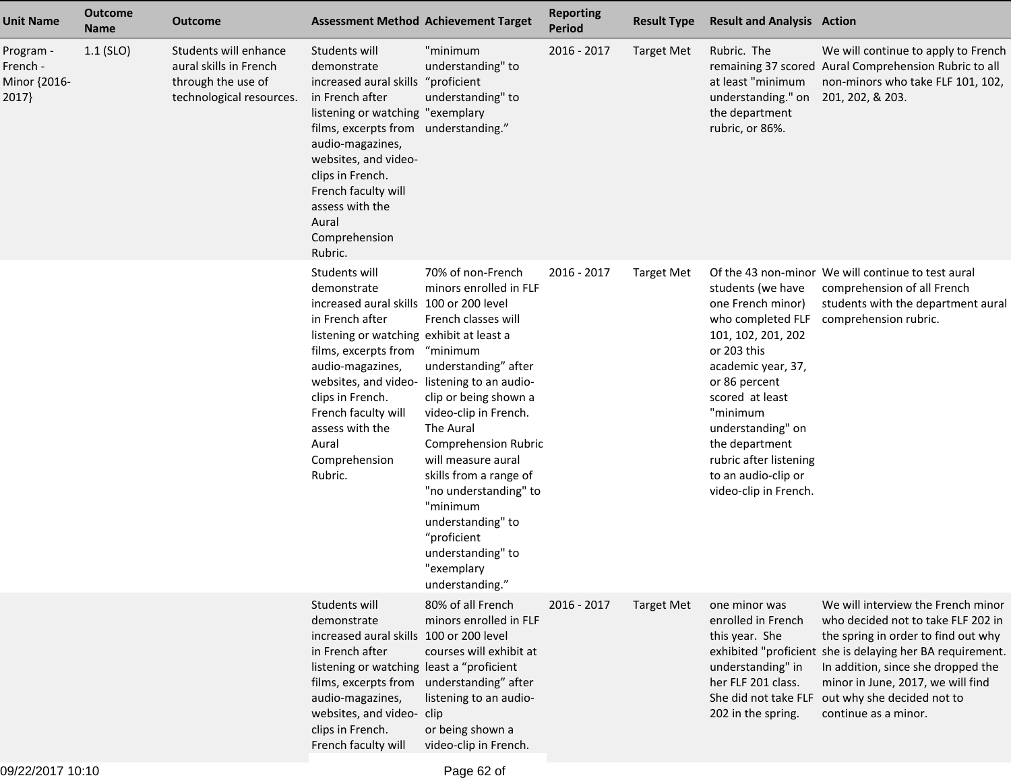| <b>Unit Name</b>                               | <b>Outcome</b><br><b>Name</b> | <b>Outcome</b>                                                                                    | <b>Assessment Method Achievement Target</b>                                                                                                                                                                                                                                                                                          |                                                                                                                                                                                                                                                                                                                                                                                     | <b>Reporting</b><br><b>Period</b> | <b>Result Type</b> | <b>Result and Analysis Action</b>                                                                                                                                                                                                                                                       |                                                                                                                                                                                                                                                                                                                                    |
|------------------------------------------------|-------------------------------|---------------------------------------------------------------------------------------------------|--------------------------------------------------------------------------------------------------------------------------------------------------------------------------------------------------------------------------------------------------------------------------------------------------------------------------------------|-------------------------------------------------------------------------------------------------------------------------------------------------------------------------------------------------------------------------------------------------------------------------------------------------------------------------------------------------------------------------------------|-----------------------------------|--------------------|-----------------------------------------------------------------------------------------------------------------------------------------------------------------------------------------------------------------------------------------------------------------------------------------|------------------------------------------------------------------------------------------------------------------------------------------------------------------------------------------------------------------------------------------------------------------------------------------------------------------------------------|
| Program -<br>French -<br>Minor {2016-<br>2017} | $1.1$ (SLO)                   | Students will enhance<br>aural skills in French<br>through the use of<br>technological resources. | Students will<br>demonstrate<br>increased aural skills<br>in French after<br>listening or watching "exemplary<br>films, excerpts from understanding."<br>audio-magazines,<br>websites, and video-<br>clips in French.<br>French faculty will<br>assess with the<br>Aural<br>Comprehension<br>Rubric.                                 | "minimum<br>understanding" to<br>"proficient<br>understanding" to                                                                                                                                                                                                                                                                                                                   | 2016 - 2017                       | <b>Target Met</b>  | Rubric. The<br>at least "minimum<br>understanding." on<br>the department<br>rubric, or 86%.                                                                                                                                                                                             | We will continue to apply to French<br>remaining 37 scored Aural Comprehension Rubric to all<br>non-minors who take FLF 101, 102,<br>201, 202, & 203.                                                                                                                                                                              |
|                                                |                               |                                                                                                   | Students will<br>demonstrate<br>increased aural skills 100 or 200 level<br>in French after<br>listening or watching exhibit at least a<br>films, excerpts from<br>audio-magazines,<br>websites, and video- listening to an audio-<br>clips in French.<br>French faculty will<br>assess with the<br>Aural<br>Comprehension<br>Rubric. | 70% of non-French<br>minors enrolled in FLF<br>French classes will<br>"minimum<br>understanding" after<br>clip or being shown a<br>video-clip in French.<br>The Aural<br><b>Comprehension Rubric</b><br>will measure aural<br>skills from a range of<br>"no understanding" to<br>"minimum<br>understanding" to<br>"proficient<br>understanding" to<br>"exemplary<br>understanding." | 2016 - 2017                       | <b>Target Met</b>  | students (we have<br>one French minor)<br>who completed FLF<br>101, 102, 201, 202<br>or 203 this<br>academic year, 37,<br>or 86 percent<br>scored at least<br>"minimum<br>understanding" on<br>the department<br>rubric after listening<br>to an audio-clip or<br>video-clip in French. | Of the 43 non-minor We will continue to test aural<br>comprehension of all French<br>students with the department aural<br>comprehension rubric.                                                                                                                                                                                   |
|                                                |                               |                                                                                                   | Students will<br>demonstrate<br>increased aural skills 100 or 200 level<br>in French after<br>listening or watching least a "proficient<br>films, excerpts from understanding" after<br>audio-magazines,<br>websites, and video- clip<br>clips in French.<br>French faculty will                                                     | 80% of all French<br>minors enrolled in FLF<br>courses will exhibit at<br>listening to an audio-<br>or being shown a<br>video-clip in French.                                                                                                                                                                                                                                       | 2016 - 2017                       | <b>Target Met</b>  | one minor was<br>enrolled in French<br>this year. She<br>understanding" in<br>her FLF 201 class.<br>202 in the spring.                                                                                                                                                                  | We will interview the French minor<br>who decided not to take FLF 202 in<br>the spring in order to find out why<br>exhibited "proficient she is delaying her BA requirement.<br>In addition, since she dropped the<br>minor in June, 2017, we will find<br>She did not take FLF out why she decided not to<br>continue as a minor. |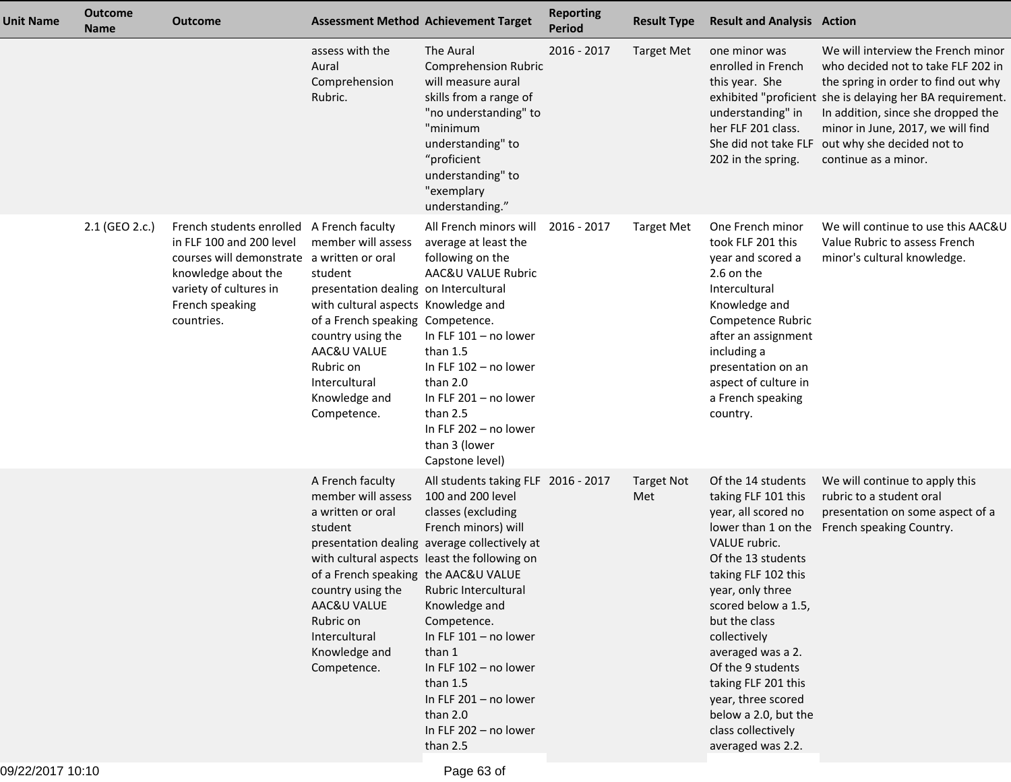| <b>Unit Name</b> | <b>Outcome</b><br><b>Name</b> | <b>Outcome</b>                                                                                                                                                                                        |                                                                                                                                                                                                                                                     | <b>Assessment Method Achievement Target</b>                                                                                                                                                                                                                                                                                                                                                                         | <b>Reporting</b><br>Period | <b>Result Type</b>       | <b>Result and Analysis Action</b>                                                                                                                                                                                                                                                                                                                                    |                                                                                                                                                                                                                                                                                                               |
|------------------|-------------------------------|-------------------------------------------------------------------------------------------------------------------------------------------------------------------------------------------------------|-----------------------------------------------------------------------------------------------------------------------------------------------------------------------------------------------------------------------------------------------------|---------------------------------------------------------------------------------------------------------------------------------------------------------------------------------------------------------------------------------------------------------------------------------------------------------------------------------------------------------------------------------------------------------------------|----------------------------|--------------------------|----------------------------------------------------------------------------------------------------------------------------------------------------------------------------------------------------------------------------------------------------------------------------------------------------------------------------------------------------------------------|---------------------------------------------------------------------------------------------------------------------------------------------------------------------------------------------------------------------------------------------------------------------------------------------------------------|
|                  |                               |                                                                                                                                                                                                       | assess with the<br>Aural<br>Comprehension<br>Rubric.                                                                                                                                                                                                | The Aural<br><b>Comprehension Rubric</b><br>will measure aural<br>skills from a range of<br>"no understanding" to<br>"minimum<br>understanding" to<br>"proficient<br>understanding" to<br>"exemplary<br>understanding."                                                                                                                                                                                             | 2016 - 2017                | <b>Target Met</b>        | one minor was<br>enrolled in French<br>this year. She<br>understanding" in<br>her FLF 201 class.<br>She did not take FLF<br>202 in the spring.                                                                                                                                                                                                                       | We will interview the French minor<br>who decided not to take FLF 202 in<br>the spring in order to find out why<br>exhibited "proficient she is delaying her BA requirement.<br>In addition, since she dropped the<br>minor in June, 2017, we will find<br>out why she decided not to<br>continue as a minor. |
|                  | 2.1 (GEO 2.c.)                | French students enrolled A French faculty<br>in FLF 100 and 200 level<br>courses will demonstrate a written or oral<br>knowledge about the<br>variety of cultures in<br>French speaking<br>countries. | member will assess<br>student<br>presentation dealing on Intercultural<br>with cultural aspects Knowledge and<br>of a French speaking Competence.<br>country using the<br>AAC&U VALUE<br>Rubric on<br>Intercultural<br>Knowledge and<br>Competence. | All French minors will<br>average at least the<br>following on the<br>AAC&U VALUE Rubric<br>In FLF $101 - no lower$<br>than $1.5$<br>In FLF 102 - no lower<br>than 2.0<br>In FLF $201 - no$ lower<br>than 2.5<br>In FLF 202 - no lower<br>than 3 (lower<br>Capstone level)                                                                                                                                          | 2016 - 2017                | <b>Target Met</b>        | One French minor<br>took FLF 201 this<br>year and scored a<br>2.6 on the<br>Intercultural<br>Knowledge and<br>Competence Rubric<br>after an assignment<br>including a<br>presentation on an<br>aspect of culture in<br>a French speaking<br>country.                                                                                                                 | We will continue to use this AAC&U<br>Value Rubric to assess French<br>minor's cultural knowledge.                                                                                                                                                                                                            |
|                  |                               |                                                                                                                                                                                                       | A French faculty<br>member will assess<br>a written or oral<br>student<br>of a French speaking the AAC&U VALUE<br>country using the<br>AAC&U VALUE<br>Rubric on<br>Intercultural<br>Knowledge and<br>Competence.                                    | All students taking FLF 2016 - 2017<br>100 and 200 level<br>classes (excluding<br>French minors) will<br>presentation dealing average collectively at<br>with cultural aspects least the following on<br>Rubric Intercultural<br>Knowledge and<br>Competence.<br>In FLF $101 - no$ lower<br>than 1<br>In FLF 102 - no lower<br>than $1.5$<br>In FLF 201 - no lower<br>than 2.0<br>In FLF 202 - no lower<br>than 2.5 |                            | <b>Target Not</b><br>Met | Of the 14 students<br>taking FLF 101 this<br>year, all scored no<br>VALUE rubric.<br>Of the 13 students<br>taking FLF 102 this<br>year, only three<br>scored below a 1.5,<br>but the class<br>collectively<br>averaged was a 2.<br>Of the 9 students<br>taking FLF 201 this<br>year, three scored<br>below a 2.0, but the<br>class collectively<br>averaged was 2.2. | We will continue to apply this<br>rubric to a student oral<br>presentation on some aspect of a<br>lower than 1 on the French speaking Country.                                                                                                                                                                |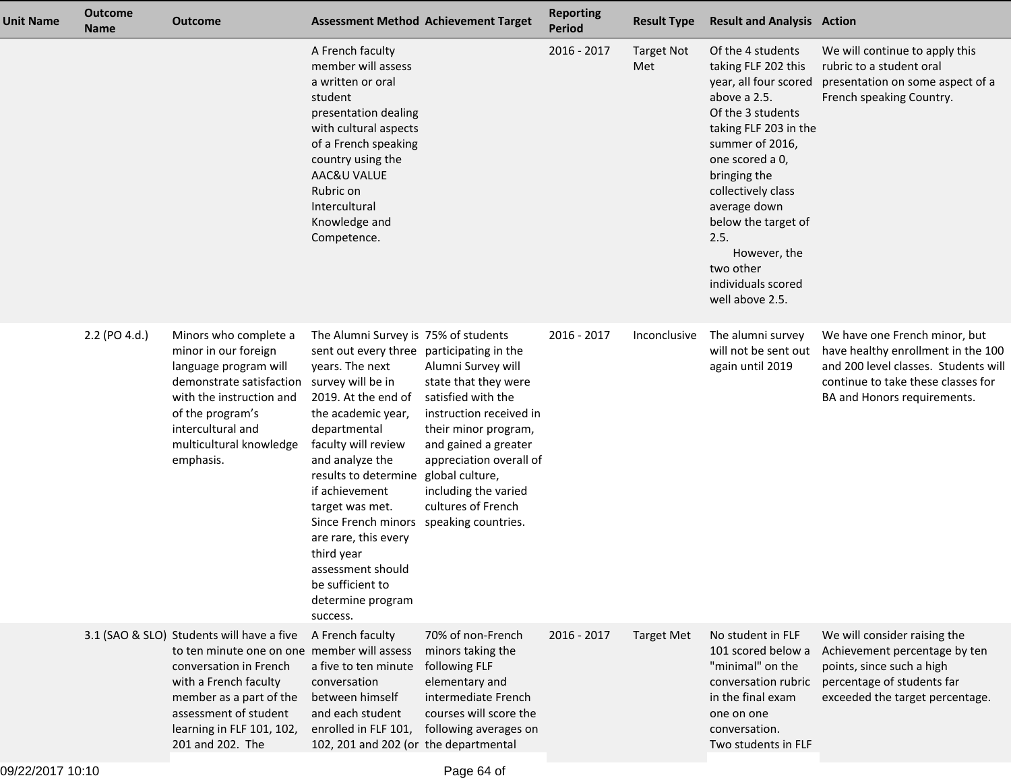| <b>Unit Name</b> | <b>Outcome</b><br><b>Name</b> | <b>Outcome</b>                                                                                                                                                                                                                                   | <b>Assessment Method Achievement Target</b>                                                                                                                                                                                                                                                                                                                                                                                                              |                                                                                                                                                                                                                                         | <b>Reporting</b><br><b>Period</b> | <b>Result Type</b>       | <b>Result and Analysis Action</b>                                                                                                                                                                                                                                                                                                |                                                                                                                                                                                  |
|------------------|-------------------------------|--------------------------------------------------------------------------------------------------------------------------------------------------------------------------------------------------------------------------------------------------|----------------------------------------------------------------------------------------------------------------------------------------------------------------------------------------------------------------------------------------------------------------------------------------------------------------------------------------------------------------------------------------------------------------------------------------------------------|-----------------------------------------------------------------------------------------------------------------------------------------------------------------------------------------------------------------------------------------|-----------------------------------|--------------------------|----------------------------------------------------------------------------------------------------------------------------------------------------------------------------------------------------------------------------------------------------------------------------------------------------------------------------------|----------------------------------------------------------------------------------------------------------------------------------------------------------------------------------|
|                  |                               |                                                                                                                                                                                                                                                  | A French faculty<br>member will assess<br>a written or oral<br>student<br>presentation dealing<br>with cultural aspects<br>of a French speaking<br>country using the<br>AAC&U VALUE<br>Rubric on<br>Intercultural<br>Knowledge and<br>Competence.                                                                                                                                                                                                        |                                                                                                                                                                                                                                         | 2016 - 2017                       | <b>Target Not</b><br>Met | Of the 4 students<br>taking FLF 202 this<br>year, all four scored<br>above a 2.5.<br>Of the 3 students<br>taking FLF 203 in the<br>summer of 2016,<br>one scored a 0,<br>bringing the<br>collectively class<br>average down<br>below the target of<br>2.5.<br>However, the<br>two other<br>individuals scored<br>well above 2.5. | We will continue to apply this<br>rubric to a student oral<br>presentation on some aspect of a<br>French speaking Country.                                                       |
|                  | 2.2 (PO 4.d.)                 | Minors who complete a<br>minor in our foreign<br>language program will<br>demonstrate satisfaction<br>with the instruction and<br>of the program's<br>intercultural and<br>multicultural knowledge<br>emphasis.                                  | The Alumni Survey is 75% of students<br>sent out every three participating in the<br>years. The next<br>survey will be in<br>2019. At the end of<br>the academic year,<br>departmental<br>faculty will review<br>and analyze the<br>results to determine<br>if achievement<br>target was met.<br>Since French minors speaking countries.<br>are rare, this every<br>third year<br>assessment should<br>be sufficient to<br>determine program<br>success. | Alumni Survey will<br>state that they were<br>satisfied with the<br>instruction received in<br>their minor program,<br>and gained a greater<br>appreciation overall of<br>global culture,<br>including the varied<br>cultures of French | 2016 - 2017                       | Inconclusive             | The alumni survey<br>will not be sent out<br>again until 2019                                                                                                                                                                                                                                                                    | We have one French minor, but<br>have healthy enrollment in the 100<br>and 200 level classes. Students will<br>continue to take these classes for<br>BA and Honors requirements. |
|                  |                               | 3.1 (SAO & SLO) Students will have a five<br>to ten minute one on one member will assess<br>conversation in French<br>with a French faculty<br>member as a part of the<br>assessment of student<br>learning in FLF 101, 102,<br>201 and 202. The | A French faculty<br>a five to ten minute<br>conversation<br>between himself<br>and each student<br>enrolled in FLF 101,<br>102, 201 and 202 (or the departmental                                                                                                                                                                                                                                                                                         | 70% of non-French<br>minors taking the<br>following FLF<br>elementary and<br>intermediate French<br>courses will score the<br>following averages on                                                                                     | 2016 - 2017                       | <b>Target Met</b>        | No student in FLF<br>101 scored below a<br>"minimal" on the<br>conversation rubric<br>in the final exam<br>one on one<br>conversation.<br>Two students in FLF                                                                                                                                                                    | We will consider raising the<br>Achievement percentage by ten<br>points, since such a high<br>percentage of students far<br>exceeded the target percentage.                      |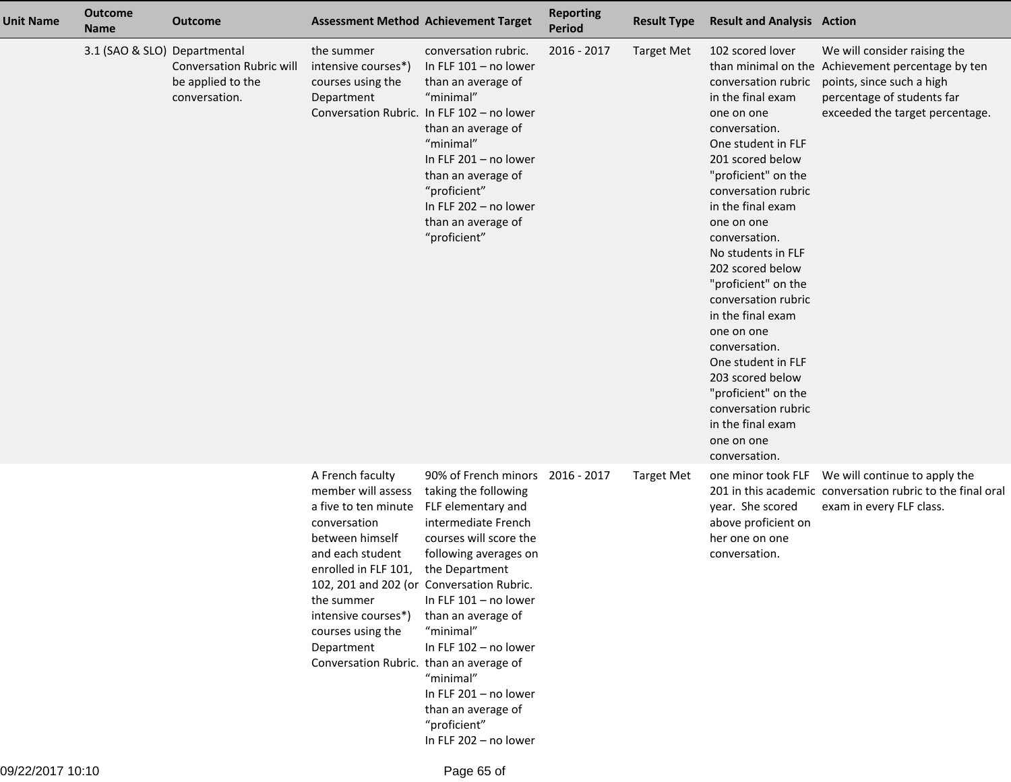| <b>Unit Name</b> | <b>Outcome</b><br><b>Name</b> | <b>Outcome</b>                                                        |                                                                                                                                                                                                                                                                  | <b>Assessment Method Achievement Target</b>                                                                                                                                                                                                                                                                                                                                                                       | <b>Reporting</b><br>Period | <b>Result Type</b> | <b>Result and Analysis Action</b>                                                                                                                                                                                                                                                                                                                                                                                                                                                                                               |                                                                                                                                                                                 |
|------------------|-------------------------------|-----------------------------------------------------------------------|------------------------------------------------------------------------------------------------------------------------------------------------------------------------------------------------------------------------------------------------------------------|-------------------------------------------------------------------------------------------------------------------------------------------------------------------------------------------------------------------------------------------------------------------------------------------------------------------------------------------------------------------------------------------------------------------|----------------------------|--------------------|---------------------------------------------------------------------------------------------------------------------------------------------------------------------------------------------------------------------------------------------------------------------------------------------------------------------------------------------------------------------------------------------------------------------------------------------------------------------------------------------------------------------------------|---------------------------------------------------------------------------------------------------------------------------------------------------------------------------------|
|                  | 3.1 (SAO & SLO) Departmental  | <b>Conversation Rubric will</b><br>be applied to the<br>conversation. | the summer<br>intensive courses*)<br>courses using the<br>Department                                                                                                                                                                                             | conversation rubric.<br>In FLF $101 - no lower$<br>than an average of<br>"minimal"<br>Conversation Rubric. In FLF 102 - no lower<br>than an average of<br>"minimal"<br>In FLF 201 - no lower<br>than an average of<br>"proficient"<br>In FLF 202 - no lower<br>than an average of<br>"proficient"                                                                                                                 | 2016 - 2017                | <b>Target Met</b>  | 102 scored lover<br>conversation rubric<br>in the final exam<br>one on one<br>conversation.<br>One student in FLF<br>201 scored below<br>"proficient" on the<br>conversation rubric<br>in the final exam<br>one on one<br>conversation.<br>No students in FLF<br>202 scored below<br>"proficient" on the<br>conversation rubric<br>in the final exam<br>one on one<br>conversation.<br>One student in FLF<br>203 scored below<br>"proficient" on the<br>conversation rubric<br>in the final exam<br>one on one<br>conversation. | We will consider raising the<br>than minimal on the Achievement percentage by ten<br>points, since such a high<br>percentage of students far<br>exceeded the target percentage. |
|                  |                               |                                                                       | A French faculty<br>member will assess<br>a five to ten minute<br>conversation<br>between himself<br>and each student<br>enrolled in FLF 101,<br>the summer<br>intensive courses*)<br>courses using the<br>Department<br>Conversation Rubric. than an average of | 90% of French minors 2016 - 2017<br>taking the following<br>FLF elementary and<br>intermediate French<br>courses will score the<br>following averages on<br>the Department<br>102, 201 and 202 (or Conversation Rubric.<br>In FLF 101 - no lower<br>than an average of<br>"minimal"<br>In FLF 102 - no lower<br>"minimal"<br>In FLF 201 - no lower<br>than an average of<br>"proficient"<br>In FLF 202 - no lower |                            | <b>Target Met</b>  | year. She scored<br>above proficient on<br>her one on one<br>conversation.                                                                                                                                                                                                                                                                                                                                                                                                                                                      | one minor took FLF  We will continue to apply the<br>201 in this academic conversation rubric to the final oral<br>exam in every FLF class.                                     |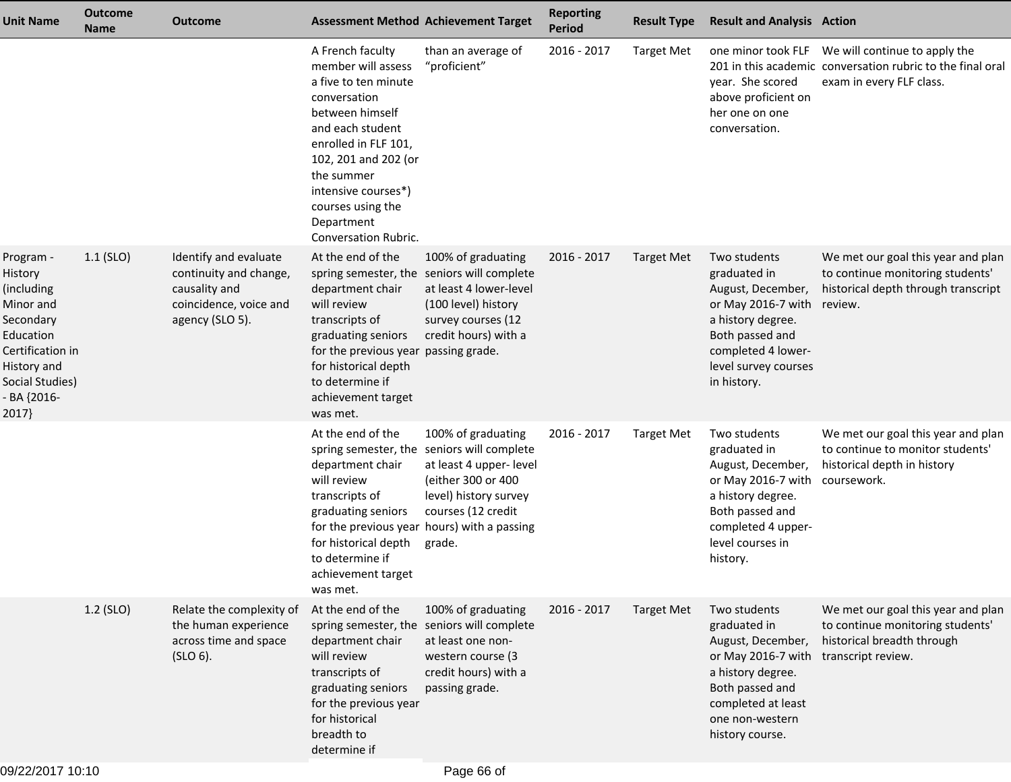| <b>Unit Name</b>                                                                                                                                        | <b>Outcome</b><br><b>Name</b> | <b>Outcome</b>                                                                                                | <b>Assessment Method Achievement Target</b>                                                                                                                                                                                                                                  |                                                                                                                                                                                                                           | <b>Reporting</b><br><b>Period</b> | <b>Result Type</b> | <b>Result and Analysis Action</b>                                                                                                                                            |                                                                                                                                             |
|---------------------------------------------------------------------------------------------------------------------------------------------------------|-------------------------------|---------------------------------------------------------------------------------------------------------------|------------------------------------------------------------------------------------------------------------------------------------------------------------------------------------------------------------------------------------------------------------------------------|---------------------------------------------------------------------------------------------------------------------------------------------------------------------------------------------------------------------------|-----------------------------------|--------------------|------------------------------------------------------------------------------------------------------------------------------------------------------------------------------|---------------------------------------------------------------------------------------------------------------------------------------------|
|                                                                                                                                                         |                               |                                                                                                               | A French faculty<br>member will assess<br>a five to ten minute<br>conversation<br>between himself<br>and each student<br>enrolled in FLF 101,<br>102, 201 and 202 (or<br>the summer<br>intensive courses*)<br>courses using the<br>Department<br><b>Conversation Rubric.</b> | than an average of<br>"proficient"                                                                                                                                                                                        | 2016 - 2017                       | <b>Target Met</b>  | year. She scored<br>above proficient on<br>her one on one<br>conversation.                                                                                                   | one minor took FLF  We will continue to apply the<br>201 in this academic conversation rubric to the final oral<br>exam in every FLF class. |
| Program -<br>History<br>(including<br>Minor and<br>Secondary<br>Education<br>Certification in<br>History and<br>Social Studies)<br>- BA {2016-<br>2017} | $1.1$ (SLO)                   | Identify and evaluate<br>continuity and change,<br>causality and<br>coincidence, voice and<br>agency (SLO 5). | At the end of the<br>department chair<br>will review<br>transcripts of<br>graduating seniors<br>for the previous year passing grade.<br>for historical depth<br>to determine if<br>achievement target<br>was met.                                                            | 100% of graduating<br>spring semester, the seniors will complete<br>at least 4 lower-level<br>(100 level) history<br>survey courses (12<br>credit hours) with a                                                           | 2016 - 2017                       | Target Met         | Two students<br>graduated in<br>August, December,<br>or May 2016-7 with<br>a history degree.<br>Both passed and<br>completed 4 lower-<br>level survey courses<br>in history. | We met our goal this year and plan<br>to continue monitoring students'<br>historical depth through transcript<br>review.                    |
|                                                                                                                                                         |                               |                                                                                                               | At the end of the<br>department chair<br>will review<br>transcripts of<br>graduating seniors<br>for historical depth<br>to determine if<br>achievement target<br>was met.                                                                                                    | 100% of graduating<br>spring semester, the seniors will complete<br>at least 4 upper- level<br>(either 300 or 400<br>level) history survey<br>courses (12 credit<br>for the previous year hours) with a passing<br>grade. | 2016 - 2017                       | <b>Target Met</b>  | Two students<br>graduated in<br>August, December,<br>or May 2016-7 with<br>a history degree.<br>Both passed and<br>completed 4 upper-<br>level courses in<br>history.        | We met our goal this year and plan<br>to continue to monitor students'<br>historical depth in history<br>coursework.                        |
|                                                                                                                                                         | 1.2 (SLO)                     | Relate the complexity of<br>the human experience<br>across time and space<br>(SLO 6).                         | At the end of the<br>department chair<br>will review<br>transcripts of<br>graduating seniors<br>for the previous year<br>for historical<br>breadth to<br>determine if                                                                                                        | 100% of graduating<br>spring semester, the seniors will complete<br>at least one non-<br>western course (3<br>credit hours) with a<br>passing grade.                                                                      | 2016 - 2017                       | <b>Target Met</b>  | Two students<br>graduated in<br>August, December,<br>or May 2016-7 with<br>a history degree.<br>Both passed and<br>completed at least<br>one non-western<br>history course.  | We met our goal this year and plan<br>to continue monitoring students'<br>historical breadth through<br>transcript review.                  |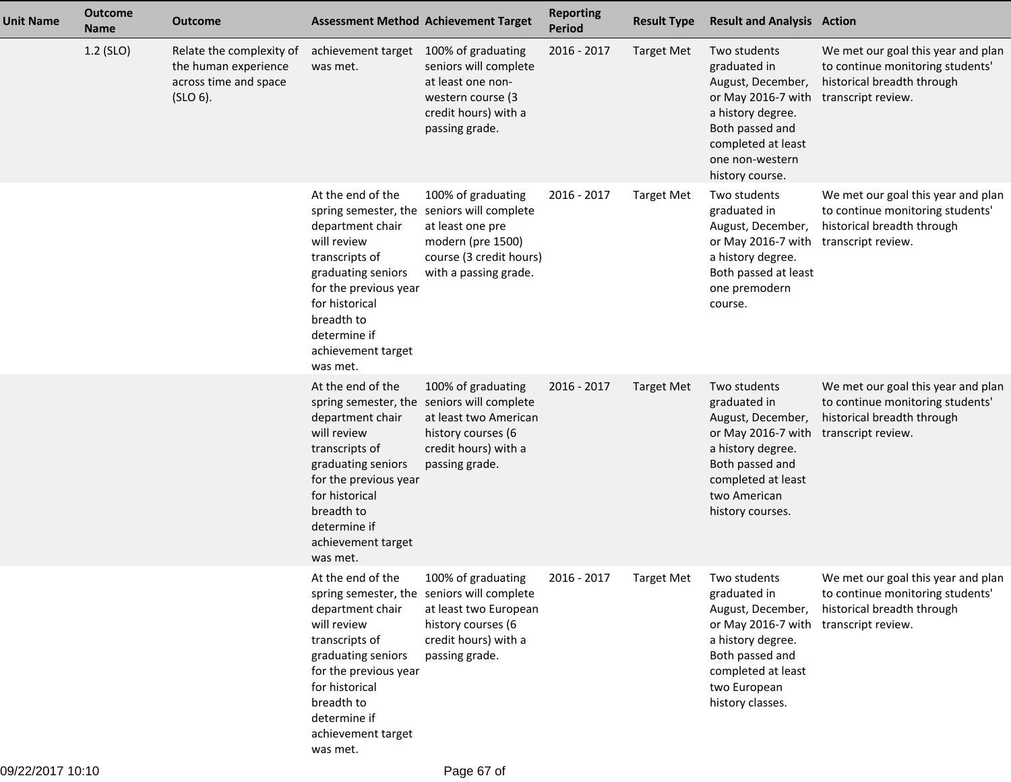| <b>Unit Name</b> | <b>Outcome</b><br><b>Name</b> | <b>Outcome</b>                                                                           |                                                                                                                                                                                                         | <b>Assessment Method Achievement Target</b>                                                                                                                   | <b>Reporting</b><br><b>Period</b> | <b>Result Type</b>      | <b>Result and Analysis Action</b>                                                                                                                                            |                                                                                                                            |
|------------------|-------------------------------|------------------------------------------------------------------------------------------|---------------------------------------------------------------------------------------------------------------------------------------------------------------------------------------------------------|---------------------------------------------------------------------------------------------------------------------------------------------------------------|-----------------------------------|-------------------------|------------------------------------------------------------------------------------------------------------------------------------------------------------------------------|----------------------------------------------------------------------------------------------------------------------------|
|                  | 1.2 (SLO)                     | Relate the complexity of<br>the human experience<br>across time and space<br>$(SLO 6)$ . | achievement target 100% of graduating<br>was met.                                                                                                                                                       | seniors will complete<br>at least one non-<br>western course (3<br>credit hours) with a<br>passing grade.                                                     | 2016 - 2017                       | <b>Target Met</b>       | Two students<br>graduated in<br>August, December,<br>or May 2016-7 with<br>a history degree.<br>Both passed and<br>completed at least<br>one non-western<br>history course.  | We met our goal this year and plan<br>to continue monitoring students'<br>historical breadth through<br>transcript review. |
|                  |                               |                                                                                          | At the end of the<br>department chair<br>will review<br>transcripts of<br>graduating seniors<br>for the previous year<br>for historical<br>breadth to<br>determine if<br>achievement target<br>was met. | 100% of graduating<br>spring semester, the seniors will complete<br>at least one pre<br>modern (pre 1500)<br>course (3 credit hours)<br>with a passing grade. | 2016 - 2017                       | <b>Target Met</b>       | Two students<br>graduated in<br>August, December,<br>or May 2016-7 with transcript review.<br>a history degree.<br>Both passed at least<br>one premodern<br>course.          | We met our goal this year and plan<br>to continue monitoring students'<br>historical breadth through                       |
|                  |                               |                                                                                          | At the end of the<br>department chair<br>will review<br>transcripts of<br>graduating seniors<br>for the previous year<br>for historical<br>breadth to<br>determine if<br>achievement target<br>was met. | 100% of graduating<br>spring semester, the seniors will complete<br>at least two American<br>history courses (6<br>credit hours) with a<br>passing grade.     | 2016 - 2017                       | <b>Target Met</b>       | Two students<br>graduated in<br>August, December,<br>or May 2016-7 with<br>a history degree.<br>Both passed and<br>completed at least<br>two American<br>history courses.    | We met our goal this year and plan<br>to continue monitoring students'<br>historical breadth through<br>transcript review. |
|                  |                               |                                                                                          | At the end of the<br>department chair<br>will review<br>transcripts of<br>graduating seniors<br>for the previous year<br>for historical<br>breadth to<br>determine if<br>achievement target<br>was met. | 100% of graduating<br>spring semester, the seniors will complete<br>at least two European<br>history courses (6<br>credit hours) with a<br>passing grade.     | 2016 - 2017                       | Target Met Two students | graduated in<br>August, December,<br>or May 2016-7 with transcript review.<br>a history degree.<br>Both passed and<br>completed at least<br>two European<br>history classes. | We met our goal this year and plan<br>to continue monitoring students'<br>historical breadth through                       |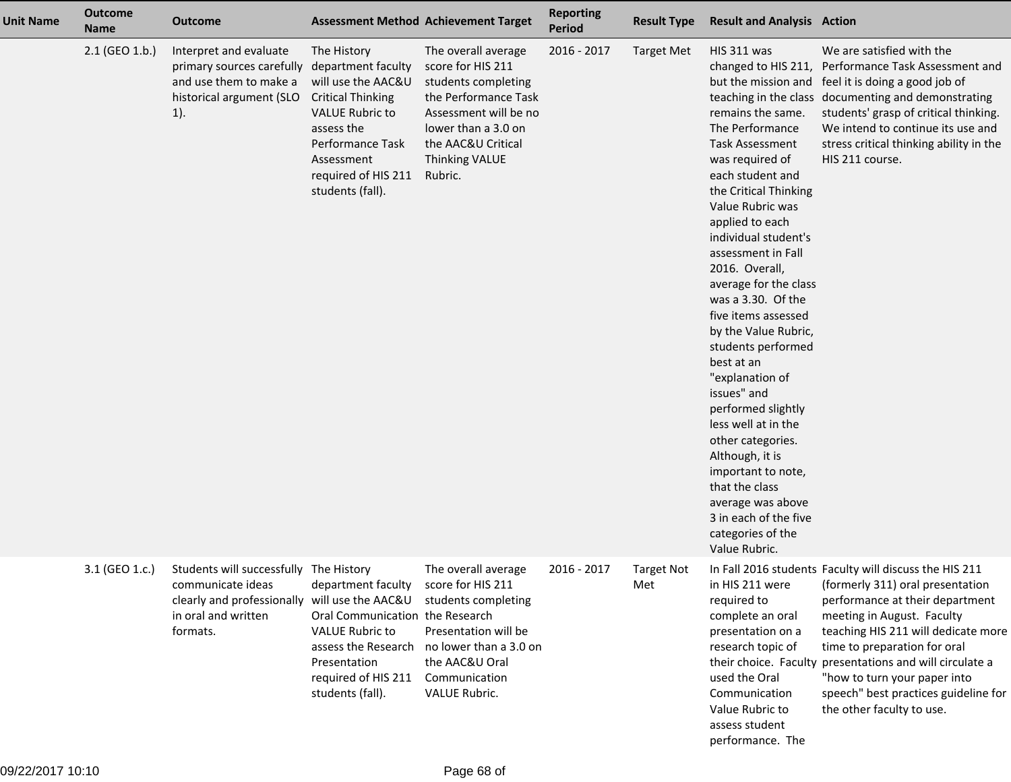| <b>Unit Name</b> | <b>Outcome</b><br><b>Name</b> | <b>Outcome</b>                                                                                                               |                                                                                                                                                                                                          | <b>Assessment Method Achievement Target</b>                                                                                                                                                | <b>Reporting</b><br>Period | <b>Result Type</b>       | <b>Result and Analysis Action</b>                                                                                                                                                                                                                                                                                                                                                                                                                                                                                                                                                                                                                                |                                                                                                                                                                                                                                                                                                                                                                                                     |
|------------------|-------------------------------|------------------------------------------------------------------------------------------------------------------------------|----------------------------------------------------------------------------------------------------------------------------------------------------------------------------------------------------------|--------------------------------------------------------------------------------------------------------------------------------------------------------------------------------------------|----------------------------|--------------------------|------------------------------------------------------------------------------------------------------------------------------------------------------------------------------------------------------------------------------------------------------------------------------------------------------------------------------------------------------------------------------------------------------------------------------------------------------------------------------------------------------------------------------------------------------------------------------------------------------------------------------------------------------------------|-----------------------------------------------------------------------------------------------------------------------------------------------------------------------------------------------------------------------------------------------------------------------------------------------------------------------------------------------------------------------------------------------------|
|                  | $2.1$ (GEO 1.b.)              | Interpret and evaluate<br>primary sources carefully<br>and use them to make a<br>historical argument (SLO<br>$1$ ).          | The History<br>department faculty<br>will use the AAC&U<br><b>Critical Thinking</b><br><b>VALUE Rubric to</b><br>assess the<br>Performance Task<br>Assessment<br>required of HIS 211<br>students (fall). | The overall average<br>score for HIS 211<br>students completing<br>the Performance Task<br>Assessment will be no<br>lower than a 3.0 on<br>the AAC&U Critical<br>Thinking VALUE<br>Rubric. | 2016 - 2017                | <b>Target Met</b>        | HIS 311 was<br>changed to HIS 211,<br>remains the same.<br>The Performance<br><b>Task Assessment</b><br>was required of<br>each student and<br>the Critical Thinking<br>Value Rubric was<br>applied to each<br>individual student's<br>assessment in Fall<br>2016. Overall,<br>average for the class<br>was a 3.30. Of the<br>five items assessed<br>by the Value Rubric,<br>students performed<br>best at an<br>"explanation of<br>issues" and<br>performed slightly<br>less well at in the<br>other categories.<br>Although, it is<br>important to note,<br>that the class<br>average was above<br>3 in each of the five<br>categories of the<br>Value Rubric. | We are satisfied with the<br>Performance Task Assessment and<br>but the mission and feel it is doing a good job of<br>teaching in the class documenting and demonstrating<br>students' grasp of critical thinking.<br>We intend to continue its use and<br>stress critical thinking ability in the<br>HIS 211 course.                                                                               |
|                  | 3.1 (GEO 1.c.)                | Students will successfully The History<br>communicate ideas<br>clearly and professionally<br>in oral and written<br>formats. | department faculty<br>will use the AAC&U<br>Oral Communication the Research<br><b>VALUE Rubric to</b><br>assess the Research<br>Presentation<br>required of HIS 211<br>students (fall).                  | The overall average<br>score for HIS 211<br>students completing<br>Presentation will be<br>no lower than a 3.0 on<br>the AAC&U Oral<br>Communication<br>VALUE Rubric.                      | 2016 - 2017                | <b>Target Not</b><br>Met | in HIS 211 were<br>required to<br>complete an oral<br>presentation on a<br>research topic of<br>used the Oral<br>Communication<br>Value Rubric to<br>assess student<br>performance. The                                                                                                                                                                                                                                                                                                                                                                                                                                                                          | In Fall 2016 students Faculty will discuss the HIS 211<br>(formerly 311) oral presentation<br>performance at their department<br>meeting in August. Faculty<br>teaching HIS 211 will dedicate more<br>time to preparation for oral<br>their choice. Faculty presentations and will circulate a<br>"how to turn your paper into<br>speech" best practices guideline for<br>the other faculty to use. |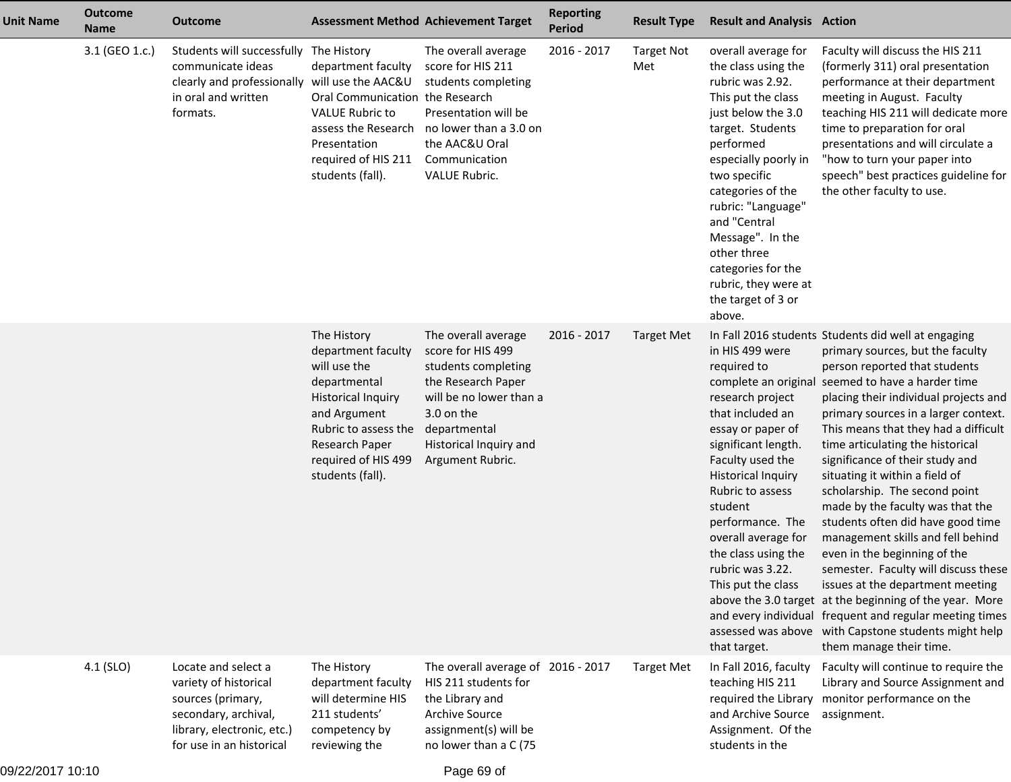| <b>Unit Name</b> | <b>Outcome</b><br><b>Name</b> | <b>Outcome</b>                                                                                                                                      | <b>Assessment Method Achievement Target</b>                                                                                                                                                         |                                                                                                                                                                                              | <b>Reporting</b><br><b>Period</b> | <b>Result Type</b>       | <b>Result and Analysis Action</b>                                                                                                                                                                                                                                                                                                                               |                                                                                                                                                                                                                                                                                                                                                                                                                                                                                                                                                                                                                                                                                                                                                                                                                                                                |
|------------------|-------------------------------|-----------------------------------------------------------------------------------------------------------------------------------------------------|-----------------------------------------------------------------------------------------------------------------------------------------------------------------------------------------------------|----------------------------------------------------------------------------------------------------------------------------------------------------------------------------------------------|-----------------------------------|--------------------------|-----------------------------------------------------------------------------------------------------------------------------------------------------------------------------------------------------------------------------------------------------------------------------------------------------------------------------------------------------------------|----------------------------------------------------------------------------------------------------------------------------------------------------------------------------------------------------------------------------------------------------------------------------------------------------------------------------------------------------------------------------------------------------------------------------------------------------------------------------------------------------------------------------------------------------------------------------------------------------------------------------------------------------------------------------------------------------------------------------------------------------------------------------------------------------------------------------------------------------------------|
|                  | 3.1 (GEO 1.c.)                | Students will successfully The History<br>communicate ideas<br>clearly and professionally<br>in oral and written<br>formats.                        | department faculty<br>will use the AAC&U<br>Oral Communication the Research<br><b>VALUE Rubric to</b><br>assess the Research<br>Presentation<br>required of HIS 211<br>students (fall).             | The overall average<br>score for HIS 211<br>students completing<br>Presentation will be<br>no lower than a 3.0 on<br>the AAC&U Oral<br>Communication<br>VALUE Rubric.                        | 2016 - 2017                       | <b>Target Not</b><br>Met | overall average for<br>the class using the<br>rubric was 2.92.<br>This put the class<br>just below the 3.0<br>target. Students<br>performed<br>especially poorly in<br>two specific<br>categories of the<br>rubric: "Language"<br>and "Central<br>Message". In the<br>other three<br>categories for the<br>rubric, they were at<br>the target of 3 or<br>above. | Faculty will discuss the HIS 211<br>(formerly 311) oral presentation<br>performance at their department<br>meeting in August. Faculty<br>teaching HIS 211 will dedicate more<br>time to preparation for oral<br>presentations and will circulate a<br>"how to turn your paper into<br>speech" best practices guideline for<br>the other faculty to use.                                                                                                                                                                                                                                                                                                                                                                                                                                                                                                        |
|                  |                               |                                                                                                                                                     | The History<br>department faculty<br>will use the<br>departmental<br><b>Historical Inquiry</b><br>and Argument<br>Rubric to assess the<br>Research Paper<br>required of HIS 499<br>students (fall). | The overall average<br>score for HIS 499<br>students completing<br>the Research Paper<br>will be no lower than a<br>3.0 on the<br>departmental<br>Historical Inquiry and<br>Argument Rubric. | 2016 - 2017                       | <b>Target Met</b>        | in HIS 499 were<br>required to<br>complete an original<br>research project<br>that included an<br>essay or paper of<br>significant length.<br>Faculty used the<br><b>Historical Inquiry</b><br>Rubric to assess<br>student<br>performance. The<br>overall average for<br>the class using the<br>rubric was 3.22.<br>This put the class<br>that target.          | In Fall 2016 students Students did well at engaging<br>primary sources, but the faculty<br>person reported that students<br>seemed to have a harder time<br>placing their individual projects and<br>primary sources in a larger context.<br>This means that they had a difficult<br>time articulating the historical<br>significance of their study and<br>situating it within a field of<br>scholarship. The second point<br>made by the faculty was that the<br>students often did have good time<br>management skills and fell behind<br>even in the beginning of the<br>semester. Faculty will discuss these<br>issues at the department meeting<br>above the 3.0 target at the beginning of the year. More<br>and every individual frequent and regular meeting times<br>assessed was above with Capstone students might help<br>them manage their time. |
|                  | 4.1 (SLO)                     | Locate and select a<br>variety of historical<br>sources (primary,<br>secondary, archival,<br>library, electronic, etc.)<br>for use in an historical | The History<br>department faculty<br>will determine HIS<br>211 students'<br>competency by<br>reviewing the                                                                                          | The overall average of 2016 - 2017<br>HIS 211 students for<br>the Library and<br>Archive Source<br>assignment(s) will be<br>no lower than a C (75                                            |                                   | <b>Target Met</b>        | In Fall 2016, faculty<br>teaching HIS 211<br>and Archive Source<br>Assignment. Of the<br>students in the                                                                                                                                                                                                                                                        | Faculty will continue to require the<br>Library and Source Assignment and<br>required the Library monitor performance on the<br>assignment.                                                                                                                                                                                                                                                                                                                                                                                                                                                                                                                                                                                                                                                                                                                    |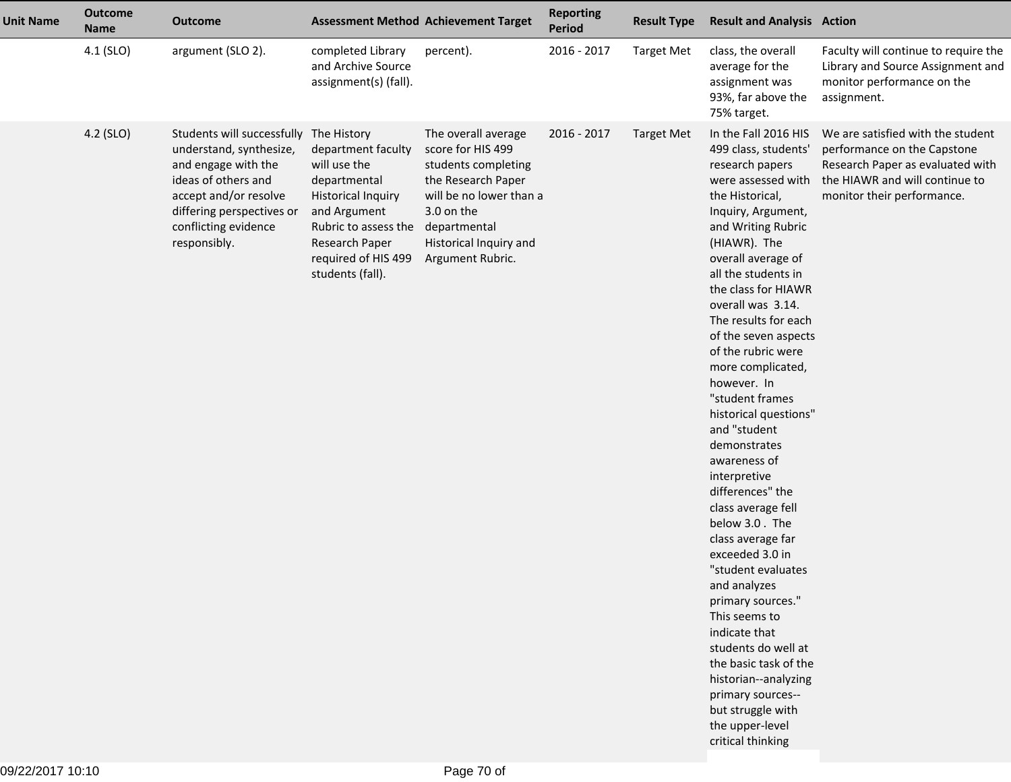| <b>Unit Name</b> | <b>Outcome</b><br><b>Name</b> | <b>Outcome</b>                                                                                                                                                                                                |                                                                                                                                                                                      | <b>Assessment Method Achievement Target</b>                                                                                                                                                  | <b>Reporting</b><br><b>Period</b> | <b>Result Type</b> | <b>Result and Analysis Action</b>                                                                                                                                                                                                                                                                                                                                                                                                                                                                                                                                                                                                                                                                                                                                                                                                              |                                                                                                                                                                      |
|------------------|-------------------------------|---------------------------------------------------------------------------------------------------------------------------------------------------------------------------------------------------------------|--------------------------------------------------------------------------------------------------------------------------------------------------------------------------------------|----------------------------------------------------------------------------------------------------------------------------------------------------------------------------------------------|-----------------------------------|--------------------|------------------------------------------------------------------------------------------------------------------------------------------------------------------------------------------------------------------------------------------------------------------------------------------------------------------------------------------------------------------------------------------------------------------------------------------------------------------------------------------------------------------------------------------------------------------------------------------------------------------------------------------------------------------------------------------------------------------------------------------------------------------------------------------------------------------------------------------------|----------------------------------------------------------------------------------------------------------------------------------------------------------------------|
|                  | 4.1 (SLO)                     | argument (SLO 2).                                                                                                                                                                                             | completed Library<br>and Archive Source<br>assignment(s) (fall).                                                                                                                     | percent).                                                                                                                                                                                    | 2016 - 2017                       | <b>Target Met</b>  | class, the overall<br>average for the<br>assignment was<br>93%, far above the<br>75% target.                                                                                                                                                                                                                                                                                                                                                                                                                                                                                                                                                                                                                                                                                                                                                   | Faculty will continue to require the<br>Library and Source Assignment and<br>monitor performance on the<br>assignment.                                               |
|                  | 4.2 (SLO)                     | Students will successfully The History<br>understand, synthesize,<br>and engage with the<br>ideas of others and<br>accept and/or resolve<br>differing perspectives or<br>conflicting evidence<br>responsibly. | department faculty<br>will use the<br>departmental<br><b>Historical Inquiry</b><br>and Argument<br>Rubric to assess the<br>Research Paper<br>required of HIS 499<br>students (fall). | The overall average<br>score for HIS 499<br>students completing<br>the Research Paper<br>will be no lower than a<br>3.0 on the<br>departmental<br>Historical Inquiry and<br>Argument Rubric. | 2016 - 2017                       | <b>Target Met</b>  | In the Fall 2016 HIS<br>499 class, students'<br>research papers<br>were assessed with<br>the Historical,<br>Inquiry, Argument,<br>and Writing Rubric<br>(HIAWR). The<br>overall average of<br>all the students in<br>the class for HIAWR<br>overall was 3.14.<br>The results for each<br>of the seven aspects<br>of the rubric were<br>more complicated,<br>however. In<br>"student frames<br>historical questions"<br>and "student<br>demonstrates<br>awareness of<br>interpretive<br>differences" the<br>class average fell<br>below 3.0. The<br>class average far<br>exceeded 3.0 in<br>"student evaluates<br>and analyzes<br>primary sources."<br>This seems to<br>indicate that<br>students do well at<br>the basic task of the<br>historian--analyzing<br>primary sources--<br>but struggle with<br>the upper-level<br>critical thinking | We are satisfied with the student<br>performance on the Capstone<br>Research Paper as evaluated with<br>the HIAWR and will continue to<br>monitor their performance. |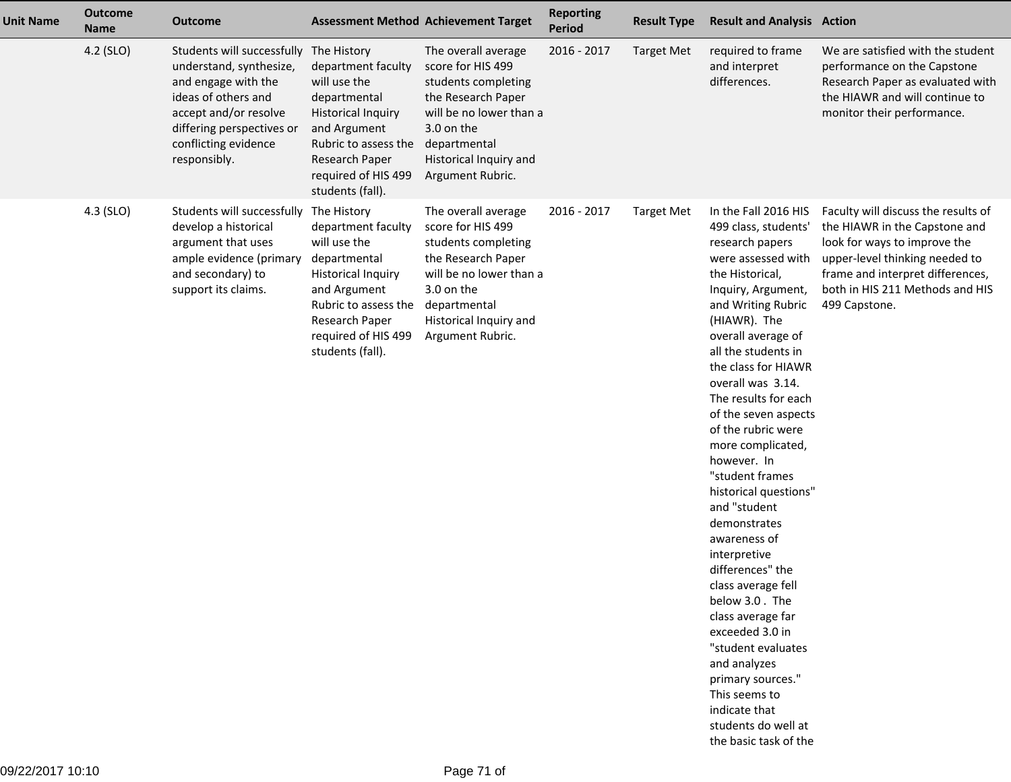| <b>Unit Name</b> | <b>Outcome</b><br><b>Name</b> | <b>Outcome</b>                                                                                                                                                                                                |                                                                                                                                                                                                     | <b>Assessment Method Achievement Target</b>                                                                                                                                                  | <b>Reporting</b><br>Period | <b>Result Type</b> | <b>Result and Analysis Action</b>                                                                                                                                                                                                                                                                                                                                                                                                                                                                                                                                                                                                                                                                                                    |                                                                                                                                                                                                                                |
|------------------|-------------------------------|---------------------------------------------------------------------------------------------------------------------------------------------------------------------------------------------------------------|-----------------------------------------------------------------------------------------------------------------------------------------------------------------------------------------------------|----------------------------------------------------------------------------------------------------------------------------------------------------------------------------------------------|----------------------------|--------------------|--------------------------------------------------------------------------------------------------------------------------------------------------------------------------------------------------------------------------------------------------------------------------------------------------------------------------------------------------------------------------------------------------------------------------------------------------------------------------------------------------------------------------------------------------------------------------------------------------------------------------------------------------------------------------------------------------------------------------------------|--------------------------------------------------------------------------------------------------------------------------------------------------------------------------------------------------------------------------------|
|                  | 4.2 (SLO)                     | Students will successfully The History<br>understand, synthesize,<br>and engage with the<br>ideas of others and<br>accept and/or resolve<br>differing perspectives or<br>conflicting evidence<br>responsibly. | department faculty<br>will use the<br>departmental<br><b>Historical Inquiry</b><br>and Argument<br>Rubric to assess the<br>Research Paper<br>required of HIS 499<br>students (fall).                | The overall average<br>score for HIS 499<br>students completing<br>the Research Paper<br>will be no lower than a<br>3.0 on the<br>departmental<br>Historical Inquiry and<br>Argument Rubric. | 2016 - 2017                | <b>Target Met</b>  | required to frame<br>and interpret<br>differences.                                                                                                                                                                                                                                                                                                                                                                                                                                                                                                                                                                                                                                                                                   | We are satisfied with the student<br>performance on the Capstone<br>Research Paper as evaluated with<br>the HIAWR and will continue to<br>monitor their performance.                                                           |
|                  | 4.3 (SLO)                     | Students will successfully<br>develop a historical<br>argument that uses<br>ample evidence (primary<br>and secondary) to<br>support its claims.                                                               | The History<br>department faculty<br>will use the<br>departmental<br><b>Historical Inquiry</b><br>and Argument<br>Rubric to assess the<br>Research Paper<br>required of HIS 499<br>students (fall). | The overall average<br>score for HIS 499<br>students completing<br>the Research Paper<br>will be no lower than a<br>3.0 on the<br>departmental<br>Historical Inquiry and<br>Argument Rubric. | 2016 - 2017                | <b>Target Met</b>  | In the Fall 2016 HIS<br>499 class, students'<br>research papers<br>were assessed with<br>the Historical,<br>Inquiry, Argument,<br>and Writing Rubric<br>(HIAWR). The<br>overall average of<br>all the students in<br>the class for HIAWR<br>overall was 3.14.<br>The results for each<br>of the seven aspects<br>of the rubric were<br>more complicated,<br>however. In<br>"student frames<br>historical questions"<br>and "student<br>demonstrates<br>awareness of<br>interpretive<br>differences" the<br>class average fell<br>below 3.0. The<br>class average far<br>exceeded 3.0 in<br>"student evaluates<br>and analyzes<br>primary sources."<br>This seems to<br>indicate that<br>students do well at<br>the basic task of the | Faculty will discuss the results of<br>the HIAWR in the Capstone and<br>look for ways to improve the<br>upper-level thinking needed to<br>frame and interpret differences,<br>both in HIS 211 Methods and HIS<br>499 Capstone. |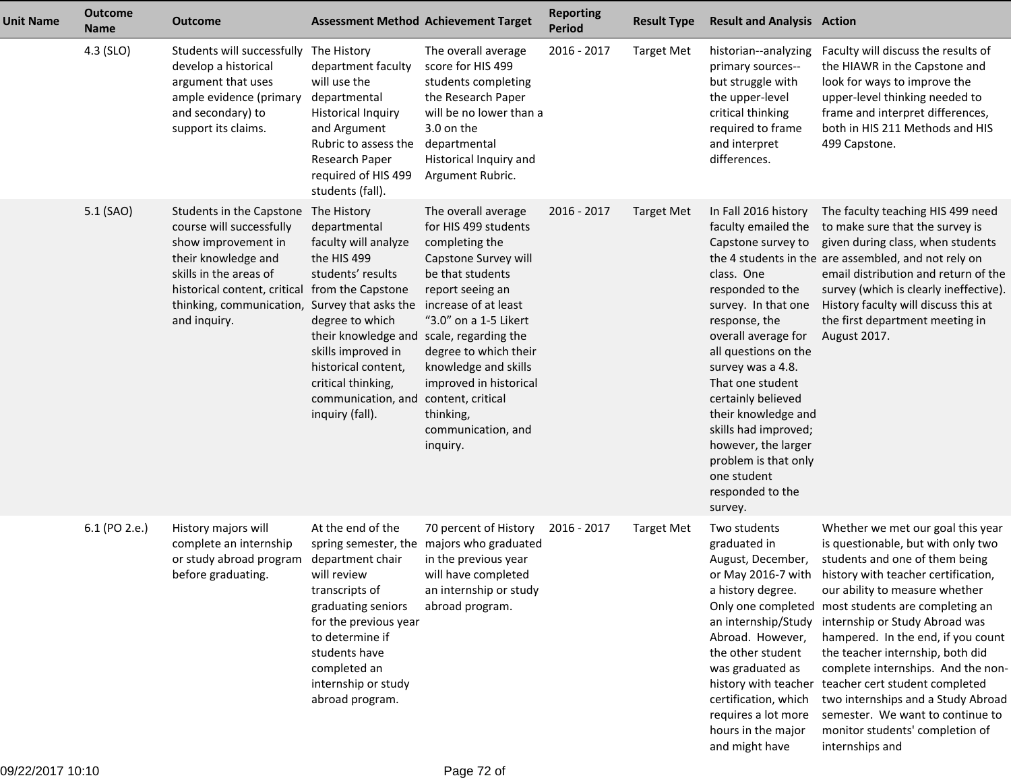| <b>Unit Name</b> | <b>Outcome</b><br><b>Name</b> | <b>Outcome</b>                                                                                                                                                                                           |                                                                                                                                                                                                                                                                                                              | <b>Assessment Method Achievement Target</b>                                                                                                                                                                                                                                                                                      | <b>Reporting</b><br><b>Period</b> | <b>Result Type</b> | <b>Result and Analysis Action</b>                                                                                                                                                                                                                                                                                                                                                                     |                                                                                                                                                                                                                                                                                                                                                                                                                                                                                                                                                                                                      |
|------------------|-------------------------------|----------------------------------------------------------------------------------------------------------------------------------------------------------------------------------------------------------|--------------------------------------------------------------------------------------------------------------------------------------------------------------------------------------------------------------------------------------------------------------------------------------------------------------|----------------------------------------------------------------------------------------------------------------------------------------------------------------------------------------------------------------------------------------------------------------------------------------------------------------------------------|-----------------------------------|--------------------|-------------------------------------------------------------------------------------------------------------------------------------------------------------------------------------------------------------------------------------------------------------------------------------------------------------------------------------------------------------------------------------------------------|------------------------------------------------------------------------------------------------------------------------------------------------------------------------------------------------------------------------------------------------------------------------------------------------------------------------------------------------------------------------------------------------------------------------------------------------------------------------------------------------------------------------------------------------------------------------------------------------------|
|                  | 4.3 (SLO)                     | Students will successfully The History<br>develop a historical<br>argument that uses<br>ample evidence (primary<br>and secondary) to<br>support its claims.                                              | department faculty<br>will use the<br>departmental<br><b>Historical Inquiry</b><br>and Argument<br>Rubric to assess the<br>Research Paper<br>required of HIS 499<br>students (fall).                                                                                                                         | The overall average<br>score for HIS 499<br>students completing<br>the Research Paper<br>will be no lower than a<br>3.0 on the<br>departmental<br>Historical Inquiry and<br>Argument Rubric.                                                                                                                                     | 2016 - 2017                       | <b>Target Met</b>  | historian--analyzing<br>primary sources--<br>but struggle with<br>the upper-level<br>critical thinking<br>required to frame<br>and interpret<br>differences.                                                                                                                                                                                                                                          | Faculty will discuss the results of<br>the HIAWR in the Capstone and<br>look for ways to improve the<br>upper-level thinking needed to<br>frame and interpret differences,<br>both in HIS 211 Methods and HIS<br>499 Capstone.                                                                                                                                                                                                                                                                                                                                                                       |
|                  | 5.1 (SAO)                     | Students in the Capstone<br>course will successfully<br>show improvement in<br>their knowledge and<br>skills in the areas of<br>historical content, critical<br>thinking, communication,<br>and inquiry. | The History<br>departmental<br>faculty will analyze<br>the HIS 499<br>students' results<br>from the Capstone<br>Survey that asks the<br>degree to which<br>their knowledge and<br>skills improved in<br>historical content,<br>critical thinking,<br>communication, and content, critical<br>inquiry (fall). | The overall average<br>for HIS 499 students<br>completing the<br>Capstone Survey will<br>be that students<br>report seeing an<br>increase of at least<br>"3.0" on a 1-5 Likert<br>scale, regarding the<br>degree to which their<br>knowledge and skills<br>improved in historical<br>thinking,<br>communication, and<br>inquiry. | 2016 - 2017                       | <b>Target Met</b>  | In Fall 2016 history<br>faculty emailed the<br>Capstone survey to<br>class. One<br>responded to the<br>survey. In that one<br>response, the<br>overall average for<br>all questions on the<br>survey was a 4.8.<br>That one student<br>certainly believed<br>their knowledge and<br>skills had improved;<br>however, the larger<br>problem is that only<br>one student<br>responded to the<br>survey. | The faculty teaching HIS 499 need<br>to make sure that the survey is<br>given during class, when students<br>the 4 students in the are assembled, and not rely on<br>email distribution and return of the<br>survey (which is clearly ineffective).<br>History faculty will discuss this at<br>the first department meeting in<br>August 2017.                                                                                                                                                                                                                                                       |
|                  | 6.1 (PO 2.e.)                 | History majors will<br>complete an internship<br>or study abroad program<br>before graduating.                                                                                                           | At the end of the<br>department chair<br>will review<br>transcripts of<br>graduating seniors<br>for the previous year<br>to determine if<br>students have<br>completed an<br>internship or study<br>abroad program.                                                                                          | 70 percent of History<br>spring semester, the majors who graduated<br>in the previous year<br>will have completed<br>an internship or study<br>abroad program.                                                                                                                                                                   | 2016 - 2017                       | <b>Target Met</b>  | Two students<br>graduated in<br>August, December,<br>a history degree.<br>an internship/Study<br>Abroad. However,<br>the other student<br>was graduated as<br>certification, which<br>requires a lot more<br>hours in the major<br>and might have                                                                                                                                                     | Whether we met our goal this year<br>is questionable, but with only two<br>students and one of them being<br>or May 2016-7 with history with teacher certification,<br>our ability to measure whether<br>Only one completed most students are completing an<br>internship or Study Abroad was<br>hampered. In the end, if you count<br>the teacher internship, both did<br>complete internships. And the non-<br>history with teacher teacher cert student completed<br>two internships and a Study Abroad<br>semester. We want to continue to<br>monitor students' completion of<br>internships and |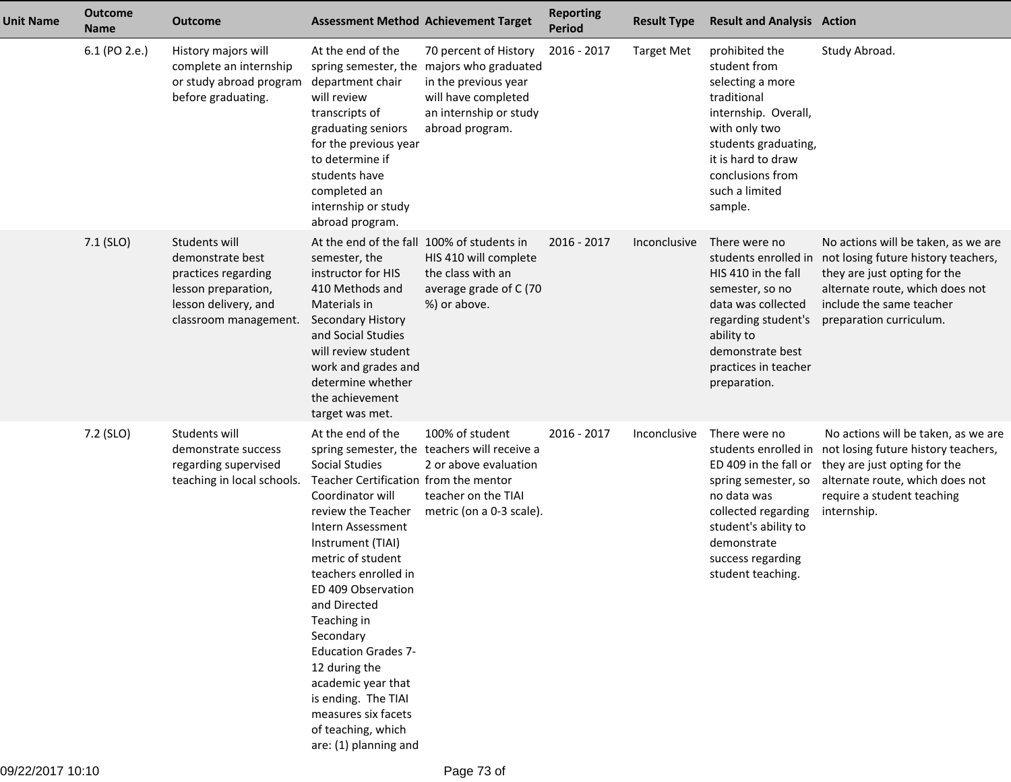| <b>Unit Name</b> | <b>Outcome</b><br><b>Name</b> | <b>Outcome</b>                                                                                                                   |                                                                                                                                                                                                                                                                                                                                                                                                                                                   | <b>Assessment Method Achievement Target</b>                                                                                                                    | <b>Reporting</b><br>Period | <b>Result Type</b> | <b>Result and Analysis Action</b>                                                                                                                                                                            |                                                                                                                                                                                                      |
|------------------|-------------------------------|----------------------------------------------------------------------------------------------------------------------------------|---------------------------------------------------------------------------------------------------------------------------------------------------------------------------------------------------------------------------------------------------------------------------------------------------------------------------------------------------------------------------------------------------------------------------------------------------|----------------------------------------------------------------------------------------------------------------------------------------------------------------|----------------------------|--------------------|--------------------------------------------------------------------------------------------------------------------------------------------------------------------------------------------------------------|------------------------------------------------------------------------------------------------------------------------------------------------------------------------------------------------------|
|                  | 6.1 (PO 2.e.)                 | History majors will<br>complete an internship<br>or study abroad program<br>before graduating.                                   | At the end of the<br>department chair<br>will review<br>transcripts of<br>graduating seniors<br>for the previous year<br>to determine if<br>students have<br>completed an<br>internship or study<br>abroad program.                                                                                                                                                                                                                               | 70 percent of History<br>spring semester, the majors who graduated<br>in the previous year<br>will have completed<br>an internship or study<br>abroad program. | 2016 - 2017                | <b>Target Met</b>  | prohibited the<br>student from<br>selecting a more<br>traditional<br>internship. Overall,<br>with only two<br>students graduating,<br>it is hard to draw<br>conclusions from<br>such a limited<br>sample.    | Study Abroad.                                                                                                                                                                                        |
|                  | $7.1$ (SLO)                   | Students will<br>demonstrate best<br>practices regarding<br>lesson preparation,<br>lesson delivery, and<br>classroom management. | At the end of the fall 100% of students in<br>semester, the<br>instructor for HIS<br>410 Methods and<br>Materials in<br>Secondary History<br>and Social Studies<br>will review student<br>work and grades and<br>determine whether<br>the achievement<br>target was met.                                                                                                                                                                          | HIS 410 will complete<br>the class with an<br>average grade of C (70<br>%) or above.                                                                           | 2016 - 2017                | Inconclusive       | There were no<br>students enrolled in<br>HIS 410 in the fall<br>semester, so no<br>data was collected<br>regarding student's<br>ability to<br>demonstrate best<br>practices in teacher<br>preparation.       | No actions will be taken, as we are<br>not losing future history teachers,<br>they are just opting for the<br>alternate route, which does not<br>include the same teacher<br>preparation curriculum. |
|                  | 7.2 (SLO)                     | Students will<br>demonstrate success<br>regarding supervised<br>teaching in local schools.                                       | At the end of the<br>Social Studies<br>Teacher Certification from the mentor<br>Coordinator will<br>review the Teacher<br>Intern Assessment<br>Instrument (TIAI)<br>metric of student<br>teachers enrolled in<br>ED 409 Observation<br>and Directed<br>Teaching in<br>Secondary<br><b>Education Grades 7-</b><br>12 during the<br>academic year that<br>is ending. The TIAI<br>measures six facets<br>of teaching, which<br>are: (1) planning and | 100% of student<br>spring semester, the teachers will receive a<br>2 or above evaluation<br>teacher on the TIAI<br>metric (on a 0-3 scale).                    | 2016 - 2017                | Inconclusive       | There were no<br>students enrolled in<br>ED 409 in the fall or<br>spring semester, so<br>no data was<br>collected regarding<br>student's ability to<br>demonstrate<br>success regarding<br>student teaching. | No actions will be taken, as we are<br>not losing future history teachers,<br>they are just opting for the<br>alternate route, which does not<br>require a student teaching<br>internship.           |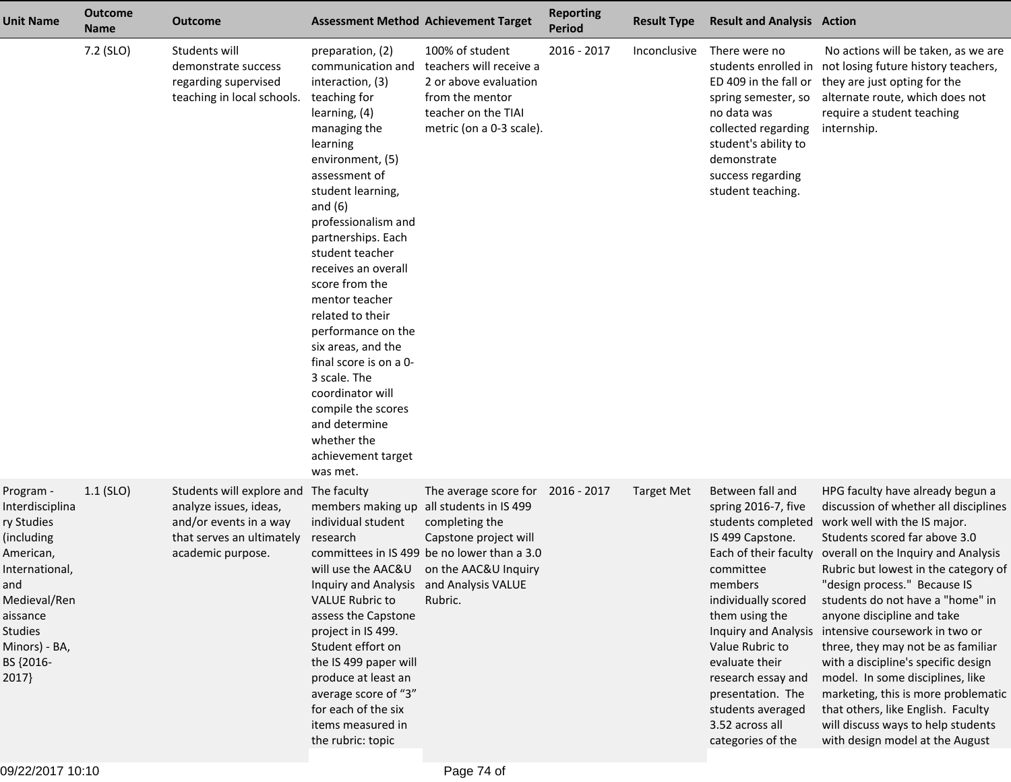| <b>Unit Name</b>                                                                                                                                                                    | <b>Outcome</b><br><b>Name</b> | Outcome                                                                                                                         |                                                                                                                                                                                                                                                                                                                                                                                                                                                                                                                                                | <b>Assessment Method Achievement Target</b>                                                                                                                                       | <b>Reporting</b><br><b>Period</b> | <b>Result Type</b> | <b>Result and Analysis Action</b>                                                                                                                                                                                                                                         |                                                                                                                                                                                                                                                                                                                                                                                                                                                                                                                                                                                                                                                                                                    |
|-------------------------------------------------------------------------------------------------------------------------------------------------------------------------------------|-------------------------------|---------------------------------------------------------------------------------------------------------------------------------|------------------------------------------------------------------------------------------------------------------------------------------------------------------------------------------------------------------------------------------------------------------------------------------------------------------------------------------------------------------------------------------------------------------------------------------------------------------------------------------------------------------------------------------------|-----------------------------------------------------------------------------------------------------------------------------------------------------------------------------------|-----------------------------------|--------------------|---------------------------------------------------------------------------------------------------------------------------------------------------------------------------------------------------------------------------------------------------------------------------|----------------------------------------------------------------------------------------------------------------------------------------------------------------------------------------------------------------------------------------------------------------------------------------------------------------------------------------------------------------------------------------------------------------------------------------------------------------------------------------------------------------------------------------------------------------------------------------------------------------------------------------------------------------------------------------------------|
|                                                                                                                                                                                     | 7.2 (SLO)                     | Students will<br>demonstrate success<br>regarding supervised<br>teaching in local schools.                                      | preparation, (2)<br>communication and<br>interaction, (3)<br>teaching for<br>learning, (4)<br>managing the<br>learning<br>environment, (5)<br>assessment of<br>student learning,<br>and $(6)$<br>professionalism and<br>partnerships. Each<br>student teacher<br>receives an overall<br>score from the<br>mentor teacher<br>related to their<br>performance on the<br>six areas, and the<br>final score is on a 0-<br>3 scale. The<br>coordinator will<br>compile the scores<br>and determine<br>whether the<br>achievement target<br>was met. | 100% of student<br>teachers will receive a<br>2 or above evaluation<br>from the mentor<br>teacher on the TIAI<br>metric (on a 0-3 scale).                                         | 2016 - 2017                       | Inconclusive       | There were no<br>ED 409 in the fall or<br>spring semester, so<br>no data was<br>collected regarding<br>student's ability to<br>demonstrate<br>success regarding<br>student teaching.                                                                                      | No actions will be taken, as we are<br>students enrolled in not losing future history teachers,<br>they are just opting for the<br>alternate route, which does not<br>require a student teaching<br>internship.                                                                                                                                                                                                                                                                                                                                                                                                                                                                                    |
| Program -<br>Interdisciplina<br>ry Studies<br>(including<br>American,<br>International,<br>and<br>Medieval/Ren<br>aissance<br><b>Studies</b><br>Minors) - BA,<br>BS {2016-<br>2017} | $1.1$ (SLO)                   | Students will explore and<br>analyze issues, ideas,<br>and/or events in a way<br>that serves an ultimately<br>academic purpose. | The faculty<br>members making up all students in IS 499<br>individual student<br>research<br>Inquiry and Analysis and Analysis VALUE<br><b>VALUE Rubric to</b><br>assess the Capstone<br>project in IS 499.<br>Student effort on<br>the IS 499 paper will<br>produce at least an<br>average score of "3"<br>for each of the six<br>items measured in<br>the rubric: topic                                                                                                                                                                      | The average score for 2016 - 2017<br>completing the<br>Capstone project will<br>committees in IS 499 be no lower than a 3.0<br>will use the AAC&U on the AAC&U Inquiry<br>Rubric. |                                   | Target Met         | Between fall and<br>spring 2016-7, five<br>IS 499 Capstone.<br>committee<br>members<br>individually scored<br>them using the<br>Value Rubric to<br>evaluate their<br>research essay and<br>presentation. The<br>students averaged<br>3.52 across all<br>categories of the | HPG faculty have already begun a<br>discussion of whether all disciplines<br>students completed work well with the IS major.<br>Students scored far above 3.0<br>Each of their faculty overall on the Inquiry and Analysis<br>Rubric but lowest in the category of<br>"design process." Because IS<br>students do not have a "home" in<br>anyone discipline and take<br>Inquiry and Analysis intensive coursework in two or<br>three, they may not be as familiar<br>with a discipline's specific design<br>model. In some disciplines, like<br>marketing, this is more problematic<br>that others, like English. Faculty<br>will discuss ways to help students<br>with design model at the August |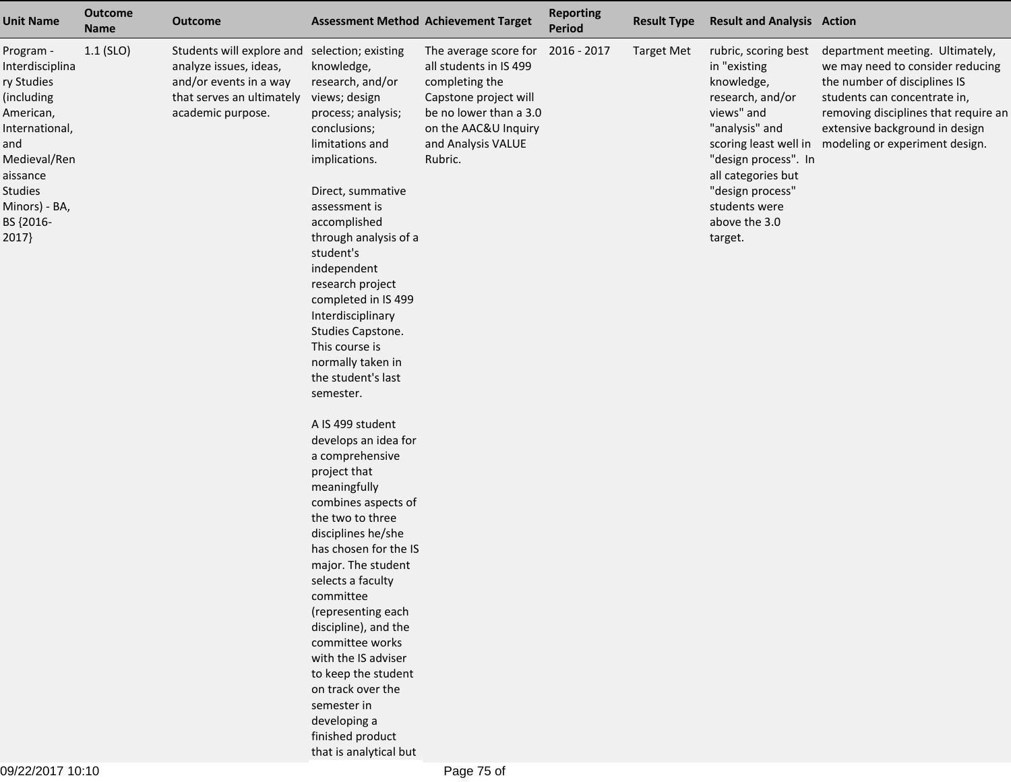| <b>Unit Name</b>                                                                                                                                                                    | <b>Outcome</b><br><b>Name</b> | <b>Outcome</b>                                                                                                                                      |                                                                                                                                                                                                                                                                                                                                                                                                                                                                | <b>Assessment Method Achievement Target</b>                                                                                                                                   | <b>Reporting</b><br><b>Period</b> | <b>Result Type</b> | <b>Result and Analysis Action</b>                                                                                                                                                                                     |                                                                                                                                                                                                                                                                       |
|-------------------------------------------------------------------------------------------------------------------------------------------------------------------------------------|-------------------------------|-----------------------------------------------------------------------------------------------------------------------------------------------------|----------------------------------------------------------------------------------------------------------------------------------------------------------------------------------------------------------------------------------------------------------------------------------------------------------------------------------------------------------------------------------------------------------------------------------------------------------------|-------------------------------------------------------------------------------------------------------------------------------------------------------------------------------|-----------------------------------|--------------------|-----------------------------------------------------------------------------------------------------------------------------------------------------------------------------------------------------------------------|-----------------------------------------------------------------------------------------------------------------------------------------------------------------------------------------------------------------------------------------------------------------------|
| Program -<br>Interdisciplina<br>ry Studies<br>(including<br>American,<br>International,<br>and<br>Medieval/Ren<br>aissance<br><b>Studies</b><br>Minors) - BA,<br>BS {2016-<br>2017} | $1.1$ (SLO)                   | Students will explore and selection; existing<br>analyze issues, ideas,<br>and/or events in a way<br>that serves an ultimately<br>academic purpose. | knowledge,<br>research, and/or<br>views; design<br>process; analysis;<br>conclusions;<br>limitations and<br>implications.<br>Direct, summative<br>assessment is<br>accomplished<br>through analysis of a<br>student's<br>independent<br>research project<br>completed in IS 499<br>Interdisciplinary<br>Studies Capstone.<br>This course is<br>normally taken in<br>the student's last<br>semester.                                                            | The average score for<br>all students in IS 499<br>completing the<br>Capstone project will<br>be no lower than a 3.0<br>on the AAC&U Inquiry<br>and Analysis VALUE<br>Rubric. | 2016 - 2017                       | <b>Target Met</b>  | rubric, scoring best<br>in "existing<br>knowledge,<br>research, and/or<br>views" and<br>"analysis" and<br>"design process". In<br>all categories but<br>"design process"<br>students were<br>above the 3.0<br>target. | department meeting. Ultimately,<br>we may need to consider reducing<br>the number of disciplines IS<br>students can concentrate in,<br>removing disciplines that require an<br>extensive background in design<br>scoring least well in modeling or experiment design. |
|                                                                                                                                                                                     |                               |                                                                                                                                                     | A IS 499 student<br>develops an idea for<br>a comprehensive<br>project that<br>meaningfully<br>combines aspects of<br>the two to three<br>disciplines he/she<br>has chosen for the IS<br>major. The student<br>selects a faculty<br>committee<br>(representing each<br>discipline), and the<br>committee works<br>with the IS adviser<br>to keep the student<br>on track over the<br>semester in<br>developing a<br>finished product<br>that is analytical but |                                                                                                                                                                               |                                   |                    |                                                                                                                                                                                                                       |                                                                                                                                                                                                                                                                       |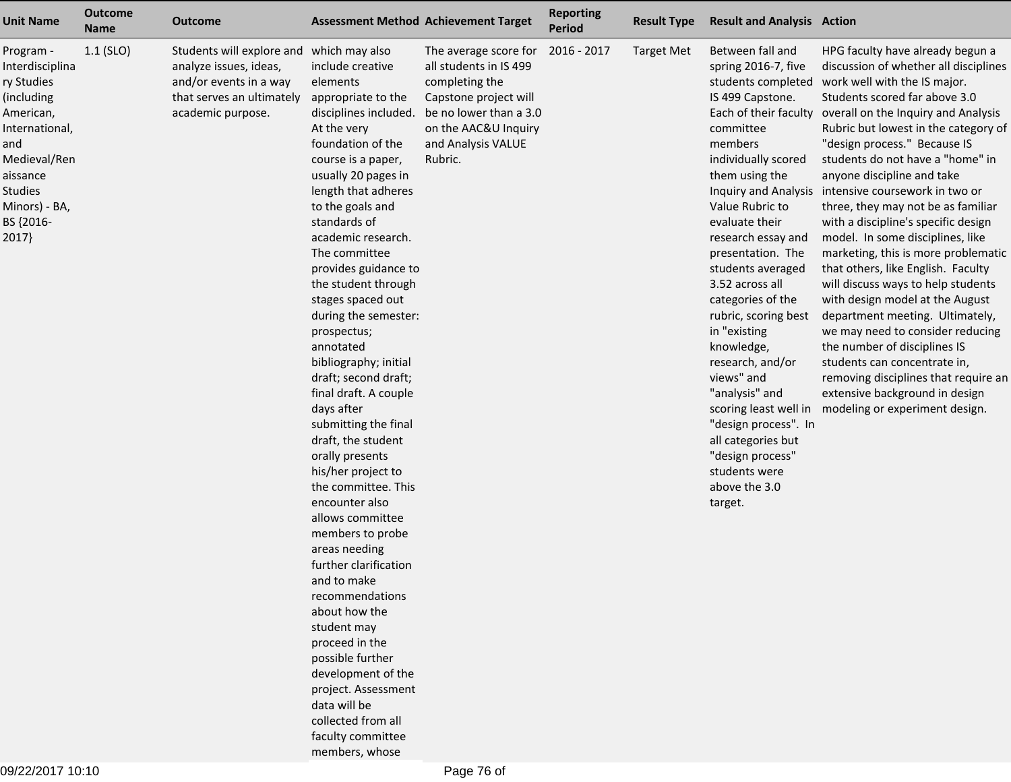| <b>Unit Name</b>                                                                                                                                                                    | <b>Outcome</b><br><b>Name</b> | Outcome                                                                                                                                        |                                                                                                                                                                                                                                                                                                                                                                                                                                                                                                                                                                                                                                                                                                                                                                                                                                                                                                                                    | <b>Assessment Method Achievement Target</b>                                                                                                                                   | <b>Reporting</b><br>Period | <b>Result Type</b> | <b>Result and Analysis Action</b>                                                                                                                                                                                                                                                                                                                                                                                                                                                                                        |                                                                                                                                                                                                                                                                                                                                                                                                                                                                                                                                                                                                                                                                                                                                                                                                                                                                                                                                                          |
|-------------------------------------------------------------------------------------------------------------------------------------------------------------------------------------|-------------------------------|------------------------------------------------------------------------------------------------------------------------------------------------|------------------------------------------------------------------------------------------------------------------------------------------------------------------------------------------------------------------------------------------------------------------------------------------------------------------------------------------------------------------------------------------------------------------------------------------------------------------------------------------------------------------------------------------------------------------------------------------------------------------------------------------------------------------------------------------------------------------------------------------------------------------------------------------------------------------------------------------------------------------------------------------------------------------------------------|-------------------------------------------------------------------------------------------------------------------------------------------------------------------------------|----------------------------|--------------------|--------------------------------------------------------------------------------------------------------------------------------------------------------------------------------------------------------------------------------------------------------------------------------------------------------------------------------------------------------------------------------------------------------------------------------------------------------------------------------------------------------------------------|----------------------------------------------------------------------------------------------------------------------------------------------------------------------------------------------------------------------------------------------------------------------------------------------------------------------------------------------------------------------------------------------------------------------------------------------------------------------------------------------------------------------------------------------------------------------------------------------------------------------------------------------------------------------------------------------------------------------------------------------------------------------------------------------------------------------------------------------------------------------------------------------------------------------------------------------------------|
| Program -<br>Interdisciplina<br>ry Studies<br>(including<br>American,<br>International,<br>and<br>Medieval/Ren<br>aissance<br><b>Studies</b><br>Minors) - BA,<br>BS {2016-<br>2017} | $1.1$ (SLO)                   | Students will explore and which may also<br>analyze issues, ideas,<br>and/or events in a way<br>that serves an ultimately<br>academic purpose. | include creative<br>elements<br>appropriate to the<br>disciplines included.<br>At the very<br>foundation of the<br>course is a paper,<br>usually 20 pages in<br>length that adheres<br>to the goals and<br>standards of<br>academic research.<br>The committee<br>provides guidance to<br>the student through<br>stages spaced out<br>during the semester:<br>prospectus;<br>annotated<br>bibliography; initial<br>draft; second draft;<br>final draft. A couple<br>days after<br>submitting the final<br>draft, the student<br>orally presents<br>his/her project to<br>the committee. This<br>encounter also<br>allows committee<br>members to probe<br>areas needing<br>further clarification<br>and to make<br>recommendations<br>about how the<br>student may<br>proceed in the<br>possible further<br>development of the<br>project. Assessment<br>data will be<br>collected from all<br>faculty committee<br>members, whose | The average score for<br>all students in IS 499<br>completing the<br>Capstone project will<br>be no lower than a 3.0<br>on the AAC&U Inquiry<br>and Analysis VALUE<br>Rubric. | 2016 - 2017                | <b>Target Met</b>  | Between fall and<br>spring 2016-7, five<br>students completed<br>IS 499 Capstone.<br>committee<br>members<br>individually scored<br>them using the<br>Value Rubric to<br>evaluate their<br>research essay and<br>presentation. The<br>students averaged<br>3.52 across all<br>categories of the<br>rubric, scoring best<br>in "existing<br>knowledge,<br>research, and/or<br>views" and<br>"analysis" and<br>"design process". In<br>all categories but<br>"design process"<br>students were<br>above the 3.0<br>target. | HPG faculty have already begun a<br>discussion of whether all disciplines<br>work well with the IS major.<br>Students scored far above 3.0<br>Each of their faculty overall on the Inquiry and Analysis<br>Rubric but lowest in the category of<br>"design process." Because IS<br>students do not have a "home" in<br>anyone discipline and take<br>Inquiry and Analysis intensive coursework in two or<br>three, they may not be as familiar<br>with a discipline's specific design<br>model. In some disciplines, like<br>marketing, this is more problematic<br>that others, like English. Faculty<br>will discuss ways to help students<br>with design model at the August<br>department meeting. Ultimately,<br>we may need to consider reducing<br>the number of disciplines IS<br>students can concentrate in,<br>removing disciplines that require an<br>extensive background in design<br>scoring least well in modeling or experiment design. |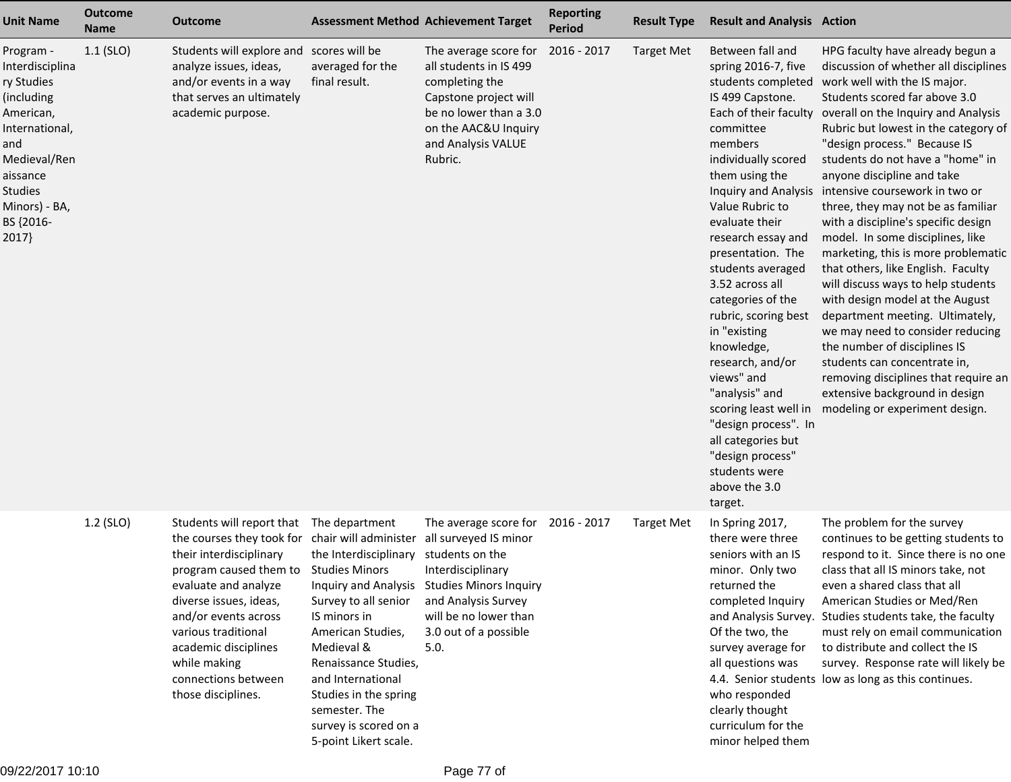| <b>Unit Name</b>                                                                                                                                                             | <b>Outcome</b><br><b>Name</b> | <b>Outcome</b>                                                                                                                                                                                                                                                                                                                         |                                                                                                                                                                                                                                                             | <b>Assessment Method Achievement Target</b>                                                                                                                                                                            | <b>Reporting</b><br><b>Period</b> | <b>Result Type</b> | <b>Result and Analysis Action</b>                                                                                                                                                                                                                                                                                                                                                                                                                                                                                                                                                                         |                                                                                                                                                                                                                                                                                                                                                                                                                                                                                                                                                                                                                                                                                                                                                                                                                                                                                         |
|------------------------------------------------------------------------------------------------------------------------------------------------------------------------------|-------------------------------|----------------------------------------------------------------------------------------------------------------------------------------------------------------------------------------------------------------------------------------------------------------------------------------------------------------------------------------|-------------------------------------------------------------------------------------------------------------------------------------------------------------------------------------------------------------------------------------------------------------|------------------------------------------------------------------------------------------------------------------------------------------------------------------------------------------------------------------------|-----------------------------------|--------------------|-----------------------------------------------------------------------------------------------------------------------------------------------------------------------------------------------------------------------------------------------------------------------------------------------------------------------------------------------------------------------------------------------------------------------------------------------------------------------------------------------------------------------------------------------------------------------------------------------------------|-----------------------------------------------------------------------------------------------------------------------------------------------------------------------------------------------------------------------------------------------------------------------------------------------------------------------------------------------------------------------------------------------------------------------------------------------------------------------------------------------------------------------------------------------------------------------------------------------------------------------------------------------------------------------------------------------------------------------------------------------------------------------------------------------------------------------------------------------------------------------------------------|
| Program -<br>Interdisciplina<br>ry Studies<br>(including<br>American,<br>International,<br>and<br>Medieval/Ren<br>aissance<br>Studies<br>Minors) - BA,<br>BS {2016-<br>2017} | $1.1$ (SLO)                   | Students will explore and scores will be<br>analyze issues, ideas,<br>and/or events in a way<br>that serves an ultimately<br>academic purpose.                                                                                                                                                                                         | averaged for the<br>final result.                                                                                                                                                                                                                           | The average score for<br>all students in IS 499<br>completing the<br>Capstone project will<br>be no lower than a 3.0<br>on the AAC&U Inquiry<br>and Analysis VALUE<br>Rubric.                                          | 2016 - 2017                       | <b>Target Met</b>  | Between fall and<br>spring 2016-7, five<br>students completed<br>IS 499 Capstone.<br>Each of their faculty<br>committee<br>members<br>individually scored<br>them using the<br><b>Inquiry and Analysis</b><br>Value Rubric to<br>evaluate their<br>research essay and<br>presentation. The<br>students averaged<br>3.52 across all<br>categories of the<br>rubric, scoring best<br>in "existing<br>knowledge,<br>research, and/or<br>views" and<br>"analysis" and<br>scoring least well in<br>"design process". In<br>all categories but<br>"design process"<br>students were<br>above the 3.0<br>target. | HPG faculty have already begun a<br>discussion of whether all disciplines<br>work well with the IS major.<br>Students scored far above 3.0<br>overall on the Inquiry and Analysis<br>Rubric but lowest in the category of<br>"design process." Because IS<br>students do not have a "home" in<br>anyone discipline and take<br>intensive coursework in two or<br>three, they may not be as familiar<br>with a discipline's specific design<br>model. In some disciplines, like<br>marketing, this is more problematic<br>that others, like English. Faculty<br>will discuss ways to help students<br>with design model at the August<br>department meeting. Ultimately,<br>we may need to consider reducing<br>the number of disciplines IS<br>students can concentrate in,<br>removing disciplines that require an<br>extensive background in design<br>modeling or experiment design. |
|                                                                                                                                                                              | 1.2 (SLO)                     | Students will report that<br>the courses they took for chair will administer<br>their interdisciplinary<br>program caused them to Studies Minors<br>evaluate and analyze<br>diverse issues, ideas,<br>and/or events across<br>various traditional<br>academic disciplines<br>while making<br>connections between<br>those disciplines. | The department<br>the Interdisciplinary<br>Survey to all senior<br>IS minors in<br>American Studies,<br>Medieval &<br>Renaissance Studies,<br>and International<br>Studies in the spring<br>semester. The<br>survey is scored on a<br>5-point Likert scale. | The average score for<br>all surveyed IS minor<br>students on the<br>Interdisciplinary<br>Inquiry and Analysis Studies Minors Inquiry<br>and Analysis Survey<br>will be no lower than<br>3.0 out of a possible<br>5.0. | 2016 - 2017                       | <b>Target Met</b>  | In Spring 2017,<br>there were three<br>seniors with an IS<br>minor. Only two<br>returned the<br>completed Inquiry<br>and Analysis Survey.<br>Of the two, the<br>survey average for<br>all questions was<br>who responded<br>clearly thought<br>curriculum for the<br>minor helped them                                                                                                                                                                                                                                                                                                                    | The problem for the survey<br>continues to be getting students to<br>respond to it. Since there is no one<br>class that all IS minors take, not<br>even a shared class that all<br>American Studies or Med/Ren<br>Studies students take, the faculty<br>must rely on email communication<br>to distribute and collect the IS<br>survey. Response rate will likely be<br>4.4. Senior students low as long as this continues.                                                                                                                                                                                                                                                                                                                                                                                                                                                             |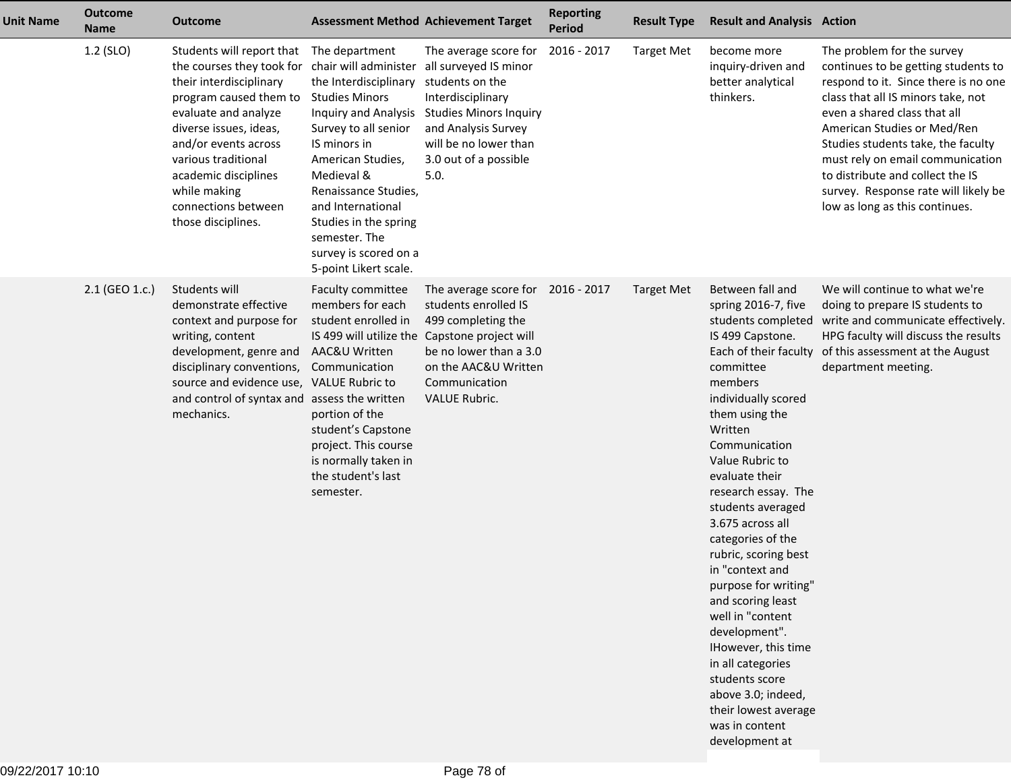| <b>Unit Name</b> | <b>Outcome</b><br><b>Name</b> | <b>Outcome</b>                                                                                                                                                                                                                                                                                                                                |                                                                                                                                                                                                                                                                                                      | <b>Assessment Method Achievement Target</b>                                                                                                                                                                                 | <b>Reporting</b><br><b>Period</b> | <b>Result Type</b> | <b>Result and Analysis Action</b>                                                                                                                                                                                                                                                                                                                                                                                                                                                                                                                                                        |                                                                                                                                                                                                                                                                                                                                                                                                        |
|------------------|-------------------------------|-----------------------------------------------------------------------------------------------------------------------------------------------------------------------------------------------------------------------------------------------------------------------------------------------------------------------------------------------|------------------------------------------------------------------------------------------------------------------------------------------------------------------------------------------------------------------------------------------------------------------------------------------------------|-----------------------------------------------------------------------------------------------------------------------------------------------------------------------------------------------------------------------------|-----------------------------------|--------------------|------------------------------------------------------------------------------------------------------------------------------------------------------------------------------------------------------------------------------------------------------------------------------------------------------------------------------------------------------------------------------------------------------------------------------------------------------------------------------------------------------------------------------------------------------------------------------------------|--------------------------------------------------------------------------------------------------------------------------------------------------------------------------------------------------------------------------------------------------------------------------------------------------------------------------------------------------------------------------------------------------------|
|                  | $1.2$ (SLO)                   | Students will report that<br>the courses they took for chair will administer all surveyed IS minor<br>their interdisciplinary<br>program caused them to<br>evaluate and analyze<br>diverse issues, ideas,<br>and/or events across<br>various traditional<br>academic disciplines<br>while making<br>connections between<br>those disciplines. | The department<br>the Interdisciplinary students on the<br><b>Studies Minors</b><br>Survey to all senior<br>IS minors in<br>American Studies,<br>Medieval &<br>Renaissance Studies,<br>and International<br>Studies in the spring<br>semester. The<br>survey is scored on a<br>5-point Likert scale. | The average score for<br>Interdisciplinary<br>Inquiry and Analysis Studies Minors Inquiry<br>and Analysis Survey<br>will be no lower than<br>3.0 out of a possible<br>5.0.                                                  | 2016 - 2017                       | <b>Target Met</b>  | become more<br>inquiry-driven and<br>better analytical<br>thinkers.                                                                                                                                                                                                                                                                                                                                                                                                                                                                                                                      | The problem for the survey<br>continues to be getting students to<br>respond to it. Since there is no one<br>class that all IS minors take, not<br>even a shared class that all<br>American Studies or Med/Ren<br>Studies students take, the faculty<br>must rely on email communication<br>to distribute and collect the IS<br>survey. Response rate will likely be<br>low as long as this continues. |
|                  | 2.1 (GEO 1.c.)                | Students will<br>demonstrate effective<br>context and purpose for<br>writing, content<br>development, genre and<br>disciplinary conventions,<br>source and evidence use, VALUE Rubric to<br>and control of syntax and assess the written<br>mechanics.                                                                                        | Faculty committee<br>members for each<br>student enrolled in<br>AAC&U Written<br>Communication<br>portion of the<br>student's Capstone<br>project. This course<br>is normally taken in<br>the student's last<br>semester.                                                                            | The average score for 2016 - 2017<br>students enrolled IS<br>499 completing the<br>IS 499 will utilize the Capstone project will<br>be no lower than a 3.0<br>on the AAC&U Written<br>Communication<br><b>VALUE Rubric.</b> |                                   | <b>Target Met</b>  | Between fall and<br>spring 2016-7, five<br>IS 499 Capstone.<br>Each of their faculty<br>committee<br>members<br>individually scored<br>them using the<br>Written<br>Communication<br>Value Rubric to<br>evaluate their<br>research essay. The<br>students averaged<br>3.675 across all<br>categories of the<br>rubric, scoring best<br>in "context and<br>purpose for writing"<br>and scoring least<br>well in "content<br>development".<br>IHowever, this time<br>in all categories<br>students score<br>above 3.0; indeed,<br>their lowest average<br>was in content<br>development at | We will continue to what we're<br>doing to prepare IS students to<br>students completed write and communicate effectively.<br>HPG faculty will discuss the results<br>of this assessment at the August<br>department meeting.                                                                                                                                                                          |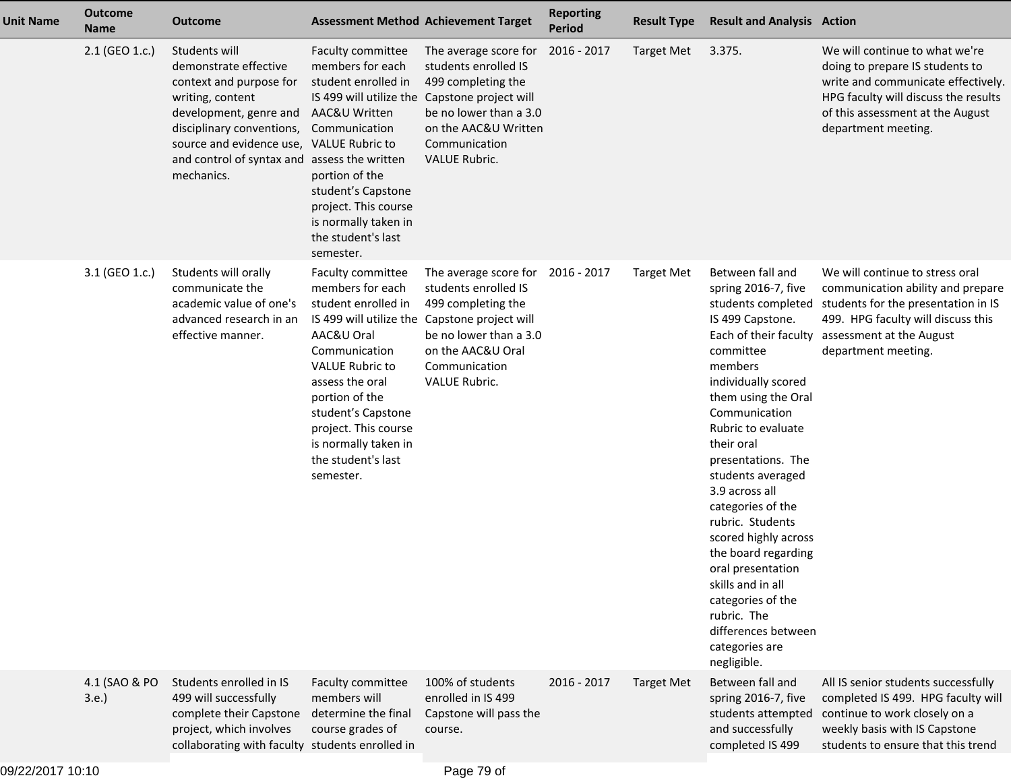| <b>Unit Name</b> | <b>Outcome</b><br><b>Name</b> | <b>Outcome</b>                                                                                                                                                                                                                         |                                                                                                                                                                                                                                                                                | <b>Assessment Method Achievement Target</b>                                                                                                                                                                  | <b>Reporting</b><br><b>Period</b> | <b>Result Type</b> | <b>Result and Analysis Action</b>                                                                                                                                                                                                                                                                                                                                                                                                                                                                                                |                                                                                                                                                                                                            |
|------------------|-------------------------------|----------------------------------------------------------------------------------------------------------------------------------------------------------------------------------------------------------------------------------------|--------------------------------------------------------------------------------------------------------------------------------------------------------------------------------------------------------------------------------------------------------------------------------|--------------------------------------------------------------------------------------------------------------------------------------------------------------------------------------------------------------|-----------------------------------|--------------------|----------------------------------------------------------------------------------------------------------------------------------------------------------------------------------------------------------------------------------------------------------------------------------------------------------------------------------------------------------------------------------------------------------------------------------------------------------------------------------------------------------------------------------|------------------------------------------------------------------------------------------------------------------------------------------------------------------------------------------------------------|
|                  | 2.1 (GEO 1.c.)                | Students will<br>demonstrate effective<br>context and purpose for<br>writing, content<br>development, genre and<br>disciplinary conventions,<br>source and evidence use,<br>and control of syntax and assess the written<br>mechanics. | Faculty committee<br>members for each<br>student enrolled in<br>IS 499 will utilize the<br>AAC&U Written<br>Communication<br><b>VALUE Rubric to</b><br>portion of the<br>student's Capstone<br>project. This course<br>is normally taken in<br>the student's last<br>semester. | The average score for<br>students enrolled IS<br>499 completing the<br>Capstone project will<br>be no lower than a 3.0<br>on the AAC&U Written<br>Communication<br><b>VALUE Rubric.</b>                      | 2016 - 2017                       | <b>Target Met</b>  | 3.375.                                                                                                                                                                                                                                                                                                                                                                                                                                                                                                                           | We will continue to what we're<br>doing to prepare IS students to<br>write and communicate effectively.<br>HPG faculty will discuss the results<br>of this assessment at the August<br>department meeting. |
|                  | 3.1 (GEO 1.c.)                | Students will orally<br>communicate the<br>academic value of one's<br>advanced research in an<br>effective manner.                                                                                                                     | Faculty committee<br>members for each<br>student enrolled in<br>AAC&U Oral<br>Communication<br><b>VALUE Rubric to</b><br>assess the oral<br>portion of the<br>student's Capstone<br>project. This course<br>is normally taken in<br>the student's last<br>semester.            | The average score for<br>students enrolled IS<br>499 completing the<br>IS 499 will utilize the Capstone project will<br>be no lower than a 3.0<br>on the AAC&U Oral<br>Communication<br><b>VALUE Rubric.</b> | 2016 - 2017                       | <b>Target Met</b>  | Between fall and<br>spring 2016-7, five<br>students completed<br>IS 499 Capstone.<br>Each of their faculty<br>committee<br>members<br>individually scored<br>them using the Oral<br>Communication<br>Rubric to evaluate<br>their oral<br>presentations. The<br>students averaged<br>3.9 across all<br>categories of the<br>rubric. Students<br>scored highly across<br>the board regarding<br>oral presentation<br>skills and in all<br>categories of the<br>rubric. The<br>differences between<br>categories are<br>negligible. | We will continue to stress oral<br>communication ability and prepare<br>students for the presentation in IS<br>499. HPG faculty will discuss this<br>assessment at the August<br>department meeting.       |
|                  | 4.1 (SAO & PO<br>3.e.         | Students enrolled in IS<br>499 will successfully<br>complete their Capstone<br>project, which involves<br>collaborating with faculty students enrolled in                                                                              | Faculty committee<br>members will<br>determine the final<br>course grades of                                                                                                                                                                                                   | 100% of students<br>enrolled in IS 499<br>Capstone will pass the<br>course.                                                                                                                                  | 2016 - 2017                       | <b>Target Met</b>  | Between fall and<br>spring 2016-7, five<br>and successfully<br>completed IS 499                                                                                                                                                                                                                                                                                                                                                                                                                                                  | All IS senior students successfully<br>completed IS 499. HPG faculty will<br>students attempted continue to work closely on a<br>weekly basis with IS Capstone<br>students to ensure that this trend       |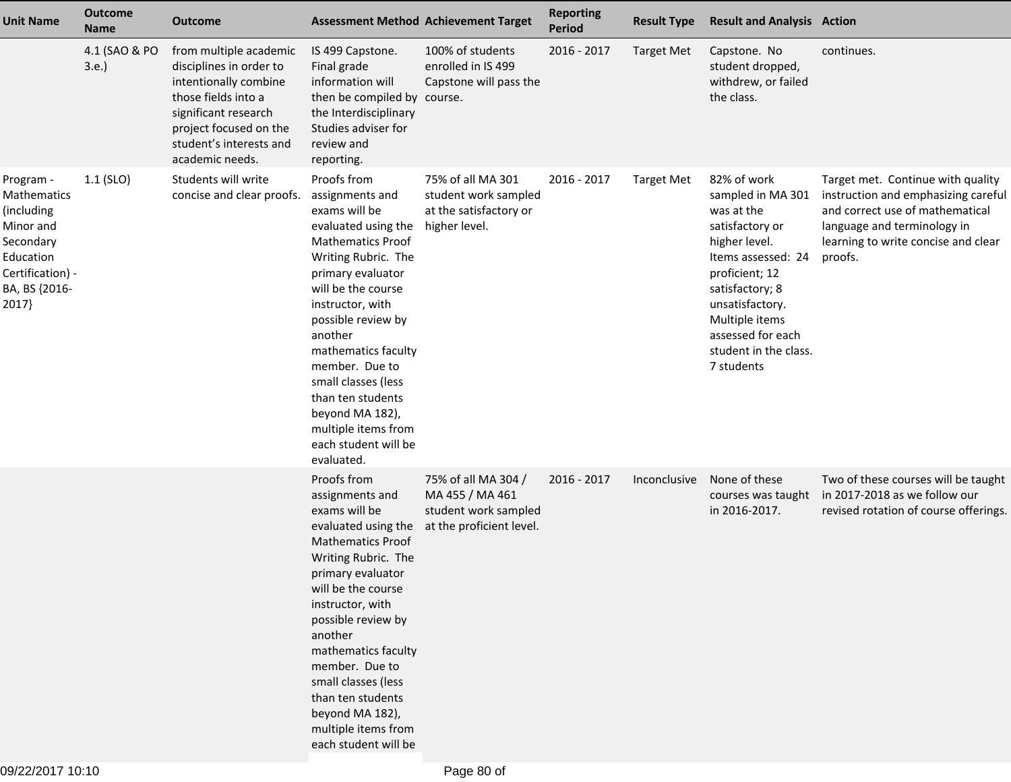| <b>Unit Name</b>                                                                                                            | <b>Outcome</b><br><b>Name</b> | Outcome                                                                                                                                                                                           |                                                                                                                                                                                                                                                                                                                                                                                                | <b>Assessment Method Achievement Target</b>                                                | <b>Reporting</b><br><b>Period</b> | <b>Result Type</b> | <b>Result and Analysis Action</b>                                                                                                                                                                                                              |                                                                                                                                                                                              |
|-----------------------------------------------------------------------------------------------------------------------------|-------------------------------|---------------------------------------------------------------------------------------------------------------------------------------------------------------------------------------------------|------------------------------------------------------------------------------------------------------------------------------------------------------------------------------------------------------------------------------------------------------------------------------------------------------------------------------------------------------------------------------------------------|--------------------------------------------------------------------------------------------|-----------------------------------|--------------------|------------------------------------------------------------------------------------------------------------------------------------------------------------------------------------------------------------------------------------------------|----------------------------------------------------------------------------------------------------------------------------------------------------------------------------------------------|
|                                                                                                                             | 4.1 (SAO & PO<br>3.e.         | from multiple academic<br>disciplines in order to<br>intentionally combine<br>those fields into a<br>significant research<br>project focused on the<br>student's interests and<br>academic needs. | IS 499 Capstone.<br>Final grade<br>information will<br>then be compiled by course.<br>the Interdisciplinary<br>Studies adviser for<br>review and<br>reporting.                                                                                                                                                                                                                                 | 100% of students<br>enrolled in IS 499<br>Capstone will pass the                           | 2016 - 2017                       | <b>Target Met</b>  | Capstone. No<br>student dropped,<br>withdrew, or failed<br>the class.                                                                                                                                                                          | continues.                                                                                                                                                                                   |
| Program -<br>Mathematics<br>(including<br>Minor and<br>Secondary<br>Education<br>Certification) -<br>BA, BS {2016-<br>2017} | $1.1$ (SLO)                   | Students will write<br>concise and clear proofs.                                                                                                                                                  | Proofs from<br>assignments and<br>exams will be<br>evaluated using the<br><b>Mathematics Proof</b><br>Writing Rubric. The<br>primary evaluator<br>will be the course<br>instructor, with<br>possible review by<br>another<br>mathematics faculty<br>member. Due to<br>small classes (less<br>than ten students<br>beyond MA 182),<br>multiple items from<br>each student will be<br>evaluated. | 75% of all MA 301<br>student work sampled<br>at the satisfactory or<br>higher level.       | 2016 - 2017                       | <b>Target Met</b>  | 82% of work<br>sampled in MA 301<br>was at the<br>satisfactory or<br>higher level.<br>Items assessed: 24<br>proficient; 12<br>satisfactory; 8<br>unsatisfactory.<br>Multiple items<br>assessed for each<br>student in the class.<br>7 students | Target met. Continue with quality<br>instruction and emphasizing careful<br>and correct use of mathematical<br>language and terminology in<br>learning to write concise and clear<br>proofs. |
|                                                                                                                             |                               |                                                                                                                                                                                                   | Proofs from<br>assignments and<br>exams will be<br>evaluated using the<br><b>Mathematics Proof</b><br>Writing Rubric. The<br>primary evaluator<br>will be the course<br>instructor, with<br>possible review by<br>another<br>mathematics faculty<br>member. Due to<br>small classes (less<br>than ten students<br>beyond MA 182),<br>multiple items from<br>each student will be               | 75% of all MA 304 /<br>MA 455 / MA 461<br>student work sampled<br>at the proficient level. | 2016 - 2017                       | Inconclusive       | None of these<br>courses was taught<br>in 2016-2017.                                                                                                                                                                                           | Two of these courses will be taught<br>in 2017-2018 as we follow our<br>revised rotation of course offerings.                                                                                |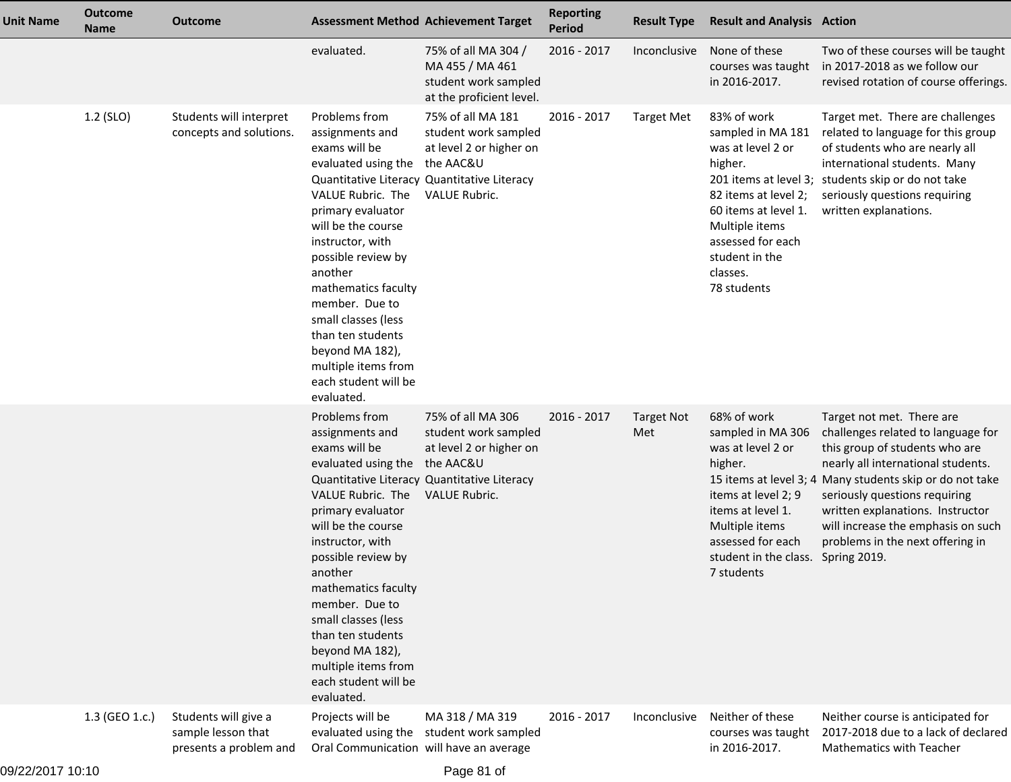| <b>Unit Name</b> | <b>Outcome</b><br><b>Name</b> | <b>Outcome</b>                                                       |                                                                                                                                                                                                                                                                                                                                                                              | <b>Assessment Method Achievement Target</b>                                                                                                              | <b>Reporting</b><br><b>Period</b> | <b>Result Type</b>       | <b>Result and Analysis Action</b>                                                                                                                                                                    |                                                                                                                                                                                                                                                                                                                                                                    |
|------------------|-------------------------------|----------------------------------------------------------------------|------------------------------------------------------------------------------------------------------------------------------------------------------------------------------------------------------------------------------------------------------------------------------------------------------------------------------------------------------------------------------|----------------------------------------------------------------------------------------------------------------------------------------------------------|-----------------------------------|--------------------------|------------------------------------------------------------------------------------------------------------------------------------------------------------------------------------------------------|--------------------------------------------------------------------------------------------------------------------------------------------------------------------------------------------------------------------------------------------------------------------------------------------------------------------------------------------------------------------|
|                  |                               |                                                                      | evaluated.                                                                                                                                                                                                                                                                                                                                                                   | 75% of all MA 304 /<br>MA 455 / MA 461<br>student work sampled<br>at the proficient level.                                                               | 2016 - 2017                       | Inconclusive             | None of these<br>courses was taught<br>in 2016-2017.                                                                                                                                                 | Two of these courses will be taught<br>in 2017-2018 as we follow our<br>revised rotation of course offerings.                                                                                                                                                                                                                                                      |
|                  | 1.2 (SLO)                     | Students will interpret<br>concepts and solutions.                   | Problems from<br>assignments and<br>exams will be<br>evaluated using the<br>VALUE Rubric. The<br>primary evaluator<br>will be the course<br>instructor, with<br>possible review by<br>another<br>mathematics faculty<br>member. Due to<br>small classes (less<br>than ten students<br>beyond MA 182),<br>multiple items from<br>each student will be<br>evaluated.           | 75% of all MA 181<br>student work sampled<br>at level 2 or higher on<br>the AAC&U<br>Quantitative Literacy Quantitative Literacy<br><b>VALUE Rubric.</b> | 2016 - 2017                       | <b>Target Met</b>        | 83% of work<br>sampled in MA 181<br>was at level 2 or<br>higher.<br>82 items at level 2;<br>60 items at level 1.<br>Multiple items<br>assessed for each<br>student in the<br>classes.<br>78 students | Target met. There are challenges<br>related to language for this group<br>of students who are nearly all<br>international students. Many<br>201 items at level 3; students skip or do not take<br>seriously questions requiring<br>written explanations.                                                                                                           |
|                  |                               |                                                                      | Problems from<br>assignments and<br>exams will be<br>evaluated using the the AAC&U<br>VALUE Rubric. The<br>primary evaluator<br>will be the course<br>instructor, with<br>possible review by<br>another<br>mathematics faculty<br>member. Due to<br>small classes (less<br>than ten students<br>beyond MA 182),<br>multiple items from<br>each student will be<br>evaluated. | 75% of all MA 306<br>student work sampled<br>at level 2 or higher on<br>Quantitative Literacy Quantitative Literacy<br><b>VALUE Rubric.</b>              | 2016 - 2017                       | <b>Target Not</b><br>Met | 68% of work<br>sampled in MA 306<br>was at level 2 or<br>higher.<br>items at level 2; 9<br>items at level 1.<br>Multiple items<br>assessed for each<br>student in the class.<br>7 students           | Target not met. There are<br>challenges related to language for<br>this group of students who are<br>nearly all international students.<br>15 items at level 3; 4 Many students skip or do not take<br>seriously questions requiring<br>written explanations. Instructor<br>will increase the emphasis on such<br>problems in the next offering in<br>Spring 2019. |
|                  | 1.3 (GEO 1.c.)                | Students will give a<br>sample lesson that<br>presents a problem and | Projects will be<br>Oral Communication will have an average                                                                                                                                                                                                                                                                                                                  | MA 318 / MA 319<br>evaluated using the student work sampled                                                                                              | 2016 - 2017                       | Inconclusive             | Neither of these<br>courses was taught<br>in 2016-2017.                                                                                                                                              | Neither course is anticipated for<br>2017-2018 due to a lack of declared<br><b>Mathematics with Teacher</b>                                                                                                                                                                                                                                                        |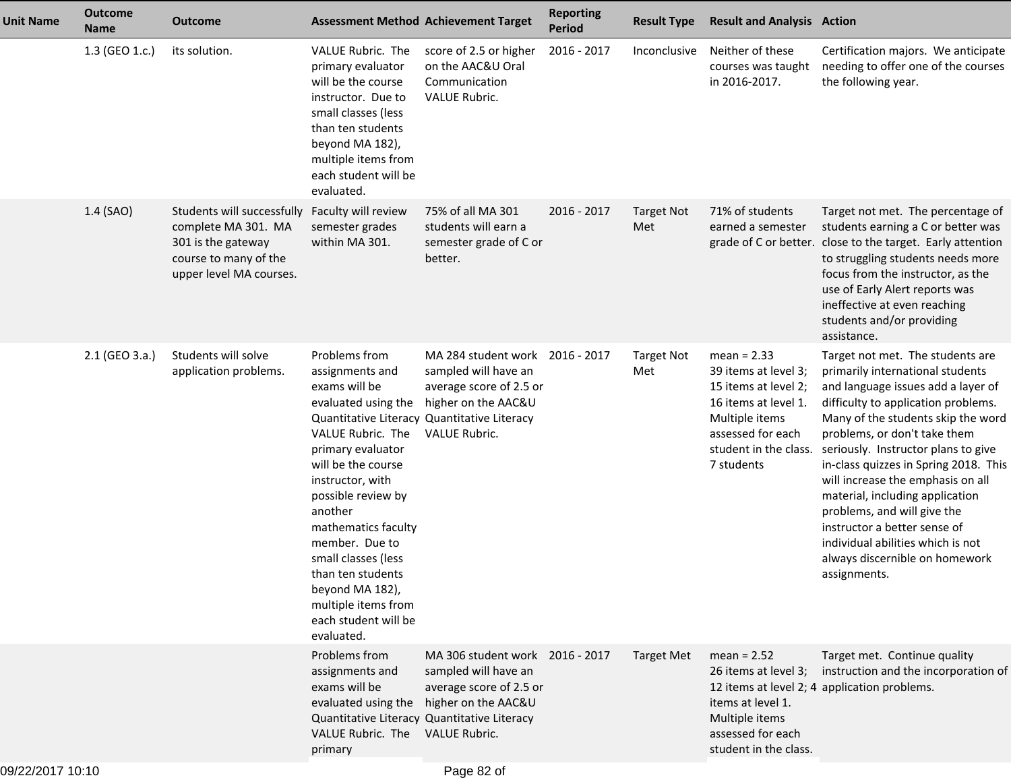| <b>Unit Name</b> | <b>Outcome</b><br><b>Name</b> | <b>Outcome</b>                                                                                                              | <b>Assessment Method Achievement Target</b>                                                                                                                                                                                                                                                                                                                                                                       |                                                                                                                                   | <b>Reporting</b><br><b>Period</b> | <b>Result Type</b>       | <b>Result and Analysis Action</b>                                                                                                                                   |                                                                                                                                                                                                                                                                                                                                                                                                                                                                                                                                       |
|------------------|-------------------------------|-----------------------------------------------------------------------------------------------------------------------------|-------------------------------------------------------------------------------------------------------------------------------------------------------------------------------------------------------------------------------------------------------------------------------------------------------------------------------------------------------------------------------------------------------------------|-----------------------------------------------------------------------------------------------------------------------------------|-----------------------------------|--------------------------|---------------------------------------------------------------------------------------------------------------------------------------------------------------------|---------------------------------------------------------------------------------------------------------------------------------------------------------------------------------------------------------------------------------------------------------------------------------------------------------------------------------------------------------------------------------------------------------------------------------------------------------------------------------------------------------------------------------------|
|                  | 1.3 (GEO 1.c.)                | its solution.                                                                                                               | VALUE Rubric. The<br>primary evaluator<br>will be the course<br>instructor. Due to<br>small classes (less<br>than ten students<br>beyond MA 182),<br>multiple items from<br>each student will be<br>evaluated.                                                                                                                                                                                                    | score of 2.5 or higher<br>on the AAC&U Oral<br>Communication<br>VALUE Rubric.                                                     | 2016 - 2017                       | Inconclusive             | Neither of these<br>courses was taught<br>in 2016-2017.                                                                                                             | Certification majors. We anticipate<br>needing to offer one of the courses<br>the following year.                                                                                                                                                                                                                                                                                                                                                                                                                                     |
|                  | 1.4 (SAO)                     | Students will successfully<br>complete MA 301. MA<br>301 is the gateway<br>course to many of the<br>upper level MA courses. | Faculty will review<br>semester grades<br>within MA 301.                                                                                                                                                                                                                                                                                                                                                          | 75% of all MA 301<br>students will earn a<br>semester grade of C or<br>better.                                                    | 2016 - 2017                       | <b>Target Not</b><br>Met | 71% of students<br>earned a semester                                                                                                                                | Target not met. The percentage of<br>students earning a C or better was<br>grade of C or better. close to the target. Early attention<br>to struggling students needs more<br>focus from the instructor, as the<br>use of Early Alert reports was<br>ineffective at even reaching<br>students and/or providing<br>assistance.                                                                                                                                                                                                         |
|                  | 2.1 (GEO 3.a.)                | Students will solve<br>application problems.                                                                                | Problems from<br>assignments and<br>exams will be<br>evaluated using the<br>Quantitative Literacy Quantitative Literacy<br>VALUE Rubric. The<br>primary evaluator<br>will be the course<br>instructor, with<br>possible review by<br>another<br>mathematics faculty<br>member. Due to<br>small classes (less<br>than ten students<br>beyond MA 182),<br>multiple items from<br>each student will be<br>evaluated. | MA 284 student work 2016 - 2017<br>sampled will have an<br>average score of 2.5 or<br>higher on the AAC&U<br><b>VALUE Rubric.</b> |                                   | <b>Target Not</b><br>Met | $mean = 2.33$<br>39 items at level 3;<br>15 items at level 2;<br>16 items at level 1.<br>Multiple items<br>assessed for each<br>student in the class.<br>7 students | Target not met. The students are<br>primarily international students<br>and language issues add a layer of<br>difficulty to application problems.<br>Many of the students skip the word<br>problems, or don't take them<br>seriously. Instructor plans to give<br>in-class quizzes in Spring 2018. This<br>will increase the emphasis on all<br>material, including application<br>problems, and will give the<br>instructor a better sense of<br>individual abilities which is not<br>always discernible on homework<br>assignments. |
|                  |                               |                                                                                                                             | Problems from<br>assignments and<br>exams will be<br>Quantitative Literacy Quantitative Literacy<br>VALUE Rubric. The VALUE Rubric.<br>primary                                                                                                                                                                                                                                                                    | MA 306 student work 2016 - 2017<br>sampled will have an<br>average score of 2.5 or<br>evaluated using the higher on the AAC&U     |                                   | <b>Target Met</b>        | $mean = 2.52$<br>26 items at level 3;<br>items at level 1.<br>Multiple items<br>assessed for each<br>student in the class.                                          | Target met. Continue quality<br>instruction and the incorporation of<br>12 items at level 2; 4 application problems.                                                                                                                                                                                                                                                                                                                                                                                                                  |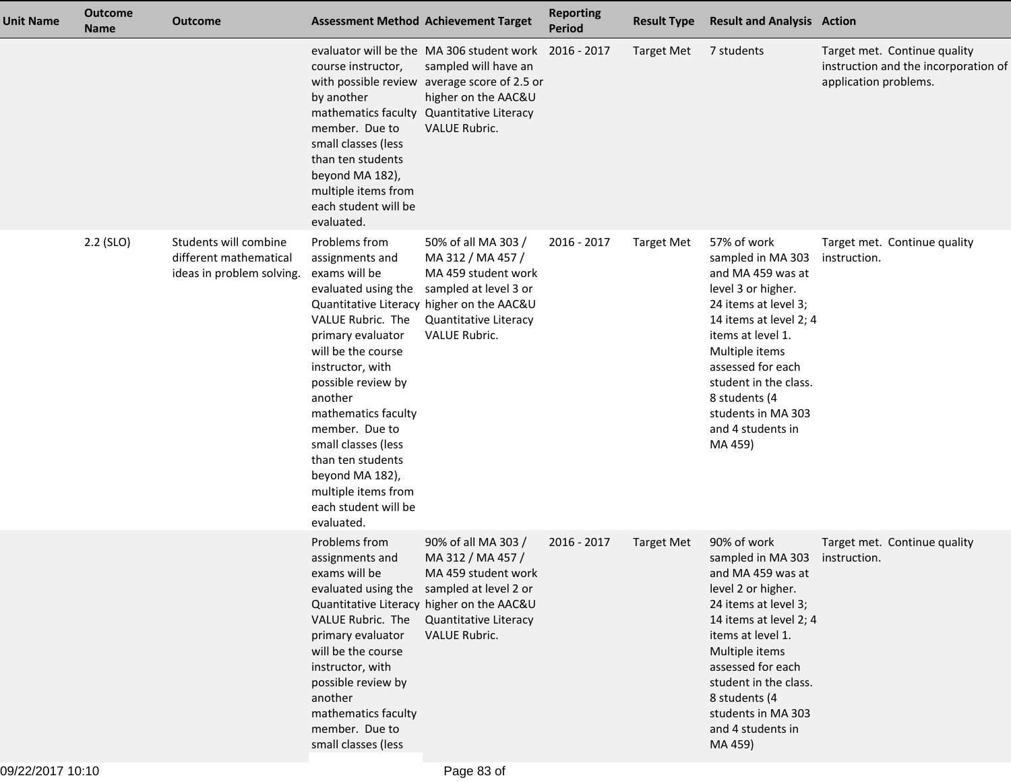| <b>Unit Name</b> | <b>Outcome</b><br><b>Name</b> | <b>Outcome</b>                                                               |                                                                                                                                                                                                                                                                                                                                                                    | <b>Assessment Method Achievement Target</b>                                                                                                                                                                  | <b>Reporting</b><br><b>Period</b> | <b>Result Type</b> | <b>Result and Analysis Action</b>                                                                                                                                                                                                                                                         |                                                                                               |
|------------------|-------------------------------|------------------------------------------------------------------------------|--------------------------------------------------------------------------------------------------------------------------------------------------------------------------------------------------------------------------------------------------------------------------------------------------------------------------------------------------------------------|--------------------------------------------------------------------------------------------------------------------------------------------------------------------------------------------------------------|-----------------------------------|--------------------|-------------------------------------------------------------------------------------------------------------------------------------------------------------------------------------------------------------------------------------------------------------------------------------------|-----------------------------------------------------------------------------------------------|
|                  |                               |                                                                              | course instructor,<br>by another<br>mathematics faculty<br>member. Due to<br>small classes (less<br>than ten students<br>beyond MA 182),<br>multiple items from<br>each student will be<br>evaluated.                                                                                                                                                              | evaluator will be the MA 306 student work 2016 - 2017<br>sampled will have an<br>with possible review average score of 2.5 or<br>higher on the AAC&U<br><b>Quantitative Literacy</b><br><b>VALUE Rubric.</b> |                                   | <b>Target Met</b>  | 7 students                                                                                                                                                                                                                                                                                | Target met. Continue quality<br>instruction and the incorporation of<br>application problems. |
|                  | $2.2$ (SLO)                   | Students will combine<br>different mathematical<br>ideas in problem solving. | Problems from<br>assignments and<br>exams will be<br>evaluated using the<br>VALUE Rubric. The<br>primary evaluator<br>will be the course<br>instructor, with<br>possible review by<br>another<br>mathematics faculty<br>member. Due to<br>small classes (less<br>than ten students<br>beyond MA 182),<br>multiple items from<br>each student will be<br>evaluated. | 50% of all MA 303 /<br>MA 312 / MA 457 /<br>MA 459 student work<br>sampled at level 3 or<br>Quantitative Literacy higher on the AAC&U<br><b>Quantitative Literacy</b><br><b>VALUE Rubric.</b>                | 2016 - 2017                       | <b>Target Met</b>  | 57% of work<br>sampled in MA 303<br>and MA 459 was at<br>level 3 or higher.<br>24 items at level 3;<br>14 items at level 2; 4<br>items at level 1.<br>Multiple items<br>assessed for each<br>student in the class.<br>8 students (4<br>students in MA 303<br>and 4 students in<br>MA 459) | Target met. Continue quality<br>instruction.                                                  |
|                  |                               |                                                                              | Problems from<br>assignments and<br>exams will be<br>VALUE Rubric. The<br>primary evaluator<br>will be the course<br>instructor, with<br>possible review by<br>another<br>mathematics faculty<br>member. Due to<br>small classes (less                                                                                                                             | 90% of all MA 303 /<br>MA 312 / MA 457 /<br>MA 459 student work<br>evaluated using the sampled at level 2 or<br>Quantitative Literacy higher on the AAC&U<br><b>Quantitative Literacy</b><br>VALUE Rubric.   | 2016 - 2017                       | <b>Target Met</b>  | 90% of work<br>sampled in MA 303<br>and MA 459 was at<br>level 2 or higher.<br>24 items at level 3;<br>14 items at level 2; 4<br>items at level 1.<br>Multiple items<br>assessed for each<br>student in the class.<br>8 students (4<br>students in MA 303<br>and 4 students in<br>MA 459) | Target met. Continue quality<br>instruction.                                                  |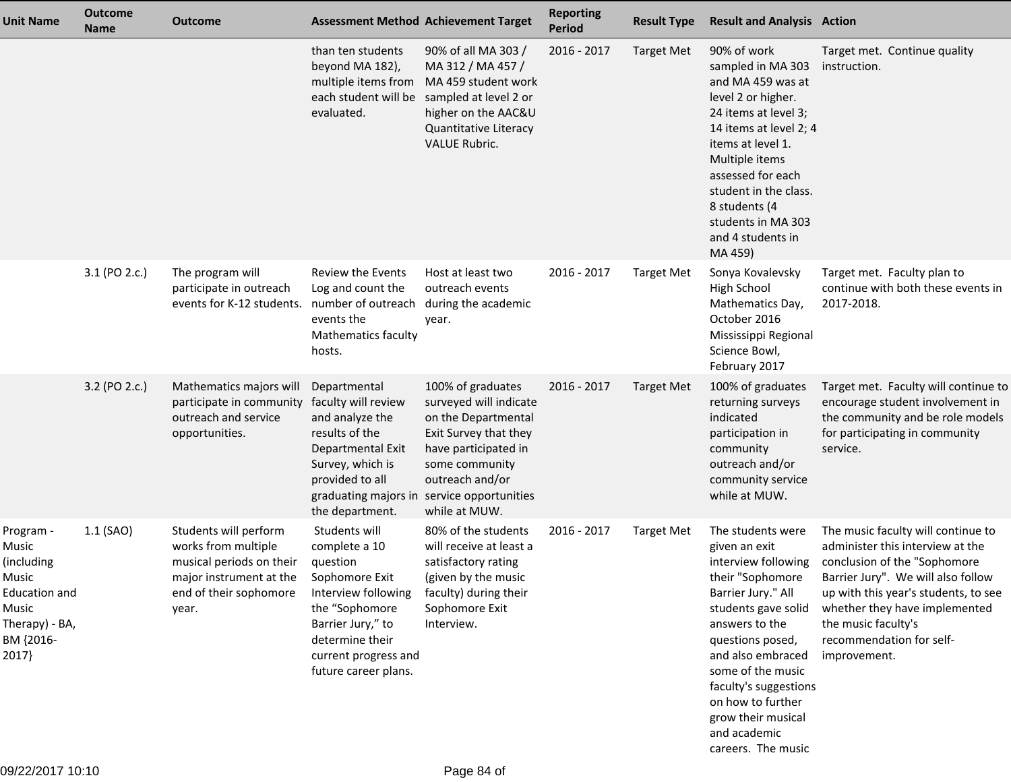| <b>Unit Name</b>                                                                                                   | <b>Outcome</b><br><b>Name</b> | <b>Outcome</b>                                                                                                                         |                                                                                                                                                                                               | <b>Assessment Method Achievement Target</b>                                                                                                                                                                             | <b>Reporting</b><br><b>Period</b> | <b>Result Type</b> | <b>Result and Analysis Action</b>                                                                                                                                                                                                                                                                                    |                                                                                                                                                                                                                                                                                          |
|--------------------------------------------------------------------------------------------------------------------|-------------------------------|----------------------------------------------------------------------------------------------------------------------------------------|-----------------------------------------------------------------------------------------------------------------------------------------------------------------------------------------------|-------------------------------------------------------------------------------------------------------------------------------------------------------------------------------------------------------------------------|-----------------------------------|--------------------|----------------------------------------------------------------------------------------------------------------------------------------------------------------------------------------------------------------------------------------------------------------------------------------------------------------------|------------------------------------------------------------------------------------------------------------------------------------------------------------------------------------------------------------------------------------------------------------------------------------------|
|                                                                                                                    |                               |                                                                                                                                        | than ten students<br>beyond MA 182),<br>multiple items from<br>evaluated.                                                                                                                     | 90% of all MA 303 /<br>MA 312 / MA 457 /<br>MA 459 student work<br>each student will be sampled at level 2 or<br>higher on the AAC&U<br>Quantitative Literacy<br><b>VALUE Rubric.</b>                                   | 2016 - 2017                       | <b>Target Met</b>  | 90% of work<br>sampled in MA 303<br>and MA 459 was at<br>level 2 or higher.<br>24 items at level 3;<br>14 items at level 2; 4<br>items at level 1.<br>Multiple items<br>assessed for each<br>student in the class.<br>8 students (4<br>students in MA 303<br>and 4 students in<br>MA 459)                            | Target met. Continue quality<br>instruction.                                                                                                                                                                                                                                             |
|                                                                                                                    | 3.1 (PO 2.c.)                 | The program will<br>participate in outreach<br>events for K-12 students.                                                               | <b>Review the Events</b><br>Log and count the<br>number of outreach<br>events the<br><b>Mathematics faculty</b><br>hosts.                                                                     | Host at least two<br>outreach events<br>during the academic<br>year.                                                                                                                                                    | 2016 - 2017                       | <b>Target Met</b>  | Sonya Kovalevsky<br><b>High School</b><br>Mathematics Day,<br>October 2016<br>Mississippi Regional<br>Science Bowl,<br>February 2017                                                                                                                                                                                 | Target met. Faculty plan to<br>continue with both these events in<br>2017-2018.                                                                                                                                                                                                          |
|                                                                                                                    | 3.2 (PO 2.c.)                 | Mathematics majors will<br>participate in community<br>outreach and service<br>opportunities.                                          | Departmental<br>faculty will review<br>and analyze the<br>results of the<br>Departmental Exit<br>Survey, which is<br>provided to all<br>the department.                                       | 100% of graduates<br>surveyed will indicate<br>on the Departmental<br>Exit Survey that they<br>have participated in<br>some community<br>outreach and/or<br>graduating majors in service opportunities<br>while at MUW. | 2016 - 2017                       | <b>Target Met</b>  | 100% of graduates<br>returning surveys<br>indicated<br>participation in<br>community<br>outreach and/or<br>community service<br>while at MUW.                                                                                                                                                                        | Target met. Faculty will continue to<br>encourage student involvement in<br>the community and be role models<br>for participating in community<br>service.                                                                                                                               |
| Program -<br>Music<br>(including)<br>Music<br><b>Education and</b><br>Music<br>Therapy) - BA,<br>BM {2016-<br>2017 | 1.1 (SAO)                     | Students will perform<br>works from multiple<br>musical periods on their<br>major instrument at the<br>end of their sophomore<br>year. | Students will<br>complete a 10<br>question<br>Sophomore Exit<br>Interview following<br>the "Sophomore<br>Barrier Jury," to<br>determine their<br>current progress and<br>future career plans. | 80% of the students<br>will receive at least a<br>satisfactory rating<br>(given by the music<br>faculty) during their<br>Sophomore Exit<br>Interview.                                                                   | 2016 - 2017                       | <b>Target Met</b>  | The students were<br>given an exit<br>interview following<br>their "Sophomore<br>Barrier Jury." All<br>students gave solid<br>answers to the<br>questions posed,<br>and also embraced<br>some of the music<br>faculty's suggestions<br>on how to further<br>grow their musical<br>and academic<br>careers. The music | The music faculty will continue to<br>administer this interview at the<br>conclusion of the "Sophomore<br>Barrier Jury". We will also follow<br>up with this year's students, to see<br>whether they have implemented<br>the music faculty's<br>recommendation for self-<br>improvement. |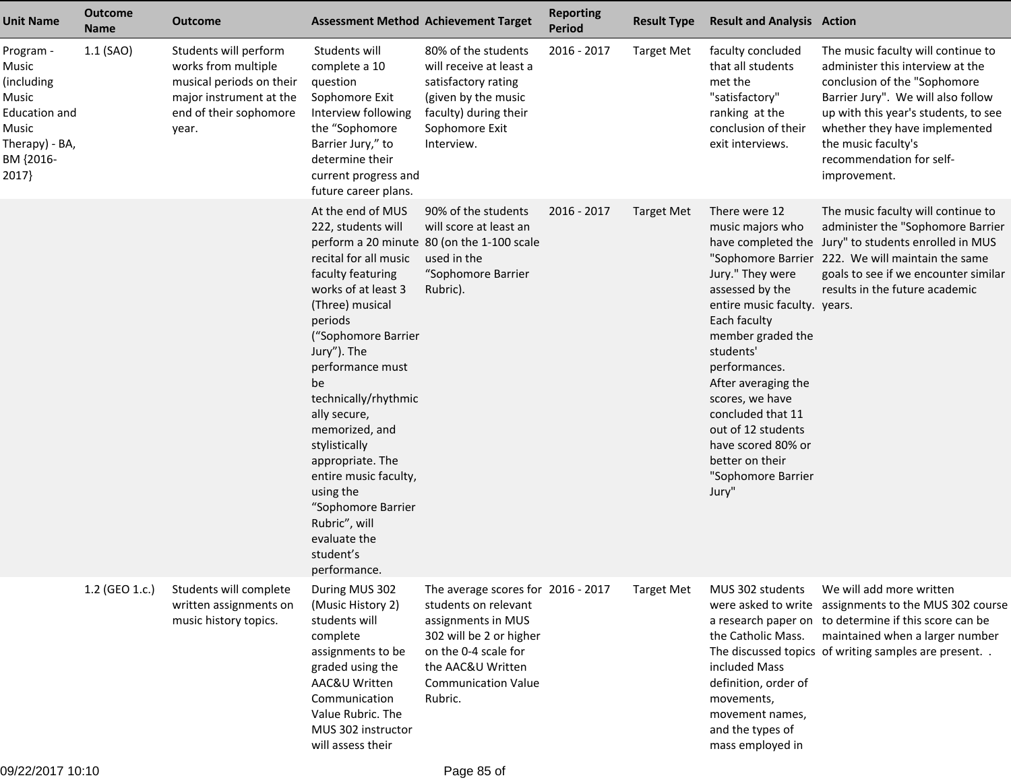| <b>Unit Name</b>                                                                                                   | <b>Outcome</b><br><b>Name</b> | <b>Outcome</b>                                                                                                                         | <b>Assessment Method Achievement Target</b>                                                                                                                                                                                                                                                                                                                                                                                         |                                                                                                                                                                                                   | <b>Reporting</b><br>Period | <b>Result Type</b> | <b>Result and Analysis Action</b>                                                                                                                                                                                                                                                                                                        |                                                                                                                                                                                                                                                                                          |
|--------------------------------------------------------------------------------------------------------------------|-------------------------------|----------------------------------------------------------------------------------------------------------------------------------------|-------------------------------------------------------------------------------------------------------------------------------------------------------------------------------------------------------------------------------------------------------------------------------------------------------------------------------------------------------------------------------------------------------------------------------------|---------------------------------------------------------------------------------------------------------------------------------------------------------------------------------------------------|----------------------------|--------------------|------------------------------------------------------------------------------------------------------------------------------------------------------------------------------------------------------------------------------------------------------------------------------------------------------------------------------------------|------------------------------------------------------------------------------------------------------------------------------------------------------------------------------------------------------------------------------------------------------------------------------------------|
| Program -<br>Music<br>(including<br>Music<br><b>Education and</b><br>Music<br>Therapy) - BA,<br>BM {2016-<br>2017} | $1.1$ (SAO)                   | Students will perform<br>works from multiple<br>musical periods on their<br>major instrument at the<br>end of their sophomore<br>year. | Students will<br>complete a 10<br>question<br>Sophomore Exit<br>Interview following<br>the "Sophomore<br>Barrier Jury," to<br>determine their<br>current progress and<br>future career plans.                                                                                                                                                                                                                                       | 80% of the students<br>will receive at least a<br>satisfactory rating<br>(given by the music<br>faculty) during their<br>Sophomore Exit<br>Interview.                                             | 2016 - 2017                | <b>Target Met</b>  | faculty concluded<br>that all students<br>met the<br>"satisfactory"<br>ranking at the<br>conclusion of their<br>exit interviews.                                                                                                                                                                                                         | The music faculty will continue to<br>administer this interview at the<br>conclusion of the "Sophomore<br>Barrier Jury". We will also follow<br>up with this year's students, to see<br>whether they have implemented<br>the music faculty's<br>recommendation for self-<br>improvement. |
|                                                                                                                    |                               |                                                                                                                                        | At the end of MUS<br>222, students will<br>recital for all music<br>faculty featuring<br>works of at least 3<br>(Three) musical<br>periods<br>("Sophomore Barrier<br>Jury"). The<br>performance must<br>be<br>technically/rhythmic<br>ally secure,<br>memorized, and<br>stylistically<br>appropriate. The<br>entire music faculty,<br>using the<br>"Sophomore Barrier<br>Rubric", will<br>evaluate the<br>student's<br>performance. | 90% of the students<br>will score at least an<br>perform a 20 minute 80 (on the 1-100 scale<br>used in the<br>"Sophomore Barrier<br>Rubric).                                                      | 2016 - 2017                | <b>Target Met</b>  | There were 12<br>music majors who<br>Jury." They were<br>assessed by the<br>entire music faculty. years.<br>Each faculty<br>member graded the<br>students'<br>performances.<br>After averaging the<br>scores, we have<br>concluded that 11<br>out of 12 students<br>have scored 80% or<br>better on their<br>"Sophomore Barrier<br>Jury" | The music faculty will continue to<br>administer the "Sophomore Barrier<br>have completed the Jury" to students enrolled in MUS<br>"Sophomore Barrier 222. We will maintain the same<br>goals to see if we encounter similar<br>results in the future academic                           |
|                                                                                                                    | 1.2 (GEO 1.c.)                | Students will complete<br>written assignments on<br>music history topics.                                                              | During MUS 302<br>(Music History 2)<br>students will<br>complete<br>assignments to be<br>graded using the<br>AAC&U Written<br>Communication<br>Value Rubric. The<br>MUS 302 instructor<br>will assess their                                                                                                                                                                                                                         | The average scores for 2016 - 2017<br>students on relevant<br>assignments in MUS<br>302 will be 2 or higher<br>on the 0-4 scale for<br>the AAC&U Written<br><b>Communication Value</b><br>Rubric. |                            | <b>Target Met</b>  | MUS 302 students<br>the Catholic Mass.<br>included Mass<br>definition, order of<br>movements,<br>movement names,<br>and the types of<br>mass employed in                                                                                                                                                                                 | We will add more written<br>were asked to write assignments to the MUS 302 course<br>a research paper on to determine if this score can be<br>maintained when a larger number<br>The discussed topics of writing samples are present                                                     |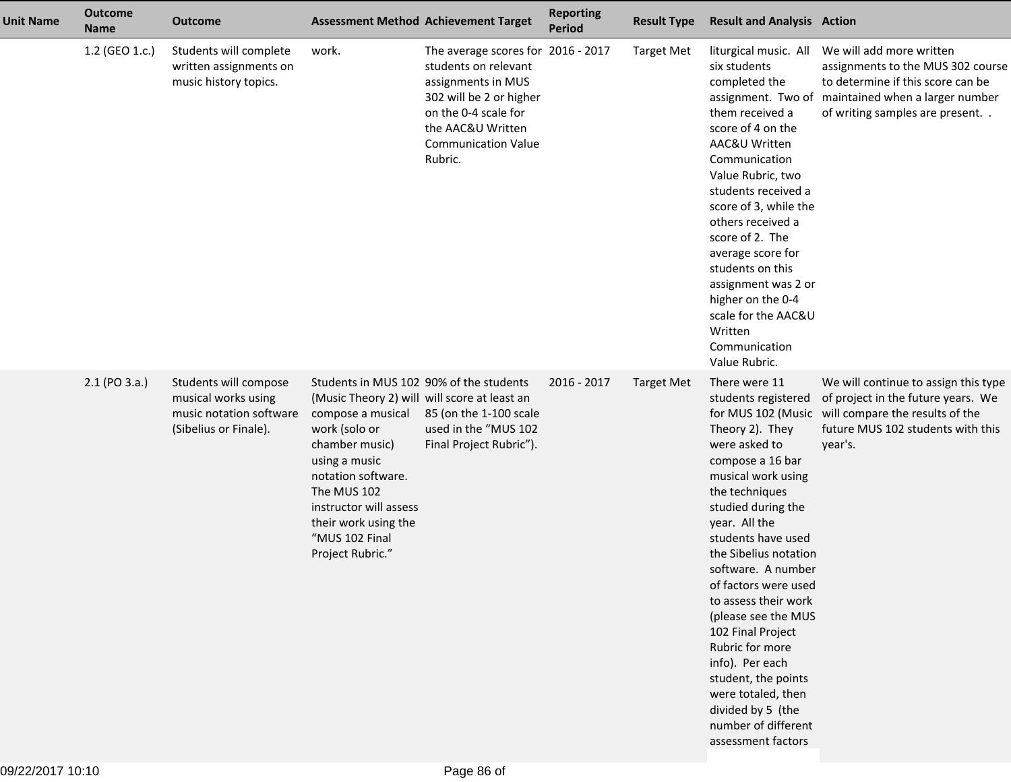| <b>Unit Name</b> | <b>Outcome</b><br><b>Name</b> | <b>Outcome</b>                                                                                   |                                                                                                                                                                                                                                                                                               | <b>Assessment Method Achievement Target</b>                                                                                                                                                       | <b>Reporting</b><br><b>Period</b> | <b>Result Type</b> | <b>Result and Analysis Action</b>                                                                                                                                                                                                                                                                                                                                                                                                                                                                 |                                                                                                                                                                                            |
|------------------|-------------------------------|--------------------------------------------------------------------------------------------------|-----------------------------------------------------------------------------------------------------------------------------------------------------------------------------------------------------------------------------------------------------------------------------------------------|---------------------------------------------------------------------------------------------------------------------------------------------------------------------------------------------------|-----------------------------------|--------------------|---------------------------------------------------------------------------------------------------------------------------------------------------------------------------------------------------------------------------------------------------------------------------------------------------------------------------------------------------------------------------------------------------------------------------------------------------------------------------------------------------|--------------------------------------------------------------------------------------------------------------------------------------------------------------------------------------------|
|                  | 1.2 (GEO 1.c.)                | Students will complete<br>written assignments on<br>music history topics.                        | work.                                                                                                                                                                                                                                                                                         | The average scores for 2016 - 2017<br>students on relevant<br>assignments in MUS<br>302 will be 2 or higher<br>on the 0-4 scale for<br>the AAC&U Written<br><b>Communication Value</b><br>Rubric. |                                   | <b>Target Met</b>  | liturgical music. All<br>six students<br>completed the<br>them received a<br>score of 4 on the<br>AAC&U Written<br>Communication<br>Value Rubric, two<br>students received a<br>score of 3, while the<br>others received a<br>score of 2. The<br>average score for<br>students on this<br>assignment was 2 or<br>higher on the 0-4<br>scale for the AAC&U<br>Written<br>Communication<br>Value Rubric.                                                                                            | We will add more written<br>assignments to the MUS 302 course<br>to determine if this score can be<br>assignment. Two of maintained when a larger number<br>of writing samples are present |
|                  | 2.1 (PO 3.a.)                 | Students will compose<br>musical works using<br>music notation software<br>(Sibelius or Finale). | Students in MUS 102 90% of the students<br>(Music Theory 2) will will score at least an<br>compose a musical<br>work (solo or<br>chamber music)<br>using a music<br>notation software.<br>The MUS 102<br>instructor will assess<br>their work using the<br>"MUS 102 Final<br>Project Rubric." | 85 (on the 1-100 scale<br>used in the "MUS 102<br>Final Project Rubric").                                                                                                                         | 2016 - 2017                       | <b>Target Met</b>  | There were 11<br>students registered<br>Theory 2). They<br>were asked to<br>compose a 16 bar<br>musical work using<br>the techniques<br>studied during the<br>year. All the<br>students have used<br>the Sibelius notation<br>software. A number<br>of factors were used<br>to assess their work<br>(please see the MUS<br>102 Final Project<br>Rubric for more<br>info). Per each<br>student, the points<br>were totaled, then<br>divided by 5 (the<br>number of different<br>assessment factors | We will continue to assign this type<br>of project in the future years. We<br>for MUS 102 (Music will compare the results of the<br>future MUS 102 students with this<br>year's.           |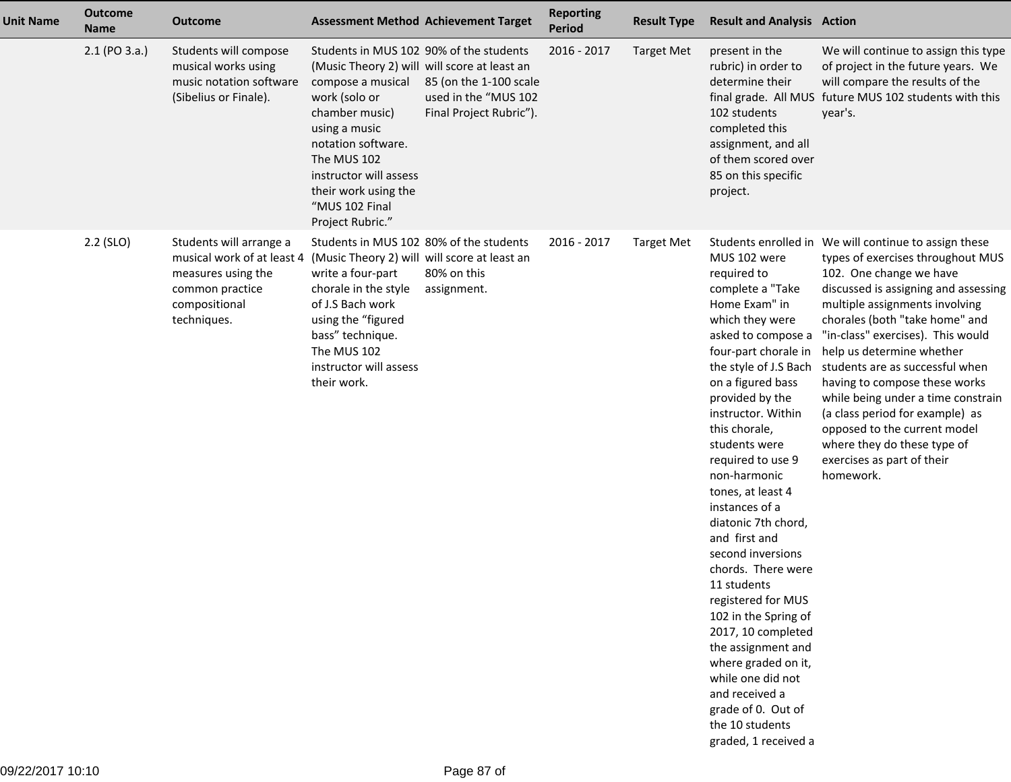| <b>Unit Name</b> | <b>Outcome</b><br><b>Name</b> | <b>Outcome</b>                                                                                                                 |                                                                                                                                                                                                                                                                                               | <b>Assessment Method Achievement Target</b>                               | <b>Reporting</b><br><b>Period</b> | <b>Result Type</b> | <b>Result and Analysis Action</b>                                                                                                                                                                                                                                                                                                                                                                                                                                                                                                                                                                                                        |                                                                                                                                                                                                                                                                                                                                                                                                                                                                                                                                                                                  |
|------------------|-------------------------------|--------------------------------------------------------------------------------------------------------------------------------|-----------------------------------------------------------------------------------------------------------------------------------------------------------------------------------------------------------------------------------------------------------------------------------------------|---------------------------------------------------------------------------|-----------------------------------|--------------------|------------------------------------------------------------------------------------------------------------------------------------------------------------------------------------------------------------------------------------------------------------------------------------------------------------------------------------------------------------------------------------------------------------------------------------------------------------------------------------------------------------------------------------------------------------------------------------------------------------------------------------------|----------------------------------------------------------------------------------------------------------------------------------------------------------------------------------------------------------------------------------------------------------------------------------------------------------------------------------------------------------------------------------------------------------------------------------------------------------------------------------------------------------------------------------------------------------------------------------|
|                  | 2.1 (PO 3.a.)                 | Students will compose<br>musical works using<br>music notation software<br>(Sibelius or Finale).                               | Students in MUS 102 90% of the students<br>(Music Theory 2) will will score at least an<br>compose a musical<br>work (solo or<br>chamber music)<br>using a music<br>notation software.<br>The MUS 102<br>instructor will assess<br>their work using the<br>"MUS 102 Final<br>Project Rubric." | 85 (on the 1-100 scale<br>used in the "MUS 102<br>Final Project Rubric"). | 2016 - 2017                       | <b>Target Met</b>  | present in the<br>rubric) in order to<br>determine their<br>102 students<br>completed this<br>assignment, and all<br>of them scored over<br>85 on this specific<br>project.                                                                                                                                                                                                                                                                                                                                                                                                                                                              | We will continue to assign this type<br>of project in the future years. We<br>will compare the results of the<br>final grade. All MUS future MUS 102 students with this<br>year's.                                                                                                                                                                                                                                                                                                                                                                                               |
|                  | 2.2 (SLO)                     | Students will arrange a<br>musical work of at least 4<br>measures using the<br>common practice<br>compositional<br>techniques. | Students in MUS 102 80% of the students<br>(Music Theory 2) will will score at least an<br>write a four-part<br>chorale in the style<br>of J.S Bach work<br>using the "figured<br>bass" technique.<br>The MUS 102<br>instructor will assess<br>their work.                                    | 80% on this<br>assignment.                                                | 2016 - 2017                       | <b>Target Met</b>  | MUS 102 were<br>required to<br>complete a "Take<br>Home Exam" in<br>which they were<br>asked to compose a<br>four-part chorale in<br>on a figured bass<br>provided by the<br>instructor. Within<br>this chorale,<br>students were<br>required to use 9<br>non-harmonic<br>tones, at least 4<br>instances of a<br>diatonic 7th chord,<br>and first and<br>second inversions<br>chords. There were<br>11 students<br>registered for MUS<br>102 in the Spring of<br>2017, 10 completed<br>the assignment and<br>where graded on it,<br>while one did not<br>and received a<br>grade of 0. Out of<br>the 10 students<br>graded, 1 received a | Students enrolled in We will continue to assign these<br>types of exercises throughout MUS<br>102. One change we have<br>discussed is assigning and assessing<br>multiple assignments involving<br>chorales (both "take home" and<br>"in-class" exercises). This would<br>help us determine whether<br>the style of J.S Bach students are as successful when<br>having to compose these works<br>while being under a time constrain<br>(a class period for example) as<br>opposed to the current model<br>where they do these type of<br>exercises as part of their<br>homework. |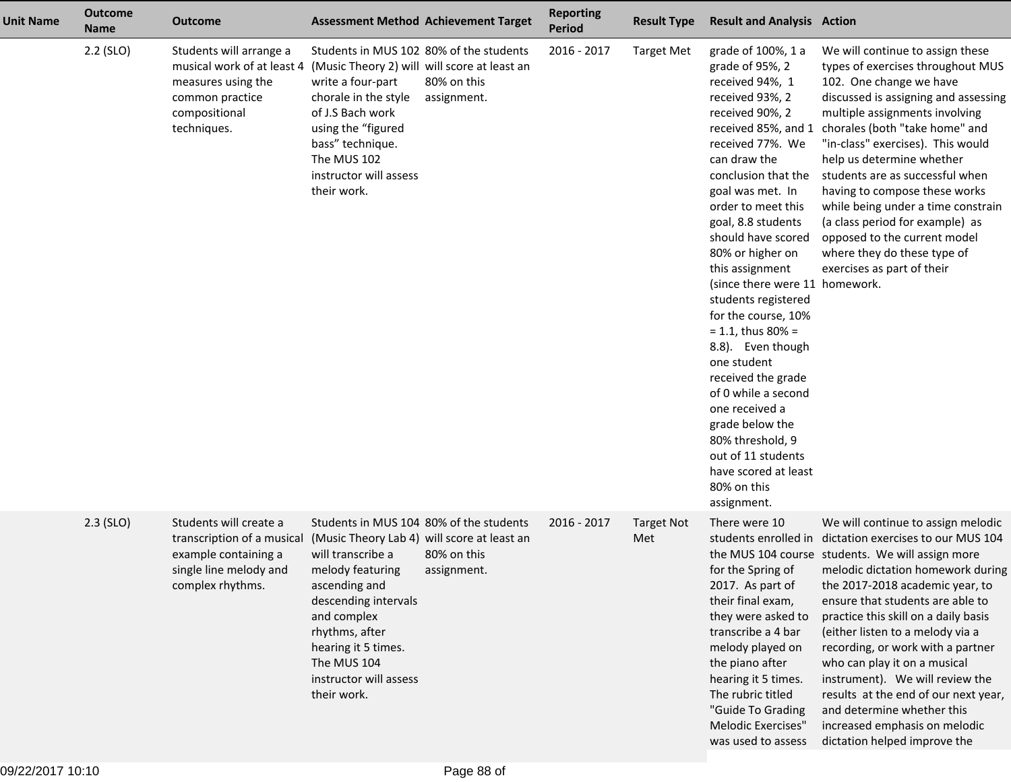| <b>Unit Name</b> | <b>Outcome</b><br><b>Name</b> | <b>Outcome</b>                                                                                                                 |                                                                                                                                                                                                                                                                                          | <b>Assessment Method Achievement Target</b> | <b>Reporting</b><br><b>Period</b> | <b>Result Type</b>       | <b>Result and Analysis Action</b>                                                                                                                                                                                                                                                                                                                                                                                                                                                                                                                                                                                                           |                                                                                                                                                                                                                                                                                                                                                                                                                                                                                                                                                                                          |
|------------------|-------------------------------|--------------------------------------------------------------------------------------------------------------------------------|------------------------------------------------------------------------------------------------------------------------------------------------------------------------------------------------------------------------------------------------------------------------------------------|---------------------------------------------|-----------------------------------|--------------------------|---------------------------------------------------------------------------------------------------------------------------------------------------------------------------------------------------------------------------------------------------------------------------------------------------------------------------------------------------------------------------------------------------------------------------------------------------------------------------------------------------------------------------------------------------------------------------------------------------------------------------------------------|------------------------------------------------------------------------------------------------------------------------------------------------------------------------------------------------------------------------------------------------------------------------------------------------------------------------------------------------------------------------------------------------------------------------------------------------------------------------------------------------------------------------------------------------------------------------------------------|
|                  | $2.2$ (SLO)                   | Students will arrange a<br>musical work of at least 4<br>measures using the<br>common practice<br>compositional<br>techniques. | Students in MUS 102 80% of the students<br>(Music Theory 2) will will score at least an<br>write a four-part<br>chorale in the style<br>of J.S Bach work<br>using the "figured<br>bass" technique.<br>The MUS 102<br>instructor will assess<br>their work.                               | 80% on this<br>assignment.                  | 2016 - 2017                       | <b>Target Met</b>        | grade of 100%, 1 a<br>grade of 95%, 2<br>received 94%, 1<br>received 93%, 2<br>received 90%, 2<br>received 85%, and 1<br>received 77%. We<br>can draw the<br>conclusion that the<br>goal was met. In<br>order to meet this<br>goal, 8.8 students<br>should have scored<br>80% or higher on<br>this assignment<br>(since there were 11 homework.<br>students registered<br>for the course, 10%<br>$= 1.1$ , thus 80% =<br>8.8). Even though<br>one student<br>received the grade<br>of 0 while a second<br>one received a<br>grade below the<br>80% threshold, 9<br>out of 11 students<br>have scored at least<br>80% on this<br>assignment. | We will continue to assign these<br>types of exercises throughout MUS<br>102. One change we have<br>discussed is assigning and assessing<br>multiple assignments involving<br>chorales (both "take home" and<br>"in-class" exercises). This would<br>help us determine whether<br>students are as successful when<br>having to compose these works<br>while being under a time constrain<br>(a class period for example) as<br>opposed to the current model<br>where they do these type of<br>exercises as part of their                                                                 |
|                  | $2.3$ (SLO)                   | Students will create a<br>transcription of a musical<br>example containing a<br>single line melody and<br>complex rhythms.     | Students in MUS 104 80% of the students<br>(Music Theory Lab 4) will score at least an<br>will transcribe a<br>melody featuring<br>ascending and<br>descending intervals<br>and complex<br>rhythms, after<br>hearing it 5 times.<br>The MUS 104<br>instructor will assess<br>their work. | 80% on this<br>assignment.                  | 2016 - 2017                       | <b>Target Not</b><br>Met | There were 10<br>for the Spring of<br>2017. As part of<br>their final exam,<br>they were asked to<br>transcribe a 4 bar<br>melody played on<br>the piano after<br>hearing it 5 times.<br>The rubric titled<br>"Guide To Grading<br>Melodic Exercises"<br>was used to assess                                                                                                                                                                                                                                                                                                                                                                 | We will continue to assign melodic<br>students enrolled in dictation exercises to our MUS 104<br>the MUS 104 course students. We will assign more<br>melodic dictation homework during<br>the 2017-2018 academic year, to<br>ensure that students are able to<br>practice this skill on a daily basis<br>(either listen to a melody via a<br>recording, or work with a partner<br>who can play it on a musical<br>instrument). We will review the<br>results at the end of our next year,<br>and determine whether this<br>increased emphasis on melodic<br>dictation helped improve the |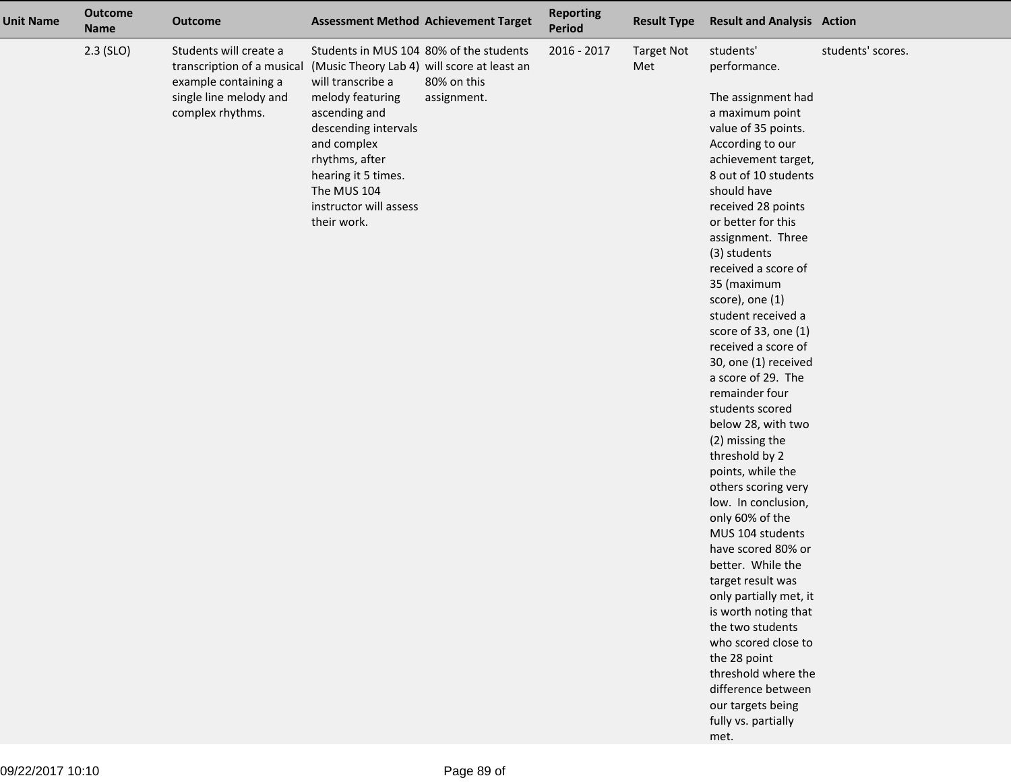| <b>Unit Name</b> | <b>Outcome</b><br><b>Name</b> | <b>Outcome</b>                                                                                                             |                                                                                                                                                                                                                                                                                          | <b>Assessment Method Achievement Target</b> | <b>Reporting</b><br><b>Period</b> | <b>Result Type</b>       | <b>Result and Analysis Action</b>                                                                                                                                                                                                                                                                                                                                                                                                                                                                                                                                                                                                                                                                                                                                                                                                                                                                                                |                   |
|------------------|-------------------------------|----------------------------------------------------------------------------------------------------------------------------|------------------------------------------------------------------------------------------------------------------------------------------------------------------------------------------------------------------------------------------------------------------------------------------|---------------------------------------------|-----------------------------------|--------------------------|----------------------------------------------------------------------------------------------------------------------------------------------------------------------------------------------------------------------------------------------------------------------------------------------------------------------------------------------------------------------------------------------------------------------------------------------------------------------------------------------------------------------------------------------------------------------------------------------------------------------------------------------------------------------------------------------------------------------------------------------------------------------------------------------------------------------------------------------------------------------------------------------------------------------------------|-------------------|
|                  | $2.3$ (SLO)                   | Students will create a<br>transcription of a musical<br>example containing a<br>single line melody and<br>complex rhythms. | Students in MUS 104 80% of the students<br>(Music Theory Lab 4) will score at least an<br>will transcribe a<br>melody featuring<br>ascending and<br>descending intervals<br>and complex<br>rhythms, after<br>hearing it 5 times.<br>The MUS 104<br>instructor will assess<br>their work. | 80% on this<br>assignment.                  | 2016 - 2017                       | <b>Target Not</b><br>Met | students'<br>performance.<br>The assignment had<br>a maximum point<br>value of 35 points.<br>According to our<br>achievement target,<br>8 out of 10 students<br>should have<br>received 28 points<br>or better for this<br>assignment. Three<br>(3) students<br>received a score of<br>35 (maximum<br>score), one (1)<br>student received a<br>score of 33, one (1)<br>received a score of<br>30, one (1) received<br>a score of 29. The<br>remainder four<br>students scored<br>below 28, with two<br>(2) missing the<br>threshold by 2<br>points, while the<br>others scoring very<br>low. In conclusion,<br>only 60% of the<br>MUS 104 students<br>have scored 80% or<br>better. While the<br>target result was<br>only partially met, it<br>is worth noting that<br>the two students<br>who scored close to<br>the 28 point<br>threshold where the<br>difference between<br>our targets being<br>fully vs. partially<br>met. | students' scores. |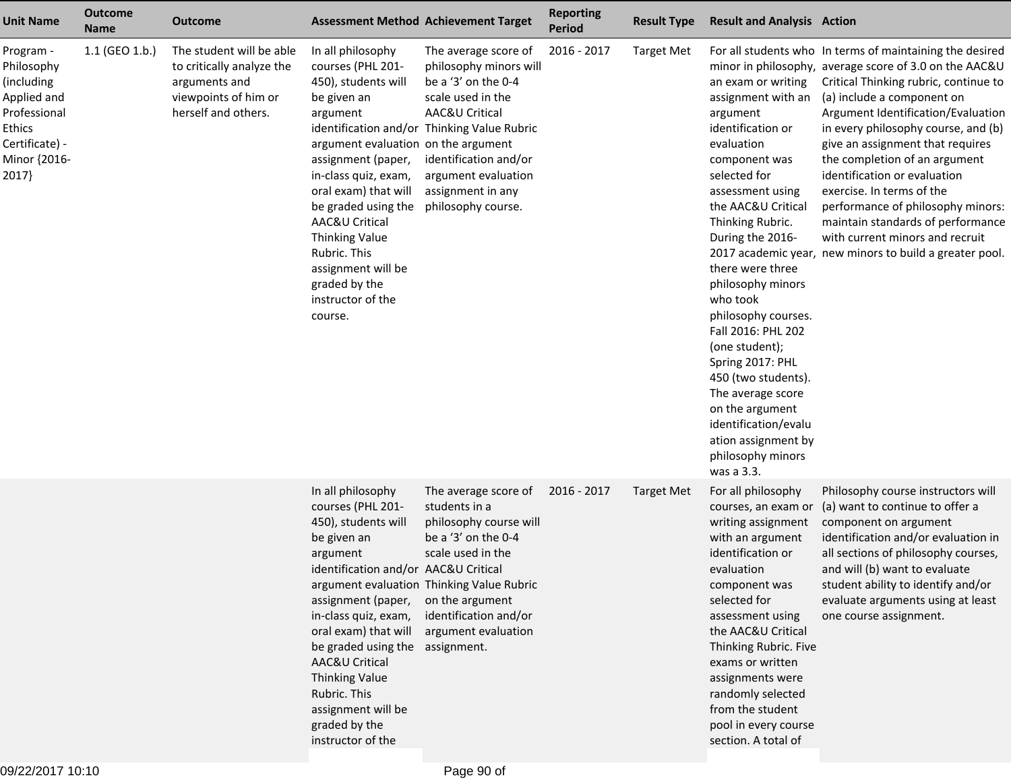| <b>Unit Name</b>                                                                                                          | <b>Outcome</b><br><b>Name</b> | <b>Outcome</b>                                                                                                        |                                                                                                                                                                                                                                                                                                                                                           | <b>Assessment Method Achievement Target</b>                                                                                                                                                                                                            | <b>Reporting</b><br><b>Period</b> | <b>Result Type</b> | <b>Result and Analysis Action</b>                                                                                                                                                                                                                                                                                                                                                                                                                                                                   |                                                                                                                                                                                                                                                                                                                                                                                                                                                                                                                                                                                  |
|---------------------------------------------------------------------------------------------------------------------------|-------------------------------|-----------------------------------------------------------------------------------------------------------------------|-----------------------------------------------------------------------------------------------------------------------------------------------------------------------------------------------------------------------------------------------------------------------------------------------------------------------------------------------------------|--------------------------------------------------------------------------------------------------------------------------------------------------------------------------------------------------------------------------------------------------------|-----------------------------------|--------------------|-----------------------------------------------------------------------------------------------------------------------------------------------------------------------------------------------------------------------------------------------------------------------------------------------------------------------------------------------------------------------------------------------------------------------------------------------------------------------------------------------------|----------------------------------------------------------------------------------------------------------------------------------------------------------------------------------------------------------------------------------------------------------------------------------------------------------------------------------------------------------------------------------------------------------------------------------------------------------------------------------------------------------------------------------------------------------------------------------|
| Program -<br>Philosophy<br>(including<br>Applied and<br>Professional<br>Ethics<br>Certificate) -<br>Minor {2016-<br>2017} | 1.1 (GEO 1.b.)                | The student will be able<br>to critically analyze the<br>arguments and<br>viewpoints of him or<br>herself and others. | In all philosophy<br>courses (PHL 201-<br>450), students will<br>be given an<br>argument<br>argument evaluation on the argument<br>assignment (paper,<br>in-class quiz, exam,<br>oral exam) that will<br>be graded using the<br>AAC&U Critical<br>Thinking Value<br>Rubric. This<br>assignment will be<br>graded by the<br>instructor of the<br>course.   | The average score of<br>philosophy minors will<br>be a '3' on the 0-4<br>scale used in the<br>AAC&U Critical<br>identification and/or Thinking Value Rubric<br>identification and/or<br>argument evaluation<br>assignment in any<br>philosophy course. | 2016 - 2017                       | <b>Target Met</b>  | an exam or writing<br>assignment with an<br>argument<br>identification or<br>evaluation<br>component was<br>selected for<br>assessment using<br>the AAC&U Critical<br>Thinking Rubric.<br>During the 2016-<br>there were three<br>philosophy minors<br>who took<br>philosophy courses.<br>Fall 2016: PHL 202<br>(one student);<br>Spring 2017: PHL<br>450 (two students).<br>The average score<br>on the argument<br>identification/evalu<br>ation assignment by<br>philosophy minors<br>was a 3.3. | For all students who In terms of maintaining the desired<br>minor in philosophy, average score of 3.0 on the AAC&U<br>Critical Thinking rubric, continue to<br>(a) include a component on<br>Argument Identification/Evaluation<br>in every philosophy course, and (b)<br>give an assignment that requires<br>the completion of an argument<br>identification or evaluation<br>exercise. In terms of the<br>performance of philosophy minors:<br>maintain standards of performance<br>with current minors and recruit<br>2017 academic year, new minors to build a greater pool. |
|                                                                                                                           |                               |                                                                                                                       | In all philosophy<br>courses (PHL 201-<br>450), students will<br>be given an<br>argument<br>identification and/or AAC&U Critical<br>assignment (paper,<br>in-class quiz, exam,<br>oral exam) that will<br>be graded using the assignment.<br>AAC&U Critical<br>Thinking Value<br>Rubric. This<br>assignment will be<br>graded by the<br>instructor of the | The average score of<br>students in a<br>philosophy course will<br>be a '3' on the 0-4<br>scale used in the<br>argument evaluation Thinking Value Rubric<br>on the argument<br>identification and/or<br>argument evaluation                            | 2016 - 2017                       | <b>Target Met</b>  | For all philosophy<br>courses, an exam or<br>writing assignment<br>with an argument<br>identification or<br>evaluation<br>component was<br>selected for<br>assessment using<br>the AAC&U Critical<br>Thinking Rubric. Five<br>exams or written<br>assignments were<br>randomly selected<br>from the student<br>pool in every course<br>section. A total of                                                                                                                                          | Philosophy course instructors will<br>(a) want to continue to offer a<br>component on argument<br>identification and/or evaluation in<br>all sections of philosophy courses,<br>and will (b) want to evaluate<br>student ability to identify and/or<br>evaluate arguments using at least<br>one course assignment.                                                                                                                                                                                                                                                               |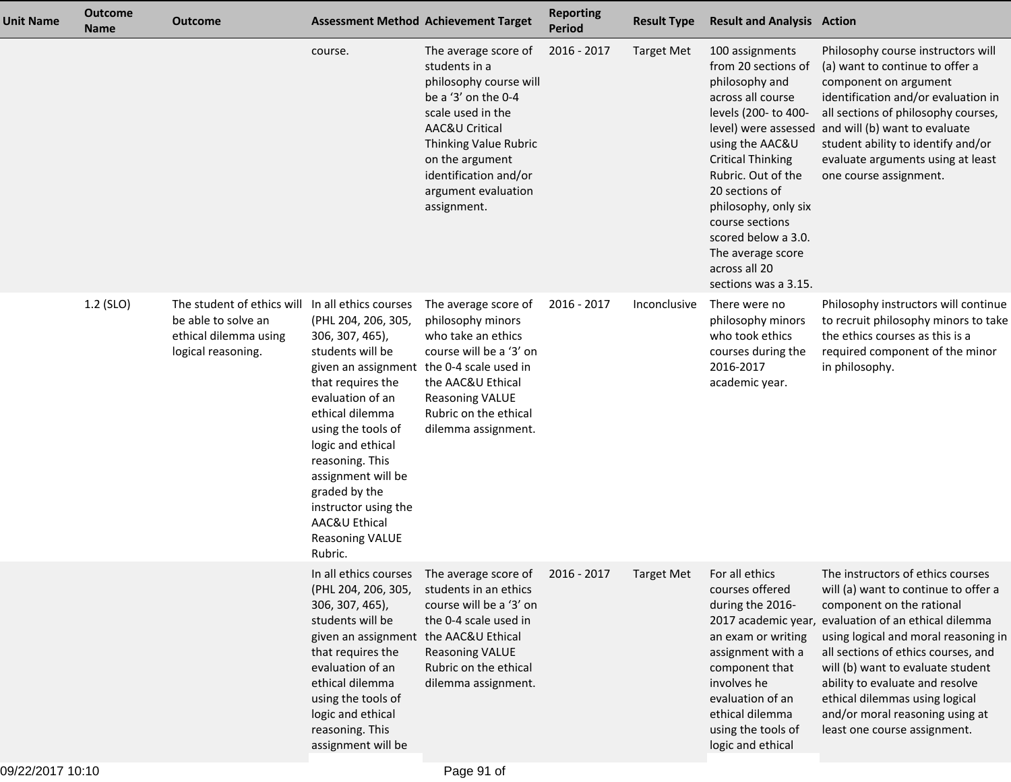| <b>Unit Name</b> | <b>Outcome</b><br><b>Name</b> | <b>Outcome</b>                                                                                   |                                                                                                                                                                                                                                                                                                                                                                                            | <b>Assessment Method Achievement Target</b>                                                                                                                                                                                              | <b>Reporting</b><br><b>Period</b> | <b>Result Type</b> | <b>Result and Analysis Action</b>                                                                                                                                                                                                                                                                                            |                                                                                                                                                                                                                                                                                                                                                                                                                            |
|------------------|-------------------------------|--------------------------------------------------------------------------------------------------|--------------------------------------------------------------------------------------------------------------------------------------------------------------------------------------------------------------------------------------------------------------------------------------------------------------------------------------------------------------------------------------------|------------------------------------------------------------------------------------------------------------------------------------------------------------------------------------------------------------------------------------------|-----------------------------------|--------------------|------------------------------------------------------------------------------------------------------------------------------------------------------------------------------------------------------------------------------------------------------------------------------------------------------------------------------|----------------------------------------------------------------------------------------------------------------------------------------------------------------------------------------------------------------------------------------------------------------------------------------------------------------------------------------------------------------------------------------------------------------------------|
|                  |                               |                                                                                                  | course.                                                                                                                                                                                                                                                                                                                                                                                    | The average score of<br>students in a<br>philosophy course will<br>be a '3' on the 0-4<br>scale used in the<br>AAC&U Critical<br>Thinking Value Rubric<br>on the argument<br>identification and/or<br>argument evaluation<br>assignment. | 2016 - 2017                       | <b>Target Met</b>  | 100 assignments<br>from 20 sections of<br>philosophy and<br>across all course<br>levels (200- to 400-<br>using the AAC&U<br><b>Critical Thinking</b><br>Rubric. Out of the<br>20 sections of<br>philosophy, only six<br>course sections<br>scored below a 3.0.<br>The average score<br>across all 20<br>sections was a 3.15. | Philosophy course instructors will<br>(a) want to continue to offer a<br>component on argument<br>identification and/or evaluation in<br>all sections of philosophy courses,<br>level) were assessed and will (b) want to evaluate<br>student ability to identify and/or<br>evaluate arguments using at least<br>one course assignment.                                                                                    |
|                  | 1.2 (SLO)                     | The student of ethics will<br>be able to solve an<br>ethical dilemma using<br>logical reasoning. | In all ethics courses<br>(PHL 204, 206, 305,<br>306, 307, 465),<br>students will be<br>given an assignment the 0-4 scale used in<br>that requires the<br>evaluation of an<br>ethical dilemma<br>using the tools of<br>logic and ethical<br>reasoning. This<br>assignment will be<br>graded by the<br>instructor using the<br><b>AAC&amp;U Ethical</b><br><b>Reasoning VALUE</b><br>Rubric. | The average score of<br>philosophy minors<br>who take an ethics<br>course will be a '3' on<br>the AAC&U Ethical<br><b>Reasoning VALUE</b><br>Rubric on the ethical<br>dilemma assignment.                                                | 2016 - 2017                       | Inconclusive       | There were no<br>philosophy minors<br>who took ethics<br>courses during the<br>2016-2017<br>academic year.                                                                                                                                                                                                                   | Philosophy instructors will continue<br>to recruit philosophy minors to take<br>the ethics courses as this is a<br>required component of the minor<br>in philosophy.                                                                                                                                                                                                                                                       |
|                  |                               |                                                                                                  | (PHL 204, 206, 305,<br>306, 307, 465),<br>students will be<br>given an assignment the AAC&U Ethical<br>that requires the<br>evaluation of an<br>ethical dilemma<br>using the tools of<br>logic and ethical<br>reasoning. This<br>assignment will be                                                                                                                                        | In all ethics courses The average score of 2016 - 2017<br>students in an ethics<br>course will be a '3' on<br>the 0-4 scale used in<br><b>Reasoning VALUE</b><br>Rubric on the ethical<br>dilemma assignment.                            |                                   | <b>Target Met</b>  | For all ethics<br>courses offered<br>during the 2016-<br>an exam or writing<br>assignment with a<br>component that<br>involves he<br>evaluation of an<br>ethical dilemma<br>using the tools of<br>logic and ethical                                                                                                          | The instructors of ethics courses<br>will (a) want to continue to offer a<br>component on the rational<br>2017 academic year, evaluation of an ethical dilemma<br>using logical and moral reasoning in<br>all sections of ethics courses, and<br>will (b) want to evaluate student<br>ability to evaluate and resolve<br>ethical dilemmas using logical<br>and/or moral reasoning using at<br>least one course assignment. |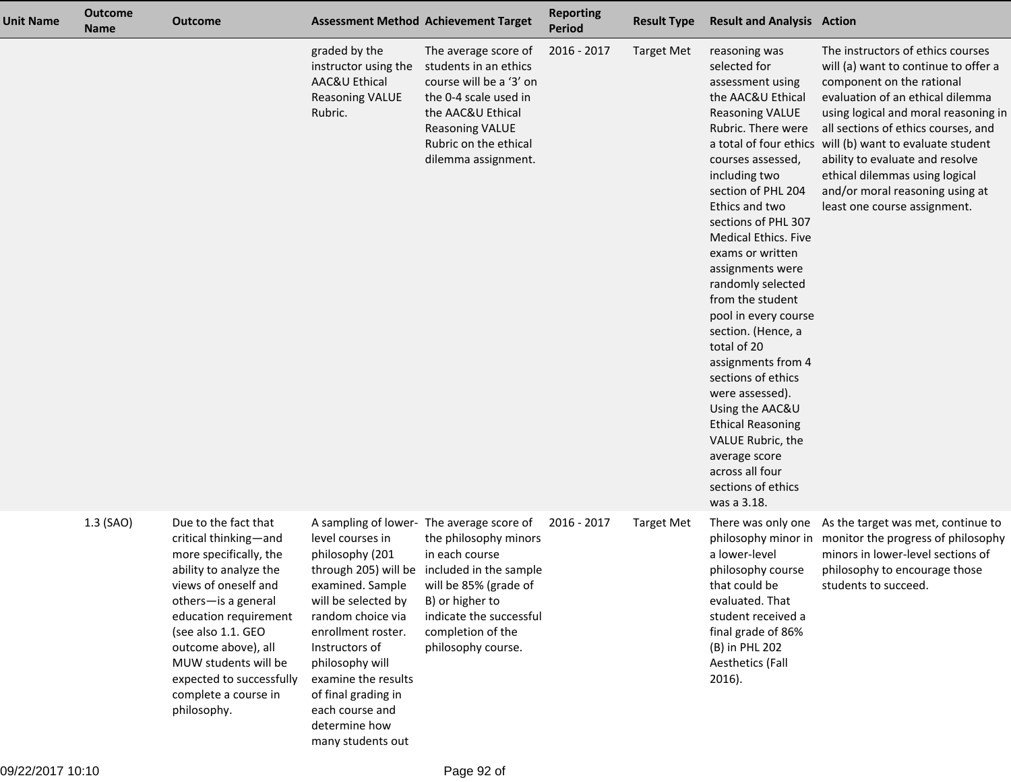| <b>Unit Name</b> | <b>Outcome</b><br><b>Name</b> | <b>Outcome</b>                                                                                                                                                                                                                                                                                                    |                                                                                                                                                                                                                                                  | <b>Assessment Method Achievement Target</b>                                                                                                                                                                                                           | <b>Reporting</b><br><b>Period</b> | <b>Result Type</b> | <b>Result and Analysis Action</b>                                                                                                                                                                                                                                                                                                                                                                                                                                                                                                                                                                                    |                                                                                                                                                                                                                                                                                                                                                                                                                               |
|------------------|-------------------------------|-------------------------------------------------------------------------------------------------------------------------------------------------------------------------------------------------------------------------------------------------------------------------------------------------------------------|--------------------------------------------------------------------------------------------------------------------------------------------------------------------------------------------------------------------------------------------------|-------------------------------------------------------------------------------------------------------------------------------------------------------------------------------------------------------------------------------------------------------|-----------------------------------|--------------------|----------------------------------------------------------------------------------------------------------------------------------------------------------------------------------------------------------------------------------------------------------------------------------------------------------------------------------------------------------------------------------------------------------------------------------------------------------------------------------------------------------------------------------------------------------------------------------------------------------------------|-------------------------------------------------------------------------------------------------------------------------------------------------------------------------------------------------------------------------------------------------------------------------------------------------------------------------------------------------------------------------------------------------------------------------------|
|                  |                               |                                                                                                                                                                                                                                                                                                                   | graded by the<br>instructor using the<br>AAC&U Ethical<br><b>Reasoning VALUE</b><br>Rubric.                                                                                                                                                      | The average score of<br>students in an ethics<br>course will be a '3' on<br>the 0-4 scale used in<br>the AAC&U Ethical<br><b>Reasoning VALUE</b><br>Rubric on the ethical<br>dilemma assignment.                                                      | 2016 - 2017                       | <b>Target Met</b>  | reasoning was<br>selected for<br>assessment using<br>the AAC&U Ethical<br><b>Reasoning VALUE</b><br>Rubric. There were<br>courses assessed,<br>including two<br>section of PHL 204<br>Ethics and two<br>sections of PHL 307<br><b>Medical Ethics. Five</b><br>exams or written<br>assignments were<br>randomly selected<br>from the student<br>pool in every course<br>section. (Hence, a<br>total of 20<br>assignments from 4<br>sections of ethics<br>were assessed).<br>Using the AAC&U<br><b>Ethical Reasoning</b><br>VALUE Rubric, the<br>average score<br>across all four<br>sections of ethics<br>was a 3.18. | The instructors of ethics courses<br>will (a) want to continue to offer a<br>component on the rational<br>evaluation of an ethical dilemma<br>using logical and moral reasoning in<br>all sections of ethics courses, and<br>a total of four ethics will (b) want to evaluate student<br>ability to evaluate and resolve<br>ethical dilemmas using logical<br>and/or moral reasoning using at<br>least one course assignment. |
|                  | 1.3 (SAO)                     | Due to the fact that<br>critical thinking-and<br>more specifically, the<br>ability to analyze the<br>views of oneself and<br>others-is a general<br>education requirement<br>(see also 1.1. GEO<br>outcome above), all<br>MUW students will be<br>expected to successfully<br>complete a course in<br>philosophy. | level courses in<br>philosophy (201<br>examined. Sample<br>will be selected by<br>random choice via<br>enrollment roster.<br>Instructors of<br>philosophy will<br>examine the results<br>of final grading in<br>each course and<br>determine how | A sampling of lower- The average score of<br>the philosophy minors<br>in each course<br>through 205) will be included in the sample<br>will be 85% (grade of<br>B) or higher to<br>indicate the successful<br>completion of the<br>philosophy course. | 2016 - 2017                       | <b>Target Met</b>  | There was only one<br>philosophy minor in<br>a lower-level<br>philosophy course<br>that could be<br>evaluated. That<br>student received a<br>final grade of 86%<br>(B) in PHL 202<br>Aesthetics (Fall<br>$2016$ ).                                                                                                                                                                                                                                                                                                                                                                                                   | As the target was met, continue to<br>monitor the progress of philosophy<br>minors in lower-level sections of<br>philosophy to encourage those<br>students to succeed.                                                                                                                                                                                                                                                        |

many students out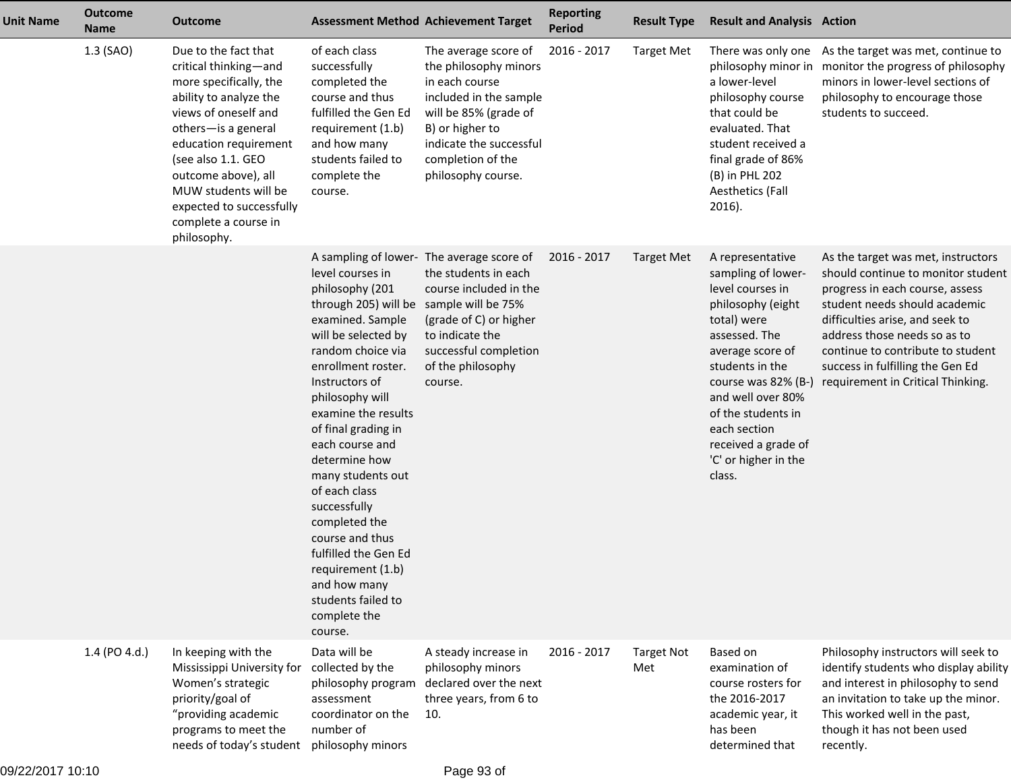| <b>Unit Name</b> | <b>Outcome</b><br><b>Name</b> | <b>Outcome</b>                                                                                                                                                                                                                                                                                                    | <b>Assessment Method Achievement Target</b>                                                                                                                                                                                                                                                                                                                                                                                                                                                         |                                                                                                                                                                                                             | <b>Reporting</b><br><b>Period</b> | <b>Result Type</b>       | <b>Result and Analysis Action</b>                                                                                                                                                                                                                                                                 |                                                                                                                                                                                                                                                                                                                               |
|------------------|-------------------------------|-------------------------------------------------------------------------------------------------------------------------------------------------------------------------------------------------------------------------------------------------------------------------------------------------------------------|-----------------------------------------------------------------------------------------------------------------------------------------------------------------------------------------------------------------------------------------------------------------------------------------------------------------------------------------------------------------------------------------------------------------------------------------------------------------------------------------------------|-------------------------------------------------------------------------------------------------------------------------------------------------------------------------------------------------------------|-----------------------------------|--------------------------|---------------------------------------------------------------------------------------------------------------------------------------------------------------------------------------------------------------------------------------------------------------------------------------------------|-------------------------------------------------------------------------------------------------------------------------------------------------------------------------------------------------------------------------------------------------------------------------------------------------------------------------------|
|                  | 1.3 (SAO)                     | Due to the fact that<br>critical thinking-and<br>more specifically, the<br>ability to analyze the<br>views of oneself and<br>others-is a general<br>education requirement<br>(see also 1.1. GEO<br>outcome above), all<br>MUW students will be<br>expected to successfully<br>complete a course in<br>philosophy. | of each class<br>successfully<br>completed the<br>course and thus<br>fulfilled the Gen Ed<br>requirement (1.b)<br>and how many<br>students failed to<br>complete the<br>course.                                                                                                                                                                                                                                                                                                                     | The average score of<br>the philosophy minors<br>in each course<br>included in the sample<br>will be 85% (grade of<br>B) or higher to<br>indicate the successful<br>completion of the<br>philosophy course. | 2016 - 2017                       | <b>Target Met</b>        | There was only one<br>philosophy minor in<br>a lower-level<br>philosophy course<br>that could be<br>evaluated. That<br>student received a<br>final grade of 86%<br>(B) in PHL 202<br><b>Aesthetics (Fall</b><br>2016).                                                                            | As the target was met, continue to<br>monitor the progress of philosophy<br>minors in lower-level sections of<br>philosophy to encourage those<br>students to succeed.                                                                                                                                                        |
|                  |                               |                                                                                                                                                                                                                                                                                                                   | level courses in<br>philosophy (201<br>through 205) will be sample will be 75%<br>examined. Sample<br>will be selected by<br>random choice via<br>enrollment roster.<br>Instructors of<br>philosophy will<br>examine the results<br>of final grading in<br>each course and<br>determine how<br>many students out<br>of each class<br>successfully<br>completed the<br>course and thus<br>fulfilled the Gen Ed<br>requirement (1.b)<br>and how many<br>students failed to<br>complete the<br>course. | A sampling of lower- The average score of<br>the students in each<br>course included in the<br>(grade of C) or higher<br>to indicate the<br>successful completion<br>of the philosophy<br>course.           | 2016 - 2017                       | <b>Target Met</b>        | A representative<br>sampling of lower-<br>level courses in<br>philosophy (eight<br>total) were<br>assessed. The<br>average score of<br>students in the<br>course was 82% (B-)<br>and well over 80%<br>of the students in<br>each section<br>received a grade of<br>'C' or higher in the<br>class. | As the target was met, instructors<br>should continue to monitor student<br>progress in each course, assess<br>student needs should academic<br>difficulties arise, and seek to<br>address those needs so as to<br>continue to contribute to student<br>success in fulfilling the Gen Ed<br>requirement in Critical Thinking. |
|                  | 1.4 (PO 4.d.)                 | In keeping with the<br>Mississippi University for<br>Women's strategic<br>priority/goal of<br>"providing academic<br>programs to meet the<br>needs of today's student                                                                                                                                             | Data will be<br>collected by the<br>assessment<br>coordinator on the<br>number of<br>philosophy minors                                                                                                                                                                                                                                                                                                                                                                                              | A steady increase in<br>philosophy minors<br>philosophy program declared over the next<br>three years, from 6 to<br>10.                                                                                     | 2016 - 2017                       | <b>Target Not</b><br>Met | <b>Based on</b><br>examination of<br>course rosters for<br>the 2016-2017<br>academic year, it<br>has been<br>determined that                                                                                                                                                                      | Philosophy instructors will seek to<br>identify students who display ability<br>and interest in philosophy to send<br>an invitation to take up the minor.<br>This worked well in the past,<br>though it has not been used<br>recently.                                                                                        |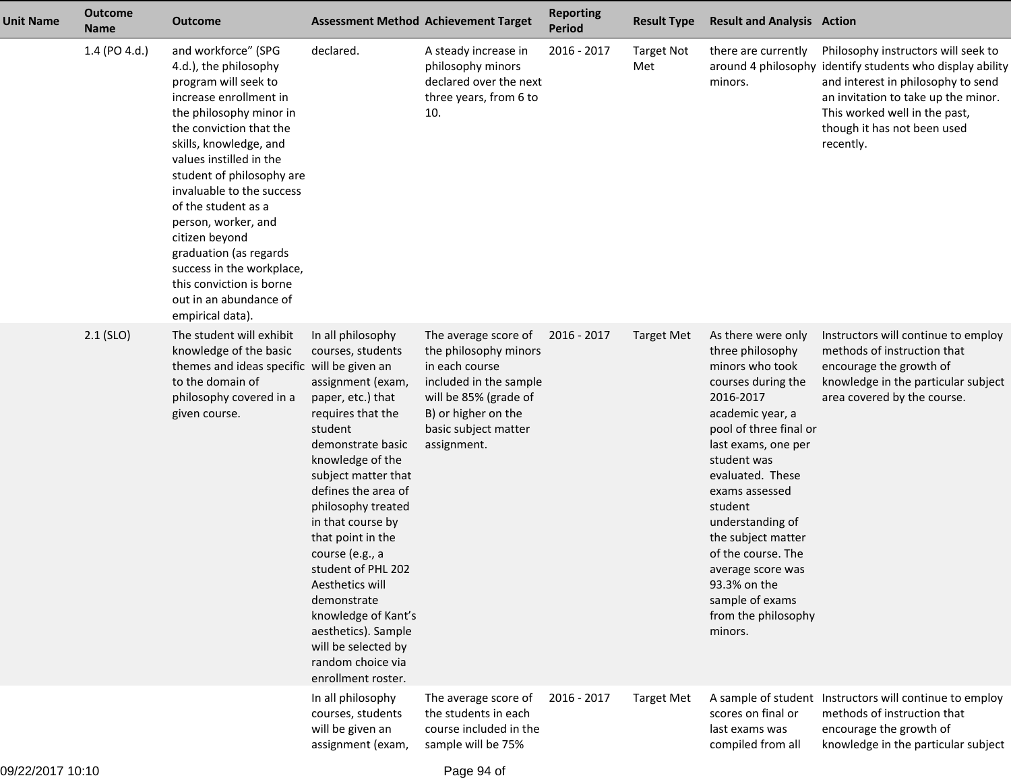| <b>Unit Name</b> | <b>Outcome</b><br><b>Name</b> | <b>Outcome</b>                                                                                                                                                                                                                                                                                                                                                                                                                                                       |                                                                                                                                                                                                                                                                                                                                                                                                                                                                    | <b>Assessment Method Achievement Target</b>                                                                                                                                      | <b>Reporting</b><br>Period | <b>Result Type</b>       | <b>Result and Analysis Action</b>                                                                                                                                                                                                                                                                                                                                                           |                                                                                                                                                                                                                                                            |
|------------------|-------------------------------|----------------------------------------------------------------------------------------------------------------------------------------------------------------------------------------------------------------------------------------------------------------------------------------------------------------------------------------------------------------------------------------------------------------------------------------------------------------------|--------------------------------------------------------------------------------------------------------------------------------------------------------------------------------------------------------------------------------------------------------------------------------------------------------------------------------------------------------------------------------------------------------------------------------------------------------------------|----------------------------------------------------------------------------------------------------------------------------------------------------------------------------------|----------------------------|--------------------------|---------------------------------------------------------------------------------------------------------------------------------------------------------------------------------------------------------------------------------------------------------------------------------------------------------------------------------------------------------------------------------------------|------------------------------------------------------------------------------------------------------------------------------------------------------------------------------------------------------------------------------------------------------------|
|                  | 1.4 (PO 4.d.)                 | and workforce" (SPG<br>4.d.), the philosophy<br>program will seek to<br>increase enrollment in<br>the philosophy minor in<br>the conviction that the<br>skills, knowledge, and<br>values instilled in the<br>student of philosophy are<br>invaluable to the success<br>of the student as a<br>person, worker, and<br>citizen beyond<br>graduation (as regards<br>success in the workplace,<br>this conviction is borne<br>out in an abundance of<br>empirical data). | declared.                                                                                                                                                                                                                                                                                                                                                                                                                                                          | A steady increase in<br>philosophy minors<br>declared over the next<br>three years, from 6 to<br>10.                                                                             | 2016 - 2017                | <b>Target Not</b><br>Met | there are currently<br>minors.                                                                                                                                                                                                                                                                                                                                                              | Philosophy instructors will seek to<br>around 4 philosophy identify students who display ability<br>and interest in philosophy to send<br>an invitation to take up the minor.<br>This worked well in the past,<br>though it has not been used<br>recently. |
|                  | $2.1$ (SLO)                   | The student will exhibit<br>knowledge of the basic<br>themes and ideas specific will be given an<br>to the domain of<br>philosophy covered in a<br>given course.                                                                                                                                                                                                                                                                                                     | In all philosophy<br>courses, students<br>assignment (exam,<br>paper, etc.) that<br>requires that the<br>student<br>demonstrate basic<br>knowledge of the<br>subject matter that<br>defines the area of<br>philosophy treated<br>in that course by<br>that point in the<br>course (e.g., a<br>student of PHL 202<br>Aesthetics will<br>demonstrate<br>knowledge of Kant's<br>aesthetics). Sample<br>will be selected by<br>random choice via<br>enrollment roster. | The average score of<br>the philosophy minors<br>in each course<br>included in the sample<br>will be 85% (grade of<br>B) or higher on the<br>basic subject matter<br>assignment. | 2016 - 2017                | Target Met               | As there were only<br>three philosophy<br>minors who took<br>courses during the<br>2016-2017<br>academic year, a<br>pool of three final or<br>last exams, one per<br>student was<br>evaluated. These<br>exams assessed<br>student<br>understanding of<br>the subject matter<br>of the course. The<br>average score was<br>93.3% on the<br>sample of exams<br>from the philosophy<br>minors. | Instructors will continue to employ<br>methods of instruction that<br>encourage the growth of<br>knowledge in the particular subject<br>area covered by the course.                                                                                        |
|                  |                               |                                                                                                                                                                                                                                                                                                                                                                                                                                                                      | In all philosophy<br>courses, students<br>will be given an<br>assignment (exam,                                                                                                                                                                                                                                                                                                                                                                                    | The average score of<br>the students in each<br>course included in the<br>sample will be 75%                                                                                     | 2016 - 2017                | <b>Target Met</b>        | scores on final or<br>last exams was<br>compiled from all                                                                                                                                                                                                                                                                                                                                   | A sample of student Instructors will continue to employ<br>methods of instruction that<br>encourage the growth of<br>knowledge in the particular subject                                                                                                   |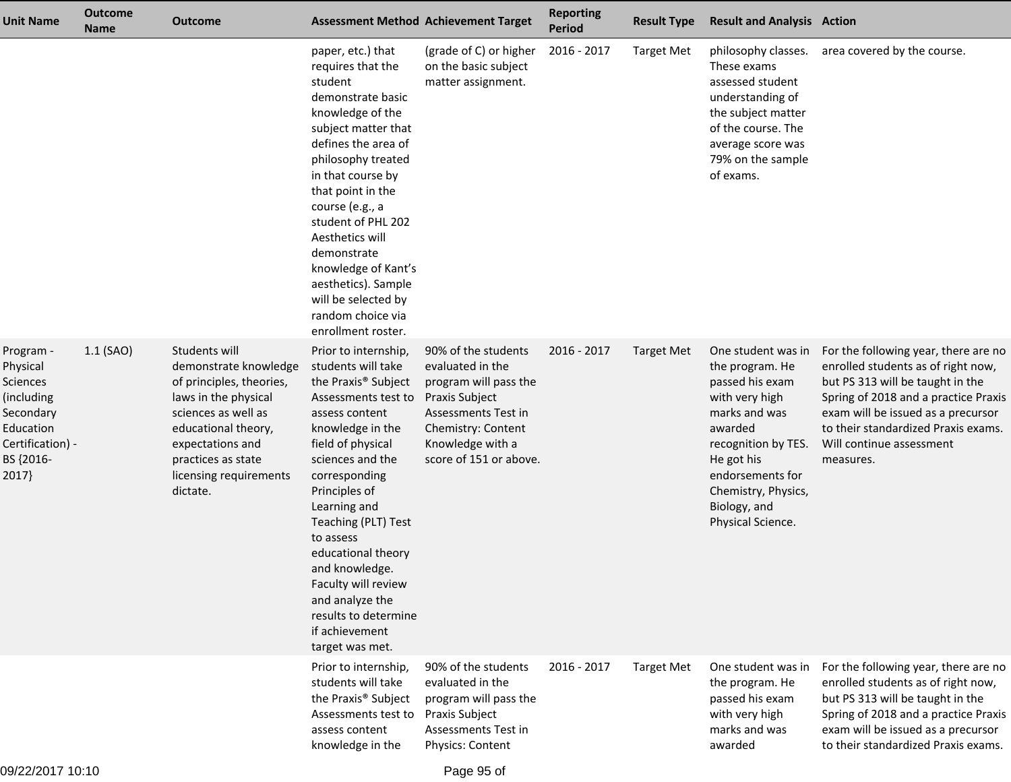| <b>Unit Name</b>                                                                                                    | <b>Outcome</b><br><b>Name</b> | <b>Outcome</b>                                                                                                                                                                                                           |                                                                                                                                                                                                                                                                                                                                                                                                                          | <b>Assessment Method Achievement Target</b>                                                                                                                                   | <b>Reporting</b><br><b>Period</b> | <b>Result Type</b> | <b>Result and Analysis Action</b>                                                                                                                                                                                           |                                                                                                                                                                                                                                                                              |
|---------------------------------------------------------------------------------------------------------------------|-------------------------------|--------------------------------------------------------------------------------------------------------------------------------------------------------------------------------------------------------------------------|--------------------------------------------------------------------------------------------------------------------------------------------------------------------------------------------------------------------------------------------------------------------------------------------------------------------------------------------------------------------------------------------------------------------------|-------------------------------------------------------------------------------------------------------------------------------------------------------------------------------|-----------------------------------|--------------------|-----------------------------------------------------------------------------------------------------------------------------------------------------------------------------------------------------------------------------|------------------------------------------------------------------------------------------------------------------------------------------------------------------------------------------------------------------------------------------------------------------------------|
|                                                                                                                     |                               |                                                                                                                                                                                                                          | paper, etc.) that<br>requires that the<br>student<br>demonstrate basic<br>knowledge of the<br>subject matter that<br>defines the area of<br>philosophy treated<br>in that course by<br>that point in the<br>course (e.g., a<br>student of PHL 202<br>Aesthetics will<br>demonstrate<br>knowledge of Kant's<br>aesthetics). Sample<br>will be selected by<br>random choice via<br>enrollment roster.                      | (grade of C) or higher<br>on the basic subject<br>matter assignment.                                                                                                          | 2016 - 2017                       | <b>Target Met</b>  | philosophy classes.<br>These exams<br>assessed student<br>understanding of<br>the subject matter<br>of the course. The<br>average score was<br>79% on the sample<br>of exams.                                               | area covered by the course.                                                                                                                                                                                                                                                  |
| Program -<br>Physical<br>Sciences<br>(including<br>Secondary<br>Education<br>Certification) -<br>BS {2016-<br>2017} | $1.1$ (SAO)                   | Students will<br>demonstrate knowledge<br>of principles, theories,<br>laws in the physical<br>sciences as well as<br>educational theory,<br>expectations and<br>practices as state<br>licensing requirements<br>dictate. | Prior to internship,<br>students will take<br>the Praxis <sup>®</sup> Subject<br>Assessments test to<br>assess content<br>knowledge in the<br>field of physical<br>sciences and the<br>corresponding<br>Principles of<br>Learning and<br>Teaching (PLT) Test<br>to assess<br>educational theory<br>and knowledge.<br>Faculty will review<br>and analyze the<br>results to determine<br>if achievement<br>target was met. | 90% of the students<br>evaluated in the<br>program will pass the<br>Praxis Subject<br>Assessments Test in<br>Chemistry: Content<br>Knowledge with a<br>score of 151 or above. | 2016 - 2017                       | <b>Target Met</b>  | One student was in<br>the program. He<br>passed his exam<br>with very high<br>marks and was<br>awarded<br>recognition by TES.<br>He got his<br>endorsements for<br>Chemistry, Physics,<br>Biology, and<br>Physical Science. | For the following year, there are no<br>enrolled students as of right now,<br>but PS 313 will be taught in the<br>Spring of 2018 and a practice Praxis<br>exam will be issued as a precursor<br>to their standardized Praxis exams.<br>Will continue assessment<br>measures. |
|                                                                                                                     |                               |                                                                                                                                                                                                                          | Prior to internship,<br>students will take<br>the Praxis <sup>®</sup> Subject<br>Assessments test to<br>assess content<br>knowledge in the                                                                                                                                                                                                                                                                               | 90% of the students<br>evaluated in the<br>program will pass the<br>Praxis Subject<br>Assessments Test in<br>Physics: Content                                                 | 2016 - 2017                       | <b>Target Met</b>  | One student was in<br>the program. He<br>passed his exam<br>with very high<br>marks and was<br>awarded                                                                                                                      | For the following year, there are no<br>enrolled students as of right now,<br>but PS 313 will be taught in the<br>Spring of 2018 and a practice Praxis<br>exam will be issued as a precursor<br>to their standardized Praxis exams.                                          |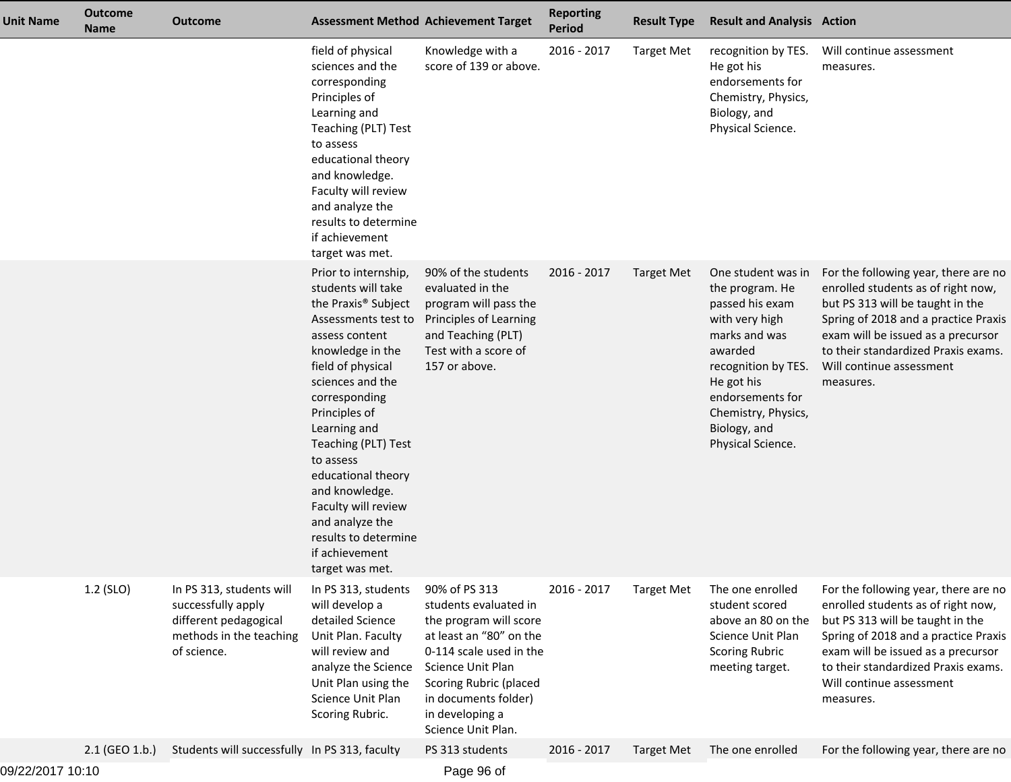| <b>Unit Name</b> | <b>Outcome</b><br><b>Name</b> | <b>Outcome</b>                                                                                                    |                                                                                                                                                                                                                                                                                                                                                                                                                          | <b>Assessment Method Achievement Target</b>                                                                                                                                                                                            | <b>Reporting</b><br><b>Period</b> | <b>Result Type</b> | <b>Result and Analysis Action</b>                                                                                                                                                                                           |                                                                                                                                                                                                                                                                              |
|------------------|-------------------------------|-------------------------------------------------------------------------------------------------------------------|--------------------------------------------------------------------------------------------------------------------------------------------------------------------------------------------------------------------------------------------------------------------------------------------------------------------------------------------------------------------------------------------------------------------------|----------------------------------------------------------------------------------------------------------------------------------------------------------------------------------------------------------------------------------------|-----------------------------------|--------------------|-----------------------------------------------------------------------------------------------------------------------------------------------------------------------------------------------------------------------------|------------------------------------------------------------------------------------------------------------------------------------------------------------------------------------------------------------------------------------------------------------------------------|
|                  |                               |                                                                                                                   | field of physical<br>sciences and the<br>corresponding<br>Principles of<br>Learning and<br>Teaching (PLT) Test<br>to assess<br>educational theory<br>and knowledge.<br>Faculty will review<br>and analyze the<br>results to determine<br>if achievement<br>target was met.                                                                                                                                               | Knowledge with a<br>score of 139 or above.                                                                                                                                                                                             | 2016 - 2017                       | <b>Target Met</b>  | recognition by TES.<br>He got his<br>endorsements for<br>Chemistry, Physics,<br>Biology, and<br>Physical Science.                                                                                                           | Will continue assessment<br>measures.                                                                                                                                                                                                                                        |
|                  |                               |                                                                                                                   | Prior to internship,<br>students will take<br>the Praxis <sup>®</sup> Subject<br>Assessments test to<br>assess content<br>knowledge in the<br>field of physical<br>sciences and the<br>corresponding<br>Principles of<br>Learning and<br>Teaching (PLT) Test<br>to assess<br>educational theory<br>and knowledge.<br>Faculty will review<br>and analyze the<br>results to determine<br>if achievement<br>target was met. | 90% of the students<br>evaluated in the<br>program will pass the<br>Principles of Learning<br>and Teaching (PLT)<br>Test with a score of<br>157 or above.                                                                              | 2016 - 2017                       | Target Met         | One student was in<br>the program. He<br>passed his exam<br>with very high<br>marks and was<br>awarded<br>recognition by TES.<br>He got his<br>endorsements for<br>Chemistry, Physics,<br>Biology, and<br>Physical Science. | For the following year, there are no<br>enrolled students as of right now,<br>but PS 313 will be taught in the<br>Spring of 2018 and a practice Praxis<br>exam will be issued as a precursor<br>to their standardized Praxis exams.<br>Will continue assessment<br>measures. |
|                  | 1.2 (SLO)                     | In PS 313, students will<br>successfully apply<br>different pedagogical<br>methods in the teaching<br>of science. | In PS 313, students<br>will develop a<br>detailed Science<br>Unit Plan. Faculty<br>will review and<br>analyze the Science<br>Unit Plan using the<br>Science Unit Plan<br>Scoring Rubric.                                                                                                                                                                                                                                 | 90% of PS 313<br>students evaluated in<br>the program will score<br>at least an "80" on the<br>0-114 scale used in the<br>Science Unit Plan<br>Scoring Rubric (placed<br>in documents folder)<br>in developing a<br>Science Unit Plan. | 2016 - 2017                       | <b>Target Met</b>  | The one enrolled<br>student scored<br>above an 80 on the<br>Science Unit Plan<br><b>Scoring Rubric</b><br>meeting target.                                                                                                   | For the following year, there are no<br>enrolled students as of right now,<br>but PS 313 will be taught in the<br>Spring of 2018 and a practice Praxis<br>exam will be issued as a precursor<br>to their standardized Praxis exams.<br>Will continue assessment<br>measures. |
|                  | 2.1 (GEO 1.b.)                | Students will successfully In PS 313, faculty                                                                     |                                                                                                                                                                                                                                                                                                                                                                                                                          | PS 313 students                                                                                                                                                                                                                        | 2016 - 2017                       | <b>Target Met</b>  | The one enrolled                                                                                                                                                                                                            | For the following year, there are no                                                                                                                                                                                                                                         |
|                  |                               |                                                                                                                   |                                                                                                                                                                                                                                                                                                                                                                                                                          |                                                                                                                                                                                                                                        |                                   |                    |                                                                                                                                                                                                                             |                                                                                                                                                                                                                                                                              |

Page 96 of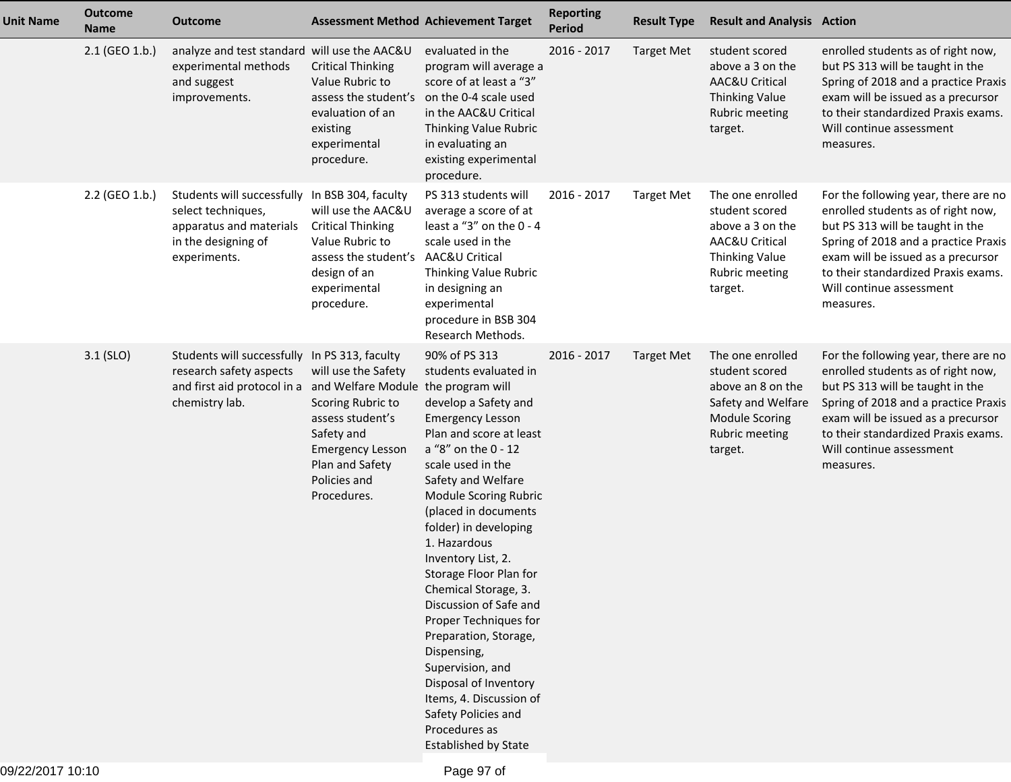| <b>Unit Name</b> | <b>Outcome</b><br><b>Name</b> | <b>Outcome</b>                                                                                                                               |                                                                                                                                                         | <b>Assessment Method Achievement Target</b>                                                                                                                                                                                                                                                                                                                                                                                                                                                                                                                                                                            | <b>Reporting</b><br><b>Period</b> | <b>Result Type</b> | <b>Result and Analysis Action</b>                                                                                                   |                                                                                                                                                                                                                                                                              |
|------------------|-------------------------------|----------------------------------------------------------------------------------------------------------------------------------------------|---------------------------------------------------------------------------------------------------------------------------------------------------------|------------------------------------------------------------------------------------------------------------------------------------------------------------------------------------------------------------------------------------------------------------------------------------------------------------------------------------------------------------------------------------------------------------------------------------------------------------------------------------------------------------------------------------------------------------------------------------------------------------------------|-----------------------------------|--------------------|-------------------------------------------------------------------------------------------------------------------------------------|------------------------------------------------------------------------------------------------------------------------------------------------------------------------------------------------------------------------------------------------------------------------------|
|                  | 2.1 (GEO 1.b.)                | analyze and test standard will use the AAC&U<br>experimental methods<br>and suggest<br>improvements.                                         | <b>Critical Thinking</b><br>Value Rubric to<br>assess the student's<br>evaluation of an<br>existing<br>experimental<br>procedure.                       | evaluated in the<br>program will average a<br>score of at least a "3"<br>on the 0-4 scale used<br>in the AAC&U Critical<br>Thinking Value Rubric<br>in evaluating an<br>existing experimental<br>procedure.                                                                                                                                                                                                                                                                                                                                                                                                            | 2016 - 2017                       | <b>Target Met</b>  | student scored<br>above a 3 on the<br>AAC&U Critical<br><b>Thinking Value</b><br>Rubric meeting<br>target.                          | enrolled students as of right now,<br>but PS 313 will be taught in the<br>Spring of 2018 and a practice Praxis<br>exam will be issued as a precursor<br>to their standardized Praxis exams.<br>Will continue assessment<br>measures.                                         |
|                  | 2.2 (GEO 1.b.)                | Students will successfully In BSB 304, faculty<br>select techniques,<br>apparatus and materials<br>in the designing of<br>experiments.       | will use the AAC&U<br><b>Critical Thinking</b><br>Value Rubric to<br>assess the student's<br>design of an<br>experimental<br>procedure.                 | PS 313 students will<br>average a score of at<br>least a "3" on the 0 - 4<br>scale used in the<br>AAC&U Critical<br>Thinking Value Rubric<br>in designing an<br>experimental<br>procedure in BSB 304<br>Research Methods.                                                                                                                                                                                                                                                                                                                                                                                              | 2016 - 2017                       | <b>Target Met</b>  | The one enrolled<br>student scored<br>above a 3 on the<br>AAC&U Critical<br>Thinking Value<br>Rubric meeting<br>target.             | For the following year, there are no<br>enrolled students as of right now,<br>but PS 313 will be taught in the<br>Spring of 2018 and a practice Praxis<br>exam will be issued as a precursor<br>to their standardized Praxis exams.<br>Will continue assessment<br>measures. |
|                  | $3.1$ (SLO)                   | Students will successfully In PS 313, faculty<br>research safety aspects<br>and first aid protocol in a and Welfare Module<br>chemistry lab. | will use the Safety<br>Scoring Rubric to<br>assess student's<br>Safety and<br><b>Emergency Lesson</b><br>Plan and Safety<br>Policies and<br>Procedures. | 90% of PS 313<br>students evaluated in<br>the program will<br>develop a Safety and<br><b>Emergency Lesson</b><br>Plan and score at least<br>a "8" on the 0 - 12<br>scale used in the<br>Safety and Welfare<br>Module Scoring Rubric<br>(placed in documents<br>folder) in developing<br>1. Hazardous<br>Inventory List, 2.<br>Storage Floor Plan for<br>Chemical Storage, 3.<br>Discussion of Safe and<br>Proper Techniques for<br>Preparation, Storage,<br>Dispensing,<br>Supervision, and<br>Disposal of Inventory<br>Items, 4. Discussion of<br>Safety Policies and<br>Procedures as<br><b>Established by State</b> | 2016 - 2017                       | <b>Target Met</b>  | The one enrolled<br>student scored<br>above an 8 on the<br>Safety and Welfare<br><b>Module Scoring</b><br>Rubric meeting<br>target. | For the following year, there are no<br>enrolled students as of right now,<br>but PS 313 will be taught in the<br>Spring of 2018 and a practice Praxis<br>exam will be issued as a precursor<br>to their standardized Praxis exams.<br>Will continue assessment<br>measures. |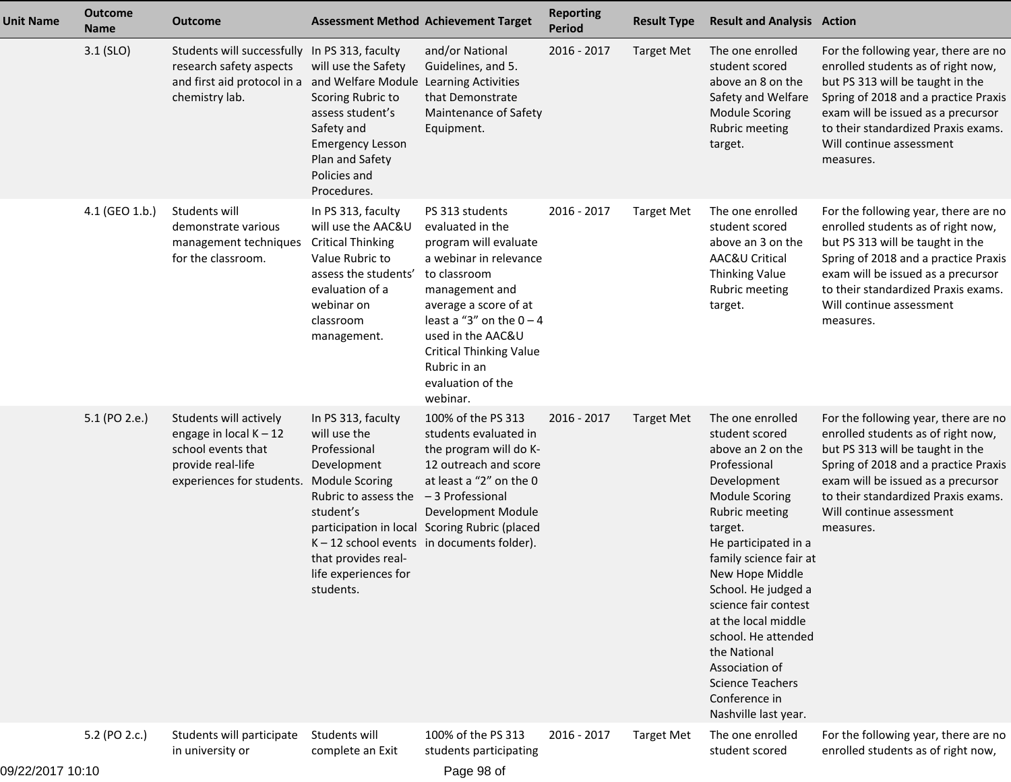| <b>Unit Name</b> | <b>Outcome</b><br><b>Name</b> | <b>Outcome</b>                                                                                                                                                   |                                                                                                                                                                              | <b>Assessment Method Achievement Target</b>                                                                                                                                                                                                                                             | <b>Reporting</b><br>Period | <b>Result Type</b> | <b>Result and Analysis Action</b>                                                                                                                                                                                                                                                                                                                                                                                    |                                                                                                                                                                                                                                                                              |
|------------------|-------------------------------|------------------------------------------------------------------------------------------------------------------------------------------------------------------|------------------------------------------------------------------------------------------------------------------------------------------------------------------------------|-----------------------------------------------------------------------------------------------------------------------------------------------------------------------------------------------------------------------------------------------------------------------------------------|----------------------------|--------------------|----------------------------------------------------------------------------------------------------------------------------------------------------------------------------------------------------------------------------------------------------------------------------------------------------------------------------------------------------------------------------------------------------------------------|------------------------------------------------------------------------------------------------------------------------------------------------------------------------------------------------------------------------------------------------------------------------------|
|                  | $3.1$ (SLO)                   | Students will successfully In PS 313, faculty<br>research safety aspects<br>and first aid protocol in a and Welfare Module Learning Activities<br>chemistry lab. | will use the Safety<br>Scoring Rubric to<br>assess student's<br>Safety and<br><b>Emergency Lesson</b><br>Plan and Safety<br>Policies and<br>Procedures.                      | and/or National<br>Guidelines, and 5.<br>that Demonstrate<br>Maintenance of Safety<br>Equipment.                                                                                                                                                                                        | 2016 - 2017                | <b>Target Met</b>  | The one enrolled<br>student scored<br>above an 8 on the<br>Safety and Welfare<br><b>Module Scoring</b><br><b>Rubric meeting</b><br>target.                                                                                                                                                                                                                                                                           | For the following year, there are no<br>enrolled students as of right now,<br>but PS 313 will be taught in the<br>Spring of 2018 and a practice Praxis<br>exam will be issued as a precursor<br>to their standardized Praxis exams.<br>Will continue assessment<br>measures. |
|                  | 4.1 (GEO 1.b.)                | Students will<br>demonstrate various<br>management techniques<br>for the classroom.                                                                              | In PS 313, faculty<br>will use the AAC&U<br><b>Critical Thinking</b><br>Value Rubric to<br>assess the students'<br>evaluation of a<br>webinar on<br>classroom<br>management. | PS 313 students<br>evaluated in the<br>program will evaluate<br>a webinar in relevance<br>to classroom<br>management and<br>average a score of at<br>least a "3" on the $0 - 4$<br>used in the AAC&U<br><b>Critical Thinking Value</b><br>Rubric in an<br>evaluation of the<br>webinar. | 2016 - 2017                | <b>Target Met</b>  | The one enrolled<br>student scored<br>above an 3 on the<br>AAC&U Critical<br>Thinking Value<br>Rubric meeting<br>target.                                                                                                                                                                                                                                                                                             | For the following year, there are no<br>enrolled students as of right now,<br>but PS 313 will be taught in the<br>Spring of 2018 and a practice Praxis<br>exam will be issued as a precursor<br>to their standardized Praxis exams.<br>Will continue assessment<br>measures. |
|                  | 5.1 (PO 2.e.)                 | Students will actively<br>engage in local $K - 12$<br>school events that<br>provide real-life<br>experiences for students. Module Scoring                        | In PS 313, faculty<br>will use the<br>Professional<br>Development<br>Rubric to assess the<br>student's<br>that provides real-<br>life experiences for<br>students.           | 100% of the PS 313<br>students evaluated in<br>the program will do K-<br>12 outreach and score<br>at least a "2" on the 0<br>-3 Professional<br>Development Module<br>participation in local Scoring Rubric (placed<br>$K - 12$ school events in documents folder).                     | 2016 - 2017                | <b>Target Met</b>  | The one enrolled<br>student scored<br>above an 2 on the<br>Professional<br>Development<br><b>Module Scoring</b><br>Rubric meeting<br>target.<br>He participated in a<br>family science fair at<br>New Hope Middle<br>School. He judged a<br>science fair contest<br>at the local middle<br>school. He attended<br>the National<br>Association of<br><b>Science Teachers</b><br>Conference in<br>Nashville last year. | For the following year, there are no<br>enrolled students as of right now,<br>but PS 313 will be taught in the<br>Spring of 2018 and a practice Praxis<br>exam will be issued as a precursor<br>to their standardized Praxis exams.<br>Will continue assessment<br>measures. |
|                  | 5.2 (PO 2.c.)                 | Students will participate<br>in university or                                                                                                                    | Students will<br>complete an Exit                                                                                                                                            | 100% of the PS 313<br>students participating                                                                                                                                                                                                                                            | 2016 - 2017                | <b>Target Met</b>  | The one enrolled<br>student scored                                                                                                                                                                                                                                                                                                                                                                                   | For the following year, there are no<br>enrolled students as of right now,                                                                                                                                                                                                   |

09/22/2017 10:10

Page 98 of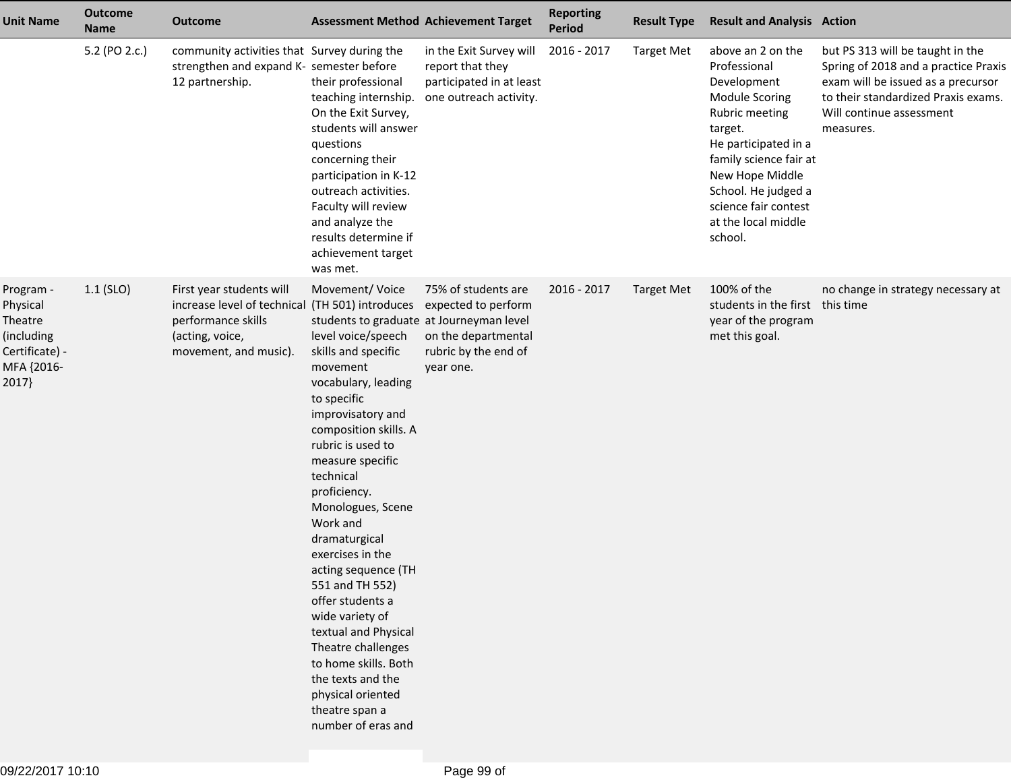| <b>Unit Name</b>                                                                        | <b>Outcome</b><br><b>Name</b> | <b>Outcome</b>                                                                                                                                | <b>Assessment Method Achievement Target</b>                                                                                                                                                                                                                                                                                                                                                                                                                                                                                                                                                  |                                                                                                        | <b>Reporting</b><br><b>Period</b> | <b>Result Type</b> | <b>Result and Analysis Action</b>                                                                                                                                                                                                                            |                                                                                                                                                                                                |
|-----------------------------------------------------------------------------------------|-------------------------------|-----------------------------------------------------------------------------------------------------------------------------------------------|----------------------------------------------------------------------------------------------------------------------------------------------------------------------------------------------------------------------------------------------------------------------------------------------------------------------------------------------------------------------------------------------------------------------------------------------------------------------------------------------------------------------------------------------------------------------------------------------|--------------------------------------------------------------------------------------------------------|-----------------------------------|--------------------|--------------------------------------------------------------------------------------------------------------------------------------------------------------------------------------------------------------------------------------------------------------|------------------------------------------------------------------------------------------------------------------------------------------------------------------------------------------------|
|                                                                                         | 5.2 (PO 2.c.)                 | community activities that Survey during the<br>strengthen and expand K- semester before<br>12 partnership.                                    | their professional<br>teaching internship.<br>On the Exit Survey,<br>students will answer<br>questions<br>concerning their<br>participation in K-12<br>outreach activities.<br>Faculty will review<br>and analyze the<br>results determine if<br>achievement target<br>was met.                                                                                                                                                                                                                                                                                                              | in the Exit Survey will<br>report that they<br>participated in at least<br>one outreach activity.      | 2016 - 2017                       | <b>Target Met</b>  | above an 2 on the<br>Professional<br>Development<br><b>Module Scoring</b><br>Rubric meeting<br>target.<br>He participated in a<br>family science fair at<br>New Hope Middle<br>School. He judged a<br>science fair contest<br>at the local middle<br>school. | but PS 313 will be taught in the<br>Spring of 2018 and a practice Praxis<br>exam will be issued as a precursor<br>to their standardized Praxis exams.<br>Will continue assessment<br>measures. |
| Program -<br>Physical<br>Theatre<br>(including<br>Certificate) -<br>MFA {2016-<br>2017} | $1.1$ (SLO)                   | First year students will<br>increase level of technical (TH 501) introduces<br>performance skills<br>(acting, voice,<br>movement, and music). | Movement/Voice<br>students to graduate at Journeyman level<br>level voice/speech<br>skills and specific<br>movement<br>vocabulary, leading<br>to specific<br>improvisatory and<br>composition skills. A<br>rubric is used to<br>measure specific<br>technical<br>proficiency.<br>Monologues, Scene<br>Work and<br>dramaturgical<br>exercises in the<br>acting sequence (TH<br>551 and TH 552)<br>offer students a<br>wide variety of<br>textual and Physical<br>Theatre challenges<br>to home skills. Both<br>the texts and the<br>physical oriented<br>theatre span a<br>number of eras and | 75% of students are<br>expected to perform<br>on the departmental<br>rubric by the end of<br>year one. | 2016 - 2017                       | <b>Target Met</b>  | 100% of the<br>students in the first this time<br>year of the program<br>met this goal.                                                                                                                                                                      | no change in strategy necessary at                                                                                                                                                             |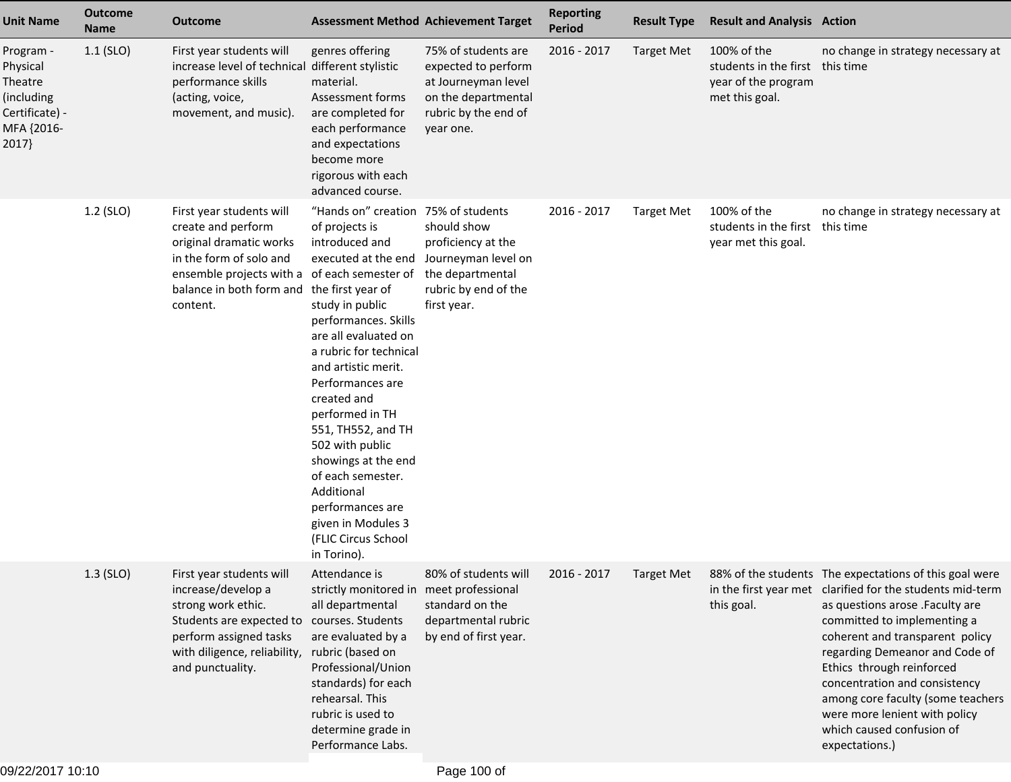| <b>Unit Name</b>                                                                        | <b>Outcome</b><br><b>Name</b> | Outcome                                                                                                                                                                                      | <b>Assessment Method Achievement Target</b>                                                                                                                                                                                                                                                                                                                                                                                                                                      |                                                                                                                               | <b>Reporting</b><br><b>Period</b> | <b>Result Type</b> | <b>Result and Analysis Action</b>                                                       |                                                                                                                                                                                                                                                                                                                                                                                                                                               |
|-----------------------------------------------------------------------------------------|-------------------------------|----------------------------------------------------------------------------------------------------------------------------------------------------------------------------------------------|----------------------------------------------------------------------------------------------------------------------------------------------------------------------------------------------------------------------------------------------------------------------------------------------------------------------------------------------------------------------------------------------------------------------------------------------------------------------------------|-------------------------------------------------------------------------------------------------------------------------------|-----------------------------------|--------------------|-----------------------------------------------------------------------------------------|-----------------------------------------------------------------------------------------------------------------------------------------------------------------------------------------------------------------------------------------------------------------------------------------------------------------------------------------------------------------------------------------------------------------------------------------------|
| Program -<br>Physical<br>Theatre<br>(including<br>Certificate) -<br>MFA {2016-<br>2017} | $1.1$ (SLO)                   | First year students will<br>increase level of technical different stylistic<br>performance skills<br>(acting, voice,<br>movement, and music).                                                | genres offering<br>material.<br>Assessment forms<br>are completed for<br>each performance<br>and expectations<br>become more<br>rigorous with each<br>advanced course.                                                                                                                                                                                                                                                                                                           | 75% of students are<br>expected to perform<br>at Journeyman level<br>on the departmental<br>rubric by the end of<br>year one. | 2016 - 2017                       | <b>Target Met</b>  | 100% of the<br>students in the first this time<br>year of the program<br>met this goal. | no change in strategy necessary at                                                                                                                                                                                                                                                                                                                                                                                                            |
|                                                                                         | 1.2 (SLO)                     | First year students will<br>create and perform<br>original dramatic works<br>in the form of solo and<br>ensemble projects with a of each semester of<br>balance in both form and<br>content. | "Hands on" creation 75% of students<br>of projects is<br>introduced and<br>executed at the end<br>the first year of<br>study in public<br>performances. Skills<br>are all evaluated on<br>a rubric for technical<br>and artistic merit.<br>Performances are<br>created and<br>performed in TH<br>551, TH552, and TH<br>502 with public<br>showings at the end<br>of each semester.<br>Additional<br>performances are<br>given in Modules 3<br>(FLIC Circus School<br>in Torino). | should show<br>proficiency at the<br>Journeyman level on<br>the departmental<br>rubric by end of the<br>first year.           | 2016 - 2017                       | <b>Target Met</b>  | 100% of the<br>students in the first<br>year met this goal.                             | no change in strategy necessary at<br>this time                                                                                                                                                                                                                                                                                                                                                                                               |
|                                                                                         | 1.3 (SLO)                     | First year students will<br>increase/develop a<br>strong work ethic.<br>Students are expected to<br>perform assigned tasks<br>with diligence, reliability,<br>and punctuality.               | Attendance is<br>strictly monitored in meet professional<br>all departmental<br>courses. Students<br>are evaluated by a<br>rubric (based on<br>Professional/Union<br>standards) for each<br>rehearsal. This<br>rubric is used to<br>determine grade in<br>Performance Labs.                                                                                                                                                                                                      | 80% of students will<br>standard on the<br>departmental rubric<br>by end of first year.                                       | 2016 - 2017                       | <b>Target Met</b>  | this goal.                                                                              | 88% of the students The expectations of this goal were<br>in the first year met clarified for the students mid-term<br>as questions arose .Faculty are<br>committed to implementing a<br>coherent and transparent policy<br>regarding Demeanor and Code of<br>Ethics through reinforced<br>concentration and consistency<br>among core faculty (some teachers<br>were more lenient with policy<br>which caused confusion of<br>expectations.) |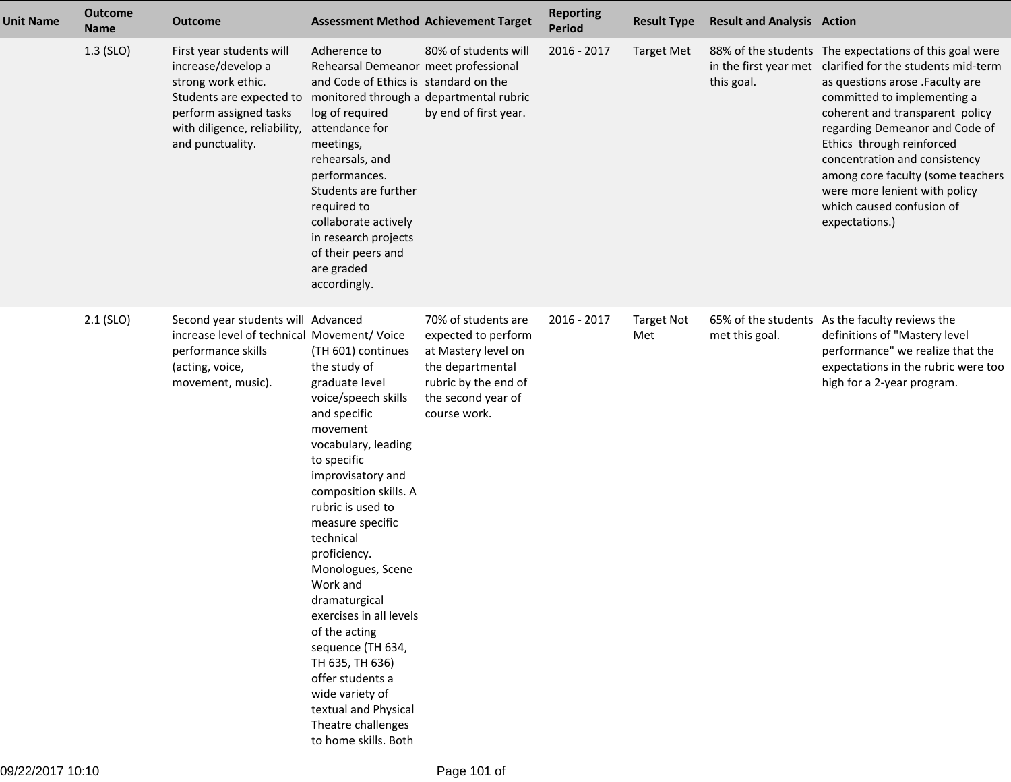| <b>Unit Name</b> | <b>Outcome</b><br><b>Name</b> | <b>Outcome</b>                                                                                                                                                                 |                                                                                                                                                                                                                                                                                                                                                                                                                                                                                                                      | <b>Assessment Method Achievement Target</b>                                                                                                         | <b>Reporting</b><br><b>Period</b> | <b>Result Type</b>       | <b>Result and Analysis Action</b> |                                                                                                                                                                                                                                                                                                                                                                                                                                               |
|------------------|-------------------------------|--------------------------------------------------------------------------------------------------------------------------------------------------------------------------------|----------------------------------------------------------------------------------------------------------------------------------------------------------------------------------------------------------------------------------------------------------------------------------------------------------------------------------------------------------------------------------------------------------------------------------------------------------------------------------------------------------------------|-----------------------------------------------------------------------------------------------------------------------------------------------------|-----------------------------------|--------------------------|-----------------------------------|-----------------------------------------------------------------------------------------------------------------------------------------------------------------------------------------------------------------------------------------------------------------------------------------------------------------------------------------------------------------------------------------------------------------------------------------------|
|                  | $1.3$ (SLO)                   | First year students will<br>increase/develop a<br>strong work ethic.<br>Students are expected to<br>perform assigned tasks<br>with diligence, reliability,<br>and punctuality. | Adherence to<br>Rehearsal Demeanor meet professional<br>and Code of Ethics is standard on the<br>monitored through a departmental rubric<br>log of required<br>attendance for<br>meetings,<br>rehearsals, and<br>performances.<br>Students are further<br>required to<br>collaborate actively<br>in research projects<br>of their peers and<br>are graded<br>accordingly.                                                                                                                                            | 80% of students will<br>by end of first year.                                                                                                       | 2016 - 2017                       | <b>Target Met</b>        | this goal.                        | 88% of the students The expectations of this goal were<br>in the first year met clarified for the students mid-term<br>as questions arose .Faculty are<br>committed to implementing a<br>coherent and transparent policy<br>regarding Demeanor and Code of<br>Ethics through reinforced<br>concentration and consistency<br>among core faculty (some teachers<br>were more lenient with policy<br>which caused confusion of<br>expectations.) |
|                  | $2.1$ (SLO)                   | Second year students will Advanced<br>increase level of technical Movement/ Voice<br>performance skills<br>(acting, voice,<br>movement, music).                                | (TH 601) continues<br>the study of<br>graduate level<br>voice/speech skills<br>and specific<br>movement<br>vocabulary, leading<br>to specific<br>improvisatory and<br>composition skills. A<br>rubric is used to<br>measure specific<br>technical<br>proficiency.<br>Monologues, Scene<br>Work and<br>dramaturgical<br>exercises in all levels<br>of the acting<br>sequence (TH 634,<br>TH 635, TH 636)<br>offer students a<br>wide variety of<br>textual and Physical<br>Theatre challenges<br>to home skills. Both | 70% of students are<br>expected to perform<br>at Mastery level on<br>the departmental<br>rubric by the end of<br>the second year of<br>course work. | 2016 - 2017                       | <b>Target Not</b><br>Met | met this goal.                    | 65% of the students As the faculty reviews the<br>definitions of "Mastery level<br>performance" we realize that the<br>expectations in the rubric were too<br>high for a 2-year program.                                                                                                                                                                                                                                                      |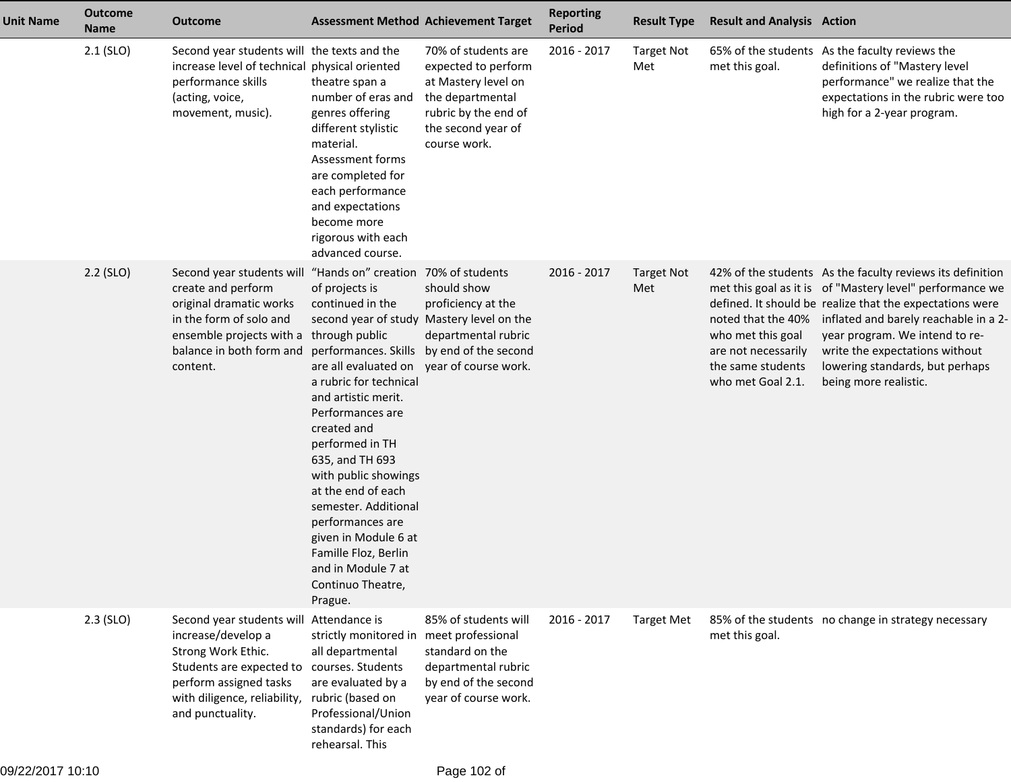| <b>Unit Name</b> | <b>Outcome</b><br><b>Name</b> | <b>Outcome</b>                                                                                                                                                                                                | <b>Assessment Method Achievement Target</b>                                                                                                                                                                                                                                                                                                                                                                                                                                                      |                                                                                                                                                     | <b>Reporting</b><br><b>Period</b> | <b>Result Type</b>       | <b>Result and Analysis Action</b>                                                                        |                                                                                                                                                                                                                                                                                                                                                            |
|------------------|-------------------------------|---------------------------------------------------------------------------------------------------------------------------------------------------------------------------------------------------------------|--------------------------------------------------------------------------------------------------------------------------------------------------------------------------------------------------------------------------------------------------------------------------------------------------------------------------------------------------------------------------------------------------------------------------------------------------------------------------------------------------|-----------------------------------------------------------------------------------------------------------------------------------------------------|-----------------------------------|--------------------------|----------------------------------------------------------------------------------------------------------|------------------------------------------------------------------------------------------------------------------------------------------------------------------------------------------------------------------------------------------------------------------------------------------------------------------------------------------------------------|
|                  | $2.1$ (SLO)                   | Second year students will the texts and the<br>increase level of technical physical oriented<br>performance skills<br>(acting, voice,<br>movement, music).                                                    | theatre span a<br>number of eras and<br>genres offering<br>different stylistic<br>material.<br>Assessment forms<br>are completed for<br>each performance<br>and expectations<br>become more<br>rigorous with each<br>advanced course.                                                                                                                                                                                                                                                            | 70% of students are<br>expected to perform<br>at Mastery level on<br>the departmental<br>rubric by the end of<br>the second year of<br>course work. | 2016 - 2017                       | <b>Target Not</b><br>Met | met this goal.                                                                                           | 65% of the students As the faculty reviews the<br>definitions of "Mastery level<br>performance" we realize that the<br>expectations in the rubric were too<br>high for a 2-year program.                                                                                                                                                                   |
|                  | $2.2$ (SLO)                   | Second year students will "Hands on" creation 70% of students<br>create and perform<br>original dramatic works<br>in the form of solo and<br>ensemble projects with a<br>balance in both form and<br>content. | of projects is<br>continued in the<br>second year of study Mastery level on the<br>through public<br>performances. Skills by end of the second<br>are all evaluated on<br>a rubric for technical<br>and artistic merit.<br>Performances are<br>created and<br>performed in TH<br>635, and TH 693<br>with public showings<br>at the end of each<br>semester. Additional<br>performances are<br>given in Module 6 at<br>Famille Floz, Berlin<br>and in Module 7 at<br>Continuo Theatre,<br>Prague. | should show<br>proficiency at the<br>departmental rubric<br>year of course work.                                                                    | 2016 - 2017                       | <b>Target Not</b><br>Met | noted that the 40%<br>who met this goal<br>are not necessarily<br>the same students<br>who met Goal 2.1. | 42% of the students As the faculty reviews its definition<br>met this goal as it is of "Mastery level" performance we<br>defined. It should be realize that the expectations were<br>inflated and barely reachable in a 2-<br>year program. We intend to re-<br>write the expectations without<br>lowering standards, but perhaps<br>being more realistic. |
|                  | 2.3 (SLO)                     | Second year students will<br>increase/develop a<br>Strong Work Ethic.<br>Students are expected to<br>perform assigned tasks<br>with diligence, reliability,<br>and punctuality.                               | Attendance is<br>strictly monitored in meet professional<br>all departmental<br>courses. Students<br>are evaluated by a<br>rubric (based on<br>Professional/Union<br>standards) for each<br>rehearsal. This                                                                                                                                                                                                                                                                                      | 85% of students will<br>standard on the<br>departmental rubric<br>by end of the second<br>year of course work.                                      | 2016 - 2017                       | <b>Target Met</b>        | met this goal.                                                                                           | 85% of the students no change in strategy necessary                                                                                                                                                                                                                                                                                                        |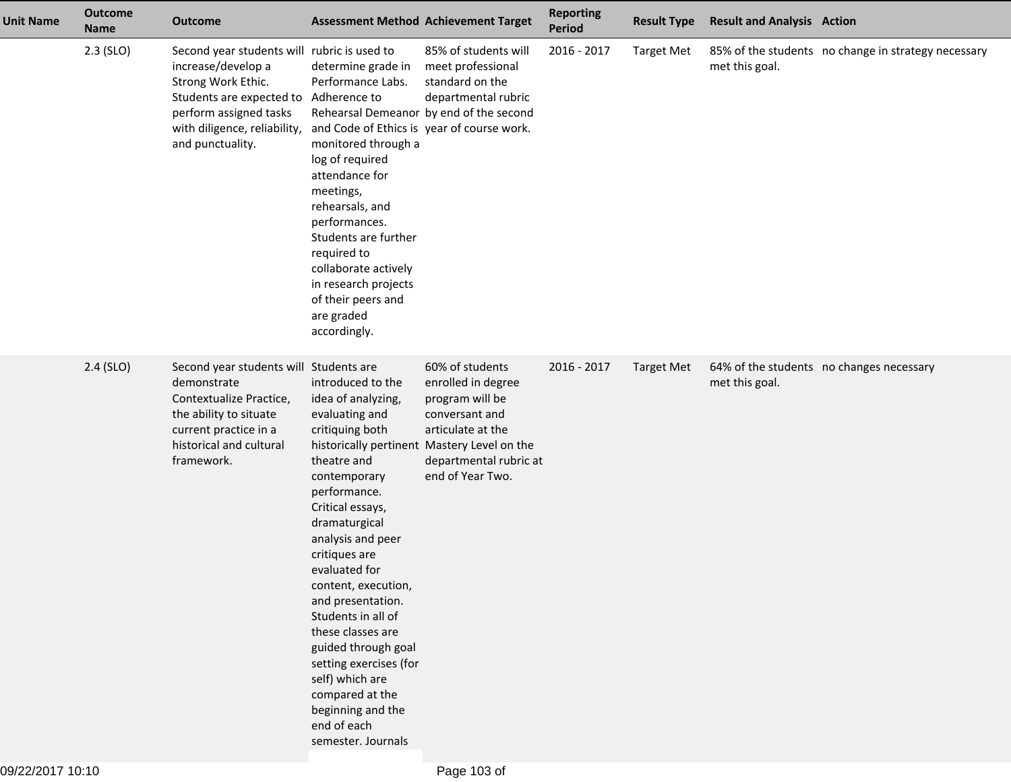| <b>Unit Name</b> | <b>Outcome</b><br><b>Name</b> | <b>Outcome</b>                                                                                                                                                                                    | <b>Assessment Method Achievement Target</b>                                                                                                                                                                                                                                                                                                                                                                                                                                                                    |                                                                                                                                               | <b>Reporting</b><br>Period | <b>Result Type</b> | <b>Result and Analysis Action</b>                          |                                                     |
|------------------|-------------------------------|---------------------------------------------------------------------------------------------------------------------------------------------------------------------------------------------------|----------------------------------------------------------------------------------------------------------------------------------------------------------------------------------------------------------------------------------------------------------------------------------------------------------------------------------------------------------------------------------------------------------------------------------------------------------------------------------------------------------------|-----------------------------------------------------------------------------------------------------------------------------------------------|----------------------------|--------------------|------------------------------------------------------------|-----------------------------------------------------|
|                  | $2.3$ (SLO)                   | Second year students will rubric is used to<br>increase/develop a<br>Strong Work Ethic.<br>Students are expected to<br>perform assigned tasks<br>with diligence, reliability,<br>and punctuality. | determine grade in<br>Performance Labs.<br>Adherence to<br>Rehearsal Demeanor by end of the second<br>and Code of Ethics is year of course work.<br>monitored through a<br>log of required<br>attendance for<br>meetings,<br>rehearsals, and<br>performances.<br>Students are further<br>required to<br>collaborate actively<br>in research projects<br>of their peers and<br>are graded<br>accordingly.                                                                                                       | 85% of students will<br>meet professional<br>standard on the<br>departmental rubric                                                           | 2016 - 2017                | <b>Target Met</b>  | met this goal.                                             | 85% of the students no change in strategy necessary |
|                  | $2.4$ (SLO)                   | Second year students will Students are<br>demonstrate<br>Contextualize Practice,<br>the ability to situate<br>current practice in a<br>historical and cultural<br>framework.                      | introduced to the<br>idea of analyzing,<br>evaluating and<br>critiquing both<br>historically pertinent Mastery Level on the<br>theatre and<br>contemporary<br>performance.<br>Critical essays,<br>dramaturgical<br>analysis and peer<br>critiques are<br>evaluated for<br>content, execution,<br>and presentation.<br>Students in all of<br>these classes are<br>guided through goal<br>setting exercises (for<br>self) which are<br>compared at the<br>beginning and the<br>end of each<br>semester. Journals | 60% of students<br>enrolled in degree<br>program will be<br>conversant and<br>articulate at the<br>departmental rubric at<br>end of Year Two. | 2016 - 2017                | <b>Target Met</b>  | 64% of the students no changes necessary<br>met this goal. |                                                     |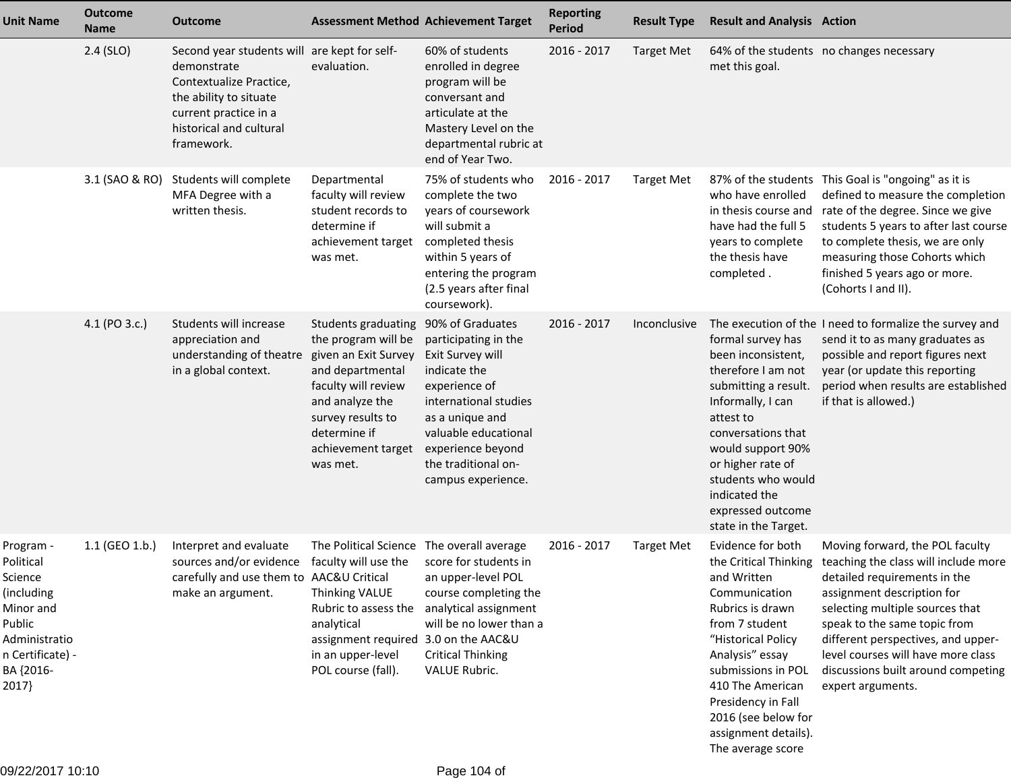| <b>Unit Name</b>                                                                                                                  | <b>Outcome</b><br><b>Name</b> | <b>Outcome</b>                                                                                                                                                                     |                                                                                                                                                                                                         | <b>Assessment Method Achievement Target</b>                                                                                                                                                                                         | <b>Reporting</b><br><b>Period</b> | <b>Result Type</b> | <b>Result and Analysis Action</b>                                                                                                                                                                                                                                           |                                                                                                                                                                                                                                                                                                                                                                       |
|-----------------------------------------------------------------------------------------------------------------------------------|-------------------------------|------------------------------------------------------------------------------------------------------------------------------------------------------------------------------------|---------------------------------------------------------------------------------------------------------------------------------------------------------------------------------------------------------|-------------------------------------------------------------------------------------------------------------------------------------------------------------------------------------------------------------------------------------|-----------------------------------|--------------------|-----------------------------------------------------------------------------------------------------------------------------------------------------------------------------------------------------------------------------------------------------------------------------|-----------------------------------------------------------------------------------------------------------------------------------------------------------------------------------------------------------------------------------------------------------------------------------------------------------------------------------------------------------------------|
|                                                                                                                                   | $2.4$ (SLO)                   | Second year students will are kept for self-<br>demonstrate<br>Contextualize Practice,<br>the ability to situate<br>current practice in a<br>historical and cultural<br>framework. | evaluation.                                                                                                                                                                                             | 60% of students<br>enrolled in degree<br>program will be<br>conversant and<br>articulate at the<br>Mastery Level on the<br>departmental rubric at<br>end of Year Two.                                                               | 2016 - 2017                       | <b>Target Met</b>  | met this goal.                                                                                                                                                                                                                                                              | 64% of the students no changes necessary                                                                                                                                                                                                                                                                                                                              |
|                                                                                                                                   | 3.1 (SAO & RO)                | Students will complete<br>MFA Degree with a<br>written thesis.                                                                                                                     | Departmental<br>faculty will review<br>student records to<br>determine if<br>achievement target<br>was met.                                                                                             | 75% of students who<br>complete the two<br>years of coursework<br>will submit a<br>completed thesis<br>within 5 years of<br>entering the program<br>(2.5 years after final<br>coursework).                                          | 2016 - 2017                       | <b>Target Met</b>  | who have enrolled<br>have had the full 5<br>years to complete<br>the thesis have<br>completed.                                                                                                                                                                              | 87% of the students This Goal is "ongoing" as it is<br>defined to measure the completion<br>in thesis course and rate of the degree. Since we give<br>students 5 years to after last course<br>to complete thesis, we are only<br>measuring those Cohorts which<br>finished 5 years ago or more.<br>(Cohorts I and II).                                               |
|                                                                                                                                   | 4.1 (PO 3.c.)                 | Students will increase<br>appreciation and<br>understanding of theatre<br>in a global context.                                                                                     | Students graduating<br>the program will be<br>given an Exit Survey<br>and departmental<br>faculty will review<br>and analyze the<br>survey results to<br>determine if<br>achievement target<br>was met. | 90% of Graduates<br>participating in the<br>Exit Survey will<br>indicate the<br>experience of<br>international studies<br>as a unique and<br>valuable educational<br>experience beyond<br>the traditional on-<br>campus experience. | $2016 - 2017$                     | Inconclusive       | formal survey has<br>been inconsistent,<br>therefore I am not<br>submitting a result.<br>Informally, I can<br>attest to<br>conversations that<br>would support 90%<br>or higher rate of<br>students who would<br>indicated the<br>expressed outcome<br>state in the Target. | The execution of the I need to formalize the survey and<br>send it to as many graduates as<br>possible and report figures next<br>year (or update this reporting<br>period when results are established<br>if that is allowed.)                                                                                                                                       |
| Program -<br>Political<br>Science<br>(including<br>Minor and<br>Public<br>Administratio<br>n Certificate) -<br>BA {2016-<br>2017} | 1.1 (GEO 1.b.)                | Interpret and evaluate<br>sources and/or evidence faculty will use the score for students in<br>carefully and use them to AAC&U Critical<br>make an argument.                      | The Political Science The overall average<br><b>Thinking VALUE</b><br>analytical<br>assignment required 3.0 on the AAC&U<br>in an upper-level<br>POL course (fall).                                     | an upper-level POL<br>course completing the<br>Rubric to assess the analytical assignment<br>will be no lower than a<br><b>Critical Thinking</b><br>VALUE Rubric.                                                                   | 2016 - 2017                       | <b>Target Met</b>  | Evidence for both<br>and Written<br>Communication<br>Rubrics is drawn<br>from 7 student<br>"Historical Policy<br>Analysis" essay<br>submissions in POL<br>410 The American<br>Presidency in Fall<br>2016 (see below for<br>assignment details).<br>The average score        | Moving forward, the POL faculty<br>the Critical Thinking teaching the class will include more<br>detailed requirements in the<br>assignment description for<br>selecting multiple sources that<br>speak to the same topic from<br>different perspectives, and upper-<br>level courses will have more class<br>discussions built around competing<br>expert arguments. |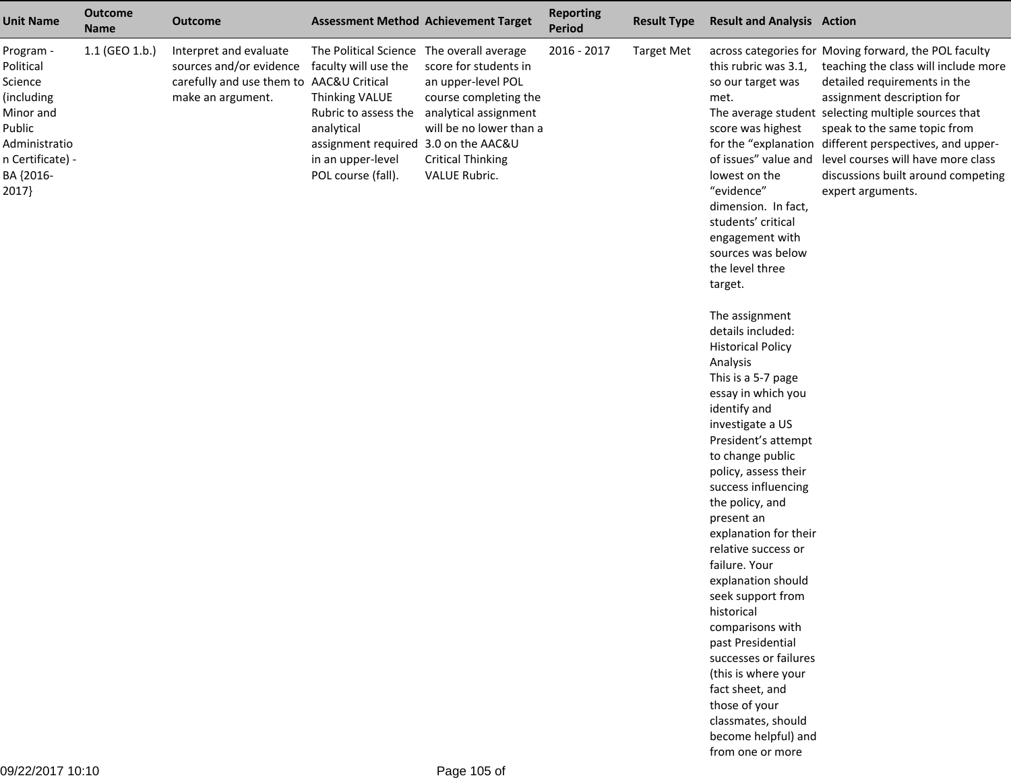| <b>Unit Name</b>                                                                                                                  | <b>Outcome</b><br><b>Name</b> | <b>Outcome</b>                                                                                                     |                                                                                                                                                                                                              | <b>Assessment Method Achievement Target</b>                                                                                                                           | <b>Reporting</b><br><b>Period</b> | <b>Result Type</b> | <b>Result and Analysis Action</b>                                                                                                                                                                                                                                                                                                                                                                                                                                                                                                                                                                                                                                                                                                                                                                                                          |                                                                                                                                                                                                                                                                                                                                                                                                                                     |
|-----------------------------------------------------------------------------------------------------------------------------------|-------------------------------|--------------------------------------------------------------------------------------------------------------------|--------------------------------------------------------------------------------------------------------------------------------------------------------------------------------------------------------------|-----------------------------------------------------------------------------------------------------------------------------------------------------------------------|-----------------------------------|--------------------|--------------------------------------------------------------------------------------------------------------------------------------------------------------------------------------------------------------------------------------------------------------------------------------------------------------------------------------------------------------------------------------------------------------------------------------------------------------------------------------------------------------------------------------------------------------------------------------------------------------------------------------------------------------------------------------------------------------------------------------------------------------------------------------------------------------------------------------------|-------------------------------------------------------------------------------------------------------------------------------------------------------------------------------------------------------------------------------------------------------------------------------------------------------------------------------------------------------------------------------------------------------------------------------------|
| Program -<br>Political<br>Science<br>(including<br>Minor and<br>Public<br>Administratio<br>n Certificate) -<br>BA {2016-<br>2017} | $1.1$ (GEO 1.b.)              | Interpret and evaluate<br>sources and/or evidence<br>carefully and use them to AAC&U Critical<br>make an argument. | The Political Science The overall average<br>faculty will use the<br>Thinking VALUE<br>Rubric to assess the<br>analytical<br>assignment required 3.0 on the AAC&U<br>in an upper-level<br>POL course (fall). | score for students in<br>an upper-level POL<br>course completing the<br>analytical assignment<br>will be no lower than a<br><b>Critical Thinking</b><br>VALUE Rubric. | 2016 - 2017                       | <b>Target Met</b>  | this rubric was 3.1,<br>so our target was<br>met.<br>score was highest<br>lowest on the<br>"evidence"<br>dimension. In fact,<br>students' critical<br>engagement with<br>sources was below<br>the level three<br>target.<br>The assignment<br>details included:<br><b>Historical Policy</b><br>Analysis<br>This is a 5-7 page<br>essay in which you<br>identify and<br>investigate a US<br>President's attempt<br>to change public<br>policy, assess their<br>success influencing<br>the policy, and<br>present an<br>explanation for their<br>relative success or<br>failure. Your<br>explanation should<br>seek support from<br>historical<br>comparisons with<br>past Presidential<br>successes or failures<br>(this is where your<br>fact sheet, and<br>those of your<br>classmates, should<br>become helpful) and<br>from one or more | across categories for Moving forward, the POL faculty<br>teaching the class will include more<br>detailed requirements in the<br>assignment description for<br>The average student selecting multiple sources that<br>speak to the same topic from<br>for the "explanation different perspectives, and upper-<br>of issues" value and level courses will have more class<br>discussions built around competing<br>expert arguments. |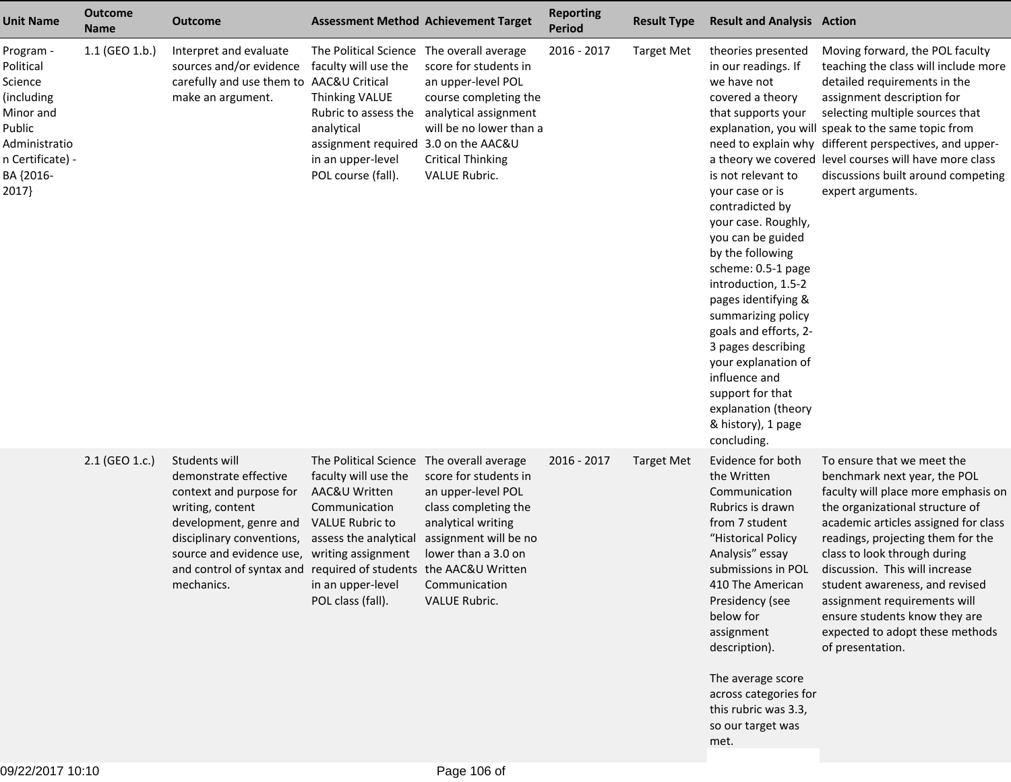| <b>Unit Name</b>                                                                                                                  | <b>Outcome</b><br><b>Name</b> | <b>Outcome</b>                                                                                                                                                                                                                                             |                                                                                                                                                                                                                        | <b>Assessment Method Achievement Target</b>                                                                                                                                 | <b>Reporting</b><br><b>Period</b> | <b>Result Type</b> | <b>Result and Analysis Action</b>                                                                                                                                                                                                                                                                                                                                                                                                                                                               |                                                                                                                                                                                                                                                                                                                                                                                                                                               |
|-----------------------------------------------------------------------------------------------------------------------------------|-------------------------------|------------------------------------------------------------------------------------------------------------------------------------------------------------------------------------------------------------------------------------------------------------|------------------------------------------------------------------------------------------------------------------------------------------------------------------------------------------------------------------------|-----------------------------------------------------------------------------------------------------------------------------------------------------------------------------|-----------------------------------|--------------------|-------------------------------------------------------------------------------------------------------------------------------------------------------------------------------------------------------------------------------------------------------------------------------------------------------------------------------------------------------------------------------------------------------------------------------------------------------------------------------------------------|-----------------------------------------------------------------------------------------------------------------------------------------------------------------------------------------------------------------------------------------------------------------------------------------------------------------------------------------------------------------------------------------------------------------------------------------------|
| Program -<br>Political<br>Science<br>(including<br>Minor and<br>Public<br>Administratio<br>n Certificate) -<br>BA {2016-<br>2017} | 1.1 (GEO 1.b.)                | Interpret and evaluate<br>sources and/or evidence<br>carefully and use them to AAC&U Critical<br>make an argument.                                                                                                                                         | The Political Science The overall average<br>faculty will use the<br>Thinking VALUE<br>Rubric to assess the<br>analytical<br>assignment required 3.0 on the AAC&U<br>in an upper-level<br>POL course (fall).           | score for students in<br>an upper-level POL<br>course completing the<br>analytical assignment<br>will be no lower than a<br><b>Critical Thinking</b><br>VALUE Rubric.       | 2016 - 2017                       | <b>Target Met</b>  | theories presented<br>in our readings. If<br>we have not<br>covered a theory<br>that supports your<br>is not relevant to<br>your case or is<br>contradicted by<br>your case. Roughly,<br>you can be guided<br>by the following<br>scheme: 0.5-1 page<br>introduction, 1.5-2<br>pages identifying &<br>summarizing policy<br>goals and efforts, 2-<br>3 pages describing<br>your explanation of<br>influence and<br>support for that<br>explanation (theory<br>& history), 1 page<br>concluding. | Moving forward, the POL faculty<br>teaching the class will include more<br>detailed requirements in the<br>assignment description for<br>selecting multiple sources that<br>explanation, you will speak to the same topic from<br>need to explain why different perspectives, and upper-<br>a theory we covered level courses will have more class<br>discussions built around competing<br>expert arguments.                                 |
|                                                                                                                                   | 2.1 (GEO 1.c.)                | Students will<br>demonstrate effective<br>context and purpose for<br>writing, content<br>development, genre and<br>disciplinary conventions,<br>source and evidence use,<br>and control of syntax and required of students the AAC&U Written<br>mechanics. | The Political Science The overall average<br>faculty will use the<br>AAC&U Written<br>Communication<br><b>VALUE Rubric to</b><br>assess the analytical<br>writing assignment<br>in an upper-level<br>POL class (fall). | score for students in<br>an upper-level POL<br>class completing the<br>analytical writing<br>assignment will be no<br>lower than a 3.0 on<br>Communication<br>VALUE Rubric. | 2016 - 2017                       | <b>Target Met</b>  | Evidence for both<br>the Written<br>Communication<br>Rubrics is drawn<br>from 7 student<br>"Historical Policy<br>Analysis" essay<br>submissions in POL<br>410 The American<br>Presidency (see<br>below for<br>assignment<br>description).<br>The average score<br>across categories for<br>this rubric was 3.3,<br>so our target was<br>met.                                                                                                                                                    | To ensure that we meet the<br>benchmark next year, the POL<br>faculty will place more emphasis on<br>the organizational structure of<br>academic articles assigned for class<br>readings, projecting them for the<br>class to look through during<br>discussion. This will increase<br>student awareness, and revised<br>assignment requirements will<br>ensure students know they are<br>expected to adopt these methods<br>of presentation. |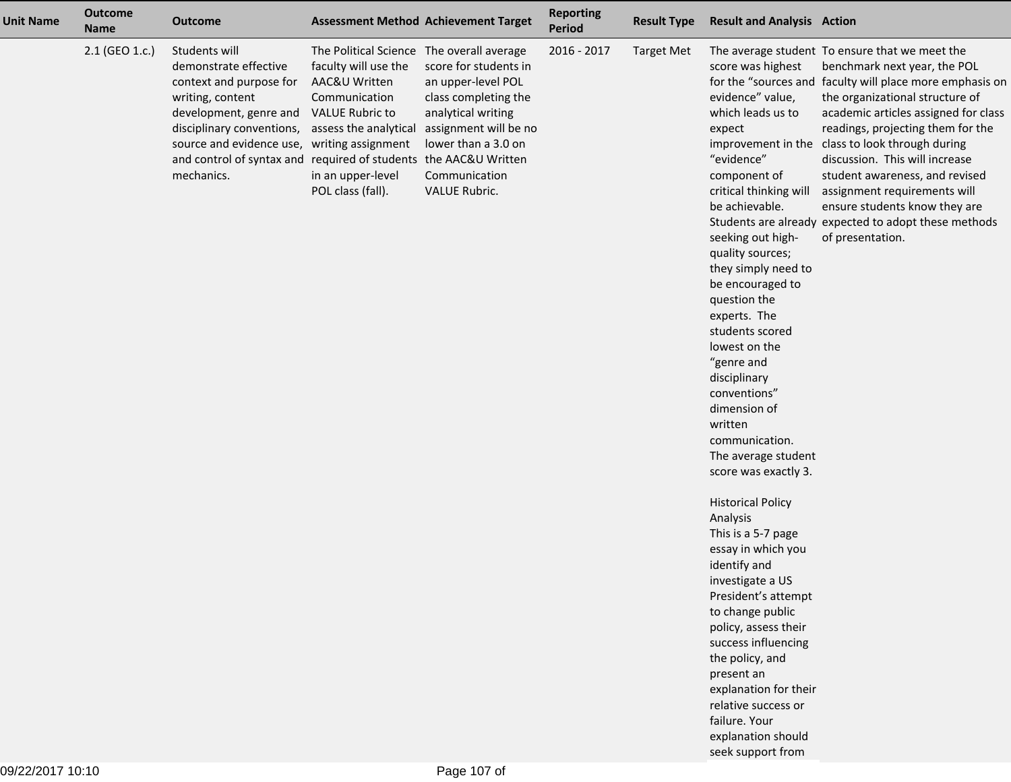| <b>Unit Name</b> | <b>Outcome</b><br><b>Name</b> | <b>Outcome</b>                                                                                                                                                                                                                                              |                                                                                                                                                                                                  | <b>Assessment Method Achievement Target</b>                                                                                                                                                      | <b>Reporting</b><br>Period | <b>Result Type</b> | <b>Result and Analysis Action</b>                                                                                                                                                                                                                                                                                                                                                                                                                                                                                                                                                                                                                                                                                                                                                                               |                                                                                                                                                                                                                                                                                                                                                                                                                                                                                                                                |
|------------------|-------------------------------|-------------------------------------------------------------------------------------------------------------------------------------------------------------------------------------------------------------------------------------------------------------|--------------------------------------------------------------------------------------------------------------------------------------------------------------------------------------------------|--------------------------------------------------------------------------------------------------------------------------------------------------------------------------------------------------|----------------------------|--------------------|-----------------------------------------------------------------------------------------------------------------------------------------------------------------------------------------------------------------------------------------------------------------------------------------------------------------------------------------------------------------------------------------------------------------------------------------------------------------------------------------------------------------------------------------------------------------------------------------------------------------------------------------------------------------------------------------------------------------------------------------------------------------------------------------------------------------|--------------------------------------------------------------------------------------------------------------------------------------------------------------------------------------------------------------------------------------------------------------------------------------------------------------------------------------------------------------------------------------------------------------------------------------------------------------------------------------------------------------------------------|
|                  | 2.1 (GEO 1.c.)                | Students will<br>demonstrate effective<br>context and purpose for<br>writing, content<br>development, genre and<br>disciplinary conventions,<br>source and evidence use, writing assignment<br>and control of syntax and required of students<br>mechanics. | The Political Science The overall average<br>faculty will use the<br>AAC&U Written<br>Communication<br><b>VALUE Rubric to</b><br>assess the analytical<br>in an upper-level<br>POL class (fall). | score for students in<br>an upper-level POL<br>class completing the<br>analytical writing<br>assignment will be no<br>lower than a 3.0 on<br>the AAC&U Written<br>Communication<br>VALUE Rubric. | 2016 - 2017                | <b>Target Met</b>  | score was highest<br>evidence" value,<br>which leads us to<br>expect<br>"evidence"<br>component of<br>critical thinking will<br>be achievable.<br>seeking out high-<br>quality sources;<br>they simply need to<br>be encouraged to<br>question the<br>experts. The<br>students scored<br>lowest on the<br>"genre and<br>disciplinary<br>conventions"<br>dimension of<br>written<br>communication.<br>The average student<br>score was exactly 3.<br><b>Historical Policy</b><br>Analysis<br>This is a 5-7 page<br>essay in which you<br>identify and<br>investigate a US<br>President's attempt<br>to change public<br>policy, assess their<br>success influencing<br>the policy, and<br>present an<br>explanation for their<br>relative success or<br>failure. Your<br>explanation should<br>seek support from | The average student To ensure that we meet the<br>benchmark next year, the POL<br>for the "sources and faculty will place more emphasis on<br>the organizational structure of<br>academic articles assigned for class<br>readings, projecting them for the<br>improvement in the class to look through during<br>discussion. This will increase<br>student awareness, and revised<br>assignment requirements will<br>ensure students know they are<br>Students are already expected to adopt these methods<br>of presentation. |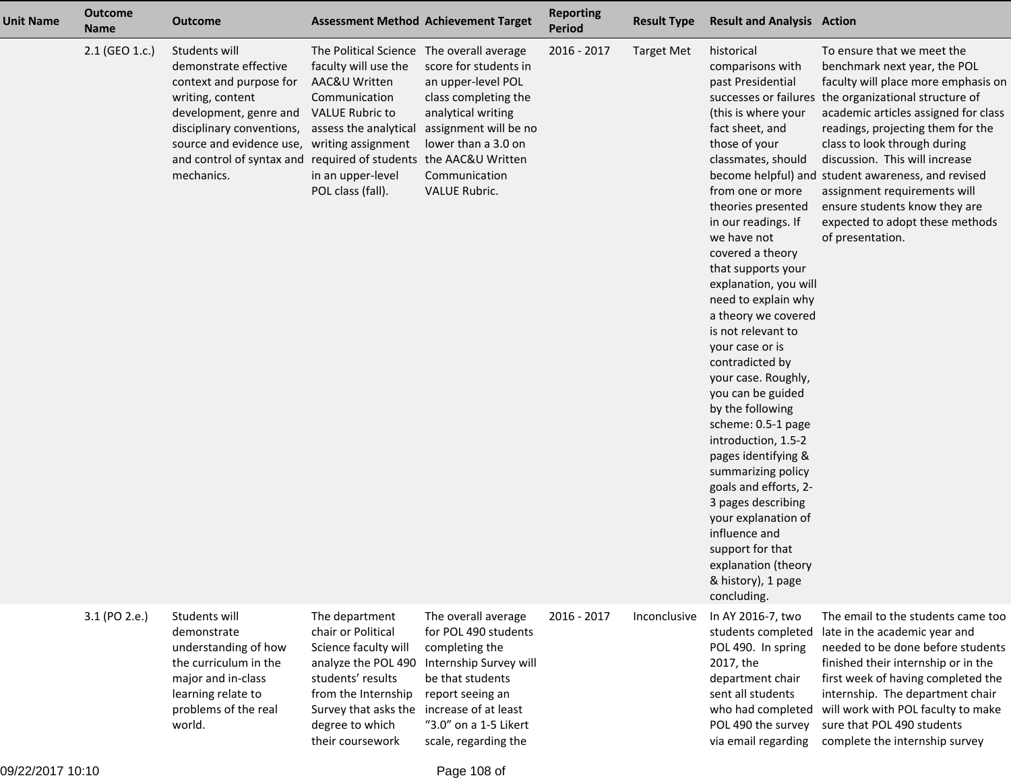| <b>Unit Name</b> | <b>Outcome</b><br>Name | <b>Outcome</b>                                                                                                                                                                                                                                              | <b>Assessment Method Achievement Target</b>                                                                                                                                                      |                                                                                                                                                                                                          | <b>Reporting</b><br><b>Period</b> | <b>Result Type</b> | <b>Result and Analysis Action</b>                                                                                                                                                                                                                                                                                                                                                                                                                                                                                                                                                                                                                                                                                                  |                                                                                                                                                                                                                                                                                                                                                                                                                                                                                         |
|------------------|------------------------|-------------------------------------------------------------------------------------------------------------------------------------------------------------------------------------------------------------------------------------------------------------|--------------------------------------------------------------------------------------------------------------------------------------------------------------------------------------------------|----------------------------------------------------------------------------------------------------------------------------------------------------------------------------------------------------------|-----------------------------------|--------------------|------------------------------------------------------------------------------------------------------------------------------------------------------------------------------------------------------------------------------------------------------------------------------------------------------------------------------------------------------------------------------------------------------------------------------------------------------------------------------------------------------------------------------------------------------------------------------------------------------------------------------------------------------------------------------------------------------------------------------------|-----------------------------------------------------------------------------------------------------------------------------------------------------------------------------------------------------------------------------------------------------------------------------------------------------------------------------------------------------------------------------------------------------------------------------------------------------------------------------------------|
|                  | 2.1 (GEO 1.c.)         | Students will<br>demonstrate effective<br>context and purpose for<br>writing, content<br>development, genre and<br>disciplinary conventions,<br>source and evidence use, writing assignment<br>and control of syntax and required of students<br>mechanics. | The Political Science The overall average<br>faculty will use the<br>AAC&U Written<br>Communication<br><b>VALUE Rubric to</b><br>assess the analytical<br>in an upper-level<br>POL class (fall). | score for students in<br>an upper-level POL<br>class completing the<br>analytical writing<br>assignment will be no<br>lower than a 3.0 on<br>the AAC&U Written<br>Communication<br>VALUE Rubric.         | 2016 - 2017                       | <b>Target Met</b>  | historical<br>comparisons with<br>past Presidential<br>(this is where your<br>fact sheet, and<br>those of your<br>classmates, should<br>from one or more<br>theories presented<br>in our readings. If<br>we have not<br>covered a theory<br>that supports your<br>explanation, you will<br>need to explain why<br>a theory we covered<br>is not relevant to<br>your case or is<br>contradicted by<br>your case. Roughly,<br>you can be guided<br>by the following<br>scheme: 0.5-1 page<br>introduction, 1.5-2<br>pages identifying &<br>summarizing policy<br>goals and efforts, 2-<br>3 pages describing<br>your explanation of<br>influence and<br>support for that<br>explanation (theory<br>& history), 1 page<br>concluding. | To ensure that we meet the<br>benchmark next year, the POL<br>faculty will place more emphasis on<br>successes or failures the organizational structure of<br>academic articles assigned for class<br>readings, projecting them for the<br>class to look through during<br>discussion. This will increase<br>become helpful) and student awareness, and revised<br>assignment requirements will<br>ensure students know they are<br>expected to adopt these methods<br>of presentation. |
|                  | 3.1 (PO 2.e.)          | Students will<br>demonstrate<br>understanding of how<br>the curriculum in the<br>major and in-class<br>learning relate to<br>problems of the real<br>world.                                                                                                 | The department<br>chair or Political<br>Science faculty will<br>analyze the POL 490<br>students' results<br>from the Internship<br>Survey that asks the<br>degree to which<br>their coursework   | The overall average<br>for POL 490 students<br>completing the<br>Internship Survey will<br>be that students<br>report seeing an<br>increase of at least<br>"3.0" on a 1-5 Likert<br>scale, regarding the | 2016 - 2017                       | Inconclusive       | In AY 2016-7, two<br>students completed<br>POL 490. In spring<br>2017, the<br>department chair<br>sent all students<br>POL 490 the survey                                                                                                                                                                                                                                                                                                                                                                                                                                                                                                                                                                                          | The email to the students came too<br>late in the academic year and<br>needed to be done before students<br>finished their internship or in the<br>first week of having completed the<br>internship. The department chair<br>who had completed will work with POL faculty to make<br>sure that POL 490 students<br>via email regarding complete the internship survey                                                                                                                   |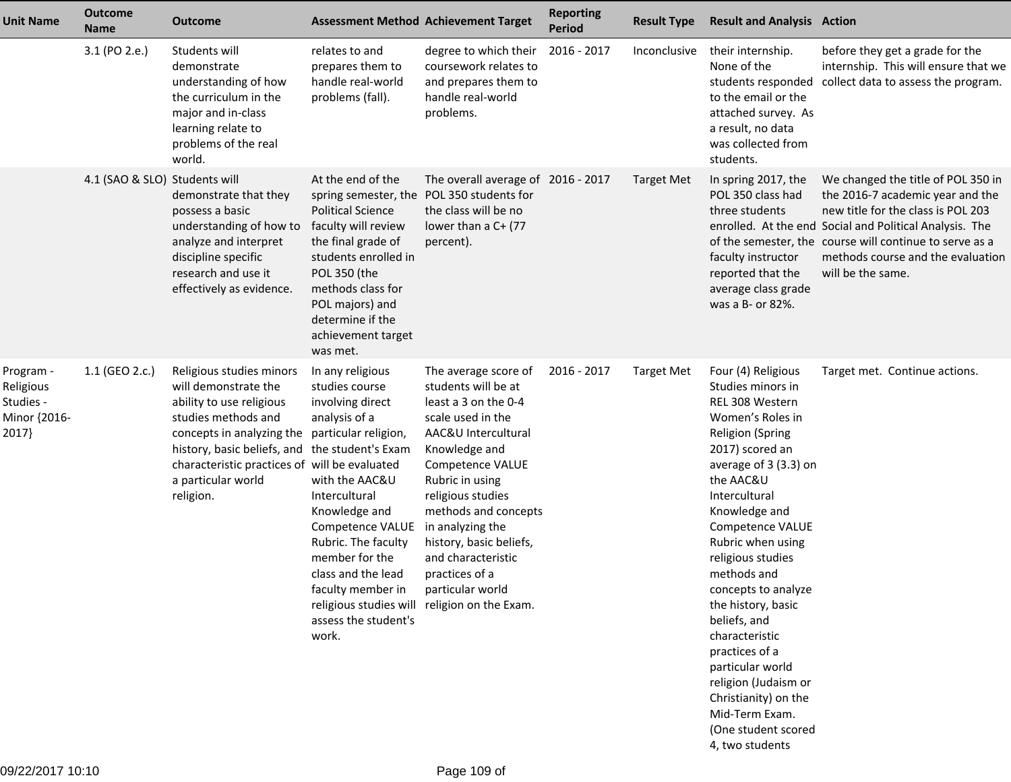| <b>Unit Name</b>                                             | <b>Outcome</b><br><b>Name</b> | Outcome                                                                                                                                                                                                                                             | <b>Assessment Method Achievement Target</b>                                                                                                                                                                                                                                                                        |                                                                                                                                                                                                                                                                                                                                                                                 | <b>Reporting</b><br><b>Period</b> | <b>Result Type</b> | <b>Result and Analysis Action</b>                                                                                                                                                                                                                                                                                                                                                                                                                                                                                  |                                                                                                                                                                                                                                                                                              |
|--------------------------------------------------------------|-------------------------------|-----------------------------------------------------------------------------------------------------------------------------------------------------------------------------------------------------------------------------------------------------|--------------------------------------------------------------------------------------------------------------------------------------------------------------------------------------------------------------------------------------------------------------------------------------------------------------------|---------------------------------------------------------------------------------------------------------------------------------------------------------------------------------------------------------------------------------------------------------------------------------------------------------------------------------------------------------------------------------|-----------------------------------|--------------------|--------------------------------------------------------------------------------------------------------------------------------------------------------------------------------------------------------------------------------------------------------------------------------------------------------------------------------------------------------------------------------------------------------------------------------------------------------------------------------------------------------------------|----------------------------------------------------------------------------------------------------------------------------------------------------------------------------------------------------------------------------------------------------------------------------------------------|
|                                                              | 3.1 (PO 2.e.)                 | Students will<br>demonstrate<br>understanding of how<br>the curriculum in the<br>major and in-class<br>learning relate to<br>problems of the real<br>world.                                                                                         | relates to and<br>prepares them to<br>handle real-world<br>problems (fall).                                                                                                                                                                                                                                        | degree to which their<br>coursework relates to<br>and prepares them to<br>handle real-world<br>problems.                                                                                                                                                                                                                                                                        | 2016 - 2017                       | Inconclusive       | their internship.<br>None of the<br>to the email or the<br>attached survey. As<br>a result, no data<br>was collected from<br>students.                                                                                                                                                                                                                                                                                                                                                                             | before they get a grade for the<br>internship. This will ensure that we<br>students responded collect data to assess the program.                                                                                                                                                            |
|                                                              | 4.1 (SAO & SLO) Students will | demonstrate that they<br>possess a basic<br>understanding of how to<br>analyze and interpret<br>discipline specific<br>research and use it<br>effectively as evidence.                                                                              | At the end of the<br><b>Political Science</b><br>faculty will review<br>the final grade of<br>students enrolled in<br>POL 350 (the<br>methods class for<br>POL majors) and<br>determine if the<br>achievement target<br>was met.                                                                                   | The overall average of 2016 - 2017<br>spring semester, the POL 350 students for<br>the class will be no<br>lower than a C+ (77<br>percent).                                                                                                                                                                                                                                     |                                   | <b>Target Met</b>  | In spring 2017, the<br>POL 350 class had<br>three students<br>faculty instructor<br>reported that the<br>average class grade<br>was a B- or 82%.                                                                                                                                                                                                                                                                                                                                                                   | We changed the title of POL 350 in<br>the 2016-7 academic year and the<br>new title for the class is POL 203<br>enrolled. At the end Social and Political Analysis. The<br>of the semester, the course will continue to serve as a<br>methods course and the evaluation<br>will be the same. |
| Program -<br>Religious<br>Studies -<br>Minor {2016-<br>2017} | 1.1 (GEO 2.c.)                | Religious studies minors<br>will demonstrate the<br>ability to use religious<br>studies methods and<br>concepts in analyzing the<br>history, basic beliefs, and<br>characteristic practices of will be evaluated<br>a particular world<br>religion. | In any religious<br>studies course<br>involving direct<br>analysis of a<br>particular religion,<br>the student's Exam<br>with the AAC&U<br>Intercultural<br>Knowledge and<br>Competence VALUE<br>Rubric. The faculty<br>member for the<br>class and the lead<br>faculty member in<br>assess the student's<br>work. | The average score of<br>students will be at<br>least a 3 on the 0-4<br>scale used in the<br>AAC&U Intercultural<br>Knowledge and<br>Competence VALUE<br>Rubric in using<br>religious studies<br>methods and concepts<br>in analyzing the<br>history, basic beliefs,<br>and characteristic<br>practices of a<br>particular world<br>religious studies will religion on the Exam. | 2016 - 2017                       | <b>Target Met</b>  | Four (4) Religious<br>Studies minors in<br>REL 308 Western<br>Women's Roles in<br><b>Religion (Spring</b><br>2017) scored an<br>average of 3 (3.3) on<br>the AAC&U<br>Intercultural<br>Knowledge and<br>Competence VALUE<br>Rubric when using<br>religious studies<br>methods and<br>concepts to analyze<br>the history, basic<br>beliefs, and<br>characteristic<br>practices of a<br>particular world<br>religion (Judaism or<br>Christianity) on the<br>Mid-Term Exam.<br>(One student scored<br>4, two students | Target met. Continue actions.                                                                                                                                                                                                                                                                |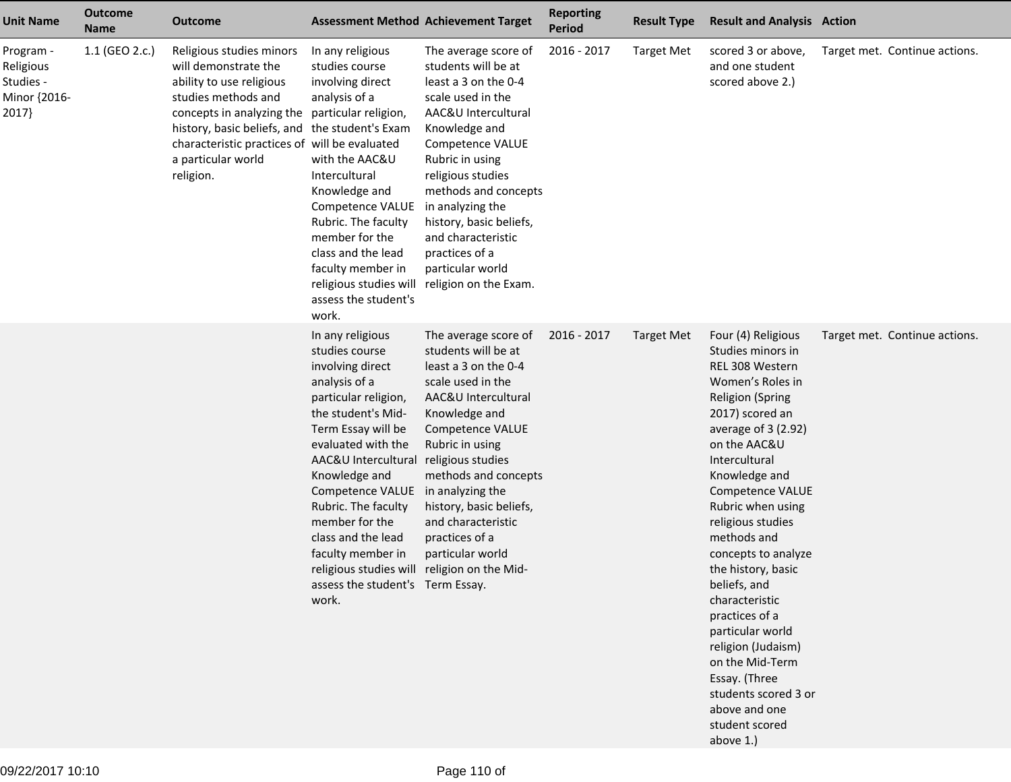| <b>Unit Name</b>                                             | <b>Outcome</b><br><b>Name</b> | <b>Outcome</b>                                                                                                                                                                                                                                                                              | <b>Assessment Method Achievement Target</b>                                                                                                                                                                                                                                                                                                                                                                   |                                                                                                                                                                                                                                                                                                                                                                                 | <b>Reporting</b><br><b>Period</b> | <b>Result Type</b> | <b>Result and Analysis Action</b>                                                                                                                                                                                                                                                                                                                                                                                                                                                                                                         |                               |
|--------------------------------------------------------------|-------------------------------|---------------------------------------------------------------------------------------------------------------------------------------------------------------------------------------------------------------------------------------------------------------------------------------------|---------------------------------------------------------------------------------------------------------------------------------------------------------------------------------------------------------------------------------------------------------------------------------------------------------------------------------------------------------------------------------------------------------------|---------------------------------------------------------------------------------------------------------------------------------------------------------------------------------------------------------------------------------------------------------------------------------------------------------------------------------------------------------------------------------|-----------------------------------|--------------------|-------------------------------------------------------------------------------------------------------------------------------------------------------------------------------------------------------------------------------------------------------------------------------------------------------------------------------------------------------------------------------------------------------------------------------------------------------------------------------------------------------------------------------------------|-------------------------------|
| Program -<br>Religious<br>Studies -<br>Minor {2016-<br>2017} | 1.1 (GEO 2.c.)                | Religious studies minors<br>will demonstrate the<br>ability to use religious<br>studies methods and<br>concepts in analyzing the particular religion,<br>history, basic beliefs, and the student's Exam<br>characteristic practices of will be evaluated<br>a particular world<br>religion. | In any religious<br>studies course<br>involving direct<br>analysis of a<br>with the AAC&U<br>Intercultural<br>Knowledge and<br>Competence VALUE<br>Rubric. The faculty<br>member for the<br>class and the lead<br>faculty member in<br>assess the student's<br>work.                                                                                                                                          | The average score of<br>students will be at<br>least a 3 on the 0-4<br>scale used in the<br>AAC&U Intercultural<br>Knowledge and<br>Competence VALUE<br>Rubric in using<br>religious studies<br>methods and concepts<br>in analyzing the<br>history, basic beliefs,<br>and characteristic<br>practices of a<br>particular world<br>religious studies will religion on the Exam. | 2016 - 2017                       | <b>Target Met</b>  | scored 3 or above,<br>and one student<br>scored above 2.)                                                                                                                                                                                                                                                                                                                                                                                                                                                                                 | Target met. Continue actions. |
|                                                              |                               |                                                                                                                                                                                                                                                                                             | In any religious<br>studies course<br>involving direct<br>analysis of a<br>particular religion,<br>the student's Mid-<br>Term Essay will be<br>evaluated with the<br>AAC&U Intercultural<br>Knowledge and<br>Competence VALUE<br>Rubric. The faculty<br>member for the<br>class and the lead<br>faculty member in<br>religious studies will religion on the Mid-<br>assess the student's Term Essay.<br>work. | The average score of<br>students will be at<br>least a 3 on the 0-4<br>scale used in the<br>AAC&U Intercultural<br>Knowledge and<br><b>Competence VALUE</b><br>Rubric in using<br>religious studies<br>methods and concepts<br>in analyzing the<br>history, basic beliefs,<br>and characteristic<br>practices of a<br>particular world                                          | 2016 - 2017                       | <b>Target Met</b>  | Four (4) Religious<br>Studies minors in<br>REL 308 Western<br>Women's Roles in<br><b>Religion (Spring</b><br>2017) scored an<br>average of 3 (2.92)<br>on the AAC&U<br>Intercultural<br>Knowledge and<br>Competence VALUE<br>Rubric when using<br>religious studies<br>methods and<br>concepts to analyze<br>the history, basic<br>beliefs, and<br>characteristic<br>practices of a<br>particular world<br>religion (Judaism)<br>on the Mid-Term<br>Essay. (Three<br>students scored 3 or<br>above and one<br>student scored<br>above 1.) | Target met. Continue actions. |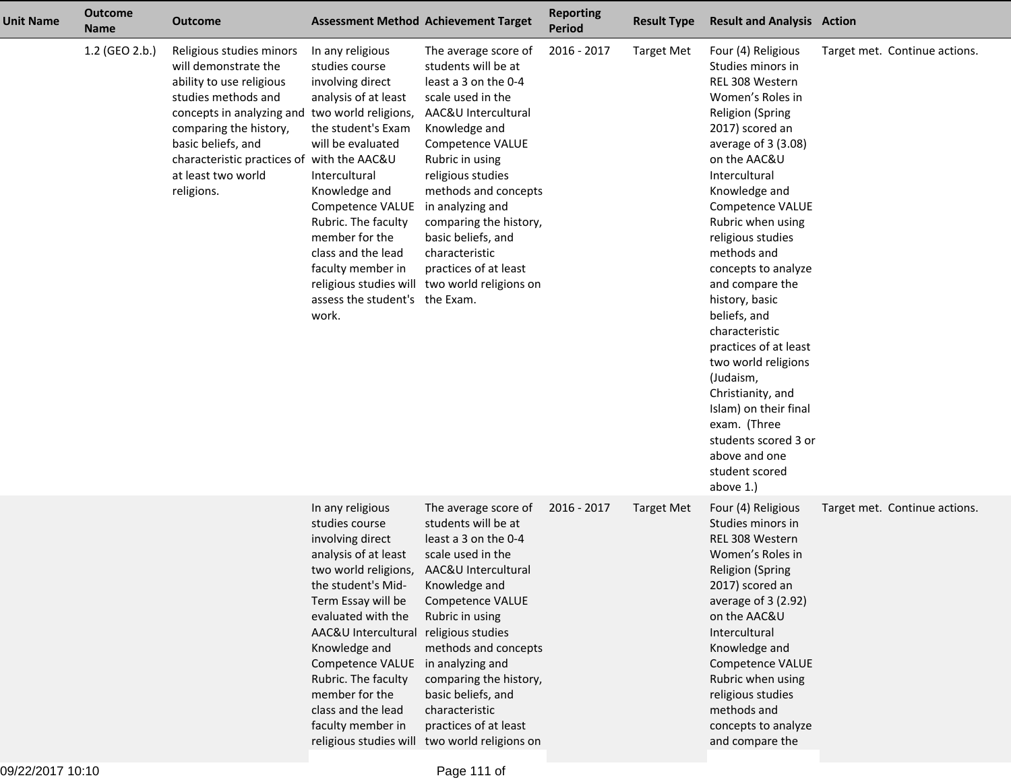| <b>Unit Name</b> | <b>Outcome</b><br><b>Name</b> | <b>Outcome</b>                                                                                                                                                                                                                                                                          | <b>Assessment Method Achievement Target</b>                                                                                                                                                                                                                                                                                                |                                                                                                                                                                                                                                                                                                                                                                                      | <b>Reporting</b><br><b>Period</b> | <b>Result Type</b> | <b>Result and Analysis Action</b>                                                                                                                                                                                                                                                                                                                                                                                                                                                                                                                                                    |                               |
|------------------|-------------------------------|-----------------------------------------------------------------------------------------------------------------------------------------------------------------------------------------------------------------------------------------------------------------------------------------|--------------------------------------------------------------------------------------------------------------------------------------------------------------------------------------------------------------------------------------------------------------------------------------------------------------------------------------------|--------------------------------------------------------------------------------------------------------------------------------------------------------------------------------------------------------------------------------------------------------------------------------------------------------------------------------------------------------------------------------------|-----------------------------------|--------------------|--------------------------------------------------------------------------------------------------------------------------------------------------------------------------------------------------------------------------------------------------------------------------------------------------------------------------------------------------------------------------------------------------------------------------------------------------------------------------------------------------------------------------------------------------------------------------------------|-------------------------------|
|                  | 1.2 (GEO 2.b.)                | Religious studies minors<br>will demonstrate the<br>ability to use religious<br>studies methods and<br>concepts in analyzing and two world religions,<br>comparing the history,<br>basic beliefs, and<br>characteristic practices of with the AAC&U<br>at least two world<br>religions. | In any religious<br>studies course<br>involving direct<br>analysis of at least<br>the student's Exam<br>will be evaluated<br>Intercultural<br>Knowledge and<br>Competence VALUE<br>Rubric. The faculty<br>member for the<br>class and the lead<br>faculty member in<br>assess the student's the Exam.<br>work.                             | The average score of<br>students will be at<br>least a 3 on the 0-4<br>scale used in the<br>AAC&U Intercultural<br>Knowledge and<br>Competence VALUE<br>Rubric in using<br>religious studies<br>methods and concepts<br>in analyzing and<br>comparing the history,<br>basic beliefs, and<br>characteristic<br>practices of at least<br>religious studies will two world religions on | 2016 - 2017                       | <b>Target Met</b>  | Four (4) Religious<br>Studies minors in<br>REL 308 Western<br>Women's Roles in<br><b>Religion (Spring</b><br>2017) scored an<br>average of $3(3.08)$<br>on the AAC&U<br>Intercultural<br>Knowledge and<br>Competence VALUE<br>Rubric when using<br>religious studies<br>methods and<br>concepts to analyze<br>and compare the<br>history, basic<br>beliefs, and<br>characteristic<br>practices of at least<br>two world religions<br>(Judaism,<br>Christianity, and<br>Islam) on their final<br>exam. (Three<br>students scored 3 or<br>above and one<br>student scored<br>above 1.) | Target met. Continue actions. |
|                  |                               |                                                                                                                                                                                                                                                                                         | In any religious<br>studies course<br>involving direct<br>analysis of at least<br>two world religions,<br>the student's Mid-<br>Term Essay will be<br>evaluated with the<br>AAC&U Intercultural religious studies<br>Knowledge and<br>Competence VALUE<br>Rubric. The faculty<br>member for the<br>class and the lead<br>faculty member in | The average score of<br>students will be at<br>least a 3 on the 0-4<br>scale used in the<br>AAC&U Intercultural<br>Knowledge and<br>Competence VALUE<br>Rubric in using<br>methods and concepts<br>in analyzing and<br>comparing the history,<br>basic beliefs, and<br>characteristic<br>practices of at least<br>religious studies will two world religions on                      | 2016 - 2017                       | <b>Target Met</b>  | Four (4) Religious<br>Studies minors in<br>REL 308 Western<br>Women's Roles in<br><b>Religion (Spring</b><br>2017) scored an<br>average of 3 (2.92)<br>on the AAC&U<br>Intercultural<br>Knowledge and<br>Competence VALUE<br>Rubric when using<br>religious studies<br>methods and<br>concepts to analyze<br>and compare the                                                                                                                                                                                                                                                         | Target met. Continue actions. |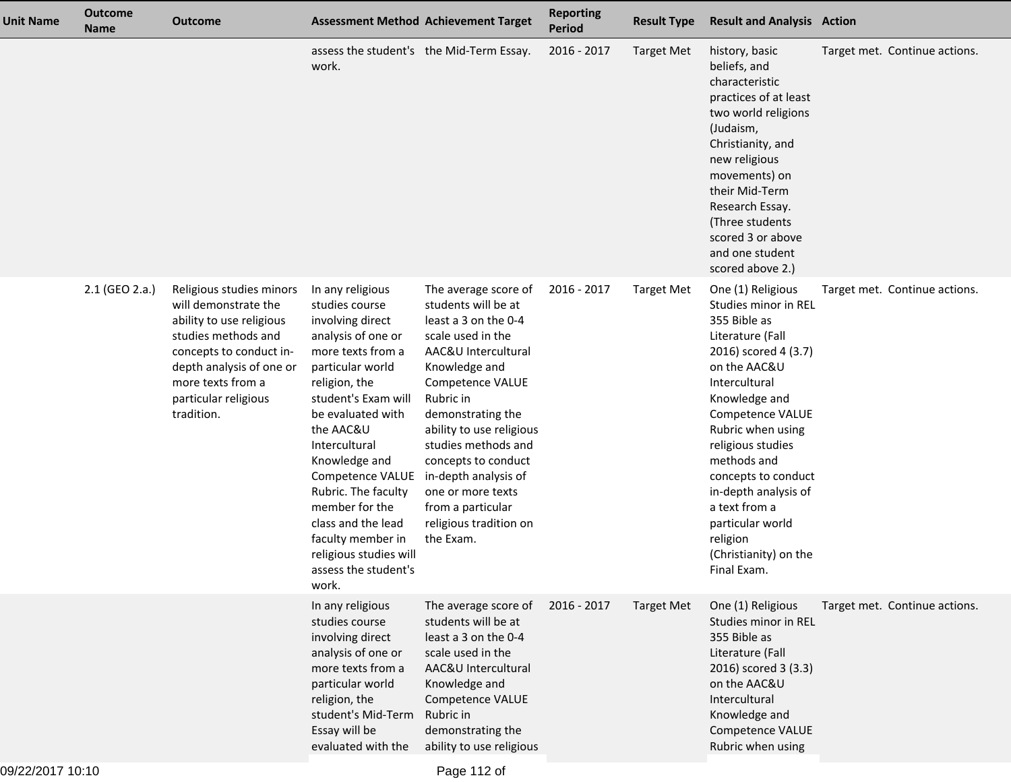| <b>Unit Name</b> | <b>Outcome</b><br><b>Name</b> | <b>Outcome</b>                                                                                                                                                                                                        |                                                                                                                                                                                                                                                                                                                                                                                                      | <b>Assessment Method Achievement Target</b>                                                                                                                                                                                                                                                                                                                               | <b>Reporting</b><br><b>Period</b> | <b>Result Type</b> | <b>Result and Analysis Action</b>                                                                                                                                                                                                                                                                                                                                            |                               |
|------------------|-------------------------------|-----------------------------------------------------------------------------------------------------------------------------------------------------------------------------------------------------------------------|------------------------------------------------------------------------------------------------------------------------------------------------------------------------------------------------------------------------------------------------------------------------------------------------------------------------------------------------------------------------------------------------------|---------------------------------------------------------------------------------------------------------------------------------------------------------------------------------------------------------------------------------------------------------------------------------------------------------------------------------------------------------------------------|-----------------------------------|--------------------|------------------------------------------------------------------------------------------------------------------------------------------------------------------------------------------------------------------------------------------------------------------------------------------------------------------------------------------------------------------------------|-------------------------------|
|                  |                               |                                                                                                                                                                                                                       | assess the student's the Mid-Term Essay.<br>work.                                                                                                                                                                                                                                                                                                                                                    |                                                                                                                                                                                                                                                                                                                                                                           | 2016 - 2017                       | <b>Target Met</b>  | history, basic<br>beliefs, and<br>characteristic<br>practices of at least<br>two world religions<br>(Judaism,<br>Christianity, and<br>new religious<br>movements) on<br>their Mid-Term<br>Research Essay.<br>(Three students<br>scored 3 or above<br>and one student<br>scored above 2.)                                                                                     | Target met. Continue actions. |
|                  | 2.1 (GEO 2.a.)                | Religious studies minors<br>will demonstrate the<br>ability to use religious<br>studies methods and<br>concepts to conduct in-<br>depth analysis of one or<br>more texts from a<br>particular religious<br>tradition. | In any religious<br>studies course<br>involving direct<br>analysis of one or<br>more texts from a<br>particular world<br>religion, the<br>student's Exam will<br>be evaluated with<br>the AAC&U<br>Intercultural<br>Knowledge and<br>Competence VALUE<br>Rubric. The faculty<br>member for the<br>class and the lead<br>faculty member in<br>religious studies will<br>assess the student's<br>work. | The average score of<br>students will be at<br>least a 3 on the 0-4<br>scale used in the<br>AAC&U Intercultural<br>Knowledge and<br>Competence VALUE<br>Rubric in<br>demonstrating the<br>ability to use religious<br>studies methods and<br>concepts to conduct<br>in-depth analysis of<br>one or more texts<br>from a particular<br>religious tradition on<br>the Exam. | 2016 - 2017                       | <b>Target Met</b>  | One (1) Religious<br>Studies minor in REL<br>355 Bible as<br>Literature (Fall<br>2016) scored 4 (3.7)<br>on the AAC&U<br>Intercultural<br>Knowledge and<br>Competence VALUE<br>Rubric when using<br>religious studies<br>methods and<br>concepts to conduct<br>in-depth analysis of<br>a text from a<br>particular world<br>religion<br>(Christianity) on the<br>Final Exam. | Target met. Continue actions. |
|                  |                               |                                                                                                                                                                                                                       | In any religious<br>studies course<br>involving direct<br>analysis of one or<br>more texts from a<br>particular world<br>religion, the<br>student's Mid-Term<br>Essay will be<br>evaluated with the                                                                                                                                                                                                  | The average score of<br>students will be at<br>least a 3 on the 0-4<br>scale used in the<br>AAC&U Intercultural<br>Knowledge and<br>Competence VALUE<br>Rubric in<br>demonstrating the<br>ability to use religious                                                                                                                                                        | 2016 - 2017                       | <b>Target Met</b>  | One (1) Religious<br>Studies minor in REL<br>355 Bible as<br>Literature (Fall<br>2016) scored 3 (3.3)<br>on the AAC&U<br>Intercultural<br>Knowledge and<br>Competence VALUE<br>Rubric when using                                                                                                                                                                             | Target met. Continue actions. |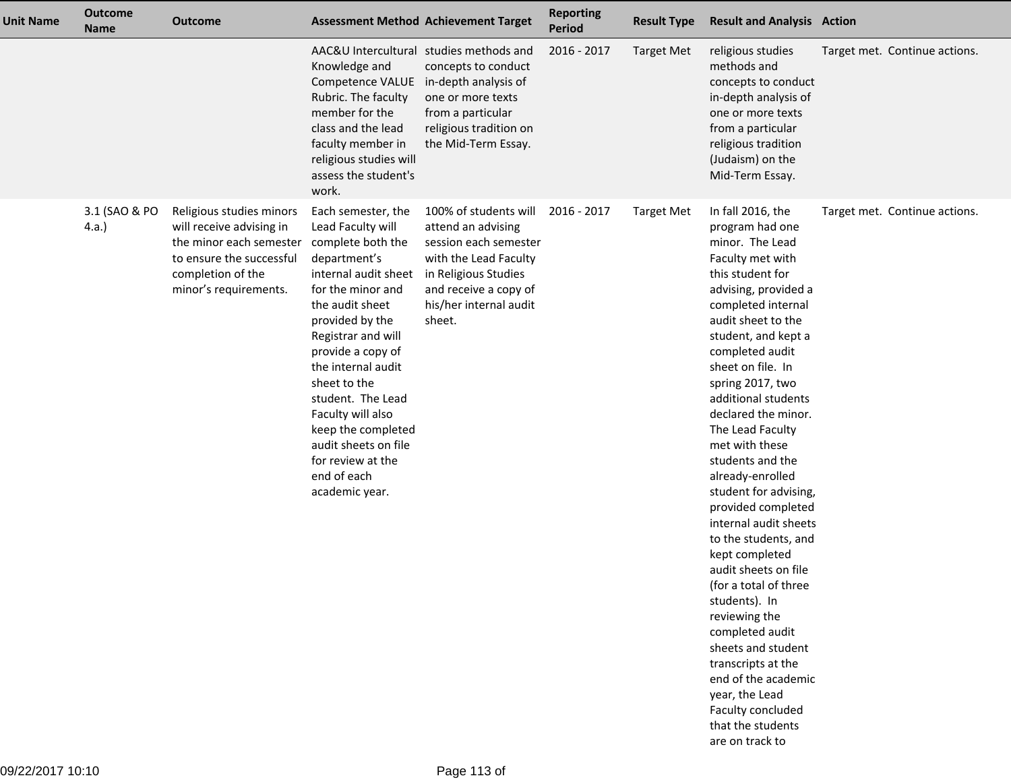| <b>Unit Name</b> | <b>Outcome</b><br><b>Name</b> | <b>Outcome</b>                                                                                                                                            |                                                                                                                                                                                                                                                                                                                                                                                                | <b>Assessment Method Achievement Target</b>                                                                                                                                        | <b>Reporting</b><br><b>Period</b> | <b>Result Type</b> | <b>Result and Analysis Action</b>                                                                                                                                                                                                                                                                                                                                                                                                                                                                                                                                                                                                                                                                                                                            |                               |
|------------------|-------------------------------|-----------------------------------------------------------------------------------------------------------------------------------------------------------|------------------------------------------------------------------------------------------------------------------------------------------------------------------------------------------------------------------------------------------------------------------------------------------------------------------------------------------------------------------------------------------------|------------------------------------------------------------------------------------------------------------------------------------------------------------------------------------|-----------------------------------|--------------------|--------------------------------------------------------------------------------------------------------------------------------------------------------------------------------------------------------------------------------------------------------------------------------------------------------------------------------------------------------------------------------------------------------------------------------------------------------------------------------------------------------------------------------------------------------------------------------------------------------------------------------------------------------------------------------------------------------------------------------------------------------------|-------------------------------|
|                  |                               |                                                                                                                                                           | Knowledge and<br>Competence VALUE<br>Rubric. The faculty<br>member for the<br>class and the lead<br>faculty member in<br>religious studies will<br>assess the student's<br>work.                                                                                                                                                                                                               | AAC&U Intercultural studies methods and<br>concepts to conduct<br>in-depth analysis of<br>one or more texts<br>from a particular<br>religious tradition on<br>the Mid-Term Essay.  | 2016 - 2017                       | <b>Target Met</b>  | religious studies<br>methods and<br>concepts to conduct<br>in-depth analysis of<br>one or more texts<br>from a particular<br>religious tradition<br>(Judaism) on the<br>Mid-Term Essay.                                                                                                                                                                                                                                                                                                                                                                                                                                                                                                                                                                      | Target met. Continue actions. |
|                  | 3.1 (SAO & PO<br>4.a.         | Religious studies minors<br>will receive advising in<br>the minor each semester<br>to ensure the successful<br>completion of the<br>minor's requirements. | Each semester, the<br>Lead Faculty will<br>complete both the<br>department's<br>internal audit sheet<br>for the minor and<br>the audit sheet<br>provided by the<br>Registrar and will<br>provide a copy of<br>the internal audit<br>sheet to the<br>student. The Lead<br>Faculty will also<br>keep the completed<br>audit sheets on file<br>for review at the<br>end of each<br>academic year. | 100% of students will<br>attend an advising<br>session each semester<br>with the Lead Faculty<br>in Religious Studies<br>and receive a copy of<br>his/her internal audit<br>sheet. | 2016 - 2017                       | <b>Target Met</b>  | In fall 2016, the<br>program had one<br>minor. The Lead<br>Faculty met with<br>this student for<br>advising, provided a<br>completed internal<br>audit sheet to the<br>student, and kept a<br>completed audit<br>sheet on file. In<br>spring 2017, two<br>additional students<br>declared the minor.<br>The Lead Faculty<br>met with these<br>students and the<br>already-enrolled<br>student for advising,<br>provided completed<br>internal audit sheets<br>to the students, and<br>kept completed<br>audit sheets on file<br>(for a total of three<br>students). In<br>reviewing the<br>completed audit<br>sheets and student<br>transcripts at the<br>end of the academic<br>year, the Lead<br>Faculty concluded<br>that the students<br>are on track to | Target met. Continue actions. |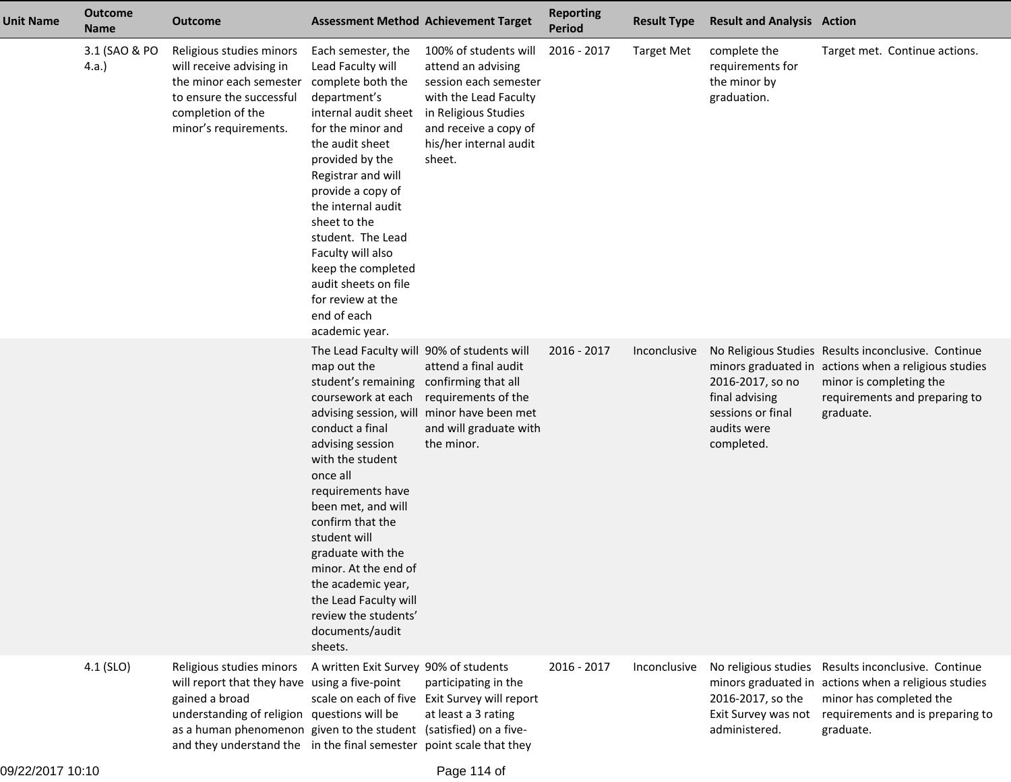| <b>Unit Name</b> | <b>Outcome</b><br><b>Name</b> | <b>Outcome</b>                                                                                                                                                                                                                                                                         | <b>Assessment Method Achievement Target</b>                                                                                                                                                                                                                                                                                                                                                                                              |                                                                                                                                                                                    | <b>Reporting</b><br><b>Period</b> | <b>Result Type</b> | <b>Result and Analysis Action</b>                                                    |                                                                                                                                                                                      |
|------------------|-------------------------------|----------------------------------------------------------------------------------------------------------------------------------------------------------------------------------------------------------------------------------------------------------------------------------------|------------------------------------------------------------------------------------------------------------------------------------------------------------------------------------------------------------------------------------------------------------------------------------------------------------------------------------------------------------------------------------------------------------------------------------------|------------------------------------------------------------------------------------------------------------------------------------------------------------------------------------|-----------------------------------|--------------------|--------------------------------------------------------------------------------------|--------------------------------------------------------------------------------------------------------------------------------------------------------------------------------------|
|                  | 3.1 (SAO & PO<br>(4.a.)       | Religious studies minors<br>will receive advising in<br>the minor each semester<br>to ensure the successful<br>completion of the<br>minor's requirements.                                                                                                                              | Each semester, the<br>Lead Faculty will<br>complete both the<br>department's<br>internal audit sheet<br>for the minor and<br>the audit sheet<br>provided by the<br>Registrar and will<br>provide a copy of<br>the internal audit<br>sheet to the<br>student. The Lead<br>Faculty will also<br>keep the completed<br>audit sheets on file<br>for review at the<br>end of each<br>academic year.                                           | 100% of students will<br>attend an advising<br>session each semester<br>with the Lead Faculty<br>in Religious Studies<br>and receive a copy of<br>his/her internal audit<br>sheet. | 2016 - 2017                       | <b>Target Met</b>  | complete the<br>requirements for<br>the minor by<br>graduation.                      | Target met. Continue actions.                                                                                                                                                        |
|                  |                               |                                                                                                                                                                                                                                                                                        | The Lead Faculty will 90% of students will<br>map out the<br>student's remaining<br>coursework at each<br>advising session, will<br>conduct a final<br>advising session<br>with the student<br>once all<br>requirements have<br>been met, and will<br>confirm that the<br>student will<br>graduate with the<br>minor. At the end of<br>the academic year,<br>the Lead Faculty will<br>review the students'<br>documents/audit<br>sheets. | attend a final audit<br>confirming that all<br>requirements of the<br>minor have been met<br>and will graduate with<br>the minor.                                                  | 2016 - 2017                       | Inconclusive       | 2016-2017, so no<br>final advising<br>sessions or final<br>audits were<br>completed. | No Religious Studies Results inconclusive. Continue<br>minors graduated in actions when a religious studies<br>minor is completing the<br>requirements and preparing to<br>graduate. |
|                  | $4.1$ (SLO)                   | Religious studies minors<br>will report that they have using a five-point<br>gained a broad<br>understanding of religion questions will be<br>as a human phenomenon given to the student (satisfied) on a five-<br>and they understand the in the final semester point scale that they | A written Exit Survey 90% of students                                                                                                                                                                                                                                                                                                                                                                                                    | participating in the<br>scale on each of five Exit Survey will report<br>at least a 3 rating                                                                                       | 2016 - 2017                       | Inconclusive       | No religious studies<br>2016-2017, so the<br>Exit Survey was not<br>administered.    | Results inconclusive. Continue<br>minors graduated in actions when a religious studies<br>minor has completed the<br>requirements and is preparing to<br>graduate.                   |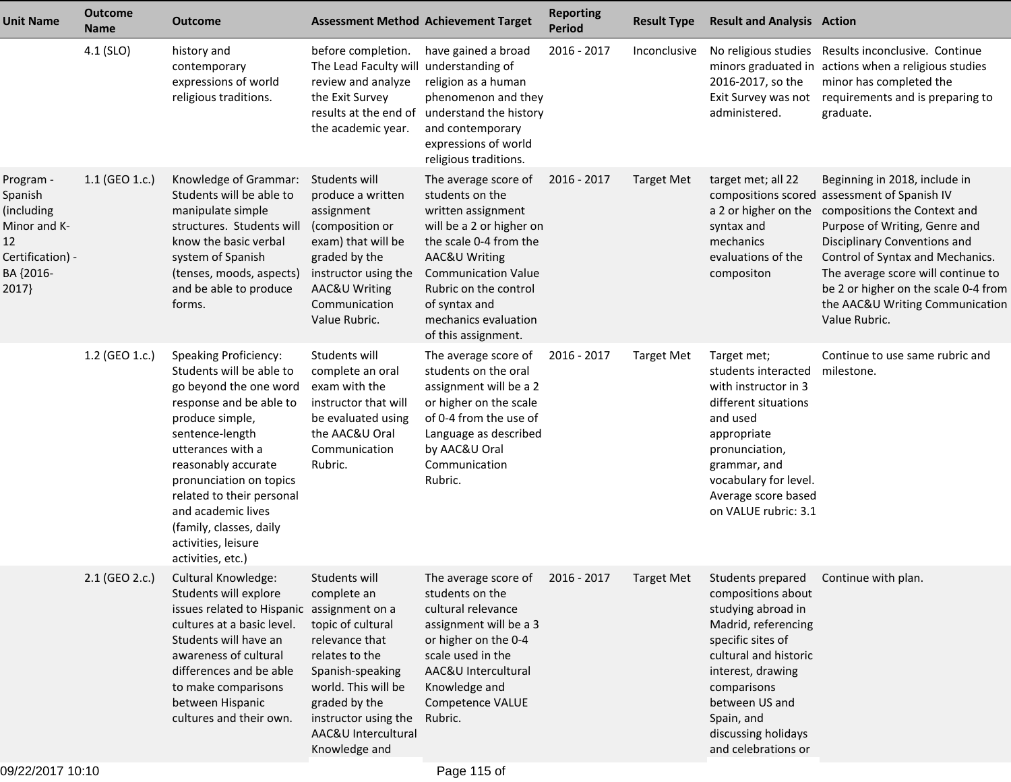| <b>Unit Name</b>                                                                                   | <b>Outcome</b><br><b>Name</b> | Outcome                                                                                                                                                                                                                                                                                                                                              | <b>Assessment Method Achievement Target</b>                                                                                                                                                                       |                                                                                                                                                                                                                                                                        | <b>Reporting</b><br><b>Period</b> | <b>Result Type</b> | <b>Result and Analysis Action</b>                                                                                                                                                                                                                                        |                                                                                                                                                                                                                                                                                                                                                                           |
|----------------------------------------------------------------------------------------------------|-------------------------------|------------------------------------------------------------------------------------------------------------------------------------------------------------------------------------------------------------------------------------------------------------------------------------------------------------------------------------------------------|-------------------------------------------------------------------------------------------------------------------------------------------------------------------------------------------------------------------|------------------------------------------------------------------------------------------------------------------------------------------------------------------------------------------------------------------------------------------------------------------------|-----------------------------------|--------------------|--------------------------------------------------------------------------------------------------------------------------------------------------------------------------------------------------------------------------------------------------------------------------|---------------------------------------------------------------------------------------------------------------------------------------------------------------------------------------------------------------------------------------------------------------------------------------------------------------------------------------------------------------------------|
|                                                                                                    | 4.1 (SLO)                     | history and<br>contemporary<br>expressions of world<br>religious traditions.                                                                                                                                                                                                                                                                         | before completion.<br>The Lead Faculty will<br>review and analyze<br>the Exit Survey<br>results at the end of<br>the academic year.                                                                               | have gained a broad<br>understanding of<br>religion as a human<br>phenomenon and they<br>understand the history<br>and contemporary<br>expressions of world<br>religious traditions.                                                                                   | 2016 - 2017                       | Inconclusive       | 2016-2017, so the<br>Exit Survey was not<br>administered.                                                                                                                                                                                                                | No religious studies Results inconclusive. Continue<br>minors graduated in actions when a religious studies<br>minor has completed the<br>requirements and is preparing to<br>graduate.                                                                                                                                                                                   |
| Program -<br>Spanish<br>(including<br>Minor and K-<br>12<br>Certification) -<br>BA {2016-<br>2017} | 1.1 (GEO 1.c.)                | Knowledge of Grammar:<br>Students will be able to<br>manipulate simple<br>structures. Students will<br>know the basic verbal<br>system of Spanish<br>(tenses, moods, aspects)<br>and be able to produce<br>forms.                                                                                                                                    | Students will<br>produce a written<br>assignment<br>(composition or<br>exam) that will be<br>graded by the<br>instructor using the<br>AAC&U Writing<br>Communication<br>Value Rubric.                             | The average score of<br>students on the<br>written assignment<br>will be a 2 or higher on<br>the scale 0-4 from the<br><b>AAC&amp;U Writing</b><br><b>Communication Value</b><br>Rubric on the control<br>of syntax and<br>mechanics evaluation<br>of this assignment. | 2016 - 2017                       | <b>Target Met</b>  | target met; all 22<br>syntax and<br>mechanics<br>evaluations of the<br>compositon                                                                                                                                                                                        | Beginning in 2018, include in<br>compositions scored assessment of Spanish IV<br>a 2 or higher on the compositions the Context and<br>Purpose of Writing, Genre and<br>Disciplinary Conventions and<br>Control of Syntax and Mechanics.<br>The average score will continue to<br>be 2 or higher on the scale 0-4 from<br>the AAC&U Writing Communication<br>Value Rubric. |
|                                                                                                    | 1.2 (GEO 1.c.)                | <b>Speaking Proficiency:</b><br>Students will be able to<br>go beyond the one word<br>response and be able to<br>produce simple,<br>sentence-length<br>utterances with a<br>reasonably accurate<br>pronunciation on topics<br>related to their personal<br>and academic lives<br>(family, classes, daily<br>activities, leisure<br>activities, etc.) | Students will<br>complete an oral<br>exam with the<br>instructor that will<br>be evaluated using<br>the AAC&U Oral<br>Communication<br>Rubric.                                                                    | The average score of<br>students on the oral<br>assignment will be a 2<br>or higher on the scale<br>of 0-4 from the use of<br>Language as described<br>by AAC&U Oral<br>Communication<br>Rubric.                                                                       | 2016 - 2017                       | <b>Target Met</b>  | Target met;<br>students interacted<br>with instructor in 3<br>different situations<br>and used<br>appropriate<br>pronunciation,<br>grammar, and<br>vocabulary for level.<br>Average score based<br>on VALUE rubric: 3.1                                                  | Continue to use same rubric and<br>milestone.                                                                                                                                                                                                                                                                                                                             |
|                                                                                                    | 2.1 (GEO 2.c.)                | <b>Cultural Knowledge:</b><br>Students will explore<br>issues related to Hispanic assignment on a<br>cultures at a basic level.<br>Students will have an<br>awareness of cultural<br>differences and be able<br>to make comparisons<br>between Hispanic<br>cultures and their own.                                                                   | Students will<br>complete an<br>topic of cultural<br>relevance that<br>relates to the<br>Spanish-speaking<br>world. This will be<br>graded by the<br>instructor using the<br>AAC&U Intercultural<br>Knowledge and | The average score of 2016 - 2017<br>students on the<br>cultural relevance<br>assignment will be a 3<br>or higher on the 0-4<br>scale used in the<br>AAC&U Intercultural<br>Knowledge and<br>Competence VALUE<br>Rubric.                                                |                                   | Target Met         | Students prepared Continue with plan.<br>compositions about<br>studying abroad in<br>Madrid, referencing<br>specific sites of<br>cultural and historic<br>interest, drawing<br>comparisons<br>between US and<br>Spain, and<br>discussing holidays<br>and celebrations or |                                                                                                                                                                                                                                                                                                                                                                           |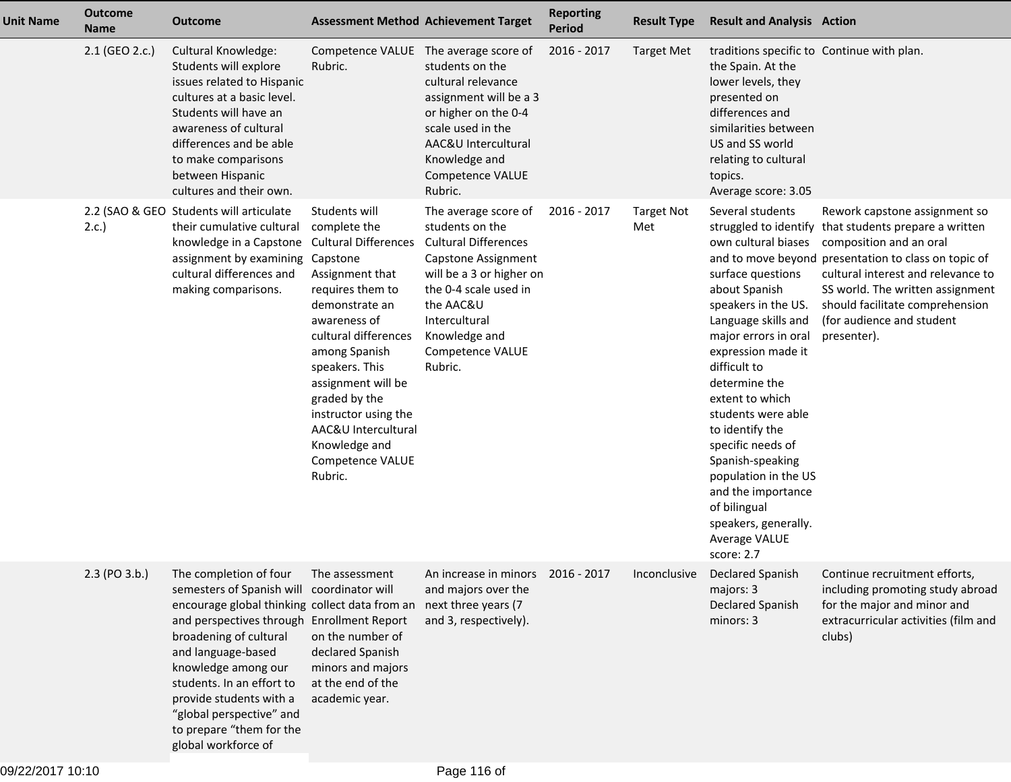| <b>Unit Name</b> | <b>Outcome</b><br><b>Name</b> | Outcome                                                                                                                                                                                                                                                                                                                                                                            |                                                                                                                                                                                                                                                                                                                                        | <b>Assessment Method Achievement Target</b>                                                                                                                                                                                      | <b>Reporting</b><br><b>Period</b> | <b>Result Type</b>       | <b>Result and Analysis Action</b>                                                                                                                                                                                                                                                                                                                                                                                                                             |                                                                                                                                                                                                                                                                                                              |
|------------------|-------------------------------|------------------------------------------------------------------------------------------------------------------------------------------------------------------------------------------------------------------------------------------------------------------------------------------------------------------------------------------------------------------------------------|----------------------------------------------------------------------------------------------------------------------------------------------------------------------------------------------------------------------------------------------------------------------------------------------------------------------------------------|----------------------------------------------------------------------------------------------------------------------------------------------------------------------------------------------------------------------------------|-----------------------------------|--------------------------|---------------------------------------------------------------------------------------------------------------------------------------------------------------------------------------------------------------------------------------------------------------------------------------------------------------------------------------------------------------------------------------------------------------------------------------------------------------|--------------------------------------------------------------------------------------------------------------------------------------------------------------------------------------------------------------------------------------------------------------------------------------------------------------|
|                  | 2.1 (GEO 2.c.)                | Cultural Knowledge:<br>Students will explore<br>issues related to Hispanic<br>cultures at a basic level.<br>Students will have an<br>awareness of cultural<br>differences and be able<br>to make comparisons<br>between Hispanic<br>cultures and their own.                                                                                                                        | Rubric.                                                                                                                                                                                                                                                                                                                                | Competence VALUE The average score of<br>students on the<br>cultural relevance<br>assignment will be a 3<br>or higher on the 0-4<br>scale used in the<br>AAC&U Intercultural<br>Knowledge and<br>Competence VALUE<br>Rubric.     | 2016 - 2017                       | <b>Target Met</b>        | traditions specific to Continue with plan.<br>the Spain. At the<br>lower levels, they<br>presented on<br>differences and<br>similarities between<br>US and SS world<br>relating to cultural<br>topics.<br>Average score: 3.05                                                                                                                                                                                                                                 |                                                                                                                                                                                                                                                                                                              |
|                  | 2.c.                          | 2.2 (SAO & GEO Students will articulate<br>their cumulative cultural<br>knowledge in a Capstone<br>assignment by examining Capstone<br>cultural differences and<br>making comparisons.                                                                                                                                                                                             | Students will<br>complete the<br><b>Cultural Differences</b><br>Assignment that<br>requires them to<br>demonstrate an<br>awareness of<br>cultural differences<br>among Spanish<br>speakers. This<br>assignment will be<br>graded by the<br>instructor using the<br>AAC&U Intercultural<br>Knowledge and<br>Competence VALUE<br>Rubric. | The average score of<br>students on the<br><b>Cultural Differences</b><br>Capstone Assignment<br>will be a 3 or higher on<br>the 0-4 scale used in<br>the AAC&U<br>Intercultural<br>Knowledge and<br>Competence VALUE<br>Rubric. | 2016 - 2017                       | <b>Target Not</b><br>Met | Several students<br>struggled to identify<br>own cultural biases<br>surface questions<br>about Spanish<br>speakers in the US.<br>Language skills and<br>major errors in oral<br>expression made it<br>difficult to<br>determine the<br>extent to which<br>students were able<br>to identify the<br>specific needs of<br>Spanish-speaking<br>population in the US<br>and the importance<br>of bilingual<br>speakers, generally.<br>Average VALUE<br>score: 2.7 | Rework capstone assignment so<br>that students prepare a written<br>composition and an oral<br>and to move beyond presentation to class on topic of<br>cultural interest and relevance to<br>SS world. The written assignment<br>should facilitate comprehension<br>(for audience and student<br>presenter). |
|                  | 2.3 (PO 3.b.)                 | The completion of four<br>semesters of Spanish will coordinator will<br>encourage global thinking collect data from an<br>and perspectives through Enrollment Report<br>broadening of cultural<br>and language-based<br>knowledge among our<br>students. In an effort to<br>provide students with a<br>"global perspective" and<br>to prepare "them for the<br>global workforce of | The assessment<br>on the number of<br>declared Spanish<br>minors and majors<br>at the end of the<br>academic year.                                                                                                                                                                                                                     | An increase in minors 2016 - 2017<br>and majors over the<br>next three years (7<br>and 3, respectively).                                                                                                                         |                                   | Inconclusive             | Declared Spanish<br>majors: 3<br>Declared Spanish<br>minors: 3                                                                                                                                                                                                                                                                                                                                                                                                | Continue recruitment efforts.<br>including promoting study abroad<br>for the major and minor and<br>extracurricular activities (film and<br>clubs)                                                                                                                                                           |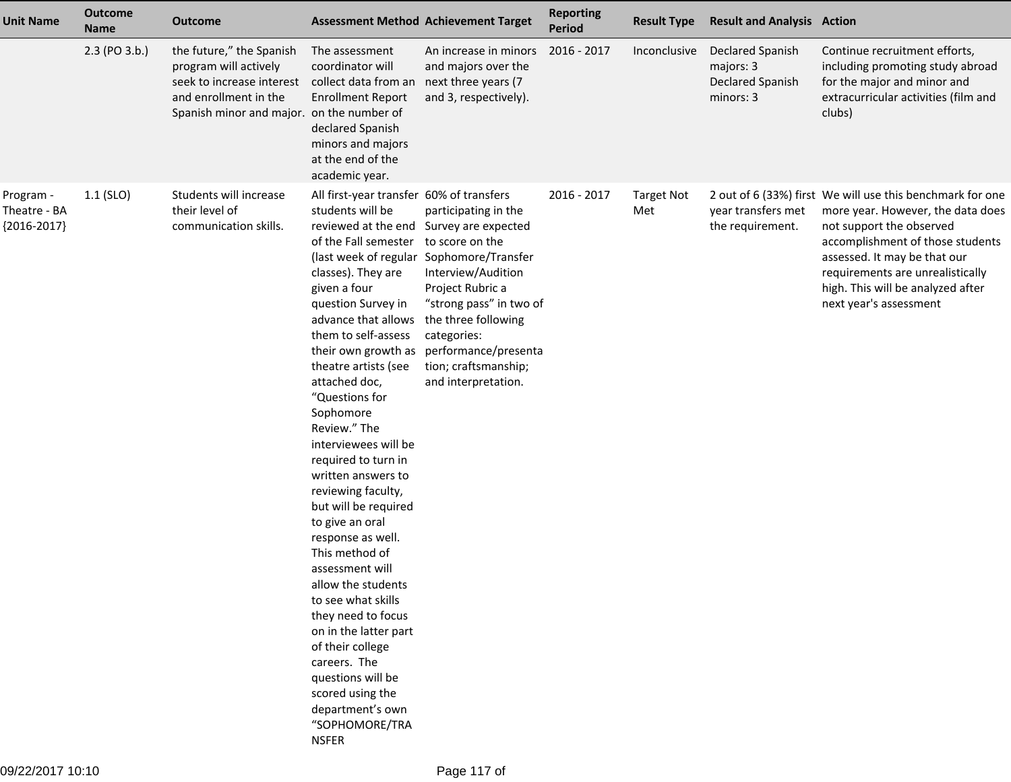| <b>Unit Name</b>                           | <b>Name</b>   | Outcome                                                                                                                                              |                                                                                                                                                                                                                                                                                                                                                                                                                                                                                                                                                                                                                                                                                                                                                                                                        | <b>Assessment Method Achievement Target</b>                                                                                                                                                                                                        | <b>Reporting</b><br><b>Period</b> | <b>Result Type</b>       | <b>Result and Analysis Action</b>                              |                                                                                                                                                                                                                                                                                                   |
|--------------------------------------------|---------------|------------------------------------------------------------------------------------------------------------------------------------------------------|--------------------------------------------------------------------------------------------------------------------------------------------------------------------------------------------------------------------------------------------------------------------------------------------------------------------------------------------------------------------------------------------------------------------------------------------------------------------------------------------------------------------------------------------------------------------------------------------------------------------------------------------------------------------------------------------------------------------------------------------------------------------------------------------------------|----------------------------------------------------------------------------------------------------------------------------------------------------------------------------------------------------------------------------------------------------|-----------------------------------|--------------------------|----------------------------------------------------------------|---------------------------------------------------------------------------------------------------------------------------------------------------------------------------------------------------------------------------------------------------------------------------------------------------|
|                                            | 2.3 (PO 3.b.) | the future," the Spanish<br>program will actively<br>seek to increase interest<br>and enrollment in the<br>Spanish minor and major. on the number of | The assessment<br>coordinator will<br>collect data from an<br><b>Enrollment Report</b><br>declared Spanish<br>minors and majors<br>at the end of the<br>academic year.                                                                                                                                                                                                                                                                                                                                                                                                                                                                                                                                                                                                                                 | An increase in minors<br>and majors over the<br>next three years (7<br>and 3, respectively).                                                                                                                                                       | 2016 - 2017                       | Inconclusive             | Declared Spanish<br>majors: 3<br>Declared Spanish<br>minors: 3 | Continue recruitment efforts,<br>including promoting study abroad<br>for the major and minor and<br>extracurricular activities (film and<br>clubs)                                                                                                                                                |
| Program -<br>Theatre - BA<br>${2016-2017}$ | $1.1$ (SLO)   | Students will increase<br>their level of<br>communication skills.                                                                                    | All first-year transfer 60% of transfers<br>students will be<br>reviewed at the end Survey are expected<br>of the Fall semester to score on the<br>classes). They are<br>given a four<br>question Survey in<br>advance that allows<br>them to self-assess<br>their own growth as<br>theatre artists (see<br>attached doc,<br>"Questions for<br>Sophomore<br>Review." The<br>interviewees will be<br>required to turn in<br>written answers to<br>reviewing faculty,<br>but will be required<br>to give an oral<br>response as well.<br>This method of<br>assessment will<br>allow the students<br>to see what skills<br>they need to focus<br>on in the latter part<br>of their college<br>careers. The<br>questions will be<br>scored using the<br>department's own<br>"SOPHOMORE/TRA<br><b>NSFER</b> | participating in the<br>(last week of regular Sophomore/Transfer<br>Interview/Audition<br>Project Rubric a<br>"strong pass" in two of<br>the three following<br>categories:<br>performance/presenta<br>tion; craftsmanship;<br>and interpretation. | 2016 - 2017                       | <b>Target Not</b><br>Met | year transfers met<br>the requirement.                         | 2 out of 6 (33%) first We will use this benchmark for one<br>more year. However, the data does<br>not support the observed<br>accomplishment of those students<br>assessed. It may be that our<br>requirements are unrealistically<br>high. This will be analyzed after<br>next year's assessment |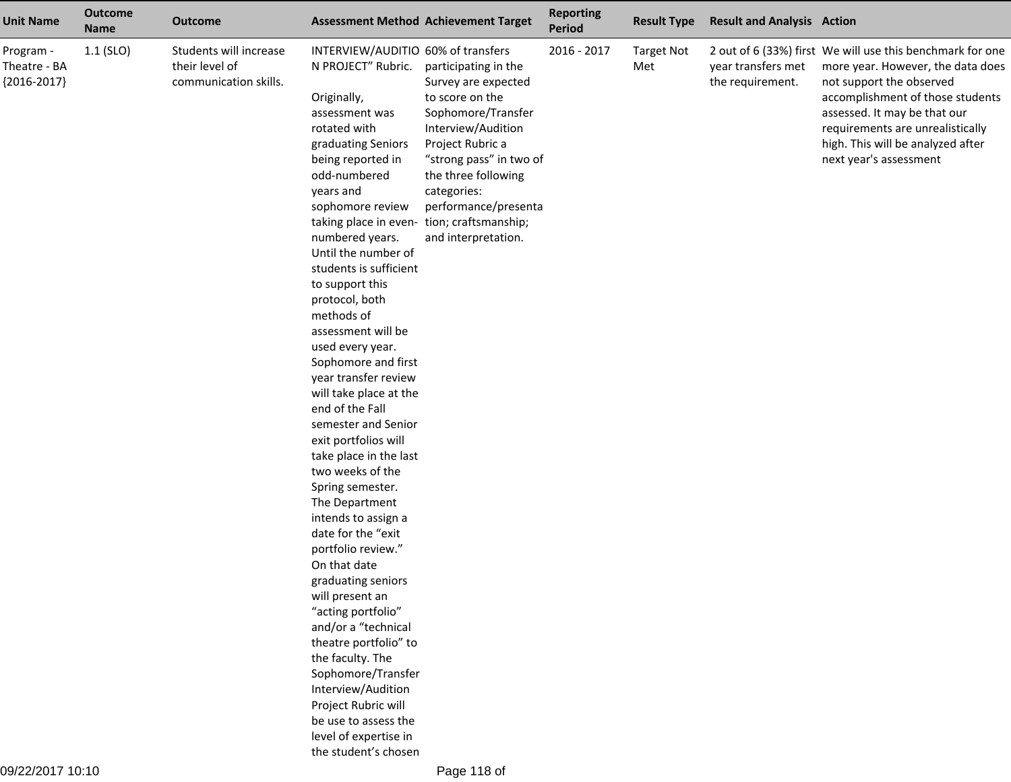| <b>Unit Name</b>                           | <b>Outcome</b><br><b>Name</b> | <b>Outcome</b>                                                    | <b>Assessment Method Achievement Target</b>                                                                                                                                                                                                                                                                                                                                                                                                                                                                                                                                                                                                                                                                                                                                                                                                                                                                                                                                                                           |                                                                                                                                                                                                                                                | <b>Reporting</b><br><b>Period</b> | <b>Result Type</b>       | <b>Result and Analysis Action</b>      |                                                                                                                                                                                                                                                                                                   |
|--------------------------------------------|-------------------------------|-------------------------------------------------------------------|-----------------------------------------------------------------------------------------------------------------------------------------------------------------------------------------------------------------------------------------------------------------------------------------------------------------------------------------------------------------------------------------------------------------------------------------------------------------------------------------------------------------------------------------------------------------------------------------------------------------------------------------------------------------------------------------------------------------------------------------------------------------------------------------------------------------------------------------------------------------------------------------------------------------------------------------------------------------------------------------------------------------------|------------------------------------------------------------------------------------------------------------------------------------------------------------------------------------------------------------------------------------------------|-----------------------------------|--------------------------|----------------------------------------|---------------------------------------------------------------------------------------------------------------------------------------------------------------------------------------------------------------------------------------------------------------------------------------------------|
| Program -<br>Theatre - BA<br>${2016-2017}$ | $1.1$ (SLO)                   | Students will increase<br>their level of<br>communication skills. | INTERVIEW/AUDITIO 60% of transfers<br>N PROJECT" Rubric.<br>Originally,<br>assessment was<br>rotated with<br>graduating Seniors<br>being reported in<br>odd-numbered<br>years and<br>sophomore review<br>taking place in even- tion; craftsmanship;<br>numbered years.<br>Until the number of<br>students is sufficient<br>to support this<br>protocol, both<br>methods of<br>assessment will be<br>used every year.<br>Sophomore and first<br>year transfer review<br>will take place at the<br>end of the Fall<br>semester and Senior<br>exit portfolios will<br>take place in the last<br>two weeks of the<br>Spring semester.<br>The Department<br>intends to assign a<br>date for the "exit<br>portfolio review."<br>On that date<br>graduating seniors<br>will present an<br>"acting portfolio"<br>and/or a "technical<br>theatre portfolio" to<br>the faculty. The<br>Sophomore/Transfer<br>Interview/Audition<br>Project Rubric will<br>be use to assess the<br>level of expertise in<br>the student's chosen | participating in the<br>Survey are expected<br>to score on the<br>Sophomore/Transfer<br>Interview/Audition<br>Project Rubric a<br>"strong pass" in two of<br>the three following<br>categories:<br>performance/presenta<br>and interpretation. | 2016 - 2017                       | <b>Target Not</b><br>Met | year transfers met<br>the requirement. | 2 out of 6 (33%) first We will use this benchmark for one<br>more year. However, the data does<br>not support the observed<br>accomplishment of those students<br>assessed. It may be that our<br>requirements are unrealistically<br>high. This will be analyzed after<br>next year's assessment |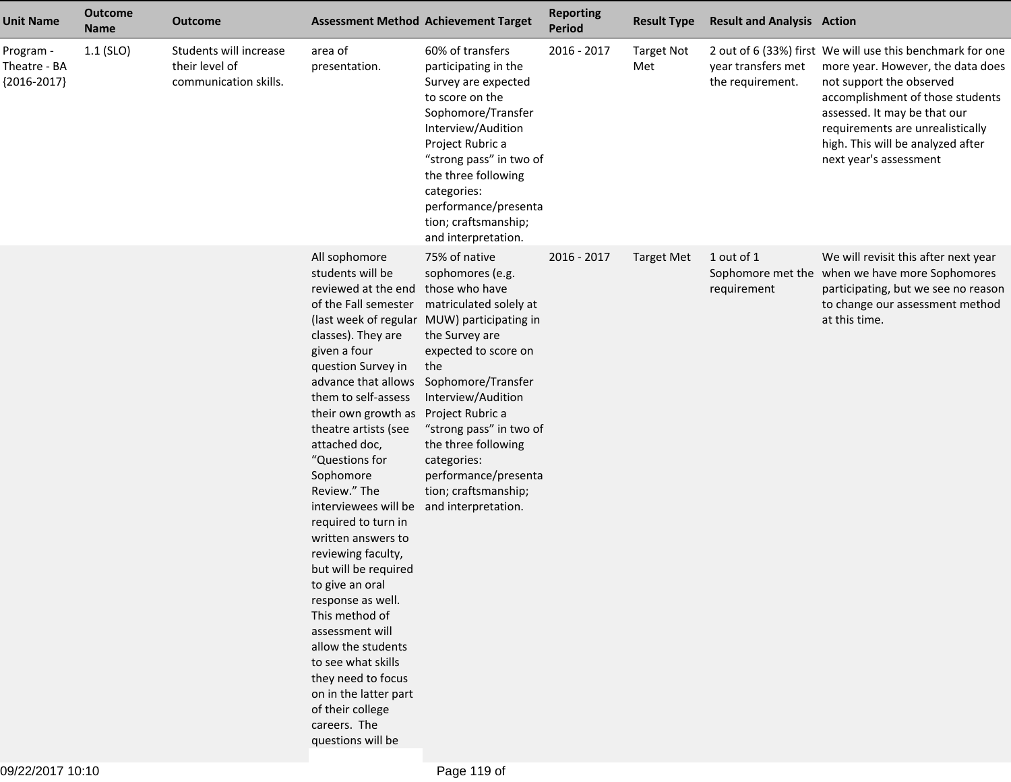| <b>Unit Name</b>                           | <b>Outcome</b><br><b>Name</b> | <b>Outcome</b>                                                    |                                                                                                                                                                                                                                                                                                                                                                                                                                                                                                                                                                                                                                                                                                  | <b>Assessment Method Achievement Target</b>                                                                                                                                                                                                                                                                                                  | <b>Reporting</b><br><b>Period</b> | <b>Result Type</b>       | <b>Result and Analysis Action</b>      |                                                                                                                                                                                                                                                                                                   |
|--------------------------------------------|-------------------------------|-------------------------------------------------------------------|--------------------------------------------------------------------------------------------------------------------------------------------------------------------------------------------------------------------------------------------------------------------------------------------------------------------------------------------------------------------------------------------------------------------------------------------------------------------------------------------------------------------------------------------------------------------------------------------------------------------------------------------------------------------------------------------------|----------------------------------------------------------------------------------------------------------------------------------------------------------------------------------------------------------------------------------------------------------------------------------------------------------------------------------------------|-----------------------------------|--------------------------|----------------------------------------|---------------------------------------------------------------------------------------------------------------------------------------------------------------------------------------------------------------------------------------------------------------------------------------------------|
| Program -<br>Theatre - BA<br>${2016-2017}$ | $1.1$ (SLO)                   | Students will increase<br>their level of<br>communication skills. | area of<br>presentation.                                                                                                                                                                                                                                                                                                                                                                                                                                                                                                                                                                                                                                                                         | 60% of transfers<br>participating in the<br>Survey are expected<br>to score on the<br>Sophomore/Transfer<br>Interview/Audition<br>Project Rubric a<br>"strong pass" in two of<br>the three following<br>categories:<br>performance/presenta<br>tion; craftsmanship;<br>and interpretation.                                                   | 2016 - 2017                       | <b>Target Not</b><br>Met | year transfers met<br>the requirement. | 2 out of 6 (33%) first We will use this benchmark for one<br>more year. However, the data does<br>not support the observed<br>accomplishment of those students<br>assessed. It may be that our<br>requirements are unrealistically<br>high. This will be analyzed after<br>next year's assessment |
|                                            |                               |                                                                   | All sophomore<br>students will be<br>reviewed at the end those who have<br>of the Fall semester<br>classes). They are<br>given a four<br>question Survey in<br>advance that allows<br>them to self-assess<br>their own growth as<br>theatre artists (see<br>attached doc,<br>"Questions for<br>Sophomore<br>Review." The<br>interviewees will be and interpretation.<br>required to turn in<br>written answers to<br>reviewing faculty,<br>but will be required<br>to give an oral<br>response as well.<br>This method of<br>assessment will<br>allow the students<br>to see what skills<br>they need to focus<br>on in the latter part<br>of their college<br>careers. The<br>questions will be | 75% of native<br>sophomores (e.g.<br>matriculated solely at<br>(last week of regular MUW) participating in<br>the Survey are<br>expected to score on<br>the<br>Sophomore/Transfer<br>Interview/Audition<br>Project Rubric a<br>"strong pass" in two of<br>the three following<br>categories:<br>performance/presenta<br>tion; craftsmanship; | 2016 - 2017                       | <b>Target Met</b>        | 1 out of 1<br>requirement              | We will revisit this after next year<br>Sophomore met the when we have more Sophomores<br>participating, but we see no reason<br>to change our assessment method<br>at this time.                                                                                                                 |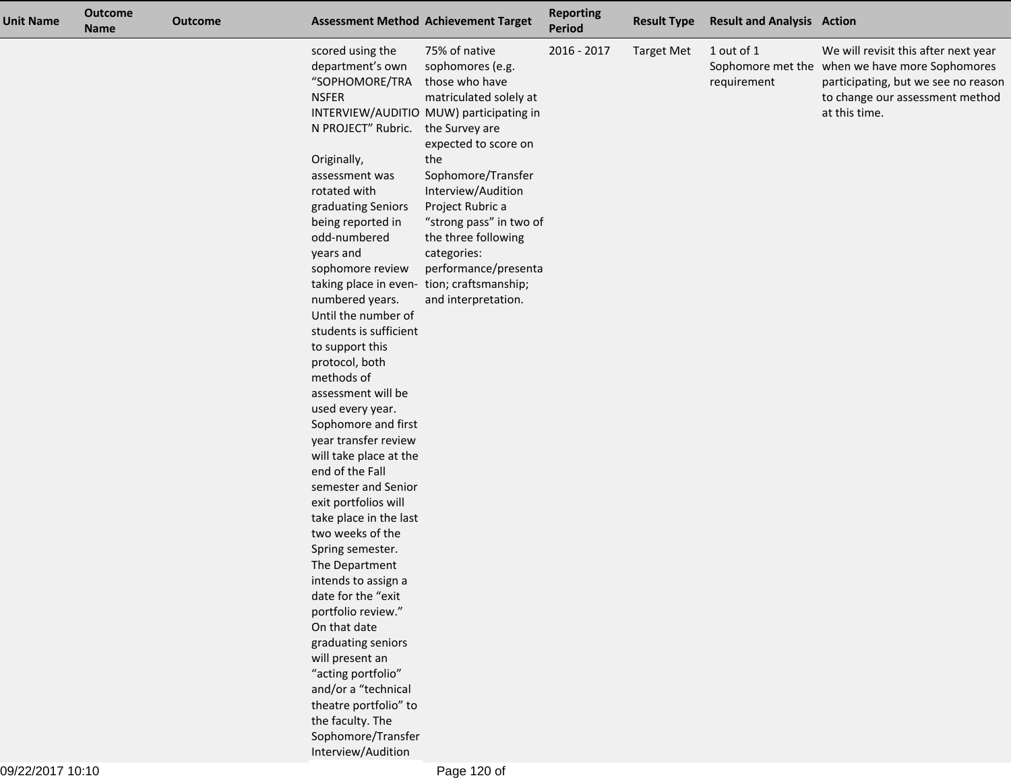| <b>Unit Name</b> | <b>Outcome</b><br><b>Name</b> | <b>Outcome</b>         |                                                                                                             | <b>Assessment Method Achievement Target</b>                                                                                                                               | <b>Reporting</b><br><b>Period</b> | <b>Result Type</b> | <b>Result and Analysis Action</b> |                                                                                                                                                                                   |
|------------------|-------------------------------|------------------------|-------------------------------------------------------------------------------------------------------------|---------------------------------------------------------------------------------------------------------------------------------------------------------------------------|-----------------------------------|--------------------|-----------------------------------|-----------------------------------------------------------------------------------------------------------------------------------------------------------------------------------|
|                  |                               |                        | scored using the<br>department's own<br>"SOPHOMORE/TRA<br><b>NSFER</b><br>N PROJECT" Rubric.<br>Originally, | 75% of native<br>sophomores (e.g.<br>those who have<br>matriculated solely at<br>INTERVIEW/AUDITIO MUW) participating in<br>the Survey are<br>expected to score on<br>the | $2016 - 2017$                     | <b>Target Met</b>  | 1 out of 1<br>requirement         | We will revisit this after next year<br>Sophomore met the when we have more Sophomores<br>participating, but we see no reason<br>to change our assessment method<br>at this time. |
|                  |                               |                        | assessment was                                                                                              | Sophomore/Transfer                                                                                                                                                        |                                   |                    |                                   |                                                                                                                                                                                   |
|                  |                               |                        | rotated with                                                                                                | Interview/Audition                                                                                                                                                        |                                   |                    |                                   |                                                                                                                                                                                   |
|                  |                               |                        | graduating Seniors                                                                                          | Project Rubric a                                                                                                                                                          |                                   |                    |                                   |                                                                                                                                                                                   |
|                  |                               |                        | being reported in                                                                                           | "strong pass" in two of                                                                                                                                                   |                                   |                    |                                   |                                                                                                                                                                                   |
|                  |                               |                        | odd-numbered<br>years and                                                                                   | the three following<br>categories:                                                                                                                                        |                                   |                    |                                   |                                                                                                                                                                                   |
|                  |                               |                        | sophomore review                                                                                            | performance/presenta                                                                                                                                                      |                                   |                    |                                   |                                                                                                                                                                                   |
|                  |                               |                        | taking place in even-                                                                                       | tion; craftsmanship;                                                                                                                                                      |                                   |                    |                                   |                                                                                                                                                                                   |
|                  |                               |                        | numbered years.                                                                                             | and interpretation.                                                                                                                                                       |                                   |                    |                                   |                                                                                                                                                                                   |
|                  |                               |                        | Until the number of                                                                                         |                                                                                                                                                                           |                                   |                    |                                   |                                                                                                                                                                                   |
|                  |                               | students is sufficient |                                                                                                             |                                                                                                                                                                           |                                   |                    |                                   |                                                                                                                                                                                   |
|                  |                               | to support this        |                                                                                                             |                                                                                                                                                                           |                                   |                    |                                   |                                                                                                                                                                                   |
|                  |                               |                        | protocol, both<br>methods of                                                                                |                                                                                                                                                                           |                                   |                    |                                   |                                                                                                                                                                                   |
|                  |                               |                        | assessment will be                                                                                          |                                                                                                                                                                           |                                   |                    |                                   |                                                                                                                                                                                   |
|                  |                               |                        | used every year.                                                                                            |                                                                                                                                                                           |                                   |                    |                                   |                                                                                                                                                                                   |
|                  |                               |                        | Sophomore and first                                                                                         |                                                                                                                                                                           |                                   |                    |                                   |                                                                                                                                                                                   |
|                  |                               |                        | year transfer review                                                                                        |                                                                                                                                                                           |                                   |                    |                                   |                                                                                                                                                                                   |
|                  |                               |                        | will take place at the                                                                                      |                                                                                                                                                                           |                                   |                    |                                   |                                                                                                                                                                                   |
|                  |                               |                        | end of the Fall<br>semester and Senior                                                                      |                                                                                                                                                                           |                                   |                    |                                   |                                                                                                                                                                                   |
|                  |                               |                        | exit portfolios will                                                                                        |                                                                                                                                                                           |                                   |                    |                                   |                                                                                                                                                                                   |
|                  |                               |                        | take place in the last                                                                                      |                                                                                                                                                                           |                                   |                    |                                   |                                                                                                                                                                                   |
|                  |                               |                        | two weeks of the                                                                                            |                                                                                                                                                                           |                                   |                    |                                   |                                                                                                                                                                                   |
|                  |                               |                        | Spring semester.                                                                                            |                                                                                                                                                                           |                                   |                    |                                   |                                                                                                                                                                                   |
|                  |                               |                        | The Department                                                                                              |                                                                                                                                                                           |                                   |                    |                                   |                                                                                                                                                                                   |
|                  |                               |                        | intends to assign a                                                                                         |                                                                                                                                                                           |                                   |                    |                                   |                                                                                                                                                                                   |
|                  |                               |                        | date for the "exit<br>portfolio review."                                                                    |                                                                                                                                                                           |                                   |                    |                                   |                                                                                                                                                                                   |
|                  |                               |                        | On that date                                                                                                |                                                                                                                                                                           |                                   |                    |                                   |                                                                                                                                                                                   |
|                  |                               |                        | graduating seniors                                                                                          |                                                                                                                                                                           |                                   |                    |                                   |                                                                                                                                                                                   |
|                  |                               |                        | will present an                                                                                             |                                                                                                                                                                           |                                   |                    |                                   |                                                                                                                                                                                   |
|                  |                               |                        | "acting portfolio"                                                                                          |                                                                                                                                                                           |                                   |                    |                                   |                                                                                                                                                                                   |
|                  |                               |                        | and/or a "technical                                                                                         |                                                                                                                                                                           |                                   |                    |                                   |                                                                                                                                                                                   |
|                  |                               |                        | theatre portfolio" to                                                                                       |                                                                                                                                                                           |                                   |                    |                                   |                                                                                                                                                                                   |
|                  |                               |                        | the faculty. The                                                                                            |                                                                                                                                                                           |                                   |                    |                                   |                                                                                                                                                                                   |
|                  |                               |                        | Sophomore/Transfer                                                                                          |                                                                                                                                                                           |                                   |                    |                                   |                                                                                                                                                                                   |
|                  |                               |                        | Interview/Audition                                                                                          |                                                                                                                                                                           |                                   |                    |                                   |                                                                                                                                                                                   |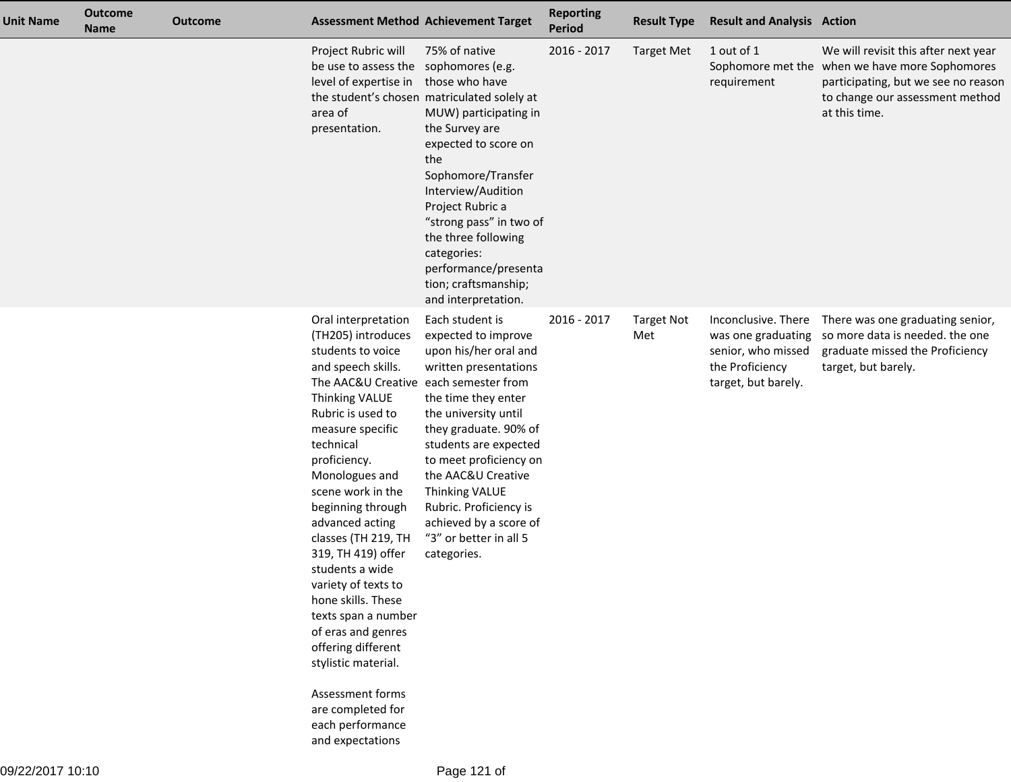| <b>Unit Name</b> | <b>Outcome</b><br><b>Name</b> | <b>Outcome</b> | <b>Assessment Method Achievement Target</b>                                                                                                                                                                                                                                                                                                                                                                                                                                                                                                                               |                                                                                                                                                                                                                                                                                                                                                                                      | <b>Reporting</b><br>Period | <b>Result Type</b>       | <b>Result and Analysis Action</b>                                                                         |                                                                                                                                                                                   |
|------------------|-------------------------------|----------------|---------------------------------------------------------------------------------------------------------------------------------------------------------------------------------------------------------------------------------------------------------------------------------------------------------------------------------------------------------------------------------------------------------------------------------------------------------------------------------------------------------------------------------------------------------------------------|--------------------------------------------------------------------------------------------------------------------------------------------------------------------------------------------------------------------------------------------------------------------------------------------------------------------------------------------------------------------------------------|----------------------------|--------------------------|-----------------------------------------------------------------------------------------------------------|-----------------------------------------------------------------------------------------------------------------------------------------------------------------------------------|
|                  |                               |                | Project Rubric will<br>be use to assess the<br>level of expertise in<br>area of<br>presentation.                                                                                                                                                                                                                                                                                                                                                                                                                                                                          | 75% of native<br>sophomores (e.g.<br>those who have<br>the student's chosen matriculated solely at<br>MUW) participating in<br>the Survey are<br>expected to score on<br>the<br>Sophomore/Transfer<br>Interview/Audition<br>Project Rubric a<br>"strong pass" in two of<br>the three following<br>categories:<br>performance/presenta<br>tion; craftsmanship;<br>and interpretation. | 2016 - 2017                | <b>Target Met</b>        | 1 out of 1<br>requirement                                                                                 | We will revisit this after next year<br>Sophomore met the when we have more Sophomores<br>participating, but we see no reason<br>to change our assessment method<br>at this time. |
|                  |                               |                | Oral interpretation<br>(TH205) introduces<br>students to voice<br>and speech skills.<br>The AAC&U Creative<br>Thinking VALUE<br>Rubric is used to<br>measure specific<br>technical<br>proficiency.<br>Monologues and<br>scene work in the<br>beginning through<br>advanced acting<br>classes (TH 219, TH<br>319, TH 419) offer<br>students a wide<br>variety of texts to<br>hone skills. These<br>texts span a number<br>of eras and genres<br>offering different<br>stylistic material.<br>Assessment forms<br>are completed for<br>each performance<br>and expectations | Each student is<br>expected to improve<br>upon his/her oral and<br>written presentations<br>each semester from<br>the time they enter<br>the university until<br>they graduate. 90% of<br>students are expected<br>to meet proficiency on<br>the AAC&U Creative<br>Thinking VALUE<br>Rubric. Proficiency is<br>achieved by a score of<br>"3" or better in all 5<br>categories.       | 2016 - 2017                | <b>Target Not</b><br>Met | Inconclusive. There<br>was one graduating<br>senior, who missed<br>the Proficiency<br>target, but barely. | There was one graduating senior,<br>so more data is needed. the one<br>graduate missed the Proficiency<br>target, but barely.                                                     |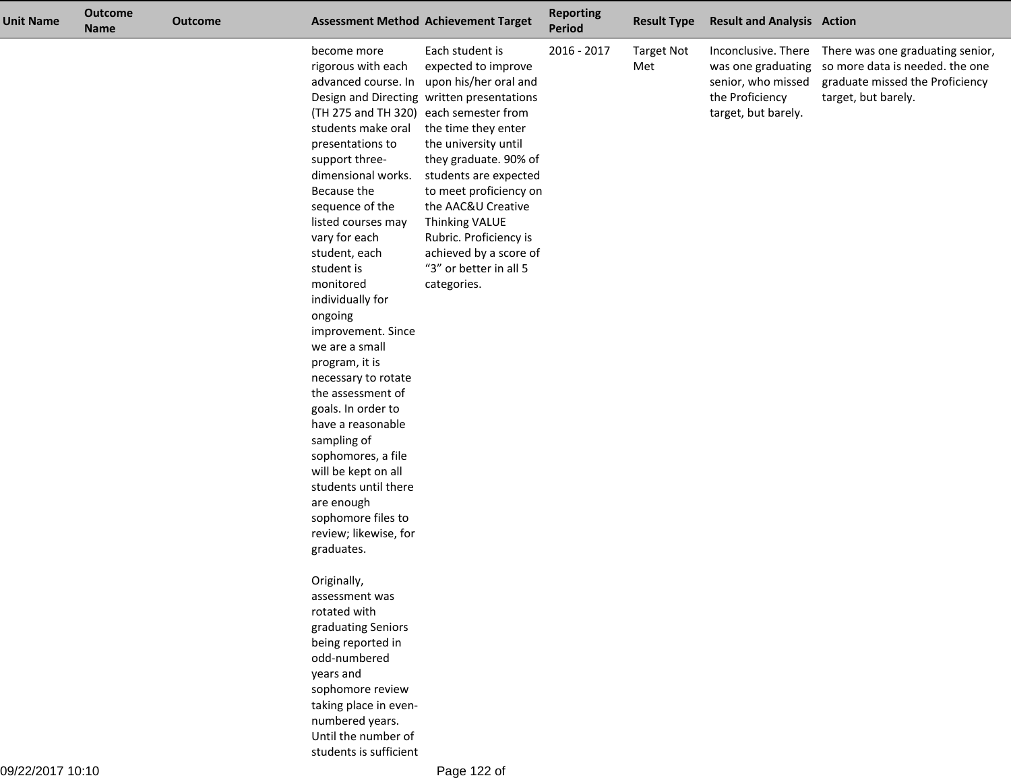| <b>Unit Name</b> | <b>Outcome</b><br><b>Name</b> | <b>Outcome</b> |                                                                                                                                                                                                                                                                                                                                                                                                                                                                                                                                                                                                                                   | <b>Assessment Method Achievement Target</b>                                                                                                                                                                                                                                                                                                                                                              | <b>Reporting</b><br><b>Period</b> | <b>Result Type</b>       | <b>Result and Analysis Action</b>                            |                                                                                                                                                                      |
|------------------|-------------------------------|----------------|-----------------------------------------------------------------------------------------------------------------------------------------------------------------------------------------------------------------------------------------------------------------------------------------------------------------------------------------------------------------------------------------------------------------------------------------------------------------------------------------------------------------------------------------------------------------------------------------------------------------------------------|----------------------------------------------------------------------------------------------------------------------------------------------------------------------------------------------------------------------------------------------------------------------------------------------------------------------------------------------------------------------------------------------------------|-----------------------------------|--------------------------|--------------------------------------------------------------|----------------------------------------------------------------------------------------------------------------------------------------------------------------------|
|                  |                               |                | become more<br>rigorous with each<br>(TH 275 and TH 320) each semester from<br>students make oral<br>presentations to<br>support three-<br>dimensional works.<br>Because the<br>sequence of the<br>listed courses may<br>vary for each<br>student, each<br>student is<br>monitored<br>individually for<br>ongoing<br>improvement. Since<br>we are a small<br>program, it is<br>necessary to rotate<br>the assessment of<br>goals. In order to<br>have a reasonable<br>sampling of<br>sophomores, a file<br>will be kept on all<br>students until there<br>are enough<br>sophomore files to<br>review; likewise, for<br>graduates. | Each student is<br>expected to improve<br>advanced course. In upon his/her oral and<br>Design and Directing written presentations<br>the time they enter<br>the university until<br>they graduate. 90% of<br>students are expected<br>to meet proficiency on<br>the AAC&U Creative<br><b>Thinking VALUE</b><br>Rubric. Proficiency is<br>achieved by a score of<br>"3" or better in all 5<br>categories. | 2016 - 2017                       | <b>Target Not</b><br>Met | senior, who missed<br>the Proficiency<br>target, but barely. | Inconclusive. There There was one graduating senior,<br>was one graduating so more data is needed. the one<br>graduate missed the Proficiency<br>target, but barely. |
|                  |                               |                | Originally,<br>assessment was<br>rotated with<br>graduating Seniors<br>being reported in<br>odd-numbered<br>years and<br>sophomore review<br>taking place in even-<br>numbered years.<br>Until the number of<br>students is sufficient                                                                                                                                                                                                                                                                                                                                                                                            |                                                                                                                                                                                                                                                                                                                                                                                                          |                                   |                          |                                                              |                                                                                                                                                                      |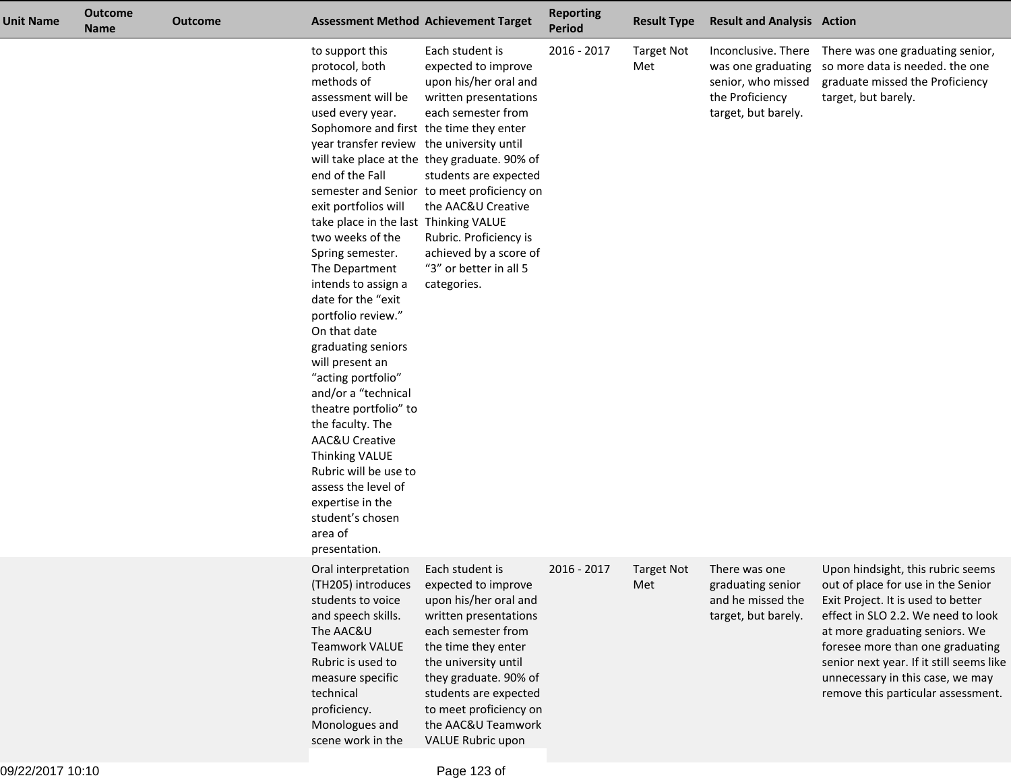| <b>Unit Name</b> | <b>Outcome</b><br><b>Name</b> | Outcome |                                                                                                                                                                                                                                                                                                                                                                                                                                                                                                                                                                                                                                                                                                               | <b>Assessment Method Achievement Target</b>                                                                                                                                                                                                                                                                                                              | <b>Reporting</b><br><b>Period</b> | <b>Result Type</b>       | <b>Result and Analysis Action</b>                                                                         |                                                                                                                                                                                                                                                                                                                                                 |
|------------------|-------------------------------|---------|---------------------------------------------------------------------------------------------------------------------------------------------------------------------------------------------------------------------------------------------------------------------------------------------------------------------------------------------------------------------------------------------------------------------------------------------------------------------------------------------------------------------------------------------------------------------------------------------------------------------------------------------------------------------------------------------------------------|----------------------------------------------------------------------------------------------------------------------------------------------------------------------------------------------------------------------------------------------------------------------------------------------------------------------------------------------------------|-----------------------------------|--------------------------|-----------------------------------------------------------------------------------------------------------|-------------------------------------------------------------------------------------------------------------------------------------------------------------------------------------------------------------------------------------------------------------------------------------------------------------------------------------------------|
|                  |                               |         | to support this<br>protocol, both<br>methods of<br>assessment will be<br>used every year.<br>Sophomore and first the time they enter<br>year transfer review the university until<br>end of the Fall<br>exit portfolios will<br>take place in the last Thinking VALUE<br>two weeks of the<br>Spring semester.<br>The Department<br>intends to assign a<br>date for the "exit<br>portfolio review."<br>On that date<br>graduating seniors<br>will present an<br>"acting portfolio"<br>and/or a "technical<br>theatre portfolio" to<br>the faculty. The<br>AAC&U Creative<br>Thinking VALUE<br>Rubric will be use to<br>assess the level of<br>expertise in the<br>student's chosen<br>area of<br>presentation. | Each student is<br>expected to improve<br>upon his/her oral and<br>written presentations<br>each semester from<br>will take place at the they graduate. 90% of<br>students are expected<br>semester and Senior to meet proficiency on<br>the AAC&U Creative<br>Rubric. Proficiency is<br>achieved by a score of<br>"3" or better in all 5<br>categories. | 2016 - 2017                       | <b>Target Not</b><br>Met | Inconclusive. There<br>was one graduating<br>senior, who missed<br>the Proficiency<br>target, but barely. | There was one graduating senior,<br>so more data is needed. the one<br>graduate missed the Proficiency<br>target, but barely.                                                                                                                                                                                                                   |
|                  |                               |         | Oral interpretation<br>(TH205) introduces<br>students to voice<br>and speech skills.<br>The AAC&U<br><b>Teamwork VALUE</b><br>Rubric is used to<br>measure specific<br>technical<br>proficiency.<br>Monologues and<br>scene work in the                                                                                                                                                                                                                                                                                                                                                                                                                                                                       | Each student is<br>expected to improve<br>upon his/her oral and<br>written presentations<br>each semester from<br>the time they enter<br>the university until<br>they graduate. 90% of<br>students are expected<br>to meet proficiency on<br>the AAC&U Teamwork<br><b>VALUE Rubric upon</b>                                                              | 2016 - 2017                       | <b>Target Not</b><br>Met | There was one<br>graduating senior<br>and he missed the<br>target, but barely.                            | Upon hindsight, this rubric seems<br>out of place for use in the Senior<br>Exit Project. It is used to better<br>effect in SLO 2.2. We need to look<br>at more graduating seniors. We<br>foresee more than one graduating<br>senior next year. If it still seems like<br>unnecessary in this case, we may<br>remove this particular assessment. |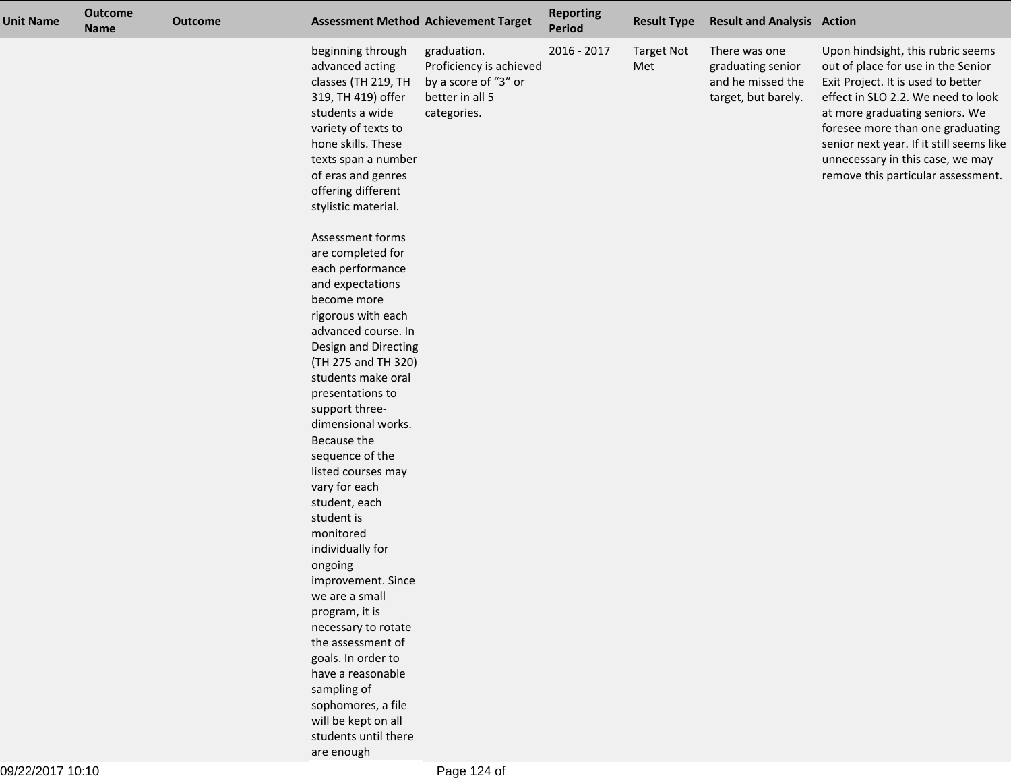| <b>Unit Name</b> | <b>Outcome</b><br><b>Name</b> | <b>Outcome</b> |                                                                                                                                                                                                                                                                                                                                                                                    | <b>Assessment Method Achievement Target</b>                                                      | <b>Reporting</b><br>Period | <b>Result Type</b>       | <b>Result and Analysis Action</b>                                              |                                                                                                                                                                                                                                                                                                                                                 |
|------------------|-------------------------------|----------------|------------------------------------------------------------------------------------------------------------------------------------------------------------------------------------------------------------------------------------------------------------------------------------------------------------------------------------------------------------------------------------|--------------------------------------------------------------------------------------------------|----------------------------|--------------------------|--------------------------------------------------------------------------------|-------------------------------------------------------------------------------------------------------------------------------------------------------------------------------------------------------------------------------------------------------------------------------------------------------------------------------------------------|
|                  |                               |                | beginning through<br>advanced acting<br>classes (TH 219, TH<br>319, TH 419) offer<br>students a wide<br>variety of texts to<br>hone skills. These<br>texts span a number<br>of eras and genres<br>offering different<br>stylistic material.                                                                                                                                        | graduation.<br>Proficiency is achieved<br>by a score of "3" or<br>better in all 5<br>categories. | 2016 - 2017                | <b>Target Not</b><br>Met | There was one<br>graduating senior<br>and he missed the<br>target, but barely. | Upon hindsight, this rubric seems<br>out of place for use in the Senior<br>Exit Project. It is used to better<br>effect in SLO 2.2. We need to look<br>at more graduating seniors. We<br>foresee more than one graduating<br>senior next year. If it still seems like<br>unnecessary in this case, we may<br>remove this particular assessment. |
|                  |                               |                | Assessment forms<br>are completed for<br>each performance<br>and expectations<br>become more<br>rigorous with each<br>advanced course. In<br>Design and Directing<br>(TH 275 and TH 320)<br>students make oral<br>presentations to<br>support three-<br>dimensional works.<br>Because the<br>sequence of the<br>listed courses may<br>vary for each<br>student, each<br>student is |                                                                                                  |                            |                          |                                                                                |                                                                                                                                                                                                                                                                                                                                                 |
|                  |                               |                | monitored<br>individually for<br>ongoing<br>improvement. Since<br>we are a small<br>program, it is<br>necessary to rotate<br>the assessment of<br>goals. In order to<br>have a reasonable<br>sampling of<br>sophomores, a file<br>will be kept on all<br>students until there<br>are enough                                                                                        |                                                                                                  |                            |                          |                                                                                |                                                                                                                                                                                                                                                                                                                                                 |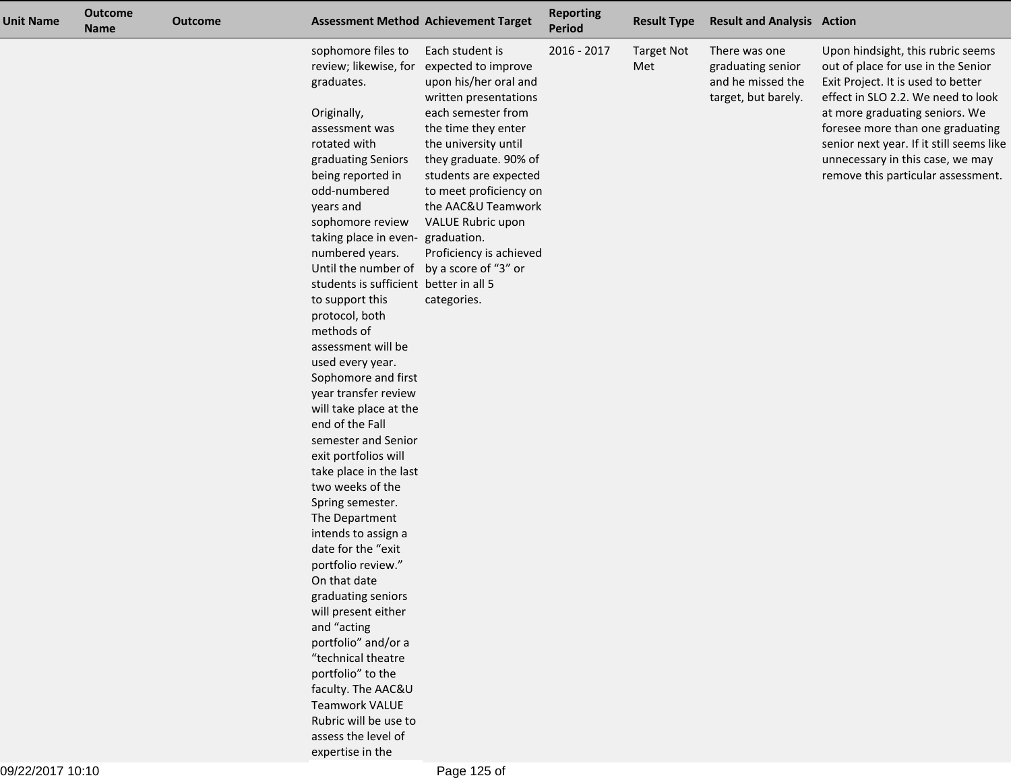| <b>Unit Name</b> | <b>Outcome</b><br><b>Name</b> | <b>Outcome</b> |                                                                                                                               | <b>Assessment Method Achievement Target</b>                                                                                           | <b>Reporting</b><br>Period | <b>Result Type</b>       | <b>Result and Analysis Action</b>                                              |                                                                                                                                                                                                                           |
|------------------|-------------------------------|----------------|-------------------------------------------------------------------------------------------------------------------------------|---------------------------------------------------------------------------------------------------------------------------------------|----------------------------|--------------------------|--------------------------------------------------------------------------------|---------------------------------------------------------------------------------------------------------------------------------------------------------------------------------------------------------------------------|
|                  |                               |                | sophomore files to<br>review; likewise, for<br>graduates.<br>Originally,<br>assessment was                                    | Each student is<br>expected to improve<br>upon his/her oral and<br>written presentations<br>each semester from<br>the time they enter | 2016 - 2017                | <b>Target Not</b><br>Met | There was one<br>graduating senior<br>and he missed the<br>target, but barely. | Upon hindsight, this rubric seems<br>out of place for use in the Senior<br>Exit Project. It is used to better<br>effect in SLO 2.2. We need to look<br>at more graduating seniors. We<br>foresee more than one graduating |
|                  |                               |                | rotated with<br>graduating Seniors<br>being reported in<br>odd-numbered<br>years and                                          | the university until<br>they graduate. 90% of<br>students are expected<br>to meet proficiency on<br>the AAC&U Teamwork                |                            |                          |                                                                                | senior next year. If it still seems like<br>unnecessary in this case, we may<br>remove this particular assessment.                                                                                                        |
|                  |                               |                | sophomore review<br>taking place in even-<br>numbered years.<br>Until the number of<br>students is sufficient better in all 5 | VALUE Rubric upon<br>graduation.<br>Proficiency is achieved<br>by a score of "3" or                                                   |                            |                          |                                                                                |                                                                                                                                                                                                                           |
|                  |                               |                | to support this<br>protocol, both<br>methods of<br>assessment will be<br>used every year.<br>Sophomore and first              | categories.                                                                                                                           |                            |                          |                                                                                |                                                                                                                                                                                                                           |
|                  |                               |                | year transfer review<br>will take place at the<br>end of the Fall<br>semester and Senior                                      |                                                                                                                                       |                            |                          |                                                                                |                                                                                                                                                                                                                           |
|                  |                               |                | exit portfolios will<br>take place in the last<br>two weeks of the<br>Spring semester.<br>The Department                      |                                                                                                                                       |                            |                          |                                                                                |                                                                                                                                                                                                                           |
|                  |                               |                | intends to assign a<br>date for the "exit<br>portfolio review."<br>On that date<br>graduating seniors                         |                                                                                                                                       |                            |                          |                                                                                |                                                                                                                                                                                                                           |
|                  |                               |                | will present either<br>and "acting<br>portfolio" and/or a<br>"technical theatre                                               |                                                                                                                                       |                            |                          |                                                                                |                                                                                                                                                                                                                           |
|                  |                               |                | portfolio" to the<br>faculty. The AAC&U<br><b>Teamwork VALUE</b><br>Rubric will be use to<br>assess the level of              |                                                                                                                                       |                            |                          |                                                                                |                                                                                                                                                                                                                           |
|                  |                               |                | expertise in the                                                                                                              |                                                                                                                                       |                            |                          |                                                                                |                                                                                                                                                                                                                           |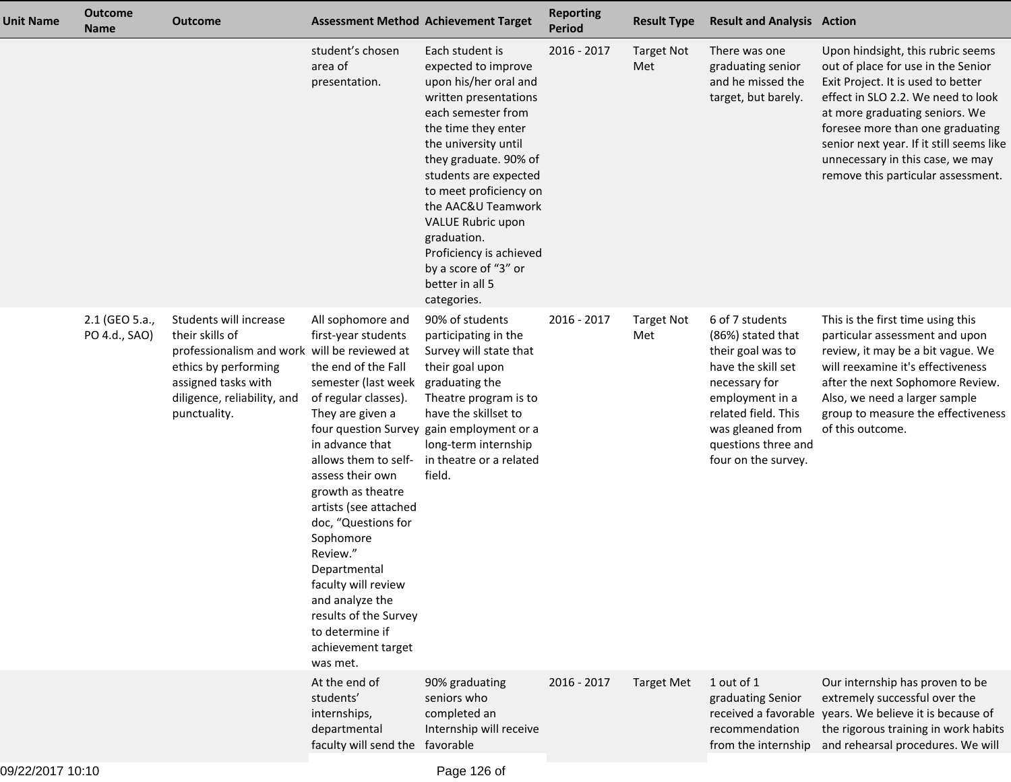| <b>Unit Name</b> | <b>Outcome</b><br><b>Name</b>   | <b>Outcome</b>                                                                                                                                                                          |                                                                                                                                                                                                                                                                                                                                                                                                                                                        | <b>Assessment Method Achievement Target</b>                                                                                                                                                                                                                                                                                                                                              | <b>Reporting</b><br><b>Period</b> | <b>Result Type</b>       | <b>Result and Analysis Action</b>                                                                                                                                                                            |                                                                                                                                                                                                                                                                                                                                                 |
|------------------|---------------------------------|-----------------------------------------------------------------------------------------------------------------------------------------------------------------------------------------|--------------------------------------------------------------------------------------------------------------------------------------------------------------------------------------------------------------------------------------------------------------------------------------------------------------------------------------------------------------------------------------------------------------------------------------------------------|------------------------------------------------------------------------------------------------------------------------------------------------------------------------------------------------------------------------------------------------------------------------------------------------------------------------------------------------------------------------------------------|-----------------------------------|--------------------------|--------------------------------------------------------------------------------------------------------------------------------------------------------------------------------------------------------------|-------------------------------------------------------------------------------------------------------------------------------------------------------------------------------------------------------------------------------------------------------------------------------------------------------------------------------------------------|
|                  |                                 |                                                                                                                                                                                         | student's chosen<br>area of<br>presentation.                                                                                                                                                                                                                                                                                                                                                                                                           | Each student is<br>expected to improve<br>upon his/her oral and<br>written presentations<br>each semester from<br>the time they enter<br>the university until<br>they graduate. 90% of<br>students are expected<br>to meet proficiency on<br>the AAC&U Teamwork<br>VALUE Rubric upon<br>graduation.<br>Proficiency is achieved<br>by a score of "3" or<br>better in all 5<br>categories. | 2016 - 2017                       | <b>Target Not</b><br>Met | There was one<br>graduating senior<br>and he missed the<br>target, but barely.                                                                                                                               | Upon hindsight, this rubric seems<br>out of place for use in the Senior<br>Exit Project. It is used to better<br>effect in SLO 2.2. We need to look<br>at more graduating seniors. We<br>foresee more than one graduating<br>senior next year. If it still seems like<br>unnecessary in this case, we may<br>remove this particular assessment. |
|                  | 2.1 (GEO 5.a.,<br>PO 4.d., SAO) | Students will increase<br>their skills of<br>professionalism and work will be reviewed at<br>ethics by performing<br>assigned tasks with<br>diligence, reliability, and<br>punctuality. | All sophomore and<br>first-year students<br>the end of the Fall<br>semester (last week graduating the<br>of regular classes).<br>They are given a<br>in advance that<br>allows them to self-<br>assess their own<br>growth as theatre<br>artists (see attached<br>doc, "Questions for<br>Sophomore<br>Review."<br>Departmental<br>faculty will review<br>and analyze the<br>results of the Survey<br>to determine if<br>achievement target<br>was met. | 90% of students<br>participating in the<br>Survey will state that<br>their goal upon<br>Theatre program is to<br>have the skillset to<br>four question Survey gain employment or a<br>long-term internship<br>in theatre or a related<br>field.                                                                                                                                          | 2016 - 2017                       | <b>Target Not</b><br>Met | 6 of 7 students<br>(86%) stated that<br>their goal was to<br>have the skill set<br>necessary for<br>employment in a<br>related field. This<br>was gleaned from<br>questions three and<br>four on the survey. | This is the first time using this<br>particular assessment and upon<br>review, it may be a bit vague. We<br>will reexamine it's effectiveness<br>after the next Sophomore Review.<br>Also, we need a larger sample<br>group to measure the effectiveness<br>of this outcome.                                                                    |
|                  |                                 |                                                                                                                                                                                         | At the end of<br>students'<br>internships,<br>departmental<br>faculty will send the favorable                                                                                                                                                                                                                                                                                                                                                          | 90% graduating<br>seniors who<br>completed an<br>Internship will receive                                                                                                                                                                                                                                                                                                                 | $2016 - 2017$                     | <b>Target Met</b>        | 1 out of 1<br>graduating Senior<br>recommendation                                                                                                                                                            | Our internship has proven to be<br>extremely successful over the<br>received a favorable years. We believe it is because of<br>the rigorous training in work habits<br>from the internship and rehearsal procedures. We will                                                                                                                    |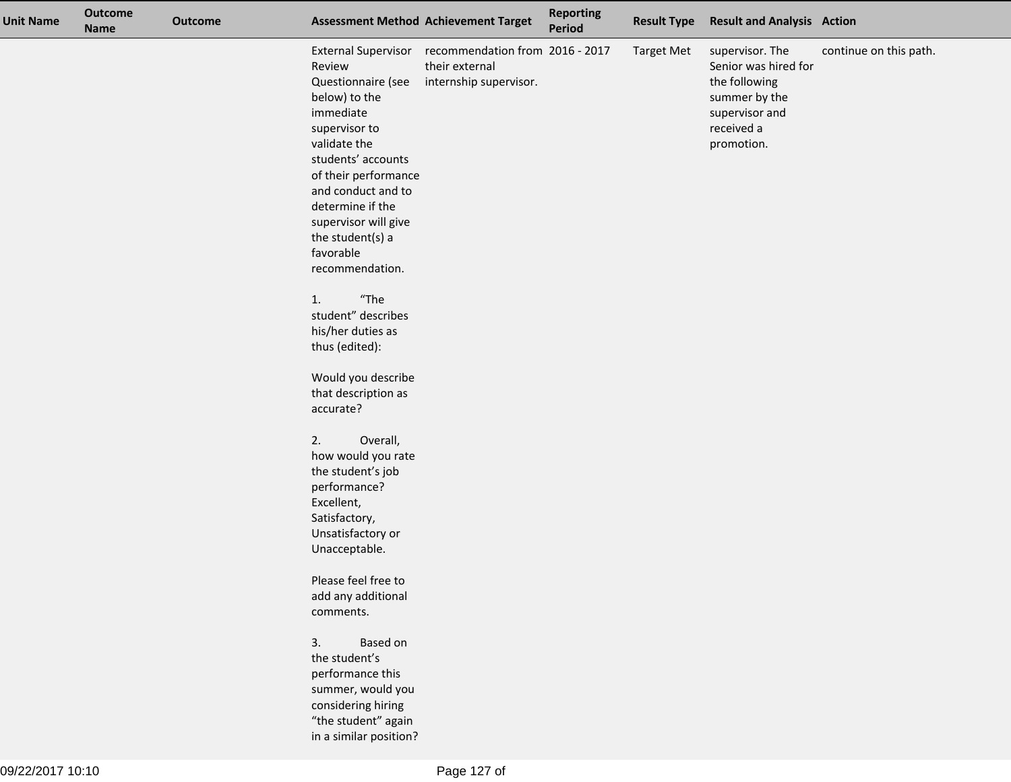| <b>Unit Name</b> | <b>Outcome</b><br><b>Name</b> | <b>Outcome</b> |                                                                                                                                                 | <b>Assessment Method Achievement Target</b>                                                     | <b>Reporting</b><br><b>Period</b> | <b>Result Type</b> | <b>Result and Analysis Action</b>                                                                                       |                        |
|------------------|-------------------------------|----------------|-------------------------------------------------------------------------------------------------------------------------------------------------|-------------------------------------------------------------------------------------------------|-----------------------------------|--------------------|-------------------------------------------------------------------------------------------------------------------------|------------------------|
|                  |                               |                | Review<br>Questionnaire (see<br>below) to the<br>immediate<br>supervisor to<br>validate the<br>students' accounts                               | External Supervisor recommendation from 2016 - 2017<br>their external<br>internship supervisor. |                                   | <b>Target Met</b>  | supervisor. The<br>Senior was hired for<br>the following<br>summer by the<br>supervisor and<br>received a<br>promotion. | continue on this path. |
|                  |                               |                | of their performance<br>and conduct and to<br>determine if the<br>supervisor will give<br>the student(s) a<br>favorable                         |                                                                                                 |                                   |                    |                                                                                                                         |                        |
|                  |                               |                | recommendation.                                                                                                                                 |                                                                                                 |                                   |                    |                                                                                                                         |                        |
|                  |                               |                | $"$ The<br>1.<br>student" describes<br>his/her duties as<br>thus (edited):                                                                      |                                                                                                 |                                   |                    |                                                                                                                         |                        |
|                  |                               |                | Would you describe<br>that description as<br>accurate?                                                                                          |                                                                                                 |                                   |                    |                                                                                                                         |                        |
|                  |                               |                | 2.<br>Overall,<br>how would you rate<br>the student's job<br>performance?<br>Excellent,<br>Satisfactory,<br>Unsatisfactory or<br>Unacceptable.  |                                                                                                 |                                   |                    |                                                                                                                         |                        |
|                  |                               |                | Please feel free to<br>add any additional<br>comments.                                                                                          |                                                                                                 |                                   |                    |                                                                                                                         |                        |
|                  |                               |                | 3.<br>Based on<br>the student's<br>performance this<br>summer, would you<br>considering hiring<br>"the student" again<br>in a similar position? |                                                                                                 |                                   |                    |                                                                                                                         |                        |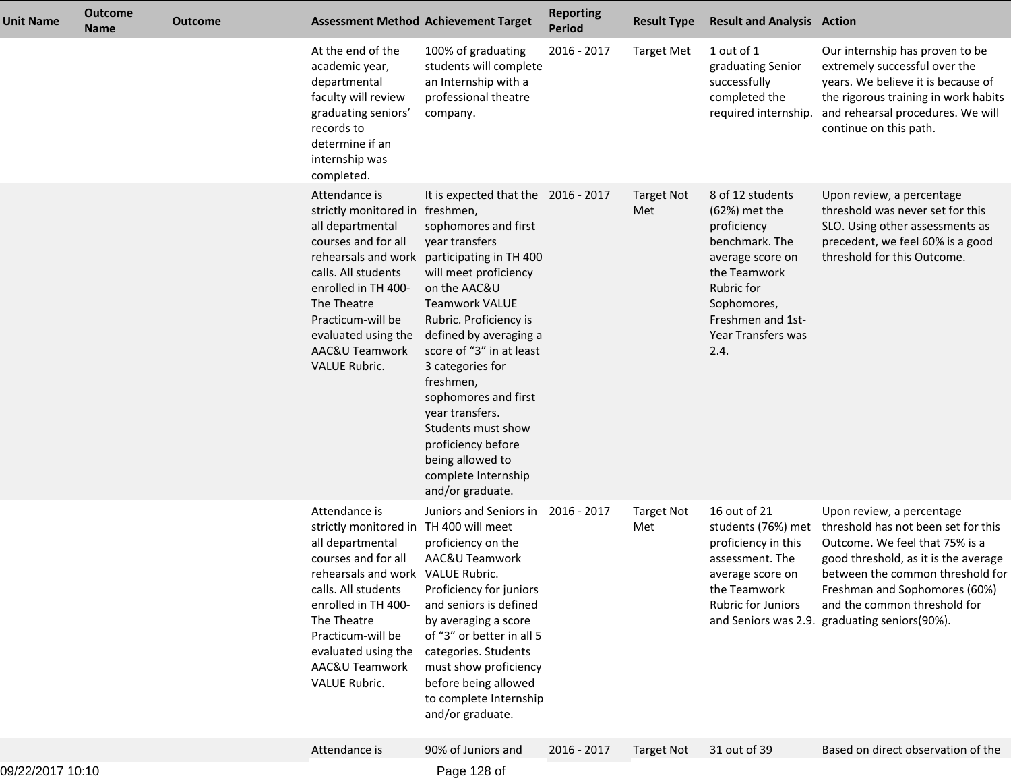| Unit Name        | <b>Outcome</b><br><b>Name</b> | <b>Outcome</b> | <b>Assessment Method Achievement Target</b>                                                                                                                                                                                                                                                |                                                                                                                                                                                                                                                                                                                                                                                                                                                                                    | <b>Reporting</b><br><b>Period</b> | <b>Result Type</b>       | <b>Result and Analysis Action</b>                                                                                                                                                        |                                                                                                                                                                                                                                                                                                  |
|------------------|-------------------------------|----------------|--------------------------------------------------------------------------------------------------------------------------------------------------------------------------------------------------------------------------------------------------------------------------------------------|------------------------------------------------------------------------------------------------------------------------------------------------------------------------------------------------------------------------------------------------------------------------------------------------------------------------------------------------------------------------------------------------------------------------------------------------------------------------------------|-----------------------------------|--------------------------|------------------------------------------------------------------------------------------------------------------------------------------------------------------------------------------|--------------------------------------------------------------------------------------------------------------------------------------------------------------------------------------------------------------------------------------------------------------------------------------------------|
|                  |                               |                | At the end of the<br>academic year,<br>departmental<br>faculty will review<br>graduating seniors'<br>records to<br>determine if an<br>internship was<br>completed.                                                                                                                         | 100% of graduating<br>students will complete<br>an Internship with a<br>professional theatre<br>company.                                                                                                                                                                                                                                                                                                                                                                           | 2016 - 2017                       | <b>Target Met</b>        | 1 out of 1<br>graduating Senior<br>successfully<br>completed the<br>required internship.                                                                                                 | Our internship has proven to be<br>extremely successful over the<br>years. We believe it is because of<br>the rigorous training in work habits<br>and rehearsal procedures. We will<br>continue on this path.                                                                                    |
|                  |                               |                | Attendance is<br>strictly monitored in<br>all departmental<br>courses and for all<br>calls. All students<br>enrolled in TH 400-<br>The Theatre<br>Practicum-will be<br>evaluated using the<br>AAC&U Teamwork<br><b>VALUE Rubric.</b>                                                       | It is expected that the 2016 - 2017<br>freshmen,<br>sophomores and first<br>year transfers<br>rehearsals and work participating in TH 400<br>will meet proficiency<br>on the AAC&U<br><b>Teamwork VALUE</b><br>Rubric. Proficiency is<br>defined by averaging a<br>score of "3" in at least<br>3 categories for<br>freshmen,<br>sophomores and first<br>year transfers.<br>Students must show<br>proficiency before<br>being allowed to<br>complete Internship<br>and/or graduate. |                                   | <b>Target Not</b><br>Met | 8 of 12 students<br>$(62%)$ met the<br>proficiency<br>benchmark. The<br>average score on<br>the Teamwork<br>Rubric for<br>Sophomores,<br>Freshmen and 1st-<br>Year Transfers was<br>2.4. | Upon review, a percentage<br>threshold was never set for this<br>SLO. Using other assessments as<br>precedent, we feel 60% is a good<br>threshold for this Outcome.                                                                                                                              |
|                  |                               |                | Attendance is<br>strictly monitored in TH 400 will meet<br>all departmental<br>courses and for all<br>rehearsals and work VALUE Rubric.<br>calls. All students<br>enrolled in TH 400-<br>The Theatre<br>Practicum-will be<br>evaluated using the<br>AAC&U Teamwork<br><b>VALUE Rubric.</b> | Juniors and Seniors in<br>proficiency on the<br>AAC&U Teamwork<br>Proficiency for juniors<br>and seniors is defined<br>by averaging a score<br>of "3" or better in all 5<br>categories. Students<br>must show proficiency<br>before being allowed<br>to complete Internship<br>and/or graduate.                                                                                                                                                                                    | 2016 - 2017                       | <b>Target Not</b><br>Met | 16 out of 21<br>students (76%) met<br>proficiency in this<br>assessment. The<br>average score on<br>the Teamwork<br><b>Rubric for Juniors</b>                                            | Upon review, a percentage<br>threshold has not been set for this<br>Outcome. We feel that 75% is a<br>good threshold, as it is the average<br>between the common threshold for<br>Freshman and Sophomores (60%)<br>and the common threshold for<br>and Seniors was 2.9. graduating seniors(90%). |
|                  |                               |                | Attendance is                                                                                                                                                                                                                                                                              | 90% of Juniors and                                                                                                                                                                                                                                                                                                                                                                                                                                                                 | 2016 - 2017                       | <b>Target Not</b>        | 31 out of 39                                                                                                                                                                             | Based on direct observation of the                                                                                                                                                                                                                                                               |
| 09/22/2017 10:10 |                               |                |                                                                                                                                                                                                                                                                                            | Page 128 of                                                                                                                                                                                                                                                                                                                                                                                                                                                                        |                                   |                          |                                                                                                                                                                                          |                                                                                                                                                                                                                                                                                                  |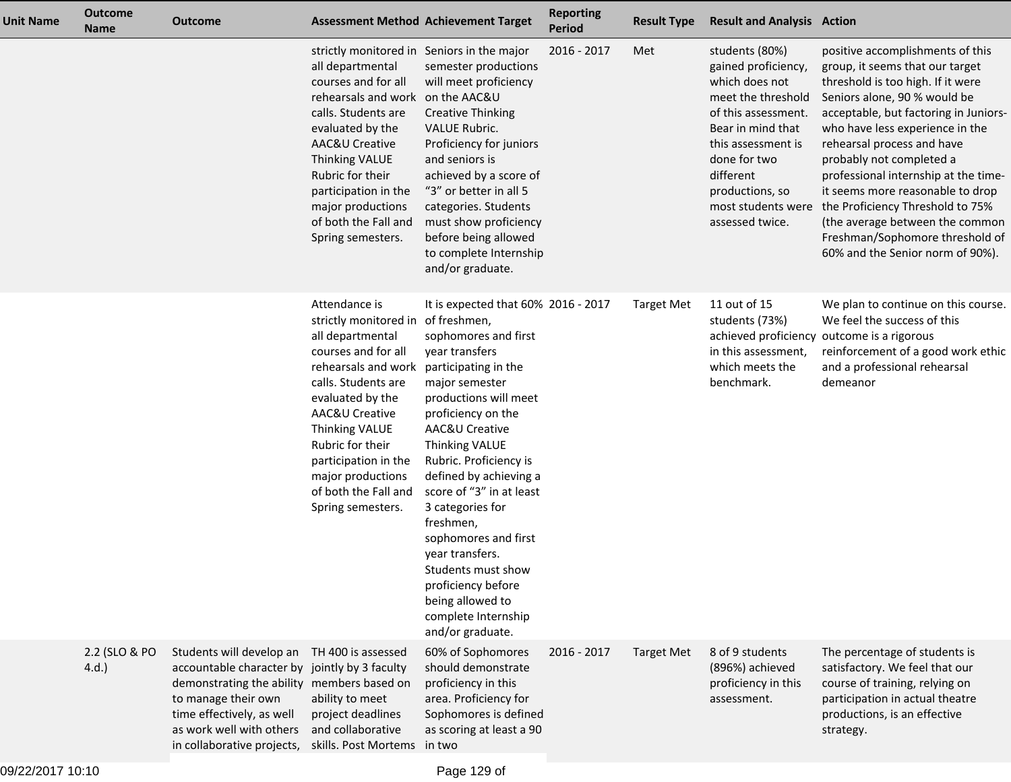| <b>Unit Name</b> | <b>Outcome</b><br><b>Name</b> | Outcome                                                                                                                                                                                                          | <b>Assessment Method Achievement Target</b>                                                                                                                                                                                                                                                                                   |                                                                                                                                                                                                                                                                                                                                                                                                                                                                                   | <b>Reporting</b><br><b>Period</b> | <b>Result Type</b> | <b>Result and Analysis Action</b>                                                                                                                                                                                  |                                                                                                                                                                                                                                                                                                                                                                                                                                                                                                                             |
|------------------|-------------------------------|------------------------------------------------------------------------------------------------------------------------------------------------------------------------------------------------------------------|-------------------------------------------------------------------------------------------------------------------------------------------------------------------------------------------------------------------------------------------------------------------------------------------------------------------------------|-----------------------------------------------------------------------------------------------------------------------------------------------------------------------------------------------------------------------------------------------------------------------------------------------------------------------------------------------------------------------------------------------------------------------------------------------------------------------------------|-----------------------------------|--------------------|--------------------------------------------------------------------------------------------------------------------------------------------------------------------------------------------------------------------|-----------------------------------------------------------------------------------------------------------------------------------------------------------------------------------------------------------------------------------------------------------------------------------------------------------------------------------------------------------------------------------------------------------------------------------------------------------------------------------------------------------------------------|
|                  |                               |                                                                                                                                                                                                                  | strictly monitored in Seniors in the major<br>all departmental<br>courses and for all<br>rehearsals and work on the AAC&U<br>calls. Students are<br>evaluated by the<br>AAC&U Creative<br><b>Thinking VALUE</b><br>Rubric for their<br>participation in the<br>major productions<br>of both the Fall and<br>Spring semesters. | semester productions<br>will meet proficiency<br><b>Creative Thinking</b><br><b>VALUE Rubric.</b><br>Proficiency for juniors<br>and seniors is<br>achieved by a score of<br>"3" or better in all 5<br>categories. Students<br>must show proficiency<br>before being allowed<br>to complete Internship<br>and/or graduate.                                                                                                                                                         | 2016 - 2017                       | Met                | students (80%)<br>gained proficiency,<br>which does not<br>meet the threshold<br>of this assessment.<br>Bear in mind that<br>this assessment is<br>done for two<br>different<br>productions, so<br>assessed twice. | positive accomplishments of this<br>group, it seems that our target<br>threshold is too high. If it were<br>Seniors alone, 90 % would be<br>acceptable, but factoring in Juniors-<br>who have less experience in the<br>rehearsal process and have<br>probably not completed a<br>professional internship at the time-<br>it seems more reasonable to drop<br>most students were the Proficiency Threshold to 75%<br>(the average between the common<br>Freshman/Sophomore threshold of<br>60% and the Senior norm of 90%). |
|                  |                               |                                                                                                                                                                                                                  | Attendance is<br>strictly monitored in of freshmen,<br>all departmental<br>courses and for all<br>rehearsals and work<br>calls. Students are<br>evaluated by the<br>AAC&U Creative<br>Thinking VALUE<br>Rubric for their<br>participation in the<br>major productions<br>of both the Fall and<br>Spring semesters.            | It is expected that 60% 2016 - 2017<br>sophomores and first<br>year transfers<br>participating in the<br>major semester<br>productions will meet<br>proficiency on the<br>AAC&U Creative<br>Thinking VALUE<br>Rubric. Proficiency is<br>defined by achieving a<br>score of "3" in at least<br>3 categories for<br>freshmen,<br>sophomores and first<br>year transfers.<br>Students must show<br>proficiency before<br>being allowed to<br>complete Internship<br>and/or graduate. |                                   | <b>Target Met</b>  | 11 out of 15<br>students (73%)<br>in this assessment,<br>which meets the<br>benchmark.                                                                                                                             | We plan to continue on this course.<br>We feel the success of this<br>achieved proficiency outcome is a rigorous<br>reinforcement of a good work ethic<br>and a professional rehearsal<br>demeanor                                                                                                                                                                                                                                                                                                                          |
|                  | 2.2 (SLO & PO<br>4.d.         | Students will develop an<br>accountable character by<br>demonstrating the ability members based on<br>to manage their own<br>time effectively, as well<br>as work well with others<br>in collaborative projects, | TH 400 is assessed<br>jointly by 3 faculty<br>ability to meet<br>project deadlines<br>and collaborative<br>skills. Post Mortems in two                                                                                                                                                                                        | 60% of Sophomores<br>should demonstrate<br>proficiency in this<br>area. Proficiency for<br>Sophomores is defined<br>as scoring at least a 90                                                                                                                                                                                                                                                                                                                                      | 2016 - 2017                       | <b>Target Met</b>  | 8 of 9 students<br>(896%) achieved<br>proficiency in this<br>assessment.                                                                                                                                           | The percentage of students is<br>satisfactory. We feel that our<br>course of training, relying on<br>participation in actual theatre<br>productions, is an effective<br>strategy.                                                                                                                                                                                                                                                                                                                                           |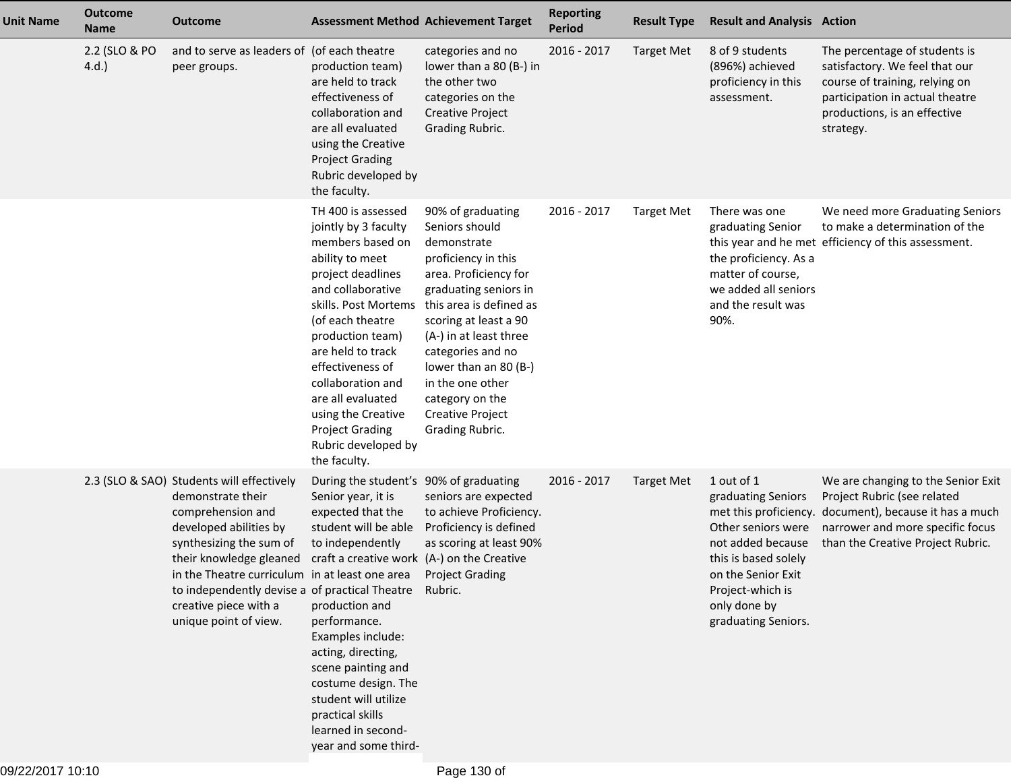| <b>Unit Name</b> | <b>Outcome</b><br><b>Name</b> | <b>Outcome</b>                                                                                                                                                                                                                                                                                                                                                                               |                                                                                                                                                                                                                                                                                                                                                                       | <b>Assessment Method Achievement Target</b>                                                                                                                                                                                                                                                                                                  | <b>Reporting</b><br><b>Period</b> | <b>Result Type</b> | <b>Result and Analysis Action</b>                                                                                                                                                    |                                                                                                                                                                                                      |
|------------------|-------------------------------|----------------------------------------------------------------------------------------------------------------------------------------------------------------------------------------------------------------------------------------------------------------------------------------------------------------------------------------------------------------------------------------------|-----------------------------------------------------------------------------------------------------------------------------------------------------------------------------------------------------------------------------------------------------------------------------------------------------------------------------------------------------------------------|----------------------------------------------------------------------------------------------------------------------------------------------------------------------------------------------------------------------------------------------------------------------------------------------------------------------------------------------|-----------------------------------|--------------------|--------------------------------------------------------------------------------------------------------------------------------------------------------------------------------------|------------------------------------------------------------------------------------------------------------------------------------------------------------------------------------------------------|
|                  | 2.2 (SLO & PO<br>4.d.         | and to serve as leaders of (of each theatre<br>peer groups.                                                                                                                                                                                                                                                                                                                                  | production team)<br>are held to track<br>effectiveness of<br>collaboration and<br>are all evaluated<br>using the Creative<br><b>Project Grading</b><br>Rubric developed by<br>the faculty.                                                                                                                                                                            | categories and no<br>lower than a 80 (B-) in<br>the other two<br>categories on the<br><b>Creative Project</b><br>Grading Rubric.                                                                                                                                                                                                             | 2016 - 2017                       | <b>Target Met</b>  | 8 of 9 students<br>(896%) achieved<br>proficiency in this<br>assessment.                                                                                                             | The percentage of students is<br>satisfactory. We feel that our<br>course of training, relying on<br>participation in actual theatre<br>productions, is an effective<br>strategy.                    |
|                  |                               |                                                                                                                                                                                                                                                                                                                                                                                              | TH 400 is assessed<br>jointly by 3 faculty<br>members based on<br>ability to meet<br>project deadlines<br>and collaborative<br>skills. Post Mortems<br>(of each theatre<br>production team)<br>are held to track<br>effectiveness of<br>collaboration and<br>are all evaluated<br>using the Creative<br><b>Project Grading</b><br>Rubric developed by<br>the faculty. | 90% of graduating<br>Seniors should<br>demonstrate<br>proficiency in this<br>area. Proficiency for<br>graduating seniors in<br>this area is defined as<br>scoring at least a 90<br>(A-) in at least three<br>categories and no<br>lower than an 80 (B-)<br>in the one other<br>category on the<br><b>Creative Project</b><br>Grading Rubric. | 2016 - 2017                       | <b>Target Met</b>  | There was one<br>graduating Senior<br>the proficiency. As a<br>matter of course,<br>we added all seniors<br>and the result was<br>90%.                                               | We need more Graduating Seniors<br>to make a determination of the<br>this year and he met efficiency of this assessment.                                                                             |
|                  |                               | 2.3 (SLO & SAO) Students will effectively<br>demonstrate their<br>comprehension and<br>developed abilities by<br>synthesizing the sum of<br>their knowledge gleaned craft a creative work (A-) on the Creative<br>in the Theatre curriculum in at least one area Project Grading<br>to independently devise a of practical Theatre Rubric.<br>creative piece with a<br>unique point of view. | During the student's 90% of graduating<br>Senior year, it is<br>expected that the<br>student will be able<br>to independently<br>production and<br>performance.<br>Examples include:<br>acting, directing,<br>scene painting and<br>costume design. The<br>student will utilize<br>practical skills<br>learned in second-<br>year and some third-                     | seniors are expected<br>to achieve Proficiency.<br>Proficiency is defined<br>as scoring at least 90%                                                                                                                                                                                                                                         | 2016 - 2017                       | <b>Target Met</b>  | 1 out of 1<br>graduating Seniors<br>Other seniors were<br>not added because<br>this is based solely<br>on the Senior Exit<br>Project-which is<br>only done by<br>graduating Seniors. | We are changing to the Senior Exit<br>Project Rubric (see related<br>met this proficiency. document), because it has a much<br>narrower and more specific focus<br>than the Creative Project Rubric. |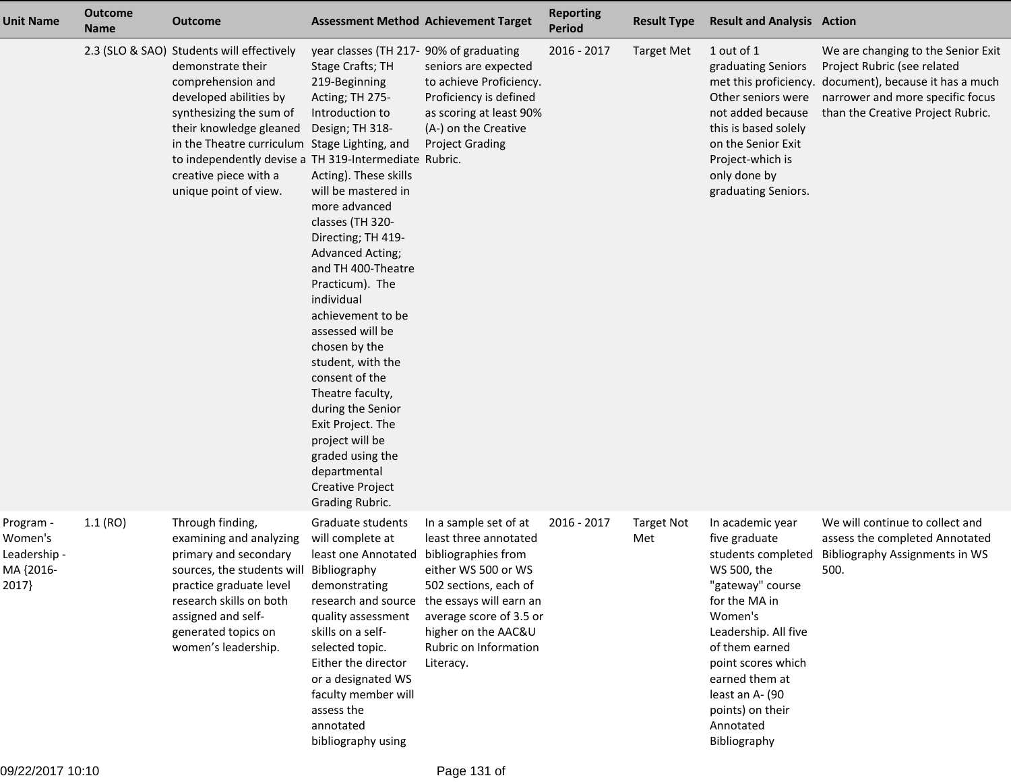| <b>Unit Name</b>                                           | <b>Outcome</b><br><b>Name</b> | <b>Outcome</b>                                                                                                                                                                                                                                                                                                                  | <b>Assessment Method Achievement Target</b>                                                                                                                                                                                                                                                                                                                                                                                                                                                                                                                                                            |                                                                                                                                                                                                                                          | <b>Reporting</b><br><b>Period</b> | <b>Result Type</b>       | <b>Result and Analysis Action</b>                                                                                                                                                                                                                                            |                                                                                                                                                                                |
|------------------------------------------------------------|-------------------------------|---------------------------------------------------------------------------------------------------------------------------------------------------------------------------------------------------------------------------------------------------------------------------------------------------------------------------------|--------------------------------------------------------------------------------------------------------------------------------------------------------------------------------------------------------------------------------------------------------------------------------------------------------------------------------------------------------------------------------------------------------------------------------------------------------------------------------------------------------------------------------------------------------------------------------------------------------|------------------------------------------------------------------------------------------------------------------------------------------------------------------------------------------------------------------------------------------|-----------------------------------|--------------------------|------------------------------------------------------------------------------------------------------------------------------------------------------------------------------------------------------------------------------------------------------------------------------|--------------------------------------------------------------------------------------------------------------------------------------------------------------------------------|
|                                                            |                               | 2.3 (SLO & SAO) Students will effectively<br>demonstrate their<br>comprehension and<br>developed abilities by<br>synthesizing the sum of<br>their knowledge gleaned<br>in the Theatre curriculum Stage Lighting, and<br>to independently devise a TH 319-Intermediate Rubric.<br>creative piece with a<br>unique point of view. | year classes (TH 217- 90% of graduating<br>Stage Crafts; TH<br>219-Beginning<br>Acting; TH 275-<br>Introduction to<br>Design; TH 318-<br>Acting). These skills<br>will be mastered in<br>more advanced<br>classes (TH 320-<br>Directing; TH 419-<br><b>Advanced Acting;</b><br>and TH 400-Theatre<br>Practicum). The<br>individual<br>achievement to be<br>assessed will be<br>chosen by the<br>student, with the<br>consent of the<br>Theatre faculty,<br>during the Senior<br>Exit Project. The<br>project will be<br>graded using the<br>departmental<br><b>Creative Project</b><br>Grading Rubric. | seniors are expected<br>to achieve Proficiency.<br>Proficiency is defined<br>as scoring at least 90%<br>(A-) on the Creative<br><b>Project Grading</b>                                                                                   | 2016 - 2017                       | <b>Target Met</b>        | 1 out of 1<br>graduating Seniors<br>met this proficiency.<br>Other seniors were<br>not added because<br>this is based solely<br>on the Senior Exit<br>Project-which is<br>only done by<br>graduating Seniors.                                                                | We are changing to the Senior Exit<br>Project Rubric (see related<br>document), because it has a much<br>narrower and more specific focus<br>than the Creative Project Rubric. |
| Program -<br>Women's<br>Leadership -<br>MA {2016-<br>2017} | 1.1(RO)                       | Through finding,<br>examining and analyzing<br>primary and secondary<br>sources, the students will Bibliography<br>practice graduate level<br>research skills on both<br>assigned and self-<br>generated topics on<br>women's leadership.                                                                                       | Graduate students<br>will complete at<br>least one Annotated<br>demonstrating<br>research and source<br>quality assessment<br>skills on a self-<br>selected topic.<br>Either the director<br>or a designated WS<br>faculty member will<br>assess the<br>annotated<br>bibliography using                                                                                                                                                                                                                                                                                                                | In a sample set of at<br>least three annotated<br>bibliographies from<br>either WS 500 or WS<br>502 sections, each of<br>the essays will earn an<br>average score of 3.5 or<br>higher on the AAC&U<br>Rubric on Information<br>Literacy. | 2016 - 2017                       | <b>Target Not</b><br>Met | In academic year<br>five graduate<br>students completed<br>WS 500, the<br>"gateway" course<br>for the MA in<br>Women's<br>Leadership. All five<br>of them earned<br>point scores which<br>earned them at<br>least an A- (90<br>points) on their<br>Annotated<br>Bibliography | We will continue to collect and<br>assess the completed Annotated<br><b>Bibliography Assignments in WS</b><br>500.                                                             |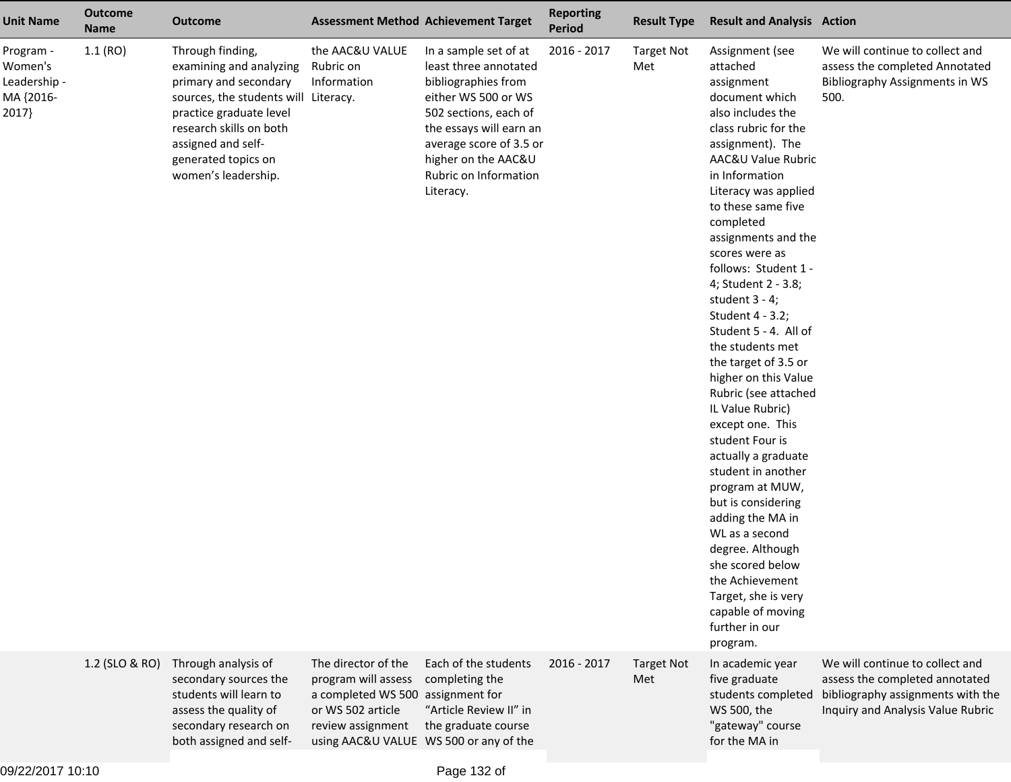| <b>Unit Name</b>                                           | <b>Outcome</b><br><b>Name</b> | <b>Outcome</b>                                                                                                                                                                                                                         |                                                                                                                           | <b>Assessment Method Achievement Target</b>                                                                                                                                                                                              | <b>Reporting</b><br><b>Period</b> | <b>Result Type</b>       | <b>Result and Analysis Action</b>                                                                                                                                                                                                                                                                                                                                                                                                                                                                                                                                                                                                                                                                                                                                                                                 |                                                                                                                                             |
|------------------------------------------------------------|-------------------------------|----------------------------------------------------------------------------------------------------------------------------------------------------------------------------------------------------------------------------------------|---------------------------------------------------------------------------------------------------------------------------|------------------------------------------------------------------------------------------------------------------------------------------------------------------------------------------------------------------------------------------|-----------------------------------|--------------------------|-------------------------------------------------------------------------------------------------------------------------------------------------------------------------------------------------------------------------------------------------------------------------------------------------------------------------------------------------------------------------------------------------------------------------------------------------------------------------------------------------------------------------------------------------------------------------------------------------------------------------------------------------------------------------------------------------------------------------------------------------------------------------------------------------------------------|---------------------------------------------------------------------------------------------------------------------------------------------|
| Program -<br>Women's<br>Leadership -<br>MA {2016-<br>2017} | 1.1(RO)                       | Through finding,<br>examining and analyzing<br>primary and secondary<br>sources, the students will Literacy.<br>practice graduate level<br>research skills on both<br>assigned and self-<br>generated topics on<br>women's leadership. | the AAC&U VALUE<br>Rubric on<br>Information                                                                               | In a sample set of at<br>least three annotated<br>bibliographies from<br>either WS 500 or WS<br>502 sections, each of<br>the essays will earn an<br>average score of 3.5 or<br>higher on the AAC&U<br>Rubric on Information<br>Literacy. | 2016 - 2017                       | <b>Target Not</b><br>Met | Assignment (see<br>attached<br>assignment<br>document which<br>also includes the<br>class rubric for the<br>assignment). The<br>AAC&U Value Rubric<br>in Information<br>Literacy was applied<br>to these same five<br>completed<br>assignments and the<br>scores were as<br>follows: Student 1 -<br>4; Student 2 - 3.8;<br>student $3 - 4$ ;<br>Student 4 - 3.2;<br>Student 5 - 4. All of<br>the students met<br>the target of 3.5 or<br>higher on this Value<br>Rubric (see attached<br>IL Value Rubric)<br>except one. This<br>student Four is<br>actually a graduate<br>student in another<br>program at MUW,<br>but is considering<br>adding the MA in<br>WL as a second<br>degree. Although<br>she scored below<br>the Achievement<br>Target, she is very<br>capable of moving<br>further in our<br>program. | We will continue to collect and<br>assess the completed Annotated<br><b>Bibliography Assignments in WS</b><br>500.                          |
|                                                            | 1.2 (SLO & RO)                | Through analysis of<br>secondary sources the<br>students will learn to<br>assess the quality of<br>secondary research on<br>both assigned and self-                                                                                    | The director of the<br>program will assess<br>a completed WS 500 assignment for<br>or WS 502 article<br>review assignment | Each of the students<br>completing the<br>"Article Review II" in<br>the graduate course<br>using AAC&U VALUE WS 500 or any of the                                                                                                        | 2016 - 2017                       | <b>Target Not</b><br>Met | In academic year<br>five graduate<br>students completed<br>WS 500, the<br>"gateway" course<br>for the MA in                                                                                                                                                                                                                                                                                                                                                                                                                                                                                                                                                                                                                                                                                                       | We will continue to collect and<br>assess the completed annotated<br>bibliography assignments with the<br>Inquiry and Analysis Value Rubric |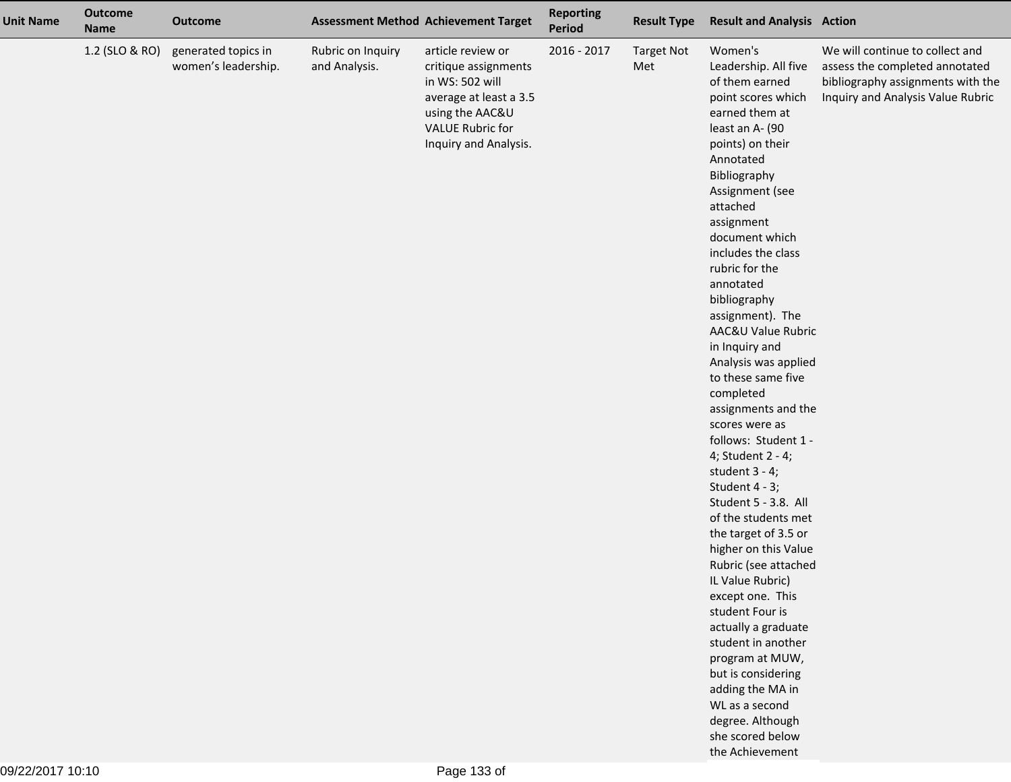| <b>Unit Name</b> | <b>Outcome</b><br><b>Name</b> | <b>Outcome</b>                             |                                    | <b>Assessment Method Achievement Target</b>                                                                                                                   | <b>Reporting</b><br>Period | <b>Result Type</b>       | <b>Result and Analysis Action</b>                                                                                                                                                                                                                                                                                                                                                                                                                                                                                                                                                                                                                                                                                                                                                                                                                                                                                              |                                                                                                                                             |
|------------------|-------------------------------|--------------------------------------------|------------------------------------|---------------------------------------------------------------------------------------------------------------------------------------------------------------|----------------------------|--------------------------|--------------------------------------------------------------------------------------------------------------------------------------------------------------------------------------------------------------------------------------------------------------------------------------------------------------------------------------------------------------------------------------------------------------------------------------------------------------------------------------------------------------------------------------------------------------------------------------------------------------------------------------------------------------------------------------------------------------------------------------------------------------------------------------------------------------------------------------------------------------------------------------------------------------------------------|---------------------------------------------------------------------------------------------------------------------------------------------|
|                  | 1.2 (SLO & RO)                | generated topics in<br>women's leadership. | Rubric on Inquiry<br>and Analysis. | article review or<br>critique assignments<br>in WS: 502 will<br>average at least a 3.5<br>using the AAC&U<br><b>VALUE Rubric for</b><br>Inquiry and Analysis. | 2016 - 2017                | <b>Target Not</b><br>Met | Women's<br>Leadership. All five<br>of them earned<br>point scores which<br>earned them at<br>least an A- (90<br>points) on their<br>Annotated<br>Bibliography<br>Assignment (see<br>attached<br>assignment<br>document which<br>includes the class<br>rubric for the<br>annotated<br>bibliography<br>assignment). The<br>AAC&U Value Rubric<br>in Inquiry and<br>Analysis was applied<br>to these same five<br>completed<br>assignments and the<br>scores were as<br>follows: Student 1 -<br>4; Student 2 - 4;<br>student $3 - 4$ ;<br>Student 4 - 3;<br>Student 5 - 3.8. All<br>of the students met<br>the target of 3.5 or<br>higher on this Value<br>Rubric (see attached<br>IL Value Rubric)<br>except one. This<br>student Four is<br>actually a graduate<br>student in another<br>program at MUW,<br>but is considering<br>adding the MA in<br>WL as a second<br>degree. Although<br>she scored below<br>the Achievement | We will continue to collect and<br>assess the completed annotated<br>bibliography assignments with the<br>Inquiry and Analysis Value Rubric |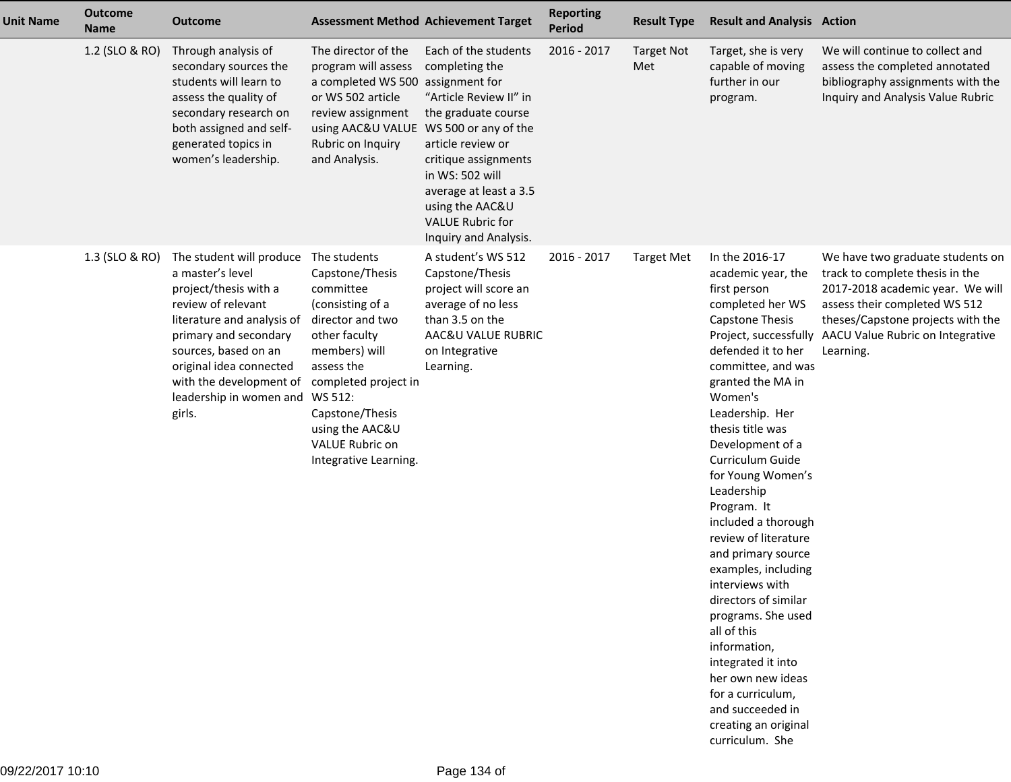| <b>Unit Name</b> | <b>Outcome</b><br><b>Name</b> | <b>Outcome</b>                                                                                                                                                                                                                                                                             | <b>Assessment Method Achievement Target</b>                                                                                                                                                                                    |                                                                                                                                                                                                                                                                                                    | <b>Reporting</b><br><b>Period</b> | <b>Result Type</b>       | <b>Result and Analysis Action</b>                                                                                                                                                                                                                                                                                                                                                                                                                                                                                                                                                                                                   |                                                                                                                                                                                                                                                      |
|------------------|-------------------------------|--------------------------------------------------------------------------------------------------------------------------------------------------------------------------------------------------------------------------------------------------------------------------------------------|--------------------------------------------------------------------------------------------------------------------------------------------------------------------------------------------------------------------------------|----------------------------------------------------------------------------------------------------------------------------------------------------------------------------------------------------------------------------------------------------------------------------------------------------|-----------------------------------|--------------------------|-------------------------------------------------------------------------------------------------------------------------------------------------------------------------------------------------------------------------------------------------------------------------------------------------------------------------------------------------------------------------------------------------------------------------------------------------------------------------------------------------------------------------------------------------------------------------------------------------------------------------------------|------------------------------------------------------------------------------------------------------------------------------------------------------------------------------------------------------------------------------------------------------|
|                  | 1.2 (SLO & RO)                | Through analysis of<br>secondary sources the<br>students will learn to<br>assess the quality of<br>secondary research on<br>both assigned and self-<br>generated topics in<br>women's leadership.                                                                                          | The director of the<br>program will assess<br>a completed WS 500<br>or WS 502 article<br>review assignment<br>using AAC&U VALUE<br>Rubric on Inquiry<br>and Analysis.                                                          | Each of the students<br>completing the<br>assignment for<br>"Article Review II" in<br>the graduate course<br>WS 500 or any of the<br>article review or<br>critique assignments<br>in WS: 502 will<br>average at least a 3.5<br>using the AAC&U<br><b>VALUE Rubric for</b><br>Inquiry and Analysis. | 2016 - 2017                       | <b>Target Not</b><br>Met | Target, she is very<br>capable of moving<br>further in our<br>program.                                                                                                                                                                                                                                                                                                                                                                                                                                                                                                                                                              | We will continue to collect and<br>assess the completed annotated<br>bibliography assignments with the<br>Inquiry and Analysis Value Rubric                                                                                                          |
|                  | 1.3 (SLO & RO)                | The student will produce The students<br>a master's level<br>project/thesis with a<br>review of relevant<br>literature and analysis of<br>primary and secondary<br>sources, based on an<br>original idea connected<br>with the development of<br>leadership in women and WS 512:<br>girls. | Capstone/Thesis<br>committee<br>(consisting of a<br>director and two<br>other faculty<br>members) will<br>assess the<br>completed project in<br>Capstone/Thesis<br>using the AAC&U<br>VALUE Rubric on<br>Integrative Learning. | A student's WS 512<br>Capstone/Thesis<br>project will score an<br>average of no less<br>than 3.5 on the<br>AAC&U VALUE RUBRIC<br>on Integrative<br>Learning.                                                                                                                                       | 2016 - 2017                       | <b>Target Met</b>        | In the 2016-17<br>academic year, the<br>first person<br>completed her WS<br>Capstone Thesis<br>defended it to her<br>committee, and was<br>granted the MA in<br>Women's<br>Leadership. Her<br>thesis title was<br>Development of a<br>Curriculum Guide<br>for Young Women's<br>Leadership<br>Program. It<br>included a thorough<br>review of literature<br>and primary source<br>examples, including<br>interviews with<br>directors of similar<br>programs. She used<br>all of this<br>information,<br>integrated it into<br>her own new ideas<br>for a curriculum,<br>and succeeded in<br>creating an original<br>curriculum. She | We have two graduate students on<br>track to complete thesis in the<br>2017-2018 academic year. We will<br>assess their completed WS 512<br>theses/Capstone projects with the<br>Project, successfully AACU Value Rubric on Integrative<br>Learning. |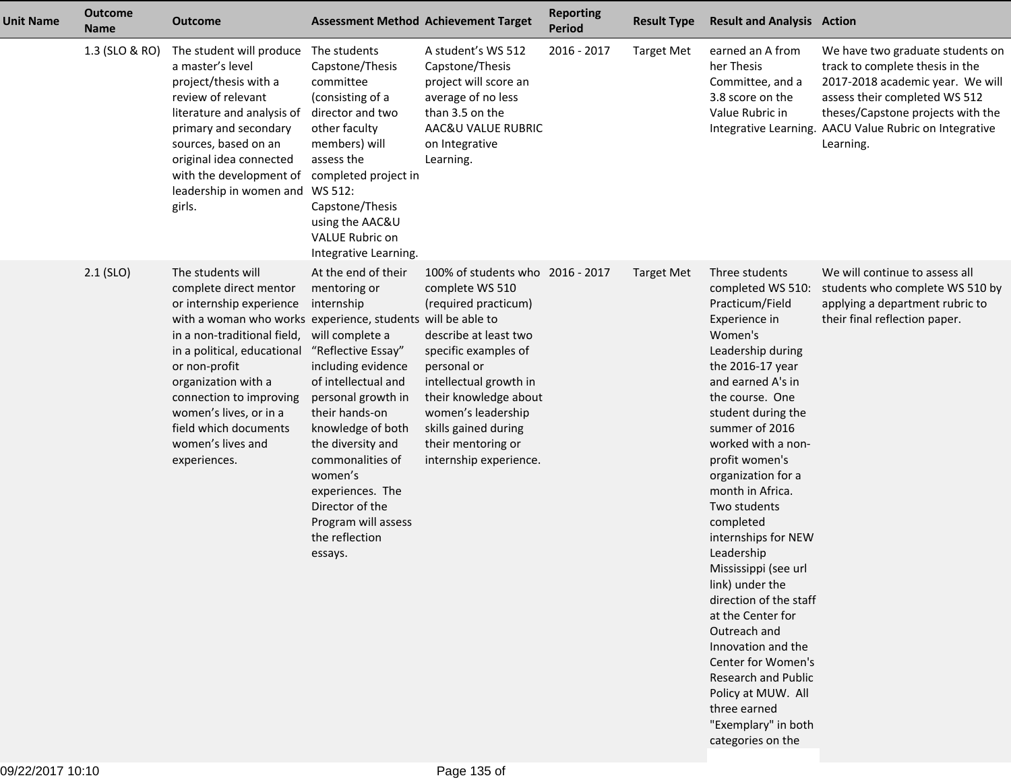| <b>Unit Name</b> | <b>Outcome</b><br><b>Name</b> | <b>Outcome</b>                                                                                                                                                                                                                                                                                                                                                  |                                                                                                                                                                                                                                                                                                                                                     | <b>Assessment Method Achievement Target</b>                                                                                                                                                                                                                                                  | <b>Reporting</b><br><b>Period</b> | <b>Result Type</b> | <b>Result and Analysis Action</b>                                                                                                                                                                                                                                                                                                                                                                                                                                                                                                                                                                                                     |                                                                                                                                                                                                                                                      |
|------------------|-------------------------------|-----------------------------------------------------------------------------------------------------------------------------------------------------------------------------------------------------------------------------------------------------------------------------------------------------------------------------------------------------------------|-----------------------------------------------------------------------------------------------------------------------------------------------------------------------------------------------------------------------------------------------------------------------------------------------------------------------------------------------------|----------------------------------------------------------------------------------------------------------------------------------------------------------------------------------------------------------------------------------------------------------------------------------------------|-----------------------------------|--------------------|---------------------------------------------------------------------------------------------------------------------------------------------------------------------------------------------------------------------------------------------------------------------------------------------------------------------------------------------------------------------------------------------------------------------------------------------------------------------------------------------------------------------------------------------------------------------------------------------------------------------------------------|------------------------------------------------------------------------------------------------------------------------------------------------------------------------------------------------------------------------------------------------------|
|                  | 1.3 (SLO & RO)                | The student will produce<br>a master's level<br>project/thesis with a<br>review of relevant<br>literature and analysis of<br>primary and secondary<br>sources, based on an<br>original idea connected<br>with the development of<br>leadership in women and WS 512:<br>girls.                                                                                   | The students<br>Capstone/Thesis<br>committee<br>(consisting of a<br>director and two<br>other faculty<br>members) will<br>assess the<br>completed project in<br>Capstone/Thesis<br>using the AAC&U<br>VALUE Rubric on<br>Integrative Learning.                                                                                                      | A student's WS 512<br>Capstone/Thesis<br>project will score an<br>average of no less<br>than 3.5 on the<br>AAC&U VALUE RUBRIC<br>on Integrative<br>Learning.                                                                                                                                 | 2016 - 2017                       | <b>Target Met</b>  | earned an A from<br>her Thesis<br>Committee, and a<br>3.8 score on the<br>Value Rubric in                                                                                                                                                                                                                                                                                                                                                                                                                                                                                                                                             | We have two graduate students on<br>track to complete thesis in the<br>2017-2018 academic year. We will<br>assess their completed WS 512<br>theses/Capstone projects with the<br>Integrative Learning. AACU Value Rubric on Integrative<br>Learning. |
|                  | $2.1$ (SLO)                   | The students will<br>complete direct mentor<br>or internship experience<br>with a woman who works experience, students will be able to<br>in a non-traditional field,<br>in a political, educational<br>or non-profit<br>organization with a<br>connection to improving<br>women's lives, or in a<br>field which documents<br>women's lives and<br>experiences. | At the end of their<br>mentoring or<br>internship<br>will complete a<br>"Reflective Essay"<br>including evidence<br>of intellectual and<br>personal growth in<br>their hands-on<br>knowledge of both<br>the diversity and<br>commonalities of<br>women's<br>experiences. The<br>Director of the<br>Program will assess<br>the reflection<br>essays. | 100% of students who 2016 - 2017<br>complete WS 510<br>(required practicum)<br>describe at least two<br>specific examples of<br>personal or<br>intellectual growth in<br>their knowledge about<br>women's leadership<br>skills gained during<br>their mentoring or<br>internship experience. |                                   | <b>Target Met</b>  | Three students<br>completed WS 510:<br>Practicum/Field<br>Experience in<br>Women's<br>Leadership during<br>the 2016-17 year<br>and earned A's in<br>the course. One<br>student during the<br>summer of 2016<br>worked with a non-<br>profit women's<br>organization for a<br>month in Africa.<br>Two students<br>completed<br>internships for NEW<br>Leadership<br>Mississippi (see url<br>link) under the<br>direction of the staff<br>at the Center for<br>Outreach and<br>Innovation and the<br>Center for Women's<br><b>Research and Public</b><br>Policy at MUW. All<br>three earned<br>"Exemplary" in both<br>categories on the | We will continue to assess all<br>students who complete WS 510 by<br>applying a department rubric to<br>their final reflection paper.                                                                                                                |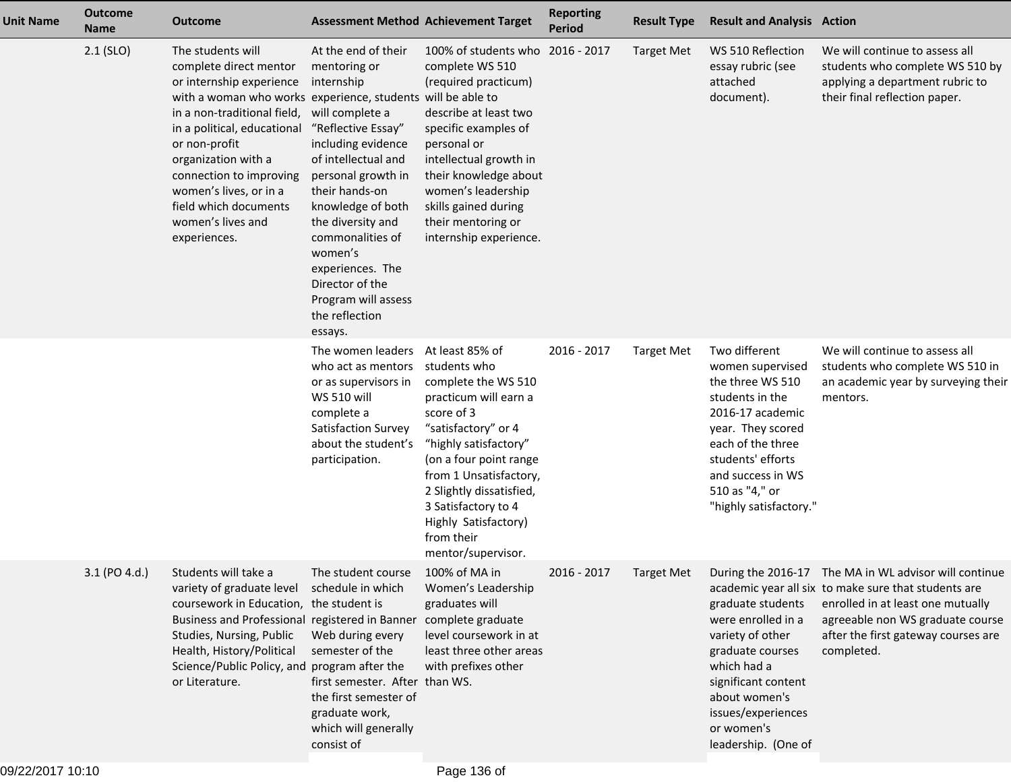| <b>Unit Name</b> | <b>Outcome</b><br><b>Name</b> | <b>Outcome</b>                                                                                                                                                                                                                                                                                                                                                  | <b>Assessment Method Achievement Target</b>                                                                                                                                                                                                                                                                                                         |                                                                                                                                                                                                                                                                                                                  | <b>Reporting</b><br><b>Period</b> | <b>Result Type</b> | <b>Result and Analysis Action</b>                                                                                                                                                                                            |                                                                                                                                                                                                                                             |
|------------------|-------------------------------|-----------------------------------------------------------------------------------------------------------------------------------------------------------------------------------------------------------------------------------------------------------------------------------------------------------------------------------------------------------------|-----------------------------------------------------------------------------------------------------------------------------------------------------------------------------------------------------------------------------------------------------------------------------------------------------------------------------------------------------|------------------------------------------------------------------------------------------------------------------------------------------------------------------------------------------------------------------------------------------------------------------------------------------------------------------|-----------------------------------|--------------------|------------------------------------------------------------------------------------------------------------------------------------------------------------------------------------------------------------------------------|---------------------------------------------------------------------------------------------------------------------------------------------------------------------------------------------------------------------------------------------|
|                  | $2.1$ (SLO)                   | The students will<br>complete direct mentor<br>or internship experience<br>with a woman who works experience, students will be able to<br>in a non-traditional field,<br>in a political, educational<br>or non-profit<br>organization with a<br>connection to improving<br>women's lives, or in a<br>field which documents<br>women's lives and<br>experiences. | At the end of their<br>mentoring or<br>internship<br>will complete a<br>"Reflective Essay"<br>including evidence<br>of intellectual and<br>personal growth in<br>their hands-on<br>knowledge of both<br>the diversity and<br>commonalities of<br>women's<br>experiences. The<br>Director of the<br>Program will assess<br>the reflection<br>essays. | 100% of students who 2016 - 2017<br>complete WS 510<br>(required practicum)<br>describe at least two<br>specific examples of<br>personal or<br>intellectual growth in<br>their knowledge about<br>women's leadership<br>skills gained during<br>their mentoring or<br>internship experience.                     |                                   | <b>Target Met</b>  | WS 510 Reflection<br>essay rubric (see<br>attached<br>document).                                                                                                                                                             | We will continue to assess all<br>students who complete WS 510 by<br>applying a department rubric to<br>their final reflection paper.                                                                                                       |
|                  |                               |                                                                                                                                                                                                                                                                                                                                                                 | The women leaders<br>who act as mentors<br>or as supervisors in<br><b>WS 510 will</b><br>complete a<br>Satisfaction Survey<br>about the student's<br>participation.                                                                                                                                                                                 | At least 85% of<br>students who<br>complete the WS 510<br>practicum will earn a<br>score of 3<br>"satisfactory" or 4<br>"highly satisfactory"<br>(on a four point range<br>from 1 Unsatisfactory,<br>2 Slightly dissatisfied,<br>3 Satisfactory to 4<br>Highly Satisfactory)<br>from their<br>mentor/supervisor. | 2016 - 2017                       | <b>Target Met</b>  | Two different<br>women supervised<br>the three WS 510<br>students in the<br>2016-17 academic<br>year. They scored<br>each of the three<br>students' efforts<br>and success in WS<br>510 as "4," or<br>"highly satisfactory." | We will continue to assess all<br>students who complete WS 510 in<br>an academic year by surveying their<br>mentors.                                                                                                                        |
|                  | 3.1 (PO 4.d.)                 | Students will take a<br>variety of graduate level schedule in which<br>coursework in Education, the student is<br>Business and Professional registered in Banner complete graduate<br>Studies, Nursing, Public<br>Health, History/Political<br>Science/Public Policy, and program after the<br>or Literature.                                                   | The student course<br>Web during every<br>semester of the<br>first semester. After than WS.<br>the first semester of<br>graduate work,<br>which will generally<br>consist of                                                                                                                                                                        | 100% of MA in<br>Women's Leadership<br>graduates will<br>level coursework in at<br>least three other areas<br>with prefixes other                                                                                                                                                                                | 2016 - 2017                       | Target Met         | graduate students<br>were enrolled in a<br>variety of other<br>graduate courses<br>which had a<br>significant content<br>about women's<br>issues/experiences<br>or women's<br>leadership. (One of                            | During the 2016-17 The MA in WL advisor will continue<br>academic year all six to make sure that students are<br>enrolled in at least one mutually<br>agreeable non WS graduate course<br>after the first gateway courses are<br>completed. |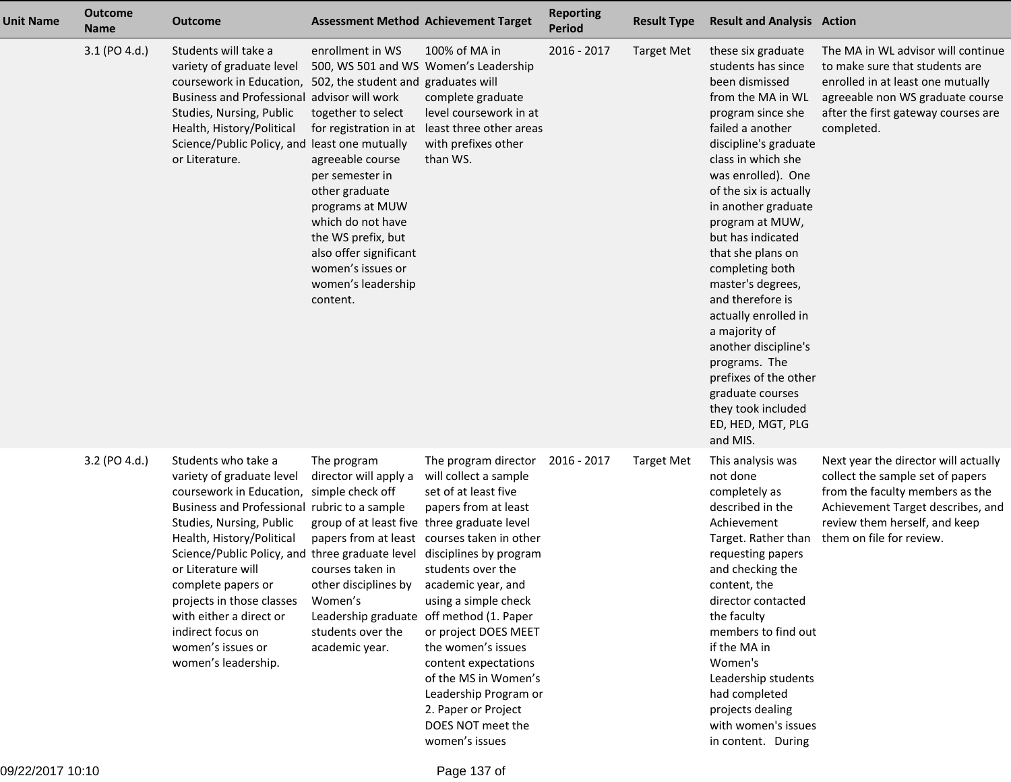| <b>Unit Name</b> | <b>Outcome</b><br><b>Name</b> | <b>Outcome</b>                                                                                                                                                                                                                                                                                                                                                                                                | <b>Assessment Method Achievement Target</b>                                                                                                                                                                                                                                             |                                                                                                                                                                                                                                                                                                                                                                                                                                                                            | <b>Reporting</b><br><b>Period</b> | <b>Result Type</b> | <b>Result and Analysis Action</b>                                                                                                                                                                                                                                                                                                                                                                                                                                                                                                                             |                                                                                                                                                                                                               |
|------------------|-------------------------------|---------------------------------------------------------------------------------------------------------------------------------------------------------------------------------------------------------------------------------------------------------------------------------------------------------------------------------------------------------------------------------------------------------------|-----------------------------------------------------------------------------------------------------------------------------------------------------------------------------------------------------------------------------------------------------------------------------------------|----------------------------------------------------------------------------------------------------------------------------------------------------------------------------------------------------------------------------------------------------------------------------------------------------------------------------------------------------------------------------------------------------------------------------------------------------------------------------|-----------------------------------|--------------------|---------------------------------------------------------------------------------------------------------------------------------------------------------------------------------------------------------------------------------------------------------------------------------------------------------------------------------------------------------------------------------------------------------------------------------------------------------------------------------------------------------------------------------------------------------------|---------------------------------------------------------------------------------------------------------------------------------------------------------------------------------------------------------------|
|                  | 3.1 (PO 4.d.)                 | Students will take a<br>variety of graduate level<br>coursework in Education, 502, the student and graduates will<br>Business and Professional advisor will work<br>Studies, Nursing, Public<br>Health, History/Political<br>Science/Public Policy, and least one mutually<br>or Literature.                                                                                                                  | enrollment in WS<br>500, WS 501 and WS Women's Leadership<br>together to select<br>agreeable course<br>per semester in<br>other graduate<br>programs at MUW<br>which do not have<br>the WS prefix, but<br>also offer significant<br>women's issues or<br>women's leadership<br>content. | 100% of MA in<br>complete graduate<br>level coursework in at<br>for registration in at least three other areas<br>with prefixes other<br>than WS.                                                                                                                                                                                                                                                                                                                          | 2016 - 2017                       | <b>Target Met</b>  | these six graduate<br>students has since<br>been dismissed<br>from the MA in WL<br>program since she<br>failed a another<br>discipline's graduate<br>class in which she<br>was enrolled). One<br>of the six is actually<br>in another graduate<br>program at MUW,<br>but has indicated<br>that she plans on<br>completing both<br>master's degrees,<br>and therefore is<br>actually enrolled in<br>a majority of<br>another discipline's<br>programs. The<br>prefixes of the other<br>graduate courses<br>they took included<br>ED, HED, MGT, PLG<br>and MIS. | The MA in WL advisor will continue<br>to make sure that students are<br>enrolled in at least one mutually<br>agreeable non WS graduate course<br>after the first gateway courses are<br>completed.            |
|                  | 3.2 (PO 4.d.)                 | Students who take a<br>variety of graduate level<br>coursework in Education,<br>Business and Professional rubric to a sample<br>Studies, Nursing, Public<br>Health, History/Political<br>Science/Public Policy, and three graduate level<br>or Literature will<br>complete papers or<br>projects in those classes<br>with either a direct or<br>indirect focus on<br>women's issues or<br>women's leadership. | The program<br>director will apply a<br>simple check off<br>group of at least five three graduate level<br>courses taken in<br>other disciplines by<br>Women's<br>students over the<br>academic year.                                                                                   | The program director<br>will collect a sample<br>set of at least five<br>papers from at least<br>papers from at least courses taken in other<br>disciplines by program<br>students over the<br>academic year, and<br>using a simple check<br>Leadership graduate off method (1. Paper<br>or project DOES MEET<br>the women's issues<br>content expectations<br>of the MS in Women's<br>Leadership Program or<br>2. Paper or Project<br>DOES NOT meet the<br>women's issues | 2016 - 2017                       | <b>Target Met</b>  | This analysis was<br>not done<br>completely as<br>described in the<br>Achievement<br>Target. Rather than<br>requesting papers<br>and checking the<br>content, the<br>director contacted<br>the faculty<br>members to find out<br>if the MA in<br>Women's<br>Leadership students<br>had completed<br>projects dealing<br>with women's issues<br>in content. During                                                                                                                                                                                             | Next year the director will actually<br>collect the sample set of papers<br>from the faculty members as the<br>Achievement Target describes, and<br>review them herself, and keep<br>them on file for review. |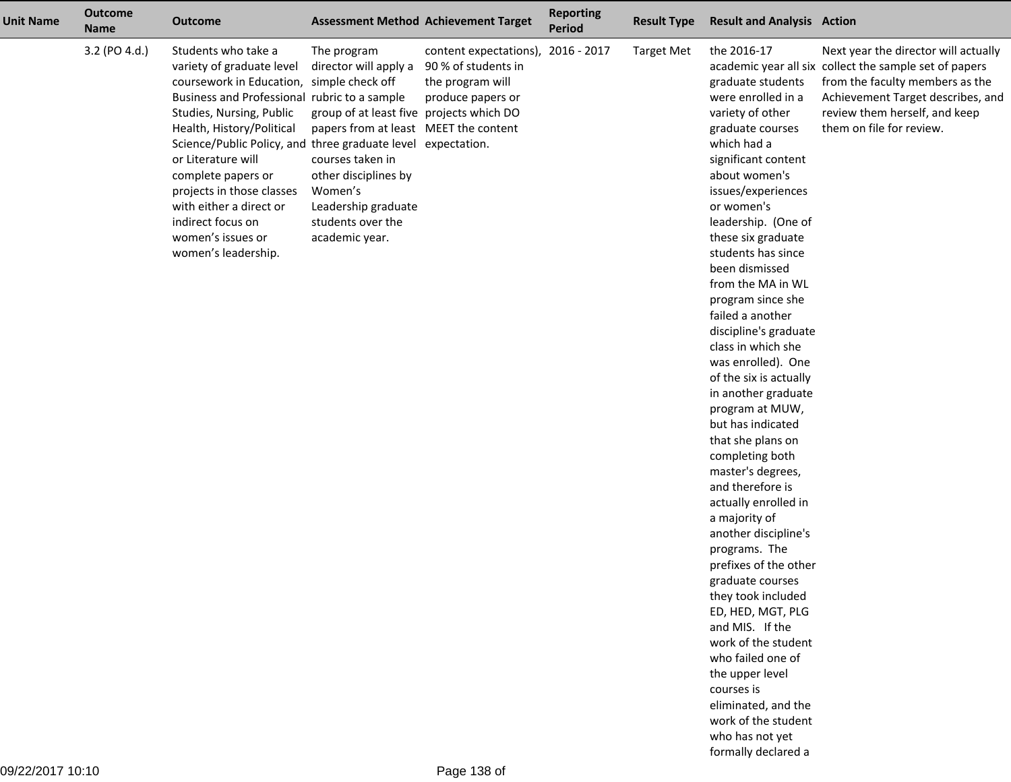| <b>Unit Name</b> | <b>Outcome</b><br><b>Name</b> | <b>Outcome</b>                                                                                                                                                                                                                                                                                                                                                                                                                              |                                                                                                                                                                                                                                                | <b>Assessment Method Achievement Target</b>                                                        | <b>Reporting</b><br>Period | <b>Result Type</b> | <b>Result and Analysis Action</b>                                                                                                                                                                                                                                                                                                                                                                                                                                                                                                                                                                                                                                                                                                                                                                                                                                                                                                      |                                                                                                                                                                                                                                     |
|------------------|-------------------------------|---------------------------------------------------------------------------------------------------------------------------------------------------------------------------------------------------------------------------------------------------------------------------------------------------------------------------------------------------------------------------------------------------------------------------------------------|------------------------------------------------------------------------------------------------------------------------------------------------------------------------------------------------------------------------------------------------|----------------------------------------------------------------------------------------------------|----------------------------|--------------------|----------------------------------------------------------------------------------------------------------------------------------------------------------------------------------------------------------------------------------------------------------------------------------------------------------------------------------------------------------------------------------------------------------------------------------------------------------------------------------------------------------------------------------------------------------------------------------------------------------------------------------------------------------------------------------------------------------------------------------------------------------------------------------------------------------------------------------------------------------------------------------------------------------------------------------------|-------------------------------------------------------------------------------------------------------------------------------------------------------------------------------------------------------------------------------------|
|                  | 3.2 (PO 4.d.)                 | Students who take a<br>variety of graduate level<br>coursework in Education, simple check off<br>Business and Professional rubric to a sample<br>Studies, Nursing, Public<br>Health, History/Political<br>Science/Public Policy, and three graduate level expectation.<br>or Literature will<br>complete papers or<br>projects in those classes<br>with either a direct or<br>indirect focus on<br>women's issues or<br>women's leadership. | The program<br>director will apply a<br>group of at least five projects which DO<br>papers from at least MEET the content<br>courses taken in<br>other disciplines by<br>Women's<br>Leadership graduate<br>students over the<br>academic year. | content expectations), 2016 - 2017<br>90 % of students in<br>the program will<br>produce papers or |                            | <b>Target Met</b>  | the 2016-17<br>graduate students<br>were enrolled in a<br>variety of other<br>graduate courses<br>which had a<br>significant content<br>about women's<br>issues/experiences<br>or women's<br>leadership. (One of<br>these six graduate<br>students has since<br>been dismissed<br>from the MA in WL<br>program since she<br>failed a another<br>discipline's graduate<br>class in which she<br>was enrolled). One<br>of the six is actually<br>in another graduate<br>program at MUW,<br>but has indicated<br>that she plans on<br>completing both<br>master's degrees,<br>and therefore is<br>actually enrolled in<br>a majority of<br>another discipline's<br>programs. The<br>prefixes of the other<br>graduate courses<br>they took included<br>ED, HED, MGT, PLG<br>and MIS. If the<br>work of the student<br>who failed one of<br>the upper level<br>courses is<br>eliminated, and the<br>work of the student<br>who has not yet | Next year the director will actually<br>academic year all six collect the sample set of papers<br>from the faculty members as the<br>Achievement Target describes, and<br>review them herself, and keep<br>them on file for review. |

formally declared a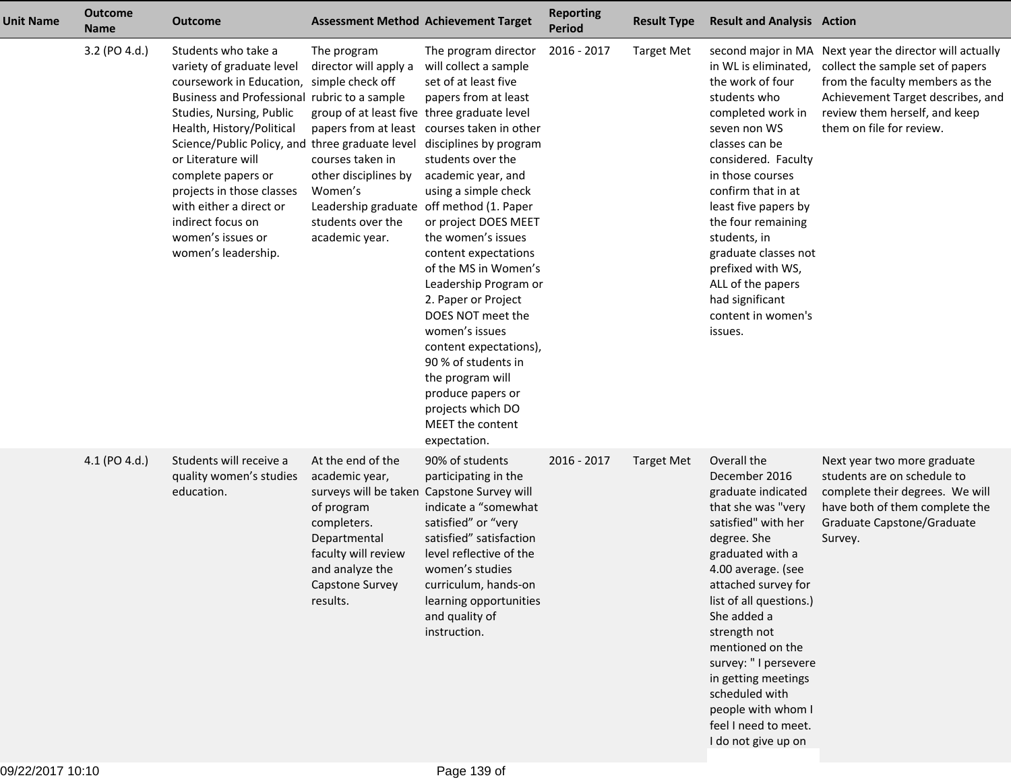| <b>Unit Name</b> | <b>Outcome</b><br><b>Name</b> | <b>Outcome</b>                                                                                                                                                                                                                                                                                                                                                                                                                 |                                                                                                                                                                                                          | <b>Assessment Method Achievement Target</b>                                                                                                                                                                                                                                                                                                                                                                                                                                                                                                                                                               | <b>Reporting</b><br><b>Period</b> | <b>Result Type</b> | <b>Result and Analysis Action</b>                                                                                                                                                                                                                                                                                                                                                                    |                                                                                                                                                                                                                                  |
|------------------|-------------------------------|--------------------------------------------------------------------------------------------------------------------------------------------------------------------------------------------------------------------------------------------------------------------------------------------------------------------------------------------------------------------------------------------------------------------------------|----------------------------------------------------------------------------------------------------------------------------------------------------------------------------------------------------------|-----------------------------------------------------------------------------------------------------------------------------------------------------------------------------------------------------------------------------------------------------------------------------------------------------------------------------------------------------------------------------------------------------------------------------------------------------------------------------------------------------------------------------------------------------------------------------------------------------------|-----------------------------------|--------------------|------------------------------------------------------------------------------------------------------------------------------------------------------------------------------------------------------------------------------------------------------------------------------------------------------------------------------------------------------------------------------------------------------|----------------------------------------------------------------------------------------------------------------------------------------------------------------------------------------------------------------------------------|
|                  | 3.2 (PO 4.d.)                 | Students who take a<br>variety of graduate level<br>coursework in Education, simple check off<br>Business and Professional rubric to a sample<br>Studies, Nursing, Public<br>Health, History/Political<br>Science/Public Policy, and three graduate level<br>or Literature will<br>complete papers or<br>projects in those classes<br>with either a direct or<br>indirect focus on<br>women's issues or<br>women's leadership. | The program<br>director will apply a<br>group of at least five three graduate level<br>courses taken in<br>other disciplines by<br>Women's<br>Leadership graduate<br>students over the<br>academic year. | The program director<br>will collect a sample<br>set of at least five<br>papers from at least<br>papers from at least courses taken in other<br>disciplines by program<br>students over the<br>academic year, and<br>using a simple check<br>off method (1. Paper<br>or project DOES MEET<br>the women's issues<br>content expectations<br>of the MS in Women's<br>Leadership Program or<br>2. Paper or Project<br>DOES NOT meet the<br>women's issues<br>content expectations),<br>90 % of students in<br>the program will<br>produce papers or<br>projects which DO<br>MEET the content<br>expectation. | 2016 - 2017                       | <b>Target Met</b>  | in WL is eliminated,<br>the work of four<br>students who<br>completed work in<br>seven non WS<br>classes can be<br>considered. Faculty<br>in those courses<br>confirm that in at<br>least five papers by<br>the four remaining<br>students, in<br>graduate classes not<br>prefixed with WS,<br>ALL of the papers<br>had significant<br>content in women's<br>issues.                                 | second major in MA Next year the director will actually<br>collect the sample set of papers<br>from the faculty members as the<br>Achievement Target describes, and<br>review them herself, and keep<br>them on file for review. |
|                  | 4.1 (PO 4.d.)                 | Students will receive a<br>quality women's studies<br>education.                                                                                                                                                                                                                                                                                                                                                               | At the end of the<br>academic year,<br>surveys will be taken<br>of program<br>completers.<br>Departmental<br>faculty will review<br>and analyze the<br>Capstone Survey<br>results.                       | 90% of students<br>participating in the<br>Capstone Survey will<br>indicate a "somewhat<br>satisfied" or "very<br>satisfied" satisfaction<br>level reflective of the<br>women's studies<br>curriculum, hands-on<br>learning opportunities<br>and quality of<br>instruction.                                                                                                                                                                                                                                                                                                                               | 2016 - 2017                       | <b>Target Met</b>  | Overall the<br>December 2016<br>graduate indicated<br>that she was "very<br>satisfied" with her<br>degree. She<br>graduated with a<br>4.00 average. (see<br>attached survey for<br>list of all questions.)<br>She added a<br>strength not<br>mentioned on the<br>survey: " I persevere<br>in getting meetings<br>scheduled with<br>people with whom I<br>feel I need to meet.<br>I do not give up on | Next year two more graduate<br>students are on schedule to<br>complete their degrees. We will<br>have both of them complete the<br>Graduate Capstone/Graduate<br>Survey.                                                         |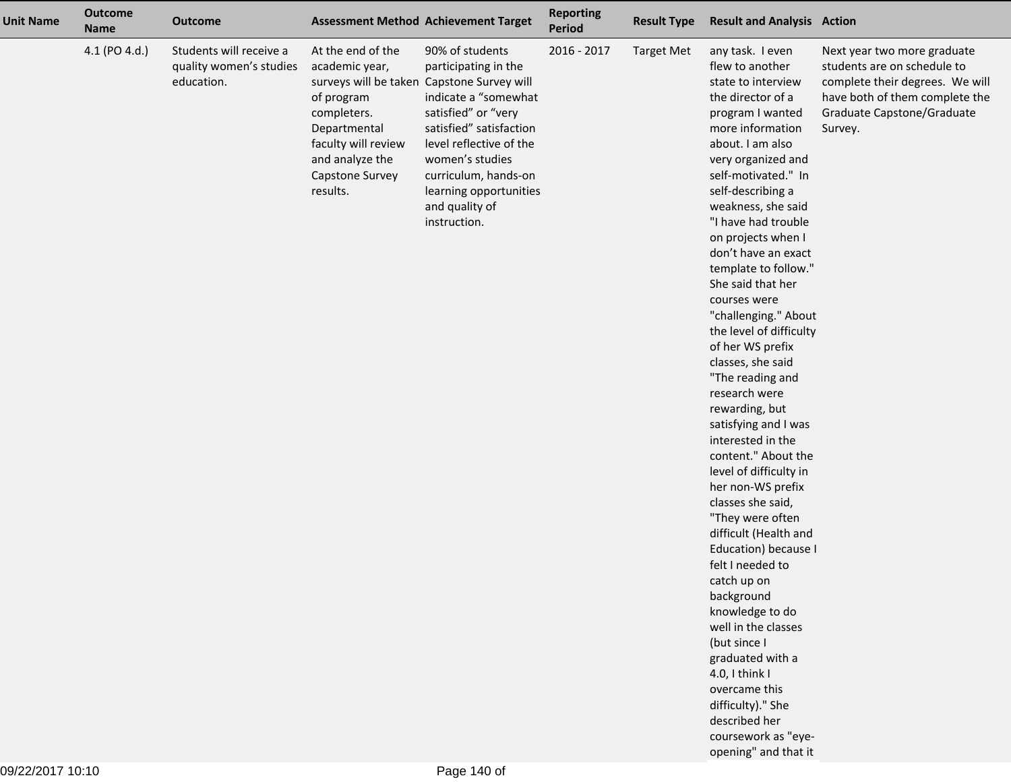| <b>Unit Name</b> | <b>Outcome</b><br><b>Name</b> | <b>Outcome</b>                                                   |                                                                                                                                                           | <b>Assessment Method Achievement Target</b>                                                                                                                                                                                                                                                       | <b>Reporting</b><br><b>Period</b> | <b>Result Type</b> | <b>Result and Analysis Action</b>                                                                                                                                                                                                                                                                                                                                                                                                                                                                                                                                                                                                                                                                                                                                                                                                                                                                                                                                                          |                                                                                                                                                                          |
|------------------|-------------------------------|------------------------------------------------------------------|-----------------------------------------------------------------------------------------------------------------------------------------------------------|---------------------------------------------------------------------------------------------------------------------------------------------------------------------------------------------------------------------------------------------------------------------------------------------------|-----------------------------------|--------------------|--------------------------------------------------------------------------------------------------------------------------------------------------------------------------------------------------------------------------------------------------------------------------------------------------------------------------------------------------------------------------------------------------------------------------------------------------------------------------------------------------------------------------------------------------------------------------------------------------------------------------------------------------------------------------------------------------------------------------------------------------------------------------------------------------------------------------------------------------------------------------------------------------------------------------------------------------------------------------------------------|--------------------------------------------------------------------------------------------------------------------------------------------------------------------------|
|                  | 4.1 (PO 4.d.)                 | Students will receive a<br>quality women's studies<br>education. | At the end of the<br>academic year,<br>of program<br>completers.<br>Departmental<br>faculty will review<br>and analyze the<br>Capstone Survey<br>results. | 90% of students<br>participating in the<br>surveys will be taken Capstone Survey will<br>indicate a "somewhat<br>satisfied" or "very<br>satisfied" satisfaction<br>level reflective of the<br>women's studies<br>curriculum, hands-on<br>learning opportunities<br>and quality of<br>instruction. | 2016 - 2017                       | <b>Target Met</b>  | any task. I even<br>flew to another<br>state to interview<br>the director of a<br>program I wanted<br>more information<br>about. I am also<br>very organized and<br>self-motivated." In<br>self-describing a<br>weakness, she said<br>"I have had trouble<br>on projects when I<br>don't have an exact<br>template to follow."<br>She said that her<br>courses were<br>"challenging." About<br>the level of difficulty<br>of her WS prefix<br>classes, she said<br>"The reading and<br>research were<br>rewarding, but<br>satisfying and I was<br>interested in the<br>content." About the<br>level of difficulty in<br>her non-WS prefix<br>classes she said,<br>"They were often<br>difficult (Health and<br>Education) because I<br>felt I needed to<br>catch up on<br>background<br>knowledge to do<br>well in the classes<br>(but since I<br>graduated with a<br>4.0, I think I<br>overcame this<br>difficulty)." She<br>described her<br>coursework as "eye-<br>opening" and that it | Next year two more graduate<br>students are on schedule to<br>complete their degrees. We will<br>have both of them complete the<br>Graduate Capstone/Graduate<br>Survey. |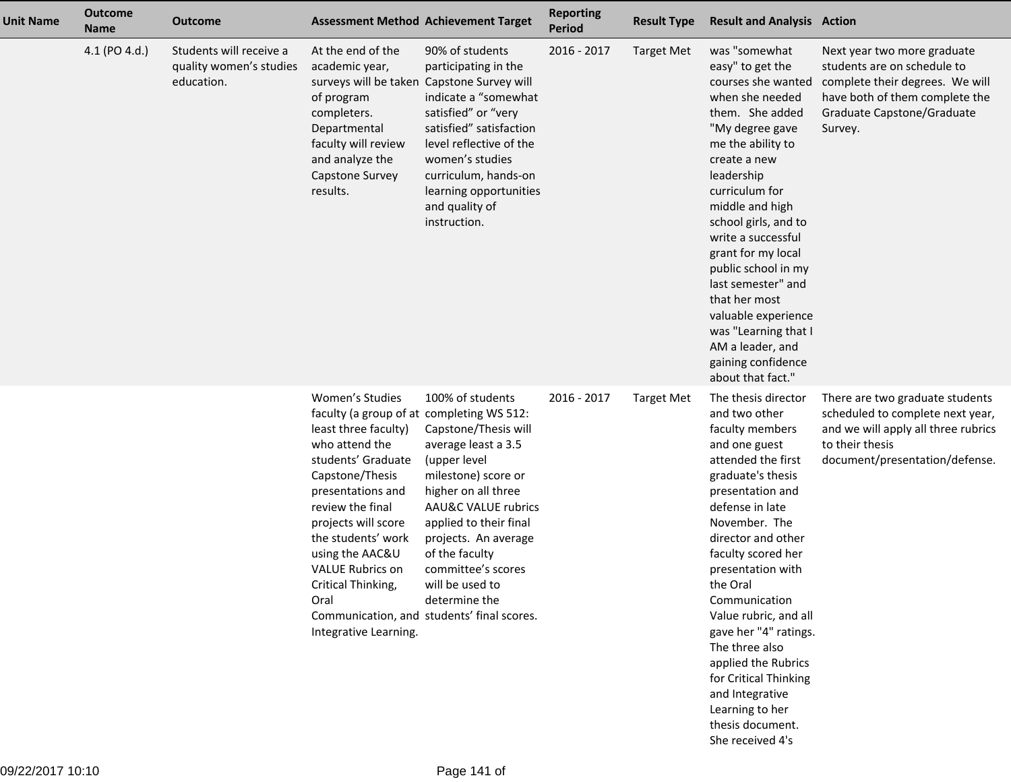| <b>Unit Name</b> | <b>Outcome</b><br><b>Name</b> | <b>Outcome</b>                                                   | <b>Assessment Method Achievement Target</b>                                                                                                                                                                                                                                                                                                |                                                                                                                                                                                                                                                                                                                                  | <b>Reporting</b><br><b>Period</b> | <b>Result Type</b> | <b>Result and Analysis Action</b>                                                                                                                                                                                                                                                                                                                                                                                                                                           |                                                                                                                                                                          |
|------------------|-------------------------------|------------------------------------------------------------------|--------------------------------------------------------------------------------------------------------------------------------------------------------------------------------------------------------------------------------------------------------------------------------------------------------------------------------------------|----------------------------------------------------------------------------------------------------------------------------------------------------------------------------------------------------------------------------------------------------------------------------------------------------------------------------------|-----------------------------------|--------------------|-----------------------------------------------------------------------------------------------------------------------------------------------------------------------------------------------------------------------------------------------------------------------------------------------------------------------------------------------------------------------------------------------------------------------------------------------------------------------------|--------------------------------------------------------------------------------------------------------------------------------------------------------------------------|
|                  | 4.1 (PO 4.d.)                 | Students will receive a<br>quality women's studies<br>education. | At the end of the<br>academic year,<br>surveys will be taken<br>of program<br>completers.<br>Departmental<br>faculty will review<br>and analyze the<br>Capstone Survey<br>results.                                                                                                                                                         | 90% of students<br>participating in the<br>Capstone Survey will<br>indicate a "somewhat<br>satisfied" or "very<br>satisfied" satisfaction<br>level reflective of the<br>women's studies<br>curriculum, hands-on<br>learning opportunities<br>and quality of<br>instruction.                                                      | 2016 - 2017                       | <b>Target Met</b>  | was "somewhat<br>easy" to get the<br>courses she wanted<br>when she needed<br>them. She added<br>"My degree gave<br>me the ability to<br>create a new<br>leadership<br>curriculum for<br>middle and high<br>school girls, and to<br>write a successful<br>grant for my local<br>public school in my<br>last semester" and<br>that her most<br>valuable experience<br>was "Learning that I<br>AM a leader, and<br>gaining confidence<br>about that fact."                    | Next year two more graduate<br>students are on schedule to<br>complete their degrees. We will<br>have both of them complete the<br>Graduate Capstone/Graduate<br>Survey. |
|                  |                               |                                                                  | Women's Studies<br>faculty (a group of at completing WS 512:<br>least three faculty)<br>who attend the<br>students' Graduate<br>Capstone/Thesis<br>presentations and<br>review the final<br>projects will score<br>the students' work<br>using the AAC&U<br><b>VALUE Rubrics on</b><br>Critical Thinking,<br>Oral<br>Integrative Learning. | 100% of students<br>Capstone/Thesis will<br>average least a 3.5<br>(upper level<br>milestone) score or<br>higher on all three<br>AAU&C VALUE rubrics<br>applied to their final<br>projects. An average<br>of the faculty<br>committee's scores<br>will be used to<br>determine the<br>Communication, and students' final scores. | 2016 - 2017                       | <b>Target Met</b>  | The thesis director<br>and two other<br>faculty members<br>and one guest<br>attended the first<br>graduate's thesis<br>presentation and<br>defense in late<br>November. The<br>director and other<br>faculty scored her<br>presentation with<br>the Oral<br>Communication<br>Value rubric, and all<br>gave her "4" ratings.<br>The three also<br>applied the Rubrics<br>for Critical Thinking<br>and Integrative<br>Learning to her<br>thesis document.<br>She received 4's | There are two graduate students<br>scheduled to complete next year,<br>and we will apply all three rubrics<br>to their thesis<br>document/presentation/defense.          |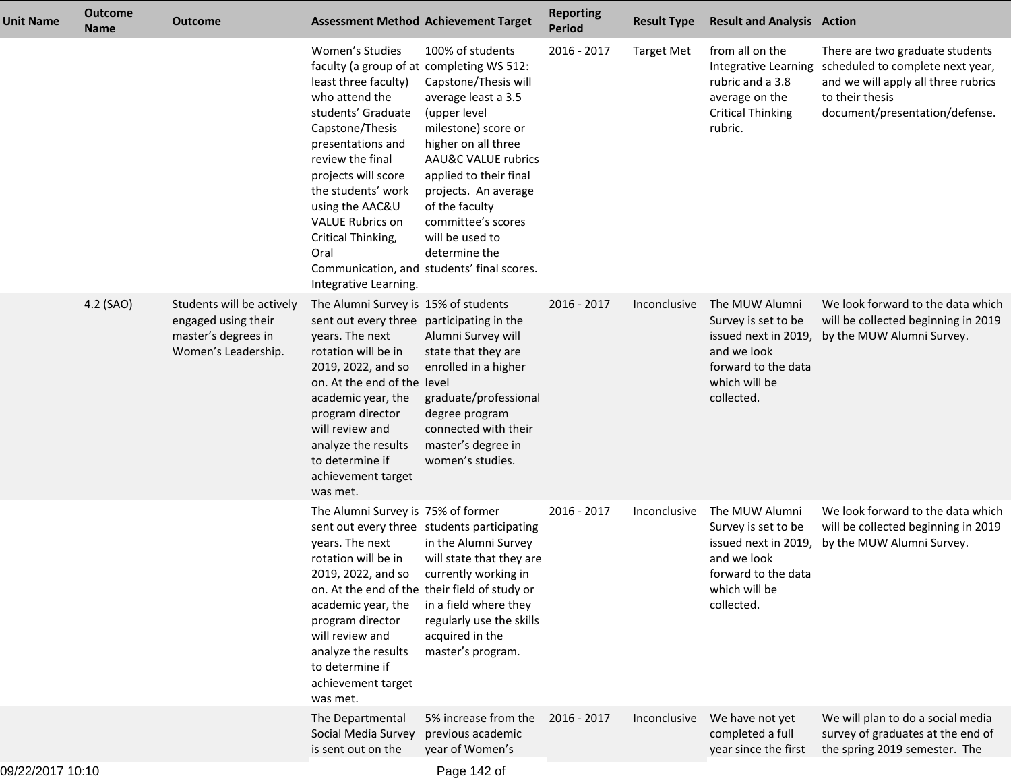| <b>Unit Name</b> | <b>Outcome</b><br><b>Name</b> | <b>Outcome</b>                                                                                 | <b>Assessment Method Achievement Target</b>                                                                                                                                                                                                                                                                                                |                                                                                                                                                                                                                                                                                                                                             | <b>Reporting</b><br><b>Period</b> | <b>Result Type</b> | <b>Result and Analysis Action</b>                                                                          |                                                                                                                                                                                      |
|------------------|-------------------------------|------------------------------------------------------------------------------------------------|--------------------------------------------------------------------------------------------------------------------------------------------------------------------------------------------------------------------------------------------------------------------------------------------------------------------------------------------|---------------------------------------------------------------------------------------------------------------------------------------------------------------------------------------------------------------------------------------------------------------------------------------------------------------------------------------------|-----------------------------------|--------------------|------------------------------------------------------------------------------------------------------------|--------------------------------------------------------------------------------------------------------------------------------------------------------------------------------------|
|                  |                               |                                                                                                | Women's Studies<br>faculty (a group of at completing WS 512:<br>least three faculty)<br>who attend the<br>students' Graduate<br>Capstone/Thesis<br>presentations and<br>review the final<br>projects will score<br>the students' work<br>using the AAC&U<br><b>VALUE Rubrics on</b><br>Critical Thinking,<br>Oral<br>Integrative Learning. | 100% of students<br>Capstone/Thesis will<br>average least a 3.5<br>(upper level<br>milestone) score or<br>higher on all three<br><b>AAU&amp;C VALUE rubrics</b><br>applied to their final<br>projects. An average<br>of the faculty<br>committee's scores<br>will be used to<br>determine the<br>Communication, and students' final scores. | 2016 - 2017                       | <b>Target Met</b>  | from all on the<br>rubric and a 3.8<br>average on the<br><b>Critical Thinking</b><br>rubric.               | There are two graduate students<br>Integrative Learning scheduled to complete next year,<br>and we will apply all three rubrics<br>to their thesis<br>document/presentation/defense. |
|                  | 4.2 (SAO)                     | Students will be actively<br>engaged using their<br>master's degrees in<br>Women's Leadership. | The Alumni Survey is 15% of students<br>sent out every three participating in the<br>years. The next<br>rotation will be in<br>2019, 2022, and so<br>on. At the end of the level<br>academic year, the<br>program director<br>will review and<br>analyze the results<br>to determine if<br>achievement target<br>was met.                  | Alumni Survey will<br>state that they are<br>enrolled in a higher<br>graduate/professional<br>degree program<br>connected with their<br>master's degree in<br>women's studies.                                                                                                                                                              | 2016 - 2017                       | Inconclusive       | The MUW Alumni<br>Survey is set to be<br>and we look<br>forward to the data<br>which will be<br>collected. | We look forward to the data which<br>will be collected beginning in 2019<br>issued next in 2019, by the MUW Alumni Survey.                                                           |
|                  |                               |                                                                                                | The Alumni Survey is 75% of former<br>years. The next<br>rotation will be in<br>2019, 2022, and so<br>on. At the end of the their field of study or<br>academic year, the<br>program director<br>will review and<br>analyze the results<br>to determine if<br>achievement target<br>was met.                                               | sent out every three students participating<br>in the Alumni Survey<br>will state that they are<br>currently working in<br>in a field where they<br>regularly use the skills<br>acquired in the<br>master's program.                                                                                                                        | 2016 - 2017                       | Inconclusive       | The MUW Alumni<br>Survey is set to be<br>and we look<br>forward to the data<br>which will be<br>collected. | We look forward to the data which<br>will be collected beginning in 2019<br>issued next in 2019, by the MUW Alumni Survey.                                                           |
|                  |                               |                                                                                                | The Departmental<br>Social Media Survey<br>is sent out on the                                                                                                                                                                                                                                                                              | 5% increase from the<br>previous academic<br>year of Women's                                                                                                                                                                                                                                                                                | 2016 - 2017                       | Inconclusive       | We have not yet<br>completed a full<br>year since the first                                                | We will plan to do a social media<br>survey of graduates at the end of<br>the spring 2019 semester. The                                                                              |
| 0.000000070000   |                               |                                                                                                |                                                                                                                                                                                                                                                                                                                                            |                                                                                                                                                                                                                                                                                                                                             |                                   |                    |                                                                                                            |                                                                                                                                                                                      |

Page 142 of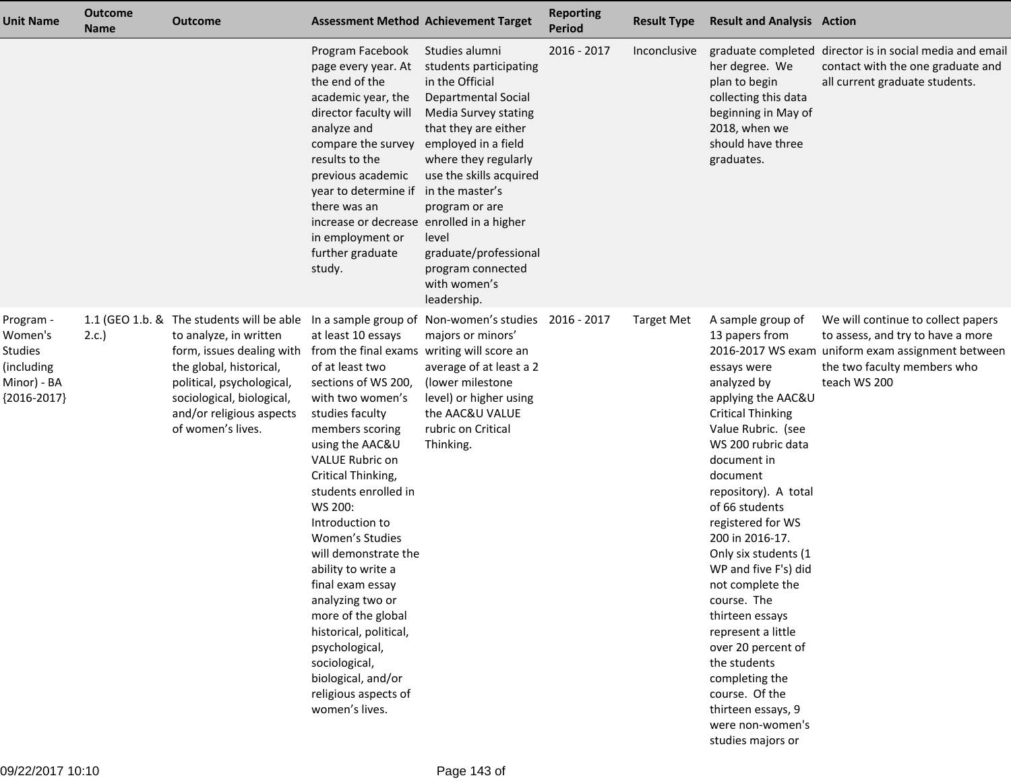| <b>Unit Name</b>                                                                     | <b>Outcome</b><br><b>Name</b> | <b>Outcome</b>                                                                                                                                                                                                                         |                                                                                                                                                                                                                                                                                                                                                                                                                                                                                                                                                    | <b>Assessment Method Achievement Target</b>                                                                                                                                                                                                                                                                                 | <b>Reporting</b><br><b>Period</b> | <b>Result Type</b> | <b>Result and Analysis Action</b>                                                                                                                                                                                                                                                                                                                                                                                                                                                                                                                 |                                                                                                                                                                             |
|--------------------------------------------------------------------------------------|-------------------------------|----------------------------------------------------------------------------------------------------------------------------------------------------------------------------------------------------------------------------------------|----------------------------------------------------------------------------------------------------------------------------------------------------------------------------------------------------------------------------------------------------------------------------------------------------------------------------------------------------------------------------------------------------------------------------------------------------------------------------------------------------------------------------------------------------|-----------------------------------------------------------------------------------------------------------------------------------------------------------------------------------------------------------------------------------------------------------------------------------------------------------------------------|-----------------------------------|--------------------|---------------------------------------------------------------------------------------------------------------------------------------------------------------------------------------------------------------------------------------------------------------------------------------------------------------------------------------------------------------------------------------------------------------------------------------------------------------------------------------------------------------------------------------------------|-----------------------------------------------------------------------------------------------------------------------------------------------------------------------------|
|                                                                                      |                               |                                                                                                                                                                                                                                        | Program Facebook<br>page every year. At<br>the end of the<br>academic year, the<br>director faculty will<br>analyze and<br>compare the survey<br>results to the<br>previous academic<br>year to determine if in the master's<br>there was an<br>increase or decrease enrolled in a higher<br>in employment or<br>further graduate<br>study.                                                                                                                                                                                                        | Studies alumni<br>students participating<br>in the Official<br><b>Departmental Social</b><br>Media Survey stating<br>that they are either<br>employed in a field<br>where they regularly<br>use the skills acquired<br>program or are<br>level<br>graduate/professional<br>program connected<br>with women's<br>leadership. | 2016 - 2017                       | Inconclusive       | her degree. We<br>plan to begin<br>collecting this data<br>beginning in May of<br>2018, when we<br>should have three<br>graduates.                                                                                                                                                                                                                                                                                                                                                                                                                | graduate completed director is in social media and email<br>contact with the one graduate and<br>all current graduate students.                                             |
| Program -<br>Women's<br><b>Studies</b><br>(including<br>Minor) - BA<br>${2016-2017}$ | 2.c.                          | 1.1 (GEO 1.b. & The students will be able<br>to analyze, in written<br>form, issues dealing with<br>the global, historical,<br>political, psychological,<br>sociological, biological,<br>and/or religious aspects<br>of women's lives. | at least 10 essays<br>from the final exams writing will score an<br>of at least two<br>sections of WS 200,<br>with two women's<br>studies faculty<br>members scoring<br>using the AAC&U<br>VALUE Rubric on<br>Critical Thinking,<br>students enrolled in<br>WS 200:<br>Introduction to<br>Women's Studies<br>will demonstrate the<br>ability to write a<br>final exam essay<br>analyzing two or<br>more of the global<br>historical, political,<br>psychological,<br>sociological,<br>biological, and/or<br>religious aspects of<br>women's lives. | In a sample group of Non-women's studies 2016 - 2017<br>majors or minors'<br>average of at least a 2<br>(lower milestone<br>level) or higher using<br>the AAC&U VALUE<br>rubric on Critical<br>Thinking.                                                                                                                    |                                   | <b>Target Met</b>  | A sample group of<br>13 papers from<br>essays were<br>analyzed by<br>applying the AAC&U<br><b>Critical Thinking</b><br>Value Rubric. (see<br>WS 200 rubric data<br>document in<br>document<br>repository). A total<br>of 66 students<br>registered for WS<br>200 in 2016-17.<br>Only six students (1<br>WP and five F's) did<br>not complete the<br>course. The<br>thirteen essays<br>represent a little<br>over 20 percent of<br>the students<br>completing the<br>course. Of the<br>thirteen essays, 9<br>were non-women's<br>studies majors or | We will continue to collect papers<br>to assess, and try to have a more<br>2016-2017 WS exam uniform exam assignment between<br>the two faculty members who<br>teach WS 200 |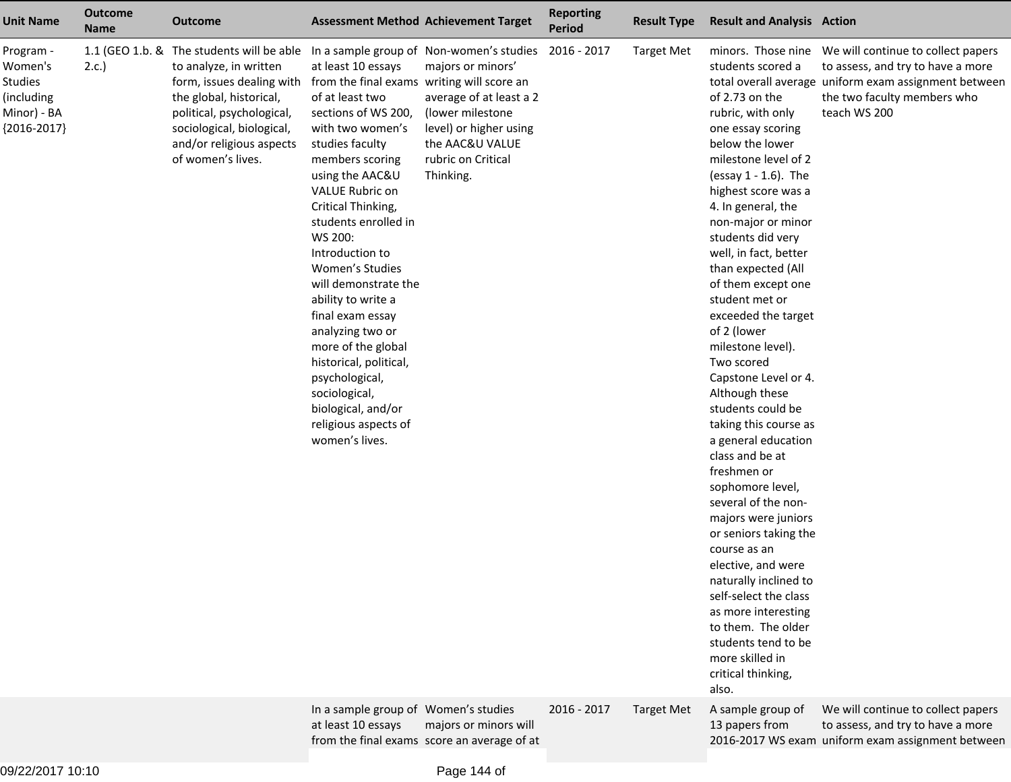| <b>Unit Name</b>                                                              | <b>Outcome</b><br><b>Name</b> | <b>Outcome</b>                                                                                                                                                                                                                         | <b>Assessment Method Achievement Target</b>                                                                                                                                                                                                                                                                                                                                                                                                                                                                                                        |                                                                                                                                                                                              | <b>Reporting</b><br><b>Period</b> | <b>Result Type</b> | <b>Result and Analysis Action</b>                                                                                                                                                                                                                                                                                                                                                                                                                                                                                                                                                                                                                                                                                                                                                                                                                                  |                                                                                                                                           |
|-------------------------------------------------------------------------------|-------------------------------|----------------------------------------------------------------------------------------------------------------------------------------------------------------------------------------------------------------------------------------|----------------------------------------------------------------------------------------------------------------------------------------------------------------------------------------------------------------------------------------------------------------------------------------------------------------------------------------------------------------------------------------------------------------------------------------------------------------------------------------------------------------------------------------------------|----------------------------------------------------------------------------------------------------------------------------------------------------------------------------------------------|-----------------------------------|--------------------|--------------------------------------------------------------------------------------------------------------------------------------------------------------------------------------------------------------------------------------------------------------------------------------------------------------------------------------------------------------------------------------------------------------------------------------------------------------------------------------------------------------------------------------------------------------------------------------------------------------------------------------------------------------------------------------------------------------------------------------------------------------------------------------------------------------------------------------------------------------------|-------------------------------------------------------------------------------------------------------------------------------------------|
| Program -<br>Women's<br>Studies<br>(including<br>Minor) - BA<br>${2016-2017}$ | 2.c.                          | 1.1 (GEO 1.b. & The students will be able<br>to analyze, in written<br>form, issues dealing with<br>the global, historical,<br>political, psychological,<br>sociological, biological,<br>and/or religious aspects<br>of women's lives. | at least 10 essays<br>from the final exams writing will score an<br>of at least two<br>sections of WS 200,<br>with two women's<br>studies faculty<br>members scoring<br>using the AAC&U<br>VALUE Rubric on<br>Critical Thinking,<br>students enrolled in<br>WS 200:<br>Introduction to<br>Women's Studies<br>will demonstrate the<br>ability to write a<br>final exam essay<br>analyzing two or<br>more of the global<br>historical, political,<br>psychological,<br>sociological,<br>biological, and/or<br>religious aspects of<br>women's lives. | In a sample group of Non-women's studies<br>majors or minors'<br>average of at least a 2<br>(lower milestone<br>level) or higher using<br>the AAC&U VALUE<br>rubric on Critical<br>Thinking. | 2016 - 2017                       | <b>Target Met</b>  | students scored a<br>of 2.73 on the<br>rubric, with only<br>one essay scoring<br>below the lower<br>milestone level of 2<br>(essay 1 - 1.6). The<br>highest score was a<br>4. In general, the<br>non-major or minor<br>students did very<br>well, in fact, better<br>than expected (All<br>of them except one<br>student met or<br>exceeded the target<br>of 2 (lower<br>milestone level).<br>Two scored<br>Capstone Level or 4.<br>Although these<br>students could be<br>taking this course as<br>a general education<br>class and be at<br>freshmen or<br>sophomore level,<br>several of the non-<br>majors were juniors<br>or seniors taking the<br>course as an<br>elective, and were<br>naturally inclined to<br>self-select the class<br>as more interesting<br>to them. The older<br>students tend to be<br>more skilled in<br>critical thinking,<br>also. | to assess, and try to have a more<br>total overall average uniform exam assignment between<br>the two faculty members who<br>teach WS 200 |
|                                                                               |                               |                                                                                                                                                                                                                                        | In a sample group of Women's studies<br>at least 10 essays                                                                                                                                                                                                                                                                                                                                                                                                                                                                                         | majors or minors will<br>from the final exams score an average of at                                                                                                                         | 2016 - 2017                       | <b>Target Met</b>  | A sample group of<br>13 papers from                                                                                                                                                                                                                                                                                                                                                                                                                                                                                                                                                                                                                                                                                                                                                                                                                                | We will continue to collect papers<br>to assess, and try to have a more<br>2016-2017 WS exam uniform exam assignment between              |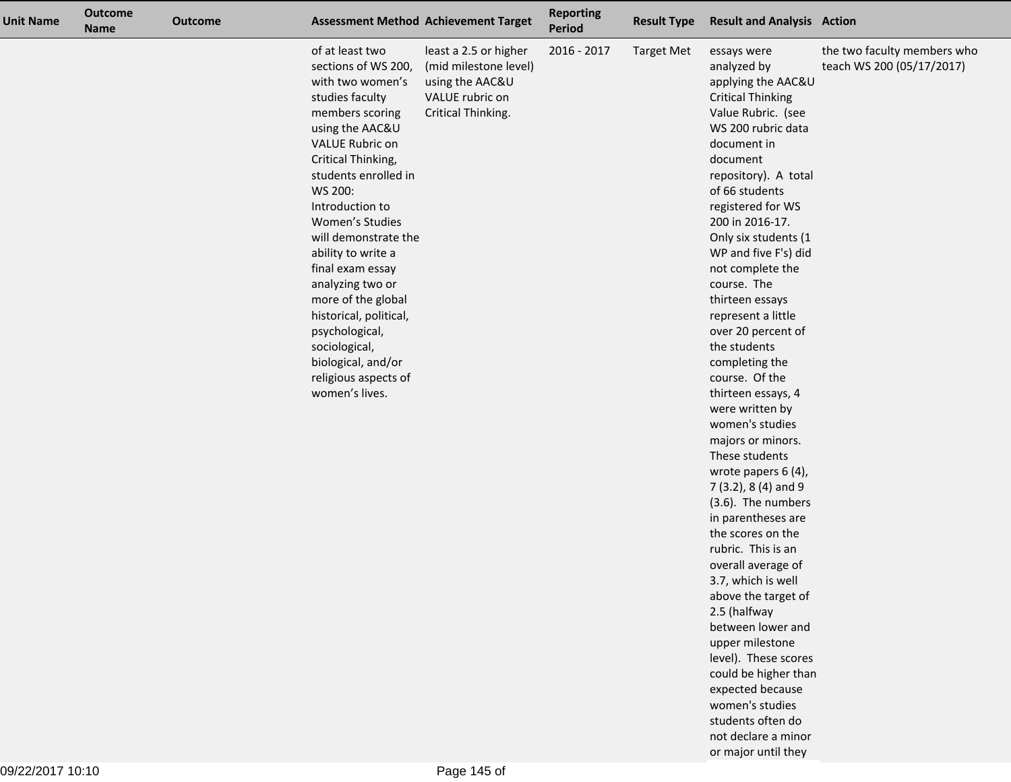| <b>Unit Name</b> | <b>Outcome</b><br><b>Name</b> | <b>Outcome</b> |                                                                                                                                                                                                                                                                                                                                                                                                                                                                                | <b>Assessment Method Achievement Target</b>                                                                | <b>Reporting</b><br>Period | <b>Result Type</b> | <b>Result and Analysis Action</b>                                                                                                                                                                                                                                                                                                                                                                                                                                                                                                                                                                                                                                                                                                                                                                                                                                                                                                                   |                                                          |
|------------------|-------------------------------|----------------|--------------------------------------------------------------------------------------------------------------------------------------------------------------------------------------------------------------------------------------------------------------------------------------------------------------------------------------------------------------------------------------------------------------------------------------------------------------------------------|------------------------------------------------------------------------------------------------------------|----------------------------|--------------------|-----------------------------------------------------------------------------------------------------------------------------------------------------------------------------------------------------------------------------------------------------------------------------------------------------------------------------------------------------------------------------------------------------------------------------------------------------------------------------------------------------------------------------------------------------------------------------------------------------------------------------------------------------------------------------------------------------------------------------------------------------------------------------------------------------------------------------------------------------------------------------------------------------------------------------------------------------|----------------------------------------------------------|
|                  |                               |                | of at least two<br>sections of WS 200,<br>with two women's<br>studies faculty<br>members scoring<br>using the AAC&U<br>VALUE Rubric on<br>Critical Thinking,<br>students enrolled in<br>WS 200:<br>Introduction to<br>Women's Studies<br>will demonstrate the<br>ability to write a<br>final exam essay<br>analyzing two or<br>more of the global<br>historical, political,<br>psychological,<br>sociological,<br>biological, and/or<br>religious aspects of<br>women's lives. | least a 2.5 or higher<br>(mid milestone level)<br>using the AAC&U<br>VALUE rubric on<br>Critical Thinking. | 2016 - 2017                | <b>Target Met</b>  | essays were<br>analyzed by<br>applying the AAC&U<br><b>Critical Thinking</b><br>Value Rubric. (see<br>WS 200 rubric data<br>document in<br>document<br>repository). A total<br>of 66 students<br>registered for WS<br>200 in 2016-17.<br>Only six students (1<br>WP and five F's) did<br>not complete the<br>course. The<br>thirteen essays<br>represent a little<br>over 20 percent of<br>the students<br>completing the<br>course. Of the<br>thirteen essays, 4<br>were written by<br>women's studies<br>majors or minors.<br>These students<br>wrote papers 6 (4),<br>$7(3.2)$ , 8(4) and 9<br>(3.6). The numbers<br>in parentheses are<br>the scores on the<br>rubric. This is an<br>overall average of<br>3.7, which is well<br>above the target of<br>2.5 (halfway<br>between lower and<br>upper milestone<br>level). These scores<br>could be higher than<br>expected because<br>women's studies<br>students often do<br>not declare a minor | the two faculty members who<br>teach WS 200 (05/17/2017) |

or major until they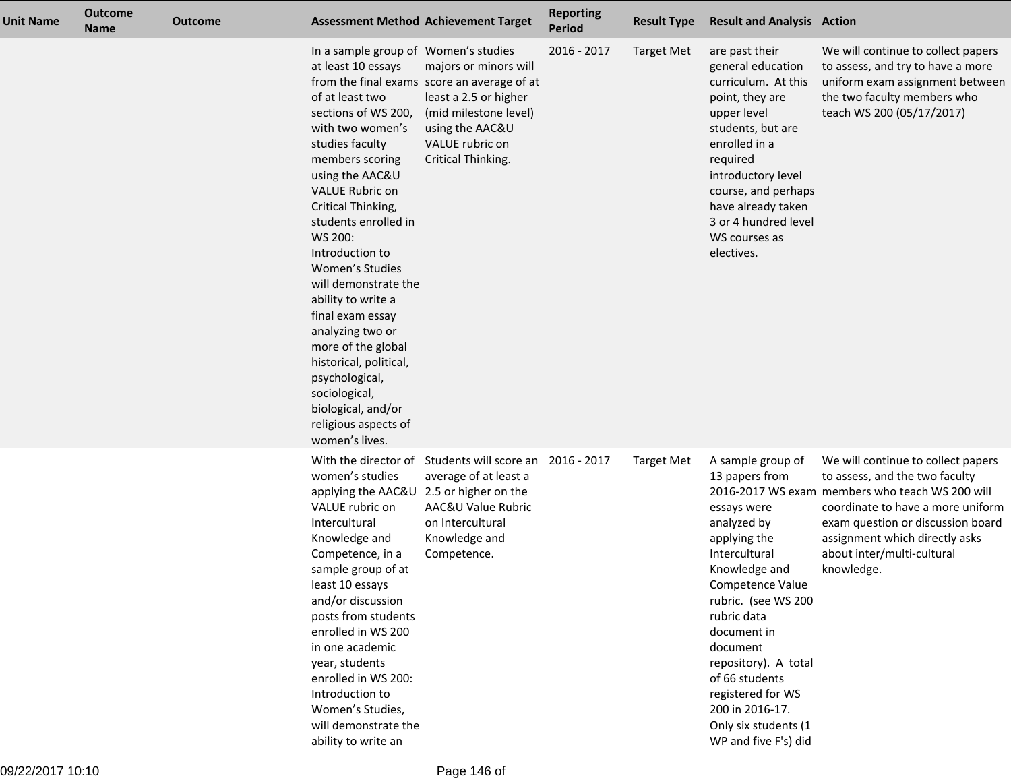| <b>Unit Name</b> | <b>Outcome</b><br><b>Name</b> | <b>Outcome</b> |                                                                                                                                                                                                                                                                                                                                                                                                                                                                                                                                                     | <b>Assessment Method Achievement Target</b>                                                                                                                                        | <b>Reporting</b><br><b>Period</b> | <b>Result Type</b> | <b>Result and Analysis Action</b>                                                                                                                                                                                                                                                                                                          |                                                                                                                                                                                                                                                                                 |
|------------------|-------------------------------|----------------|-----------------------------------------------------------------------------------------------------------------------------------------------------------------------------------------------------------------------------------------------------------------------------------------------------------------------------------------------------------------------------------------------------------------------------------------------------------------------------------------------------------------------------------------------------|------------------------------------------------------------------------------------------------------------------------------------------------------------------------------------|-----------------------------------|--------------------|--------------------------------------------------------------------------------------------------------------------------------------------------------------------------------------------------------------------------------------------------------------------------------------------------------------------------------------------|---------------------------------------------------------------------------------------------------------------------------------------------------------------------------------------------------------------------------------------------------------------------------------|
|                  |                               |                | In a sample group of Women's studies<br>at least 10 essays<br>of at least two<br>sections of WS 200,<br>with two women's<br>studies faculty<br>members scoring<br>using the AAC&U<br><b>VALUE Rubric on</b><br>Critical Thinking,<br>students enrolled in<br>WS 200:<br>Introduction to<br>Women's Studies<br>will demonstrate the<br>ability to write a<br>final exam essay<br>analyzing two or<br>more of the global<br>historical, political,<br>psychological,<br>sociological,<br>biological, and/or<br>religious aspects of<br>women's lives. | majors or minors will<br>from the final exams score an average of at<br>least a 2.5 or higher<br>(mid milestone level)<br>using the AAC&U<br>VALUE rubric on<br>Critical Thinking. | 2016 - 2017                       | <b>Target Met</b>  | are past their<br>general education<br>curriculum. At this<br>point, they are<br>upper level<br>students, but are<br>enrolled in a<br>required<br>introductory level<br>course, and perhaps<br>have already taken<br>3 or 4 hundred level<br>WS courses as<br>electives.                                                                   | We will continue to collect papers<br>to assess, and try to have a more<br>uniform exam assignment between<br>the two faculty members who<br>teach WS 200 (05/17/2017)                                                                                                          |
|                  |                               |                | women's studies<br>applying the AAC&U 2.5 or higher on the<br>VALUE rubric on<br>Intercultural<br>Knowledge and<br>Competence, in a<br>sample group of at<br>least 10 essays<br>and/or discussion<br>posts from students<br>enrolled in WS 200<br>in one academic<br>year, students<br>enrolled in WS 200:<br>Introduction to<br>Women's Studies,<br>will demonstrate the<br>ability to write an                                                                                                                                                    | With the director of Students will score an<br>average of at least a<br>AAC&U Value Rubric<br>on Intercultural<br>Knowledge and<br>Competence.                                     | 2016 - 2017                       | <b>Target Met</b>  | A sample group of<br>13 papers from<br>essays were<br>analyzed by<br>applying the<br>Intercultural<br>Knowledge and<br>Competence Value<br>rubric. (see WS 200<br>rubric data<br>document in<br>document<br>repository). A total<br>of 66 students<br>registered for WS<br>200 in 2016-17.<br>Only six students (1<br>WP and five F's) did | We will continue to collect papers<br>to assess, and the two faculty<br>2016-2017 WS exam members who teach WS 200 will<br>coordinate to have a more uniform<br>exam question or discussion board<br>assignment which directly asks<br>about inter/multi-cultural<br>knowledge. |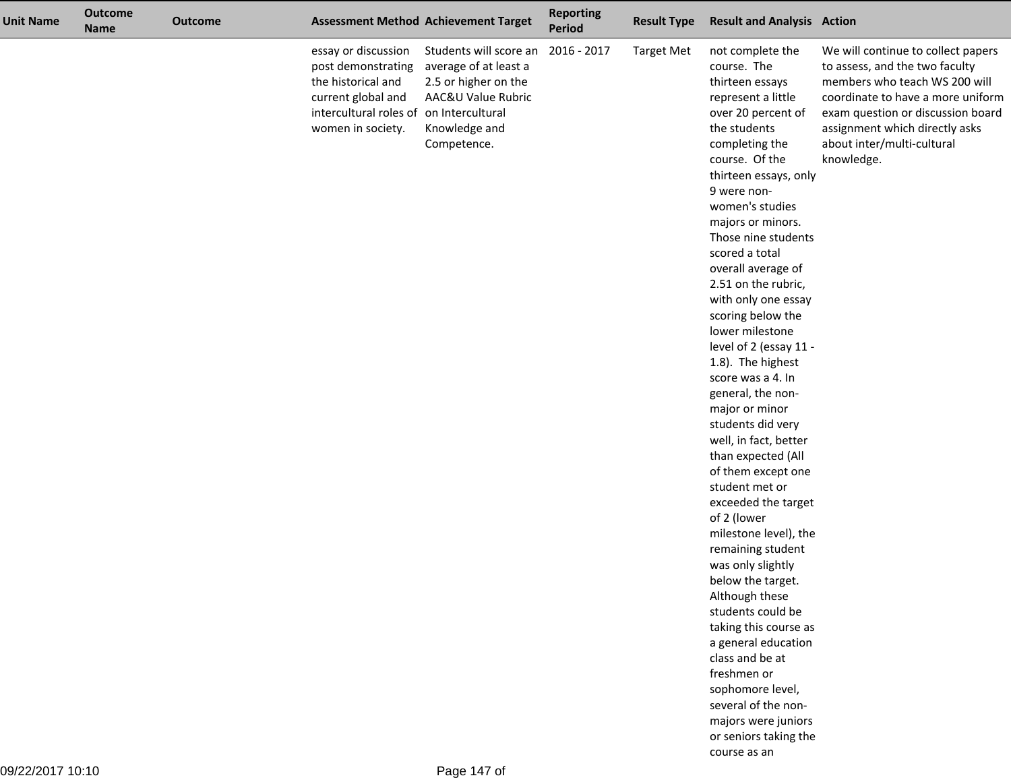| <b>Unit Name</b> | <b>Outcome</b><br><b>Name</b> | <b>Outcome</b> |                                                                                                                                                       | <b>Assessment Method Achievement Target</b>                                                                                   | <b>Reporting</b><br><b>Period</b> | <b>Result Type</b> | <b>Result and Analysis Action</b>                                                                                                                                                                                                                                                                                                                                                                                                                                                                                                                                                                                                                                                                                                                                                                                                                                                                                                                                                |                                                                                                                                                                                                                                                               |
|------------------|-------------------------------|----------------|-------------------------------------------------------------------------------------------------------------------------------------------------------|-------------------------------------------------------------------------------------------------------------------------------|-----------------------------------|--------------------|----------------------------------------------------------------------------------------------------------------------------------------------------------------------------------------------------------------------------------------------------------------------------------------------------------------------------------------------------------------------------------------------------------------------------------------------------------------------------------------------------------------------------------------------------------------------------------------------------------------------------------------------------------------------------------------------------------------------------------------------------------------------------------------------------------------------------------------------------------------------------------------------------------------------------------------------------------------------------------|---------------------------------------------------------------------------------------------------------------------------------------------------------------------------------------------------------------------------------------------------------------|
|                  |                               |                | essay or discussion<br>post demonstrating<br>the historical and<br>current global and<br>intercultural roles of on Intercultural<br>women in society. | Students will score an<br>average of at least a<br>2.5 or higher on the<br>AAC&U Value Rubric<br>Knowledge and<br>Competence. | 2016 - 2017                       | <b>Target Met</b>  | not complete the<br>course. The<br>thirteen essays<br>represent a little<br>over 20 percent of<br>the students<br>completing the<br>course. Of the<br>thirteen essays, only<br>9 were non-<br>women's studies<br>majors or minors.<br>Those nine students<br>scored a total<br>overall average of<br>2.51 on the rubric,<br>with only one essay<br>scoring below the<br>lower milestone<br>level of 2 (essay 11 -<br>1.8). The highest<br>score was a 4. In<br>general, the non-<br>major or minor<br>students did very<br>well, in fact, better<br>than expected (All<br>of them except one<br>student met or<br>exceeded the target<br>of 2 (lower<br>milestone level), the<br>remaining student<br>was only slightly<br>below the target.<br>Although these<br>students could be<br>taking this course as<br>a general education<br>class and be at<br>freshmen or<br>sophomore level,<br>several of the non-<br>majors were juniors<br>or seniors taking the<br>course as an | We will continue to collect papers<br>to assess, and the two faculty<br>members who teach WS 200 will<br>coordinate to have a more uniform<br>exam question or discussion board<br>assignment which directly asks<br>about inter/multi-cultural<br>knowledge. |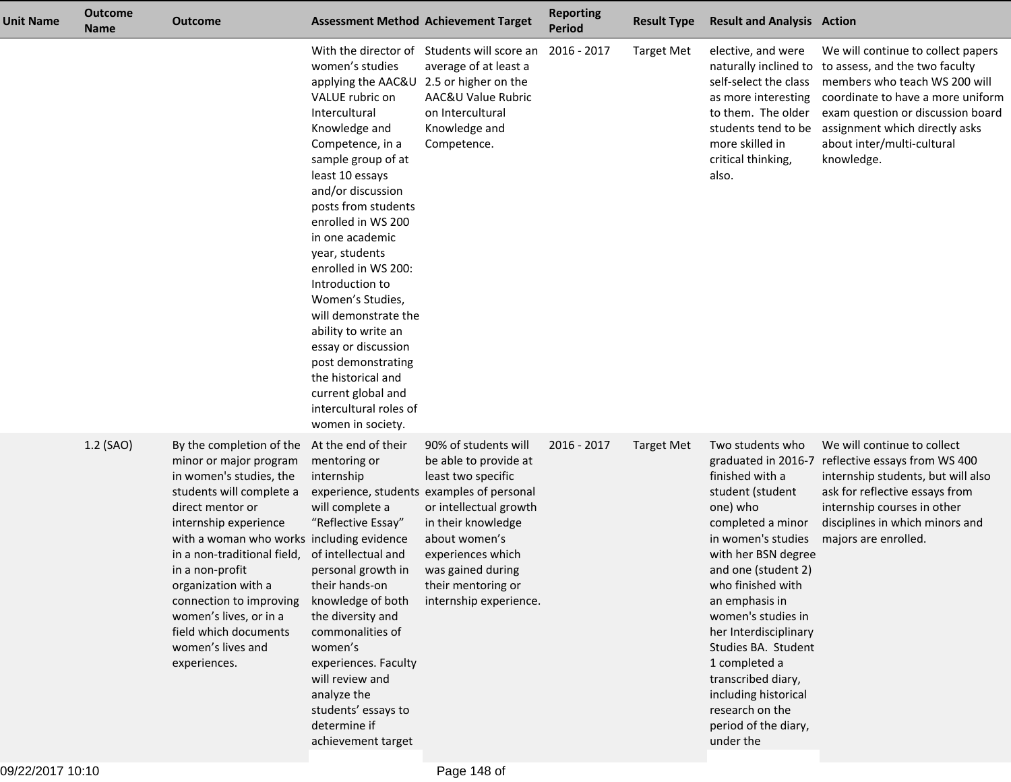| <b>Unit Name</b> | <b>Outcome</b><br><b>Name</b> | <b>Outcome</b>                                                                                                                                                                                                                                                                                                                                                                                  |                                                                                                                                                                                                                                                                                                                                                                                                                                                                                                                                          | <b>Assessment Method Achievement Target</b>                                                                                                                                                                                                                                 | <b>Reporting</b><br><b>Period</b> | <b>Result Type</b> | <b>Result and Analysis Action</b>                                                                                                                                                                                                                                                                                                                                                                |                                                                                                                                                                                                                                                               |
|------------------|-------------------------------|-------------------------------------------------------------------------------------------------------------------------------------------------------------------------------------------------------------------------------------------------------------------------------------------------------------------------------------------------------------------------------------------------|------------------------------------------------------------------------------------------------------------------------------------------------------------------------------------------------------------------------------------------------------------------------------------------------------------------------------------------------------------------------------------------------------------------------------------------------------------------------------------------------------------------------------------------|-----------------------------------------------------------------------------------------------------------------------------------------------------------------------------------------------------------------------------------------------------------------------------|-----------------------------------|--------------------|--------------------------------------------------------------------------------------------------------------------------------------------------------------------------------------------------------------------------------------------------------------------------------------------------------------------------------------------------------------------------------------------------|---------------------------------------------------------------------------------------------------------------------------------------------------------------------------------------------------------------------------------------------------------------|
|                  |                               |                                                                                                                                                                                                                                                                                                                                                                                                 | women's studies<br>applying the AAC&U 2.5 or higher on the<br>VALUE rubric on<br>Intercultural<br>Knowledge and<br>Competence, in a<br>sample group of at<br>least 10 essays<br>and/or discussion<br>posts from students<br>enrolled in WS 200<br>in one academic<br>year, students<br>enrolled in WS 200:<br>Introduction to<br>Women's Studies,<br>will demonstrate the<br>ability to write an<br>essay or discussion<br>post demonstrating<br>the historical and<br>current global and<br>intercultural roles of<br>women in society. | With the director of Students will score an<br>average of at least a<br>AAC&U Value Rubric<br>on Intercultural<br>Knowledge and<br>Competence.                                                                                                                              | 2016 - 2017                       | <b>Target Met</b>  | elective, and were<br>naturally inclined to<br>self-select the class<br>as more interesting<br>to them. The older<br>students tend to be<br>more skilled in<br>critical thinking,<br>also.                                                                                                                                                                                                       | We will continue to collect papers<br>to assess, and the two faculty<br>members who teach WS 200 will<br>coordinate to have a more uniform<br>exam question or discussion board<br>assignment which directly asks<br>about inter/multi-cultural<br>knowledge. |
|                  | 1.2 (SAO)                     | By the completion of the<br>minor or major program<br>in women's studies, the<br>students will complete a<br>direct mentor or<br>internship experience<br>with a woman who works including evidence<br>in a non-traditional field,<br>in a non-profit<br>organization with a<br>connection to improving<br>women's lives, or in a<br>field which documents<br>women's lives and<br>experiences. | At the end of their<br>mentoring or<br>internship<br>will complete a<br>"Reflective Essay"<br>of intellectual and<br>personal growth in<br>their hands-on<br>knowledge of both<br>the diversity and<br>commonalities of<br>women's<br>experiences. Faculty<br>will review and<br>analyze the<br>students' essays to<br>determine if<br>achievement target                                                                                                                                                                                | 90% of students will<br>be able to provide at<br>least two specific<br>experience, students examples of personal<br>or intellectual growth<br>in their knowledge<br>about women's<br>experiences which<br>was gained during<br>their mentoring or<br>internship experience. | 2016 - 2017                       | <b>Target Met</b>  | Two students who<br>finished with a<br>student (student<br>one) who<br>completed a minor<br>in women's studies<br>with her BSN degree<br>and one (student 2)<br>who finished with<br>an emphasis in<br>women's studies in<br>her Interdisciplinary<br>Studies BA. Student<br>1 completed a<br>transcribed diary,<br>including historical<br>research on the<br>period of the diary,<br>under the | We will continue to collect<br>graduated in 2016-7 reflective essays from WS 400<br>internship students, but will also<br>ask for reflective essays from<br>internship courses in other<br>disciplines in which minors and<br>majors are enrolled.            |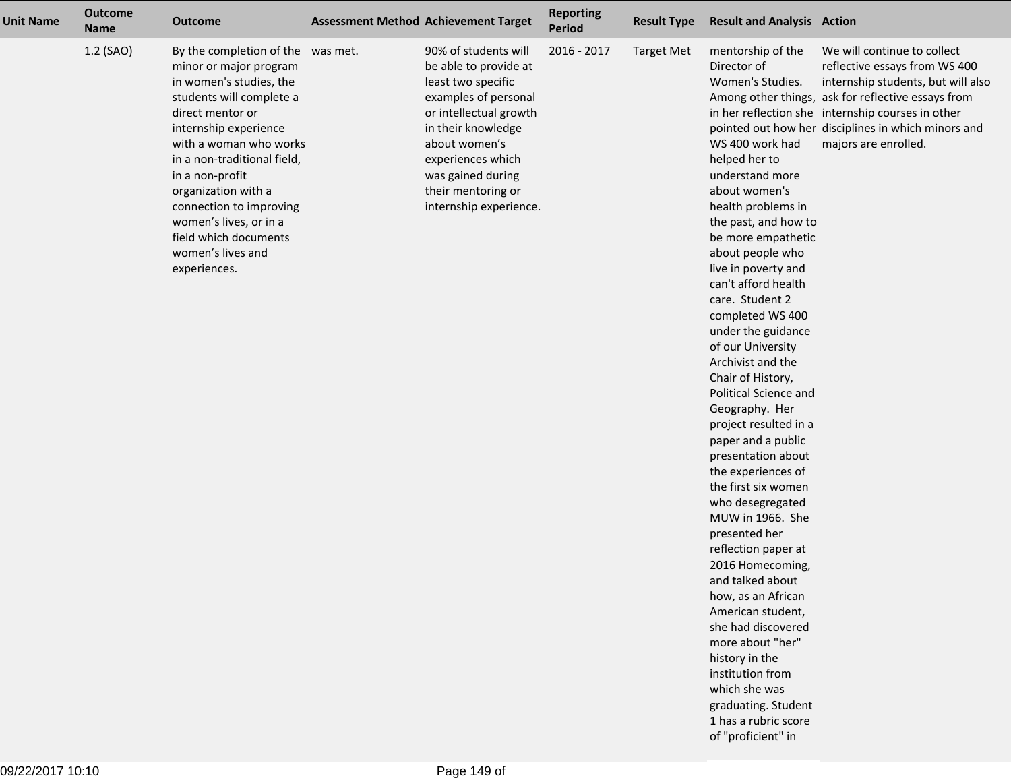| <b>Unit Name</b> | <b>Outcome</b><br><b>Name</b> | <b>Outcome</b>                                                                                                                                                                                                                                                                                                                                                                        | <b>Assessment Method Achievement Target</b>                                                                                                                                                                                                            | <b>Reporting</b><br><b>Period</b> | <b>Result Type</b> | <b>Result and Analysis Action</b>                                                                                                                                                                                                                                                                                                                                                                                                                                                                                                                                                                                                                                                                                                                                                                                                                                                                    |                                                                                                                                                                                                                                                                                              |
|------------------|-------------------------------|---------------------------------------------------------------------------------------------------------------------------------------------------------------------------------------------------------------------------------------------------------------------------------------------------------------------------------------------------------------------------------------|--------------------------------------------------------------------------------------------------------------------------------------------------------------------------------------------------------------------------------------------------------|-----------------------------------|--------------------|------------------------------------------------------------------------------------------------------------------------------------------------------------------------------------------------------------------------------------------------------------------------------------------------------------------------------------------------------------------------------------------------------------------------------------------------------------------------------------------------------------------------------------------------------------------------------------------------------------------------------------------------------------------------------------------------------------------------------------------------------------------------------------------------------------------------------------------------------------------------------------------------------|----------------------------------------------------------------------------------------------------------------------------------------------------------------------------------------------------------------------------------------------------------------------------------------------|
|                  | 1.2 (SAO)                     | By the completion of the was met.<br>minor or major program<br>in women's studies, the<br>students will complete a<br>direct mentor or<br>internship experience<br>with a woman who works<br>in a non-traditional field,<br>in a non-profit<br>organization with a<br>connection to improving<br>women's lives, or in a<br>field which documents<br>women's lives and<br>experiences. | 90% of students will<br>be able to provide at<br>least two specific<br>examples of personal<br>or intellectual growth<br>in their knowledge<br>about women's<br>experiences which<br>was gained during<br>their mentoring or<br>internship experience. | 2016 - 2017                       | <b>Target Met</b>  | mentorship of the<br>Director of<br>Women's Studies.<br>WS 400 work had<br>helped her to<br>understand more<br>about women's<br>health problems in<br>the past, and how to<br>be more empathetic<br>about people who<br>live in poverty and<br>can't afford health<br>care. Student 2<br>completed WS 400<br>under the guidance<br>of our University<br>Archivist and the<br>Chair of History,<br>Political Science and<br>Geography. Her<br>project resulted in a<br>paper and a public<br>presentation about<br>the experiences of<br>the first six women<br>who desegregated<br>MUW in 1966. She<br>presented her<br>reflection paper at<br>2016 Homecoming,<br>and talked about<br>how, as an African<br>American student,<br>she had discovered<br>more about "her"<br>history in the<br>institution from<br>which she was<br>graduating. Student<br>1 has a rubric score<br>of "proficient" in | We will continue to collect<br>reflective essays from WS 400<br>internship students, but will also<br>Among other things, ask for reflective essays from<br>in her reflection she internship courses in other<br>pointed out how her disciplines in which minors and<br>majors are enrolled. |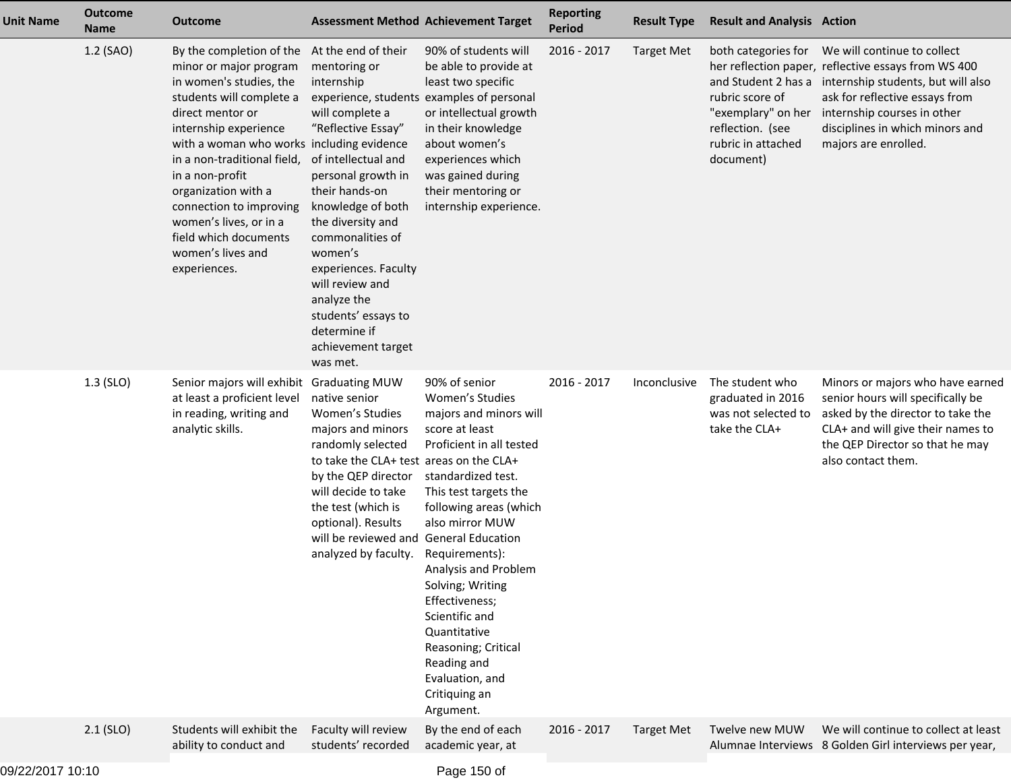| <b>Unit Name</b> | <b>Outcome</b><br><b>Name</b> | <b>Outcome</b>                                                                                                                                                                                                                                                                                                                                                                                                      |                                                                                                                                                                                                                                                                                                                                                                        | <b>Assessment Method Achievement Target</b>                                                                                                                                                                                                                                                                                                                                                                                               | <b>Reporting</b><br>Period | <b>Result Type</b> | <b>Result and Analysis Action</b>                                                                                   |                                                                                                                                                                                                                                                                          |
|------------------|-------------------------------|---------------------------------------------------------------------------------------------------------------------------------------------------------------------------------------------------------------------------------------------------------------------------------------------------------------------------------------------------------------------------------------------------------------------|------------------------------------------------------------------------------------------------------------------------------------------------------------------------------------------------------------------------------------------------------------------------------------------------------------------------------------------------------------------------|-------------------------------------------------------------------------------------------------------------------------------------------------------------------------------------------------------------------------------------------------------------------------------------------------------------------------------------------------------------------------------------------------------------------------------------------|----------------------------|--------------------|---------------------------------------------------------------------------------------------------------------------|--------------------------------------------------------------------------------------------------------------------------------------------------------------------------------------------------------------------------------------------------------------------------|
|                  | 1.2 (SAO)                     | By the completion of the At the end of their<br>minor or major program<br>in women's studies, the<br>students will complete a<br>direct mentor or<br>internship experience<br>with a woman who works including evidence<br>in a non-traditional field,<br>in a non-profit<br>organization with a<br>connection to improving<br>women's lives, or in a<br>field which documents<br>women's lives and<br>experiences. | mentoring or<br>internship<br>experience, students<br>will complete a<br>"Reflective Essay"<br>of intellectual and<br>personal growth in<br>their hands-on<br>knowledge of both<br>the diversity and<br>commonalities of<br>women's<br>experiences. Faculty<br>will review and<br>analyze the<br>students' essays to<br>determine if<br>achievement target<br>was met. | 90% of students will<br>be able to provide at<br>least two specific<br>examples of personal<br>or intellectual growth<br>in their knowledge<br>about women's<br>experiences which<br>was gained during<br>their mentoring or<br>internship experience.                                                                                                                                                                                    | 2016 - 2017                | <b>Target Met</b>  | both categories for<br>rubric score of<br>"exemplary" on her<br>reflection. (see<br>rubric in attached<br>document) | We will continue to collect<br>her reflection paper, reflective essays from WS 400<br>and Student 2 has a internship students, but will also<br>ask for reflective essays from<br>internship courses in other<br>disciplines in which minors and<br>majors are enrolled. |
|                  | 1.3 (SLO)                     | Senior majors will exhibit Graduating MUW<br>at least a proficient level<br>in reading, writing and<br>analytic skills.                                                                                                                                                                                                                                                                                             | native senior<br>Women's Studies<br>majors and minors<br>randomly selected<br>to take the CLA+ test areas on the CLA+<br>by the QEP director<br>will decide to take<br>the test (which is<br>optional). Results<br>will be reviewed and<br>analyzed by faculty.                                                                                                        | 90% of senior<br>Women's Studies<br>majors and minors will<br>score at least<br>Proficient in all tested<br>standardized test.<br>This test targets the<br>following areas (which<br>also mirror MUW<br><b>General Education</b><br>Requirements):<br>Analysis and Problem<br>Solving; Writing<br>Effectiveness;<br>Scientific and<br>Quantitative<br>Reasoning; Critical<br>Reading and<br>Evaluation, and<br>Critiquing an<br>Argument. | 2016 - 2017                | Inconclusive       | The student who<br>graduated in 2016<br>was not selected to<br>take the CLA+                                        | Minors or majors who have earned<br>senior hours will specifically be<br>asked by the director to take the<br>CLA+ and will give their names to<br>the QEP Director so that he may<br>also contact them.                                                                 |
|                  | $2.1$ (SLO)                   | Students will exhibit the<br>ability to conduct and                                                                                                                                                                                                                                                                                                                                                                 | Faculty will review<br>students' recorded                                                                                                                                                                                                                                                                                                                              | By the end of each<br>academic year, at                                                                                                                                                                                                                                                                                                                                                                                                   | 2016 - 2017                | <b>Target Met</b>  | Twelve new MUW                                                                                                      | We will continue to collect at least<br>Alumnae Interviews 8 Golden Girl interviews per year,                                                                                                                                                                            |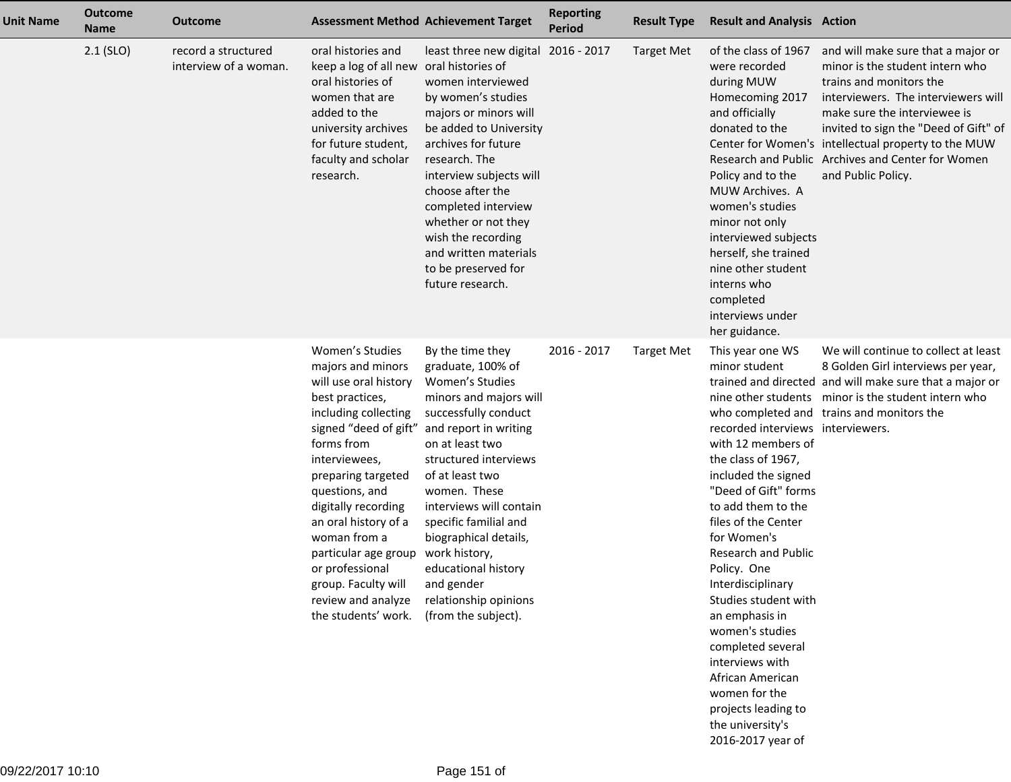| <b>Unit Name</b> | <b>Outcome</b><br><b>Name</b> | <b>Outcome</b>                               |                                                                                                                                                                                                                                                                                                                                                                                        | <b>Assessment Method Achievement Target</b>                                                                                                                                                                                                                                                                                                                                                           | <b>Reporting</b><br><b>Period</b> | <b>Result Type</b> | <b>Result and Analysis Action</b>                                                                                                                                                                                                                                                                                                                                                                                                                                                                         |                                                                                                                                                                                                                                                                                                                                                    |
|------------------|-------------------------------|----------------------------------------------|----------------------------------------------------------------------------------------------------------------------------------------------------------------------------------------------------------------------------------------------------------------------------------------------------------------------------------------------------------------------------------------|-------------------------------------------------------------------------------------------------------------------------------------------------------------------------------------------------------------------------------------------------------------------------------------------------------------------------------------------------------------------------------------------------------|-----------------------------------|--------------------|-----------------------------------------------------------------------------------------------------------------------------------------------------------------------------------------------------------------------------------------------------------------------------------------------------------------------------------------------------------------------------------------------------------------------------------------------------------------------------------------------------------|----------------------------------------------------------------------------------------------------------------------------------------------------------------------------------------------------------------------------------------------------------------------------------------------------------------------------------------------------|
|                  | $2.1$ (SLO)                   | record a structured<br>interview of a woman. | oral histories and<br>keep a log of all new<br>oral histories of<br>women that are<br>added to the<br>university archives<br>for future student,<br>faculty and scholar<br>research.                                                                                                                                                                                                   | least three new digital 2016 - 2017<br>oral histories of<br>women interviewed<br>by women's studies<br>majors or minors will<br>be added to University<br>archives for future<br>research. The<br>interview subjects will<br>choose after the<br>completed interview<br>whether or not they<br>wish the recording<br>and written materials<br>to be preserved for<br>future research.                 |                                   | <b>Target Met</b>  | of the class of 1967<br>were recorded<br>during MUW<br>Homecoming 2017<br>and officially<br>donated to the<br>Policy and to the<br>MUW Archives. A<br>women's studies<br>minor not only<br>interviewed subjects<br>herself, she trained<br>nine other student<br>interns who<br>completed<br>interviews under<br>her guidance.                                                                                                                                                                            | and will make sure that a major or<br>minor is the student intern who<br>trains and monitors the<br>interviewers. The interviewers will<br>make sure the interviewee is<br>invited to sign the "Deed of Gift" of<br>Center for Women's intellectual property to the MUW<br>Research and Public Archives and Center for Women<br>and Public Policy. |
|                  |                               |                                              | Women's Studies<br>majors and minors<br>will use oral history<br>best practices,<br>including collecting<br>signed "deed of gift"<br>forms from<br>interviewees,<br>preparing targeted<br>questions, and<br>digitally recording<br>an oral history of a<br>woman from a<br>particular age group<br>or professional<br>group. Faculty will<br>review and analyze<br>the students' work. | By the time they<br>graduate, 100% of<br>Women's Studies<br>minors and majors will<br>successfully conduct<br>and report in writing<br>on at least two<br>structured interviews<br>of at least two<br>women. These<br>interviews will contain<br>specific familial and<br>biographical details,<br>work history,<br>educational history<br>and gender<br>relationship opinions<br>(from the subject). | 2016 - 2017                       | <b>Target Met</b>  | This year one WS<br>minor student<br>recorded interviews interviewers.<br>with 12 members of<br>the class of 1967,<br>included the signed<br>"Deed of Gift" forms<br>to add them to the<br>files of the Center<br>for Women's<br><b>Research and Public</b><br>Policy. One<br>Interdisciplinary<br>Studies student with<br>an emphasis in<br>women's studies<br>completed several<br>interviews with<br>African American<br>women for the<br>projects leading to<br>the university's<br>2016-2017 year of | We will continue to collect at least<br>8 Golden Girl interviews per year,<br>trained and directed and will make sure that a major or<br>nine other students minor is the student intern who<br>who completed and trains and monitors the                                                                                                          |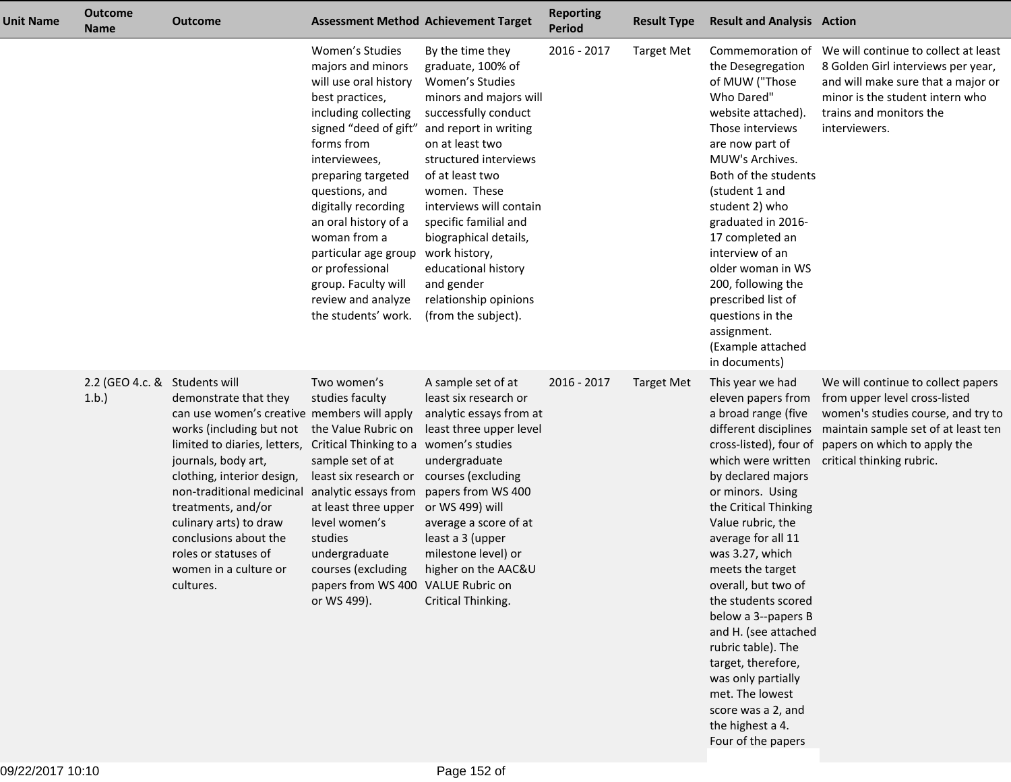| Unit Name | <b>Outcome</b><br><b>Name</b>         | <b>Outcome</b>                                                                                                                                                                                                                                                                                                                                                                                       |                                                                                                                                                                                                                                                                                                                                                                                        | <b>Assessment Method Achievement Target</b>                                                                                                                                                                                                                                                                                                                                                           | <b>Reporting</b><br><b>Period</b> | <b>Result Type</b> | <b>Result and Analysis Action</b>                                                                                                                                                                                                                                                                                                                                                                                                                                                          |                                                                                                                                                                                                                                                            |
|-----------|---------------------------------------|------------------------------------------------------------------------------------------------------------------------------------------------------------------------------------------------------------------------------------------------------------------------------------------------------------------------------------------------------------------------------------------------------|----------------------------------------------------------------------------------------------------------------------------------------------------------------------------------------------------------------------------------------------------------------------------------------------------------------------------------------------------------------------------------------|-------------------------------------------------------------------------------------------------------------------------------------------------------------------------------------------------------------------------------------------------------------------------------------------------------------------------------------------------------------------------------------------------------|-----------------------------------|--------------------|--------------------------------------------------------------------------------------------------------------------------------------------------------------------------------------------------------------------------------------------------------------------------------------------------------------------------------------------------------------------------------------------------------------------------------------------------------------------------------------------|------------------------------------------------------------------------------------------------------------------------------------------------------------------------------------------------------------------------------------------------------------|
|           |                                       |                                                                                                                                                                                                                                                                                                                                                                                                      | Women's Studies<br>majors and minors<br>will use oral history<br>best practices,<br>including collecting<br>signed "deed of gift"<br>forms from<br>interviewees,<br>preparing targeted<br>questions, and<br>digitally recording<br>an oral history of a<br>woman from a<br>particular age group<br>or professional<br>group. Faculty will<br>review and analyze<br>the students' work. | By the time they<br>graduate, 100% of<br>Women's Studies<br>minors and majors will<br>successfully conduct<br>and report in writing<br>on at least two<br>structured interviews<br>of at least two<br>women. These<br>interviews will contain<br>specific familial and<br>biographical details,<br>work history,<br>educational history<br>and gender<br>relationship opinions<br>(from the subject). | 2016 - 2017                       | <b>Target Met</b>  | the Desegregation<br>of MUW ("Those<br>Who Dared"<br>website attached).<br>Those interviews<br>are now part of<br>MUW's Archives.<br>Both of the students<br>(student 1 and<br>student 2) who<br>graduated in 2016-<br>17 completed an<br>interview of an<br>older woman in WS<br>200, following the<br>prescribed list of<br>questions in the<br>assignment.<br>(Example attached<br>in documents)                                                                                        | Commemoration of We will continue to collect at least<br>8 Golden Girl interviews per year,<br>and will make sure that a major or<br>minor is the student intern who<br>trains and monitors the<br>interviewers.                                           |
|           | 2.2 (GEO 4.c. & Students will<br>1.b. | demonstrate that they<br>can use women's creative members will apply<br>works (including but not the Value Rubric on<br>limited to diaries, letters, Critical Thinking to a<br>journals, body art,<br>clothing, interior design,<br>non-traditional medicinal<br>treatments, and/or<br>culinary arts) to draw<br>conclusions about the<br>roles or statuses of<br>women in a culture or<br>cultures. | Two women's<br>studies faculty<br>sample set of at<br>least six research or<br>analytic essays from<br>at least three upper<br>level women's<br>studies<br>undergraduate<br>courses (excluding<br>papers from WS 400 VALUE Rubric on<br>or WS 499).                                                                                                                                    | A sample set of at<br>least six research or<br>analytic essays from at<br>least three upper level<br>women's studies<br>undergraduate<br>courses (excluding<br>papers from WS 400<br>or WS 499) will<br>average a score of at<br>least a 3 (upper<br>milestone level) or<br>higher on the AAC&U<br>Critical Thinking.                                                                                 | 2016 - 2017                       | <b>Target Met</b>  | This year we had<br>eleven papers from<br>a broad range (five<br>which were written<br>by declared majors<br>or minors. Using<br>the Critical Thinking<br>Value rubric, the<br>average for all 11<br>was 3.27, which<br>meets the target<br>overall, but two of<br>the students scored<br>below a 3--papers B<br>and H. (see attached<br>rubric table). The<br>target, therefore,<br>was only partially<br>met. The lowest<br>score was a 2, and<br>the highest a 4.<br>Four of the papers | We will continue to collect papers<br>from upper level cross-listed<br>women's studies course, and try to<br>different disciplines maintain sample set of at least ten<br>cross-listed), four of papers on which to apply the<br>critical thinking rubric. |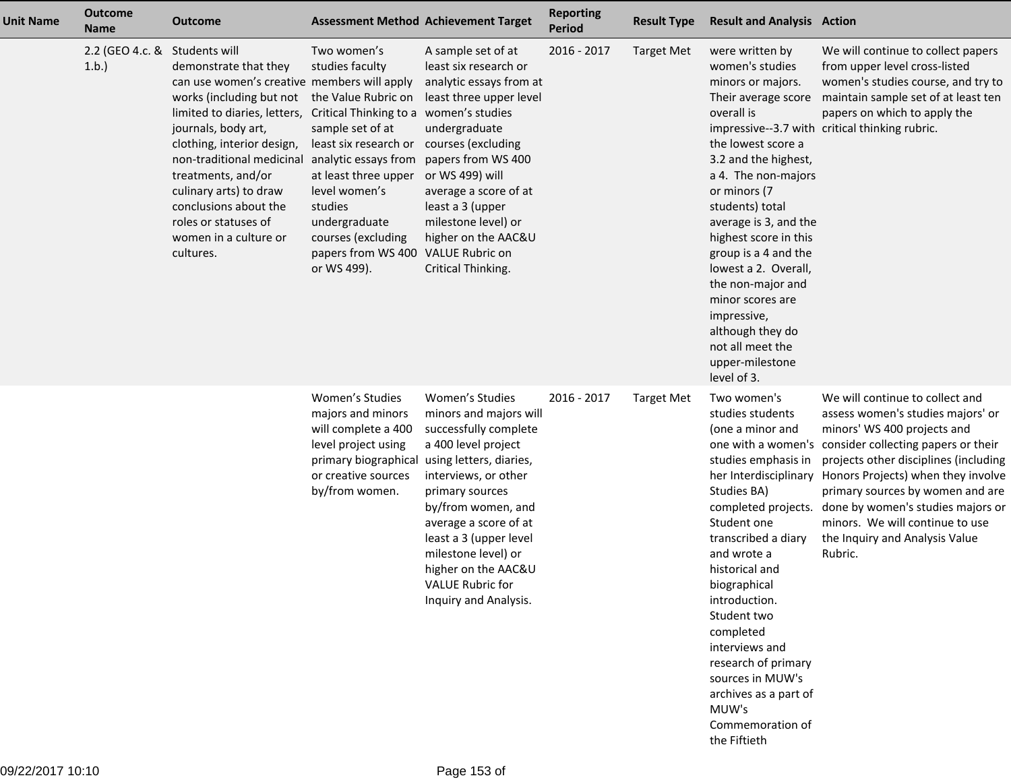| <b>Unit Name</b> | <b>Outcome</b><br><b>Name</b> | <b>Outcome</b>                                                                                                                                                                                                                                                                                                                                                             |                                                                                                                                                                                                                                                                                                                                                                            | <b>Assessment Method Achievement Target</b>                                                                                                                                                                                                                                                                     | <b>Reporting</b><br><b>Period</b> | <b>Result Type</b> | <b>Result and Analysis Action</b>                                                                                                                                                                                                                                                                                                                                                                                                        |                                                                                                                                                                                                                                                                                                                                                                                                       |
|------------------|-------------------------------|----------------------------------------------------------------------------------------------------------------------------------------------------------------------------------------------------------------------------------------------------------------------------------------------------------------------------------------------------------------------------|----------------------------------------------------------------------------------------------------------------------------------------------------------------------------------------------------------------------------------------------------------------------------------------------------------------------------------------------------------------------------|-----------------------------------------------------------------------------------------------------------------------------------------------------------------------------------------------------------------------------------------------------------------------------------------------------------------|-----------------------------------|--------------------|------------------------------------------------------------------------------------------------------------------------------------------------------------------------------------------------------------------------------------------------------------------------------------------------------------------------------------------------------------------------------------------------------------------------------------------|-------------------------------------------------------------------------------------------------------------------------------------------------------------------------------------------------------------------------------------------------------------------------------------------------------------------------------------------------------------------------------------------------------|
|                  | 2.2 (GEO 4.c. &<br>1.b.       | Students will<br>demonstrate that they<br>can use women's creative members will apply<br>works (including but not<br>limited to diaries, letters,<br>journals, body art,<br>clothing, interior design,<br>non-traditional medicinal<br>treatments, and/or<br>culinary arts) to draw<br>conclusions about the<br>roles or statuses of<br>women in a culture or<br>cultures. | Two women's<br>studies faculty<br>the Value Rubric on<br>Critical Thinking to a women's studies<br>sample set of at<br>least six research or courses (excluding<br>analytic essays from papers from WS 400<br>at least three upper or WS 499) will<br>level women's<br>studies<br>undergraduate<br>courses (excluding<br>papers from WS 400 VALUE Rubric on<br>or WS 499). | A sample set of at<br>least six research or<br>analytic essays from at<br>least three upper level<br>undergraduate<br>average a score of at<br>least a 3 (upper<br>milestone level) or<br>higher on the AAC&U<br>Critical Thinking.                                                                             | 2016 - 2017                       | <b>Target Met</b>  | were written by<br>women's studies<br>minors or majors.<br>Their average score<br>overall is<br>the lowest score a<br>3.2 and the highest,<br>a 4. The non-majors<br>or minors (7<br>students) total<br>average is 3, and the<br>highest score in this<br>group is a 4 and the<br>lowest a 2. Overall,<br>the non-major and<br>minor scores are<br>impressive,<br>although they do<br>not all meet the<br>upper-milestone<br>level of 3. | We will continue to collect papers<br>from upper level cross-listed<br>women's studies course, and try to<br>maintain sample set of at least ten<br>papers on which to apply the<br>impressive--3.7 with critical thinking rubric.                                                                                                                                                                    |
|                  |                               |                                                                                                                                                                                                                                                                                                                                                                            | Women's Studies<br>majors and minors<br>will complete a 400<br>level project using<br>primary biographical using letters, diaries,<br>or creative sources<br>by/from women.                                                                                                                                                                                                | Women's Studies<br>minors and majors will<br>successfully complete<br>a 400 level project<br>interviews, or other<br>primary sources<br>by/from women, and<br>average a score of at<br>least a 3 (upper level<br>milestone level) or<br>higher on the AAC&U<br><b>VALUE Rubric for</b><br>Inquiry and Analysis. | 2016 - 2017                       | <b>Target Met</b>  | Two women's<br>studies students<br>(one a minor and<br>studies emphasis in<br>her Interdisciplinary<br>Studies BA)<br>completed projects.<br>Student one<br>transcribed a diary<br>and wrote a<br>historical and<br>biographical<br>introduction.<br>Student two<br>completed<br>interviews and<br>research of primary<br>sources in MUW's<br>archives as a part of<br>MUW's<br>Commemoration of<br>the Fiftieth                         | We will continue to collect and<br>assess women's studies majors' or<br>minors' WS 400 projects and<br>one with a women's consider collecting papers or their<br>projects other disciplines (including<br>Honors Projects) when they involve<br>primary sources by women and are<br>done by women's studies majors or<br>minors. We will continue to use<br>the Inquiry and Analysis Value<br>Rubric. |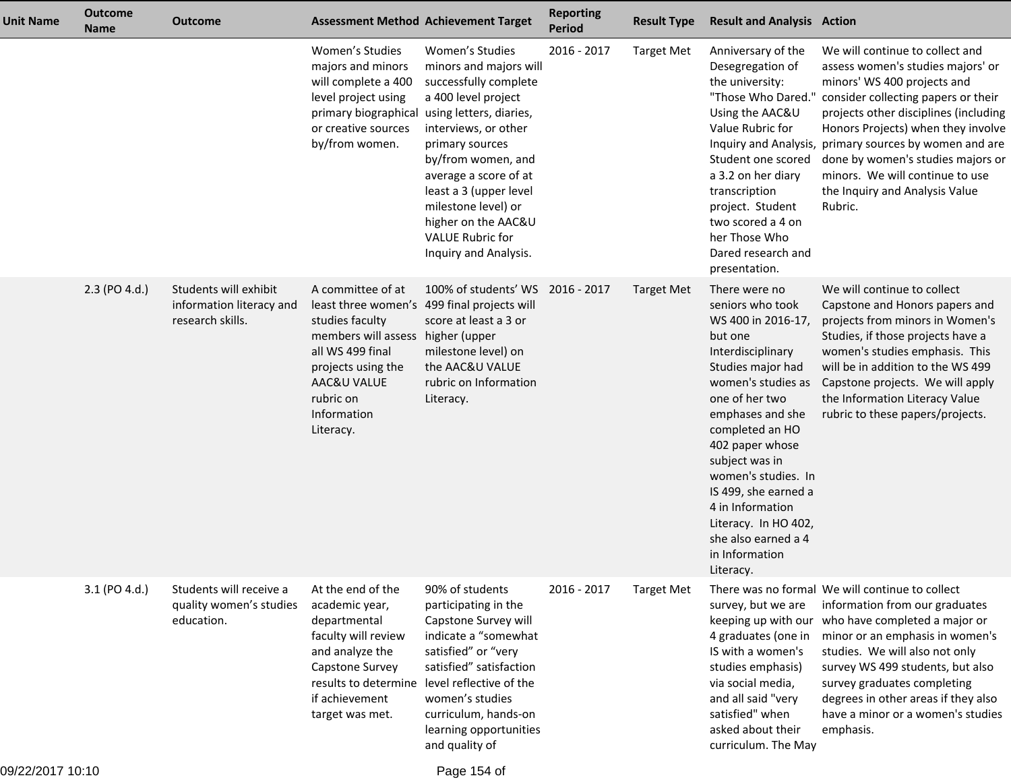| <b>Unit Name</b> | <b>Outcome</b><br><b>Name</b> | <b>Outcome</b>                                                        | <b>Assessment Method Achievement Target</b>                                                                                                                                 |                                                                                                                                                                                                                                                                                                                                            | <b>Reporting</b><br><b>Period</b> | <b>Result Type</b> | <b>Result and Analysis Action</b>                                                                                                                                                                                                                                                                                                                                                 |                                                                                                                                                                                                                                                                                                                                                                                                          |
|------------------|-------------------------------|-----------------------------------------------------------------------|-----------------------------------------------------------------------------------------------------------------------------------------------------------------------------|--------------------------------------------------------------------------------------------------------------------------------------------------------------------------------------------------------------------------------------------------------------------------------------------------------------------------------------------|-----------------------------------|--------------------|-----------------------------------------------------------------------------------------------------------------------------------------------------------------------------------------------------------------------------------------------------------------------------------------------------------------------------------------------------------------------------------|----------------------------------------------------------------------------------------------------------------------------------------------------------------------------------------------------------------------------------------------------------------------------------------------------------------------------------------------------------------------------------------------------------|
|                  |                               |                                                                       | Women's Studies<br>majors and minors<br>will complete a 400<br>level project using<br>primary biographical<br>or creative sources<br>by/from women.                         | Women's Studies<br>minors and majors will<br>successfully complete<br>a 400 level project<br>using letters, diaries,<br>interviews, or other<br>primary sources<br>by/from women, and<br>average a score of at<br>least a 3 (upper level<br>milestone level) or<br>higher on the AAC&U<br><b>VALUE Rubric for</b><br>Inquiry and Analysis. | 2016 - 2017                       | <b>Target Met</b>  | Anniversary of the<br>Desegregation of<br>the university:<br>"Those Who Dared."<br>Using the AAC&U<br>Value Rubric for<br>Student one scored<br>a 3.2 on her diary<br>transcription<br>project. Student<br>two scored a 4 on<br>her Those Who<br>Dared research and<br>presentation.                                                                                              | We will continue to collect and<br>assess women's studies majors' or<br>minors' WS 400 projects and<br>consider collecting papers or their<br>projects other disciplines (including<br>Honors Projects) when they involve<br>Inquiry and Analysis, primary sources by women and are<br>done by women's studies majors or<br>minors. We will continue to use<br>the Inquiry and Analysis Value<br>Rubric. |
|                  | 2.3 (PO 4.d.)                 | Students will exhibit<br>information literacy and<br>research skills. | A committee of at<br>studies faculty<br>members will assess higher (upper<br>all WS 499 final<br>projects using the<br>AAC&U VALUE<br>rubric on<br>Information<br>Literacy. | 100% of students' WS 2016 - 2017<br>least three women's 499 final projects will<br>score at least a 3 or<br>milestone level) on<br>the AAC&U VALUE<br>rubric on Information<br>Literacy.                                                                                                                                                   |                                   | <b>Target Met</b>  | There were no<br>seniors who took<br>WS 400 in 2016-17,<br>but one<br>Interdisciplinary<br>Studies major had<br>women's studies as<br>one of her two<br>emphases and she<br>completed an HO<br>402 paper whose<br>subject was in<br>women's studies. In<br>IS 499, she earned a<br>4 in Information<br>Literacy. In HO 402,<br>she also earned a 4<br>in Information<br>Literacy. | We will continue to collect<br>Capstone and Honors papers and<br>projects from minors in Women's<br>Studies, if those projects have a<br>women's studies emphasis. This<br>will be in addition to the WS 499<br>Capstone projects. We will apply<br>the Information Literacy Value<br>rubric to these papers/projects.                                                                                   |
|                  | 3.1 (PO 4.d.)                 | Students will receive a<br>quality women's studies<br>education.      | At the end of the<br>academic year,<br>departmental<br>faculty will review<br>and analyze the<br>Capstone Survey<br>if achievement<br>target was met.                       | 90% of students<br>participating in the<br>Capstone Survey will<br>indicate a "somewhat<br>satisfied" or "very<br>satisfied" satisfaction<br>results to determine level reflective of the<br>women's studies<br>curriculum, hands-on<br>learning opportunities<br>and quality of                                                           | 2016 - 2017                       | Target Met         | survey, but we are<br>keeping up with our<br>4 graduates (one in<br>IS with a women's<br>studies emphasis)<br>via social media,<br>and all said "very<br>satisfied" when<br>asked about their<br>curriculum. The May                                                                                                                                                              | There was no formal We will continue to collect<br>information from our graduates<br>who have completed a major or<br>minor or an emphasis in women's<br>studies. We will also not only<br>survey WS 499 students, but also<br>survey graduates completing<br>degrees in other areas if they also<br>have a minor or a women's studies<br>emphasis.                                                      |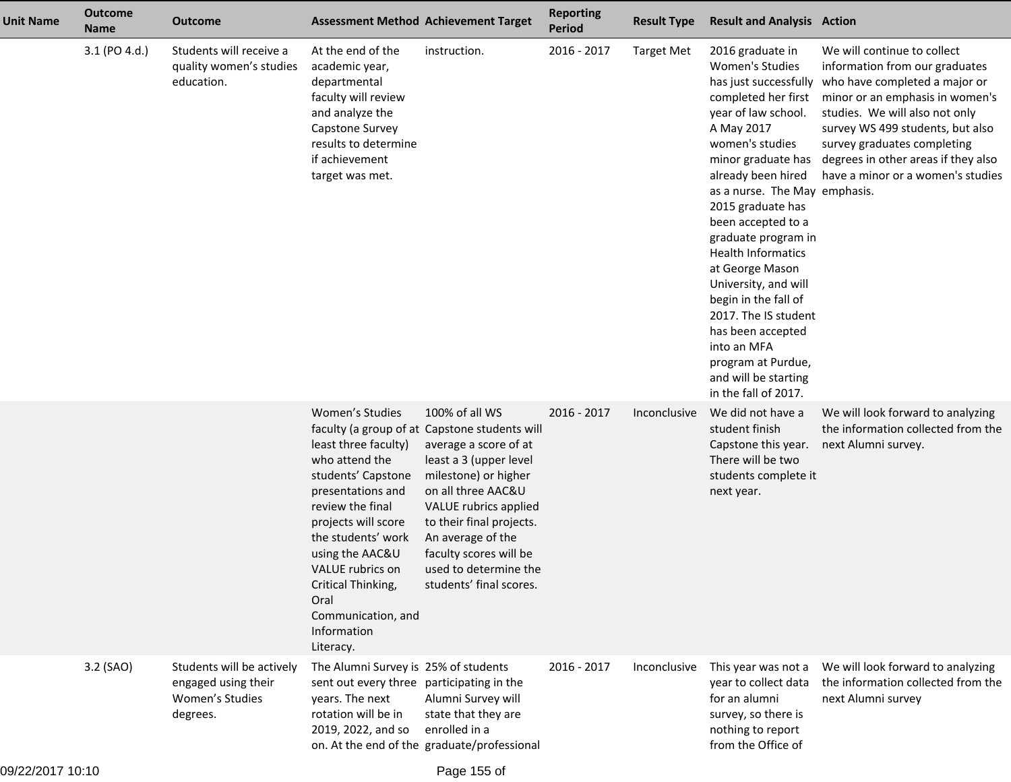| <b>Unit Name</b> | <b>Outcome</b><br><b>Name</b> | <b>Outcome</b>                                                                  | <b>Assessment Method Achievement Target</b>                                                                                                                                                                                                                                                  |                                                                                                                                                                                                                                                                                                                          | <b>Reporting</b><br><b>Period</b> | <b>Result Type</b> | <b>Result and Analysis Action</b>                                                                                                                                                                                                                                                                                                                                                                                                                                                                   |                                                                                                                                                                                                                                                                                                                                          |
|------------------|-------------------------------|---------------------------------------------------------------------------------|----------------------------------------------------------------------------------------------------------------------------------------------------------------------------------------------------------------------------------------------------------------------------------------------|--------------------------------------------------------------------------------------------------------------------------------------------------------------------------------------------------------------------------------------------------------------------------------------------------------------------------|-----------------------------------|--------------------|-----------------------------------------------------------------------------------------------------------------------------------------------------------------------------------------------------------------------------------------------------------------------------------------------------------------------------------------------------------------------------------------------------------------------------------------------------------------------------------------------------|------------------------------------------------------------------------------------------------------------------------------------------------------------------------------------------------------------------------------------------------------------------------------------------------------------------------------------------|
|                  | 3.1 (PO 4.d.)                 | Students will receive a<br>quality women's studies<br>education.                | At the end of the<br>academic year,<br>departmental<br>faculty will review<br>and analyze the<br>Capstone Survey<br>results to determine<br>if achievement<br>target was met.                                                                                                                | instruction.                                                                                                                                                                                                                                                                                                             | 2016 - 2017                       | <b>Target Met</b>  | 2016 graduate in<br>Women's Studies<br>completed her first<br>year of law school.<br>A May 2017<br>women's studies<br>minor graduate has<br>already been hired<br>as a nurse. The May emphasis.<br>2015 graduate has<br>been accepted to a<br>graduate program in<br><b>Health Informatics</b><br>at George Mason<br>University, and will<br>begin in the fall of<br>2017. The IS student<br>has been accepted<br>into an MFA<br>program at Purdue,<br>and will be starting<br>in the fall of 2017. | We will continue to collect<br>information from our graduates<br>has just successfully who have completed a major or<br>minor or an emphasis in women's<br>studies. We will also not only<br>survey WS 499 students, but also<br>survey graduates completing<br>degrees in other areas if they also<br>have a minor or a women's studies |
|                  |                               |                                                                                 | Women's Studies<br>least three faculty)<br>who attend the<br>students' Capstone<br>presentations and<br>review the final<br>projects will score<br>the students' work<br>using the AAC&U<br>VALUE rubrics on<br>Critical Thinking,<br>Oral<br>Communication, and<br>Information<br>Literacy. | 100% of all WS<br>faculty (a group of at Capstone students will<br>average a score of at<br>least a 3 (upper level<br>milestone) or higher<br>on all three AAC&U<br>VALUE rubrics applied<br>to their final projects.<br>An average of the<br>faculty scores will be<br>used to determine the<br>students' final scores. | 2016 - 2017                       | Inconclusive       | We did not have a<br>student finish<br>Capstone this year.<br>There will be two<br>students complete it<br>next year.                                                                                                                                                                                                                                                                                                                                                                               | We will look forward to analyzing<br>the information collected from the<br>next Alumni survey.                                                                                                                                                                                                                                           |
|                  | 3.2 (SAO)                     | Students will be actively<br>engaged using their<br>Women's Studies<br>degrees. | The Alumni Survey is 25% of students<br>sent out every three participating in the<br>years. The next<br>rotation will be in<br>2019, 2022, and so                                                                                                                                            | Alumni Survey will<br>state that they are<br>enrolled in a<br>on. At the end of the graduate/professional                                                                                                                                                                                                                | 2016 - 2017                       | Inconclusive       | This year was not a<br>year to collect data<br>for an alumni<br>survey, so there is<br>nothing to report<br>from the Office of                                                                                                                                                                                                                                                                                                                                                                      | We will look forward to analyzing<br>the information collected from the<br>next Alumni survey                                                                                                                                                                                                                                            |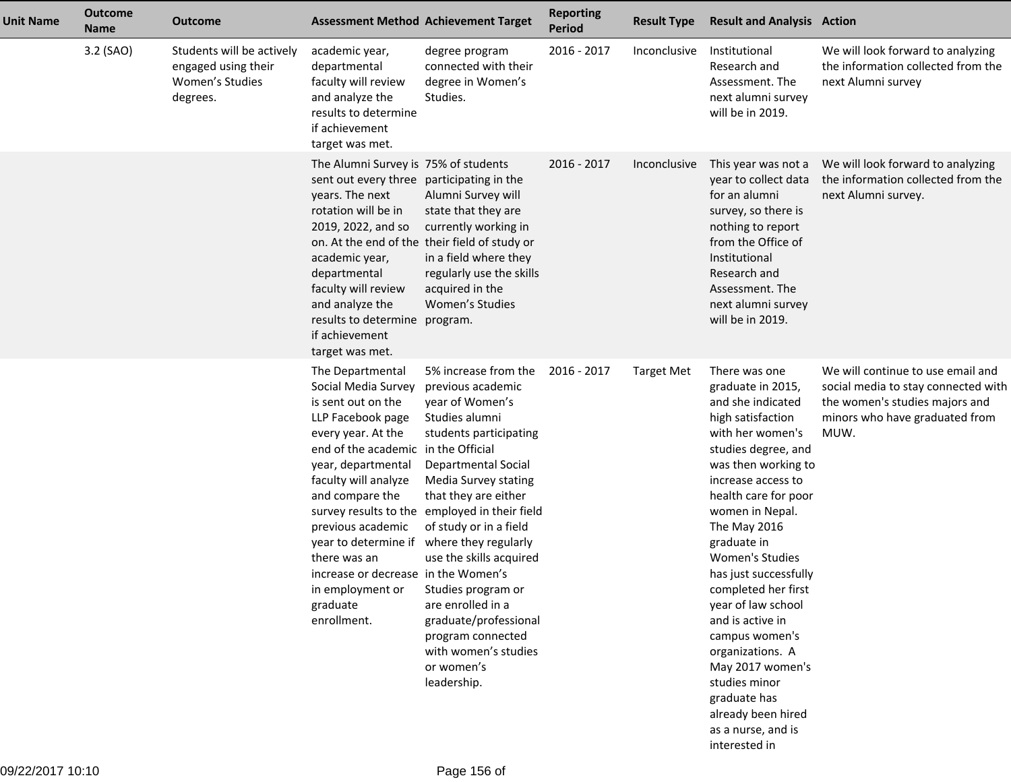| <b>Unit Name</b> | <b>Outcome</b><br><b>Name</b> | <b>Outcome</b>                                                                  |                                                                                                                                                                                                                                                                                                                                                                                              | <b>Assessment Method Achievement Target</b>                                                                                                                                                                                                                                                                                                                                                                                                  | <b>Reporting</b><br><b>Period</b> | <b>Result Type</b> | <b>Result and Analysis Action</b>                                                                                                                                                                                                                                                                                                                                                                                                                                                                                   |                                                                                                                                                      |
|------------------|-------------------------------|---------------------------------------------------------------------------------|----------------------------------------------------------------------------------------------------------------------------------------------------------------------------------------------------------------------------------------------------------------------------------------------------------------------------------------------------------------------------------------------|----------------------------------------------------------------------------------------------------------------------------------------------------------------------------------------------------------------------------------------------------------------------------------------------------------------------------------------------------------------------------------------------------------------------------------------------|-----------------------------------|--------------------|---------------------------------------------------------------------------------------------------------------------------------------------------------------------------------------------------------------------------------------------------------------------------------------------------------------------------------------------------------------------------------------------------------------------------------------------------------------------------------------------------------------------|------------------------------------------------------------------------------------------------------------------------------------------------------|
|                  | 3.2 (SAO)                     | Students will be actively<br>engaged using their<br>Women's Studies<br>degrees. | academic year,<br>departmental<br>faculty will review<br>and analyze the<br>results to determine<br>if achievement<br>target was met.                                                                                                                                                                                                                                                        | degree program<br>connected with their<br>degree in Women's<br>Studies.                                                                                                                                                                                                                                                                                                                                                                      | 2016 - 2017                       | Inconclusive       | Institutional<br>Research and<br>Assessment, The<br>next alumni survey<br>will be in 2019.                                                                                                                                                                                                                                                                                                                                                                                                                          | We will look forward to analyzing<br>the information collected from the<br>next Alumni survey                                                        |
|                  |                               |                                                                                 | The Alumni Survey is 75% of students<br>sent out every three participating in the<br>years. The next<br>rotation will be in<br>2019, 2022, and so<br>academic year,<br>departmental<br>faculty will review<br>and analyze the<br>results to determine program.<br>if achievement<br>target was met.                                                                                          | Alumni Survey will<br>state that they are<br>currently working in<br>on. At the end of the their field of study or<br>in a field where they<br>regularly use the skills<br>acquired in the<br>Women's Studies                                                                                                                                                                                                                                | 2016 - 2017                       | Inconclusive       | This year was not a<br>year to collect data<br>for an alumni<br>survey, so there is<br>nothing to report<br>from the Office of<br>Institutional<br>Research and<br>Assessment. The<br>next alumni survey<br>will be in 2019.                                                                                                                                                                                                                                                                                        | We will look forward to analyzing<br>the information collected from the<br>next Alumni survey.                                                       |
|                  |                               |                                                                                 | The Departmental<br>Social Media Survey<br>is sent out on the<br>LLP Facebook page<br>every year. At the<br>end of the academic in the Official<br>year, departmental<br>faculty will analyze<br>and compare the<br>survey results to the<br>previous academic<br>year to determine if<br>there was an<br>increase or decrease in the Women's<br>in employment or<br>graduate<br>enrollment. | 5% increase from the<br>previous academic<br>year of Women's<br>Studies alumni<br>students participating<br><b>Departmental Social</b><br>Media Survey stating<br>that they are either<br>employed in their field<br>of study or in a field<br>where they regularly<br>use the skills acquired<br>Studies program or<br>are enrolled in a<br>graduate/professional<br>program connected<br>with women's studies<br>or women's<br>leadership. | 2016 - 2017                       | <b>Target Met</b>  | There was one<br>graduate in 2015,<br>and she indicated<br>high satisfaction<br>with her women's<br>studies degree, and<br>was then working to<br>increase access to<br>health care for poor<br>women in Nepal.<br>The May 2016<br>graduate in<br>Women's Studies<br>has just successfully<br>completed her first<br>year of law school<br>and is active in<br>campus women's<br>organizations. A<br>May 2017 women's<br>studies minor<br>graduate has<br>already been hired<br>as a nurse, and is<br>interested in | We will continue to use email and<br>social media to stay connected with<br>the women's studies majors and<br>minors who have graduated from<br>MUW. |